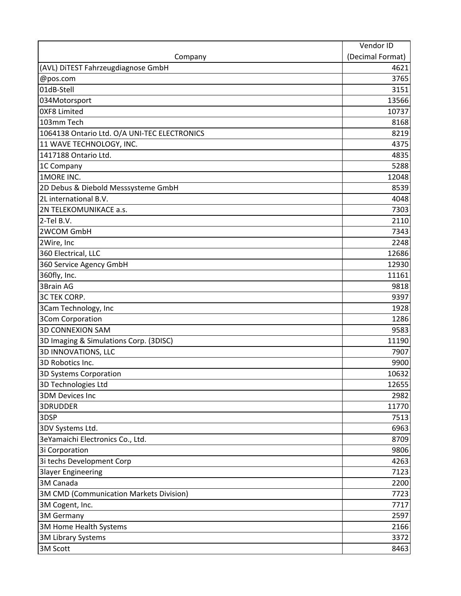|                                              | Vendor ID        |
|----------------------------------------------|------------------|
| Company                                      | (Decimal Format) |
| (AVL) DITEST Fahrzeugdiagnose GmbH           | 4621             |
| @pos.com                                     | 3765             |
| 01dB-Stell                                   | 3151             |
| 034Motorsport                                | 13566            |
| <b>OXF8 Limited</b>                          | 10737            |
| 103mm Tech                                   | 8168             |
| 1064138 Ontario Ltd. O/A UNI-TEC ELECTRONICS | 8219             |
| 11 WAVE TECHNOLOGY, INC.                     | 4375             |
| 1417188 Ontario Ltd.                         | 4835             |
| 1C Company                                   | 5288             |
| 1MORE INC.                                   | 12048            |
| 2D Debus & Diebold Messsysteme GmbH          | 8539             |
| 2L international B.V.                        | 4048             |
| 2N TELEKOMUNIKACE a.s.                       | 7303             |
| 2-Tel B.V.                                   | 2110             |
| 2WCOM GmbH                                   | 7343             |
| 2Wire, Inc                                   | 2248             |
| 360 Electrical, LLC                          | 12686            |
| 360 Service Agency GmbH                      | 12930            |
| 360fly, Inc.                                 | 11161            |
| 3Brain AG                                    | 9818             |
| <b>3C TEK CORP.</b>                          | 9397             |
| 3Cam Technology, Inc                         | 1928             |
| 3Com Corporation                             | 1286             |
| <b>3D CONNEXION SAM</b>                      | 9583             |
| 3D Imaging & Simulations Corp. (3DISC)       | 11190            |
| <b>3D INNOVATIONS, LLC</b>                   | 7907             |
| 3D Robotics Inc.                             | 9900             |
| 3D Systems Corporation                       | 10632            |
| 3D Technologies Ltd                          | 12655            |
| <b>3DM Devices Inc</b>                       | 2982             |
| 3DRUDDER                                     | 11770            |
| 3DSP                                         | 7513             |
| 3DV Systems Ltd.                             | 6963             |
| 3eYamaichi Electronics Co., Ltd.             | 8709             |
| 3i Corporation                               | 9806             |
| 3i techs Development Corp                    | 4263             |
| <b>3layer Engineering</b>                    | 7123             |
| 3M Canada                                    | 2200             |
| 3M CMD (Communication Markets Division)      | 7723             |
| 3M Cogent, Inc.                              | 7717             |
| <b>3M Germany</b>                            | 2597             |
| <b>3M Home Health Systems</b>                | 2166             |
| <b>3M Library Systems</b>                    | 3372             |
| 3M Scott                                     | 8463             |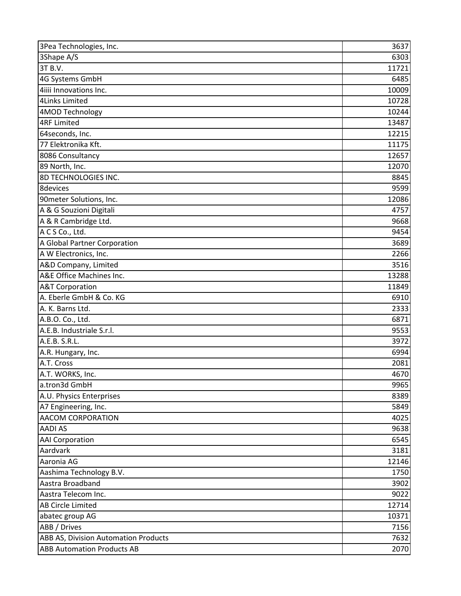| 3Pea Technologies, Inc.                     | 3637  |
|---------------------------------------------|-------|
| 3Shape A/S                                  | 6303  |
| 3T B.V.                                     | 11721 |
| 4G Systems GmbH                             | 6485  |
| 4iiii Innovations Inc.                      | 10009 |
| <b>4Links Limited</b>                       | 10728 |
| 4MOD Technology                             | 10244 |
| <b>4RF Limited</b>                          | 13487 |
| 64seconds, Inc.                             | 12215 |
| 77 Elektronika Kft.                         | 11175 |
| 8086 Consultancy                            | 12657 |
| 89 North, Inc.                              | 12070 |
| <b>8D TECHNOLOGIES INC.</b>                 | 8845  |
| 8devices                                    | 9599  |
| 90meter Solutions, Inc.                     | 12086 |
| A & G Souzioni Digitali                     | 4757  |
| A & R Cambridge Ltd.                        | 9668  |
| A C S Co., Ltd.                             | 9454  |
| A Global Partner Corporation                | 3689  |
| A W Electronics, Inc.                       | 2266  |
| A&D Company, Limited                        | 3516  |
| A&E Office Machines Inc.                    | 13288 |
| <b>A&amp;T Corporation</b>                  | 11849 |
| A. Eberle GmbH & Co. KG                     | 6910  |
| A. K. Barns Ltd.                            | 2333  |
| A.B.O. Co., Ltd.                            | 6871  |
| A.E.B. Industriale S.r.l.                   | 9553  |
| A.E.B. S.R.L.                               | 3972  |
| A.R. Hungary, Inc.                          | 6994  |
| A.T. Cross                                  | 2081  |
| A.T. WORKS, Inc.                            | 4670  |
| a.tron3d GmbH                               | 9965  |
| A.U. Physics Enterprises                    | 8389  |
| A7 Engineering, Inc.                        | 5849  |
| AACOM CORPORATION                           | 4025  |
| <b>AADI AS</b>                              | 9638  |
| <b>AAI Corporation</b>                      | 6545  |
| Aardvark                                    | 3181  |
| Aaronia AG                                  | 12146 |
| Aashima Technology B.V.                     | 1750  |
| Aastra Broadband                            | 3902  |
| Aastra Telecom Inc.                         | 9022  |
| <b>AB Circle Limited</b>                    | 12714 |
| abatec group AG                             | 10371 |
| ABB / Drives                                | 7156  |
| <b>ABB AS, Division Automation Products</b> | 7632  |
| <b>ABB Automation Products AB</b>           | 2070  |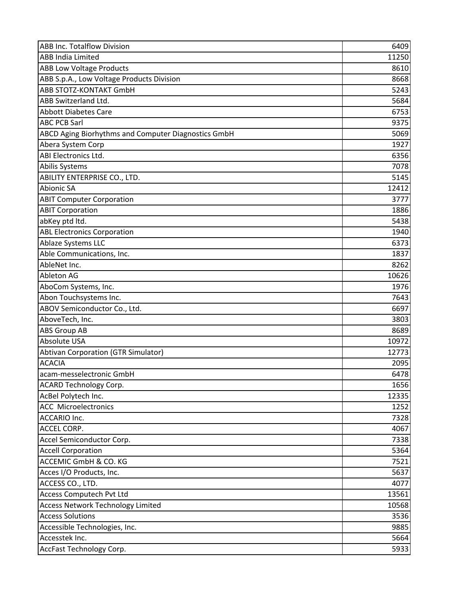| <b>ABB Inc. Totalflow Division</b>                         | 6409  |
|------------------------------------------------------------|-------|
| <b>ABB India Limited</b>                                   | 11250 |
| <b>ABB Low Voltage Products</b>                            | 8610  |
| ABB S.p.A., Low Voltage Products Division                  | 8668  |
| <b>ABB STOTZ-KONTAKT GmbH</b>                              | 5243  |
| <b>ABB Switzerland Ltd.</b>                                | 5684  |
| <b>Abbott Diabetes Care</b>                                | 6753  |
| <b>ABC PCB Sarl</b>                                        | 9375  |
| <b>ABCD Aging Biorhythms and Computer Diagnostics GmbH</b> | 5069  |
| Abera System Corp                                          | 1927  |
| ABI Electronics Ltd.                                       | 6356  |
| <b>Abilis Systems</b>                                      | 7078  |
| ABILITY ENTERPRISE CO., LTD.                               | 5145  |
| <b>Abionic SA</b>                                          | 12412 |
| <b>ABIT Computer Corporation</b>                           | 3777  |
| <b>ABIT Corporation</b>                                    | 1886  |
| abKey ptd ltd.                                             | 5438  |
| <b>ABL Electronics Corporation</b>                         | 1940  |
| Ablaze Systems LLC                                         | 6373  |
| Able Communications, Inc.                                  | 1837  |
| AbleNet Inc.                                               | 8262  |
| <b>Ableton AG</b>                                          | 10626 |
| AboCom Systems, Inc.                                       | 1976  |
| Abon Touchsystems Inc.                                     | 7643  |
| ABOV Semiconductor Co., Ltd.                               | 6697  |
| AboveTech, Inc.                                            | 3803  |
| <b>ABS Group AB</b>                                        | 8689  |
| <b>Absolute USA</b>                                        | 10972 |
| Abtivan Corporation (GTR Simulator)                        | 12773 |
| <b>ACACIA</b>                                              | 2095  |
| acam-messelectronic GmbH                                   | 6478  |
| <b>ACARD Technology Corp.</b>                              | 1656  |
| AcBel Polytech Inc.                                        | 12335 |
| <b>ACC Microelectronics</b>                                | 1252  |
| ACCARIO Inc.                                               | 7328  |
| <b>ACCEL CORP.</b>                                         | 4067  |
| Accel Semiconductor Corp.                                  | 7338  |
| <b>Accell Corporation</b>                                  | 5364  |
| <b>ACCEMIC GmbH &amp; CO. KG</b>                           | 7521  |
| Acces I/O Products, Inc.                                   | 5637  |
| ACCESS CO., LTD.                                           | 4077  |
| Access Computech Pvt Ltd                                   | 13561 |
| <b>Access Network Technology Limited</b>                   | 10568 |
| <b>Access Solutions</b>                                    | 3536  |
| Accessible Technologies, Inc.                              | 9885  |
| Accesstek Inc.                                             | 5664  |
| <b>AccFast Technology Corp.</b>                            | 5933  |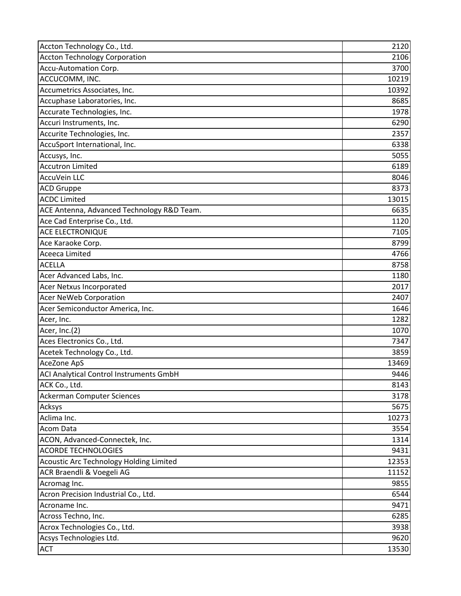| Accton Technology Co., Ltd.                    | 2120  |
|------------------------------------------------|-------|
| <b>Accton Technology Corporation</b>           | 2106  |
| Accu-Automation Corp.                          | 3700  |
| ACCUCOMM, INC.                                 | 10219 |
| Accumetrics Associates, Inc.                   | 10392 |
| Accuphase Laboratories, Inc.                   | 8685  |
| Accurate Technologies, Inc.                    | 1978  |
| Accuri Instruments, Inc.                       | 6290  |
| Accurite Technologies, Inc.                    | 2357  |
| AccuSport International, Inc.                  | 6338  |
| Accusys, Inc.                                  | 5055  |
| <b>Accutron Limited</b>                        | 6189  |
| AccuVein LLC                                   | 8046  |
| <b>ACD Gruppe</b>                              | 8373  |
| <b>ACDC Limited</b>                            | 13015 |
| ACE Antenna, Advanced Technology R&D Team.     | 6635  |
| Ace Cad Enterprise Co., Ltd.                   | 1120  |
| <b>ACE ELECTRONIQUE</b>                        | 7105  |
| Ace Karaoke Corp.                              | 8799  |
| Aceeca Limited                                 | 4766  |
| <b>ACELLA</b>                                  | 8758  |
| Acer Advanced Labs, Inc.                       | 1180  |
| <b>Acer Netxus Incorporated</b>                | 2017  |
| <b>Acer NeWeb Corporation</b>                  | 2407  |
| Acer Semiconductor America, Inc.               | 1646  |
| Acer, Inc.                                     | 1282  |
| Acer, Inc.(2)                                  | 1070  |
| Aces Electronics Co., Ltd.                     | 7347  |
| Acetek Technology Co., Ltd.                    | 3859  |
| AceZone ApS                                    | 13469 |
| <b>ACI Analytical Control Instruments GmbH</b> | 9446  |
| ACK Co., Ltd.                                  | 8143  |
| Ackerman Computer Sciences                     | 3178  |
| Acksys                                         | 5675  |
| Aclima Inc.                                    | 10273 |
| <b>Acom Data</b>                               | 3554  |
| ACON, Advanced-Connectek, Inc.                 | 1314  |
| <b>ACORDE TECHNOLOGIES</b>                     | 9431  |
| Acoustic Arc Technology Holding Limited        | 12353 |
| ACR Braendli & Voegeli AG                      | 11152 |
| Acromag Inc.                                   | 9855  |
| Acron Precision Industrial Co., Ltd.           | 6544  |
| Acroname Inc.                                  | 9471  |
| Across Techno, Inc.                            | 6285  |
| Acrox Technologies Co., Ltd.                   | 3938  |
| Acsys Technologies Ltd.                        | 9620  |
| <b>ACT</b>                                     | 13530 |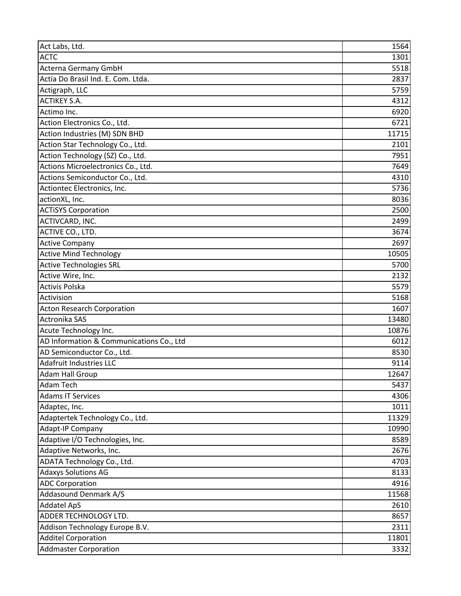| Act Labs, Ltd.                           | 1564  |
|------------------------------------------|-------|
| <b>ACTC</b>                              | 1301  |
| <b>Acterna Germany GmbH</b>              | 5518  |
| Actia Do Brasil Ind. E. Com. Ltda.       | 2837  |
| Actigraph, LLC                           | 5759  |
| <b>ACTIKEY S.A.</b>                      | 4312  |
| Actimo Inc.                              | 6920  |
| Action Electronics Co., Ltd.             | 6721  |
| Action Industries (M) SDN BHD            | 11715 |
| Action Star Technology Co., Ltd.         | 2101  |
| Action Technology (SZ) Co., Ltd.         | 7951  |
| Actions Microelectronics Co., Ltd.       | 7649  |
| Actions Semiconductor Co., Ltd.          | 4310  |
| Actiontec Electronics, Inc.              | 5736  |
| actionXL, Inc.                           | 8036  |
| <b>ACTISYS Corporation</b>               | 2500  |
| ACTIVCARD, INC.                          | 2499  |
| ACTIVE CO., LTD.                         | 3674  |
| <b>Active Company</b>                    | 2697  |
| <b>Active Mind Technology</b>            | 10505 |
| <b>Active Technologies SRL</b>           | 5700  |
| Active Wire, Inc.                        | 2132  |
| <b>Activis Polska</b>                    | 5579  |
| Activision                               | 5168  |
| <b>Acton Research Corporation</b>        | 1607  |
| Actronika SAS                            | 13480 |
| Acute Technology Inc.                    | 10876 |
| AD Information & Communications Co., Ltd | 6012  |
| AD Semiconductor Co., Ltd.               | 8530  |
| Adafruit Industries LLC                  | 9114  |
| <b>Adam Hall Group</b>                   | 12647 |
| <b>Adam Tech</b>                         | 5437  |
| <b>Adams IT Services</b>                 | 4306  |
| Adaptec, Inc.                            | 1011  |
| Adaptertek Technology Co., Ltd.          | 11329 |
| Adapt-IP Company                         | 10990 |
| Adaptive I/O Technologies, Inc.          | 8589  |
| Adaptive Networks, Inc.                  | 2676  |
| ADATA Technology Co., Ltd.               | 4703  |
| <b>Adaxys Solutions AG</b>               | 8133  |
| <b>ADC Corporation</b>                   | 4916  |
| <b>Addasound Denmark A/S</b>             | 11568 |
| <b>Addatel ApS</b>                       | 2610  |
| ADDER TECHNOLOGY LTD.                    | 8657  |
| Addison Technology Europe B.V.           | 2311  |
| <b>Additel Corporation</b>               | 11801 |
| <b>Addmaster Corporation</b>             | 3332  |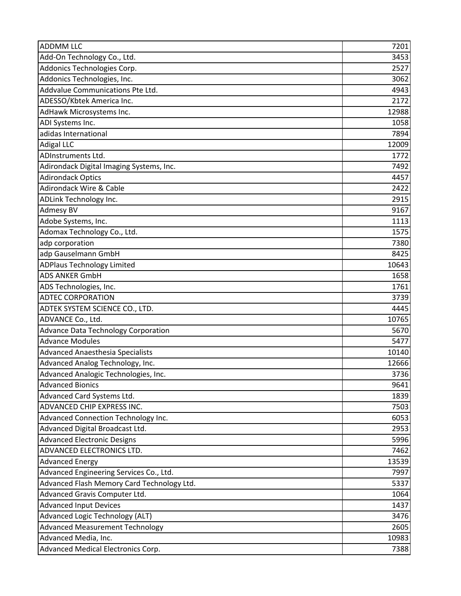| <b>ADDMM LLC</b>                           | 7201  |
|--------------------------------------------|-------|
| Add-On Technology Co., Ltd.                | 3453  |
| Addonics Technologies Corp.                | 2527  |
| Addonics Technologies, Inc.                | 3062  |
| Addvalue Communications Pte Ltd.           | 4943  |
| ADESSO/Kbtek America Inc.                  | 2172  |
| AdHawk Microsystems Inc.                   | 12988 |
| ADI Systems Inc.                           | 1058  |
| adidas International                       | 7894  |
| <b>Adigal LLC</b>                          | 12009 |
| ADInstruments Ltd.                         | 1772  |
| Adirondack Digital Imaging Systems, Inc.   | 7492  |
| <b>Adirondack Optics</b>                   | 4457  |
| Adirondack Wire & Cable                    | 2422  |
| ADLink Technology Inc.                     | 2915  |
| <b>Admesy BV</b>                           | 9167  |
| Adobe Systems, Inc.                        | 1113  |
| Adomax Technology Co., Ltd.                | 1575  |
| adp corporation                            | 7380  |
| adp Gauselmann GmbH                        | 8425  |
| <b>ADPlaus Technology Limited</b>          | 10643 |
| <b>ADS ANKER GmbH</b>                      | 1658  |
| ADS Technologies, Inc.                     | 1761  |
| <b>ADTEC CORPORATION</b>                   | 3739  |
| ADTEK SYSTEM SCIENCE CO., LTD.             | 4445  |
| ADVANCE Co., Ltd.                          | 10765 |
| <b>Advance Data Technology Corporation</b> | 5670  |
| <b>Advance Modules</b>                     | 5477  |
| <b>Advanced Anaesthesia Specialists</b>    | 10140 |
| Advanced Analog Technology, Inc.           | 12666 |
| Advanced Analogic Technologies, Inc.       | 3736  |
| <b>Advanced Bionics</b>                    | 9641  |
| Advanced Card Systems Ltd.                 | 1839  |
| ADVANCED CHIP EXPRESS INC.                 | 7503  |
| Advanced Connection Technology Inc.        | 6053  |
| Advanced Digital Broadcast Ltd.            | 2953  |
| <b>Advanced Electronic Designs</b>         | 5996  |
| ADVANCED ELECTRONICS LTD.                  | 7462  |
| <b>Advanced Energy</b>                     | 13539 |
| Advanced Engineering Services Co., Ltd.    | 7997  |
| Advanced Flash Memory Card Technology Ltd. | 5337  |
| Advanced Gravis Computer Ltd.              | 1064  |
| <b>Advanced Input Devices</b>              | 1437  |
| Advanced Logic Technology (ALT)            | 3476  |
| <b>Advanced Measurement Technology</b>     | 2605  |
| Advanced Media, Inc.                       | 10983 |
| Advanced Medical Electronics Corp.         | 7388  |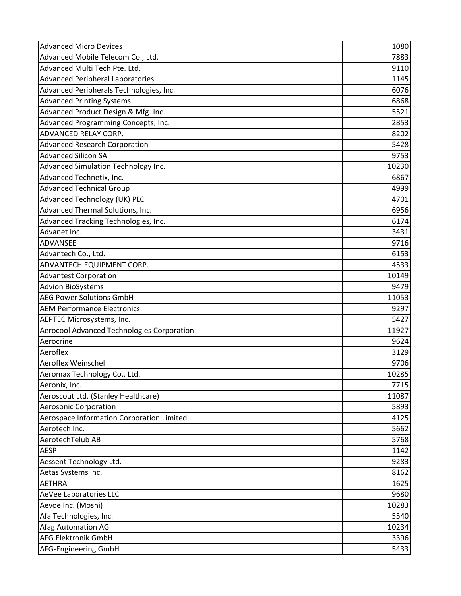| <b>Advanced Micro Devices</b>              | 1080  |
|--------------------------------------------|-------|
| Advanced Mobile Telecom Co., Ltd.          | 7883  |
| Advanced Multi Tech Pte. Ltd.              | 9110  |
| <b>Advanced Peripheral Laboratories</b>    | 1145  |
| Advanced Peripherals Technologies, Inc.    | 6076  |
| <b>Advanced Printing Systems</b>           | 6868  |
| Advanced Product Design & Mfg. Inc.        | 5521  |
| Advanced Programming Concepts, Inc.        | 2853  |
| <b>ADVANCED RELAY CORP.</b>                | 8202  |
| <b>Advanced Research Corporation</b>       | 5428  |
| <b>Advanced Silicon SA</b>                 | 9753  |
| Advanced Simulation Technology Inc.        | 10230 |
| Advanced Technetix, Inc.                   | 6867  |
| <b>Advanced Technical Group</b>            | 4999  |
| Advanced Technology (UK) PLC               | 4701  |
| Advanced Thermal Solutions, Inc.           | 6956  |
| Advanced Tracking Technologies, Inc.       | 6174  |
| Advanet Inc.                               | 3431  |
| <b>ADVANSEE</b>                            | 9716  |
| Advantech Co., Ltd.                        | 6153  |
| ADVANTECH EQUIPMENT CORP.                  | 4533  |
| <b>Advantest Corporation</b>               | 10149 |
| <b>Advion BioSystems</b>                   | 9479  |
| <b>AEG Power Solutions GmbH</b>            | 11053 |
| <b>AEM Performance Electronics</b>         | 9297  |
| AEPTEC Microsystems, Inc.                  | 5427  |
| Aerocool Advanced Technologies Corporation | 11927 |
| Aerocrine                                  | 9624  |
| Aeroflex                                   | 3129  |
| <b>Aeroflex Weinschel</b>                  | 9706  |
| Aeromax Technology Co., Ltd.               | 10285 |
| Aeronix, Inc.                              | 7715  |
| Aeroscout Ltd. (Stanley Healthcare)        | 11087 |
| <b>Aerosonic Corporation</b>               | 5893  |
| Aerospace Information Corporation Limited  | 4125  |
| Aerotech Inc.                              | 5662  |
| AerotechTelub AB                           | 5768  |
| <b>AESP</b>                                | 1142  |
| Aessent Technology Ltd.                    | 9283  |
| Aetas Systems Inc.                         | 8162  |
| <b>AETHRA</b>                              | 1625  |
| AeVee Laboratories LLC                     | 9680  |
| Aevoe Inc. (Moshi)                         | 10283 |
| Afa Technologies, Inc.                     | 5540  |
| Afag Automation AG                         | 10234 |
| <b>AFG Elektronik GmbH</b>                 | 3396  |
| <b>AFG-Engineering GmbH</b>                | 5433  |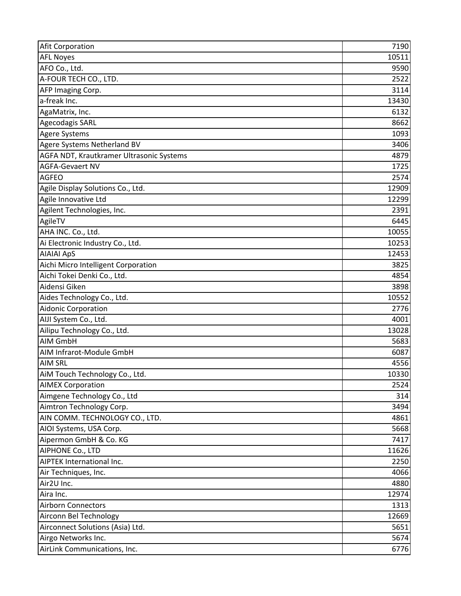| <b>Afit Corporation</b>                  | 7190  |
|------------------------------------------|-------|
| <b>AFL Noyes</b>                         | 10511 |
| AFO Co., Ltd.                            | 9590  |
| A-FOUR TECH CO., LTD.                    | 2522  |
| AFP Imaging Corp.                        | 3114  |
| a-freak Inc.                             | 13430 |
| AgaMatrix, Inc.                          | 6132  |
| <b>Agecodagis SARL</b>                   | 8662  |
| <b>Agere Systems</b>                     | 1093  |
| Agere Systems Netherland BV              | 3406  |
| AGFA NDT, Krautkramer Ultrasonic Systems | 4879  |
| <b>AGFA-Gevaert NV</b>                   | 1725  |
| <b>AGFEO</b>                             | 2574  |
| Agile Display Solutions Co., Ltd.        | 12909 |
| Agile Innovative Ltd                     | 12299 |
| Agilent Technologies, Inc.               | 2391  |
| AgileTV                                  | 6445  |
| AHA INC. Co., Ltd.                       | 10055 |
| Ai Electronic Industry Co., Ltd.         | 10253 |
| <b>AIAIAI ApS</b>                        | 12453 |
| Aichi Micro Intelligent Corporation      | 3825  |
| Aichi Tokei Denki Co., Ltd.              | 4854  |
| Aidensi Giken                            | 3898  |
| Aides Technology Co., Ltd.               | 10552 |
| <b>Aidonic Corporation</b>               | 2776  |
| AIJI System Co., Ltd.                    | 4001  |
| Ailipu Technology Co., Ltd.              | 13028 |
| <b>AIM GmbH</b>                          | 5683  |
| AIM Infrarot-Module GmbH                 | 6087  |
| <b>AIM SRL</b>                           | 4556  |
| AiM Touch Technology Co., Ltd.           | 10330 |
| <b>AIMEX Corporation</b>                 | 2524  |
| Aimgene Technology Co., Ltd              | 314   |
| Aimtron Technology Corp.                 | 3494  |
| AIN COMM. TECHNOLOGY CO., LTD.           | 4861  |
| AIOI Systems, USA Corp.                  | 5668  |
| Aipermon GmbH & Co. KG                   | 7417  |
| AIPHONE Co., LTD                         | 11626 |
| <b>AIPTEK International Inc.</b>         | 2250  |
| Air Techniques, Inc.                     | 4066  |
| Air2U Inc.                               | 4880  |
| Aira Inc.                                | 12974 |
| <b>Airborn Connectors</b>                | 1313  |
| Airconn Bel Technology                   | 12669 |
| Airconnect Solutions (Asia) Ltd.         | 5651  |
| Airgo Networks Inc.                      | 5674  |
| AirLink Communications, Inc.             | 6776  |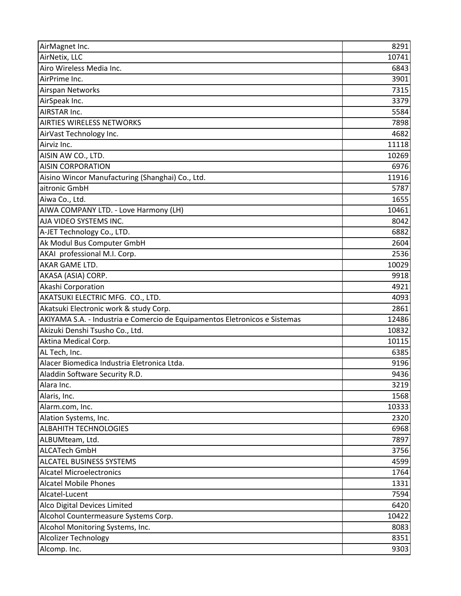| AirMagnet Inc.                                                             | 8291  |
|----------------------------------------------------------------------------|-------|
| AirNetix, LLC                                                              | 10741 |
| Airo Wireless Media Inc.                                                   | 6843  |
| AirPrime Inc.                                                              | 3901  |
| Airspan Networks                                                           | 7315  |
| AirSpeak Inc.                                                              | 3379  |
| AIRSTAR Inc.                                                               | 5584  |
| <b>AIRTIES WIRELESS NETWORKS</b>                                           | 7898  |
| AirVast Technology Inc.                                                    | 4682  |
| Airviz Inc.                                                                | 11118 |
| AISIN AW CO., LTD.                                                         | 10269 |
| <b>AISIN CORPORATION</b>                                                   | 6976  |
| Aisino Wincor Manufacturing (Shanghai) Co., Ltd.                           | 11916 |
| aitronic GmbH                                                              | 5787  |
| Aiwa Co., Ltd.                                                             | 1655  |
| AIWA COMPANY LTD. - Love Harmony (LH)                                      | 10461 |
| AJA VIDEO SYSTEMS INC.                                                     | 8042  |
| A-JET Technology Co., LTD.                                                 | 6882  |
| Ak Modul Bus Computer GmbH                                                 | 2604  |
| AKAI professional M.I. Corp.                                               | 2536  |
| AKAR GAME LTD.                                                             | 10029 |
| AKASA (ASIA) CORP.                                                         | 9918  |
| Akashi Corporation                                                         | 4921  |
| AKATSUKI ELECTRIC MFG. CO., LTD.                                           | 4093  |
| Akatsuki Electronic work & study Corp.                                     | 2861  |
| AKIYAMA S.A. - Industria e Comercio de Equipamentos Eletronicos e Sistemas | 12486 |
| Akizuki Denshi Tsusho Co., Ltd.                                            | 10832 |
| Aktina Medical Corp.                                                       | 10115 |
| AL Tech, Inc.                                                              | 6385  |
| Alacer Biomedica Industria Eletronica Ltda.                                | 9196  |
| Aladdin Software Security R.D.                                             | 9436  |
| Alara Inc.                                                                 | 3219  |
| Alaris, Inc.                                                               | 1568  |
| Alarm.com, Inc.                                                            | 10333 |
| Alation Systems, Inc.                                                      | 2320  |
| <b>ALBAHITH TECHNOLOGIES</b>                                               | 6968  |
| ALBUMteam, Ltd.                                                            | 7897  |
| <b>ALCATech GmbH</b>                                                       | 3756  |
| <b>ALCATEL BUSINESS SYSTEMS</b>                                            | 4599  |
| <b>Alcatel Microelectronics</b>                                            | 1764  |
| <b>Alcatel Mobile Phones</b>                                               | 1331  |
| Alcatel-Lucent                                                             | 7594  |
| Alco Digital Devices Limited                                               | 6420  |
| Alcohol Countermeasure Systems Corp.                                       | 10422 |
| Alcohol Monitoring Systems, Inc.                                           | 8083  |
| <b>Alcolizer Technology</b>                                                | 8351  |
| Alcomp. Inc.                                                               | 9303  |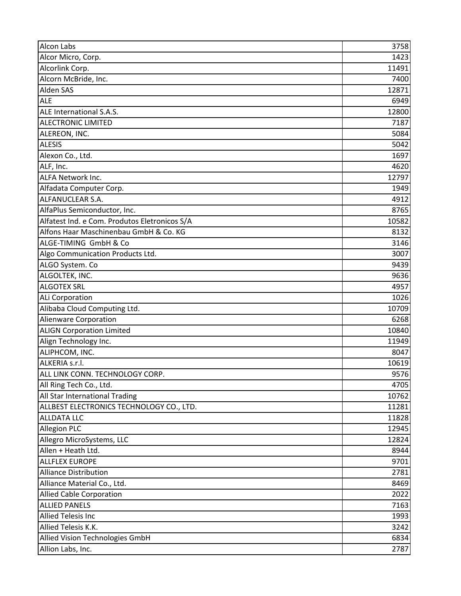| <b>Alcon Labs</b>                             | 3758  |
|-----------------------------------------------|-------|
| Alcor Micro, Corp.                            | 1423  |
| Alcorlink Corp.                               | 11491 |
| Alcorn McBride, Inc.                          | 7400  |
| <b>Alden SAS</b>                              | 12871 |
| <b>ALE</b>                                    | 6949  |
| ALE International S.A.S.                      | 12800 |
| <b>ALECTRONIC LIMITED</b>                     | 7187  |
| ALEREON, INC.                                 | 5084  |
| <b>ALESIS</b>                                 | 5042  |
| Alexon Co., Ltd.                              | 1697  |
| ALF, Inc.                                     | 4620  |
| <b>ALFA Network Inc.</b>                      | 12797 |
| Alfadata Computer Corp.                       | 1949  |
| <b>ALFANUCLEAR S.A.</b>                       | 4912  |
| AlfaPlus Semiconductor, Inc.                  | 8765  |
| Alfatest Ind. e Com. Produtos Eletronicos S/A | 10582 |
| Alfons Haar Maschinenbau GmbH & Co. KG        | 8132  |
| ALGE-TIMING GmbH & Co                         | 3146  |
| Algo Communication Products Ltd.              | 3007  |
| ALGO System. Co                               | 9439  |
| ALGOLTEK, INC.                                | 9636  |
| <b>ALGOTEX SRL</b>                            | 4957  |
| <b>ALi Corporation</b>                        | 1026  |
| Alibaba Cloud Computing Ltd.                  | 10709 |
| Alienware Corporation                         | 6268  |
| <b>ALIGN Corporation Limited</b>              | 10840 |
| Align Technology Inc.                         | 11949 |
| ALIPHCOM, INC.                                | 8047  |
| ALKERIA s.r.l.                                | 10619 |
| ALL LINK CONN. TECHNOLOGY CORP.               | 9576  |
| All Ring Tech Co., Ltd.                       | 4705  |
| All Star International Trading                | 10762 |
| ALLBEST ELECTRONICS TECHNOLOGY CO., LTD.      | 11281 |
| <b>ALLDATA LLC</b>                            | 11828 |
| <b>Allegion PLC</b>                           | 12945 |
| Allegro MicroSystems, LLC                     | 12824 |
| Allen + Heath Ltd.                            | 8944  |
| <b>ALLFLEX EUROPE</b>                         | 9701  |
| <b>Alliance Distribution</b>                  | 2781  |
| Alliance Material Co., Ltd.                   | 8469  |
| <b>Allied Cable Corporation</b>               | 2022  |
| <b>ALLIED PANELS</b>                          | 7163  |
| <b>Allied Telesis Inc</b>                     | 1993  |
| Allied Telesis K.K.                           | 3242  |
| Allied Vision Technologies GmbH               | 6834  |
| Allion Labs, Inc.                             | 2787  |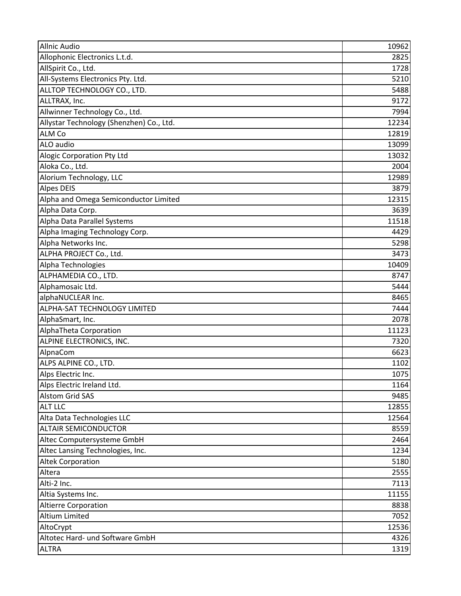| <b>Allnic Audio</b>                      | 10962 |
|------------------------------------------|-------|
| Allophonic Electronics L.t.d.            | 2825  |
| AllSpirit Co., Ltd.                      | 1728  |
| All-Systems Electronics Pty. Ltd.        | 5210  |
| ALLTOP TECHNOLOGY CO., LTD.              | 5488  |
| ALLTRAX, Inc.                            | 9172  |
| Allwinner Technology Co., Ltd.           | 7994  |
| Allystar Technology (Shenzhen) Co., Ltd. | 12234 |
| <b>ALM Co</b>                            | 12819 |
| ALO audio                                | 13099 |
| Alogic Corporation Pty Ltd               | 13032 |
| Aloka Co., Ltd.                          | 2004  |
| Alorium Technology, LLC                  | 12989 |
| <b>Alpes DEIS</b>                        | 3879  |
| Alpha and Omega Semiconductor Limited    | 12315 |
| Alpha Data Corp.                         | 3639  |
| Alpha Data Parallel Systems              | 11518 |
| Alpha Imaging Technology Corp.           | 4429  |
| Alpha Networks Inc.                      | 5298  |
| ALPHA PROJECT Co., Ltd.                  | 3473  |
| Alpha Technologies                       | 10409 |
| ALPHAMEDIA CO., LTD.                     | 8747  |
| Alphamosaic Ltd.                         | 5444  |
| alphaNUCLEAR Inc.                        | 8465  |
| ALPHA-SAT TECHNOLOGY LIMITED             | 7444  |
| AlphaSmart, Inc.                         | 2078  |
| AlphaTheta Corporation                   | 11123 |
| ALPINE ELECTRONICS, INC.                 | 7320  |
| AlpnaCom                                 | 6623  |
| ALPS ALPINE CO., LTD.                    | 1102  |
| Alps Electric Inc.                       | 1075  |
| Alps Electric Ireland Ltd.               | 1164  |
| <b>Alstom Grid SAS</b>                   | 9485  |
| ALT LLC                                  | 12855 |
| Alta Data Technologies LLC               | 12564 |
| <b>ALTAIR SEMICONDUCTOR</b>              | 8559  |
| Altec Computersysteme GmbH               | 2464  |
| Altec Lansing Technologies, Inc.         | 1234  |
| <b>Altek Corporation</b>                 | 5180  |
| Altera                                   | 2555  |
| Alti-2 Inc.                              | 7113  |
| Altia Systems Inc.                       | 11155 |
| <b>Altierre Corporation</b>              | 8838  |
| Altium Limited                           | 7052  |
| AltoCrypt                                | 12536 |
| Altotec Hard- und Software GmbH          | 4326  |
| <b>ALTRA</b>                             | 1319  |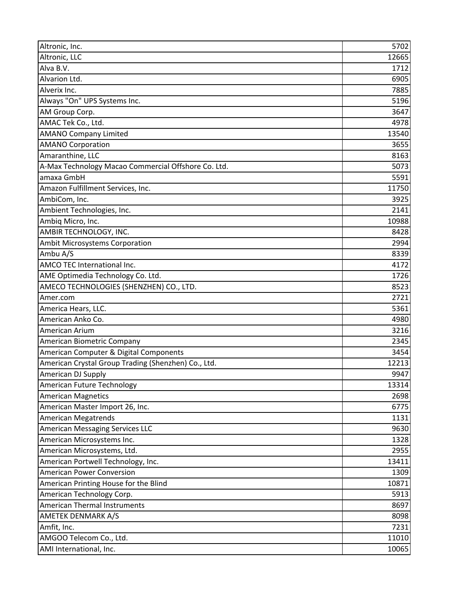| Altronic, Inc.                                      | 5702  |
|-----------------------------------------------------|-------|
| Altronic, LLC                                       | 12665 |
| Alva B.V.                                           | 1712  |
| Alvarion Ltd.                                       | 6905  |
| Alverix Inc.                                        | 7885  |
| Always "On" UPS Systems Inc.                        | 5196  |
| AM Group Corp.                                      | 3647  |
| AMAC Tek Co., Ltd.                                  | 4978  |
| <b>AMANO Company Limited</b>                        | 13540 |
| <b>AMANO Corporation</b>                            | 3655  |
| Amaranthine, LLC                                    | 8163  |
| A-Max Technology Macao Commercial Offshore Co. Ltd. | 5073  |
| amaxa GmbH                                          | 5591  |
| Amazon Fulfillment Services, Inc.                   | 11750 |
| AmbiCom, Inc.                                       | 3925  |
| Ambient Technologies, Inc.                          | 2141  |
| Ambiq Micro, Inc.                                   | 10988 |
| AMBIR TECHNOLOGY, INC.                              | 8428  |
| Ambit Microsystems Corporation                      | 2994  |
| Ambu A/S                                            | 8339  |
| AMCO TEC International Inc.                         | 4172  |
| AME Optimedia Technology Co. Ltd.                   | 1726  |
| AMECO TECHNOLOGIES (SHENZHEN) CO., LTD.             | 8523  |
| Amer.com                                            | 2721  |
| America Hears, LLC.                                 | 5361  |
| American Anko Co.                                   | 4980  |
| American Arium                                      | 3216  |
| American Biometric Company                          | 2345  |
| American Computer & Digital Components              | 3454  |
| American Crystal Group Trading (Shenzhen) Co., Ltd. | 12213 |
| American DJ Supply                                  | 9947  |
| American Future Technology                          | 13314 |
| <b>American Magnetics</b>                           | 2698  |
| American Master Import 26, Inc.                     | 6775  |
| <b>American Megatrends</b>                          | 1131  |
| <b>American Messaging Services LLC</b>              | 9630  |
| American Microsystems Inc.                          | 1328  |
| American Microsystems, Ltd.                         | 2955  |
| American Portwell Technology, Inc.                  | 13411 |
| <b>American Power Conversion</b>                    | 1309  |
| American Printing House for the Blind               | 10871 |
| American Technology Corp.                           | 5913  |
| <b>American Thermal Instruments</b>                 | 8697  |
| AMETEK DENMARK A/S                                  | 8098  |
| Amfit, Inc.                                         | 7231  |
| AMGOO Telecom Co., Ltd.                             | 11010 |
| AMI International, Inc.                             | 10065 |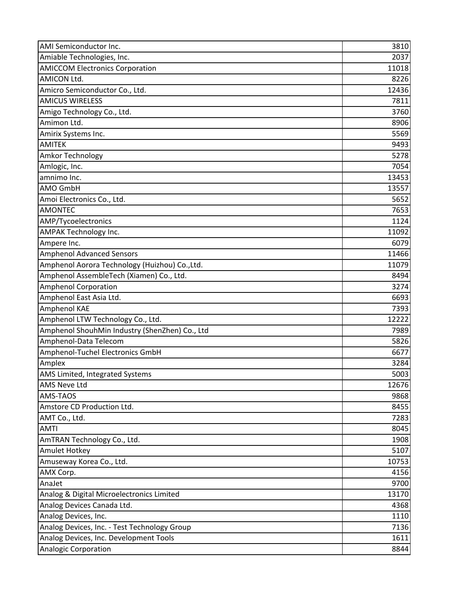| AMI Semiconductor Inc.                         | 3810  |
|------------------------------------------------|-------|
| Amiable Technologies, Inc.                     | 2037  |
| <b>AMICCOM Electronics Corporation</b>         | 11018 |
| <b>AMICON Ltd.</b>                             | 8226  |
| Amicro Semiconductor Co., Ltd.                 | 12436 |
| <b>AMICUS WIRELESS</b>                         | 7811  |
| Amigo Technology Co., Ltd.                     | 3760  |
| Amimon Ltd.                                    | 8906  |
| Amirix Systems Inc.                            | 5569  |
| <b>AMITEK</b>                                  | 9493  |
| Amkor Technology                               | 5278  |
| Amlogic, Inc.                                  | 7054  |
| amnimo Inc.                                    | 13453 |
| AMO GmbH                                       | 13557 |
| Amoi Electronics Co., Ltd.                     | 5652  |
| <b>AMONTEC</b>                                 | 7653  |
| AMP/Tycoelectronics                            | 1124  |
| <b>AMPAK Technology Inc.</b>                   | 11092 |
| Ampere Inc.                                    | 6079  |
| <b>Amphenol Advanced Sensors</b>               | 11466 |
| Amphenol Aorora Technology (Huizhou) Co., Ltd. | 11079 |
| Amphenol AssembleTech (Xiamen) Co., Ltd.       | 8494  |
| <b>Amphenol Corporation</b>                    | 3274  |
| Amphenol East Asia Ltd.                        | 6693  |
| Amphenol KAE                                   | 7393  |
| Amphenol LTW Technology Co., Ltd.              | 12222 |
| Amphenol ShouhMin Industry (ShenZhen) Co., Ltd | 7989  |
| Amphenol-Data Telecom                          | 5826  |
| Amphenol-Tuchel Electronics GmbH               | 6677  |
| Amplex                                         | 3284  |
| AMS Limited, Integrated Systems                | 5003  |
| <b>AMS Neve Ltd</b>                            | 12676 |
| AMS-TAOS                                       | 9868  |
| Amstore CD Production Ltd.                     | 8455  |
| AMT Co., Ltd.                                  | 7283  |
| <b>AMTI</b>                                    | 8045  |
| AmTRAN Technology Co., Ltd.                    | 1908  |
| <b>Amulet Hotkey</b>                           | 5107  |
| Amuseway Korea Co., Ltd.                       | 10753 |
| AMX Corp.                                      | 4156  |
| AnaJet                                         | 9700  |
| Analog & Digital Microelectronics Limited      | 13170 |
| Analog Devices Canada Ltd.                     | 4368  |
| Analog Devices, Inc.                           | 1110  |
| Analog Devices, Inc. - Test Technology Group   | 7136  |
| Analog Devices, Inc. Development Tools         | 1611  |
| <b>Analogic Corporation</b>                    | 8844  |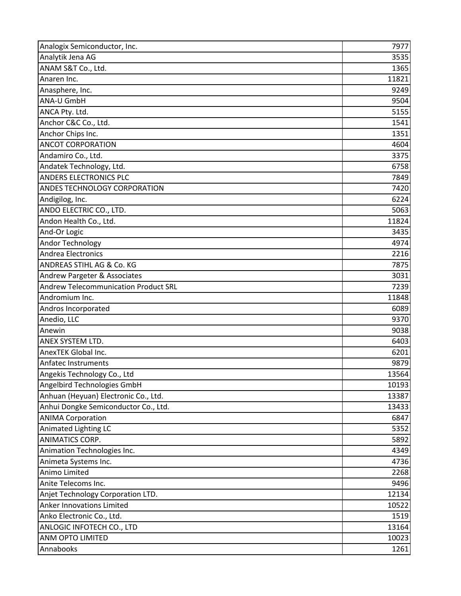| Analogix Semiconductor, Inc.                | 7977  |
|---------------------------------------------|-------|
| Analytik Jena AG                            | 3535  |
| ANAM S&T Co., Ltd.                          | 1365  |
| Anaren Inc.                                 | 11821 |
| Anasphere, Inc.                             | 9249  |
| ANA-U GmbH                                  | 9504  |
| ANCA Pty. Ltd.                              | 5155  |
| Anchor C&C Co., Ltd.                        | 1541  |
| Anchor Chips Inc.                           | 1351  |
| <b>ANCOT CORPORATION</b>                    | 4604  |
| Andamiro Co., Ltd.                          | 3375  |
| Andatek Technology, Ltd.                    | 6758  |
| ANDERS ELECTRONICS PLC                      | 7849  |
| <b>ANDES TECHNOLOGY CORPORATION</b>         | 7420  |
| Andigilog, Inc.                             | 6224  |
| ANDO ELECTRIC CO., LTD.                     | 5063  |
| Andon Health Co., Ltd.                      | 11824 |
| And-Or Logic                                | 3435  |
| <b>Andor Technology</b>                     | 4974  |
| <b>Andrea Electronics</b>                   | 2216  |
| <b>ANDREAS STIHL AG &amp; Co. KG</b>        | 7875  |
| Andrew Pargeter & Associates                | 3031  |
| <b>Andrew Telecommunication Product SRL</b> | 7239  |
| Andromium Inc.                              | 11848 |
| Andros Incorporated                         | 6089  |
| Anedio, LLC                                 | 9370  |
| Anewin                                      | 9038  |
| ANEX SYSTEM LTD.                            | 6403  |
| AnexTEK Global Inc.                         | 6201  |
| <b>Anfatec Instruments</b>                  | 9879  |
| Angekis Technology Co., Ltd                 | 13564 |
| Angelbird Technologies GmbH                 | 10193 |
| Anhuan (Heyuan) Electronic Co., Ltd.        | 13387 |
| Anhui Dongke Semiconductor Co., Ltd.        | 13433 |
| <b>ANIMA Corporation</b>                    | 6847  |
| Animated Lighting LC                        | 5352  |
| <b>ANIMATICS CORP.</b>                      | 5892  |
| Animation Technologies Inc.                 | 4349  |
| Animeta Systems Inc.                        | 4736  |
| Animo Limited                               | 2268  |
| Anite Telecoms Inc.                         | 9496  |
| Anjet Technology Corporation LTD.           | 12134 |
| Anker Innovations Limited                   | 10522 |
| Anko Electronic Co., Ltd.                   | 1519  |
| ANLOGIC INFOTECH CO., LTD                   | 13164 |
| ANM OPTO LIMITED                            | 10023 |
| Annabooks                                   | 1261  |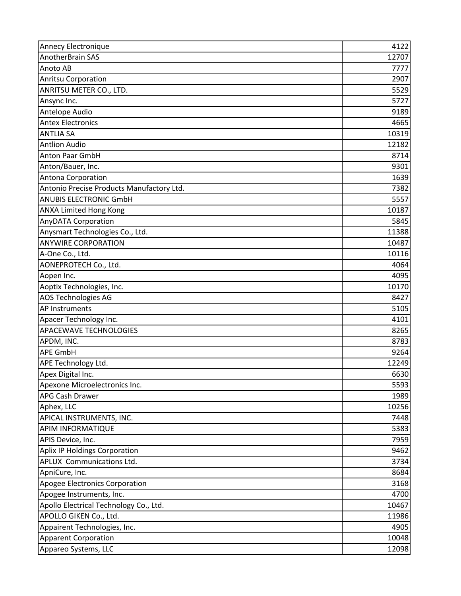| <b>Annecy Electronique</b>                | 4122  |
|-------------------------------------------|-------|
| <b>AnotherBrain SAS</b>                   | 12707 |
| Anoto AB                                  | 7777  |
| <b>Anritsu Corporation</b>                | 2907  |
| ANRITSU METER CO., LTD.                   | 5529  |
| Ansync Inc.                               | 5727  |
| Antelope Audio                            | 9189  |
| <b>Antex Electronics</b>                  | 4665  |
| <b>ANTLIA SA</b>                          | 10319 |
| <b>Antlion Audio</b>                      | 12182 |
| <b>Anton Paar GmbH</b>                    | 8714  |
| Anton/Bauer, Inc.                         | 9301  |
| <b>Antona Corporation</b>                 | 1639  |
| Antonio Precise Products Manufactory Ltd. | 7382  |
| <b>ANUBIS ELECTRONIC GmbH</b>             | 5557  |
| <b>ANXA Limited Hong Kong</b>             | 10187 |
| <b>AnyDATA Corporation</b>                | 5845  |
| Anysmart Technologies Co., Ltd.           | 11388 |
| <b>ANYWIRE CORPORATION</b>                | 10487 |
| A-One Co., Ltd.                           | 10116 |
| AONEPROTECH Co., Ltd.                     | 4064  |
| Aopen Inc.                                | 4095  |
| Aoptix Technologies, Inc.                 | 10170 |
| <b>AOS Technologies AG</b>                | 8427  |
| <b>AP Instruments</b>                     | 5105  |
| Apacer Technology Inc.                    | 4101  |
| <b>APACEWAVE TECHNOLOGIES</b>             | 8265  |
| APDM, INC.                                | 8783  |
| <b>APE GmbH</b>                           | 9264  |
| APE Technology Ltd.                       | 12249 |
| Apex Digital Inc.                         | 6630  |
| Apexone Microelectronics Inc.             | 5593  |
| <b>APG Cash Drawer</b>                    | 1989  |
| Aphex, LLC                                | 10256 |
| APICAL INSTRUMENTS, INC.                  | 7448  |
| <b>APIM INFORMATIQUE</b>                  | 5383  |
| APIS Device, Inc.                         | 7959  |
| Aplix IP Holdings Corporation             | 9462  |
| <b>APLUX Communications Ltd.</b>          | 3734  |
| ApniCure, Inc.                            | 8684  |
| Apogee Electronics Corporation            | 3168  |
| Apogee Instruments, Inc.                  | 4700  |
| Apollo Electrical Technology Co., Ltd.    | 10467 |
| APOLLO GIKEN Co., Ltd.                    | 11986 |
| Appairent Technologies, Inc.              | 4905  |
| <b>Apparent Corporation</b>               | 10048 |
| Appareo Systems, LLC                      | 12098 |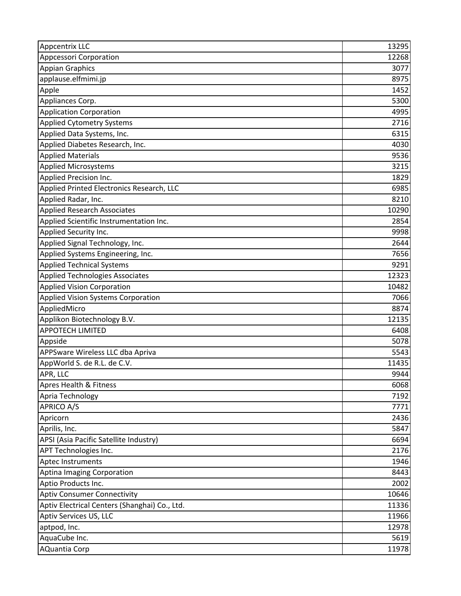| <b>Appcentrix LLC</b>                         | 13295 |
|-----------------------------------------------|-------|
| <b>Appcessori Corporation</b>                 | 12268 |
| <b>Appian Graphics</b>                        | 3077  |
| applause.elfmimi.jp                           | 8975  |
| Apple                                         | 1452  |
| Appliances Corp.                              | 5300  |
| <b>Application Corporation</b>                | 4995  |
| <b>Applied Cytometry Systems</b>              | 2716  |
| Applied Data Systems, Inc.                    | 6315  |
| Applied Diabetes Research, Inc.               | 4030  |
| <b>Applied Materials</b>                      | 9536  |
| <b>Applied Microsystems</b>                   | 3215  |
| Applied Precision Inc.                        | 1829  |
| Applied Printed Electronics Research, LLC     | 6985  |
| Applied Radar, Inc.                           | 8210  |
| <b>Applied Research Associates</b>            | 10290 |
| Applied Scientific Instrumentation Inc.       | 2854  |
| Applied Security Inc.                         | 9998  |
| Applied Signal Technology, Inc.               | 2644  |
| Applied Systems Engineering, Inc.             | 7656  |
| <b>Applied Technical Systems</b>              | 9291  |
| Applied Technologies Associates               | 12323 |
| <b>Applied Vision Corporation</b>             | 10482 |
| <b>Applied Vision Systems Corporation</b>     | 7066  |
| AppliedMicro                                  | 8874  |
| Applikon Biotechnology B.V.                   | 12135 |
| <b>APPOTECH LIMITED</b>                       | 6408  |
| Appside                                       | 5078  |
| APPSware Wireless LLC dba Apriva              | 5543  |
| AppWorld S. de R.L. de C.V.                   | 11435 |
| APR, LLC                                      | 9944  |
| Apres Health & Fitness                        | 6068  |
| Apria Technology                              | 7192  |
| <b>APRICO A/S</b>                             | 7771  |
| Apricorn                                      | 2436  |
| Aprilis, Inc.                                 | 5847  |
| APSI (Asia Pacific Satellite Industry)        | 6694  |
| APT Technologies Inc.                         | 2176  |
| Aptec Instruments                             | 1946  |
| Aptina Imaging Corporation                    | 8443  |
| Aptio Products Inc.                           | 2002  |
| <b>Aptiv Consumer Connectivity</b>            | 10646 |
| Aptiv Electrical Centers (Shanghai) Co., Ltd. | 11336 |
| Aptiv Services US, LLC                        | 11966 |
| aptpod, Inc.                                  | 12978 |
| AquaCube Inc.                                 | 5619  |
| <b>AQuantia Corp</b>                          | 11978 |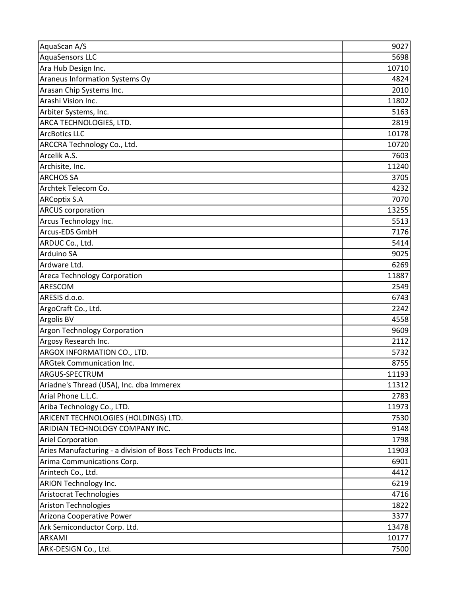| AquaScan A/S                                                | 9027  |
|-------------------------------------------------------------|-------|
| <b>AquaSensors LLC</b>                                      | 5698  |
| Ara Hub Design Inc.                                         | 10710 |
| Araneus Information Systems Oy                              | 4824  |
| Arasan Chip Systems Inc.                                    | 2010  |
| Arashi Vision Inc.                                          | 11802 |
| Arbiter Systems, Inc.                                       | 5163  |
| ARCA TECHNOLOGIES, LTD.                                     | 2819  |
| <b>ArcBotics LLC</b>                                        | 10178 |
| ARCCRA Technology Co., Ltd.                                 | 10720 |
| Arcelik A.S.                                                | 7603  |
| Archisite, Inc.                                             | 11240 |
| <b>ARCHOS SA</b>                                            | 3705  |
| Archtek Telecom Co.                                         | 4232  |
| <b>ARCoptix S.A</b>                                         | 7070  |
| <b>ARCUS</b> corporation                                    | 13255 |
| Arcus Technology Inc.                                       | 5513  |
| Arcus-EDS GmbH                                              | 7176  |
| ARDUC Co., Ltd.                                             | 5414  |
| Arduino SA                                                  | 9025  |
| Ardware Ltd.                                                | 6269  |
| Areca Technology Corporation                                | 11887 |
| ARESCOM                                                     | 2549  |
| ARESIS d.o.o.                                               | 6743  |
| ArgoCraft Co., Ltd.                                         | 2242  |
| Argolis BV                                                  | 4558  |
| <b>Argon Technology Corporation</b>                         | 9609  |
| Argosy Research Inc.                                        | 2112  |
| ARGOX INFORMATION CO., LTD.                                 | 5732  |
| <b>ARGtek Communication Inc.</b>                            | 8755  |
| ARGUS-SPECTRUM                                              | 11193 |
| Ariadne's Thread (USA), Inc. dba Immerex                    | 11312 |
| Arial Phone L.L.C.                                          | 2783  |
| Ariba Technology Co., LTD.                                  | 11973 |
| ARICENT TECHNOLOGIES (HOLDINGS) LTD.                        | 7530  |
| ARIDIAN TECHNOLOGY COMPANY INC.                             | 9148  |
| <b>Ariel Corporation</b>                                    | 1798  |
| Aries Manufacturing - a division of Boss Tech Products Inc. | 11903 |
| Arima Communications Corp.                                  | 6901  |
| Arintech Co., Ltd.                                          | 4412  |
| <b>ARION Technology Inc.</b>                                | 6219  |
| <b>Aristocrat Technologies</b>                              | 4716  |
| <b>Ariston Technologies</b>                                 | 1822  |
| Arizona Cooperative Power                                   | 3377  |
| Ark Semiconductor Corp. Ltd.                                | 13478 |
| <b>ARKAMI</b>                                               | 10177 |
| ARK-DESIGN Co., Ltd.                                        | 7500  |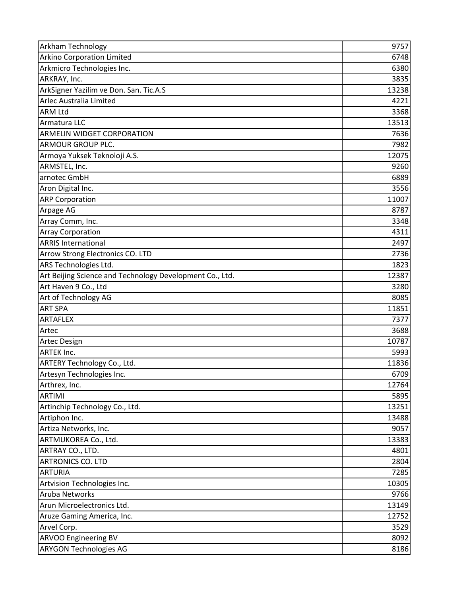| <b>Arkham Technology</b>                                 | 9757  |
|----------------------------------------------------------|-------|
| <b>Arkino Corporation Limited</b>                        | 6748  |
| Arkmicro Technologies Inc.                               | 6380  |
| ARKRAY, Inc.                                             | 3835  |
| ArkSigner Yazilim ve Don. San. Tic.A.S                   | 13238 |
| Arlec Australia Limited                                  | 4221  |
| <b>ARM Ltd</b>                                           | 3368  |
| Armatura LLC                                             | 13513 |
| <b>ARMELIN WIDGET CORPORATION</b>                        | 7636  |
| <b>ARMOUR GROUP PLC.</b>                                 | 7982  |
| Armoya Yuksek Teknoloji A.S.                             | 12075 |
| ARMSTEL, Inc.                                            | 9260  |
| arnotec GmbH                                             | 6889  |
| Aron Digital Inc.                                        | 3556  |
| <b>ARP Corporation</b>                                   | 11007 |
| Arpage AG                                                | 8787  |
| Array Comm, Inc.                                         | 3348  |
| <b>Array Corporation</b>                                 | 4311  |
| <b>ARRIS International</b>                               | 2497  |
| Arrow Strong Electronics CO. LTD                         | 2736  |
| ARS Technologies Ltd.                                    | 1823  |
| Art Beijing Science and Technology Development Co., Ltd. | 12387 |
| Art Haven 9 Co., Ltd                                     | 3280  |
| Art of Technology AG                                     | 8085  |
| <b>ART SPA</b>                                           | 11851 |
| <b>ARTAFLEX</b>                                          | 7377  |
| Artec                                                    | 3688  |
| <b>Artec Design</b>                                      | 10787 |
| <b>ARTEK Inc.</b>                                        | 5993  |
| ARTERY Technology Co., Ltd.                              | 11836 |
| Artesyn Technologies Inc.                                | 6709  |
| Arthrex, Inc.                                            | 12764 |
| <b>ARTIMI</b>                                            | 5895  |
| Artinchip Technology Co., Ltd.                           | 13251 |
| Artiphon Inc.                                            | 13488 |
| Artiza Networks, Inc.                                    | 9057  |
| ARTMUKOREA Co., Ltd.                                     | 13383 |
| ARTRAY CO., LTD.                                         | 4801  |
| <b>ARTRONICS CO. LTD</b>                                 | 2804  |
| <b>ARTURIA</b>                                           | 7285  |
| Artvision Technologies Inc.                              | 10305 |
| Aruba Networks                                           | 9766  |
| Arun Microelectronics Ltd.                               | 13149 |
| Aruze Gaming America, Inc.                               | 12752 |
| Arvel Corp.                                              | 3529  |
| <b>ARVOO Engineering BV</b>                              | 8092  |
| <b>ARYGON Technologies AG</b>                            | 8186  |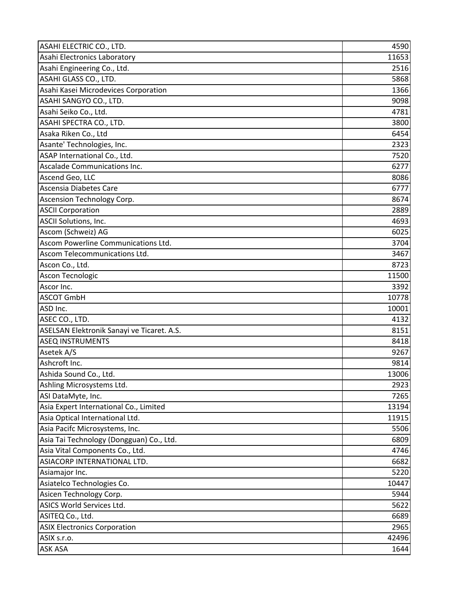| ASAHI ELECTRIC CO., LTD.                   | 4590  |
|--------------------------------------------|-------|
| Asahi Electronics Laboratory               | 11653 |
| Asahi Engineering Co., Ltd.                | 2516  |
| ASAHI GLASS CO., LTD.                      | 5868  |
| Asahi Kasei Microdevices Corporation       | 1366  |
| ASAHI SANGYO CO., LTD.                     | 9098  |
| Asahi Seiko Co., Ltd.                      | 4781  |
| ASAHI SPECTRA CO., LTD.                    | 3800  |
| Asaka Riken Co., Ltd                       | 6454  |
| Asante' Technologies, Inc.                 | 2323  |
| ASAP International Co., Ltd.               | 7520  |
| Ascalade Communications Inc.               | 6277  |
| Ascend Geo, LLC                            | 8086  |
| Ascensia Diabetes Care                     | 6777  |
| Ascension Technology Corp.                 | 8674  |
| <b>ASCII Corporation</b>                   | 2889  |
| <b>ASCII Solutions, Inc.</b>               | 4693  |
| Ascom (Schweiz) AG                         | 6025  |
| Ascom Powerline Communications Ltd.        | 3704  |
| Ascom Telecommunications Ltd.              | 3467  |
| Ascon Co., Ltd.                            | 8723  |
| Ascon Tecnologic                           | 11500 |
| Ascor Inc.                                 | 3392  |
| <b>ASCOT GmbH</b>                          | 10778 |
| ASD Inc.                                   | 10001 |
| ASEC CO., LTD.                             | 4132  |
| ASELSAN Elektronik Sanayi ve Ticaret. A.S. | 8151  |
| <b>ASEQ INSTRUMENTS</b>                    | 8418  |
| Asetek A/S                                 | 9267  |
| Ashcroft Inc.                              | 9814  |
| Ashida Sound Co., Ltd.                     | 13006 |
| Ashling Microsystems Ltd.                  | 2923  |
| ASI DataMyte, Inc.                         | 7265  |
| Asia Expert International Co., Limited     | 13194 |
| Asia Optical International Ltd.            | 11915 |
| Asia Pacifc Microsystems, Inc.             | 5506  |
| Asia Tai Technology (Dongguan) Co., Ltd.   | 6809  |
| Asia Vital Components Co., Ltd.            | 4746  |
| ASIACORP INTERNATIONAL LTD.                | 6682  |
| Asiamajor Inc.                             | 5220  |
| Asiatelco Technologies Co.                 | 10447 |
| Asicen Technology Corp.                    | 5944  |
| ASICS World Services Ltd.                  | 5622  |
| ASITEQ Co., Ltd.                           | 6689  |
| <b>ASIX Electronics Corporation</b>        | 2965  |
| ASIX s.r.o.                                | 42496 |
| <b>ASK ASA</b>                             | 1644  |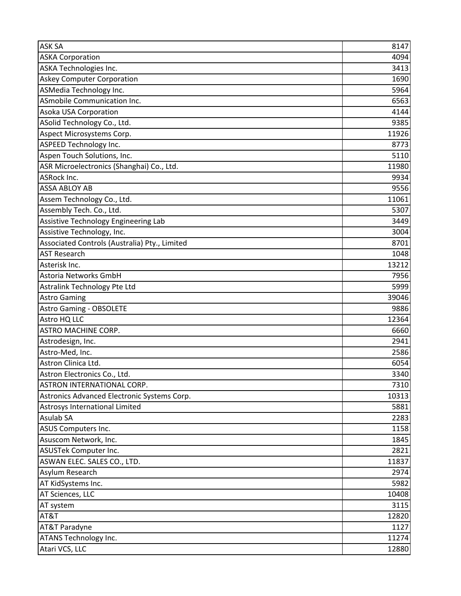| <b>ASK SA</b>                                 | 8147  |
|-----------------------------------------------|-------|
| <b>ASKA Corporation</b>                       | 4094  |
| ASKA Technologies Inc.                        | 3413  |
| <b>Askey Computer Corporation</b>             | 1690  |
| ASMedia Technology Inc.                       | 5964  |
| ASmobile Communication Inc.                   | 6563  |
| Asoka USA Corporation                         | 4144  |
| ASolid Technology Co., Ltd.                   | 9385  |
| Aspect Microsystems Corp.                     | 11926 |
| <b>ASPEED Technology Inc.</b>                 | 8773  |
| Aspen Touch Solutions, Inc.                   | 5110  |
| ASR Microelectronics (Shanghai) Co., Ltd.     | 11980 |
| ASRock Inc.                                   | 9934  |
| <b>ASSA ABLOY AB</b>                          | 9556  |
| Assem Technology Co., Ltd.                    | 11061 |
| Assembly Tech. Co., Ltd.                      | 5307  |
| Assistive Technology Engineering Lab          | 3449  |
| Assistive Technology, Inc.                    | 3004  |
| Associated Controls (Australia) Pty., Limited | 8701  |
| <b>AST Research</b>                           | 1048  |
| Asterisk Inc.                                 | 13212 |
| Astoria Networks GmbH                         | 7956  |
| Astralink Technology Pte Ltd                  | 5999  |
| <b>Astro Gaming</b>                           | 39046 |
| <b>Astro Gaming - OBSOLETE</b>                | 9886  |
| Astro HQ LLC                                  | 12364 |
| ASTRO MACHINE CORP.                           | 6660  |
| Astrodesign, Inc.                             | 2941  |
| Astro-Med, Inc.                               | 2586  |
| Astron Clinica Ltd.                           | 6054  |
| Astron Electronics Co., Ltd.                  | 3340  |
| ASTRON INTERNATIONAL CORP.                    | 7310  |
| Astronics Advanced Electronic Systems Corp.   | 10313 |
| Astrosys International Limited                | 5881  |
| Asulab SA                                     | 2283  |
| ASUS Computers Inc.                           | 1158  |
| Asuscom Network, Inc.                         | 1845  |
| ASUSTek Computer Inc.                         | 2821  |
| ASWAN ELEC. SALES CO., LTD.                   | 11837 |
| Asylum Research                               | 2974  |
| AT KidSystems Inc.                            | 5982  |
| AT Sciences, LLC                              | 10408 |
| AT system                                     | 3115  |
| AT&T                                          | 12820 |
| AT&T Paradyne                                 | 1127  |
| ATANS Technology Inc.                         | 11274 |
| Atari VCS, LLC                                | 12880 |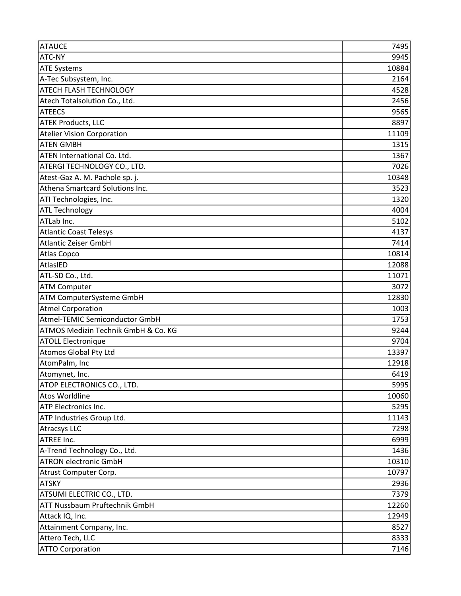| <b>ATAUCE</b>                        | 7495  |
|--------------------------------------|-------|
| ATC-NY                               | 9945  |
| <b>ATE Systems</b>                   | 10884 |
| A-Tec Subsystem, Inc.                | 2164  |
| <b>ATECH FLASH TECHNOLOGY</b>        | 4528  |
| Atech Totalsolution Co., Ltd.        | 2456  |
| <b>ATEECS</b>                        | 9565  |
| <b>ATEK Products, LLC</b>            | 8897  |
| <b>Atelier Vision Corporation</b>    | 11109 |
| <b>ATEN GMBH</b>                     | 1315  |
| <b>ATEN International Co. Ltd.</b>   | 1367  |
| ATERGI TECHNOLOGY CO., LTD.          | 7026  |
| Atest-Gaz A. M. Pachole sp. j.       | 10348 |
| Athena Smartcard Solutions Inc.      | 3523  |
| ATI Technologies, Inc.               | 1320  |
| <b>ATL Technology</b>                | 4004  |
| ATLab Inc.                           | 5102  |
| <b>Atlantic Coast Telesys</b>        | 4137  |
| <b>Atlantic Zeiser GmbH</b>          | 7414  |
| <b>Atlas Copco</b>                   | 10814 |
| AtlasIED                             | 12088 |
| ATL-SD Co., Ltd.                     | 11071 |
| <b>ATM Computer</b>                  | 3072  |
| ATM ComputerSysteme GmbH             | 12830 |
| <b>Atmel Corporation</b>             | 1003  |
| Atmel-TEMIC Semiconductor GmbH       | 1753  |
| ATMOS Medizin Technik GmbH & Co. KG  | 9244  |
| <b>ATOLL Electronique</b>            | 9704  |
| <b>Atomos Global Pty Ltd</b>         | 13397 |
| AtomPalm, Inc                        | 12918 |
| Atomynet, Inc.                       | 6419  |
| ATOP ELECTRONICS CO., LTD.           | 5995  |
| <b>Atos Worldline</b>                | 10060 |
| <b>ATP Electronics Inc.</b>          | 5295  |
| ATP Industries Group Ltd.            | 11143 |
| <b>Atracsys LLC</b>                  | 7298  |
| <b>ATREE Inc.</b>                    | 6999  |
| A-Trend Technology Co., Ltd.         | 1436  |
| <b>ATRON electronic GmbH</b>         | 10310 |
| Atrust Computer Corp.                | 10797 |
| <b>ATSKY</b>                         | 2936  |
| ATSUMI ELECTRIC CO., LTD.            | 7379  |
| <b>ATT Nussbaum Pruftechnik GmbH</b> | 12260 |
| Attack IQ, Inc.                      | 12949 |
| Attainment Company, Inc.             | 8527  |
| Attero Tech, LLC                     | 8333  |
| <b>ATTO Corporation</b>              | 7146  |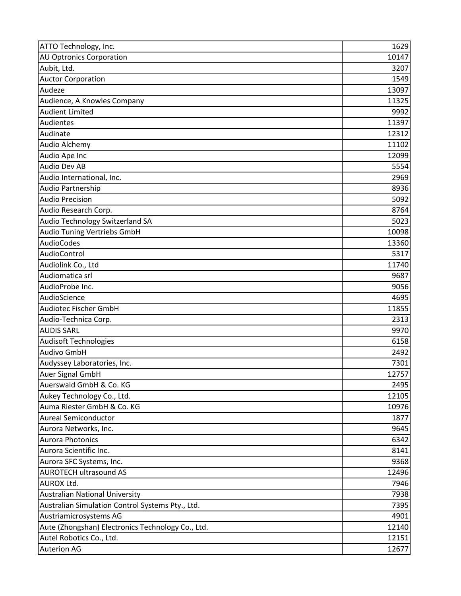| ATTO Technology, Inc.                             | 1629  |
|---------------------------------------------------|-------|
| <b>AU Optronics Corporation</b>                   | 10147 |
| Aubit, Ltd.                                       | 3207  |
| <b>Auctor Corporation</b>                         | 1549  |
| Audeze                                            | 13097 |
| Audience, A Knowles Company                       | 11325 |
| <b>Audient Limited</b>                            | 9992  |
| Audientes                                         | 11397 |
| Audinate                                          | 12312 |
| Audio Alchemy                                     | 11102 |
| Audio Ape Inc                                     | 12099 |
| Audio Dev AB                                      | 5554  |
| Audio International, Inc.                         | 2969  |
| Audio Partnership                                 | 8936  |
| <b>Audio Precision</b>                            | 5092  |
| Audio Research Corp.                              | 8764  |
| Audio Technology Switzerland SA                   | 5023  |
| Audio Tuning Vertriebs GmbH                       | 10098 |
| AudioCodes                                        | 13360 |
| AudioControl                                      | 5317  |
| Audiolink Co., Ltd                                | 11740 |
| Audiomatica srl                                   | 9687  |
| AudioProbe Inc.                                   | 9056  |
| AudioScience                                      | 4695  |
| Audiotec Fischer GmbH                             | 11855 |
| Audio-Technica Corp.                              | 2313  |
| <b>AUDIS SARL</b>                                 | 9970  |
| <b>Audisoft Technologies</b>                      | 6158  |
| Audivo GmbH                                       | 2492  |
| Audyssey Laboratories, Inc.                       | 7301  |
| Auer Signal GmbH                                  | 12757 |
| Auerswald GmbH & Co. KG                           | 2495  |
| Aukey Technology Co., Ltd.                        | 12105 |
| Auma Riester GmbH & Co. KG                        | 10976 |
| <b>Aureal Semiconductor</b>                       | 1877  |
| Aurora Networks, Inc.                             | 9645  |
| <b>Aurora Photonics</b>                           | 6342  |
| Aurora Scientific Inc.                            | 8141  |
| Aurora SFC Systems, Inc.                          | 9368  |
| <b>AUROTECH ultrasound AS</b>                     | 12496 |
| <b>AUROX Ltd.</b>                                 | 7946  |
| <b>Australian National University</b>             | 7938  |
| Australian Simulation Control Systems Pty., Ltd.  | 7395  |
| Austriamicrosystems AG                            | 4901  |
| Aute (Zhongshan) Electronics Technology Co., Ltd. | 12140 |
| Autel Robotics Co., Ltd.                          | 12151 |
| <b>Auterion AG</b>                                | 12677 |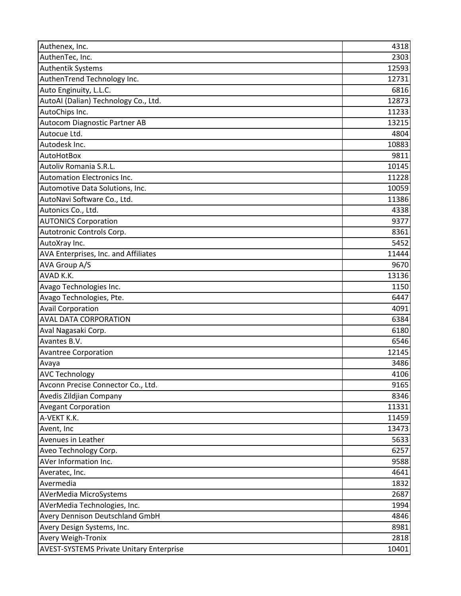| Authenex, Inc.                                  | 4318  |
|-------------------------------------------------|-------|
| AuthenTec, Inc.                                 | 2303  |
| <b>Authentik Systems</b>                        | 12593 |
| AuthenTrend Technology Inc.                     | 12731 |
| Auto Enginuity, L.L.C.                          | 6816  |
| AutoAI (Dalian) Technology Co., Ltd.            | 12873 |
| AutoChips Inc.                                  | 11233 |
| Autocom Diagnostic Partner AB                   | 13215 |
| Autocue Ltd.                                    | 4804  |
| Autodesk Inc.                                   | 10883 |
| <b>AutoHotBox</b>                               | 9811  |
| Autoliv Romania S.R.L.                          | 10145 |
| <b>Automation Electronics Inc.</b>              | 11228 |
| Automotive Data Solutions, Inc.                 | 10059 |
| AutoNavi Software Co., Ltd.                     | 11386 |
| Autonics Co., Ltd.                              | 4338  |
| <b>AUTONICS Corporation</b>                     | 9377  |
| Autotronic Controls Corp.                       | 8361  |
| AutoXray Inc.                                   | 5452  |
| AVA Enterprises, Inc. and Affiliates            | 11444 |
| <b>AVA Group A/S</b>                            | 9670  |
| AVAD K.K.                                       | 13136 |
| Avago Technologies Inc.                         | 1150  |
| Avago Technologies, Pte.                        | 6447  |
| <b>Avail Corporation</b>                        | 4091  |
| <b>AVAL DATA CORPORATION</b>                    | 6384  |
| Aval Nagasaki Corp.                             | 6180  |
| Avantes B.V.                                    | 6546  |
| <b>Avantree Corporation</b>                     | 12145 |
| Avaya                                           | 3486  |
| <b>AVC Technology</b>                           | 4106  |
| Avconn Precise Connector Co., Ltd.              | 9165  |
| Avedis Zildjian Company                         | 8346  |
| <b>Avegant Corporation</b>                      | 11331 |
| A-VEKT K.K.                                     | 11459 |
| Avent, Inc                                      | 13473 |
| Avenues in Leather                              | 5633  |
| Aveo Technology Corp.                           | 6257  |
| AVer Information Inc.                           | 9588  |
| Averatec, Inc.                                  | 4641  |
| Avermedia                                       | 1832  |
| AVerMedia MicroSystems                          | 2687  |
| AVerMedia Technologies, Inc.                    | 1994  |
| <b>Avery Dennison Deutschland GmbH</b>          | 4846  |
| Avery Design Systems, Inc.                      | 8981  |
| <b>Avery Weigh-Tronix</b>                       | 2818  |
| <b>AVEST-SYSTEMS Private Unitary Enterprise</b> | 10401 |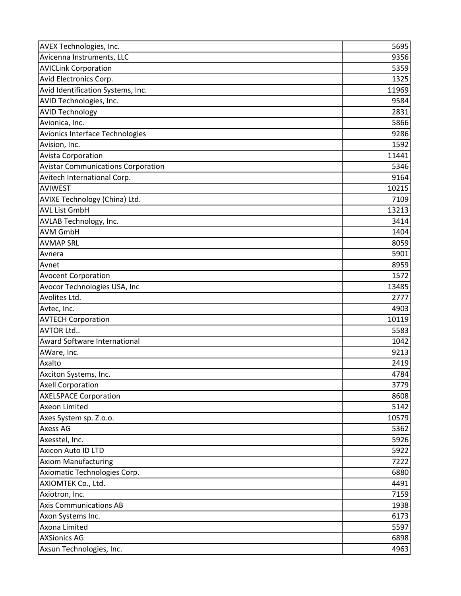| AVEX Technologies, Inc.                   | 5695  |
|-------------------------------------------|-------|
| Avicenna Instruments, LLC                 | 9356  |
| <b>AVICLink Corporation</b>               | 5359  |
| Avid Electronics Corp.                    | 1325  |
| Avid Identification Systems, Inc.         | 11969 |
| AVID Technologies, Inc.                   | 9584  |
| <b>AVID Technology</b>                    | 2831  |
| Avionica, Inc.                            | 5866  |
| Avionics Interface Technologies           | 9286  |
| Avision, Inc.                             | 1592  |
| <b>Avista Corporation</b>                 | 11441 |
| <b>Avistar Communications Corporation</b> | 5346  |
| Avitech International Corp.               | 9164  |
| <b>AVIWEST</b>                            | 10215 |
| AVIXE Technology (China) Ltd.             | 7109  |
| <b>AVL List GmbH</b>                      | 13213 |
| AVLAB Technology, Inc.                    | 3414  |
| <b>AVM GmbH</b>                           | 1404  |
| <b>AVMAP SRL</b>                          | 8059  |
| Avnera                                    | 5901  |
| Avnet                                     | 8959  |
| <b>Avocent Corporation</b>                | 1572  |
| Avocor Technologies USA, Inc              | 13485 |
| Avolites Ltd.                             | 2777  |
| Avtec, Inc.                               | 4903  |
| <b>AVTECH Corporation</b>                 | 10119 |
| <b>AVTOR Ltd</b>                          | 5583  |
| Award Software International              | 1042  |
| AWare, Inc.                               | 9213  |
| Axalto                                    | 2419  |
| Axciton Systems, Inc.                     | 4784  |
| <b>Axell Corporation</b>                  | 3779  |
| <b>AXELSPACE Corporation</b>              | 8608  |
| Axeon Limited                             | 5142  |
| Axes System sp. Z.o.o.                    | 10579 |
| <b>Axess AG</b>                           | 5362  |
| Axesstel, Inc.                            | 5926  |
| Axicon Auto ID LTD                        | 5922  |
| <b>Axiom Manufacturing</b>                | 7222  |
| Axiomatic Technologies Corp.              | 6880  |
| AXIOMTEK Co., Ltd.                        | 4491  |
| Axiotron, Inc.                            | 7159  |
| <b>Axis Communications AB</b>             | 1938  |
| Axon Systems Inc.                         | 6173  |
| Axona Limited                             | 5597  |
| <b>AXSionics AG</b>                       | 6898  |
| Axsun Technologies, Inc.                  | 4963  |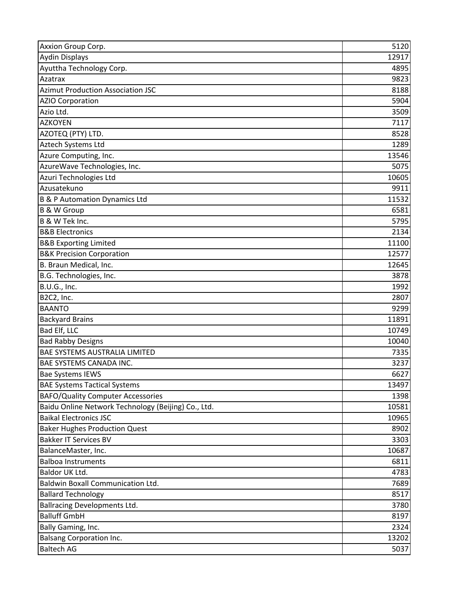| Axxion Group Corp.                                  | 5120  |
|-----------------------------------------------------|-------|
| <b>Aydin Displays</b>                               | 12917 |
| Ayuttha Technology Corp.                            | 4895  |
| Azatrax                                             | 9823  |
| <b>Azimut Production Association JSC</b>            | 8188  |
| <b>AZIO Corporation</b>                             | 5904  |
| Azio Ltd.                                           | 3509  |
| <b>AZKOYEN</b>                                      | 7117  |
| AZOTEQ (PTY) LTD.                                   | 8528  |
| Aztech Systems Ltd                                  | 1289  |
| Azure Computing, Inc.                               | 13546 |
| AzureWave Technologies, Inc.                        | 5075  |
| Azuri Technologies Ltd                              | 10605 |
| Azusatekuno                                         | 9911  |
| <b>B &amp; P Automation Dynamics Ltd</b>            | 11532 |
| <b>B &amp; W Group</b>                              | 6581  |
| B & W Tek Inc.                                      | 5795  |
| <b>B&amp;B Electronics</b>                          | 2134  |
| <b>B&amp;B Exporting Limited</b>                    | 11100 |
| <b>B&amp;K Precision Corporation</b>                | 12577 |
| B. Braun Medical, Inc.                              | 12645 |
| B.G. Technologies, Inc.                             | 3878  |
| <b>B.U.G., Inc.</b>                                 | 1992  |
| B2C2, Inc.                                          | 2807  |
| <b>BAANTO</b>                                       | 9299  |
| <b>Backyard Brains</b>                              | 11891 |
| Bad Elf, LLC                                        | 10749 |
| <b>Bad Rabby Designs</b>                            | 10040 |
| <b>BAE SYSTEMS AUSTRALIA LIMITED</b>                | 7335  |
| <b>BAE SYSTEMS CANADA INC.</b>                      | 3237  |
| <b>Bae Systems IEWS</b>                             | 6627  |
| <b>BAE Systems Tactical Systems</b>                 | 13497 |
| <b>BAFO/Quality Computer Accessories</b>            | 1398  |
| Baidu Online Network Technology (Beijing) Co., Ltd. | 10581 |
| <b>Baikal Electronics JSC</b>                       | 10965 |
| <b>Baker Hughes Production Quest</b>                | 8902  |
| <b>Bakker IT Services BV</b>                        | 3303  |
| BalanceMaster, Inc.                                 | 10687 |
| <b>Balboa Instruments</b>                           | 6811  |
| Baldor UK Ltd.                                      | 4783  |
| Baldwin Boxall Communication Ltd.                   | 7689  |
| <b>Ballard Technology</b>                           | 8517  |
| <b>Ballracing Developments Ltd.</b>                 | 3780  |
| <b>Balluff GmbH</b>                                 | 8197  |
| Bally Gaming, Inc.                                  | 2324  |
| <b>Balsang Corporation Inc.</b>                     | 13202 |
| <b>Baltech AG</b>                                   | 5037  |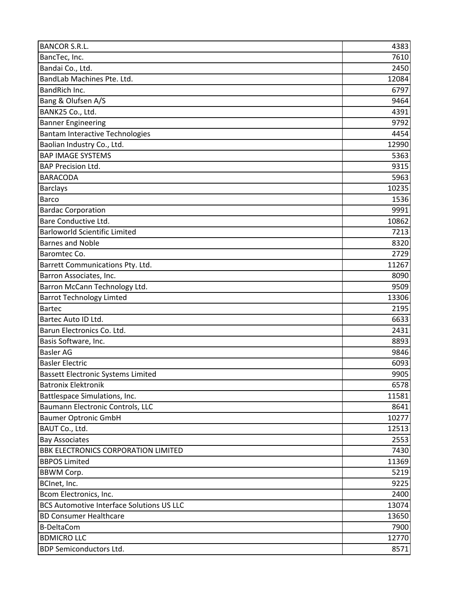| <b>BANCOR S.R.L.</b>                             | 4383  |
|--------------------------------------------------|-------|
| BancTec, Inc.                                    | 7610  |
| Bandai Co., Ltd.                                 | 2450  |
| BandLab Machines Pte. Ltd.                       | 12084 |
| BandRich Inc.                                    | 6797  |
| Bang & Olufsen A/S                               | 9464  |
| BANK25 Co., Ltd.                                 | 4391  |
| <b>Banner Engineering</b>                        | 9792  |
| <b>Bantam Interactive Technologies</b>           | 4454  |
| Baolian Industry Co., Ltd.                       | 12990 |
| <b>BAP IMAGE SYSTEMS</b>                         | 5363  |
| <b>BAP Precision Ltd.</b>                        | 9315  |
| <b>BARACODA</b>                                  | 5963  |
| <b>Barclays</b>                                  | 10235 |
| <b>Barco</b>                                     | 1536  |
| <b>Bardac Corporation</b>                        | 9991  |
| Bare Conductive Ltd.                             | 10862 |
| <b>Barloworld Scientific Limited</b>             | 7213  |
| <b>Barnes and Noble</b>                          | 8320  |
| Baromtec Co.                                     | 2729  |
| Barrett Communications Pty. Ltd.                 | 11267 |
| Barron Associates, Inc.                          | 8090  |
| Barron McCann Technology Ltd.                    | 9509  |
| <b>Barrot Technology Limted</b>                  | 13306 |
| <b>Bartec</b>                                    | 2195  |
| Bartec Auto ID Ltd.                              | 6633  |
| Barun Electronics Co. Ltd.                       | 2431  |
| Basis Software, Inc.                             | 8893  |
| <b>Basler AG</b>                                 | 9846  |
| <b>Basler Electric</b>                           | 6093  |
| <b>Bassett Electronic Systems Limited</b>        | 9905  |
| <b>Batronix Elektronik</b>                       | 6578  |
| Battlespace Simulations, Inc.                    | 11581 |
| Baumann Electronic Controls, LLC                 | 8641  |
| <b>Baumer Optronic GmbH</b>                      | 10277 |
| BAUT Co., Ltd.                                   | 12513 |
| <b>Bay Associates</b>                            | 2553  |
| BBK ELECTRONICS CORPORATION LIMITED              | 7430  |
| <b>BBPOS Limited</b>                             | 11369 |
| <b>BBWM Corp.</b>                                | 5219  |
| BCInet, Inc.                                     | 9225  |
| Bcom Electronics, Inc.                           | 2400  |
| <b>BCS Automotive Interface Solutions US LLC</b> | 13074 |
| <b>BD Consumer Healthcare</b>                    | 13650 |
| <b>B-DeltaCom</b>                                | 7900  |
| <b>BDMICRO LLC</b>                               | 12770 |
| <b>BDP Semiconductors Ltd.</b>                   | 8571  |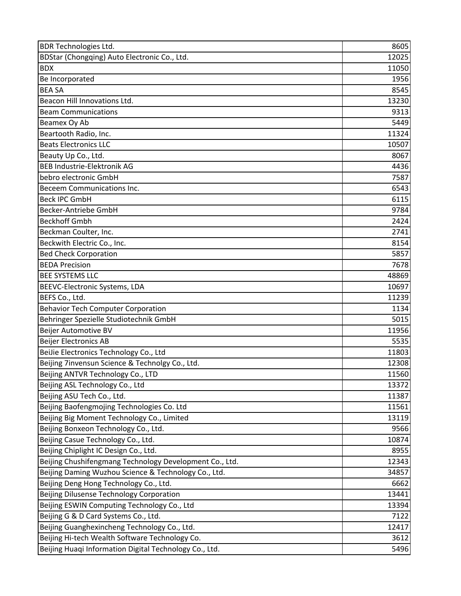| <b>BDR Technologies Ltd.</b>                            | 8605  |
|---------------------------------------------------------|-------|
| BDStar (Chongqing) Auto Electronic Co., Ltd.            | 12025 |
| <b>BDX</b>                                              | 11050 |
| Be Incorporated                                         | 1956  |
| <b>BEA SA</b>                                           | 8545  |
| Beacon Hill Innovations Ltd.                            | 13230 |
| <b>Beam Communications</b>                              | 9313  |
| Beamex Oy Ab                                            | 5449  |
| Beartooth Radio, Inc.                                   | 11324 |
| <b>Beats Electronics LLC</b>                            | 10507 |
| Beauty Up Co., Ltd.                                     | 8067  |
| <b>BEB Industrie-Elektronik AG</b>                      | 4436  |
| bebro electronic GmbH                                   | 7587  |
| Beceem Communications Inc.                              | 6543  |
| <b>Beck IPC GmbH</b>                                    | 6115  |
| Becker-Antriebe GmbH                                    | 9784  |
| <b>Beckhoff Gmbh</b>                                    | 2424  |
| Beckman Coulter, Inc.                                   | 2741  |
| Beckwith Electric Co., Inc.                             | 8154  |
| <b>Bed Check Corporation</b>                            | 5857  |
| <b>BEDA Precision</b>                                   | 7678  |
| <b>BEE SYSTEMS LLC</b>                                  | 48869 |
| BEEVC-Electronic Systems, LDA                           | 10697 |
| BEFS Co., Ltd.                                          | 11239 |
| <b>Behavior Tech Computer Corporation</b>               | 1134  |
| Behringer Spezielle Studiotechnik GmbH                  | 5015  |
| Beijer Automotive BV                                    | 11956 |
| <b>Beijer Electronics AB</b>                            | 5535  |
| BeiJie Electronics Technology Co., Ltd                  | 11803 |
| Beijing 7invensun Science & Technolgy Co., Ltd.         | 12308 |
| Beijing ANTVR Technology Co., LTD                       | 11560 |
| Beijing ASL Technology Co., Ltd                         | 13372 |
| Beijing ASU Tech Co., Ltd.                              | 11387 |
| Beijing Baofengmojing Technologies Co. Ltd              | 11561 |
| Beijing Big Moment Technology Co., Limited              | 13119 |
| Beijing Bonxeon Technology Co., Ltd.                    | 9566  |
| Beijing Casue Technology Co., Ltd.                      | 10874 |
| Beijing Chiplight IC Design Co., Ltd.                   | 8955  |
| Beijing Chushifengmang Technology Development Co., Ltd. | 12343 |
| Beijing Daming Wuzhou Science & Technology Co., Ltd.    | 34857 |
| Beijing Deng Hong Technology Co., Ltd.                  | 6662  |
| Beijing Dilusense Technology Corporation                | 13441 |
| Beijing ESWIN Computing Technology Co., Ltd             | 13394 |
| Beijing G & D Card Systems Co., Ltd.                    | 7122  |
| Beijing Guanghexincheng Technology Co., Ltd.            | 12417 |
| Beijing Hi-tech Wealth Software Technology Co.          | 3612  |
| Beijing Huaqi Information Digital Technology Co., Ltd.  | 5496  |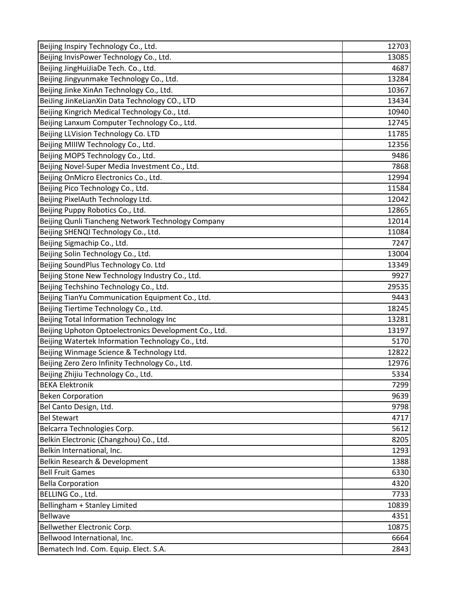| Beijing Inspiry Technology Co., Ltd.                  | 12703 |
|-------------------------------------------------------|-------|
| Beijing InvisPower Technology Co., Ltd.               | 13085 |
| Beijing JingHuiJiaDe Tech. Co., Ltd.                  | 4687  |
| Beijing Jingyunmake Technology Co., Ltd.              | 13284 |
| Beijing Jinke XinAn Technology Co., Ltd.              | 10367 |
| BeiJing JinKeLianXin Data Technology CO., LTD         | 13434 |
| Beijing Kingrich Medical Technology Co., Ltd.         | 10940 |
| Beijing Lanxum Computer Technology Co., Ltd.          | 12745 |
| Beijing LLVision Technology Co. LTD                   | 11785 |
| Beijing MIIIW Technology Co., Ltd.                    | 12356 |
| Beijing MOPS Technology Co., Ltd.                     | 9486  |
| Beijing Novel-Super Media Investment Co., Ltd.        | 7868  |
| Beijing OnMicro Electronics Co., Ltd.                 | 12994 |
| Beijing Pico Technology Co., Ltd.                     | 11584 |
| Beijing PixelAuth Technology Ltd.                     | 12042 |
| Beijing Puppy Robotics Co., Ltd.                      | 12865 |
| Beijing Qunli Tiancheng Network Technology Company    | 12014 |
| Beijing SHENQI Technology Co., Ltd.                   | 11084 |
| Beijing Sigmachip Co., Ltd.                           | 7247  |
| Beijing Solin Technology Co., Ltd.                    | 13004 |
| Beijing SoundPlus Technology Co. Ltd                  | 13349 |
| Beijing Stone New Technology Industry Co., Ltd.       | 9927  |
| Beijing Techshino Technology Co., Ltd.                | 29535 |
| Beijing TianYu Communication Equipment Co., Ltd.      | 9443  |
| Beijing Tiertime Technology Co., Ltd.                 | 18245 |
| Beijing Total Information Technology Inc              | 13281 |
| Beijing Uphoton Optoelectronics Development Co., Ltd. | 13197 |
| Beijing Watertek Information Technology Co., Ltd.     | 5170  |
| Beijing Winmage Science & Technology Ltd.             | 12822 |
| Beijing Zero Zero Infinity Technology Co., Ltd.       | 12976 |
| Beijing Zhijiu Technology Co., Ltd.                   | 5334  |
| <b>BEKA Elektronik</b>                                | 7299  |
| <b>Beken Corporation</b>                              | 9639  |
| Bel Canto Design, Ltd.                                | 9798  |
| <b>Bel Stewart</b>                                    | 4717  |
| Belcarra Technologies Corp.                           | 5612  |
| Belkin Electronic (Changzhou) Co., Ltd.               | 8205  |
| Belkin International, Inc.                            | 1293  |
| Belkin Research & Development                         | 1388  |
| <b>Bell Fruit Games</b>                               | 6330  |
| <b>Bella Corporation</b>                              | 4320  |
| BELLING Co., Ltd.                                     | 7733  |
| Bellingham + Stanley Limited                          | 10839 |
| Bellwave                                              | 4351  |
| Bellwether Electronic Corp.                           | 10875 |
| Bellwood International, Inc.                          | 6664  |
| Bematech Ind. Com. Equip. Elect. S.A.                 | 2843  |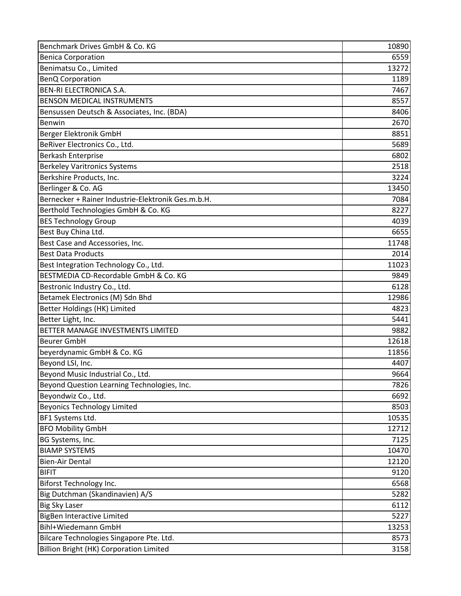| Benchmark Drives GmbH & Co. KG                     | 10890 |
|----------------------------------------------------|-------|
| <b>Benica Corporation</b>                          | 6559  |
| Benimatsu Co., Limited                             | 13272 |
| <b>BenQ Corporation</b>                            | 1189  |
| <b>BEN-RI ELECTRONICA S.A.</b>                     | 7467  |
| <b>BENSON MEDICAL INSTRUMENTS</b>                  | 8557  |
| Bensussen Deutsch & Associates, Inc. (BDA)         | 8406  |
| <b>Benwin</b>                                      | 2670  |
| Berger Elektronik GmbH                             | 8851  |
| BeRiver Electronics Co., Ltd.                      | 5689  |
| Berkash Enterprise                                 | 6802  |
| <b>Berkeley Varitronics Systems</b>                | 2518  |
| Berkshire Products, Inc.                           | 3224  |
| Berlinger & Co. AG                                 | 13450 |
| Bernecker + Rainer Industrie-Elektronik Ges.m.b.H. | 7084  |
| Berthold Technologies GmbH & Co. KG                | 8227  |
| <b>BES Technology Group</b>                        | 4039  |
| Best Buy China Ltd.                                | 6655  |
| Best Case and Accessories, Inc.                    | 11748 |
| <b>Best Data Products</b>                          | 2014  |
| Best Integration Technology Co., Ltd.              | 11023 |
| BESTMEDIA CD-Recordable GmbH & Co. KG              | 9849  |
| Bestronic Industry Co., Ltd.                       | 6128  |
| Betamek Electronics (M) Sdn Bhd                    | 12986 |
| Better Holdings (HK) Limited                       | 4823  |
| Better Light, Inc.                                 | 5441  |
| BETTER MANAGE INVESTMENTS LIMITED                  | 9882  |
| <b>Beurer GmbH</b>                                 | 12618 |
| beyerdynamic GmbH & Co. KG                         | 11856 |
| Beyond LSI, Inc.                                   | 4407  |
| Beyond Music Industrial Co., Ltd.                  | 9664  |
| Beyond Question Learning Technologies, Inc.        | 7826  |
| Beyondwiz Co., Ltd.                                | 6692  |
| <b>Beyonics Technology Limited</b>                 | 8503  |
| BF1 Systems Ltd.                                   | 10535 |
| <b>BFO Mobility GmbH</b>                           | 12712 |
| BG Systems, Inc.                                   | 7125  |
| <b>BIAMP SYSTEMS</b>                               | 10470 |
| <b>Bien-Air Dental</b>                             | 12120 |
| <b>BIFIT</b>                                       | 9120  |
| Biforst Technology Inc.                            | 6568  |
| Big Dutchman (Skandinavien) A/S                    | 5282  |
| <b>Big Sky Laser</b>                               | 6112  |
| <b>BigBen Interactive Limited</b>                  | 5227  |
| Bihl+Wiedemann GmbH                                | 13253 |
| Bilcare Technologies Singapore Pte. Ltd.           | 8573  |
| Billion Bright (HK) Corporation Limited            | 3158  |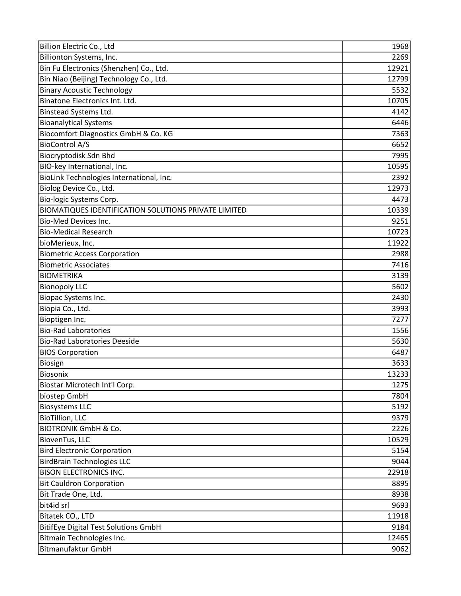| Billion Electric Co., Ltd                                   | 1968  |
|-------------------------------------------------------------|-------|
| Billionton Systems, Inc.                                    | 2269  |
| Bin Fu Electronics (Shenzhen) Co., Ltd.                     | 12921 |
| Bin Niao (Beijing) Technology Co., Ltd.                     | 12799 |
| <b>Binary Acoustic Technology</b>                           | 5532  |
| Binatone Electronics Int. Ltd.                              | 10705 |
| Binstead Systems Ltd.                                       | 4142  |
| <b>Bioanalytical Systems</b>                                | 6446  |
| Biocomfort Diagnostics GmbH & Co. KG                        | 7363  |
| <b>BioControl A/S</b>                                       | 6652  |
| Biocryptodisk Sdn Bhd                                       | 7995  |
| BIO-key International, Inc.                                 | 10595 |
| BioLink Technologies International, Inc.                    | 2392  |
| Biolog Device Co., Ltd.                                     | 12973 |
| Bio-logic Systems Corp.                                     | 4473  |
| <b>BIOMATIQUES IDENTIFICATION SOLUTIONS PRIVATE LIMITED</b> | 10339 |
| <b>Bio-Med Devices Inc.</b>                                 | 9251  |
| <b>Bio-Medical Research</b>                                 | 10723 |
| bioMerieux, Inc.                                            | 11922 |
| <b>Biometric Access Corporation</b>                         | 2988  |
| <b>Biometric Associates</b>                                 | 7416  |
| <b>BIOMETRIKA</b>                                           | 3139  |
| <b>Bionopoly LLC</b>                                        | 5602  |
| Biopac Systems Inc.                                         | 2430  |
| Biopia Co., Ltd.                                            | 3993  |
| Bioptigen Inc.                                              | 7277  |
| <b>Bio-Rad Laboratories</b>                                 | 1556  |
| <b>Bio-Rad Laboratories Deeside</b>                         | 5630  |
| <b>BIOS Corporation</b>                                     | 6487  |
| Biosign                                                     | 3633  |
| Biosonix                                                    | 13233 |
| Biostar Microtech Int'l Corp.                               | 1275  |
| biostep GmbH                                                | 7804  |
| <b>Biosystems LLC</b>                                       | 5192  |
| <b>BioTillion, LLC</b>                                      | 9379  |
| <b>BIOTRONIK GmbH &amp; Co.</b>                             | 2226  |
| BiovenTus, LLC                                              | 10529 |
| <b>Bird Electronic Corporation</b>                          | 5154  |
| <b>BirdBrain Technologies LLC</b>                           | 9044  |
| <b>BISON ELECTRONICS INC.</b>                               | 22918 |
| <b>Bit Cauldron Corporation</b>                             | 8895  |
| Bit Trade One, Ltd.                                         | 8938  |
| bit4id srl                                                  | 9693  |
| Bitatek CO., LTD                                            | 11918 |
| <b>BitifEye Digital Test Solutions GmbH</b>                 | 9184  |
| Bitmain Technologies Inc.                                   | 12465 |
| <b>Bitmanufaktur GmbH</b>                                   | 9062  |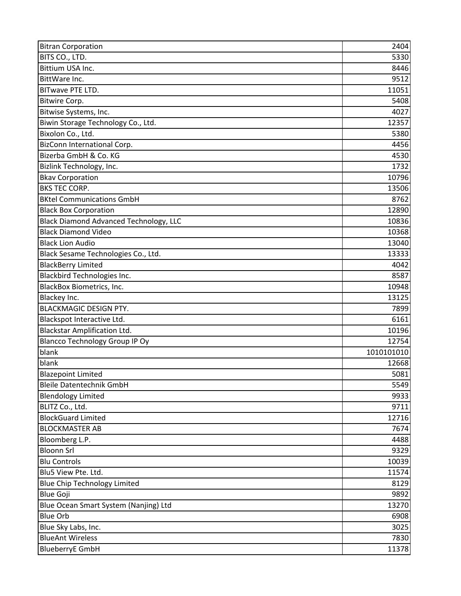| <b>Bitran Corporation</b>              | 2404       |
|----------------------------------------|------------|
| BITS CO., LTD.                         | 5330       |
| Bittium USA Inc.                       | 8446       |
| BittWare Inc.                          | 9512       |
| <b>BITwave PTE LTD.</b>                | 11051      |
| <b>Bitwire Corp.</b>                   | 5408       |
| Bitwise Systems, Inc.                  | 4027       |
| Biwin Storage Technology Co., Ltd.     | 12357      |
| Bixolon Co., Ltd.                      | 5380       |
| BizConn International Corp.            | 4456       |
| Bizerba GmbH & Co. KG                  | 4530       |
| Bizlink Technology, Inc.               | 1732       |
| <b>Bkav Corporation</b>                | 10796      |
| <b>BKS TEC CORP.</b>                   | 13506      |
| <b>BKtel Communications GmbH</b>       | 8762       |
| <b>Black Box Corporation</b>           | 12890      |
| Black Diamond Advanced Technology, LLC | 10836      |
| <b>Black Diamond Video</b>             | 10368      |
| <b>Black Lion Audio</b>                | 13040      |
| Black Sesame Technologies Co., Ltd.    | 13333      |
| <b>BlackBerry Limited</b>              | 4042       |
| Blackbird Technologies Inc.            | 8587       |
| <b>BlackBox Biometrics, Inc.</b>       | 10948      |
| Blackey Inc.                           | 13125      |
| <b>BLACKMAGIC DESIGN PTY.</b>          | 7899       |
| Blackspot Interactive Ltd.             | 6161       |
| <b>Blackstar Amplification Ltd.</b>    | 10196      |
| Blancco Technology Group IP Oy         | 12754      |
| blank                                  | 1010101010 |
| blank                                  | 12668      |
| <b>Blazepoint Limited</b>              | 5081       |
| <b>Bleile Datentechnik GmbH</b>        | 5549       |
| <b>Blendology Limited</b>              | 9933       |
| BLITZ Co., Ltd.                        | 9711       |
| <b>BlockGuard Limited</b>              | 12716      |
| <b>BLOCKMASTER AB</b>                  | 7674       |
| Bloomberg L.P.                         | 4488       |
| <b>Bloonn Srl</b>                      | 9329       |
| <b>Blu Controls</b>                    | 10039      |
| Blu5 View Pte. Ltd.                    | 11574      |
| <b>Blue Chip Technology Limited</b>    | 8129       |
| <b>Blue Goji</b>                       | 9892       |
| Blue Ocean Smart System (Nanjing) Ltd  | 13270      |
| <b>Blue Orb</b>                        | 6908       |
| Blue Sky Labs, Inc.                    | 3025       |
| <b>BlueAnt Wireless</b>                | 7830       |
| <b>BlueberryE GmbH</b>                 | 11378      |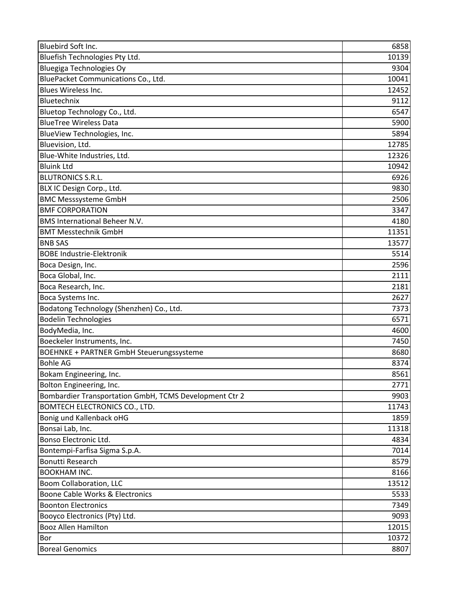| <b>Bluebird Soft Inc.</b>                              | 6858  |
|--------------------------------------------------------|-------|
| Bluefish Technologies Pty Ltd.                         | 10139 |
| Bluegiga Technologies Oy                               | 9304  |
| BluePacket Communications Co., Ltd.                    | 10041 |
| <b>Blues Wireless Inc.</b>                             | 12452 |
| Bluetechnix                                            | 9112  |
| Bluetop Technology Co., Ltd.                           | 6547  |
| <b>BlueTree Wireless Data</b>                          | 5900  |
| BlueView Technologies, Inc.                            | 5894  |
| Bluevision, Ltd.                                       | 12785 |
| Blue-White Industries, Ltd.                            | 12326 |
| <b>Bluink Ltd</b>                                      | 10942 |
| <b>BLUTRONICS S.R.L.</b>                               | 6926  |
| BLX IC Design Corp., Ltd.                              | 9830  |
| <b>BMC Messsysteme GmbH</b>                            | 2506  |
| <b>BMF CORPORATION</b>                                 | 3347  |
| <b>BMS International Beheer N.V.</b>                   | 4180  |
| <b>BMT Messtechnik GmbH</b>                            | 11351 |
| <b>BNB SAS</b>                                         | 13577 |
| <b>BOBE Industrie-Elektronik</b>                       | 5514  |
| Boca Design, Inc.                                      | 2596  |
| Boca Global, Inc.                                      | 2111  |
| Boca Research, Inc.                                    | 2181  |
| Boca Systems Inc.                                      | 2627  |
| Bodatong Technology (Shenzhen) Co., Ltd.               | 7373  |
| <b>Bodelin Technologies</b>                            | 6571  |
| BodyMedia, Inc.                                        | 4600  |
| Boeckeler Instruments, Inc.                            | 7450  |
| <b>BOEHNKE + PARTNER GmbH Steuerungssysteme</b>        | 8680  |
| <b>Bohle AG</b>                                        | 8374  |
| Bokam Engineering, Inc.                                | 8561  |
| Bolton Engineering, Inc.                               | 2771  |
| Bombardier Transportation GmbH, TCMS Development Ctr 2 | 9903  |
| BOMTECH ELECTRONICS CO., LTD.                          | 11743 |
| Bonig und Kallenback oHG                               | 1859  |
| Bonsai Lab, Inc.                                       | 11318 |
| Bonso Electronic Ltd.                                  | 4834  |
| Bontempi-Farfisa Sigma S.p.A.                          | 7014  |
| Bonutti Research                                       | 8579  |
| <b>BOOKHAM INC.</b>                                    | 8166  |
| Boom Collaboration, LLC                                | 13512 |
| Boone Cable Works & Electronics                        | 5533  |
| <b>Boonton Electronics</b>                             | 7349  |
| Booyco Electronics (Pty) Ltd.                          | 9093  |
| <b>Booz Allen Hamilton</b>                             | 12015 |
| Bor                                                    | 10372 |
| <b>Boreal Genomics</b>                                 | 8807  |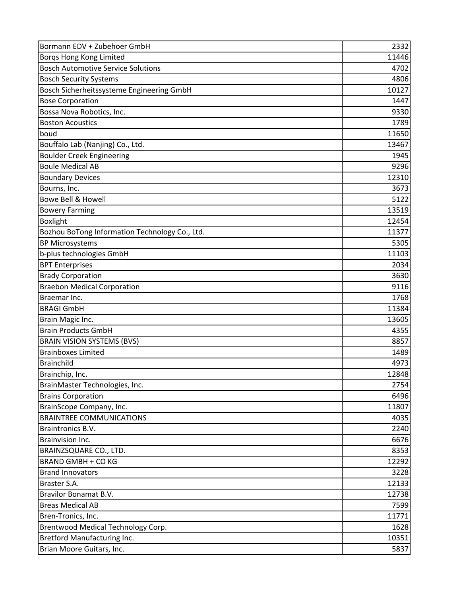| Bormann EDV + Zubehoer GmbH                    | 2332  |
|------------------------------------------------|-------|
| Borgs Hong Kong Limited                        | 11446 |
| <b>Bosch Automotive Service Solutions</b>      | 4702  |
| <b>Bosch Security Systems</b>                  | 4806  |
| Bosch Sicherheitssysteme Engineering GmbH      | 10127 |
| <b>Bose Corporation</b>                        | 1447  |
| Bossa Nova Robotics, Inc.                      | 9330  |
| <b>Boston Acoustics</b>                        | 1789  |
| boud                                           | 11650 |
| Bouffalo Lab (Nanjing) Co., Ltd.               | 13467 |
| <b>Boulder Creek Engineering</b>               | 1945  |
| <b>Boule Medical AB</b>                        | 9296  |
| <b>Boundary Devices</b>                        | 12310 |
| Bourns, Inc.                                   | 3673  |
| Bowe Bell & Howell                             | 5122  |
| <b>Bowery Farming</b>                          | 13519 |
| <b>Boxlight</b>                                | 12454 |
| Bozhou BoTong Information Technology Co., Ltd. | 11377 |
| <b>BP Microsystems</b>                         | 5305  |
| b-plus technologies GmbH                       | 11103 |
| <b>BPT Enterprises</b>                         | 2034  |
| <b>Brady Corporation</b>                       | 3630  |
| <b>Braebon Medical Corporation</b>             | 9116  |
| Braemar Inc.                                   | 1768  |
| <b>BRAGI GmbH</b>                              | 11384 |
| Brain Magic Inc.                               | 13605 |
| <b>Brain Products GmbH</b>                     | 4355  |
| <b>BRAIN VISION SYSTEMS (BVS)</b>              | 8857  |
| <b>Brainboxes Limited</b>                      | 1489  |
| <b>Brainchild</b>                              | 4973  |
| Brainchip, Inc.                                | 12848 |
| BrainMaster Technologies, Inc.                 | 2754  |
| <b>Brains Corporation</b>                      | 6496  |
| BrainScope Company, Inc.                       | 11807 |
| <b>BRAINTREE COMMUNICATIONS</b>                | 4035  |
| Braintronics B.V.                              | 2240  |
| Brainvision Inc.                               | 6676  |
| BRAINZSQUARE CO., LTD.                         | 8353  |
| <b>BRAND GMBH + CO KG</b>                      | 12292 |
| <b>Brand Innovators</b>                        | 3228  |
| Braster S.A.                                   | 12133 |
| Bravilor Bonamat B.V.                          | 12738 |
| <b>Breas Medical AB</b>                        | 7599  |
| Bren-Tronics, Inc.                             | 11771 |
| Brentwood Medical Technology Corp.             | 1628  |
| Bretford Manufacturing Inc.                    | 10351 |
| Brian Moore Guitars, Inc.                      | 5837  |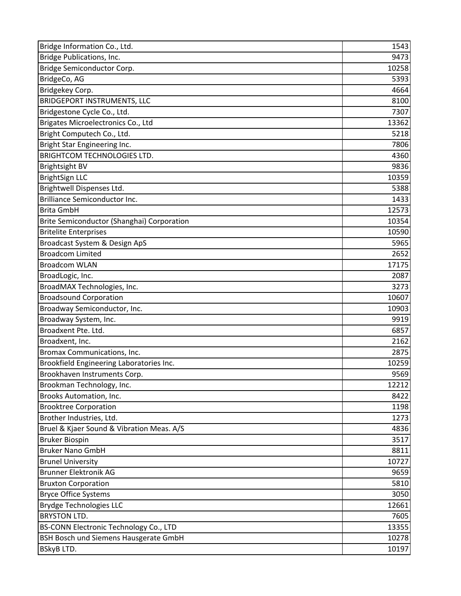| Bridge Information Co., Ltd.               | 1543  |
|--------------------------------------------|-------|
| Bridge Publications, Inc.                  | 9473  |
| Bridge Semiconductor Corp.                 | 10258 |
| BridgeCo, AG                               | 5393  |
| Bridgekey Corp.                            | 4664  |
| <b>BRIDGEPORT INSTRUMENTS, LLC</b>         | 8100  |
| Bridgestone Cycle Co., Ltd.                | 7307  |
| Brigates Microelectronics Co., Ltd         | 13362 |
| Bright Computech Co., Ltd.                 | 5218  |
| Bright Star Engineering Inc.               | 7806  |
| <b>BRIGHTCOM TECHNOLOGIES LTD.</b>         | 4360  |
| <b>Brightsight BV</b>                      | 9836  |
| <b>BrightSign LLC</b>                      | 10359 |
| Brightwell Dispenses Ltd.                  | 5388  |
| Brilliance Semiconductor Inc.              | 1433  |
| <b>Brita GmbH</b>                          | 12573 |
| Brite Semiconductor (Shanghai) Corporation | 10354 |
| <b>Britelite Enterprises</b>               | 10590 |
| Broadcast System & Design ApS              | 5965  |
| <b>Broadcom Limited</b>                    | 2652  |
| <b>Broadcom WLAN</b>                       | 17175 |
| BroadLogic, Inc.                           | 2087  |
| BroadMAX Technologies, Inc.                | 3273  |
| <b>Broadsound Corporation</b>              | 10607 |
| Broadway Semiconductor, Inc.               | 10903 |
| Broadway System, Inc.                      | 9919  |
| Broadxent Pte. Ltd.                        | 6857  |
| Broadxent, Inc.                            | 2162  |
| Bromax Communications, Inc.                | 2875  |
| Brookfield Engineering Laboratories Inc.   | 10259 |
| Brookhaven Instruments Corp.               | 9569  |
| Brookman Technology, Inc.                  | 12212 |
| Brooks Automation, Inc.                    | 8422  |
| <b>Brooktree Corporation</b>               | 1198  |
| Brother Industries, Ltd.                   | 1273  |
| Bruel & Kjaer Sound & Vibration Meas. A/S  | 4836  |
| <b>Bruker Biospin</b>                      | 3517  |
| <b>Bruker Nano GmbH</b>                    | 8811  |
| <b>Brunel University</b>                   | 10727 |
| <b>Brunner Elektronik AG</b>               | 9659  |
| <b>Bruxton Corporation</b>                 | 5810  |
| <b>Bryce Office Systems</b>                | 3050  |
| <b>Brydge Technologies LLC</b>             | 12661 |
| <b>BRYSTON LTD.</b>                        | 7605  |
| BS-CONN Electronic Technology Co., LTD     | 13355 |
| BSH Bosch und Siemens Hausgerate GmbH      | 10278 |
| <b>BSkyBLTD.</b>                           | 10197 |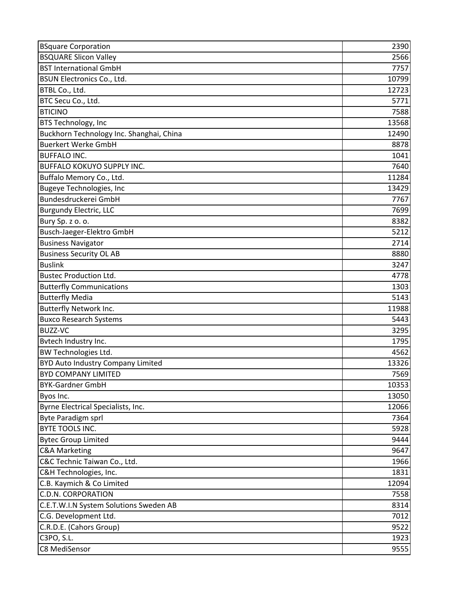| <b>BSquare Corporation</b>               | 2390  |
|------------------------------------------|-------|
| <b>BSQUARE Slicon Valley</b>             | 2566  |
| <b>BST International GmbH</b>            | 7757  |
| <b>BSUN Electronics Co., Ltd.</b>        | 10799 |
| BTBL Co., Ltd.                           | 12723 |
| BTC Secu Co., Ltd.                       | 5771  |
| <b>BTICINO</b>                           | 7588  |
| <b>BTS Technology, Inc</b>               | 13568 |
| Buckhorn Technology Inc. Shanghai, China | 12490 |
| <b>Buerkert Werke GmbH</b>               | 8878  |
| <b>BUFFALO INC.</b>                      | 1041  |
| <b>BUFFALO KOKUYO SUPPLY INC.</b>        | 7640  |
| Buffalo Memory Co., Ltd.                 | 11284 |
| <b>Bugeye Technologies, Inc</b>          | 13429 |
| Bundesdruckerei GmbH                     | 7767  |
| <b>Burgundy Electric, LLC</b>            | 7699  |
| Bury Sp. z o. o.                         | 8382  |
| Busch-Jaeger-Elektro GmbH                | 5212  |
| <b>Business Navigator</b>                | 2714  |
| <b>Business Security OL AB</b>           | 8880  |
| <b>Buslink</b>                           | 3247  |
| <b>Bustec Production Ltd.</b>            | 4778  |
| <b>Butterfly Communications</b>          | 1303  |
| <b>Butterfly Media</b>                   | 5143  |
| Butterfly Network Inc.                   | 11988 |
| <b>Buxco Research Systems</b>            | 5443  |
| <b>BUZZ-VC</b>                           | 3295  |
| Bytech Industry Inc.                     | 1795  |
| <b>BW Technologies Ltd.</b>              | 4562  |
| <b>BYD Auto Industry Company Limited</b> | 13326 |
| <b>BYD COMPANY LIMITED</b>               | 7569  |
| <b>BYK-Gardner GmbH</b>                  | 10353 |
| Byos Inc.                                | 13050 |
| Byrne Electrical Specialists, Inc.       | 12066 |
| <b>Byte Paradigm sprl</b>                | 7364  |
| <b>BYTE TOOLS INC.</b>                   | 5928  |
| <b>Bytec Group Limited</b>               | 9444  |
| <b>C&amp;A Marketing</b>                 | 9647  |
| C&C Technic Taiwan Co., Ltd.             | 1966  |
| C&H Technologies, Inc.                   | 1831  |
| C.B. Kaymich & Co Limited                | 12094 |
| <b>C.D.N. CORPORATION</b>                | 7558  |
| C.E.T.W.I.N System Solutions Sweden AB   | 8314  |
| C.G. Development Ltd.                    | 7012  |
| C.R.D.E. (Cahors Group)                  | 9522  |
| C3PO, S.L.                               | 1923  |
| C8 MediSensor                            | 9555  |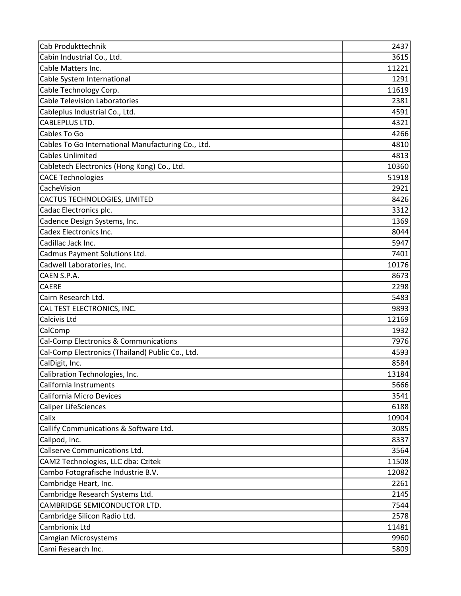| Cab Produkttechnik                                 | 2437  |
|----------------------------------------------------|-------|
| Cabin Industrial Co., Ltd.                         | 3615  |
| Cable Matters Inc.                                 | 11221 |
| Cable System International                         | 1291  |
| Cable Technology Corp.                             | 11619 |
| <b>Cable Television Laboratories</b>               | 2381  |
| Cableplus Industrial Co., Ltd.                     | 4591  |
| CABLEPLUS LTD.                                     | 4321  |
| Cables To Go                                       | 4266  |
| Cables To Go International Manufacturing Co., Ltd. | 4810  |
| <b>Cables Unlimited</b>                            | 4813  |
| Cabletech Electronics (Hong Kong) Co., Ltd.        | 10360 |
| <b>CACE Technologies</b>                           | 51918 |
| CacheVision                                        | 2921  |
| CACTUS TECHNOLOGIES, LIMITED                       | 8426  |
| Cadac Electronics plc.                             | 3312  |
| Cadence Design Systems, Inc.                       | 1369  |
| Cadex Electronics Inc.                             | 8044  |
| Cadillac Jack Inc.                                 | 5947  |
| Cadmus Payment Solutions Ltd.                      | 7401  |
| Cadwell Laboratories, Inc.                         | 10176 |
| CAEN S.P.A.                                        | 8673  |
| <b>CAERE</b>                                       | 2298  |
| Cairn Research Ltd.                                | 5483  |
| CAL TEST ELECTRONICS, INC.                         | 9893  |
| Calcivis Ltd                                       | 12169 |
| CalComp                                            | 1932  |
| Cal-Comp Electronics & Communications              | 7976  |
| Cal-Comp Electronics (Thailand) Public Co., Ltd.   | 4593  |
| CalDigit, Inc.                                     | 8584  |
| Calibration Technologies, Inc.                     | 13184 |
| California Instruments                             | 5666  |
| California Micro Devices                           | 3541  |
| <b>Caliper LifeSciences</b>                        | 6188  |
| Calix                                              | 10904 |
| Callify Communications & Software Ltd.             | 3085  |
| Callpod, Inc.                                      | 8337  |
| Callserve Communications Ltd.                      | 3564  |
| CAM2 Technologies, LLC dba: Czitek                 | 11508 |
| Cambo Fotografische Industrie B.V.                 | 12082 |
| Cambridge Heart, Inc.                              | 2261  |
| Cambridge Research Systems Ltd.                    | 2145  |
| CAMBRIDGE SEMICONDUCTOR LTD.                       | 7544  |
| Cambridge Silicon Radio Ltd.                       | 2578  |
| Cambrionix Ltd                                     | 11481 |
| Camgian Microsystems                               | 9960  |
| Cami Research Inc.                                 | 5809  |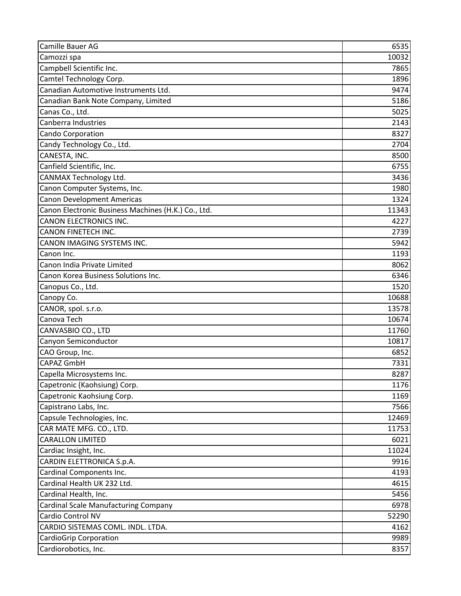| Camille Bauer AG                                    | 6535  |
|-----------------------------------------------------|-------|
| Camozzi spa                                         | 10032 |
| Campbell Scientific Inc.                            | 7865  |
| Camtel Technology Corp.                             | 1896  |
| Canadian Automotive Instruments Ltd.                | 9474  |
| Canadian Bank Note Company, Limited                 | 5186  |
| Canas Co., Ltd.                                     | 5025  |
| Canberra Industries                                 | 2143  |
| Cando Corporation                                   | 8327  |
| Candy Technology Co., Ltd.                          | 2704  |
| CANESTA, INC.                                       | 8500  |
| Canfield Scientific, Inc.                           | 6755  |
| CANMAX Technology Ltd.                              | 3436  |
| Canon Computer Systems, Inc.                        | 1980  |
| <b>Canon Development Americas</b>                   | 1324  |
| Canon Electronic Business Machines (H.K.) Co., Ltd. | 11343 |
| CANON ELECTRONICS INC.                              | 4227  |
| CANON FINETECH INC.                                 | 2739  |
| CANON IMAGING SYSTEMS INC.                          | 5942  |
| Canon Inc.                                          | 1193  |
| Canon India Private Limited                         | 8062  |
| Canon Korea Business Solutions Inc.                 | 6346  |
| Canopus Co., Ltd.                                   | 1520  |
| Canopy Co.                                          | 10688 |
| CANOR, spol. s.r.o.                                 | 13578 |
| Canova Tech                                         | 10674 |
| CANVASBIO CO., LTD                                  | 11760 |
| Canyon Semiconductor                                | 10817 |
| CAO Group, Inc.                                     | 6852  |
| <b>CAPAZ GmbH</b>                                   | 7331  |
| Capella Microsystems Inc.                           | 8287  |
| Capetronic (Kaohsiung) Corp.                        | 1176  |
| Capetronic Kaohsiung Corp.                          | 1169  |
| Capistrano Labs, Inc.                               | 7566  |
| Capsule Technologies, Inc.                          | 12469 |
| CAR MATE MFG. CO., LTD.                             | 11753 |
| <b>CARALLON LIMITED</b>                             | 6021  |
| Cardiac Insight, Inc.                               | 11024 |
| CARDIN ELETTRONICA S.p.A.                           | 9916  |
| Cardinal Components Inc.                            | 4193  |
| Cardinal Health UK 232 Ltd.                         | 4615  |
| Cardinal Health, Inc.                               | 5456  |
| Cardinal Scale Manufacturing Company                | 6978  |
| Cardio Control NV                                   | 52290 |
| CARDIO SISTEMAS COML. INDL. LTDA.                   | 4162  |
| CardioGrip Corporation                              | 9989  |
| Cardiorobotics, Inc.                                | 8357  |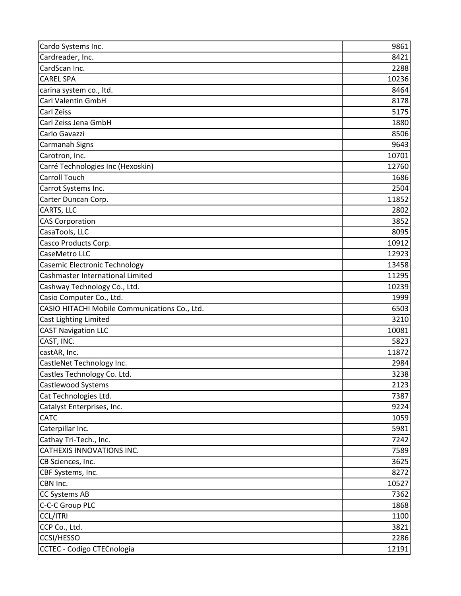| Cardo Systems Inc.                            | 9861  |
|-----------------------------------------------|-------|
| Cardreader, Inc.                              | 8421  |
| CardScan Inc.                                 | 2288  |
| <b>CAREL SPA</b>                              | 10236 |
| carina system co., ltd.                       | 8464  |
| <b>Carl Valentin GmbH</b>                     | 8178  |
| Carl Zeiss                                    | 5175  |
| Carl Zeiss Jena GmbH                          | 1880  |
| Carlo Gavazzi                                 | 8506  |
| Carmanah Signs                                | 9643  |
| Carotron, Inc.                                | 10701 |
| Carré Technologies Inc (Hexoskin)             | 12760 |
| <b>Carroll Touch</b>                          | 1686  |
| Carrot Systems Inc.                           | 2504  |
| Carter Duncan Corp.                           | 11852 |
| CARTS, LLC                                    | 2802  |
| <b>CAS Corporation</b>                        | 3852  |
| CasaTools, LLC                                | 8095  |
| Casco Products Corp.                          | 10912 |
| CaseMetro LLC                                 | 12923 |
| Casemic Electronic Technology                 | 13458 |
| Cashmaster International Limited              | 11295 |
| Cashway Technology Co., Ltd.                  | 10239 |
| Casio Computer Co., Ltd.                      | 1999  |
| CASIO HITACHI Mobile Communications Co., Ltd. | 6503  |
| <b>Cast Lighting Limited</b>                  | 3210  |
| <b>CAST Navigation LLC</b>                    | 10081 |
| CAST, INC.                                    | 5823  |
| castAR, Inc.                                  | 11872 |
| CastleNet Technology Inc.                     | 2984  |
| Castles Technology Co. Ltd.                   | 3238  |
| Castlewood Systems                            | 2123  |
| Cat Technologies Ltd.                         | 7387  |
| Catalyst Enterprises, Inc.                    | 9224  |
| <b>CATC</b>                                   | 1059  |
| Caterpillar Inc.                              | 5981  |
| Cathay Tri-Tech., Inc.                        | 7242  |
| CATHEXIS INNOVATIONS INC.                     | 7589  |
| CB Sciences, Inc.                             | 3625  |
| CBF Systems, Inc.                             | 8272  |
| CBN Inc.                                      | 10527 |
| CC Systems AB                                 | 7362  |
| C-C-C Group PLC                               | 1868  |
| <b>CCL/ITRI</b>                               | 1100  |
| CCP Co., Ltd.                                 | 3821  |
| CCSI/HESSO                                    | 2286  |
| <b>CCTEC - Codigo CTECnologia</b>             | 12191 |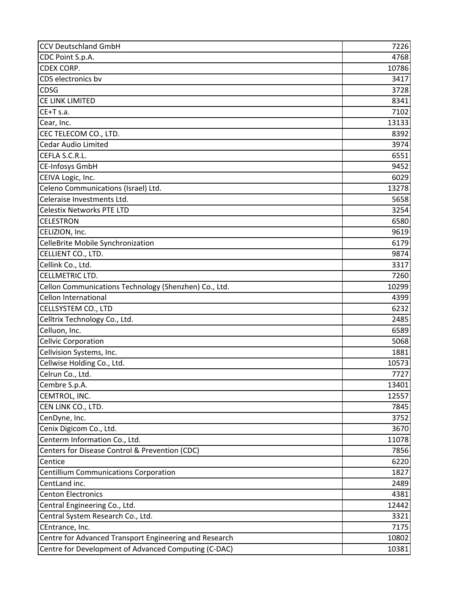| <b>CCV Deutschland GmbH</b>                            | 7226  |
|--------------------------------------------------------|-------|
| CDC Point S.p.A.                                       | 4768  |
| CDEX CORP.                                             | 10786 |
| CDS electronics bv                                     | 3417  |
| CDSG                                                   | 3728  |
| CE LINK LIMITED                                        | 8341  |
| CE+T s.a.                                              | 7102  |
| Cear, Inc.                                             | 13133 |
| CEC TELECOM CO., LTD.                                  | 8392  |
| <b>Cedar Audio Limited</b>                             | 3974  |
| CEFLA S.C.R.L.                                         | 6551  |
| <b>CE-Infosys GmbH</b>                                 | 9452  |
| CEIVA Logic, Inc.                                      | 6029  |
| Celeno Communications (Israel) Ltd.                    | 13278 |
| Celeraise Investments Ltd.                             | 5658  |
| <b>Celestix Networks PTE LTD</b>                       | 3254  |
| <b>CELESTRON</b>                                       | 6580  |
| CELIZION, Inc.                                         | 9619  |
| CelleBrite Mobile Synchronization                      | 6179  |
| CELLIENT CO., LTD.                                     | 9874  |
| Cellink Co., Ltd.                                      | 3317  |
| CELLMETRIC LTD.                                        | 7260  |
| Cellon Communications Technology (Shenzhen) Co., Ltd.  | 10299 |
| <b>Cellon International</b>                            | 4399  |
| CELLSYSTEM CO., LTD                                    | 6232  |
| Celltrix Technology Co., Ltd.                          | 2485  |
| Celluon, Inc.                                          | 6589  |
| <b>Cellvic Corporation</b>                             | 5068  |
| Cellvision Systems, Inc.                               | 1881  |
| Cellwise Holding Co., Ltd.                             | 10573 |
| Celrun Co., Ltd.                                       | 7727  |
| Cembre S.p.A.                                          | 13401 |
| CEMTROL, INC.                                          | 12557 |
| CEN LINK CO., LTD.                                     | 7845  |
| CenDyne, Inc.                                          | 3752  |
| Cenix Digicom Co., Ltd.                                | 3670  |
| Centerm Information Co., Ltd.                          | 11078 |
| Centers for Disease Control & Prevention (CDC)         | 7856  |
| Centice                                                | 6220  |
| <b>Centillium Communications Corporation</b>           | 1827  |
| CentLand inc.                                          | 2489  |
| <b>Centon Electronics</b>                              | 4381  |
| Central Engineering Co., Ltd.                          | 12442 |
| Central System Research Co., Ltd.                      | 3321  |
| CEntrance, Inc.                                        | 7175  |
| Centre for Advanced Transport Engineering and Research | 10802 |
| Centre for Development of Advanced Computing (C-DAC)   | 10381 |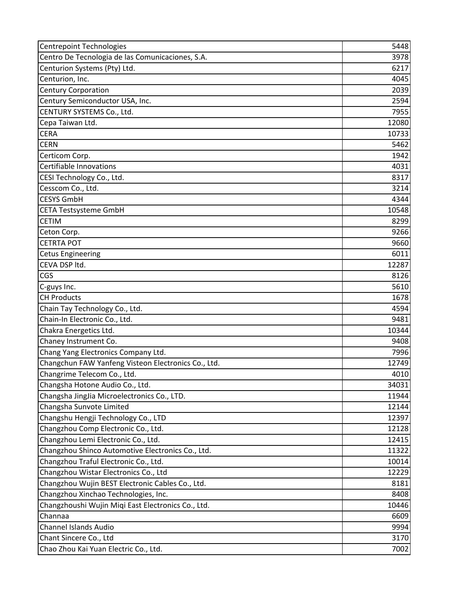| <b>Centrepoint Technologies</b>                     | 5448  |
|-----------------------------------------------------|-------|
| Centro De Tecnologia de las Comunicaciones, S.A.    | 3978  |
| Centurion Systems (Pty) Ltd.                        | 6217  |
| Centurion, Inc.                                     | 4045  |
| <b>Century Corporation</b>                          | 2039  |
| Century Semiconductor USA, Inc.                     | 2594  |
| CENTURY SYSTEMS Co., Ltd.                           | 7955  |
| Cepa Taiwan Ltd.                                    | 12080 |
| <b>CERA</b>                                         | 10733 |
| <b>CERN</b>                                         | 5462  |
| Certicom Corp.                                      | 1942  |
| Certifiable Innovations                             | 4031  |
| CESI Technology Co., Ltd.                           | 8317  |
| Cesscom Co., Ltd.                                   | 3214  |
| <b>CESYS GmbH</b>                                   | 4344  |
| <b>CETA Testsysteme GmbH</b>                        | 10548 |
| <b>CETIM</b>                                        | 8299  |
| Ceton Corp.                                         | 9266  |
| <b>CETRTA POT</b>                                   | 9660  |
| <b>Cetus Engineering</b>                            | 6011  |
| CEVA DSP ltd.                                       | 12287 |
| CGS                                                 | 8126  |
| C-guys Inc.                                         | 5610  |
| <b>CH Products</b>                                  | 1678  |
| Chain Tay Technology Co., Ltd.                      | 4594  |
| Chain-In Electronic Co., Ltd.                       | 9481  |
| Chakra Energetics Ltd.                              | 10344 |
| Chaney Instrument Co.                               | 9408  |
| Chang Yang Electronics Company Ltd.                 | 7996  |
| Changchun FAW Yanfeng Visteon Electronics Co., Ltd. | 12749 |
| Changrime Telecom Co., Ltd.                         | 4010  |
| Changsha Hotone Audio Co., Ltd.                     | 34031 |
| Changsha JingJia Microelectronics Co., LTD.         | 11944 |
| Changsha Sunvote Limited                            | 12144 |
| Changshu Hengji Technology Co., LTD                 | 12397 |
| Changzhou Comp Electronic Co., Ltd.                 | 12128 |
| Changzhou Lemi Electronic Co., Ltd.                 | 12415 |
| Changzhou Shinco Automotive Electronics Co., Ltd.   | 11322 |
| Changzhou Traful Electronic Co., Ltd.               | 10014 |
| Changzhou Wistar Electronics Co., Ltd               | 12229 |
| Changzhou Wujin BEST Electronic Cables Co., Ltd.    | 8181  |
| Changzhou Xinchao Technologies, Inc.                | 8408  |
| Changzhoushi Wujin Miqi East Electronics Co., Ltd.  | 10446 |
| Channaa                                             | 6609  |
| <b>Channel Islands Audio</b>                        | 9994  |
| Chant Sincere Co., Ltd                              | 3170  |
| Chao Zhou Kai Yuan Electric Co., Ltd.               | 7002  |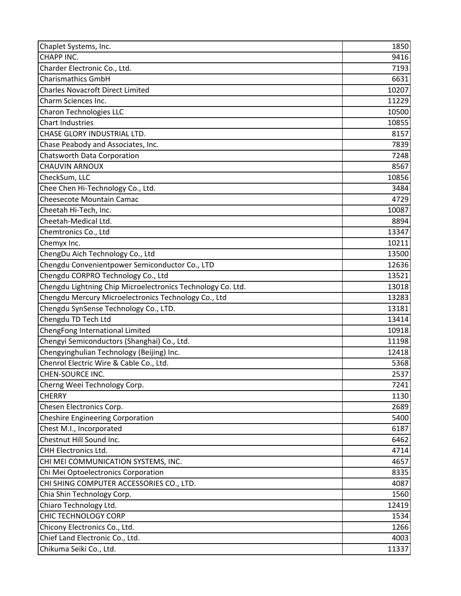| Chaplet Systems, Inc.                                       | 1850  |
|-------------------------------------------------------------|-------|
| CHAPP INC.                                                  | 9416  |
| Charder Electronic Co., Ltd.                                | 7193  |
| <b>Charismathics GmbH</b>                                   | 6631  |
| <b>Charles Novacroft Direct Limited</b>                     | 10207 |
| Charm Sciences Inc.                                         | 11229 |
| <b>Charon Technologies LLC</b>                              | 10500 |
| <b>Chart Industries</b>                                     | 10855 |
| CHASE GLORY INDUSTRIAL LTD.                                 | 8157  |
| Chase Peabody and Associates, Inc.                          | 7839  |
| Chatsworth Data Corporation                                 | 7248  |
| <b>CHAUVIN ARNOUX</b>                                       | 8567  |
| CheckSum, LLC                                               | 10856 |
| Chee Chen Hi-Technology Co., Ltd.                           | 3484  |
| <b>Cheesecote Mountain Camac</b>                            | 4729  |
| Cheetah Hi-Tech, Inc.                                       | 10087 |
| Cheetah-Medical Ltd.                                        | 8894  |
| Chemtronics Co., Ltd                                        | 13347 |
| Chemyx Inc.                                                 | 10211 |
| ChengDu Aich Technology Co., Ltd                            | 13500 |
| Chengdu Convenientpower Semiconductor Co., LTD              | 12636 |
| Chengdu CORPRO Technology Co., Ltd                          | 13521 |
| Chengdu Lightning Chip Microelectronics Technology Co. Ltd. | 13018 |
| Chengdu Mercury Microelectronics Technology Co., Ltd        | 13283 |
| Chengdu SynSense Technology Co., LTD.                       | 13181 |
| Chengdu TD Tech Ltd                                         | 13414 |
| ChengFong International Limited                             | 10918 |
| Chengyi Semiconductors (Shanghai) Co., Ltd.                 | 11198 |
| Chengyinghulian Technology (Beijing) Inc.                   | 12418 |
| Chenrol Electric Wire & Cable Co., Ltd.                     | 5368  |
| CHEN-SOURCE INC.                                            | 2537  |
| Cherng Weei Technology Corp.                                | 7241  |
| <b>CHERRY</b>                                               | 1130  |
| Chesen Electronics Corp.                                    | 2689  |
| <b>Cheshire Engineering Corporation</b>                     | 5400  |
| Chest M.I., Incorporated                                    | 6187  |
| Chestnut Hill Sound Inc.                                    | 6462  |
| CHH Electronics Ltd.                                        | 4714  |
| CHI MEI COMMUNICATION SYSTEMS, INC.                         | 4657  |
| Chi Mei Optoelectronics Corporation                         | 8335  |
| CHI SHING COMPUTER ACCESSORIES CO., LTD.                    | 4087  |
| Chia Shin Technology Corp.                                  | 1560  |
| Chiaro Technology Ltd.                                      | 12419 |
| <b>CHIC TECHNOLOGY CORP</b>                                 | 1534  |
| Chicony Electronics Co., Ltd.                               | 1266  |
| Chief Land Electronic Co., Ltd.                             | 4003  |
| Chikuma Seiki Co., Ltd.                                     | 11337 |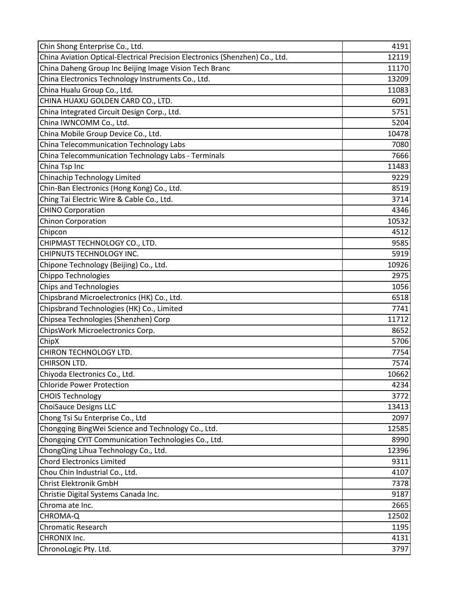| Chin Shong Enterprise Co., Ltd.                                              | 4191  |
|------------------------------------------------------------------------------|-------|
| China Aviation Optical-Electrical Precision Electronics (Shenzhen) Co., Ltd. | 12119 |
| China Daheng Group Inc Beijing Image Vision Tech Branc                       | 11170 |
| China Electronics Technology Instruments Co., Ltd.                           | 13209 |
| China Hualu Group Co., Ltd.                                                  | 11083 |
| CHINA HUAXU GOLDEN CARD CO., LTD.                                            | 6091  |
| China Integrated Circuit Design Corp., Ltd.                                  | 5751  |
| China IWNCOMM Co., Ltd.                                                      | 5204  |
| China Mobile Group Device Co., Ltd.                                          | 10478 |
| China Telecommunication Technology Labs                                      | 7080  |
| China Telecommunication Technology Labs - Terminals                          | 7666  |
| China Tsp Inc                                                                | 11483 |
| Chinachip Technology Limited                                                 | 9229  |
| Chin-Ban Electronics (Hong Kong) Co., Ltd.                                   | 8519  |
| Ching Tai Electric Wire & Cable Co., Ltd.                                    | 3714  |
| <b>CHINO Corporation</b>                                                     | 4346  |
| Chinon Corporation                                                           | 10532 |
| Chipcon                                                                      | 4512  |
| CHIPMAST TECHNOLOGY CO., LTD.                                                | 9585  |
| CHIPNUTS TECHNOLOGY INC.                                                     | 5919  |
| Chipone Technology (Beijing) Co., Ltd.                                       | 10926 |
| Chippo Technologies                                                          | 2975  |
| <b>Chips and Technologies</b>                                                | 1056  |
| Chipsbrand Microelectronics (HK) Co., Ltd.                                   | 6518  |
| Chipsbrand Technologies (HK) Co., Limited                                    | 7741  |
| Chipsea Technologies (Shenzhen) Corp                                         | 11712 |
| ChipsWork Microelectronics Corp.                                             | 8652  |
| ChipX                                                                        | 5706  |
| CHIRON TECHNOLOGY LTD.                                                       | 7754  |
| <b>CHIRSON LTD.</b>                                                          | 7574  |
| Chiyoda Electronics Co., Ltd.                                                | 10662 |
| <b>Chloride Power Protection</b>                                             | 4234  |
| <b>CHOIS Technology</b>                                                      | 3772  |
| <b>ChoiSauce Designs LLC</b>                                                 | 13413 |
| Chong Tsi Su Enterprise Co., Ltd                                             | 2097  |
| Chongqing BingWei Science and Technology Co., Ltd.                           | 12585 |
| Chongqing CYIT Communication Technologies Co., Ltd.                          | 8990  |
| ChongQing Lihua Technology Co., Ltd.                                         | 12396 |
| <b>Chord Electronics Limited</b>                                             | 9311  |
| Chou Chin Industrial Co., Ltd.                                               | 4107  |
| Christ Elektronik GmbH                                                       | 7378  |
| Christie Digital Systems Canada Inc.                                         | 9187  |
| Chroma ate Inc.                                                              | 2665  |
| CHROMA-Q                                                                     | 12502 |
| <b>Chromatic Research</b>                                                    | 1195  |
| <b>CHRONIX Inc.</b>                                                          | 4131  |
| ChronoLogic Pty. Ltd.                                                        | 3797  |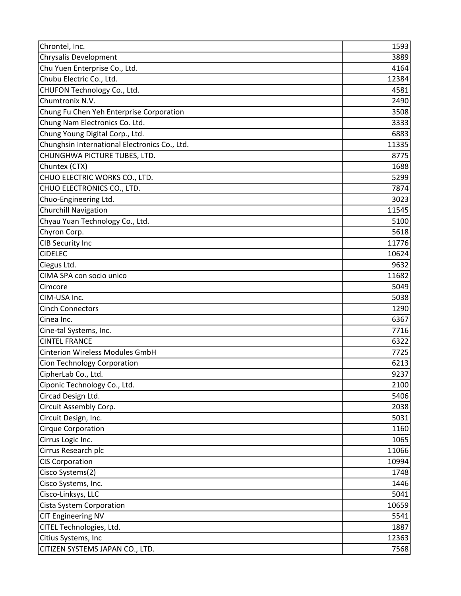| Chrontel, Inc.                                | 1593  |
|-----------------------------------------------|-------|
| Chrysalis Development                         | 3889  |
| Chu Yuen Enterprise Co., Ltd.                 | 4164  |
| Chubu Electric Co., Ltd.                      | 12384 |
| CHUFON Technology Co., Ltd.                   | 4581  |
| Chumtronix N.V.                               | 2490  |
| Chung Fu Chen Yeh Enterprise Corporation      | 3508  |
| Chung Nam Electronics Co. Ltd.                | 3333  |
| Chung Young Digital Corp., Ltd.               | 6883  |
| Chunghsin International Electronics Co., Ltd. | 11335 |
| CHUNGHWA PICTURE TUBES, LTD.                  | 8775  |
| Chuntex (CTX)                                 | 1688  |
| CHUO ELECTRIC WORKS CO., LTD.                 | 5299  |
| CHUO ELECTRONICS CO., LTD.                    | 7874  |
| Chuo-Engineering Ltd.                         | 3023  |
| <b>Churchill Navigation</b>                   | 11545 |
| Chyau Yuan Technology Co., Ltd.               | 5100  |
| Chyron Corp.                                  | 5618  |
| CIB Security Inc                              | 11776 |
| <b>CiDELEC</b>                                | 10624 |
| Ciegus Ltd.                                   | 9632  |
| CIMA SPA con socio unico                      | 11682 |
| Cimcore                                       | 5049  |
| CIM-USA Inc.                                  | 5038  |
| <b>Cinch Connectors</b>                       | 1290  |
| Cinea Inc.                                    | 6367  |
| Cine-tal Systems, Inc.                        | 7716  |
| <b>CINTEL FRANCE</b>                          | 6322  |
| <b>Cinterion Wireless Modules GmbH</b>        | 7725  |
| Cion Technology Corporation                   | 6213  |
| CipherLab Co., Ltd.                           | 9237  |
| Ciponic Technology Co., Ltd.                  | 2100  |
| Circad Design Ltd.                            | 5406  |
| Circuit Assembly Corp.                        | 2038  |
| Circuit Design, Inc.                          | 5031  |
| <b>Cirque Corporation</b>                     | 1160  |
| Cirrus Logic Inc.                             | 1065  |
| Cirrus Research plc                           | 11066 |
| <b>CIS Corporation</b>                        | 10994 |
| Cisco Systems(2)                              | 1748  |
| Cisco Systems, Inc.                           | 1446  |
| Cisco-Linksys, LLC                            | 5041  |
| Cista System Corporation                      | 10659 |
| <b>CIT Engineering NV</b>                     | 5541  |
| CITEL Technologies, Ltd.                      | 1887  |
| Citius Systems, Inc                           | 12363 |
| CITIZEN SYSTEMS JAPAN CO., LTD.               | 7568  |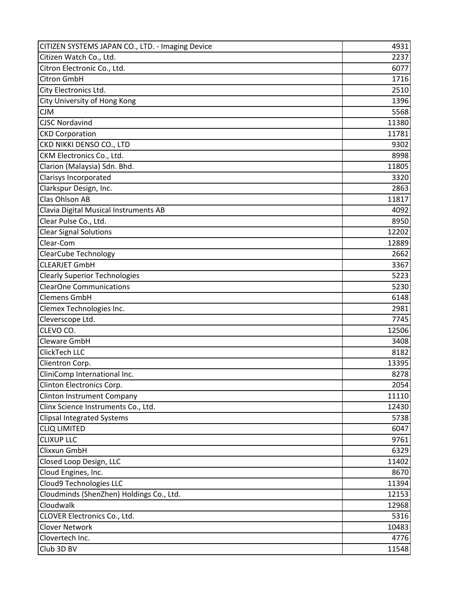| CITIZEN SYSTEMS JAPAN CO., LTD. - Imaging Device | 4931  |
|--------------------------------------------------|-------|
| Citizen Watch Co., Ltd.                          | 2237  |
| Citron Electronic Co., Ltd.                      | 6077  |
| <b>Citron GmbH</b>                               | 1716  |
| City Electronics Ltd.                            | 2510  |
| City University of Hong Kong                     | 1396  |
| <b>CJM</b>                                       | 5568  |
| <b>CJSC Nordavind</b>                            | 11380 |
| <b>CKD Corporation</b>                           | 11781 |
| CKD NIKKI DENSO CO., LTD                         | 9302  |
| CKM Electronics Co., Ltd.                        | 8998  |
| Clarion (Malaysia) Sdn. Bhd.                     | 11805 |
| Clarisys Incorporated                            | 3320  |
| Clarkspur Design, Inc.                           | 2863  |
| Clas Ohlson AB                                   | 11817 |
| Clavia Digital Musical Instruments AB            | 4092  |
| Clear Pulse Co., Ltd.                            | 8950  |
| <b>Clear Signal Solutions</b>                    | 12202 |
| Clear-Com                                        | 12889 |
| <b>ClearCube Technology</b>                      | 2662  |
| <b>CLEARJET GmbH</b>                             | 3367  |
| <b>Clearly Superior Technologies</b>             | 5223  |
| <b>ClearOne Communications</b>                   | 5230  |
| <b>Clemens GmbH</b>                              | 6148  |
| Clemex Technologies Inc.                         | 2981  |
| Cleverscope Ltd.                                 | 7745  |
| CLEVO CO.                                        | 12506 |
| Cleware GmbH                                     | 3408  |
| ClickTech LLC                                    | 8182  |
| Clientron Corp.                                  | 13395 |
| CliniComp International Inc.                     | 8278  |
| Clinton Electronics Corp.                        | 2054  |
| <b>Clinton Instrument Company</b>                | 11110 |
| Clinx Science Instruments Co., Ltd.              | 12430 |
| <b>Clipsal Integrated Systems</b>                | 5738  |
| <b>CLIQ LIMITED</b>                              | 6047  |
| <b>CLIXUP LLC</b>                                | 9761  |
| Clixxun GmbH                                     | 6329  |
| Closed Loop Design, LLC                          | 11402 |
| Cloud Engines, Inc.                              | 8670  |
| Cloud9 Technologies LLC                          | 11394 |
| Cloudminds (ShenZhen) Holdings Co., Ltd.         | 12153 |
| Cloudwalk                                        | 12968 |
| CLOVER Electronics Co., Ltd.                     | 5316  |
| <b>Clover Network</b>                            | 10483 |
| Clovertech Inc.                                  | 4776  |
| Club 3D BV                                       | 11548 |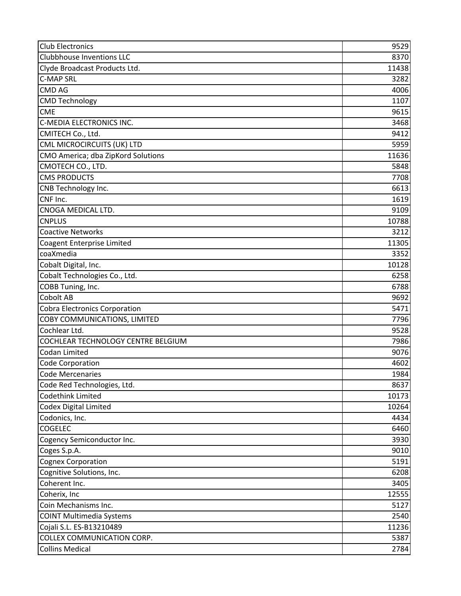| <b>Club Electronics</b>              | 9529  |
|--------------------------------------|-------|
| <b>Clubbhouse Inventions LLC</b>     | 8370  |
| Clyde Broadcast Products Ltd.        | 11438 |
| <b>C-MAP SRL</b>                     | 3282  |
| <b>CMD AG</b>                        | 4006  |
| <b>CMD Technology</b>                | 1107  |
| <b>CME</b>                           | 9615  |
| C-MEDIA ELECTRONICS INC.             | 3468  |
| CMITECH Co., Ltd.                    | 9412  |
| CML MICROCIRCUITS (UK) LTD           | 5959  |
| CMO America; dba ZipKord Solutions   | 11636 |
| CMOTECH CO., LTD.                    | 5848  |
| <b>CMS PRODUCTS</b>                  | 7708  |
| CNB Technology Inc.                  | 6613  |
| CNF Inc.                             | 1619  |
| CNOGA MEDICAL LTD.                   | 9109  |
| <b>CNPLUS</b>                        | 10788 |
| <b>Coactive Networks</b>             | 3212  |
| Coagent Enterprise Limited           | 11305 |
| coaXmedia                            | 3352  |
| Cobalt Digital, Inc.                 | 10128 |
| Cobalt Technologies Co., Ltd.        | 6258  |
| COBB Tuning, Inc.                    | 6788  |
| Cobolt AB                            | 9692  |
| <b>Cobra Electronics Corporation</b> | 5471  |
| <b>COBY COMMUNICATIONS, LIMITED</b>  | 7796  |
| Cochlear Ltd.                        | 9528  |
| COCHLEAR TECHNOLOGY CENTRE BELGIUM   | 7986  |
| Codan Limited                        | 9076  |
| <b>Code Corporation</b>              | 4602  |
| Code Mercenaries                     | 1984  |
| Code Red Technologies, Ltd.          | 8637  |
| Codethink Limited                    | 10173 |
| <b>Codex Digital Limited</b>         | 10264 |
| Codonics, Inc.                       | 4434  |
| <b>COGELEC</b>                       | 6460  |
| Cogency Semiconductor Inc.           | 3930  |
| Coges S.p.A.                         | 9010  |
| <b>Cognex Corporation</b>            | 5191  |
| Cognitive Solutions, Inc.            | 6208  |
| Coherent Inc.                        | 3405  |
| Coherix, Inc                         | 12555 |
| Coin Mechanisms Inc.                 | 5127  |
| <b>COINT Multimedia Systems</b>      | 2540  |
| Cojali S.L. ES-B13210489             | 11236 |
| COLLEX COMMUNICATION CORP.           | 5387  |
| <b>Collins Medical</b>               | 2784  |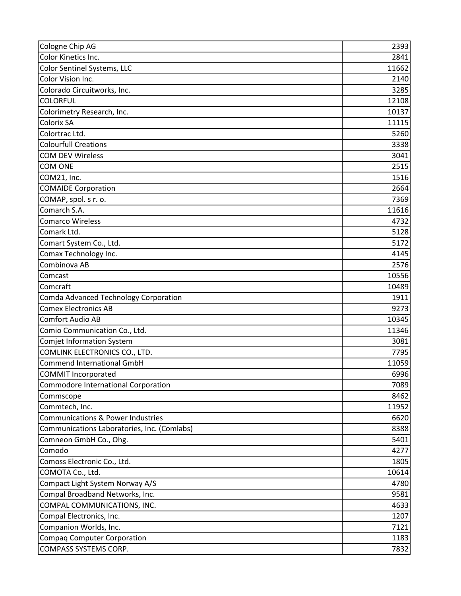| Cologne Chip AG                             | 2393  |
|---------------------------------------------|-------|
| Color Kinetics Inc.                         | 2841  |
| Color Sentinel Systems, LLC                 | 11662 |
| Color Vision Inc.                           | 2140  |
| Colorado Circuitworks, Inc.                 | 3285  |
| <b>COLORFUL</b>                             | 12108 |
| Colorimetry Research, Inc.                  | 10137 |
| <b>Colorix SA</b>                           | 11115 |
| Colortrac Ltd.                              | 5260  |
| <b>Colourfull Creations</b>                 | 3338  |
| <b>COM DEV Wireless</b>                     | 3041  |
| COM ONE                                     | 2515  |
| COM21, Inc.                                 | 1516  |
| <b>COMAIDE Corporation</b>                  | 2664  |
| COMAP, spol. s r. o.                        | 7369  |
| Comarch S.A.                                | 11616 |
| <b>Comarco Wireless</b>                     | 4732  |
| Comark Ltd.                                 | 5128  |
| Comart System Co., Ltd.                     | 5172  |
| Comax Technology Inc.                       | 4145  |
| Combinova AB                                | 2576  |
| Comcast                                     | 10556 |
| Comcraft                                    | 10489 |
| Comda Advanced Technology Corporation       | 1911  |
| <b>Comex Electronics AB</b>                 | 9273  |
| <b>Comfort Audio AB</b>                     | 10345 |
| Comio Communication Co., Ltd.               | 11346 |
| <b>Comjet Information System</b>            | 3081  |
| COMLINK ELECTRONICS CO., LTD.               | 7795  |
| <b>Commend International GmbH</b>           | 11059 |
| <b>COMMIT Incorporated</b>                  | 6996  |
| Commodore International Corporation         | 7089  |
| Commscope                                   | 8462  |
| Commtech, Inc.                              | 11952 |
| Communications & Power Industries           | 6620  |
| Communications Laboratories, Inc. (Comlabs) | 8388  |
| Comneon GmbH Co., Ohg.                      | 5401  |
| Comodo                                      | 4277  |
| Comoss Electronic Co., Ltd.                 | 1805  |
| COMOTA Co., Ltd.                            | 10614 |
| Compact Light System Norway A/S             | 4780  |
| Compal Broadband Networks, Inc.             | 9581  |
| COMPAL COMMUNICATIONS, INC.                 | 4633  |
| Compal Electronics, Inc.                    | 1207  |
| Companion Worlds, Inc.                      | 7121  |
| <b>Compaq Computer Corporation</b>          | 1183  |
| COMPASS SYSTEMS CORP.                       | 7832  |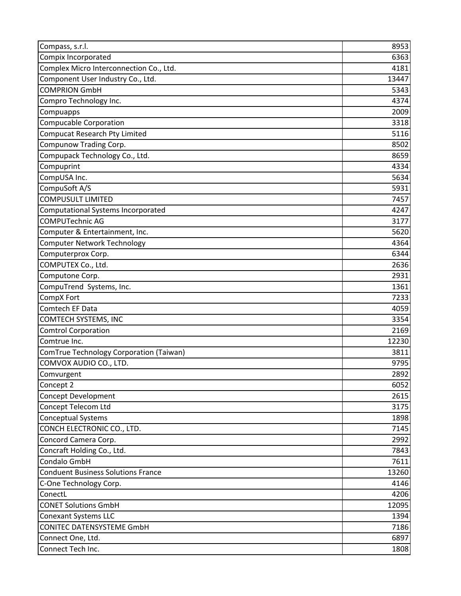| Compass, s.r.l.                                | 8953  |
|------------------------------------------------|-------|
| Compix Incorporated                            | 6363  |
| Complex Micro Interconnection Co., Ltd.        | 4181  |
| Component User Industry Co., Ltd.              | 13447 |
| <b>COMPRION GmbH</b>                           | 5343  |
| Compro Technology Inc.                         | 4374  |
| Compuapps                                      | 2009  |
| <b>Compucable Corporation</b>                  | 3318  |
| <b>Compucat Research Pty Limited</b>           | 5116  |
| Compunow Trading Corp.                         | 8502  |
| Compupack Technology Co., Ltd.                 | 8659  |
| Compuprint                                     | 4334  |
| CompUSA Inc.                                   | 5634  |
| CompuSoft A/S                                  | 5931  |
| <b>COMPUSULT LIMITED</b>                       | 7457  |
| <b>Computational Systems Incorporated</b>      | 4247  |
| <b>COMPUTechnic AG</b>                         | 3177  |
| Computer & Entertainment, Inc.                 | 5620  |
| <b>Computer Network Technology</b>             | 4364  |
| Computerprox Corp.                             | 6344  |
| COMPUTEX Co., Ltd.                             | 2636  |
| Computone Corp.                                | 2931  |
| CompuTrend Systems, Inc.                       | 1361  |
| CompX Fort                                     | 7233  |
| Comtech EF Data                                | 4059  |
| COMTECH SYSTEMS, INC                           | 3354  |
| <b>Comtrol Corporation</b>                     | 2169  |
| Comtrue Inc.                                   | 12230 |
| <b>ComTrue Technology Corporation (Taiwan)</b> | 3811  |
| COMVOX AUDIO CO., LTD.                         | 9795  |
| Comvurgent                                     | 2892  |
| Concept 2                                      | 6052  |
| <b>Concept Development</b>                     | 2615  |
| Concept Telecom Ltd                            | 3175  |
| <b>Conceptual Systems</b>                      | 1898  |
| CONCH ELECTRONIC CO., LTD.                     | 7145  |
| Concord Camera Corp.                           | 2992  |
| Concraft Holding Co., Ltd.                     | 7843  |
| Condalo GmbH                                   | 7611  |
| <b>Conduent Business Solutions France</b>      | 13260 |
| C-One Technology Corp.                         | 4146  |
| ConectL                                        | 4206  |
| <b>CONET Solutions GmbH</b>                    | 12095 |
| <b>Conexant Systems LLC</b>                    | 1394  |
| <b>CONITEC DATENSYSTEME GmbH</b>               | 7186  |
| Connect One, Ltd.                              | 6897  |
| Connect Tech Inc.                              | 1808  |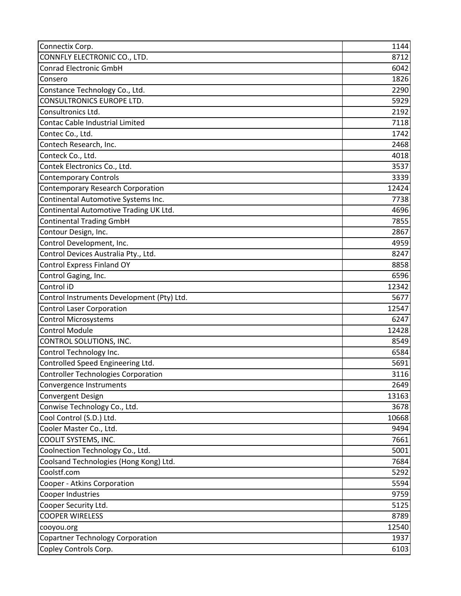| Connectix Corp.                            | 1144  |
|--------------------------------------------|-------|
| CONNFLY ELECTRONIC CO., LTD.               | 8712  |
| <b>Conrad Electronic GmbH</b>              | 6042  |
| Consero                                    | 1826  |
| Constance Technology Co., Ltd.             | 2290  |
| <b>CONSULTRONICS EUROPE LTD.</b>           | 5929  |
| Consultronics Ltd.                         | 2192  |
| <b>Contac Cable Industrial Limited</b>     | 7118  |
| Contec Co., Ltd.                           | 1742  |
| Contech Research, Inc.                     | 2468  |
| Conteck Co., Ltd.                          | 4018  |
| Contek Electronics Co., Ltd.               | 3537  |
| <b>Contemporary Controls</b>               | 3339  |
| <b>Contemporary Research Corporation</b>   | 12424 |
| Continental Automotive Systems Inc.        | 7738  |
| Continental Automotive Trading UK Ltd.     | 4696  |
| <b>Continental Trading GmbH</b>            | 7855  |
| Contour Design, Inc.                       | 2867  |
| Control Development, Inc.                  | 4959  |
| Control Devices Australia Pty., Ltd.       | 8247  |
| <b>Control Express Finland OY</b>          | 8858  |
| Control Gaging, Inc.                       | 6596  |
| Control iD                                 | 12342 |
| Control Instruments Development (Pty) Ltd. | 5677  |
| <b>Control Laser Corporation</b>           | 12547 |
| <b>Control Microsystems</b>                | 6247  |
| <b>Control Module</b>                      | 12428 |
| CONTROL SOLUTIONS, INC.                    | 8549  |
| Control Technology Inc.                    | 6584  |
| Controlled Speed Engineering Ltd.          | 5691  |
| <b>Controller Technologies Corporation</b> | 3116  |
| Convergence Instruments                    | 2649  |
| <b>Convergent Design</b>                   | 13163 |
| Conwise Technology Co., Ltd.               | 3678  |
| Cool Control (S.D.) Ltd.                   | 10668 |
| Cooler Master Co., Ltd.                    | 9494  |
| COOLIT SYSTEMS, INC.                       | 7661  |
| Coolnection Technology Co., Ltd.           | 5001  |
| Coolsand Technologies (Hong Kong) Ltd.     | 7684  |
| Coolstf.com                                | 5292  |
| Cooper - Atkins Corporation                | 5594  |
| Cooper Industries                          | 9759  |
| Cooper Security Ltd.                       | 5125  |
| <b>COOPER WIRELESS</b>                     | 8789  |
| cooyou.org                                 | 12540 |
| <b>Copartner Technology Corporation</b>    | 1937  |
| Copley Controls Corp.                      | 6103  |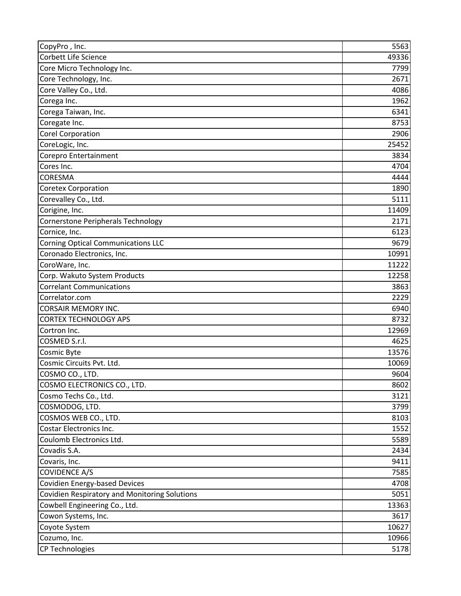| CopyPro, Inc.                                        | 5563  |
|------------------------------------------------------|-------|
| Corbett Life Science                                 | 49336 |
| Core Micro Technology Inc.                           | 7799  |
| Core Technology, Inc.                                | 2671  |
| Core Valley Co., Ltd.                                | 4086  |
| Corega Inc.                                          | 1962  |
| Corega Taiwan, Inc.                                  | 6341  |
| Coregate Inc.                                        | 8753  |
| <b>Corel Corporation</b>                             | 2906  |
| CoreLogic, Inc.                                      | 25452 |
| Corepro Entertainment                                | 3834  |
| Cores Inc.                                           | 4704  |
| CORESMA                                              | 4444  |
| <b>Coretex Corporation</b>                           | 1890  |
| Corevalley Co., Ltd.                                 | 5111  |
| Corigine, Inc.                                       | 11409 |
| <b>Cornerstone Peripherals Technology</b>            | 2171  |
| Cornice, Inc.                                        | 6123  |
| <b>Corning Optical Communications LLC</b>            | 9679  |
| Coronado Electronics, Inc.                           | 10991 |
| CoroWare, Inc.                                       | 11222 |
| Corp. Wakuto System Products                         | 12258 |
| <b>Correlant Communications</b>                      | 3863  |
| Correlator.com                                       | 2229  |
| <b>CORSAIR MEMORY INC.</b>                           | 6940  |
| <b>CORTEX TECHNOLOGY APS</b>                         | 8732  |
| Cortron Inc.                                         | 12969 |
| COSMED S.r.l.                                        | 4625  |
| Cosmic Byte                                          | 13576 |
| Cosmic Circuits Pvt. Ltd.                            | 10069 |
| COSMO CO., LTD.                                      | 9604  |
| COSMO ELECTRONICS CO., LTD.                          | 8602  |
| Cosmo Techs Co., Ltd.                                | 3121  |
| COSMODOG, LTD.                                       | 3799  |
| COSMOS WEB CO., LTD.                                 | 8103  |
| Costar Electronics Inc.                              | 1552  |
| Coulomb Electronics Ltd.                             | 5589  |
| Covadis S.A.                                         | 2434  |
| Covaris, Inc.                                        | 9411  |
| <b>COVIDENCE A/S</b>                                 | 7585  |
| Covidien Energy-based Devices                        | 4708  |
| <b>Covidien Respiratory and Monitoring Solutions</b> | 5051  |
| Cowbell Engineering Co., Ltd.                        | 13363 |
| Cowon Systems, Inc.                                  | 3617  |
| Coyote System                                        | 10627 |
| Cozumo, Inc.                                         | 10966 |
| <b>CP Technologies</b>                               | 5178  |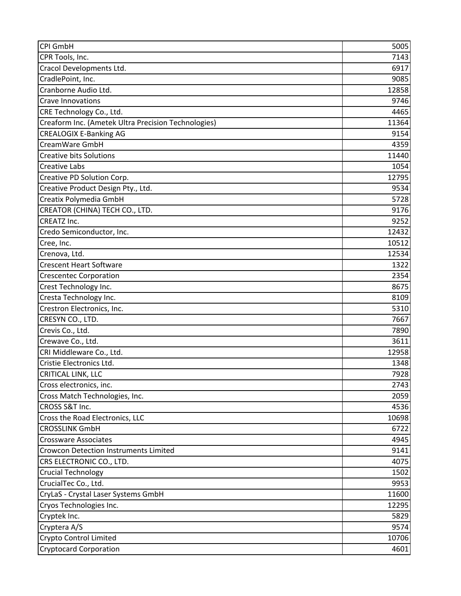| CPI GmbH                                            | 5005  |
|-----------------------------------------------------|-------|
| CPR Tools, Inc.                                     | 7143  |
| Cracol Developments Ltd.                            | 6917  |
| CradlePoint, Inc.                                   | 9085  |
| Cranborne Audio Ltd.                                | 12858 |
| <b>Crave Innovations</b>                            | 9746  |
| CRE Technology Co., Ltd.                            | 4465  |
| Creaform Inc. (Ametek Ultra Precision Technologies) | 11364 |
| <b>CREALOGIX E-Banking AG</b>                       | 9154  |
| CreamWare GmbH                                      | 4359  |
| <b>Creative bits Solutions</b>                      | 11440 |
| <b>Creative Labs</b>                                | 1054  |
| Creative PD Solution Corp.                          | 12795 |
| Creative Product Design Pty., Ltd.                  | 9534  |
| Creatix Polymedia GmbH                              | 5728  |
| CREATOR (CHINA) TECH CO., LTD.                      | 9176  |
| CREATZ Inc.                                         | 9252  |
| Credo Semiconductor, Inc.                           | 12432 |
| Cree, Inc.                                          | 10512 |
| Crenova, Ltd.                                       | 12534 |
| <b>Crescent Heart Software</b>                      | 1322  |
| <b>Crescentec Corporation</b>                       | 2354  |
| Crest Technology Inc.                               | 8675  |
| Cresta Technology Inc.                              | 8109  |
| Crestron Electronics, Inc.                          | 5310  |
| CRESYN CO., LTD.                                    | 7667  |
| Crevis Co., Ltd.                                    | 7890  |
| Crewave Co., Ltd.                                   | 3611  |
| CRI Middleware Co., Ltd.                            | 12958 |
| Cristie Electronics Ltd.                            | 1348  |
| CRITICAL LINK, LLC                                  | 7928  |
| Cross electronics, inc.                             | 2743  |
| Cross Match Technologies, Inc.                      | 2059  |
| CROSS S&T Inc.                                      | 4536  |
| Cross the Road Electronics, LLC                     | 10698 |
| <b>CROSSLINK GmbH</b>                               | 6722  |
| <b>Crossware Associates</b>                         | 4945  |
| <b>Crowcon Detection Instruments Limited</b>        | 9141  |
| CRS ELECTRONIC CO., LTD.                            | 4075  |
| <b>Crucial Technology</b>                           | 1502  |
| CrucialTec Co., Ltd.                                | 9953  |
| CryLaS - Crystal Laser Systems GmbH                 | 11600 |
| Cryos Technologies Inc.                             | 12295 |
| Cryptek Inc.                                        | 5829  |
| Cryptera A/S                                        | 9574  |
| <b>Crypto Control Limited</b>                       | 10706 |
| <b>Cryptocard Corporation</b>                       | 4601  |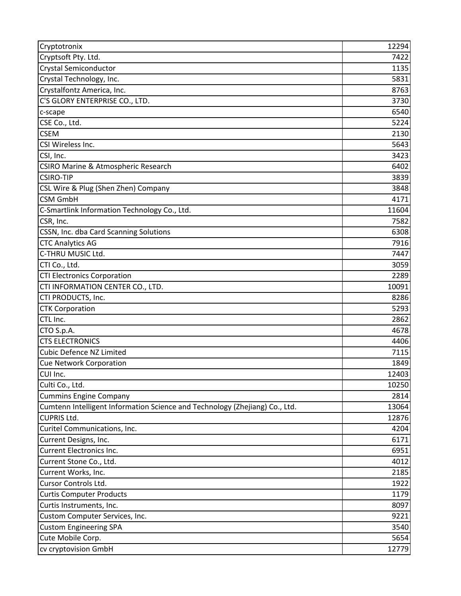| Cryptotronix                                                                | 12294 |
|-----------------------------------------------------------------------------|-------|
| Cryptsoft Pty. Ltd.                                                         | 7422  |
| <b>Crystal Semiconductor</b>                                                | 1135  |
| Crystal Technology, Inc.                                                    | 5831  |
| Crystalfontz America, Inc.                                                  | 8763  |
| C'S GLORY ENTERPRISE CO., LTD.                                              | 3730  |
| c-scape                                                                     | 6540  |
| CSE Co., Ltd.                                                               | 5224  |
| <b>CSEM</b>                                                                 | 2130  |
| CSI Wireless Inc.                                                           | 5643  |
| CSI, Inc.                                                                   | 3423  |
| <b>CSIRO Marine &amp; Atmospheric Research</b>                              | 6402  |
| <b>CSIRO-TIP</b>                                                            | 3839  |
| CSL Wire & Plug (Shen Zhen) Company                                         | 3848  |
| <b>CSM GmbH</b>                                                             | 4171  |
| C-Smartlink Information Technology Co., Ltd.                                | 11604 |
| CSR, Inc.                                                                   | 7582  |
| CSSN, Inc. dba Card Scanning Solutions                                      | 6308  |
| <b>CTC Analytics AG</b>                                                     | 7916  |
| C-THRU MUSIC Ltd.                                                           | 7447  |
| CTI Co., Ltd.                                                               | 3059  |
| <b>CTI Electronics Corporation</b>                                          | 2289  |
| CTI INFORMATION CENTER CO., LTD.                                            | 10091 |
| CTI PRODUCTS, Inc.                                                          | 8286  |
| <b>CTK Corporation</b>                                                      | 5293  |
| CTL Inc.                                                                    | 2862  |
| CTO S.p.A.                                                                  | 4678  |
| <b>CTS ELECTRONICS</b>                                                      | 4406  |
| <b>Cubic Defence NZ Limited</b>                                             | 7115  |
| <b>Cue Network Corporation</b>                                              | 1849  |
| CUI Inc.                                                                    | 12403 |
| Culti Co., Ltd.                                                             | 10250 |
| <b>Cummins Engine Company</b>                                               | 2814  |
| Cumtenn Intelligent Information Science and Technology (Zhejiang) Co., Ltd. | 13064 |
| <b>CUPRIS Ltd.</b>                                                          | 12876 |
| Curitel Communications, Inc.                                                | 4204  |
| Current Designs, Inc.                                                       | 6171  |
| <b>Current Electronics Inc.</b>                                             | 6951  |
| Current Stone Co., Ltd.                                                     | 4012  |
| Current Works, Inc.                                                         | 2185  |
| Cursor Controls Ltd.                                                        | 1922  |
| <b>Curtis Computer Products</b>                                             | 1179  |
| Curtis Instruments, Inc.                                                    | 8097  |
| Custom Computer Services, Inc.                                              | 9221  |
| <b>Custom Engineering SPA</b>                                               | 3540  |
| Cute Mobile Corp.                                                           | 5654  |
| cv cryptovision GmbH                                                        | 12779 |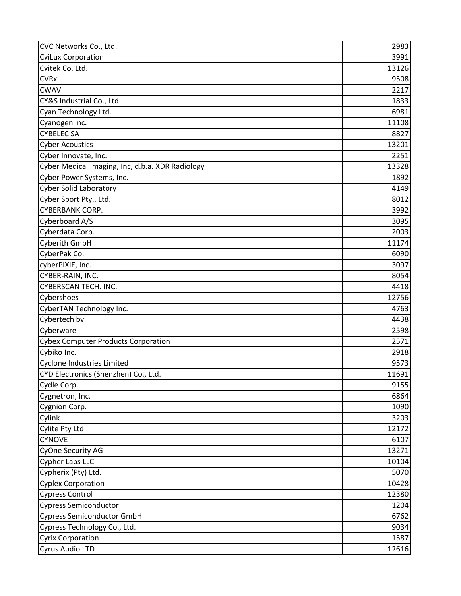| CVC Networks Co., Ltd.                           | 2983  |
|--------------------------------------------------|-------|
| <b>CviLux Corporation</b>                        | 3991  |
| Cvitek Co. Ltd.                                  | 13126 |
| <b>CVRx</b>                                      | 9508  |
| <b>CWAV</b>                                      | 2217  |
| CY&S Industrial Co., Ltd.                        | 1833  |
| Cyan Technology Ltd.                             | 6981  |
| Cyanogen Inc.                                    | 11108 |
| <b>CYBELEC SA</b>                                | 8827  |
| <b>Cyber Acoustics</b>                           | 13201 |
| Cyber Innovate, Inc.                             | 2251  |
| Cyber Medical Imaging, Inc, d.b.a. XDR Radiology | 13328 |
| Cyber Power Systems, Inc.                        | 1892  |
| <b>Cyber Solid Laboratory</b>                    | 4149  |
| Cyber Sport Pty., Ltd.                           | 8012  |
| <b>CYBERBANK CORP.</b>                           | 3992  |
| Cyberboard A/S                                   | 3095  |
| Cyberdata Corp.                                  | 2003  |
| Cyberith GmbH                                    | 11174 |
| CyberPak Co.                                     | 6090  |
| cyberPIXIE, Inc.                                 | 3097  |
| CYBER-RAIN, INC.                                 | 8054  |
| <b>CYBERSCAN TECH. INC.</b>                      | 4418  |
| Cybershoes                                       | 12756 |
| CyberTAN Technology Inc.                         | 4763  |
| Cybertech bv                                     | 4438  |
| Cyberware                                        | 2598  |
| <b>Cybex Computer Products Corporation</b>       | 2571  |
| Cybiko Inc.                                      | 2918  |
| <b>Cyclone Industries Limited</b>                | 9573  |
| CYD Electronics (Shenzhen) Co., Ltd.             | 11691 |
| Cydle Corp.                                      | 9155  |
| Cygnetron, Inc.                                  | 6864  |
| Cygnion Corp.                                    | 1090  |
| Cylink                                           | 3203  |
| Cylite Pty Ltd                                   | 12172 |
| <b>CYNOVE</b>                                    | 6107  |
| CyOne Security AG                                | 13271 |
| Cypher Labs LLC                                  | 10104 |
| Cypherix (Pty) Ltd.                              | 5070  |
| <b>Cyplex Corporation</b>                        | 10428 |
| <b>Cypress Control</b>                           | 12380 |
| <b>Cypress Semiconductor</b>                     | 1204  |
| <b>Cypress Semiconductor GmbH</b>                | 6762  |
| Cypress Technology Co., Ltd.                     | 9034  |
| <b>Cyrix Corporation</b>                         | 1587  |
| Cyrus Audio LTD                                  | 12616 |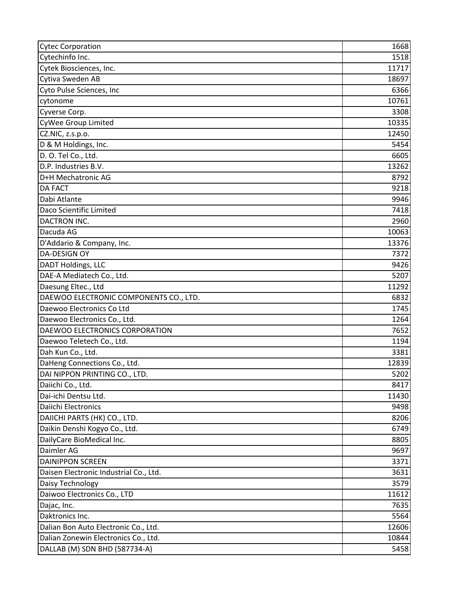| <b>Cytec Corporation</b>               | 1668  |
|----------------------------------------|-------|
| Cytechinfo Inc.                        | 1518  |
| Cytek Biosciences, Inc.                | 11717 |
| Cytiva Sweden AB                       | 18697 |
| Cyto Pulse Sciences, Inc               | 6366  |
| cytonome                               | 10761 |
| Cyverse Corp.                          | 3308  |
| <b>CyWee Group Limited</b>             | 10335 |
| CZ.NIC, z.s.p.o.                       | 12450 |
| D & M Holdings, Inc.                   | 5454  |
| D. O. Tel Co., Ltd.                    | 6605  |
| D.P. Industries B.V.                   | 13262 |
| D+H Mechatronic AG                     | 8792  |
| <b>DA FACT</b>                         | 9218  |
| Dabi Atlante                           | 9946  |
| Daco Scientific Limited                | 7418  |
| <b>DACTRON INC.</b>                    | 2960  |
| Dacuda AG                              | 10063 |
| D'Addario & Company, Inc.              | 13376 |
| <b>DA-DESIGN OY</b>                    | 7372  |
| DADT Holdings, LLC                     | 9426  |
| DAE-A Mediatech Co., Ltd.              | 5207  |
| Daesung Eltec., Ltd                    | 11292 |
| DAEWOO ELECTRONIC COMPONENTS CO., LTD. | 6832  |
| Daewoo Electronics Co Ltd              | 1745  |
| Daewoo Electronics Co., Ltd.           | 1264  |
| DAEWOO ELECTRONICS CORPORATION         | 7652  |
| Daewoo Teletech Co., Ltd.              | 1194  |
| Dah Kun Co., Ltd.                      | 3381  |
| DaHeng Connections Co., Ltd.           | 12839 |
| DAI NIPPON PRINTING CO., LTD.          | 5202  |
| Daiichi Co., Ltd.                      | 8417  |
| Dai-ichi Dentsu Ltd.                   | 11430 |
| Daiichi Electronics                    | 9498  |
| DAIICHI PARTS (HK) CO., LTD.           | 8206  |
| Daikin Denshi Kogyo Co., Ltd.          | 6749  |
| DailyCare BioMedical Inc.              | 8805  |
| Daimler AG                             | 9697  |
| <b>DAINIPPON SCREEN</b>                | 3371  |
| Daisen Electronic Industrial Co., Ltd. | 3631  |
| Daisy Technology                       | 3579  |
| Daiwoo Electronics Co., LTD            | 11612 |
| Dajac, Inc.                            | 7635  |
| Daktronics Inc.                        | 5564  |
| Dalian Bon Auto Electronic Co., Ltd.   | 12606 |
| Dalian Zonewin Electronics Co., Ltd.   | 10844 |
| DALLAB (M) SDN BHD (587734-A)          | 5458  |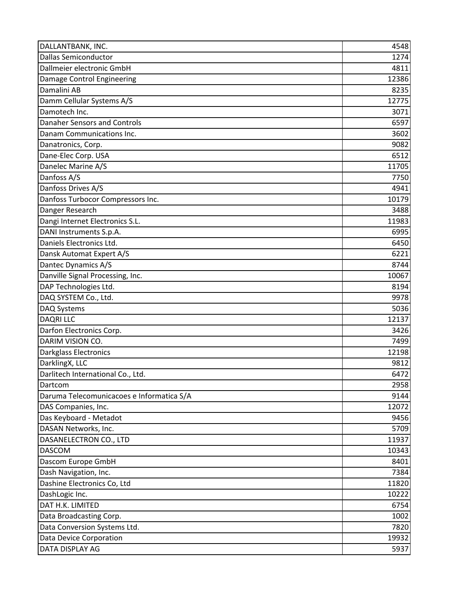| DALLANTBANK, INC.                         | 4548  |
|-------------------------------------------|-------|
| <b>Dallas Semiconductor</b>               | 1274  |
| Dallmeier electronic GmbH                 | 4811  |
| Damage Control Engineering                | 12386 |
| Damalini AB                               | 8235  |
| Damm Cellular Systems A/S                 | 12775 |
| Damotech Inc.                             | 3071  |
| Danaher Sensors and Controls              | 6597  |
| Danam Communications Inc.                 | 3602  |
| Danatronics, Corp.                        | 9082  |
| Dane-Elec Corp. USA                       | 6512  |
| Danelec Marine A/S                        | 11705 |
| Danfoss A/S                               | 7750  |
| Danfoss Drives A/S                        | 4941  |
| Danfoss Turbocor Compressors Inc.         | 10179 |
| Danger Research                           | 3488  |
| Dangi Internet Electronics S.L.           | 11983 |
| DANI Instruments S.p.A.                   | 6995  |
| Daniels Electronics Ltd.                  | 6450  |
| Dansk Automat Expert A/S                  | 6221  |
| Dantec Dynamics A/S                       | 8744  |
| Danville Signal Processing, Inc.          | 10067 |
| DAP Technologies Ltd.                     | 8194  |
| DAQ SYSTEM Co., Ltd.                      | 9978  |
| DAQ Systems                               | 5036  |
| <b>DAQRI LLC</b>                          | 12137 |
| Darfon Electronics Corp.                  | 3426  |
| DARIM VISION CO.                          | 7499  |
| <b>Darkglass Electronics</b>              | 12198 |
| DarklingX, LLC                            | 9812  |
| Darlitech International Co., Ltd.         | 6472  |
| Dartcom                                   | 2958  |
| Daruma Telecomunicacoes e Informatica S/A | 9144  |
| DAS Companies, Inc.                       | 12072 |
| Das Keyboard - Metadot                    | 9456  |
| DASAN Networks, Inc.                      | 5709  |
| DASANELECTRON CO., LTD                    | 11937 |
| <b>DASCOM</b>                             | 10343 |
| Dascom Europe GmbH                        | 8401  |
| Dash Navigation, Inc.                     | 7384  |
| Dashine Electronics Co, Ltd               | 11820 |
| DashLogic Inc.                            | 10222 |
| DAT H.K. LIMITED                          | 6754  |
| Data Broadcasting Corp.                   | 1002  |
| Data Conversion Systems Ltd.              | 7820  |
| Data Device Corporation                   | 19932 |
| DATA DISPLAY AG                           | 5937  |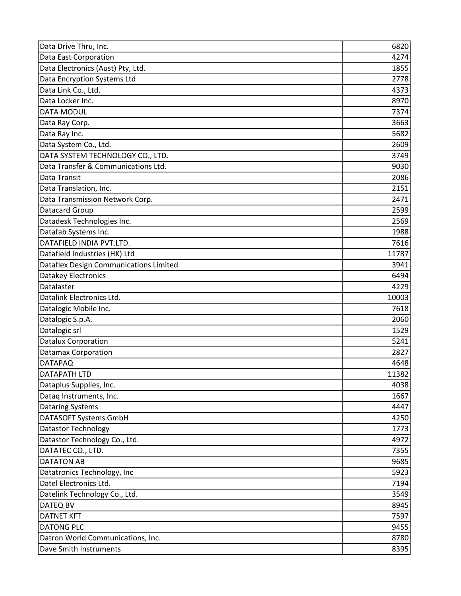| Data Drive Thru, Inc.                  | 6820  |
|----------------------------------------|-------|
| Data East Corporation                  | 4274  |
| Data Electronics (Aust) Pty, Ltd.      | 1855  |
| Data Encryption Systems Ltd            | 2778  |
| Data Link Co., Ltd.                    | 4373  |
| Data Locker Inc.                       | 8970  |
| <b>DATA MODUL</b>                      | 7374  |
| Data Ray Corp.                         | 3663  |
| Data Ray Inc.                          | 5682  |
| Data System Co., Ltd.                  | 2609  |
| DATA SYSTEM TECHNOLOGY CO., LTD.       | 3749  |
| Data Transfer & Communications Ltd.    | 9030  |
| Data Transit                           | 2086  |
| Data Translation, Inc.                 | 2151  |
| Data Transmission Network Corp.        | 2471  |
| Datacard Group                         | 2599  |
| Datadesk Technologies Inc.             | 2569  |
| Datafab Systems Inc.                   | 1988  |
| DATAFIELD INDIA PVT.LTD.               | 7616  |
| Datafield Industries (HK) Ltd          | 11787 |
| Dataflex Design Communications Limited | 3941  |
| <b>Datakey Electronics</b>             | 6494  |
| Datalaster                             | 4229  |
| Datalink Electronics Ltd.              | 10003 |
| Datalogic Mobile Inc.                  | 7618  |
| Datalogic S.p.A.                       | 2060  |
| Datalogic srl                          | 1529  |
| <b>Datalux Corporation</b>             | 5241  |
| <b>Datamax Corporation</b>             | 2827  |
| <b>DATAPAQ</b>                         | 4648  |
| <b>DATAPATH LTD</b>                    | 11382 |
| Dataplus Supplies, Inc.                | 4038  |
| Dataq Instruments, Inc.                | 1667  |
| <b>Dataring Systems</b>                | 4447  |
| <b>DATASOFT Systems GmbH</b>           | 4250  |
| <b>Datastor Technology</b>             | 1773  |
| Datastor Technology Co., Ltd.          | 4972  |
| DATATEC CO., LTD.                      | 7355  |
| <b>DATATON AB</b>                      | 9685  |
| Datatronics Technology, Inc            | 5923  |
| Datel Electronics Ltd.                 | 7194  |
| Datelink Technology Co., Ltd.          | 3549  |
| DATEQ BV                               | 8945  |
| <b>DATNET KFT</b>                      | 7597  |
| <b>DATONG PLC</b>                      | 9455  |
| Datron World Communications, Inc.      | 8780  |
| Dave Smith Instruments                 | 8395  |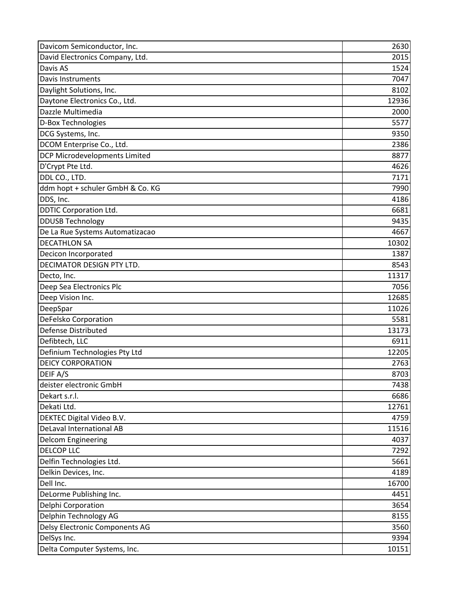| Davicom Semiconductor, Inc.      | 2630  |
|----------------------------------|-------|
| David Electronics Company, Ltd.  | 2015  |
| Davis AS                         | 1524  |
| Davis Instruments                | 7047  |
| Daylight Solutions, Inc.         | 8102  |
| Daytone Electronics Co., Ltd.    | 12936 |
| Dazzle Multimedia                | 2000  |
| D-Box Technologies               | 5577  |
| DCG Systems, Inc.                | 9350  |
| DCOM Enterprise Co., Ltd.        | 2386  |
| DCP Microdevelopments Limited    | 8877  |
| D'Crypt Pte Ltd.                 | 4626  |
| DDL CO., LTD.                    | 7171  |
| ddm hopt + schuler GmbH & Co. KG | 7990  |
| DDS, Inc.                        | 4186  |
| <b>DDTIC Corporation Ltd.</b>    | 6681  |
| <b>DDUSB Technology</b>          | 9435  |
| De La Rue Systems Automatizacao  | 4667  |
| <b>DECATHLON SA</b>              | 10302 |
| Decicon Incorporated             | 1387  |
| <b>DECIMATOR DESIGN PTY LTD.</b> | 8543  |
| Decto, Inc.                      | 11317 |
| Deep Sea Electronics Plc         | 7056  |
| Deep Vision Inc.                 | 12685 |
| DeepSpar                         | 11026 |
| DeFelsko Corporation             | 5581  |
| Defense Distributed              | 13173 |
| Defibtech, LLC                   | 6911  |
| Definium Technologies Pty Ltd    | 12205 |
| <b>DEICY CORPORATION</b>         | 2763  |
| DEIF A/S                         | 8703  |
| deister electronic GmbH          | 7438  |
| Dekart s.r.l.                    | 6686  |
| Dekati Ltd.                      | 12761 |
| DEKTEC Digital Video B.V.        | 4759  |
| DeLaval International AB         | 11516 |
| <b>Delcom Engineering</b>        | 4037  |
| <b>DELCOP LLC</b>                | 7292  |
| Delfin Technologies Ltd.         | 5661  |
| Delkin Devices, Inc.             | 4189  |
| Dell Inc.                        | 16700 |
| DeLorme Publishing Inc.          | 4451  |
| Delphi Corporation               | 3654  |
| Delphin Technology AG            | 8155  |
| Delsy Electronic Components AG   | 3560  |
| DelSys Inc.                      | 9394  |
| Delta Computer Systems, Inc.     | 10151 |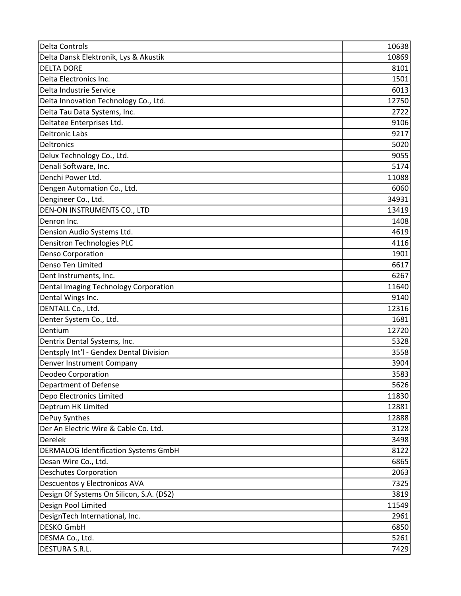| <b>Delta Controls</b>                       | 10638 |
|---------------------------------------------|-------|
| Delta Dansk Elektronik, Lys & Akustik       | 10869 |
| <b>DELTA DORE</b>                           | 8101  |
| Delta Electronics Inc.                      | 1501  |
| Delta Industrie Service                     | 6013  |
| Delta Innovation Technology Co., Ltd.       | 12750 |
| Delta Tau Data Systems, Inc.                | 2722  |
| Deltatee Enterprises Ltd.                   | 9106  |
| <b>Deltronic Labs</b>                       | 9217  |
| Deltronics                                  | 5020  |
| Delux Technology Co., Ltd.                  | 9055  |
| Denali Software, Inc.                       | 5174  |
| Denchi Power Ltd.                           | 11088 |
| Dengen Automation Co., Ltd.                 | 6060  |
| Dengineer Co., Ltd.                         | 34931 |
| DEN-ON INSTRUMENTS CO., LTD                 | 13419 |
| Denron Inc.                                 | 1408  |
| Dension Audio Systems Ltd.                  | 4619  |
| <b>Densitron Technologies PLC</b>           | 4116  |
| <b>Denso Corporation</b>                    | 1901  |
| Denso Ten Limited                           | 6617  |
| Dent Instruments, Inc.                      | 6267  |
| Dental Imaging Technology Corporation       | 11640 |
| Dental Wings Inc.                           | 9140  |
| DENTALL Co., Ltd.                           | 12316 |
| Denter System Co., Ltd.                     | 1681  |
| Dentium                                     | 12720 |
| Dentrix Dental Systems, Inc.                | 5328  |
| Dentsply Int'l - Gendex Dental Division     | 3558  |
| Denver Instrument Company                   | 3904  |
| Deodeo Corporation                          | 3583  |
| <b>Department of Defense</b>                | 5626  |
| Depo Electronics Limited                    | 11830 |
| Deptrum HK Limited                          | 12881 |
| DePuy Synthes                               | 12888 |
| Der An Electric Wire & Cable Co. Ltd.       | 3128  |
| <b>Derelek</b>                              | 3498  |
| <b>DERMALOG Identification Systems GmbH</b> | 8122  |
| Desan Wire Co., Ltd.                        | 6865  |
| <b>Deschutes Corporation</b>                | 2063  |
| Descuentos y Electronicos AVA               | 7325  |
| Design Of Systems On Silicon, S.A. (DS2)    | 3819  |
| Design Pool Limited                         | 11549 |
| DesignTech International, Inc.              | 2961  |
| <b>DESKO GmbH</b>                           | 6850  |
| DESMA Co., Ltd.                             | 5261  |
| <b>DESTURA S.R.L.</b>                       | 7429  |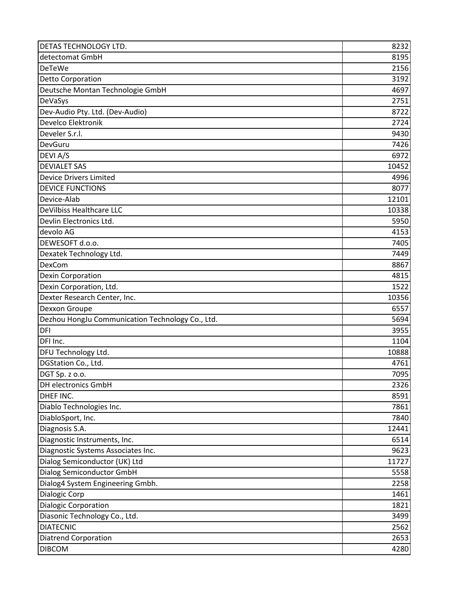| DETAS TECHNOLOGY LTD.                            | 8232  |
|--------------------------------------------------|-------|
| detectomat GmbH                                  | 8195  |
| <b>DeTeWe</b>                                    | 2156  |
| <b>Detto Corporation</b>                         | 3192  |
| Deutsche Montan Technologie GmbH                 | 4697  |
| DeVaSys                                          | 2751  |
| Dev-Audio Pty. Ltd. (Dev-Audio)                  | 8722  |
| Develco Elektronik                               | 2724  |
| Develer S.r.l.                                   | 9430  |
| DevGuru                                          | 7426  |
| DEVI A/S                                         | 6972  |
| <b>DEVIALET SAS</b>                              | 10452 |
| <b>Device Drivers Limited</b>                    | 4996  |
| <b>DEVICE FUNCTIONS</b>                          | 8077  |
| Device-Alab                                      | 12101 |
| DeVilbiss Healthcare LLC                         | 10338 |
| Devlin Electronics Ltd.                          | 5950  |
| devolo AG                                        | 4153  |
| DEWESOFT d.o.o.                                  | 7405  |
| Dexatek Technology Ltd.                          | 7449  |
| DexCom                                           | 8867  |
| <b>Dexin Corporation</b>                         | 4815  |
| Dexin Corporation, Ltd.                          | 1522  |
| Dexter Research Center, Inc.                     | 10356 |
| Dexxon Groupe                                    | 6557  |
| Dezhou HongJu Communication Technology Co., Ltd. | 5694  |
| <b>DFI</b>                                       | 3955  |
| DFI Inc.                                         | 1104  |
| DFU Technology Ltd.                              | 10888 |
| DGStation Co., Ltd.                              | 4761  |
| DGT Sp. z o.o.                                   | 7095  |
| <b>DH</b> electronics GmbH                       | 2326  |
| DHEF INC.                                        | 8591  |
| Diablo Technologies Inc.                         | 7861  |
| DiabloSport, Inc.                                | 7840  |
| Diagnosis S.A.                                   | 12441 |
| Diagnostic Instruments, Inc.                     | 6514  |
| Diagnostic Systems Associates Inc.               | 9623  |
| Dialog Semiconductor (UK) Ltd                    | 11727 |
| <b>Dialog Semiconductor GmbH</b>                 | 5558  |
| Dialog4 System Engineering Gmbh.                 | 2258  |
| <b>Dialogic Corp</b>                             | 1461  |
| <b>Dialogic Corporation</b>                      | 1821  |
| Diasonic Technology Co., Ltd.                    | 3499  |
| <b>DIATECNIC</b>                                 | 2562  |
| <b>Diatrend Corporation</b>                      | 2653  |
| <b>DIBCOM</b>                                    | 4280  |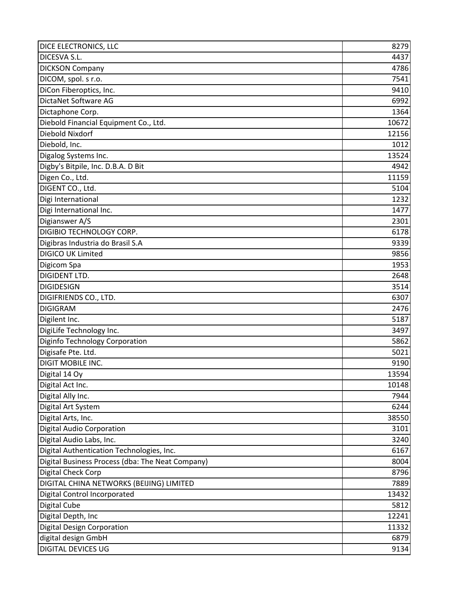| DICE ELECTRONICS, LLC                            | 8279  |
|--------------------------------------------------|-------|
| DICESVA S.L.                                     | 4437  |
| <b>DICKSON Company</b>                           | 4786  |
| DICOM, spol. s r.o.                              | 7541  |
| DiCon Fiberoptics, Inc.                          | 9410  |
| DictaNet Software AG                             | 6992  |
| Dictaphone Corp.                                 | 1364  |
| Diebold Financial Equipment Co., Ltd.            | 10672 |
| Diebold Nixdorf                                  | 12156 |
| Diebold, Inc.                                    | 1012  |
| Digalog Systems Inc.                             | 13524 |
| Digby's Bitpile, Inc. D.B.A. D Bit               | 4942  |
| Digen Co., Ltd.                                  | 11159 |
| DIGENT CO., Ltd.                                 | 5104  |
| Digi International                               | 1232  |
| Digi International Inc.                          | 1477  |
| Digianswer A/S                                   | 2301  |
| DIGIBIO TECHNOLOGY CORP.                         | 6178  |
| Digibras Industria do Brasil S.A                 | 9339  |
| <b>DIGICO UK Limited</b>                         | 9856  |
| Digicom Spa                                      | 1953  |
| DIGIDENT LTD.                                    | 2648  |
| <b>DIGIDESIGN</b>                                | 3514  |
| DIGIFRIENDS CO., LTD.                            | 6307  |
| <b>DIGIGRAM</b>                                  | 2476  |
| Digilent Inc.                                    | 5187  |
| DigiLife Technology Inc.                         | 3497  |
| Diginfo Technology Corporation                   | 5862  |
| Digisafe Pte. Ltd.                               | 5021  |
| <b>DIGIT MOBILE INC.</b>                         | 9190  |
| Digital 14 Oy                                    | 13594 |
| Digital Act Inc.                                 | 10148 |
| Digital Ally Inc.                                | 7944  |
| Digital Art System                               | 6244  |
| Digital Arts, Inc.                               | 38550 |
| <b>Digital Audio Corporation</b>                 | 3101  |
| Digital Audio Labs, Inc.                         | 3240  |
| Digital Authentication Technologies, Inc.        | 6167  |
| Digital Business Process (dba: The Neat Company) | 8004  |
| Digital Check Corp                               | 8796  |
| DIGITAL CHINA NETWORKS (BEIJING) LIMITED         | 7889  |
| Digital Control Incorporated                     | 13432 |
| Digital Cube                                     | 5812  |
| Digital Depth, Inc                               | 12241 |
| <b>Digital Design Corporation</b>                | 11332 |
| digital design GmbH                              | 6879  |
| <b>DIGITAL DEVICES UG</b>                        | 9134  |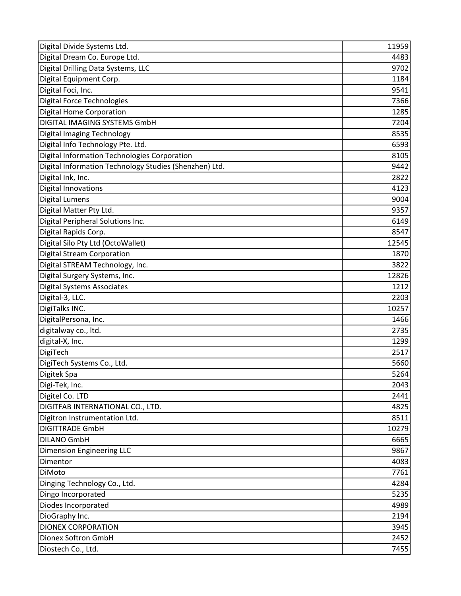| Digital Divide Systems Ltd.                            | 11959 |
|--------------------------------------------------------|-------|
| Digital Dream Co. Europe Ltd.                          | 4483  |
| Digital Drilling Data Systems, LLC                     | 9702  |
| Digital Equipment Corp.                                | 1184  |
| Digital Foci, Inc.                                     | 9541  |
| <b>Digital Force Technologies</b>                      | 7366  |
| <b>Digital Home Corporation</b>                        | 1285  |
| <b>DIGITAL IMAGING SYSTEMS GmbH</b>                    | 7204  |
| <b>Digital Imaging Technology</b>                      | 8535  |
| Digital Info Technology Pte. Ltd.                      | 6593  |
| Digital Information Technologies Corporation           | 8105  |
| Digital Information Technology Studies (Shenzhen) Ltd. | 9442  |
| Digital Ink, Inc.                                      | 2822  |
| <b>Digital Innovations</b>                             | 4123  |
| <b>Digital Lumens</b>                                  | 9004  |
| Digital Matter Pty Ltd.                                | 9357  |
| Digital Peripheral Solutions Inc.                      | 6149  |
| Digital Rapids Corp.                                   | 8547  |
| Digital Silo Pty Ltd (OctoWallet)                      | 12545 |
| <b>Digital Stream Corporation</b>                      | 1870  |
| Digital STREAM Technology, Inc.                        | 3822  |
| Digital Surgery Systems, Inc.                          | 12826 |
| <b>Digital Systems Associates</b>                      | 1212  |
| Digital-3, LLC.                                        | 2203  |
| DigiTalks INC.                                         | 10257 |
| DigitalPersona, Inc.                                   | 1466  |
| digitalway co., ltd.                                   | 2735  |
| digital-X, Inc.                                        | 1299  |
| DigiTech                                               | 2517  |
| DigiTech Systems Co., Ltd.                             | 5660  |
| Digitek Spa                                            | 5264  |
| Digi-Tek, Inc.                                         | 2043  |
| Digitel Co. LTD                                        | 2441  |
| DIGITFAB INTERNATIONAL CO., LTD.                       | 4825  |
| Digitron Instrumentation Ltd.                          | 8511  |
| <b>DIGITTRADE GmbH</b>                                 | 10279 |
| <b>DILANO GmbH</b>                                     | 6665  |
| <b>Dimension Engineering LLC</b>                       | 9867  |
| Dimentor                                               | 4083  |
| DiMoto                                                 | 7761  |
| Dinging Technology Co., Ltd.                           | 4284  |
| Dingo Incorporated                                     | 5235  |
| Diodes Incorporated                                    | 4989  |
| DioGraphy Inc.                                         | 2194  |
| <b>DIONEX CORPORATION</b>                              | 3945  |
| Dionex Softron GmbH                                    | 2452  |
| Diostech Co., Ltd.                                     | 7455  |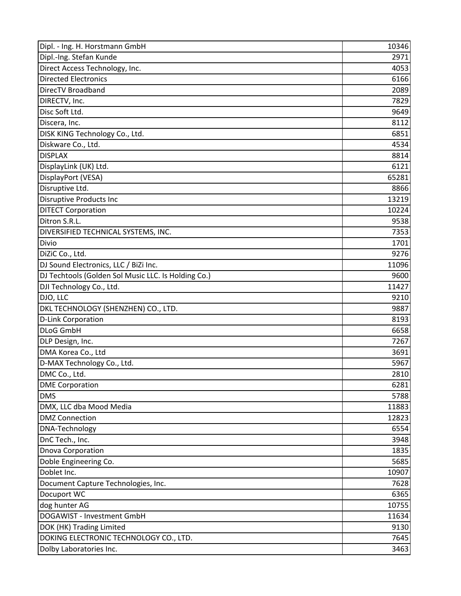| Dipl. - Ing. H. Horstmann GmbH                      | 10346 |
|-----------------------------------------------------|-------|
| Dipl.-Ing. Stefan Kunde                             | 2971  |
| Direct Access Technology, Inc.                      | 4053  |
| <b>Directed Electronics</b>                         | 6166  |
| DirecTV Broadband                                   | 2089  |
| DIRECTV, Inc.                                       | 7829  |
| Disc Soft Ltd.                                      | 9649  |
| Discera, Inc.                                       | 8112  |
| DISK KING Technology Co., Ltd.                      | 6851  |
| Diskware Co., Ltd.                                  | 4534  |
| <b>DISPLAX</b>                                      | 8814  |
| DisplayLink (UK) Ltd.                               | 6121  |
| DisplayPort (VESA)                                  | 65281 |
| Disruptive Ltd.                                     | 8866  |
| <b>Disruptive Products Inc</b>                      | 13219 |
| <b>DITECT Corporation</b>                           | 10224 |
| Ditron S.R.L.                                       | 9538  |
| DIVERSIFIED TECHNICAL SYSTEMS, INC.                 | 7353  |
| Divio                                               | 1701  |
| DiZiC Co., Ltd.                                     | 9276  |
| DJ Sound Electronics, LLC / BiZi Inc.               | 11096 |
| DJ Techtools (Golden Sol Music LLC. Is Holding Co.) | 9600  |
| DJI Technology Co., Ltd.                            | 11427 |
| DJO, LLC                                            | 9210  |
| DKL TECHNOLOGY (SHENZHEN) CO., LTD.                 | 9887  |
| D-Link Corporation                                  | 8193  |
| <b>DLoG GmbH</b>                                    | 6658  |
| DLP Design, Inc.                                    | 7267  |
| DMA Korea Co., Ltd                                  | 3691  |
| D-MAX Technology Co., Ltd.                          | 5967  |
| DMC Co., Ltd.                                       | 2810  |
| <b>DME</b> Corporation                              | 6281  |
| <b>DMS</b>                                          | 5788  |
| DMX, LLC dba Mood Media                             | 11883 |
| <b>DMZ Connection</b>                               | 12823 |
| DNA-Technology                                      | 6554  |
| DnC Tech., Inc.                                     | 3948  |
| Dnova Corporation                                   | 1835  |
| Doble Engineering Co.                               | 5685  |
| Doblet Inc.                                         | 10907 |
| Document Capture Technologies, Inc.                 | 7628  |
| Docuport WC                                         | 6365  |
| dog hunter AG                                       | 10755 |
| DOGAWIST - Investment GmbH                          | 11634 |
| DOK (HK) Trading Limited                            | 9130  |
| DOKING ELECTRONIC TECHNOLOGY CO., LTD.              | 7645  |
| Dolby Laboratories Inc.                             | 3463  |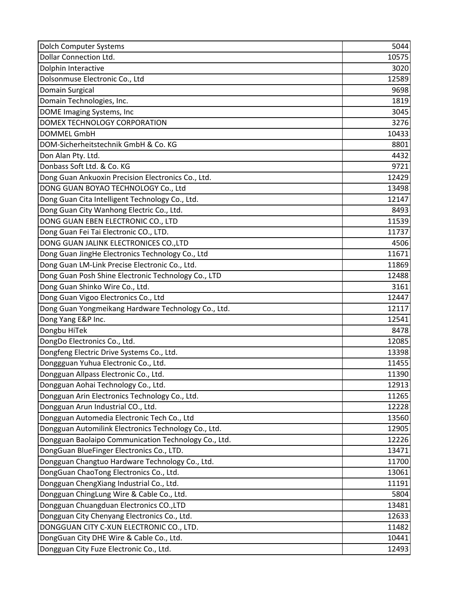| Dolch Computer Systems                               | 5044  |
|------------------------------------------------------|-------|
| <b>Dollar Connection Ltd.</b>                        | 10575 |
| Dolphin Interactive                                  | 3020  |
| Dolsonmuse Electronic Co., Ltd                       | 12589 |
| <b>Domain Surgical</b>                               | 9698  |
| Domain Technologies, Inc.                            | 1819  |
| DOME Imaging Systems, Inc                            | 3045  |
| DOMEX TECHNOLOGY CORPORATION                         | 3276  |
| <b>DOMMEL GmbH</b>                                   | 10433 |
| DOM-Sicherheitstechnik GmbH & Co. KG                 | 8801  |
| Don Alan Pty. Ltd.                                   | 4432  |
| Donbass Soft Ltd. & Co. KG                           | 9721  |
| Dong Guan Ankuoxin Precision Electronics Co., Ltd.   | 12429 |
| DONG GUAN BOYAO TECHNOLOGY Co., Ltd                  | 13498 |
| Dong Guan Cita Intelligent Technology Co., Ltd.      | 12147 |
| Dong Guan City Wanhong Electric Co., Ltd.            | 8493  |
| DONG GUAN EBEN ELECTRONIC CO., LTD                   | 11539 |
| Dong Guan Fei Tai Electronic CO., LTD.               | 11737 |
| DONG GUAN JALINK ELECTRONICES CO., LTD               | 4506  |
| Dong Guan JingHe Electronics Technology Co., Ltd     | 11671 |
| Dong Guan LM-Link Precise Electronic Co., Ltd.       | 11869 |
| Dong Guan Posh Shine Electronic Technology Co., LTD  | 12488 |
| Dong Guan Shinko Wire Co., Ltd.                      | 3161  |
| Dong Guan Vigoo Electronics Co., Ltd                 | 12447 |
| Dong Guan Yongmeikang Hardware Technology Co., Ltd.  | 12117 |
| Dong Yang E&P Inc.                                   | 12541 |
| Dongbu HiTek                                         | 8478  |
| DongDo Electronics Co., Ltd.                         | 12085 |
| Dongfeng Electric Drive Systems Co., Ltd.            | 13398 |
| Donggguan Yuhua Electronic Co., Ltd.                 | 11455 |
| Dongguan Allpass Electronic Co., Ltd.                | 11390 |
| Dongguan Aohai Technology Co., Ltd.                  | 12913 |
| Dongguan Arin Electronics Technology Co., Ltd.       | 11265 |
| Dongguan Arun Industrial CO., Ltd.                   | 12228 |
| Dongguan Automedia Electronic Tech Co., Ltd          | 13560 |
| Dongguan Automilink Electronics Technology Co., Ltd. | 12905 |
| Dongguan Baolaipo Communication Technology Co., Ltd. | 12226 |
| DongGuan BlueFinger Electronics Co., LTD.            | 13471 |
| Dongguan Changtuo Hardware Technology Co., Ltd.      | 11700 |
| DongGuan ChaoTong Electronics Co., Ltd.              | 13061 |
| Dongguan ChengXiang Industrial Co., Ltd.             | 11191 |
| Dongguan ChingLung Wire & Cable Co., Ltd.            | 5804  |
| Dongguan Chuangduan Electronics CO., LTD             | 13481 |
| Dongguan City Chenyang Electronics Co., Ltd.         | 12633 |
| DONGGUAN CITY C-XUN ELECTRONIC CO., LTD.             | 11482 |
| DongGuan City DHE Wire & Cable Co., Ltd.             | 10441 |
| Dongguan City Fuze Electronic Co., Ltd.              | 12493 |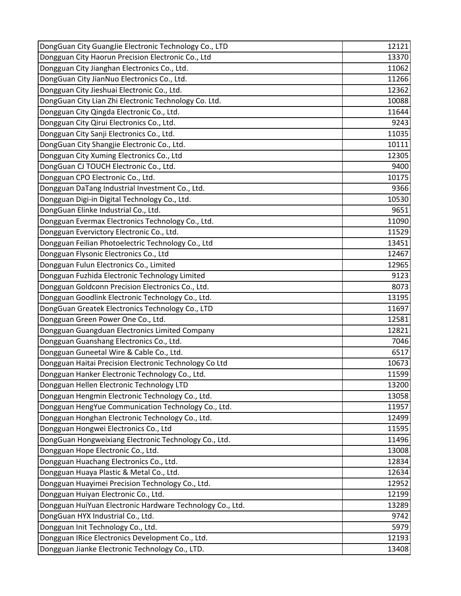| DongGuan City GuangJie Electronic Technology Co., LTD     | 12121 |
|-----------------------------------------------------------|-------|
| Dongguan City Haorun Precision Electronic Co., Ltd        | 13370 |
| Dongguan City Jianghan Electronics Co., Ltd.              | 11062 |
| DongGuan City JianNuo Electronics Co., Ltd.               | 11266 |
| Dongguan City Jieshuai Electronic Co., Ltd.               | 12362 |
| DongGuan City Lian Zhi Electronic Technology Co. Ltd.     | 10088 |
| Dongguan City Qingda Electronic Co., Ltd.                 | 11644 |
| Dongguan City Qirui Electronics Co., Ltd.                 | 9243  |
| Dongguan City Sanji Electronics Co., Ltd.                 | 11035 |
| DongGuan City Shangjie Electronic Co., Ltd.               | 10111 |
| Dongguan City Xuming Electronics Co., Ltd                 | 12305 |
| DongGuan CJ TOUCH Electronic Co., Ltd.                    | 9400  |
| Dongguan CPO Electronic Co., Ltd.                         | 10175 |
| Dongguan DaTang Industrial Investment Co., Ltd.           | 9366  |
| Dongguan Digi-in Digital Technology Co., Ltd.             | 10530 |
| DongGuan Elinke Industrial Co., Ltd.                      | 9651  |
| Dongguan Evermax Electronics Technology Co., Ltd.         | 11090 |
| Dongguan Evervictory Electronic Co., Ltd.                 | 11529 |
| Dongguan Feilian Photoelectric Technology Co., Ltd        | 13451 |
| Dongguan Flysonic Electronics Co., Ltd                    | 12467 |
| Dongguan Fulun Electronics Co., Limited                   | 12965 |
| Dongguan Fuzhida Electronic Technology Limited            | 9123  |
| Dongguan Goldconn Precision Electronics Co., Ltd.         | 8073  |
| Dongguan Goodlink Electronic Technology Co., Ltd.         | 13195 |
| DongGuan Greatek Electronics Technology Co., LTD          | 11697 |
| Dongguan Green Power One Co., Ltd.                        | 12581 |
| Dongguan Guangduan Electronics Limited Company            | 12821 |
| Dongguan Guanshang Electronics Co., Ltd.                  | 7046  |
| Dongguan Guneetal Wire & Cable Co., Ltd.                  | 6517  |
| Dongguan Haitai Precision Electronic Technology Co Ltd    | 10673 |
| Dongguan Hanker Electronic Technology Co., Ltd.           | 11599 |
| Dongguan Hellen Electronic Technology LTD                 | 13200 |
| Dongguan Hengmin Electronic Technology Co., Ltd.          | 13058 |
| Dongguan HengYue Communication Technology Co., Ltd.       | 11957 |
| Dongguan Honghan Electronic Technology Co., Ltd.          | 12499 |
| Dongguan Hongwei Electronics Co., Ltd                     | 11595 |
| DongGuan Hongweixiang Electronic Technology Co., Ltd.     | 11496 |
| Dongguan Hope Electronic Co., Ltd.                        | 13008 |
| Dongguan Huachang Electronics Co., Ltd.                   | 12834 |
| Dongguan Huaya Plastic & Metal Co., Ltd.                  | 12634 |
| Dongguan Huayimei Precision Technology Co., Ltd.          | 12952 |
| Dongguan Huiyan Electronic Co., Ltd.                      | 12199 |
| Dongguan HuiYuan Electronic Hardware Technology Co., Ltd. | 13289 |
| DongGuan HYX Industrial Co., Ltd.                         | 9742  |
| Dongguan Init Technology Co., Ltd.                        | 5979  |
| Dongguan IRice Electronics Development Co., Ltd.          | 12193 |
| Dongguan Jianke Electronic Technology Co., LTD.           | 13408 |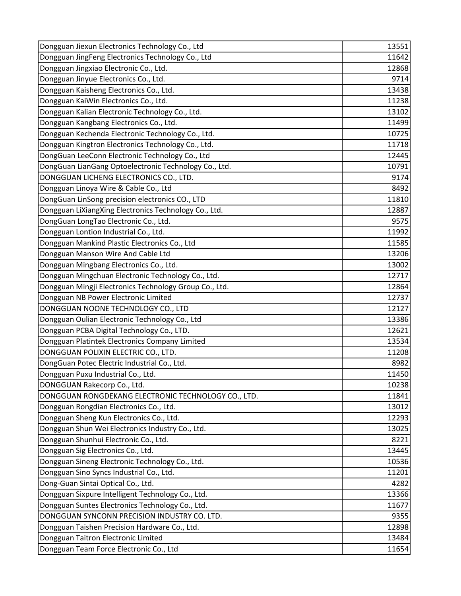| Dongguan Jiexun Electronics Technology Co., Ltd        | 13551 |
|--------------------------------------------------------|-------|
| Dongguan JingFeng Electronics Technology Co., Ltd      | 11642 |
| Dongguan Jingxiao Electronic Co., Ltd.                 | 12868 |
| Dongguan Jinyue Electronics Co., Ltd.                  | 9714  |
| Dongguan Kaisheng Electronics Co., Ltd.                | 13438 |
| Dongguan KaiWin Electronics Co., Ltd.                  | 11238 |
| Dongguan Kalian Electronic Technology Co., Ltd.        | 13102 |
| Dongguan Kangbang Electronics Co., Ltd.                | 11499 |
| Dongguan Kechenda Electronic Technology Co., Ltd.      | 10725 |
| Dongguan Kingtron Electronics Technology Co., Ltd.     | 11718 |
| DongGuan LeeConn Electronic Technology Co., Ltd        | 12445 |
| DongGuan LianGang Optoelectronic Technology Co., Ltd.  | 10791 |
| DONGGUAN LICHENG ELECTRONICS CO., LTD.                 | 9174  |
| Dongguan Linoya Wire & Cable Co., Ltd                  | 8492  |
| DongGuan LinSong precision electronics CO., LTD        | 11810 |
| Dongguan LiXiangXing Electronics Technology Co., Ltd.  | 12887 |
| DongGuan LongTao Electronic Co., Ltd.                  | 9575  |
| Dongguan Lontion Industrial Co., Ltd.                  | 11992 |
| Dongguan Mankind Plastic Electronics Co., Ltd          | 11585 |
| Dongguan Manson Wire And Cable Ltd                     | 13206 |
| Dongguan Mingbang Electronics Co., Ltd.                | 13002 |
| Dongguan Mingchuan Electronic Technology Co., Ltd.     | 12717 |
| Dongguan Mingji Electronics Technology Group Co., Ltd. | 12864 |
| Dongguan NB Power Electronic Limited                   | 12737 |
| DONGGUAN NOONE TECHNOLOGY CO., LTD                     | 12127 |
| Dongguan Oulian Electronic Technology Co., Ltd         | 13386 |
| Dongguan PCBA Digital Technology Co., LTD.             | 12621 |
| Dongguan Platintek Electronics Company Limited         | 13534 |
| DONGGUAN POLIXIN ELECTRIC CO., LTD.                    | 11208 |
| DongGuan Potec Electric Industrial Co., Ltd.           | 8982  |
| Dongguan Puxu Industrial Co., Ltd.                     | 11450 |
| DONGGUAN Rakecorp Co., Ltd.                            | 10238 |
| DONGGUAN RONGDEKANG ELECTRONIC TECHNOLOGY CO., LTD.    | 11841 |
| Dongguan Rongdian Electronics Co., Ltd.                | 13012 |
| Dongguan Sheng Kun Electronics Co., Ltd.               | 12293 |
| Dongguan Shun Wei Electronics Industry Co., Ltd.       | 13025 |
| Dongguan Shunhui Electronic Co., Ltd.                  | 8221  |
| Dongguan Sig Electronics Co., Ltd.                     | 13445 |
| Dongguan Sineng Electronic Technology Co., Ltd.        | 10536 |
| Dongguan Sino Syncs Industrial Co., Ltd.               | 11201 |
| Dong-Guan Sintai Optical Co., Ltd.                     | 4282  |
| Dongguan Sixpure Intelligent Technology Co., Ltd.      | 13366 |
| Dongguan Suntes Electronics Technology Co., Ltd.       | 11677 |
| DONGGUAN SYNCONN PRECISION INDUSTRY CO. LTD.           | 9355  |
| Dongguan Taishen Precision Hardware Co., Ltd.          | 12898 |
| Dongguan Taitron Electronic Limited                    | 13484 |
| Dongguan Team Force Electronic Co., Ltd                | 11654 |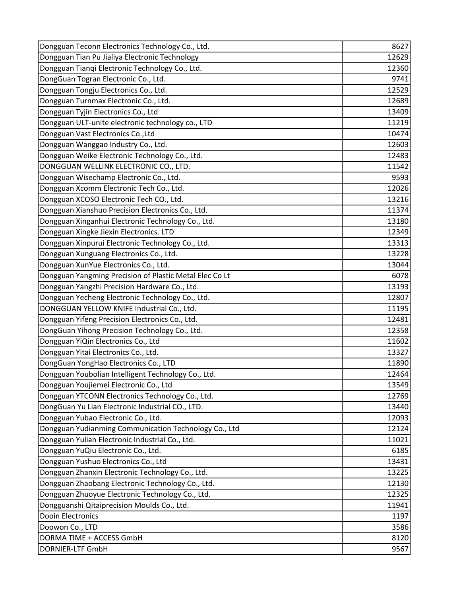| Dongguan Teconn Electronics Technology Co., Ltd.        | 8627  |
|---------------------------------------------------------|-------|
| Dongguan Tian Pu Jialiya Electronic Technology          | 12629 |
| Dongguan Tianqi Electronic Technology Co., Ltd.         | 12360 |
| DongGuan Togran Electronic Co., Ltd.                    | 9741  |
| Dongguan Tongju Electronics Co., Ltd.                   | 12529 |
| Dongguan Turnmax Electronic Co., Ltd.                   | 12689 |
| Dongguan Tyjin Electronics Co., Ltd                     | 13409 |
| Dongguan ULT-unite electronic technology co., LTD       | 11219 |
| Dongguan Vast Electronics Co., Ltd                      | 10474 |
| Dongguan Wanggao Industry Co., Ltd.                     | 12603 |
| Dongguan Weike Electronic Technology Co., Ltd.          | 12483 |
| DONGGUAN WELLINK ELECTRONIC CO., LTD.                   | 11542 |
| Dongguan Wisechamp Electronic Co., Ltd.                 | 9593  |
| Dongguan Xcomm Electronic Tech Co., Ltd.                | 12026 |
| Dongguan XCOSO Electronic Tech CO., Ltd.                | 13216 |
| Dongguan Xianshuo Precision Electronics Co., Ltd.       | 11374 |
| Dongguan Xinganhui Electronic Technology Co., Ltd.      | 13180 |
| Dongguan Xingke Jiexin Electronics. LTD                 | 12349 |
| Dongguan Xinpurui Electronic Technology Co., Ltd.       | 13313 |
| Dongguan Xunguang Electronics Co., Ltd.                 | 13228 |
| Dongguan XunYue Electronics Co., Ltd.                   | 13044 |
| Dongguan Yangming Precision of Plastic Metal Elec Co Lt | 6078  |
| Dongguan Yangzhi Precision Hardware Co., Ltd.           | 13193 |
| Dongguan Yecheng Electronic Technology Co., Ltd.        | 12807 |
| DONGGUAN YELLOW KNIFE Industrial Co., Ltd.              | 11195 |
| Dongguan Yifeng Precision Electronics Co., Ltd.         | 12481 |
| DongGuan Yihong Precision Technology Co., Ltd.          | 12358 |
| Dongguan YiQin Electronics Co., Ltd                     | 11602 |
| Dongguan Yitai Electronics Co., Ltd.                    | 13327 |
| DongGuan YongHao Electronics Co., LTD                   | 11890 |
| Dongguan Youbolian Intelligent Technology Co., Ltd.     | 12464 |
| Dongguan Youjiemei Electronic Co., Ltd                  | 13549 |
| Dongguan YTCONN Electronics Technology Co., Ltd.        | 12769 |
| DongGuan Yu Lian Electronic Industrial CO., LTD.        | 13440 |
| Dongguan Yubao Electronic Co., Ltd.                     | 12093 |
| Dongguan Yudianming Communication Technology Co., Ltd   | 12124 |
| Dongguan Yulian Electronic Industrial Co., Ltd.         | 11021 |
| Dongguan YuQiu Electronic Co., Ltd.                     | 6185  |
| Dongguan Yushuo Electronics Co., Ltd                    | 13431 |
| Dongguan Zhanxin Electronic Technology Co., Ltd.        | 13225 |
| Dongguan Zhaobang Electronic Technology Co., Ltd.       | 12130 |
| Dongguan Zhuoyue Electronic Technology Co., Ltd.        | 12325 |
| Dongguanshi Qitaiprecision Moulds Co., Ltd.             | 11941 |
| <b>Dooin Electronics</b>                                | 1197  |
| Doowon Co., LTD                                         | 3586  |
| DORMA TIME + ACCESS GmbH                                | 8120  |
| <b>DORNIER-LTF GmbH</b>                                 | 9567  |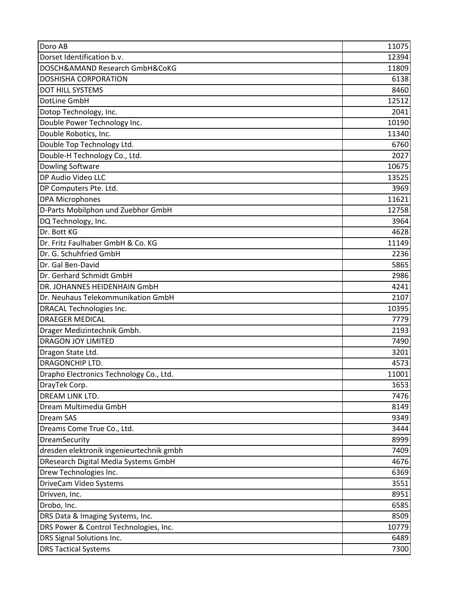| Doro AB                                  | 11075 |
|------------------------------------------|-------|
| Dorset Identification b.v.               | 12394 |
| DOSCH&AMAND Research GmbH&CoKG           | 11809 |
| <b>DOSHISHA CORPORATION</b>              | 6138  |
| <b>DOT HILL SYSTEMS</b>                  | 8460  |
| DotLine GmbH                             | 12512 |
| Dotop Technology, Inc.                   | 2041  |
| Double Power Technology Inc.             | 10190 |
| Double Robotics, Inc.                    | 11340 |
| Double Top Technology Ltd.               | 6760  |
| Double-H Technology Co., Ltd.            | 2027  |
| Dowling Software                         | 10675 |
| DP Audio Video LLC                       | 13525 |
| DP Computers Pte. Ltd.                   | 3969  |
| <b>DPA Microphones</b>                   | 11621 |
| D-Parts Mobilphon und Zuebhor GmbH       | 12758 |
| DQ Technology, Inc.                      | 3964  |
| Dr. Bott KG                              | 4628  |
| Dr. Fritz Faulhaber GmbH & Co. KG        | 11149 |
| Dr. G. Schuhfried GmbH                   | 2236  |
| Dr. Gal Ben-David                        | 5865  |
| Dr. Gerhard Schmidt GmbH                 | 2986  |
| DR. JOHANNES HEIDENHAIN GmbH             | 4241  |
| Dr. Neuhaus Telekommunikation GmbH       | 2107  |
| DRACAL Technologies Inc.                 | 10395 |
| <b>DRAEGER MEDICAL</b>                   | 7779  |
| Drager Medizintechnik Gmbh.              | 2193  |
| <b>DRAGON JOY LIMITED</b>                | 7490  |
| Dragon State Ltd.                        | 3201  |
| DRAGONCHIP LTD.                          | 4573  |
| Drapho Electronics Technology Co., Ltd.  | 11001 |
| DrayTek Corp.                            | 1653  |
| DREAM LINK LTD.                          | 7476  |
| Dream Multimedia GmbH                    | 8149  |
| Dream SAS                                | 9349  |
| Dreams Come True Co., Ltd.               | 3444  |
| DreamSecurity                            | 8999  |
| dresden elektronik ingenieurtechnik gmbh | 7409  |
| DResearch Digital Media Systems GmbH     | 4676  |
| Drew Technologies Inc.                   | 6369  |
| DriveCam Video Systems                   | 3551  |
| Drivven, Inc.                            | 8951  |
| Drobo, Inc.                              | 6585  |
| DRS Data & Imaging Systems, Inc.         | 8509  |
| DRS Power & Control Technologies, Inc.   | 10779 |
| DRS Signal Solutions Inc.                | 6489  |
| <b>DRS Tactical Systems</b>              | 7300  |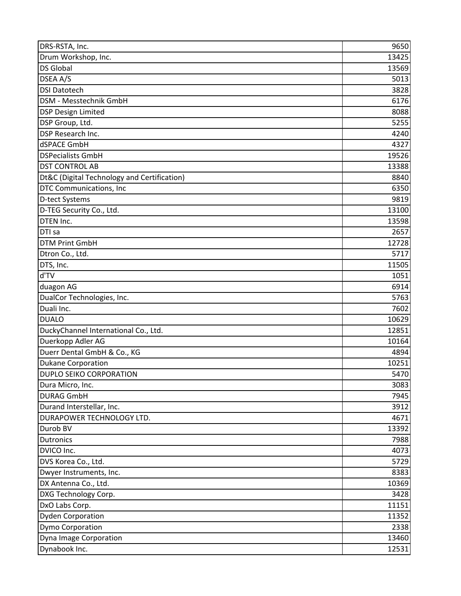| DRS-RSTA, Inc.                              | 9650  |
|---------------------------------------------|-------|
| Drum Workshop, Inc.                         | 13425 |
| <b>DS Global</b>                            | 13569 |
| <b>DSEA A/S</b>                             | 5013  |
| <b>DSI Datotech</b>                         | 3828  |
| DSM - Messtechnik GmbH                      | 6176  |
| <b>DSP Design Limited</b>                   | 8088  |
| DSP Group, Ltd.                             | 5255  |
| DSP Research Inc.                           | 4240  |
| dSPACE GmbH                                 | 4327  |
| <b>DSPecialists GmbH</b>                    | 19526 |
| <b>DST CONTROL AB</b>                       | 13388 |
| Dt&C (Digital Technology and Certification) | 8840  |
| DTC Communications, Inc                     | 6350  |
| <b>D-tect Systems</b>                       | 9819  |
| D-TEG Security Co., Ltd.                    | 13100 |
| DTEN Inc.                                   | 13598 |
| DTI sa                                      | 2657  |
| <b>DTM Print GmbH</b>                       | 12728 |
| Dtron Co., Ltd.                             | 5717  |
| DTS, Inc.                                   | 11505 |
| d'TV                                        | 1051  |
| duagon AG                                   | 6914  |
| DualCor Technologies, Inc.                  | 5763  |
| Duali Inc.                                  | 7602  |
| <b>DUALO</b>                                | 10629 |
| DuckyChannel International Co., Ltd.        | 12851 |
| Duerkopp Adler AG                           | 10164 |
| Duerr Dental GmbH & Co., KG                 | 4894  |
| <b>Dukane Corporation</b>                   | 10251 |
| DUPLO SEIKO CORPORATION                     | 5470  |
| Dura Micro, Inc.                            | 3083  |
| <b>DURAG GmbH</b>                           | 7945  |
| Durand Interstellar, Inc.                   | 3912  |
| DURAPOWER TECHNOLOGY LTD.                   | 4671  |
| Durob BV                                    | 13392 |
| <b>Dutronics</b>                            | 7988  |
| DVICO Inc.                                  | 4073  |
| DVS Korea Co., Ltd.                         | 5729  |
| Dwyer Instruments, Inc.                     | 8383  |
| DX Antenna Co., Ltd.                        | 10369 |
| DXG Technology Corp.                        | 3428  |
| DxO Labs Corp.                              | 11151 |
| <b>Dyden Corporation</b>                    | 11352 |
| Dymo Corporation                            | 2338  |
| Dyna Image Corporation                      | 13460 |
| Dynabook Inc.                               | 12531 |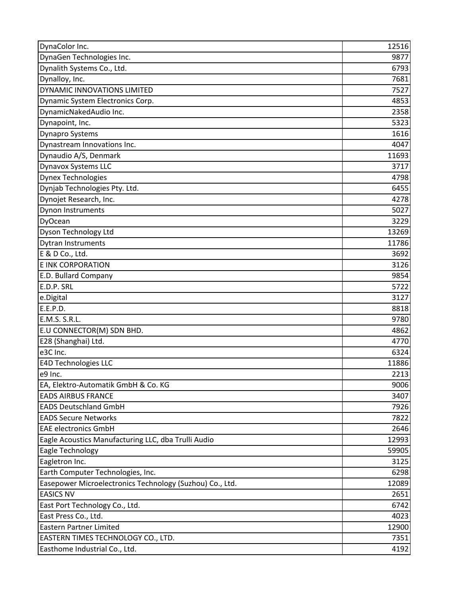| DynaColor Inc.                                           | 12516 |
|----------------------------------------------------------|-------|
| DynaGen Technologies Inc.                                | 9877  |
| Dynalith Systems Co., Ltd.                               | 6793  |
| Dynalloy, Inc.                                           | 7681  |
| DYNAMIC INNOVATIONS LIMITED                              | 7527  |
| Dynamic System Electronics Corp.                         | 4853  |
| DynamicNakedAudio Inc.                                   | 2358  |
| Dynapoint, Inc.                                          | 5323  |
| <b>Dynapro Systems</b>                                   | 1616  |
| Dynastream Innovations Inc.                              | 4047  |
| Dynaudio A/S, Denmark                                    | 11693 |
| <b>Dynavox Systems LLC</b>                               | 3717  |
| <b>Dynex Technologies</b>                                | 4798  |
| Dynjab Technologies Pty. Ltd.                            | 6455  |
| Dynojet Research, Inc.                                   | 4278  |
| <b>Dynon Instruments</b>                                 | 5027  |
| DyOcean                                                  | 3229  |
| Dyson Technology Ltd                                     | 13269 |
| <b>Dytran Instruments</b>                                | 11786 |
| E & D Co., Ltd.                                          | 3692  |
| <b>E INK CORPORATION</b>                                 | 3126  |
| E.D. Bullard Company                                     | 9854  |
| E.D.P. SRL                                               | 5722  |
| e.Digital                                                | 3127  |
| E.E.P.D.                                                 | 8818  |
| E.M.S. S.R.L.                                            | 9780  |
| E.U CONNECTOR(M) SDN BHD.                                | 4862  |
| E28 (Shanghai) Ltd.                                      | 4770  |
| e3C Inc.                                                 | 6324  |
| <b>E4D Technologies LLC</b>                              | 11886 |
| e9 Inc.                                                  | 2213  |
| EA, Elektro-Automatik GmbH & Co. KG                      | 9006  |
| <b>EADS AIRBUS FRANCE</b>                                | 3407  |
| <b>EADS Deutschland GmbH</b>                             | 7926  |
| <b>EADS Secure Networks</b>                              | 7822  |
| <b>EAE electronics GmbH</b>                              | 2646  |
| Eagle Acoustics Manufacturing LLC, dba Trulli Audio      | 12993 |
| Eagle Technology                                         | 59905 |
| Eagletron Inc.                                           | 3125  |
| Earth Computer Technologies, Inc.                        | 6298  |
| Easepower Microelectronics Technology (Suzhou) Co., Ltd. | 12089 |
| <b>EASICS NV</b>                                         | 2651  |
| East Port Technology Co., Ltd.                           | 6742  |
| East Press Co., Ltd.                                     | 4023  |
| <b>Eastern Partner Limited</b>                           | 12900 |
| EASTERN TIMES TECHNOLOGY CO., LTD.                       | 7351  |
| Easthome Industrial Co., Ltd.                            | 4192  |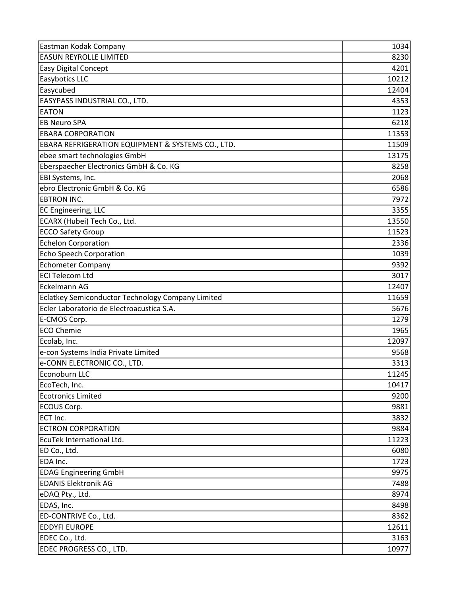| Eastman Kodak Company                             | 1034  |
|---------------------------------------------------|-------|
| <b>EASUN REYROLLE LIMITED</b>                     | 8230  |
| <b>Easy Digital Concept</b>                       | 4201  |
| Easybotics LLC                                    | 10212 |
| Easycubed                                         | 12404 |
| EASYPASS INDUSTRIAL CO., LTD.                     | 4353  |
| <b>EATON</b>                                      | 1123  |
| <b>EB Neuro SPA</b>                               | 6218  |
| <b>EBARA CORPORATION</b>                          | 11353 |
| EBARA REFRIGERATION EQUIPMENT & SYSTEMS CO., LTD. | 11509 |
| ebee smart technologies GmbH                      | 13175 |
| Eberspaecher Electronics GmbH & Co. KG            | 8258  |
| EBI Systems, Inc.                                 | 2068  |
| ebro Electronic GmbH & Co. KG                     | 6586  |
| <b>EBTRON INC.</b>                                | 7972  |
| <b>EC Engineering, LLC</b>                        | 3355  |
| ECARX (Hubei) Tech Co., Ltd.                      | 13550 |
| <b>ECCO Safety Group</b>                          | 11523 |
| <b>Echelon Corporation</b>                        | 2336  |
| <b>Echo Speech Corporation</b>                    | 1039  |
| <b>Echometer Company</b>                          | 9392  |
| <b>ECI Telecom Ltd</b>                            | 3017  |
| Eckelmann AG                                      | 12407 |
| Eclatkey Semiconductor Technology Company Limited | 11659 |
| Ecler Laboratorio de Electroacustica S.A.         | 5676  |
| E-CMOS Corp.                                      | 1279  |
| <b>ECO Chemie</b>                                 | 1965  |
| Ecolab, Inc.                                      | 12097 |
| e-con Systems India Private Limited               | 9568  |
| e-CONN ELECTRONIC CO., LTD.                       | 3313  |
| Econoburn LLC                                     | 11245 |
| EcoTech, Inc.                                     | 10417 |
| <b>Ecotronics Limited</b>                         | 9200  |
| ECOUS Corp.                                       | 9881  |
| ECT Inc.                                          | 3832  |
| <b>ECTRON CORPORATION</b>                         | 9884  |
| EcuTek International Ltd.                         | 11223 |
| ED Co., Ltd.                                      | 6080  |
| EDA Inc.                                          | 1723  |
| <b>EDAG Engineering GmbH</b>                      | 9975  |
| <b>EDANIS Elektronik AG</b>                       | 7488  |
| eDAQ Pty., Ltd.                                   | 8974  |
| EDAS, Inc.                                        | 8498  |
| ED-CONTRIVE Co., Ltd.                             | 8362  |
| <b>EDDYFI EUROPE</b>                              | 12611 |
| EDEC Co., Ltd.                                    | 3163  |
| EDEC PROGRESS CO., LTD.                           | 10977 |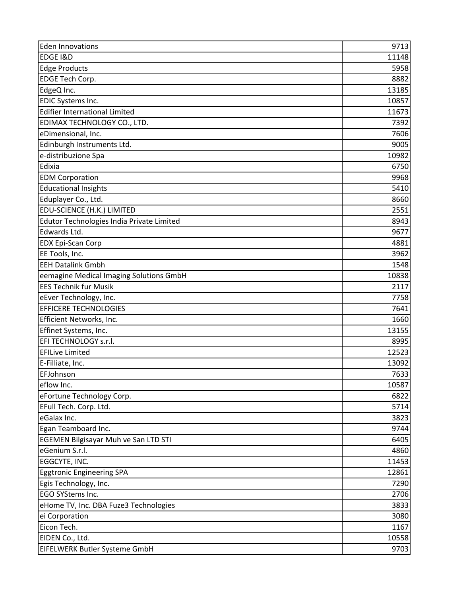| <b>Eden Innovations</b>                     | 9713  |
|---------------------------------------------|-------|
| <b>EDGE I&amp;D</b>                         | 11148 |
| <b>Edge Products</b>                        | 5958  |
| EDGE Tech Corp.                             | 8882  |
| EdgeQ Inc.                                  | 13185 |
| EDIC Systems Inc.                           | 10857 |
| Edifier International Limited               | 11673 |
| EDIMAX TECHNOLOGY CO., LTD.                 | 7392  |
| eDimensional, Inc.                          | 7606  |
| Edinburgh Instruments Ltd.                  | 9005  |
| e-distribuzione Spa                         | 10982 |
| Edixia                                      | 6750  |
| <b>EDM Corporation</b>                      | 9968  |
| <b>Educational Insights</b>                 | 5410  |
| Eduplayer Co., Ltd.                         | 8660  |
| <b>EDU-SCIENCE (H.K.) LIMITED</b>           | 2551  |
| Edutor Technologies India Private Limited   | 8943  |
| Edwards Ltd.                                | 9677  |
| <b>EDX Epi-Scan Corp</b>                    | 4881  |
| EE Tools, Inc.                              | 3962  |
| <b>EEH Datalink Gmbh</b>                    | 1548  |
| eemagine Medical Imaging Solutions GmbH     | 10838 |
| <b>EES Technik fur Musik</b>                | 2117  |
| eEver Technology, Inc.                      | 7758  |
| <b>EFFICERE TECHNOLOGIES</b>                | 7641  |
| Efficient Networks, Inc.                    | 1660  |
| Effinet Systems, Inc.                       | 13155 |
| EFI TECHNOLOGY s.r.l.                       | 8995  |
| <b>EFILive Limited</b>                      | 12523 |
| E-Filliate, Inc.                            | 13092 |
| EFJohnson                                   | 7633  |
| eflow Inc.                                  | 10587 |
| eFortune Technology Corp.                   | 6822  |
| EFull Tech. Corp. Ltd.                      | 5714  |
| eGalax Inc.                                 | 3823  |
| Egan Teamboard Inc.                         | 9744  |
| <b>EGEMEN Bilgisayar Muh ve San LTD STI</b> | 6405  |
| eGenium S.r.l.                              | 4860  |
| EGGCYTE, INC.                               | 11453 |
| <b>Eggtronic Engineering SPA</b>            | 12861 |
| Egis Technology, Inc.                       | 7290  |
| EGO SYStems Inc.                            | 2706  |
| eHome TV, Inc. DBA Fuze3 Technologies       | 3833  |
| ei Corporation                              | 3080  |
| Eicon Tech.                                 | 1167  |
| EIDEN Co., Ltd.                             | 10558 |
| EIFELWERK Butler Systeme GmbH               | 9703  |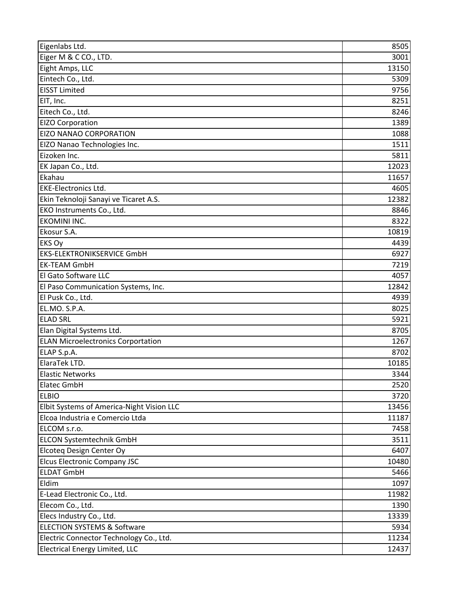| Eigenlabs Ltd.                            | 8505  |
|-------------------------------------------|-------|
| Eiger M & C CO., LTD.                     | 3001  |
| Eight Amps, LLC                           | 13150 |
| Eintech Co., Ltd.                         | 5309  |
| <b>EISST Limited</b>                      | 9756  |
| EIT, Inc.                                 | 8251  |
| Eitech Co., Ltd.                          | 8246  |
| <b>EIZO Corporation</b>                   | 1389  |
| <b>EIZO NANAO CORPORATION</b>             | 1088  |
| EIZO Nanao Technologies Inc.              | 1511  |
| Eizoken Inc.                              | 5811  |
| EK Japan Co., Ltd.                        | 12023 |
| Ekahau                                    | 11657 |
| <b>EKE-Electronics Ltd.</b>               | 4605  |
| Ekin Teknoloji Sanayi ve Ticaret A.S.     | 12382 |
| EKO Instruments Co., Ltd.                 | 8846  |
| EKOMINI INC.                              | 8322  |
| Ekosur S.A.                               | 10819 |
| <b>EKS Oy</b>                             | 4439  |
| <b>EKS-ELEKTRONIKSERVICE GmbH</b>         | 6927  |
| <b>EK-TEAM GmbH</b>                       | 7219  |
| <b>El Gato Software LLC</b>               | 4057  |
| El Paso Communication Systems, Inc.       | 12842 |
| El Pusk Co., Ltd.                         | 4939  |
| EL.MO. S.P.A.                             | 8025  |
| <b>ELAD SRL</b>                           | 5921  |
| Elan Digital Systems Ltd.                 | 8705  |
| <b>ELAN Microelectronics Corportation</b> | 1267  |
| ELAP S.p.A.                               | 8702  |
| ElaraTek LTD.                             | 10185 |
| <b>Elastic Networks</b>                   | 3344  |
| <b>Elatec GmbH</b>                        | 2520  |
| <b>ELBIO</b>                              | 3720  |
| Elbit Systems of America-Night Vision LLC | 13456 |
| Elcoa Industria e Comercio Ltda           | 11187 |
| ELCOM s.r.o.                              | 7458  |
| <b>ELCON Systemtechnik GmbH</b>           | 3511  |
| Elcoteg Design Center Oy                  | 6407  |
| <b>Elcus Electronic Company JSC</b>       | 10480 |
| <b>ELDAT GmbH</b>                         | 5466  |
| Eldim                                     | 1097  |
| E-Lead Electronic Co., Ltd.               | 11982 |
| Elecom Co., Ltd.                          | 1390  |
| Elecs Industry Co., Ltd.                  | 13339 |
| <b>ELECTION SYSTEMS &amp; Software</b>    | 5934  |
| Electric Connector Technology Co., Ltd.   | 11234 |
| <b>Electrical Energy Limited, LLC</b>     | 12437 |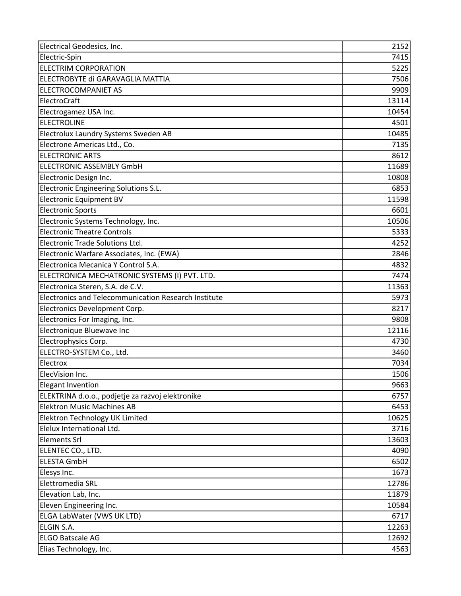| Electrical Geodesics, Inc.                           | 2152  |
|------------------------------------------------------|-------|
| Electric-Spin                                        | 7415  |
| <b>ELECTRIM CORPORATION</b>                          | 5225  |
| ELECTROBYTE di GARAVAGLIA MATTIA                     | 7506  |
| <b>ELECTROCOMPANIET AS</b>                           | 9909  |
| ElectroCraft                                         | 13114 |
| Electrogamez USA Inc.                                | 10454 |
| <b>ELECTROLINE</b>                                   | 4501  |
| Electrolux Laundry Systems Sweden AB                 | 10485 |
| Electrone Americas Ltd., Co.                         | 7135  |
| <b>ELECTRONIC ARTS</b>                               | 8612  |
| <b>ELECTRONIC ASSEMBLY GmbH</b>                      | 11689 |
| Electronic Design Inc.                               | 10808 |
| Electronic Engineering Solutions S.L.                | 6853  |
| <b>Electronic Equipment BV</b>                       | 11598 |
| <b>Electronic Sports</b>                             | 6601  |
| Electronic Systems Technology, Inc.                  | 10506 |
| <b>Electronic Theatre Controls</b>                   | 5333  |
| Electronic Trade Solutions Ltd.                      | 4252  |
| Electronic Warfare Associates, Inc. (EWA)            | 2846  |
| Electronica Mecanica Y Control S.A.                  | 4832  |
| ELECTRONICA MECHATRONIC SYSTEMS (I) PVT. LTD.        | 7474  |
| Electronica Steren, S.A. de C.V.                     | 11363 |
| Electronics and Telecommunication Research Institute | 5973  |
| Electronics Development Corp.                        | 8217  |
| Electronics For Imaging, Inc.                        | 9808  |
| Electronique Bluewave Inc                            | 12116 |
| Electrophysics Corp.                                 | 4730  |
| ELECTRO-SYSTEM Co., Ltd.                             | 3460  |
| Electrox                                             | 7034  |
| ElecVision Inc.                                      | 1506  |
| <b>Elegant Invention</b>                             | 9663  |
| ELEKTRINA d.o.o., podjetje za razvoj elektronike     | 6757  |
| <b>Elektron Music Machines AB</b>                    | 6453  |
| Elektron Technology UK Limited                       | 10625 |
| Elelux International Ltd.                            | 3716  |
| <b>Elements Srl</b>                                  | 13603 |
| ELENTEC CO., LTD.                                    | 4090  |
| <b>ELESTA GmbH</b>                                   | 6502  |
| Elesys Inc.                                          | 1673  |
| Elettromedia SRL                                     | 12786 |
| Elevation Lab, Inc.                                  | 11879 |
| Eleven Engineering Inc.                              | 10584 |
| ELGA LabWater (VWS UK LTD)                           | 6717  |
| ELGIN S.A.                                           | 12263 |
| <b>ELGO Batscale AG</b>                              | 12692 |
| Elias Technology, Inc.                               | 4563  |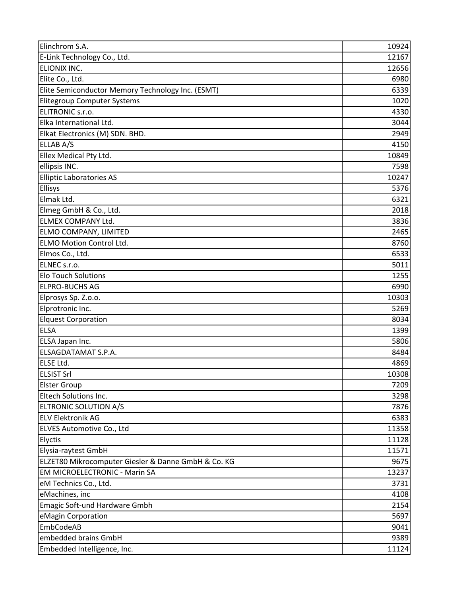| Elinchrom S.A.                                      | 10924 |
|-----------------------------------------------------|-------|
| E-Link Technology Co., Ltd.                         | 12167 |
| ELIONIX INC.                                        | 12656 |
| Elite Co., Ltd.                                     | 6980  |
| Elite Semiconductor Memory Technology Inc. (ESMT)   | 6339  |
| <b>Elitegroup Computer Systems</b>                  | 1020  |
| ELITRONIC s.r.o.                                    | 4330  |
| Elka International Ltd.                             | 3044  |
| Elkat Electronics (M) SDN. BHD.                     | 2949  |
| ELLAB A/S                                           | 4150  |
| Ellex Medical Pty Ltd.                              | 10849 |
| ellipsis INC.                                       | 7598  |
| <b>Elliptic Laboratories AS</b>                     | 10247 |
| <b>Ellisys</b>                                      | 5376  |
| Elmak Ltd.                                          | 6321  |
| Elmeg GmbH & Co., Ltd.                              | 2018  |
| <b>ELMEX COMPANY Ltd.</b>                           | 3836  |
| ELMO COMPANY, LIMITED                               | 2465  |
| <b>ELMO Motion Control Ltd.</b>                     | 8760  |
| Elmos Co., Ltd.                                     | 6533  |
| ELNEC s.r.o.                                        | 5011  |
| <b>Elo Touch Solutions</b>                          | 1255  |
| <b>ELPRO-BUCHS AG</b>                               | 6990  |
| Elprosys Sp. Z.o.o.                                 | 10303 |
| Elprotronic Inc.                                    | 5269  |
| <b>Elquest Corporation</b>                          | 8034  |
| <b>ELSA</b>                                         | 1399  |
| ELSA Japan Inc.                                     | 5806  |
| ELSAGDATAMAT S.P.A.                                 | 8484  |
| <b>ELSE Ltd.</b>                                    | 4869  |
| <b>ELSIST Srl</b>                                   | 10308 |
| <b>Elster Group</b>                                 | 7209  |
| Eltech Solutions Inc.                               | 3298  |
| ELTRONIC SOLUTION A/S                               | 7876  |
| <b>ELV Elektronik AG</b>                            | 6383  |
| ELVES Automotive Co., Ltd                           | 11358 |
| Elyctis                                             | 11128 |
| Elysia-raytest GmbH                                 | 11571 |
| ELZET80 Mikrocomputer Giesler & Danne GmbH & Co. KG | 9675  |
| <b>EM MICROELECTRONIC - Marin SA</b>                | 13237 |
| eM Technics Co., Ltd.                               | 3731  |
| eMachines, inc                                      | 4108  |
| Emagic Soft-und Hardware Gmbh                       | 2154  |
| eMagin Corporation                                  | 5697  |
| <b>EmbCodeAB</b>                                    | 9041  |
| embedded brains GmbH                                | 9389  |
| Embedded Intelligence, Inc.                         | 11124 |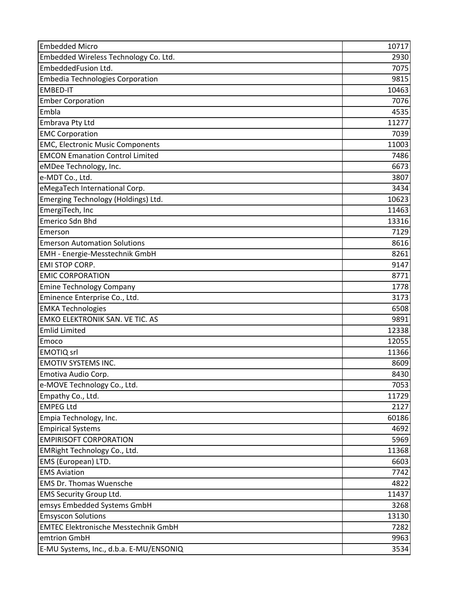| <b>Embedded Micro</b>                       | 10717 |
|---------------------------------------------|-------|
| Embedded Wireless Technology Co. Ltd.       | 2930  |
| EmbeddedFusion Ltd.                         | 7075  |
| <b>Embedia Technologies Corporation</b>     | 9815  |
| <b>EMBED-IT</b>                             | 10463 |
| <b>Ember Corporation</b>                    | 7076  |
| Embla                                       | 4535  |
| Embrava Pty Ltd                             | 11277 |
| <b>EMC Corporation</b>                      | 7039  |
| <b>EMC, Electronic Music Components</b>     | 11003 |
| <b>EMCON Emanation Control Limited</b>      | 7486  |
| eMDee Technology, Inc.                      | 6673  |
| e-MDT Co., Ltd.                             | 3807  |
| eMegaTech International Corp.               | 3434  |
| Emerging Technology (Holdings) Ltd.         | 10623 |
| EmergiTech, Inc                             | 11463 |
| Emerico Sdn Bhd                             | 13316 |
| Emerson                                     | 7129  |
| <b>Emerson Automation Solutions</b>         | 8616  |
| EMH - Energie-Messtechnik GmbH              | 8261  |
| <b>EMI STOP CORP.</b>                       | 9147  |
| <b>EMIC CORPORATION</b>                     | 8771  |
| <b>Emine Technology Company</b>             | 1778  |
| Eminence Enterprise Co., Ltd.               | 3173  |
| <b>EMKA Technologies</b>                    | 6508  |
| <b>EMKO ELEKTRONIK SAN. VE TIC. AS</b>      | 9891  |
| <b>Emlid Limited</b>                        | 12338 |
| Emoco                                       | 12055 |
| <b>EMOTIQ</b> srl                           | 11366 |
| <b>EMOTIV SYSTEMS INC.</b>                  | 8609  |
| Emotiva Audio Corp.                         | 8430  |
| e-MOVE Technology Co., Ltd.                 | 7053  |
| Empathy Co., Ltd.                           | 11729 |
| <b>EMPEG Ltd</b>                            | 2127  |
| Empia Technology, Inc.                      | 60186 |
| <b>Empirical Systems</b>                    | 4692  |
| <b>EMPIRISOFT CORPORATION</b>               | 5969  |
| EMRight Technology Co., Ltd.                | 11368 |
| EMS (European) LTD.                         | 6603  |
| <b>EMS Aviation</b>                         | 7742  |
| <b>EMS Dr. Thomas Wuensche</b>              | 4822  |
| <b>EMS Security Group Ltd.</b>              | 11437 |
| emsys Embedded Systems GmbH                 | 3268  |
| <b>Emsyscon Solutions</b>                   | 13130 |
| <b>EMTEC Elektronische Messtechnik GmbH</b> | 7282  |
| emtrion GmbH                                | 9963  |
| E-MU Systems, Inc., d.b.a. E-MU/ENSONIQ     | 3534  |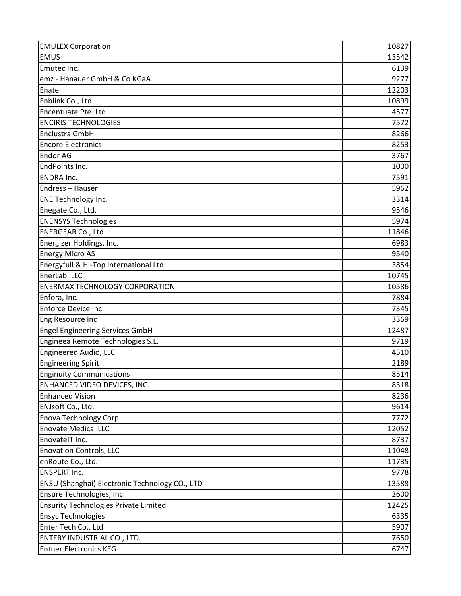| <b>EMULEX Corporation</b>                      | 10827 |
|------------------------------------------------|-------|
| <b>EMUS</b>                                    | 13542 |
| Emutec Inc.                                    | 6139  |
| emz - Hanauer GmbH & Co KGaA                   | 9277  |
| Enatel                                         | 12203 |
| Enblink Co., Ltd.                              | 10899 |
| Encentuate Pte. Ltd.                           | 4577  |
| <b>ENCIRIS TECHNOLOGIES</b>                    | 7572  |
| Enclustra GmbH                                 | 8266  |
| <b>Encore Electronics</b>                      | 8253  |
| <b>Endor AG</b>                                | 3767  |
| EndPoints Inc.                                 | 1000  |
| <b>ENDRA Inc.</b>                              | 7591  |
| Endress + Hauser                               | 5962  |
| <b>ENE Technology Inc.</b>                     | 3314  |
| Enegate Co., Ltd.                              | 9546  |
| <b>ENENSYS Technologies</b>                    | 5974  |
| <b>ENERGEAR Co., Ltd</b>                       | 11846 |
| Energizer Holdings, Inc.                       | 6983  |
| <b>Energy Micro AS</b>                         | 9540  |
| Energyfull & Hi-Top International Ltd.         | 3854  |
| EnerLab, LLC                                   | 10745 |
| <b>ENERMAX TECHNOLOGY CORPORATION</b>          | 10586 |
| Enfora, Inc.                                   | 7884  |
| Enforce Device Inc.                            | 7345  |
| Eng Resource Inc                               | 3369  |
| <b>Engel Engineering Services GmbH</b>         | 12487 |
| Engineea Remote Technologies S.L.              | 9719  |
| Engineered Audio, LLC.                         | 4510  |
| <b>Engineering Spirit</b>                      | 2189  |
| <b>Enginuity Communications</b>                | 8514  |
| ENHANCED VIDEO DEVICES, INC.                   | 8318  |
| <b>Enhanced Vision</b>                         | 8236  |
| ENJsoft Co., Ltd.                              | 9614  |
| Enova Technology Corp.                         | 7772  |
| <b>Enovate Medical LLC</b>                     | 12052 |
| EnovateIT Inc.                                 | 8737  |
| <b>Enovation Controls, LLC</b>                 | 11048 |
| enRoute Co., Ltd.                              | 11735 |
| <b>ENSPERT Inc.</b>                            | 9778  |
| ENSU (Shanghai) Electronic Technology CO., LTD | 13588 |
| Ensure Technologies, Inc.                      | 2600  |
| <b>Ensurity Technologies Private Limited</b>   | 12425 |
| <b>Ensyc Technologies</b>                      | 6335  |
| Enter Tech Co., Ltd                            | 5907  |
| ENTERY INDUSTRIAL CO., LTD.                    | 7650  |
| <b>Entner Electronics KEG</b>                  | 6747  |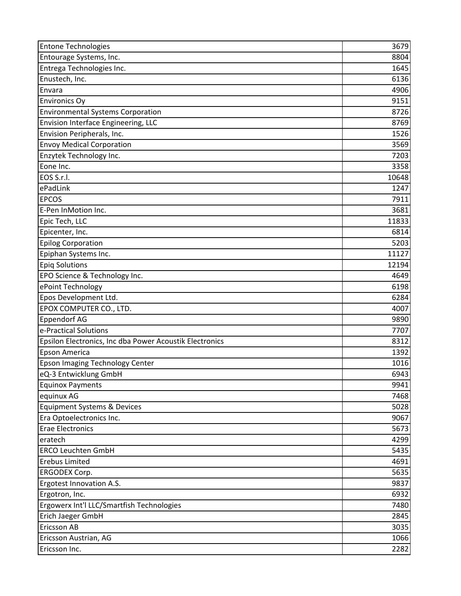| <b>Entone Technologies</b>                              | 3679  |
|---------------------------------------------------------|-------|
| Entourage Systems, Inc.                                 | 8804  |
| Entrega Technologies Inc.                               | 1645  |
| Enustech, Inc.                                          | 6136  |
| Envara                                                  | 4906  |
| <b>Environics Oy</b>                                    | 9151  |
| <b>Environmental Systems Corporation</b>                | 8726  |
| Envision Interface Engineering, LLC                     | 8769  |
| Envision Peripherals, Inc.                              | 1526  |
| <b>Envoy Medical Corporation</b>                        | 3569  |
| Enzytek Technology Inc.                                 | 7203  |
| Eone Inc.                                               | 3358  |
| EOS S.r.l.                                              | 10648 |
| ePadLink                                                | 1247  |
| <b>EPCOS</b>                                            | 7911  |
| E-Pen InMotion Inc.                                     | 3681  |
| Epic Tech, LLC                                          | 11833 |
| Epicenter, Inc.                                         | 6814  |
| <b>Epilog Corporation</b>                               | 5203  |
| Epiphan Systems Inc.                                    | 11127 |
| <b>Epiq Solutions</b>                                   | 12194 |
| EPO Science & Technology Inc.                           | 4649  |
| ePoint Technology                                       | 6198  |
| Epos Development Ltd.                                   | 6284  |
| EPOX COMPUTER CO., LTD.                                 | 4007  |
| <b>Eppendorf AG</b>                                     | 9890  |
| e-Practical Solutions                                   | 7707  |
| Epsilon Electronics, Inc dba Power Acoustik Electronics | 8312  |
| <b>Epson America</b>                                    | 1392  |
| Epson Imaging Technology Center                         | 1016  |
| eQ-3 Entwicklung GmbH                                   | 6943  |
| <b>Equinox Payments</b>                                 | 9941  |
| equinux AG                                              | 7468  |
| Equipment Systems & Devices                             | 5028  |
| Era Optoelectronics Inc.                                | 9067  |
| <b>Erae Electronics</b>                                 | 5673  |
| eratech                                                 | 4299  |
| <b>ERCO Leuchten GmbH</b>                               | 5435  |
| <b>Erebus Limited</b>                                   | 4691  |
| <b>ERGODEX Corp.</b>                                    | 5635  |
| Ergotest Innovation A.S.                                | 9837  |
| Ergotron, Inc.                                          | 6932  |
| Ergowerx Int'l LLC/Smartfish Technologies               | 7480  |
| Erich Jaeger GmbH                                       | 2845  |
| <b>Ericsson AB</b>                                      | 3035  |
| Ericsson Austrian, AG                                   | 1066  |
| Ericsson Inc.                                           | 2282  |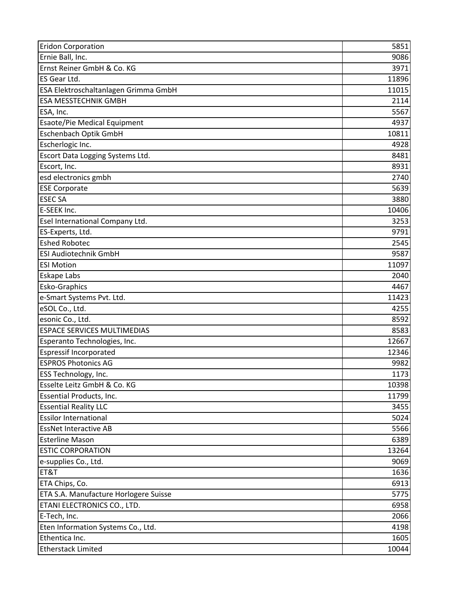| <b>Eridon Corporation</b>             | 5851  |
|---------------------------------------|-------|
| Ernie Ball, Inc.                      | 9086  |
| Ernst Reiner GmbH & Co. KG            | 3971  |
| <b>ES Gear Ltd.</b>                   | 11896 |
| ESA Elektroschaltanlagen Grimma GmbH  | 11015 |
| <b>ESA MESSTECHNIK GMBH</b>           | 2114  |
| ESA, Inc.                             | 5567  |
| <b>Esaote/Pie Medical Equipment</b>   | 4937  |
| <b>Eschenbach Optik GmbH</b>          | 10811 |
| Escherlogic Inc.                      | 4928  |
| Escort Data Logging Systems Ltd.      | 8481  |
| Escort, Inc.                          | 8931  |
| esd electronics gmbh                  | 2740  |
| <b>ESE Corporate</b>                  | 5639  |
| <b>ESEC SA</b>                        | 3880  |
| E-SEEK Inc.                           | 10406 |
| Esel International Company Ltd.       | 3253  |
| ES-Experts, Ltd.                      | 9791  |
| <b>Eshed Robotec</b>                  | 2545  |
| <b>ESI Audiotechnik GmbH</b>          | 9587  |
| <b>ESI Motion</b>                     | 11097 |
| <b>Eskape Labs</b>                    | 2040  |
| <b>Esko-Graphics</b>                  | 4467  |
| e-Smart Systems Pvt. Ltd.             | 11423 |
| eSOL Co., Ltd.                        | 4255  |
| esonic Co., Ltd.                      | 8592  |
| <b>ESPACE SERVICES MULTIMEDIAS</b>    | 8583  |
| Esperanto Technologies, Inc.          | 12667 |
| <b>Espressif Incorporated</b>         | 12346 |
| <b>ESPROS Photonics AG</b>            | 9982  |
| ESS Technology, Inc.                  | 1173  |
| Esselte Leitz GmbH & Co. KG           | 10398 |
| Essential Products, Inc.              | 11799 |
| <b>Essential Reality LLC</b>          | 3455  |
| <b>Essilor International</b>          | 5024  |
| <b>EssNet Interactive AB</b>          | 5566  |
| <b>Esterline Mason</b>                | 6389  |
| <b>ESTIC CORPORATION</b>              | 13264 |
| e-supplies Co., Ltd.                  | 9069  |
| ET&T                                  | 1636  |
| ETA Chips, Co.                        | 6913  |
| ETA S.A. Manufacture Horlogere Suisse | 5775  |
| ETANI ELECTRONICS CO., LTD.           | 6958  |
| E-Tech, Inc.                          | 2066  |
| Eten Information Systems Co., Ltd.    | 4198  |
| Ethentica Inc.                        | 1605  |
| <b>Etherstack Limited</b>             | 10044 |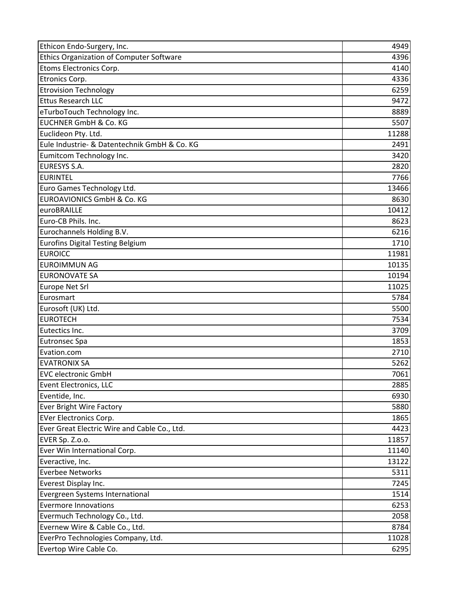| Ethicon Endo-Surgery, Inc.                   | 4949  |
|----------------------------------------------|-------|
| Ethics Organization of Computer Software     | 4396  |
| Etoms Electronics Corp.                      | 4140  |
| <b>Etronics Corp.</b>                        | 4336  |
| <b>Etrovision Technology</b>                 | 6259  |
| <b>Ettus Research LLC</b>                    | 9472  |
| eTurboTouch Technology Inc.                  | 8889  |
| <b>EUCHNER GmbH &amp; Co. KG</b>             | 5507  |
| Euclideon Pty. Ltd.                          | 11288 |
| Eule Industrie- & Datentechnik GmbH & Co. KG | 2491  |
| Eumitcom Technology Inc.                     | 3420  |
| <b>EURESYS S.A.</b>                          | 2820  |
| <b>EURINTEL</b>                              | 7766  |
| Euro Games Technology Ltd.                   | 13466 |
| <b>EUROAVIONICS GmbH &amp; Co. KG</b>        | 8630  |
| euroBRAILLE                                  | 10412 |
| Euro-CB Phils. Inc.                          | 8623  |
| Eurochannels Holding B.V.                    | 6216  |
| <b>Eurofins Digital Testing Belgium</b>      | 1710  |
| <b>EUROICC</b>                               | 11981 |
| <b>EUROIMMUN AG</b>                          | 10135 |
| <b>EURONOVATE SA</b>                         | 10194 |
| <b>Europe Net Srl</b>                        | 11025 |
| Eurosmart                                    | 5784  |
| Eurosoft (UK) Ltd.                           | 5500  |
| <b>EUROTECH</b>                              | 7534  |
| Eutectics Inc.                               | 3709  |
| <b>Eutronsec Spa</b>                         | 1853  |
| Evation.com                                  | 2710  |
| <b>EVATRONIX SA</b>                          | 5262  |
| <b>EVC</b> electronic GmbH                   | 7061  |
| Event Electronics, LLC                       | 2885  |
| Eventide, Inc.                               | 6930  |
| <b>Ever Bright Wire Factory</b>              | 5880  |
| <b>EVer Electronics Corp.</b>                | 1865  |
| Ever Great Electric Wire and Cable Co., Ltd. | 4423  |
| <b>EVER Sp. Z.o.o.</b>                       | 11857 |
| Ever Win International Corp.                 | 11140 |
| Everactive, Inc.                             | 13122 |
| <b>Everbee Networks</b>                      | 5311  |
| Everest Display Inc.                         | 7245  |
| Evergreen Systems International              | 1514  |
| <b>Evermore Innovations</b>                  | 6253  |
| Evermuch Technology Co., Ltd.                | 2058  |
| Evernew Wire & Cable Co., Ltd.               | 8784  |
| EverPro Technologies Company, Ltd.           | 11028 |
| Evertop Wire Cable Co.                       | 6295  |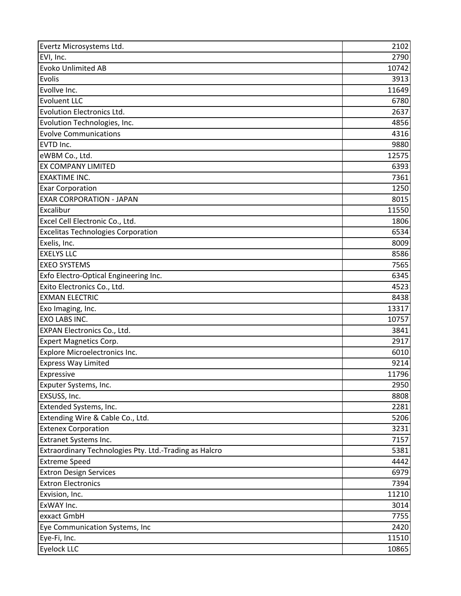| Evertz Microsystems Ltd.                               | 2102  |
|--------------------------------------------------------|-------|
| EVI, Inc.                                              | 2790  |
| <b>Evoko Unlimited AB</b>                              | 10742 |
| Evolis                                                 | 3913  |
| Evollve Inc.                                           | 11649 |
| <b>Evoluent LLC</b>                                    | 6780  |
| Evolution Electronics Ltd.                             | 2637  |
| Evolution Technologies, Inc.                           | 4856  |
| <b>Evolve Communications</b>                           | 4316  |
| EVTD Inc.                                              | 9880  |
| eWBM Co., Ltd.                                         | 12575 |
| <b>EX COMPANY LIMITED</b>                              | 6393  |
| <b>EXAKTIME INC.</b>                                   | 7361  |
| <b>Exar Corporation</b>                                | 1250  |
| <b>EXAR CORPORATION - JAPAN</b>                        | 8015  |
| Excalibur                                              | 11550 |
| Excel Cell Electronic Co., Ltd.                        | 1806  |
| <b>Excelitas Technologies Corporation</b>              | 6534  |
| Exelis, Inc.                                           | 8009  |
| <b>EXELYS LLC</b>                                      | 8586  |
| <b>EXEO SYSTEMS</b>                                    | 7565  |
| Exfo Electro-Optical Engineering Inc.                  | 6345  |
| Exito Electronics Co., Ltd.                            | 4523  |
| <b>EXMAN ELECTRIC</b>                                  | 8438  |
| Exo Imaging, Inc.                                      | 13317 |
| <b>EXO LABS INC.</b>                                   | 10757 |
| EXPAN Electronics Co., Ltd.                            | 3841  |
| <b>Expert Magnetics Corp.</b>                          | 2917  |
| Explore Microelectronics Inc.                          | 6010  |
| <b>Express Way Limited</b>                             | 9214  |
| Expressive                                             | 11796 |
| Exputer Systems, Inc.                                  | 2950  |
| EXSUSS, Inc.                                           | 8808  |
| Extended Systems, Inc.                                 | 2281  |
| Extending Wire & Cable Co., Ltd.                       | 5206  |
| <b>Extenex Corporation</b>                             | 3231  |
| Extranet Systems Inc.                                  | 7157  |
| Extraordinary Technologies Pty. Ltd.-Trading as Halcro | 5381  |
| <b>Extreme Speed</b>                                   | 4442  |
| <b>Extron Design Services</b>                          | 6979  |
| <b>Extron Electronics</b>                              | 7394  |
| Exvision, Inc.                                         | 11210 |
| ExWAY Inc.                                             | 3014  |
| exxact GmbH                                            | 7755  |
| Eye Communication Systems, Inc                         | 2420  |
| Eye-Fi, Inc.                                           | 11510 |
| <b>Eyelock LLC</b>                                     | 10865 |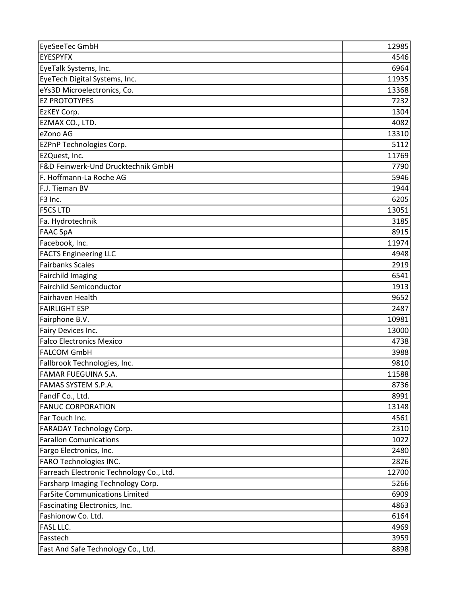| EyeSeeTec GmbH                           | 12985 |
|------------------------------------------|-------|
| <b>EYESPYFX</b>                          | 4546  |
| EyeTalk Systems, Inc.                    | 6964  |
| EyeTech Digital Systems, Inc.            | 11935 |
| eYs3D Microelectronics, Co.              | 13368 |
| <b>EZ PROTOTYPES</b>                     | 7232  |
| EzKEY Corp.                              | 1304  |
| EZMAX CO., LTD.                          | 4082  |
| eZono AG                                 | 13310 |
| <b>EZPnP Technologies Corp.</b>          | 5112  |
| EZQuest, Inc.                            | 11769 |
| F&D Feinwerk-Und Drucktechnik GmbH       | 7790  |
| F. Hoffmann-La Roche AG                  | 5946  |
| F.J. Tieman BV                           | 1944  |
| F <sub>3</sub> Inc.                      | 6205  |
| <b>F5CS LTD</b>                          | 13051 |
| Fa. Hydrotechnik                         | 3185  |
| <b>FAAC SpA</b>                          | 8915  |
| Facebook, Inc.                           | 11974 |
| <b>FACTS Engineering LLC</b>             | 4948  |
| <b>Fairbanks Scales</b>                  | 2919  |
| <b>Fairchild Imaging</b>                 | 6541  |
| <b>Fairchild Semiconductor</b>           | 1913  |
| Fairhaven Health                         | 9652  |
| <b>FAIRLIGHT ESP</b>                     | 2487  |
| Fairphone B.V.                           | 10981 |
| Fairy Devices Inc.                       | 13000 |
| <b>Falco Electronics Mexico</b>          | 4738  |
| <b>FALCOM GmbH</b>                       | 3988  |
| Fallbrook Technologies, Inc.             | 9810  |
| <b>FAMAR FUEGUINA S.A.</b>               | 11588 |
| FAMAS SYSTEM S.P.A.                      | 8736  |
| FandF Co., Ltd.                          | 8991  |
| <b>FANUC CORPORATION</b>                 | 13148 |
| Far Touch Inc.                           | 4561  |
| <b>FARADAY Technology Corp.</b>          | 2310  |
| <b>Farallon Comunications</b>            | 1022  |
| Fargo Electronics, Inc.                  | 2480  |
| <b>FARO Technologies INC.</b>            | 2826  |
| Farreach Electronic Technology Co., Ltd. | 12700 |
| Farsharp Imaging Technology Corp.        | 5266  |
| <b>FarSite Communications Limited</b>    | 6909  |
| Fascinating Electronics, Inc.            | 4863  |
| Fashionow Co. Ltd.                       | 6164  |
| <b>FASL LLC.</b>                         | 4969  |
| Fasstech                                 | 3959  |
| Fast And Safe Technology Co., Ltd.       | 8898  |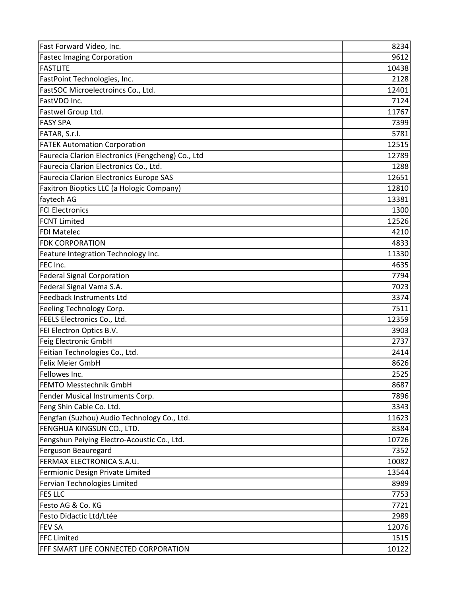| Fast Forward Video, Inc.                          | 8234  |
|---------------------------------------------------|-------|
| <b>Fastec Imaging Corporation</b>                 | 9612  |
| <b>FASTLITE</b>                                   | 10438 |
| FastPoint Technologies, Inc.                      | 2128  |
| FastSOC Microelectroincs Co., Ltd.                | 12401 |
| FastVDO Inc.                                      | 7124  |
| Fastwel Group Ltd.                                | 11767 |
| <b>FASY SPA</b>                                   | 7399  |
| FATAR, S.r.l.                                     | 5781  |
| <b>FATEK Automation Corporation</b>               | 12515 |
| Faurecia Clarion Electronics (Fengcheng) Co., Ltd | 12789 |
| Faurecia Clarion Electronics Co., Ltd.            | 1288  |
| <b>Faurecia Clarion Electronics Europe SAS</b>    | 12651 |
| Faxitron Bioptics LLC (a Hologic Company)         | 12810 |
| faytech AG                                        | 13381 |
| <b>FCI Electronics</b>                            | 1300  |
| <b>FCNT Limited</b>                               | 12526 |
| <b>FDI Matelec</b>                                | 4210  |
| <b>FDK CORPORATION</b>                            | 4833  |
| Feature Integration Technology Inc.               | 11330 |
| FEC Inc.                                          | 4635  |
| <b>Federal Signal Corporation</b>                 | 7794  |
| Federal Signal Vama S.A.                          | 7023  |
| <b>Feedback Instruments Ltd</b>                   | 3374  |
| Feeling Technology Corp.                          | 7511  |
| FEELS Electronics Co., Ltd.                       | 12359 |
| FEI Electron Optics B.V.                          | 3903  |
| Feig Electronic GmbH                              | 2737  |
| Feitian Technologies Co., Ltd.                    | 2414  |
| <b>Felix Meier GmbH</b>                           | 8626  |
| Fellowes Inc.                                     | 2525  |
| <b>FEMTO Messtechnik GmbH</b>                     | 8687  |
| Fender Musical Instruments Corp.                  | 7896  |
| Feng Shin Cable Co. Ltd.                          | 3343  |
| Fengfan (Suzhou) Audio Technology Co., Ltd.       | 11623 |
| FENGHUA KINGSUN CO., LTD.                         | 8384  |
| Fengshun Peiying Electro-Acoustic Co., Ltd.       | 10726 |
| Ferguson Beauregard                               | 7352  |
| FERMAX ELECTRONICA S.A.U.                         | 10082 |
| Fermionic Design Private Limited                  | 13544 |
| Fervian Technologies Limited                      | 8989  |
| <b>FES LLC</b>                                    | 7753  |
| Festo AG & Co. KG                                 | 7721  |
| Festo Didactic Ltd/Ltée                           | 2989  |
| <b>FEV SA</b>                                     | 12076 |
| <b>FFC Limited</b>                                | 1515  |
| FFF SMART LIFE CONNECTED CORPORATION              | 10122 |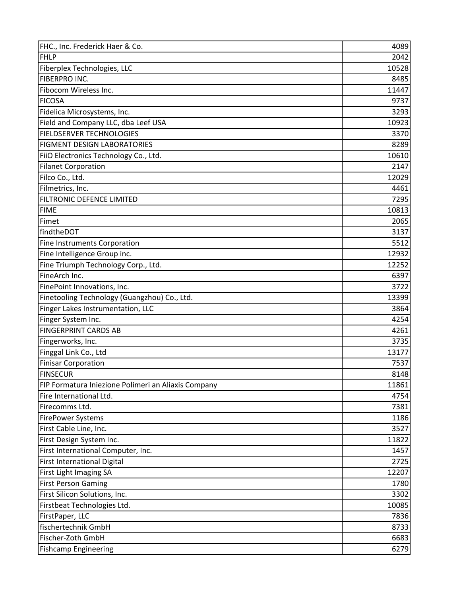| FHC., Inc. Frederick Haer & Co.                     | 4089  |
|-----------------------------------------------------|-------|
| <b>FHLP</b>                                         | 2042  |
| Fiberplex Technologies, LLC                         | 10528 |
| <b>FIBERPRO INC.</b>                                | 8485  |
| Fibocom Wireless Inc.                               | 11447 |
| <b>FICOSA</b>                                       | 9737  |
| Fidelica Microsystems, Inc.                         | 3293  |
| Field and Company LLC, dba Leef USA                 | 10923 |
| <b>FIELDSERVER TECHNOLOGIES</b>                     | 3370  |
| <b>FIGMENT DESIGN LABORATORIES</b>                  | 8289  |
| FiiO Electronics Technology Co., Ltd.               | 10610 |
| <b>Filanet Corporation</b>                          | 2147  |
| Filco Co., Ltd.                                     | 12029 |
| Filmetrics, Inc.                                    | 4461  |
| FILTRONIC DEFENCE LIMITED                           | 7295  |
| <b>FIME</b>                                         | 10813 |
| Fimet                                               | 2065  |
| findtheDOT                                          | 3137  |
| <b>Fine Instruments Corporation</b>                 | 5512  |
| Fine Intelligence Group inc.                        | 12932 |
| Fine Triumph Technology Corp., Ltd.                 | 12252 |
| FineArch Inc.                                       | 6397  |
| FinePoint Innovations, Inc.                         | 3722  |
| Finetooling Technology (Guangzhou) Co., Ltd.        | 13399 |
| Finger Lakes Instrumentation, LLC                   | 3864  |
| Finger System Inc.                                  | 4254  |
| <b>FINGERPRINT CARDS AB</b>                         | 4261  |
| Fingerworks, Inc.                                   | 3735  |
| Finggal Link Co., Ltd                               | 13177 |
| <b>Finisar Corporation</b>                          | 7537  |
| <b>FINSECUR</b>                                     | 8148  |
| FIP Formatura Iniezione Polimeri an Aliaxis Company | 11861 |
| Fire International Ltd.                             | 4754  |
| Firecomms Ltd.                                      | 7381  |
| <b>FirePower Systems</b>                            | 1186  |
| First Cable Line, Inc.                              | 3527  |
| First Design System Inc.                            | 11822 |
| First International Computer, Inc.                  | 1457  |
| <b>First International Digital</b>                  | 2725  |
| First Light Imaging SA                              | 12207 |
| <b>First Person Gaming</b>                          | 1780  |
| First Silicon Solutions, Inc.                       | 3302  |
| Firstbeat Technologies Ltd.                         | 10085 |
| FirstPaper, LLC                                     | 7836  |
| fischertechnik GmbH                                 | 8733  |
| Fischer-Zoth GmbH                                   | 6683  |
| <b>Fishcamp Engineering</b>                         | 6279  |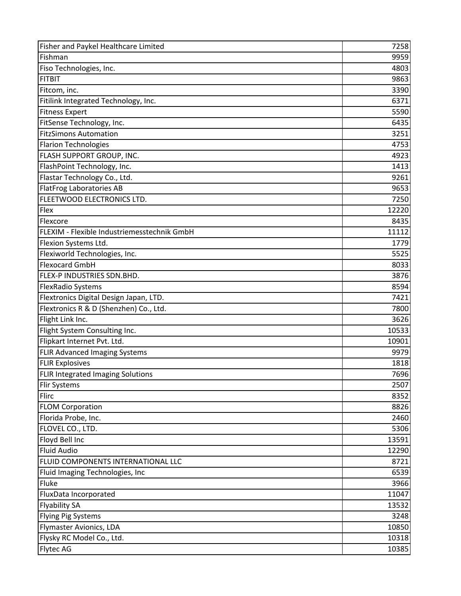| Fisher and Paykel Healthcare Limited        | 7258  |
|---------------------------------------------|-------|
| Fishman                                     | 9959  |
| Fiso Technologies, Inc.                     | 4803  |
| <b>FITBIT</b>                               | 9863  |
| Fitcom, inc.                                | 3390  |
| Fitilink Integrated Technology, Inc.        | 6371  |
| <b>Fitness Expert</b>                       | 5590  |
| FitSense Technology, Inc.                   | 6435  |
| <b>FitzSimons Automation</b>                | 3251  |
| <b>Flarion Technologies</b>                 | 4753  |
| FLASH SUPPORT GROUP, INC.                   | 4923  |
| FlashPoint Technology, Inc.                 | 1413  |
| Flastar Technology Co., Ltd.                | 9261  |
| <b>FlatFrog Laboratories AB</b>             | 9653  |
| FLEETWOOD ELECTRONICS LTD.                  | 7250  |
| Flex                                        | 12220 |
| Flexcore                                    | 8435  |
| FLEXIM - Flexible Industriemesstechnik GmbH | 11112 |
| Flexion Systems Ltd.                        | 1779  |
| Flexiworld Technologies, Inc.               | 5525  |
| <b>Flexocard GmbH</b>                       | 8033  |
| FLEX-P INDUSTRIES SDN.BHD.                  | 3876  |
| <b>FlexRadio Systems</b>                    | 8594  |
| Flextronics Digital Design Japan, LTD.      | 7421  |
| Flextronics R & D (Shenzhen) Co., Ltd.      | 7800  |
| Flight Link Inc.                            | 3626  |
| Flight System Consulting Inc.               | 10533 |
| Flipkart Internet Pvt. Ltd.                 | 10901 |
| <b>FLIR Advanced Imaging Systems</b>        | 9979  |
| <b>FLIR Explosives</b>                      | 1818  |
| FLIR Integrated Imaging Solutions           | 7696  |
| Flir Systems                                | 2507  |
| Flirc                                       | 8352  |
| <b>FLOM Corporation</b>                     | 8826  |
| Florida Probe, Inc.                         | 2460  |
| FLOVEL CO., LTD.                            | 5306  |
| Floyd Bell Inc                              | 13591 |
| <b>Fluid Audio</b>                          | 12290 |
| FLUID COMPONENTS INTERNATIONAL LLC          | 8721  |
| Fluid Imaging Technologies, Inc             | 6539  |
| Fluke                                       | 3966  |
| FluxData Incorporated                       | 11047 |
| <b>Flyability SA</b>                        | 13532 |
| <b>Flying Pig Systems</b>                   | 3248  |
| Flymaster Avionics, LDA                     | 10850 |
| Flysky RC Model Co., Ltd.                   | 10318 |
| <b>Flytec AG</b>                            | 10385 |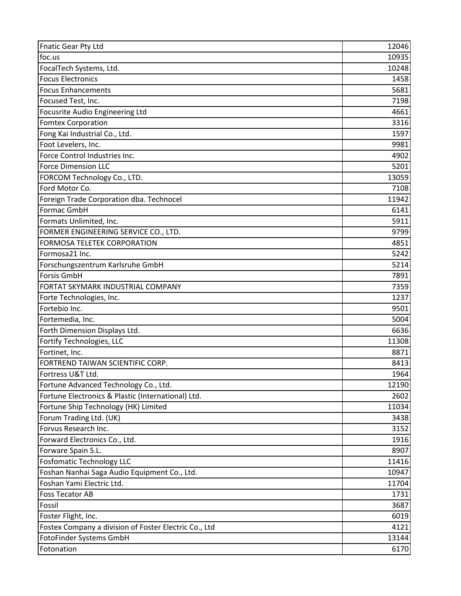| <b>Fnatic Gear Pty Ltd</b>                            | 12046 |
|-------------------------------------------------------|-------|
| foc.us                                                | 10935 |
| FocalTech Systems, Ltd.                               | 10248 |
| <b>Focus Electronics</b>                              | 1458  |
| <b>Focus Enhancements</b>                             | 5681  |
| Focused Test, Inc.                                    | 7198  |
| Focusrite Audio Engineering Ltd                       | 4661  |
| <b>Fomtex Corporation</b>                             | 3316  |
| Fong Kai Industrial Co., Ltd.                         | 1597  |
| Foot Levelers, Inc.                                   | 9981  |
| Force Control Industries Inc.                         | 4902  |
| <b>Force Dimension LLC</b>                            | 5201  |
| FORCOM Technology Co., LTD.                           | 13059 |
| Ford Motor Co.                                        | 7108  |
| Foreign Trade Corporation dba. Technocel              | 11942 |
| Formac GmbH                                           | 6141  |
| Formats Unlimited, Inc.                               | 5911  |
| FORMER ENGINEERING SERVICE CO., LTD.                  | 9799  |
| FORMOSA TELETEK CORPORATION                           | 4851  |
| Formosa21 Inc.                                        | 5242  |
| Forschungszentrum Karlsruhe GmbH                      | 5214  |
| <b>Forsis GmbH</b>                                    | 7891  |
| FORTAT SKYMARK INDUSTRIAL COMPANY                     | 7359  |
| Forte Technologies, Inc.                              | 1237  |
| Fortebio Inc.                                         | 9501  |
| Fortemedia, Inc.                                      | 5004  |
| Forth Dimension Displays Ltd.                         | 6636  |
| Fortify Technologies, LLC                             | 11308 |
| Fortinet, Inc.                                        | 8871  |
| FORTREND TAIWAN SCIENTIFIC CORP.                      | 8413  |
| Fortress U&T Ltd.                                     | 1964  |
| Fortune Advanced Technology Co., Ltd.                 | 12190 |
| Fortune Electronics & Plastic (International) Ltd.    | 2602  |
| Fortune Ship Technology (HK) Limited                  | 11034 |
| Forum Trading Ltd. (UK)                               | 3438  |
| Forvus Research Inc.                                  | 3152  |
| Forward Electronics Co., Ltd.                         | 1916  |
| Forware Spain S.L.                                    | 8907  |
| <b>Fosfomatic Technology LLC</b>                      | 11416 |
| Foshan Nanhai Saga Audio Equipment Co., Ltd.          | 10947 |
| Foshan Yami Electric Ltd.                             | 11704 |
| <b>Foss Tecator AB</b>                                | 1731  |
| Fossil                                                | 3687  |
| Foster Flight, Inc.                                   | 6019  |
| Fostex Company a division of Foster Electric Co., Ltd | 4121  |
| FotoFinder Systems GmbH                               | 13144 |
| Fotonation                                            | 6170  |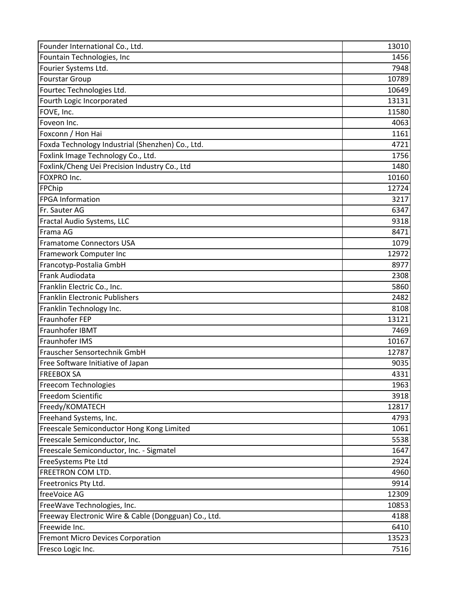| 1456<br>7948<br>10789<br>10649<br>13131<br>11580<br>Foveon Inc.<br>4063<br>1161<br>Foxda Technology Industrial (Shenzhen) Co., Ltd.<br>4721<br>1756<br>1480<br>FOXPRO Inc.<br>10160<br>12724<br><b>FPGA Information</b><br>3217<br>6347<br>9318<br>8471<br>1079<br>12972<br>8977<br>2308<br>5860<br>2482<br>8108<br>13121<br>Fraunhofer IBMT<br>7469<br>10167<br>Frauscher Sensortechnik GmbH<br>12787<br>9035<br>1963<br>3918<br>12817<br>4793<br>1061<br>5538<br>1647<br>2924<br>4960<br>9914<br>12309<br>10853<br>Freeway Electronic Wire & Cable (Dongguan) Co., Ltd.<br>4188<br>6410<br><b>Fremont Micro Devices Corporation</b><br>13523<br>7516 | Founder International Co., Ltd.               | 13010 |
|--------------------------------------------------------------------------------------------------------------------------------------------------------------------------------------------------------------------------------------------------------------------------------------------------------------------------------------------------------------------------------------------------------------------------------------------------------------------------------------------------------------------------------------------------------------------------------------------------------------------------------------------------------|-----------------------------------------------|-------|
|                                                                                                                                                                                                                                                                                                                                                                                                                                                                                                                                                                                                                                                        | Fountain Technologies, Inc                    |       |
|                                                                                                                                                                                                                                                                                                                                                                                                                                                                                                                                                                                                                                                        | Fourier Systems Ltd.                          |       |
|                                                                                                                                                                                                                                                                                                                                                                                                                                                                                                                                                                                                                                                        | <b>Fourstar Group</b>                         |       |
|                                                                                                                                                                                                                                                                                                                                                                                                                                                                                                                                                                                                                                                        | Fourtec Technologies Ltd.                     |       |
|                                                                                                                                                                                                                                                                                                                                                                                                                                                                                                                                                                                                                                                        | Fourth Logic Incorporated                     |       |
|                                                                                                                                                                                                                                                                                                                                                                                                                                                                                                                                                                                                                                                        | FOVE, Inc.                                    |       |
|                                                                                                                                                                                                                                                                                                                                                                                                                                                                                                                                                                                                                                                        |                                               |       |
|                                                                                                                                                                                                                                                                                                                                                                                                                                                                                                                                                                                                                                                        | Foxconn / Hon Hai                             |       |
|                                                                                                                                                                                                                                                                                                                                                                                                                                                                                                                                                                                                                                                        |                                               |       |
|                                                                                                                                                                                                                                                                                                                                                                                                                                                                                                                                                                                                                                                        | Foxlink Image Technology Co., Ltd.            |       |
|                                                                                                                                                                                                                                                                                                                                                                                                                                                                                                                                                                                                                                                        | Foxlink/Cheng Uei Precision Industry Co., Ltd |       |
|                                                                                                                                                                                                                                                                                                                                                                                                                                                                                                                                                                                                                                                        |                                               |       |
|                                                                                                                                                                                                                                                                                                                                                                                                                                                                                                                                                                                                                                                        | FPChip                                        |       |
|                                                                                                                                                                                                                                                                                                                                                                                                                                                                                                                                                                                                                                                        |                                               |       |
| 4331                                                                                                                                                                                                                                                                                                                                                                                                                                                                                                                                                                                                                                                   | Fr. Sauter AG                                 |       |
|                                                                                                                                                                                                                                                                                                                                                                                                                                                                                                                                                                                                                                                        | Fractal Audio Systems, LLC                    |       |
|                                                                                                                                                                                                                                                                                                                                                                                                                                                                                                                                                                                                                                                        | Frama AG                                      |       |
|                                                                                                                                                                                                                                                                                                                                                                                                                                                                                                                                                                                                                                                        | <b>Framatome Connectors USA</b>               |       |
|                                                                                                                                                                                                                                                                                                                                                                                                                                                                                                                                                                                                                                                        | Framework Computer Inc                        |       |
|                                                                                                                                                                                                                                                                                                                                                                                                                                                                                                                                                                                                                                                        | Francotyp-Postalia GmbH                       |       |
|                                                                                                                                                                                                                                                                                                                                                                                                                                                                                                                                                                                                                                                        | Frank Audiodata                               |       |
|                                                                                                                                                                                                                                                                                                                                                                                                                                                                                                                                                                                                                                                        | Franklin Electric Co., Inc.                   |       |
|                                                                                                                                                                                                                                                                                                                                                                                                                                                                                                                                                                                                                                                        | Franklin Electronic Publishers                |       |
|                                                                                                                                                                                                                                                                                                                                                                                                                                                                                                                                                                                                                                                        | Franklin Technology Inc.                      |       |
|                                                                                                                                                                                                                                                                                                                                                                                                                                                                                                                                                                                                                                                        | Fraunhofer FEP                                |       |
|                                                                                                                                                                                                                                                                                                                                                                                                                                                                                                                                                                                                                                                        |                                               |       |
|                                                                                                                                                                                                                                                                                                                                                                                                                                                                                                                                                                                                                                                        | Fraunhofer IMS                                |       |
|                                                                                                                                                                                                                                                                                                                                                                                                                                                                                                                                                                                                                                                        |                                               |       |
|                                                                                                                                                                                                                                                                                                                                                                                                                                                                                                                                                                                                                                                        | Free Software Initiative of Japan             |       |
|                                                                                                                                                                                                                                                                                                                                                                                                                                                                                                                                                                                                                                                        | <b>FREEBOX SA</b>                             |       |
|                                                                                                                                                                                                                                                                                                                                                                                                                                                                                                                                                                                                                                                        | Freecom Technologies                          |       |
|                                                                                                                                                                                                                                                                                                                                                                                                                                                                                                                                                                                                                                                        | Freedom Scientific                            |       |
|                                                                                                                                                                                                                                                                                                                                                                                                                                                                                                                                                                                                                                                        | Freedy/KOMATECH                               |       |
|                                                                                                                                                                                                                                                                                                                                                                                                                                                                                                                                                                                                                                                        | Freehand Systems, Inc.                        |       |
|                                                                                                                                                                                                                                                                                                                                                                                                                                                                                                                                                                                                                                                        | Freescale Semiconductor Hong Kong Limited     |       |
|                                                                                                                                                                                                                                                                                                                                                                                                                                                                                                                                                                                                                                                        | Freescale Semiconductor, Inc.                 |       |
|                                                                                                                                                                                                                                                                                                                                                                                                                                                                                                                                                                                                                                                        | Freescale Semiconductor, Inc. - Sigmatel      |       |
|                                                                                                                                                                                                                                                                                                                                                                                                                                                                                                                                                                                                                                                        | FreeSystems Pte Ltd                           |       |
|                                                                                                                                                                                                                                                                                                                                                                                                                                                                                                                                                                                                                                                        | <b>FREETRON COM LTD.</b>                      |       |
|                                                                                                                                                                                                                                                                                                                                                                                                                                                                                                                                                                                                                                                        | Freetronics Pty Ltd.                          |       |
|                                                                                                                                                                                                                                                                                                                                                                                                                                                                                                                                                                                                                                                        | freeVoice AG                                  |       |
|                                                                                                                                                                                                                                                                                                                                                                                                                                                                                                                                                                                                                                                        | FreeWave Technologies, Inc.                   |       |
|                                                                                                                                                                                                                                                                                                                                                                                                                                                                                                                                                                                                                                                        |                                               |       |
|                                                                                                                                                                                                                                                                                                                                                                                                                                                                                                                                                                                                                                                        | Freewide Inc.                                 |       |
|                                                                                                                                                                                                                                                                                                                                                                                                                                                                                                                                                                                                                                                        |                                               |       |
|                                                                                                                                                                                                                                                                                                                                                                                                                                                                                                                                                                                                                                                        | Fresco Logic Inc.                             |       |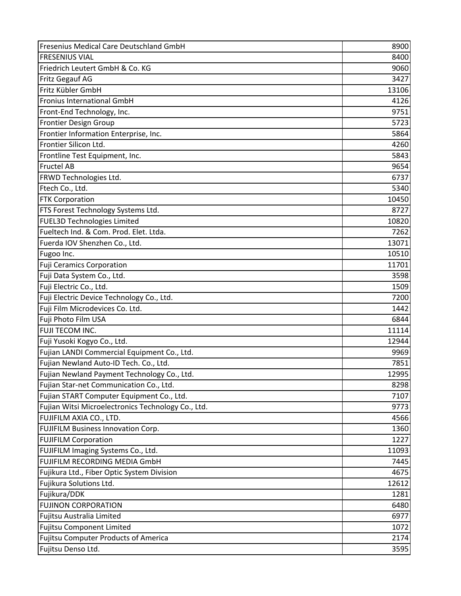| <b>Fresenius Medical Care Deutschland GmbH</b>     | 8900  |
|----------------------------------------------------|-------|
| <b>FRESENIUS VIAL</b>                              | 8400  |
| Friedrich Leutert GmbH & Co. KG                    | 9060  |
| Fritz Gegauf AG                                    | 3427  |
| Fritz Kübler GmbH                                  | 13106 |
| <b>Fronius International GmbH</b>                  | 4126  |
| Front-End Technology, Inc.                         | 9751  |
| <b>Frontier Design Group</b>                       | 5723  |
| Frontier Information Enterprise, Inc.              | 5864  |
| Frontier Silicon Ltd.                              | 4260  |
| Frontline Test Equipment, Inc.                     | 5843  |
| <b>Fructel AB</b>                                  | 9654  |
| FRWD Technologies Ltd.                             | 6737  |
| Ftech Co., Ltd.                                    | 5340  |
| <b>FTK Corporation</b>                             | 10450 |
| FTS Forest Technology Systems Ltd.                 | 8727  |
| <b>FUEL3D Technologies Limited</b>                 | 10820 |
| Fueltech Ind. & Com. Prod. Elet. Ltda.             | 7262  |
| Fuerda IOV Shenzhen Co., Ltd.                      | 13071 |
| Fugoo Inc.                                         | 10510 |
| <b>Fuji Ceramics Corporation</b>                   | 11701 |
| Fuji Data System Co., Ltd.                         | 3598  |
| Fuji Electric Co., Ltd.                            | 1509  |
| Fuji Electric Device Technology Co., Ltd.          | 7200  |
| Fuji Film Microdevices Co. Ltd.                    | 1442  |
| Fuji Photo Film USA                                | 6844  |
| FUJI TECOM INC.                                    | 11114 |
| Fuji Yusoki Kogyo Co., Ltd.                        | 12944 |
| Fujian LANDI Commercial Equipment Co., Ltd.        | 9969  |
| Fujian Newland Auto-ID Tech. Co., Ltd.             | 7851  |
| Fujian Newland Payment Technology Co., Ltd.        | 12995 |
| Fujian Star-net Communication Co., Ltd.            | 8298  |
| Fujian START Computer Equipment Co., Ltd.          | 7107  |
| Fujian Witsi Microelectronics Technology Co., Ltd. | 9773  |
| FUJIFILM AXIA CO., LTD.                            | 4566  |
| FUJIFILM Business Innovation Corp.                 | 1360  |
| <b>FUJIFILM Corporation</b>                        | 1227  |
| FUJIFILM Imaging Systems Co., Ltd.                 | 11093 |
| FUJIFILM RECORDING MEDIA GmbH                      | 7445  |
| Fujikura Ltd., Fiber Optic System Division         | 4675  |
| Fujikura Solutions Ltd.                            | 12612 |
| Fujikura/DDK                                       | 1281  |
| <b>FUJINON CORPORATION</b>                         | 6480  |
| Fujitsu Australia Limited                          | 6977  |
| <b>Fujitsu Component Limited</b>                   | 1072  |
| <b>Fujitsu Computer Products of America</b>        | 2174  |
| Fujitsu Denso Ltd.                                 | 3595  |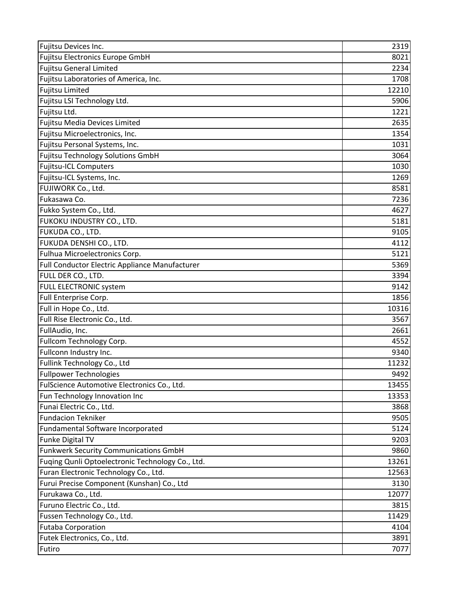| Fujitsu Devices Inc.                             | 2319  |
|--------------------------------------------------|-------|
| Fujitsu Electronics Europe GmbH                  | 8021  |
| <b>Fujitsu General Limited</b>                   | 2234  |
| Fujitsu Laboratories of America, Inc.            | 1708  |
| <b>Fujitsu Limited</b>                           | 12210 |
| Fujitsu LSI Technology Ltd.                      | 5906  |
| Fujitsu Ltd.                                     | 1221  |
| Fujitsu Media Devices Limited                    | 2635  |
| Fujitsu Microelectronics, Inc.                   | 1354  |
| Fujitsu Personal Systems, Inc.                   | 1031  |
| Fujitsu Technology Solutions GmbH                | 3064  |
| <b>Fujitsu-ICL Computers</b>                     | 1030  |
| Fujitsu-ICL Systems, Inc.                        | 1269  |
| FUJIWORK Co., Ltd.                               | 8581  |
| Fukasawa Co.                                     | 7236  |
| Fukko System Co., Ltd.                           | 4627  |
| FUKOKU INDUSTRY CO., LTD.                        | 5181  |
| FUKUDA CO., LTD.                                 | 9105  |
| FUKUDA DENSHI CO., LTD.                          | 4112  |
| Fulhua Microelectronics Corp.                    | 5121  |
| Full Conductor Electric Appliance Manufacturer   | 5369  |
| FULL DER CO., LTD.                               | 3394  |
| <b>FULL ELECTRONIC system</b>                    | 9142  |
| Full Enterprise Corp.                            | 1856  |
| Full in Hope Co., Ltd.                           | 10316 |
| Full Rise Electronic Co., Ltd.                   | 3567  |
| FullAudio, Inc.                                  | 2661  |
| Fullcom Technology Corp.                         | 4552  |
| Fullconn Industry Inc.                           | 9340  |
| Fullink Technology Co., Ltd                      | 11232 |
| <b>Fullpower Technologies</b>                    | 9492  |
| FulScience Automotive Electronics Co., Ltd.      | 13455 |
| Fun Technology Innovation Inc                    | 13353 |
| Funai Electric Co., Ltd.                         | 3868  |
| <b>Fundacion Tekniker</b>                        | 9505  |
| Fundamental Software Incorporated                | 5124  |
| <b>Funke Digital TV</b>                          | 9203  |
| <b>Funkwerk Security Communications GmbH</b>     | 9860  |
| Fuging Qunli Optoelectronic Technology Co., Ltd. | 13261 |
| Furan Electronic Technology Co., Ltd.            | 12563 |
| Furui Precise Component (Kunshan) Co., Ltd       | 3130  |
| Furukawa Co., Ltd.                               | 12077 |
| Furuno Electric Co., Ltd.                        | 3815  |
| Fussen Technology Co., Ltd.                      | 11429 |
| <b>Futaba Corporation</b>                        | 4104  |
| Futek Electronics, Co., Ltd.                     | 3891  |
| Futiro                                           | 7077  |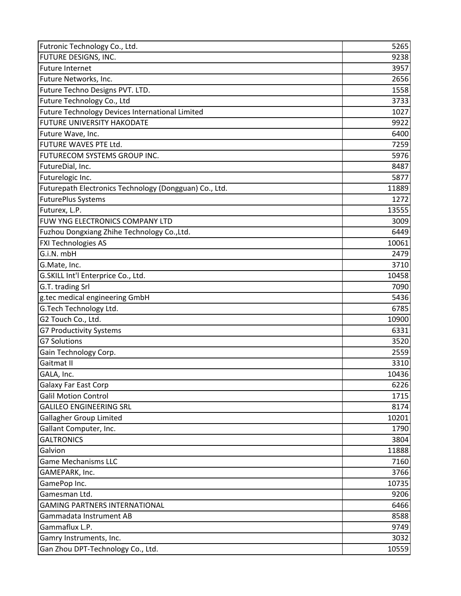| Futronic Technology Co., Ltd.                          | 5265  |
|--------------------------------------------------------|-------|
| <b>FUTURE DESIGNS, INC.</b>                            | 9238  |
| <b>Future Internet</b>                                 | 3957  |
| Future Networks, Inc.                                  | 2656  |
| Future Techno Designs PVT. LTD.                        | 1558  |
| Future Technology Co., Ltd                             | 3733  |
| Future Technology Devices International Limited        | 1027  |
| <b>FUTURE UNIVERSITY HAKODATE</b>                      | 9922  |
| Future Wave, Inc.                                      | 6400  |
| FUTURE WAVES PTE Ltd.                                  | 7259  |
| FUTURECOM SYSTEMS GROUP INC.                           | 5976  |
| FutureDial, Inc.                                       | 8487  |
| Futurelogic Inc.                                       | 5877  |
| Futurepath Electronics Technology (Dongguan) Co., Ltd. | 11889 |
| <b>FuturePlus Systems</b>                              | 1272  |
| Futurex, L.P.                                          | 13555 |
| FUW YNG ELECTRONICS COMPANY LTD                        | 3009  |
| Fuzhou Dongxiang Zhihe Technology Co., Ltd.            | 6449  |
| <b>FXI Technologies AS</b>                             | 10061 |
| G.i.N. mbH                                             | 2479  |
| G.Mate, Inc.                                           | 3710  |
| G.SKILL Int'l Enterprice Co., Ltd.                     | 10458 |
| G.T. trading Srl                                       | 7090  |
| g.tec medical engineering GmbH                         | 5436  |
| G.Tech Technology Ltd.                                 | 6785  |
| G2 Touch Co., Ltd.                                     | 10900 |
| <b>G7 Productivity Systems</b>                         | 6331  |
| <b>G7 Solutions</b>                                    | 3520  |
| Gain Technology Corp.                                  | 2559  |
| Gaitmat II                                             | 3310  |
| GALA, Inc.                                             | 10436 |
| <b>Galaxy Far East Corp</b>                            | 6226  |
| <b>Galil Motion Control</b>                            | 1715  |
| <b>GALILEO ENGINEERING SRL</b>                         | 8174  |
| Gallagher Group Limited                                | 10201 |
| Gallant Computer, Inc.                                 | 1790  |
| <b>GALTRONICS</b>                                      | 3804  |
| Galvion                                                | 11888 |
| <b>Game Mechanisms LLC</b>                             | 7160  |
| GAMEPARK, Inc.                                         | 3766  |
| GamePop Inc.                                           | 10735 |
| Gamesman Ltd.                                          | 9206  |
| <b>GAMING PARTNERS INTERNATIONAL</b>                   | 6466  |
| Gammadata Instrument AB                                | 8588  |
| Gammaflux L.P.                                         | 9749  |
| Gamry Instruments, Inc.                                | 3032  |
| Gan Zhou DPT-Technology Co., Ltd.                      | 10559 |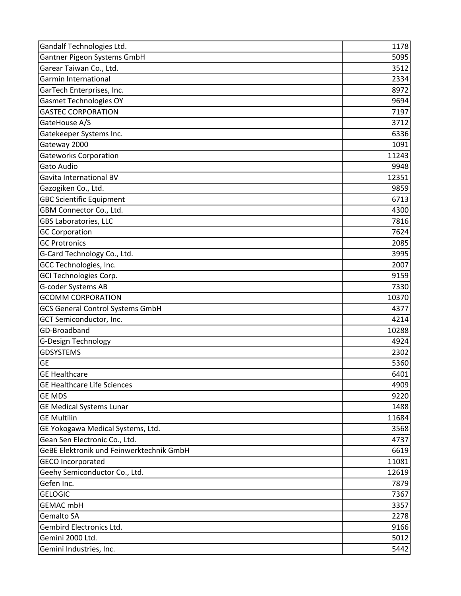| Gandalf Technologies Ltd.                | 1178  |
|------------------------------------------|-------|
| Gantner Pigeon Systems GmbH              | 5095  |
| Garear Taiwan Co., Ltd.                  | 3512  |
| Garmin International                     | 2334  |
| GarTech Enterprises, Inc.                | 8972  |
| <b>Gasmet Technologies OY</b>            | 9694  |
| <b>GASTEC CORPORATION</b>                | 7197  |
| GateHouse A/S                            | 3712  |
| Gatekeeper Systems Inc.                  | 6336  |
| Gateway 2000                             | 1091  |
| <b>Gateworks Corporation</b>             | 11243 |
| Gato Audio                               | 9948  |
| Gavita International BV                  | 12351 |
| Gazogiken Co., Ltd.                      | 9859  |
| <b>GBC Scientific Equipment</b>          | 6713  |
| GBM Connector Co., Ltd.                  | 4300  |
| <b>GBS Laboratories, LLC</b>             | 7816  |
| <b>GC Corporation</b>                    | 7624  |
| <b>GC Protronics</b>                     | 2085  |
| G-Card Technology Co., Ltd.              | 3995  |
| GCC Technologies, Inc.                   | 2007  |
| <b>GCI Technologies Corp.</b>            | 9159  |
| G-coder Systems AB                       | 7330  |
| <b>GCOMM CORPORATION</b>                 | 10370 |
| <b>GCS General Control Systems GmbH</b>  | 4377  |
| GCT Semiconductor, Inc.                  | 4214  |
| GD-Broadband                             | 10288 |
| G-Design Technology                      | 4924  |
| <b>GDSYSTEMS</b>                         | 2302  |
| <b>GE</b>                                | 5360  |
| <b>GE Healthcare</b>                     | 6401  |
| <b>GE Healthcare Life Sciences</b>       | 4909  |
| <b>GE MDS</b>                            | 9220  |
| <b>GE Medical Systems Lunar</b>          | 1488  |
| <b>GE Multilin</b>                       | 11684 |
| GE Yokogawa Medical Systems, Ltd.        | 3568  |
| Gean Sen Electronic Co., Ltd.            | 4737  |
| GeBE Elektronik und Feinwerktechnik GmbH | 6619  |
| <b>GECO Incorporated</b>                 | 11081 |
| Geehy Semiconductor Co., Ltd.            | 12619 |
| Gefen Inc.                               | 7879  |
| <b>GELOGIC</b>                           | 7367  |
| <b>GEMAC mbH</b>                         | 3357  |
| <b>Gemalto SA</b>                        | 2278  |
| Gembird Electronics Ltd.                 | 9166  |
| Gemini 2000 Ltd.                         | 5012  |
| Gemini Industries, Inc.                  | 5442  |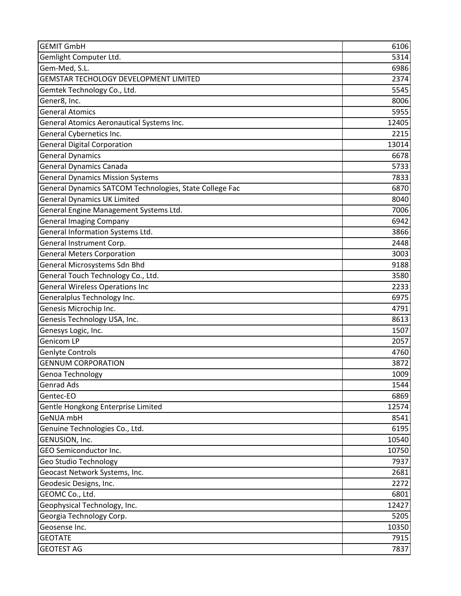| <b>GEMIT GmbH</b>                                       | 6106  |
|---------------------------------------------------------|-------|
| Gemlight Computer Ltd.                                  | 5314  |
| Gem-Med, S.L.                                           | 6986  |
| <b>GEMSTAR TECHOLOGY DEVELOPMENT LIMITED</b>            | 2374  |
| Gemtek Technology Co., Ltd.                             | 5545  |
| Gener8, Inc.                                            | 8006  |
| <b>General Atomics</b>                                  | 5955  |
| General Atomics Aeronautical Systems Inc.               | 12405 |
| General Cybernetics Inc.                                | 2215  |
| <b>General Digital Corporation</b>                      | 13014 |
| <b>General Dynamics</b>                                 | 6678  |
| <b>General Dynamics Canada</b>                          | 5733  |
| <b>General Dynamics Mission Systems</b>                 | 7833  |
| General Dynamics SATCOM Technologies, State College Fac | 6870  |
| <b>General Dynamics UK Limited</b>                      | 8040  |
| General Engine Management Systems Ltd.                  | 7006  |
| <b>General Imaging Company</b>                          | 6942  |
| General Information Systems Ltd.                        | 3866  |
| General Instrument Corp.                                | 2448  |
| <b>General Meters Corporation</b>                       | 3003  |
| General Microsystems Sdn Bhd                            | 9188  |
| General Touch Technology Co., Ltd.                      | 3580  |
| <b>General Wireless Operations Inc</b>                  | 2233  |
| Generalplus Technology Inc.                             | 6975  |
| Genesis Microchip Inc.                                  | 4791  |
| Genesis Technology USA, Inc.                            | 8613  |
| Genesys Logic, Inc.                                     | 1507  |
| <b>Genicom LP</b>                                       | 2057  |
| Genlyte Controls                                        | 4760  |
| <b>GENNUM CORPORATION</b>                               | 3872  |
| <b>Genoa Technology</b>                                 | 1009  |
| <b>Genrad Ads</b>                                       | 1544  |
| Gentec-EO                                               | 6869  |
| Gentle Hongkong Enterprise Limited                      | 12574 |
| <b>GeNUA mbH</b>                                        | 8541  |
| Genuine Technologies Co., Ltd.                          | 6195  |
| GENUSION, Inc.                                          | 10540 |
| GEO Semiconductor Inc.                                  | 10750 |
| Geo Studio Technology                                   | 7937  |
| Geocast Network Systems, Inc.                           | 2681  |
| Geodesic Designs, Inc.                                  | 2272  |
| GEOMC Co., Ltd.                                         | 6801  |
| Geophysical Technology, Inc.                            | 12427 |
| Georgia Technology Corp.                                | 5205  |
| Geosense Inc.                                           | 10350 |
| <b>GEOTATE</b>                                          | 7915  |
| <b>GEOTEST AG</b>                                       | 7837  |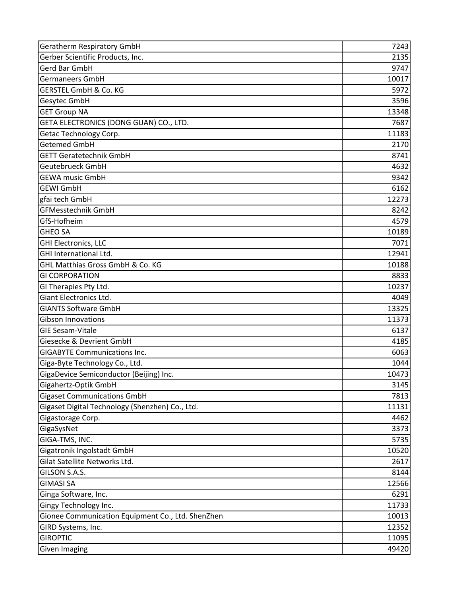| <b>Geratherm Respiratory GmbH</b>                 | 7243  |
|---------------------------------------------------|-------|
| Gerber Scientific Products, Inc.                  | 2135  |
| Gerd Bar GmbH                                     | 9747  |
| <b>Germaneers GmbH</b>                            | 10017 |
| <b>GERSTEL GmbH &amp; Co. KG</b>                  | 5972  |
| Gesytec GmbH                                      | 3596  |
| <b>GET Group NA</b>                               | 13348 |
| GETA ELECTRONICS (DONG GUAN) CO., LTD.            | 7687  |
| Getac Technology Corp.                            | 11183 |
| <b>Getemed GmbH</b>                               | 2170  |
| <b>GETT Geratetechnik GmbH</b>                    | 8741  |
| <b>Geutebrueck GmbH</b>                           | 4632  |
| <b>GEWA music GmbH</b>                            | 9342  |
| <b>GEWI GmbH</b>                                  | 6162  |
| gfai tech GmbH                                    | 12273 |
| <b>GFMesstechnik GmbH</b>                         | 8242  |
| GfS-Hofheim                                       | 4579  |
| <b>GHEO SA</b>                                    | 10189 |
| <b>GHI Electronics, LLC</b>                       | 7071  |
| GHI International Ltd.                            | 12941 |
| GHL Matthias Gross GmbH & Co. KG                  | 10188 |
| <b>GI CORPORATION</b>                             | 8833  |
| GI Therapies Pty Ltd.                             | 10237 |
| Giant Electronics Ltd.                            | 4049  |
| <b>GIANTS Software GmbH</b>                       | 13325 |
| <b>Gibson Innovations</b>                         | 11373 |
| <b>GIE Sesam-Vitale</b>                           | 6137  |
| Giesecke & Devrient GmbH                          | 4185  |
| <b>GIGABYTE Communications Inc.</b>               | 6063  |
| Giga-Byte Technology Co., Ltd.                    | 1044  |
| GigaDevice Semiconductor (Beijing) Inc.           | 10473 |
| Gigahertz-Optik GmbH                              | 3145  |
| <b>Gigaset Communications GmbH</b>                | 7813  |
| Gigaset Digital Technology (Shenzhen) Co., Ltd.   | 11131 |
| Gigastorage Corp.                                 | 4462  |
| GigaSysNet                                        | 3373  |
| GIGA-TMS, INC.                                    | 5735  |
| Gigatronik Ingolstadt GmbH                        | 10520 |
| Gilat Satellite Networks Ltd.                     | 2617  |
| GILSON S.A.S.                                     | 8144  |
| <b>GIMASI SA</b>                                  | 12566 |
| Ginga Software, Inc.                              | 6291  |
| Gingy Technology Inc.                             | 11733 |
| Gionee Communication Equipment Co., Ltd. ShenZhen | 10013 |
| GIRD Systems, Inc.                                | 12352 |
| <b>GIROPTIC</b>                                   | 11095 |
| <b>Given Imaging</b>                              | 49420 |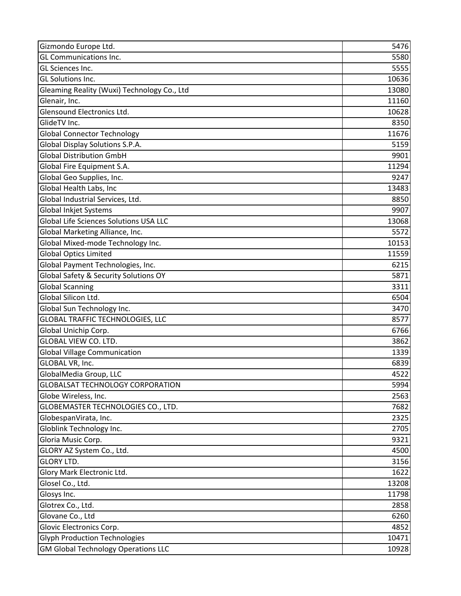| Gizmondo Europe Ltd.                        | 5476  |
|---------------------------------------------|-------|
| GL Communications Inc.                      | 5580  |
| GL Sciences Inc.                            | 5555  |
| GL Solutions Inc.                           | 10636 |
| Gleaming Reality (Wuxi) Technology Co., Ltd | 13080 |
| Glenair, Inc.                               | 11160 |
| Glensound Electronics Ltd.                  | 10628 |
| GlideTV Inc.                                | 8350  |
| <b>Global Connector Technology</b>          | 11676 |
| Global Display Solutions S.P.A.             | 5159  |
| <b>Global Distribution GmbH</b>             | 9901  |
| Global Fire Equipment S.A.                  | 11294 |
| Global Geo Supplies, Inc.                   | 9247  |
| Global Health Labs, Inc                     | 13483 |
| Global Industrial Services, Ltd.            | 8850  |
| <b>Global Inkjet Systems</b>                | 9907  |
| Global Life Sciences Solutions USA LLC      | 13068 |
| Global Marketing Alliance, Inc.             | 5572  |
| Global Mixed-mode Technology Inc.           | 10153 |
| <b>Global Optics Limited</b>                | 11559 |
| Global Payment Technologies, Inc.           | 6215  |
| Global Safety & Security Solutions OY       | 5871  |
| <b>Global Scanning</b>                      | 3311  |
| Global Silicon Ltd.                         | 6504  |
| Global Sun Technology Inc.                  | 3470  |
| <b>GLOBAL TRAFFIC TECHNOLOGIES, LLC</b>     | 8577  |
| Global Unichip Corp.                        | 6766  |
| GLOBAL VIEW CO. LTD.                        | 3862  |
| <b>Global Village Communication</b>         | 1339  |
| GLOBAL VR, Inc.                             | 6839  |
| GlobalMedia Group, LLC                      | 4522  |
| <b>GLOBALSAT TECHNOLOGY CORPORATION</b>     | 5994  |
| Globe Wireless, Inc.                        | 2563  |
| GLOBEMASTER TECHNOLOGIES CO., LTD.          | 7682  |
| GlobespanVirata, Inc.                       | 2325  |
| Globlink Technology Inc.                    | 2705  |
| Gloria Music Corp.                          | 9321  |
| GLORY AZ System Co., Ltd.                   | 4500  |
| <b>GLORY LTD.</b>                           | 3156  |
| Glory Mark Electronic Ltd.                  | 1622  |
| Glosel Co., Ltd.                            | 13208 |
| Glosys Inc.                                 | 11798 |
| Glotrex Co., Ltd.                           | 2858  |
| Glovane Co., Ltd                            | 6260  |
| Glovic Electronics Corp.                    | 4852  |
| <b>Glyph Production Technologies</b>        | 10471 |
| <b>GM Global Technology Operations LLC</b>  | 10928 |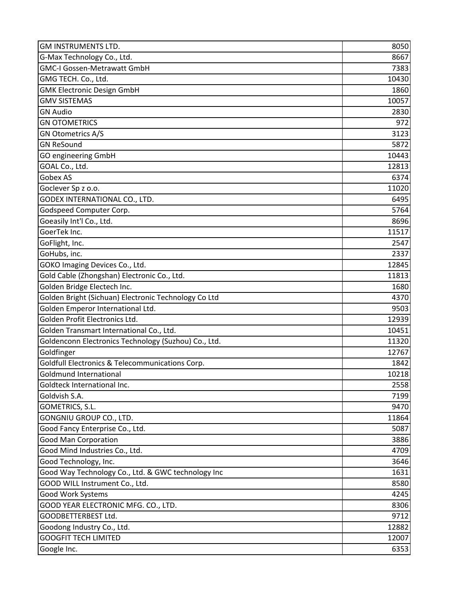| <b>GM INSTRUMENTS LTD.</b>                           | 8050  |
|------------------------------------------------------|-------|
| G-Max Technology Co., Ltd.                           | 8667  |
| <b>GMC-I Gossen-Metrawatt GmbH</b>                   | 7383  |
| GMG TECH. Co., Ltd.                                  | 10430 |
| <b>GMK Electronic Design GmbH</b>                    | 1860  |
| <b>GMV SISTEMAS</b>                                  | 10057 |
| <b>GN Audio</b>                                      | 2830  |
| <b>GN OTOMETRICS</b>                                 | 972   |
| <b>GN Otometrics A/S</b>                             | 3123  |
| <b>GN ReSound</b>                                    | 5872  |
| GO engineering GmbH                                  | 10443 |
| GOAL Co., Ltd.                                       | 12813 |
| Gobex AS                                             | 6374  |
| Goclever Sp z o.o.                                   | 11020 |
| GODEX INTERNATIONAL CO., LTD.                        | 6495  |
| Godspeed Computer Corp.                              | 5764  |
| Goeasily Int'l Co., Ltd.                             | 8696  |
| GoerTek Inc.                                         | 11517 |
| GoFlight, Inc.                                       | 2547  |
| GoHubs, inc.                                         | 2337  |
| GOKO Imaging Devices Co., Ltd.                       | 12845 |
| Gold Cable (Zhongshan) Electronic Co., Ltd.          | 11813 |
| Golden Bridge Electech Inc.                          | 1680  |
| Golden Bright (Sichuan) Electronic Technology Co Ltd | 4370  |
| Golden Emperor International Ltd.                    | 9503  |
| Golden Profit Electronics Ltd.                       | 12939 |
| Golden Transmart International Co., Ltd.             | 10451 |
| Goldenconn Electronics Technology (Suzhou) Co., Ltd. | 11320 |
| Goldfinger                                           | 12767 |
| Goldfull Electronics & Telecommunications Corp.      | 1842  |
| <b>Goldmund International</b>                        | 10218 |
| Goldteck International Inc.                          | 2558  |
| Goldvish S.A.                                        | 7199  |
| GOMETRICS, S.L.                                      | 9470  |
| GONGNIU GROUP CO., LTD.                              | 11864 |
| Good Fancy Enterprise Co., Ltd.                      | 5087  |
| <b>Good Man Corporation</b>                          | 3886  |
| Good Mind Industries Co., Ltd.                       | 4709  |
| Good Technology, Inc.                                | 3646  |
| Good Way Technology Co., Ltd. & GWC technology Inc   | 1631  |
| GOOD WILL Instrument Co., Ltd.                       | 8580  |
| Good Work Systems                                    | 4245  |
| GOOD YEAR ELECTRONIC MFG. CO., LTD.                  | 8306  |
| GOODBETTERBEST Ltd.                                  | 9712  |
| Goodong Industry Co., Ltd.                           | 12882 |
| <b>GOOGFIT TECH LIMITED</b>                          | 12007 |
| Google Inc.                                          | 6353  |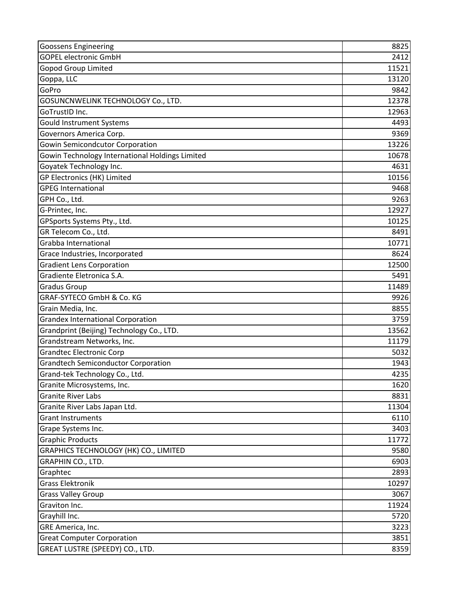| <b>Goossens Engineering</b>                     | 8825  |
|-------------------------------------------------|-------|
| <b>GOPEL electronic GmbH</b>                    | 2412  |
| Gopod Group Limited                             | 11521 |
| Goppa, LLC                                      | 13120 |
| GoPro                                           | 9842  |
| GOSUNCNWELINK TECHNOLOGY Co., LTD.              | 12378 |
| GoTrustID Inc.                                  | 12963 |
| <b>Gould Instrument Systems</b>                 | 4493  |
| Governors America Corp.                         | 9369  |
| <b>Gowin Semicondcutor Corporation</b>          | 13226 |
| Gowin Technology International Holdings Limited | 10678 |
| Goyatek Technology Inc.                         | 4631  |
| GP Electronics (HK) Limited                     | 10156 |
| <b>GPEG International</b>                       | 9468  |
| GPH Co., Ltd.                                   | 9263  |
| G-Printec, Inc.                                 | 12927 |
| GPSports Systems Pty., Ltd.                     | 10125 |
| GR Telecom Co., Ltd.                            | 8491  |
| Grabba International                            | 10771 |
| Grace Industries, Incorporated                  | 8624  |
| <b>Gradient Lens Corporation</b>                | 12500 |
| Gradiente Eletronica S.A.                       | 5491  |
| <b>Gradus Group</b>                             | 11489 |
| GRAF-SYTECO GmbH & Co. KG                       | 9926  |
| Grain Media, Inc.                               | 8855  |
| <b>Grandex International Corporation</b>        | 3759  |
| Grandprint (Beijing) Technology Co., LTD.       | 13562 |
| Grandstream Networks, Inc.                      | 11179 |
| <b>Grandtec Electronic Corp</b>                 | 5032  |
| <b>Grandtech Semiconductor Corporation</b>      | 1943  |
| Grand-tek Technology Co., Ltd.                  | 4235  |
| Granite Microsystems, Inc.                      | 1620  |
| <b>Granite River Labs</b>                       | 8831  |
| Granite River Labs Japan Ltd.                   | 11304 |
| <b>Grant Instruments</b>                        | 6110  |
| Grape Systems Inc.                              | 3403  |
| <b>Graphic Products</b>                         | 11772 |
| GRAPHICS TECHNOLOGY (HK) CO., LIMITED           | 9580  |
| GRAPHIN CO., LTD.                               | 6903  |
| Graphtec                                        | 2893  |
| <b>Grass Elektronik</b>                         | 10297 |
| <b>Grass Valley Group</b>                       | 3067  |
| Graviton Inc.                                   | 11924 |
| Grayhill Inc.                                   | 5720  |
| GRE America, Inc.                               | 3223  |
| <b>Great Computer Corporation</b>               | 3851  |
| GREAT LUSTRE (SPEEDY) CO., LTD.                 | 8359  |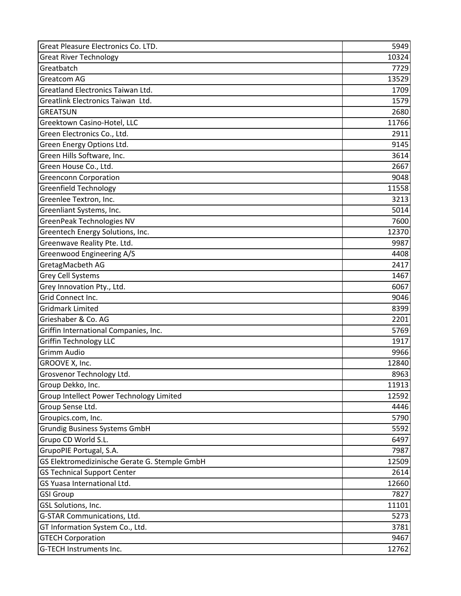| Great Pleasure Electronics Co. LTD.           | 5949  |
|-----------------------------------------------|-------|
| <b>Great River Technology</b>                 | 10324 |
| Greatbatch                                    | 7729  |
| <b>Greatcom AG</b>                            | 13529 |
| Greatland Electronics Taiwan Ltd.             | 1709  |
| Greatlink Electronics Taiwan Ltd.             | 1579  |
| <b>GREATSUN</b>                               | 2680  |
| Greektown Casino-Hotel, LLC                   | 11766 |
| Green Electronics Co., Ltd.                   | 2911  |
| Green Energy Options Ltd.                     | 9145  |
| Green Hills Software, Inc.                    | 3614  |
| Green House Co., Ltd.                         | 2667  |
| <b>Greenconn Corporation</b>                  | 9048  |
| <b>Greenfield Technology</b>                  | 11558 |
| Greenlee Textron, Inc.                        | 3213  |
| Greenliant Systems, Inc.                      | 5014  |
| GreenPeak Technologies NV                     | 7600  |
| Greentech Energy Solutions, Inc.              | 12370 |
| Greenwave Reality Pte. Ltd.                   | 9987  |
| Greenwood Engineering A/S                     | 4408  |
| GretagMacbeth AG                              | 2417  |
| <b>Grey Cell Systems</b>                      | 1467  |
| Grey Innovation Pty., Ltd.                    | 6067  |
| Grid Connect Inc.                             | 9046  |
| <b>Gridmark Limited</b>                       | 8399  |
| Grieshaber & Co. AG                           | 2201  |
| Griffin International Companies, Inc.         | 5769  |
| <b>Griffin Technology LLC</b>                 | 1917  |
| <b>Grimm Audio</b>                            | 9966  |
| GROOVE X, Inc.                                | 12840 |
| Grosvenor Technology Ltd.                     | 8963  |
| Group Dekko, Inc.                             | 11913 |
| Group Intellect Power Technology Limited      | 12592 |
| Group Sense Ltd.                              | 4446  |
| Groupics.com, Inc.                            | 5790  |
| <b>Grundig Business Systems GmbH</b>          | 5592  |
| Grupo CD World S.L.                           | 6497  |
| GrupoPIE Portugal, S.A.                       | 7987  |
| GS Elektromedizinische Gerate G. Stemple GmbH | 12509 |
| <b>GS Technical Support Center</b>            | 2614  |
| GS Yuasa International Ltd.                   | 12660 |
| <b>GSI Group</b>                              | 7827  |
| GSL Solutions, Inc.                           | 11101 |
| G-STAR Communications, Ltd.                   | 5273  |
| GT Information System Co., Ltd.               | 3781  |
| <b>GTECH Corporation</b>                      | 9467  |
| G-TECH Instruments Inc.                       | 12762 |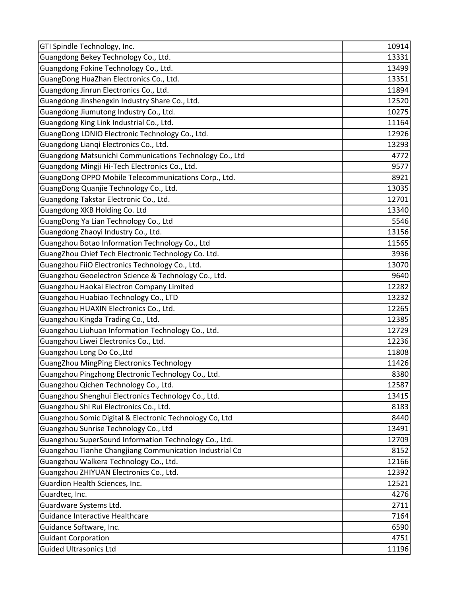| GTI Spindle Technology, Inc.                            | 10914 |
|---------------------------------------------------------|-------|
| Guangdong Bekey Technology Co., Ltd.                    | 13331 |
| Guangdong Fokine Technology Co., Ltd.                   | 13499 |
| GuangDong HuaZhan Electronics Co., Ltd.                 | 13351 |
| Guangdong Jinrun Electronics Co., Ltd.                  | 11894 |
| Guangdong Jinshengxin Industry Share Co., Ltd.          | 12520 |
| Guangdong Jiumutong Industry Co., Ltd.                  | 10275 |
| Guangdong King Link Industrial Co., Ltd.                | 11164 |
| GuangDong LDNIO Electronic Technology Co., Ltd.         | 12926 |
| Guangdong Lianqi Electronics Co., Ltd.                  | 13293 |
| Guangdong Matsunichi Communications Technology Co., Ltd | 4772  |
| Guangdong Mingji Hi-Tech Electronics Co., Ltd.          | 9577  |
| GuangDong OPPO Mobile Telecommunications Corp., Ltd.    | 8921  |
| GuangDong Quanjie Technology Co., Ltd.                  | 13035 |
| Guangdong Takstar Electronic Co., Ltd.                  | 12701 |
| Guangdong XKB Holding Co. Ltd                           | 13340 |
| GuangDong Ya Lian Technology Co., Ltd                   | 5546  |
| Guangdong Zhaoyi Industry Co., Ltd.                     | 13156 |
| Guangzhou Botao Information Technology Co., Ltd         | 11565 |
| GuangZhou Chief Tech Electronic Technology Co. Ltd.     | 3936  |
| Guangzhou FiiO Electronics Technology Co., Ltd.         | 13070 |
| Guangzhou Geoelectron Science & Technology Co., Ltd.    | 9640  |
| Guangzhou Haokai Electron Company Limited               | 12282 |
| Guangzhou Huabiao Technology Co., LTD                   | 13232 |
| Guangzhou HUAXIN Electronics Co., Ltd.                  | 12265 |
| Guangzhou Kingda Trading Co., Ltd.                      | 12385 |
| Guangzhou Liuhuan Information Technology Co., Ltd.      | 12729 |
| Guangzhou Liwei Electronics Co., Ltd.                   | 12236 |
| Guangzhou Long Do Co., Ltd                              | 11808 |
| <b>GuangZhou MingPing Electronics Technology</b>        | 11426 |
| Guangzhou Pingzhong Electronic Technology Co., Ltd.     | 8380  |
| Guangzhou Qichen Technology Co., Ltd.                   | 12587 |
| Guangzhou Shenghui Electronics Technology Co., Ltd.     | 13415 |
| Guangzhou Shi Rui Electronics Co., Ltd.                 | 8183  |
| Guangzhou Somic Digital & Electronic Technology Co, Ltd | 8440  |
| Guangzhou Sunrise Technology Co., Ltd                   | 13491 |
| Guangzhou SuperSound Information Technology Co., Ltd.   | 12709 |
| Guangzhou Tianhe Changjiang Communication Industrial Co | 8152  |
| Guangzhou Walkera Technology Co., Ltd.                  | 12166 |
| Guangzhou ZHIYUAN Electronics Co., Ltd.                 | 12392 |
| Guardion Health Sciences, Inc.                          | 12521 |
| Guardtec, Inc.                                          | 4276  |
| Guardware Systems Ltd.                                  | 2711  |
| Guidance Interactive Healthcare                         | 7164  |
| Guidance Software, Inc.                                 | 6590  |
| <b>Guidant Corporation</b>                              | 4751  |
| <b>Guided Ultrasonics Ltd</b>                           | 11196 |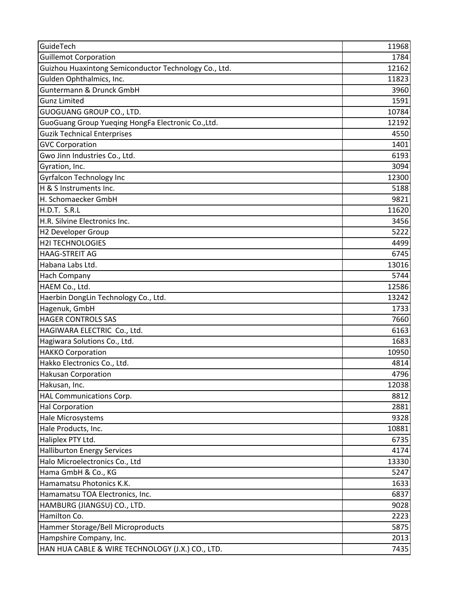| GuideTech                                             | 11968 |
|-------------------------------------------------------|-------|
| <b>Guillemot Corporation</b>                          | 1784  |
| Guizhou Huaxintong Semiconductor Technology Co., Ltd. | 12162 |
| Gulden Ophthalmics, Inc.                              | 11823 |
| Guntermann & Drunck GmbH                              | 3960  |
| <b>Gunz Limited</b>                                   | 1591  |
| GUOGUANG GROUP CO., LTD.                              | 10784 |
| GuoGuang Group Yueqing HongFa Electronic Co., Ltd.    | 12192 |
| <b>Guzik Technical Enterprises</b>                    | 4550  |
| <b>GVC Corporation</b>                                | 1401  |
| Gwo Jinn Industries Co., Ltd.                         | 6193  |
| Gyration, Inc.                                        | 3094  |
| <b>Gyrfalcon Technology Inc</b>                       | 12300 |
| H & S Instruments Inc.                                | 5188  |
| H. Schomaecker GmbH                                   | 9821  |
| H.D.T. S.R.L                                          | 11620 |
| H.R. Silvine Electronics Inc.                         | 3456  |
| H2 Developer Group                                    | 5222  |
| <b>H2I TECHNOLOGIES</b>                               | 4499  |
| <b>HAAG-STREIT AG</b>                                 | 6745  |
| Habana Labs Ltd.                                      | 13016 |
| <b>Hach Company</b>                                   | 5744  |
| HAEM Co., Ltd.                                        | 12586 |
| Haerbin DongLin Technology Co., Ltd.                  | 13242 |
| Hagenuk, GmbH                                         | 1733  |
| <b>HAGER CONTROLS SAS</b>                             | 7660  |
| HAGIWARA ELECTRIC Co., Ltd.                           | 6163  |
| Hagiwara Solutions Co., Ltd.                          | 1683  |
| <b>HAKKO Corporation</b>                              | 10950 |
| Hakko Electronics Co., Ltd.                           | 4814  |
| <b>Hakusan Corporation</b>                            | 4796  |
| Hakusan, Inc.                                         | 12038 |
| HAL Communications Corp.                              | 8812  |
| <b>Hal Corporation</b>                                | 2881  |
| Hale Microsystems                                     | 9328  |
| Hale Products, Inc.                                   | 10881 |
| Haliplex PTY Ltd.                                     | 6735  |
| <b>Halliburton Energy Services</b>                    | 4174  |
| Halo Microelectronics Co., Ltd                        | 13330 |
| Hama GmbH & Co., KG                                   | 5247  |
| Hamamatsu Photonics K.K.                              | 1633  |
| Hamamatsu TOA Electronics, Inc.                       | 6837  |
| HAMBURG (JIANGSU) CO., LTD.                           | 9028  |
| Hamilton Co.                                          | 2223  |
| Hammer Storage/Bell Microproducts                     | 5875  |
| Hampshire Company, Inc.                               | 2013  |
| HAN HUA CABLE & WIRE TECHNOLOGY (J.X.) CO., LTD.      | 7435  |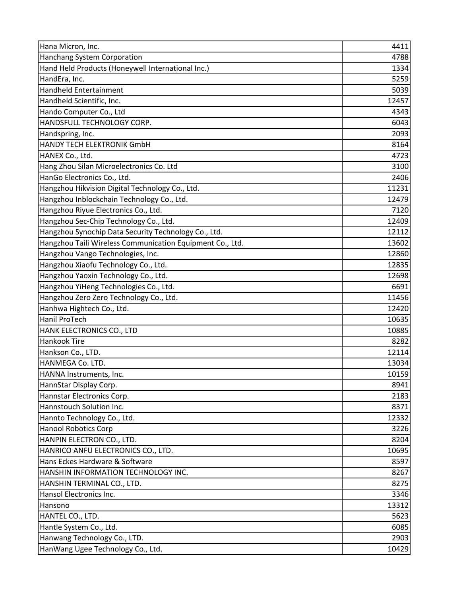| Hana Micron, Inc.                                         | 4411  |
|-----------------------------------------------------------|-------|
| <b>Hanchang System Corporation</b>                        | 4788  |
| Hand Held Products (Honeywell International Inc.)         | 1334  |
| HandEra, Inc.                                             | 5259  |
| <b>Handheld Entertainment</b>                             | 5039  |
| Handheld Scientific, Inc.                                 | 12457 |
| Hando Computer Co., Ltd                                   | 4343  |
| HANDSFULL TECHNOLOGY CORP.                                | 6043  |
| Handspring, Inc.                                          | 2093  |
| HANDY TECH ELEKTRONIK GmbH                                | 8164  |
| HANEX Co., Ltd.                                           | 4723  |
| Hang Zhou Silan Microelectronics Co. Ltd                  | 3100  |
| HanGo Electronics Co., Ltd.                               | 2406  |
| Hangzhou Hikvision Digital Technology Co., Ltd.           | 11231 |
| Hangzhou Inblockchain Technology Co., Ltd.                | 12479 |
| Hangzhou Riyue Electronics Co., Ltd.                      | 7120  |
| Hangzhou Sec-Chip Technology Co., Ltd.                    | 12409 |
| Hangzhou Synochip Data Security Technology Co., Ltd.      | 12112 |
| Hangzhou Taili Wireless Communication Equipment Co., Ltd. | 13602 |
| Hangzhou Vango Technologies, Inc.                         | 12860 |
| Hangzhou Xiaofu Technology Co., Ltd.                      | 12835 |
| Hangzhou Yaoxin Technology Co., Ltd.                      | 12698 |
| Hangzhou YiHeng Technologies Co., Ltd.                    | 6691  |
| Hangzhou Zero Zero Technology Co., Ltd.                   | 11456 |
| Hanhwa Hightech Co., Ltd.                                 | 12420 |
| <b>Hanil ProTech</b>                                      | 10635 |
| HANK ELECTRONICS CO., LTD                                 | 10885 |
| <b>Hankook Tire</b>                                       | 8282  |
| Hankson Co., LTD.                                         | 12114 |
| HANMEGA Co. LTD.                                          | 13034 |
| HANNA Instruments, Inc.                                   | 10159 |
| HannStar Display Corp.                                    | 8941  |
| Hannstar Electronics Corp.                                | 2183  |
| Hannstouch Solution Inc.                                  | 8371  |
| Hannto Technology Co., Ltd.                               | 12332 |
| <b>Hanool Robotics Corp</b>                               | 3226  |
| HANPIN ELECTRON CO., LTD.                                 | 8204  |
| HANRICO ANFU ELECTRONICS CO., LTD.                        | 10695 |
| Hans Eckes Hardware & Software                            | 8597  |
| HANSHIN INFORMATION TECHNOLOGY INC.                       | 8267  |
| HANSHIN TERMINAL CO., LTD.                                | 8275  |
| Hansol Electronics Inc.                                   | 3346  |
| Hansono                                                   | 13312 |
| HANTEL CO., LTD.                                          | 5623  |
| Hantle System Co., Ltd.                                   | 6085  |
| Hanwang Technology Co., LTD.                              | 2903  |
| HanWang Ugee Technology Co., Ltd.                         | 10429 |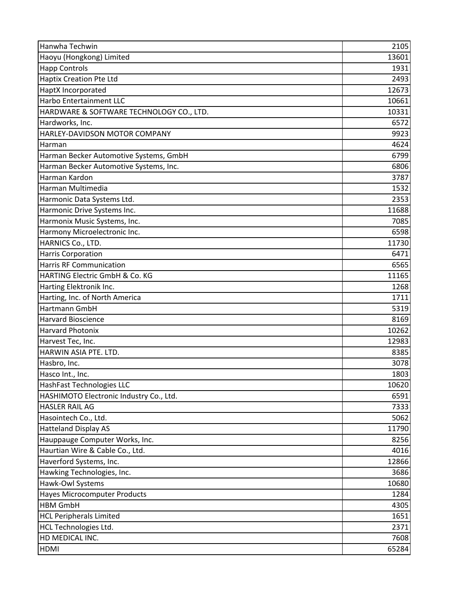| Hanwha Techwin                           | 2105  |
|------------------------------------------|-------|
| Haoyu (Hongkong) Limited                 | 13601 |
| <b>Happ Controls</b>                     | 1931  |
| <b>Haptix Creation Pte Ltd</b>           | 2493  |
| HaptX Incorporated                       | 12673 |
| Harbo Entertainment LLC                  | 10661 |
| HARDWARE & SOFTWARE TECHNOLOGY CO., LTD. | 10331 |
| Hardworks, Inc.                          | 6572  |
| HARLEY-DAVIDSON MOTOR COMPANY            | 9923  |
| Harman                                   | 4624  |
| Harman Becker Automotive Systems, GmbH   | 6799  |
| Harman Becker Automotive Systems, Inc.   | 6806  |
| Harman Kardon                            | 3787  |
| Harman Multimedia                        | 1532  |
| Harmonic Data Systems Ltd.               | 2353  |
| Harmonic Drive Systems Inc.              | 11688 |
| Harmonix Music Systems, Inc.             | 7085  |
| Harmony Microelectronic Inc.             | 6598  |
| HARNICS Co., LTD.                        | 11730 |
| <b>Harris Corporation</b>                | 6471  |
| <b>Harris RF Communication</b>           | 6565  |
| HARTING Electric GmbH & Co. KG           | 11165 |
| Harting Elektronik Inc.                  | 1268  |
| Harting, Inc. of North America           | 1711  |
| Hartmann GmbH                            | 5319  |
| <b>Harvard Bioscience</b>                | 8169  |
| <b>Harvard Photonix</b>                  | 10262 |
| Harvest Tec, Inc.                        | 12983 |
| HARWIN ASIA PTE. LTD.                    | 8385  |
| Hasbro, Inc.                             | 3078  |
| Hasco Int., Inc.                         | 1803  |
| HashFast Technologies LLC                | 10620 |
| HASHIMOTO Electronic Industry Co., Ltd.  | 6591  |
| <b>HASLER RAIL AG</b>                    | 7333  |
| Hasointech Co., Ltd.                     | 5062  |
| <b>Hatteland Display AS</b>              | 11790 |
| Hauppauge Computer Works, Inc.           | 8256  |
| Haurtian Wire & Cable Co., Ltd.          | 4016  |
| Haverford Systems, Inc.                  | 12866 |
| Hawking Technologies, Inc.               | 3686  |
| Hawk-Owl Systems                         | 10680 |
| <b>Hayes Microcomputer Products</b>      | 1284  |
| <b>HBM GmbH</b>                          | 4305  |
| <b>HCL Peripherals Limited</b>           | 1651  |
| <b>HCL Technologies Ltd.</b>             | 2371  |
| HD MEDICAL INC.                          | 7608  |
| <b>HDMI</b>                              | 65284 |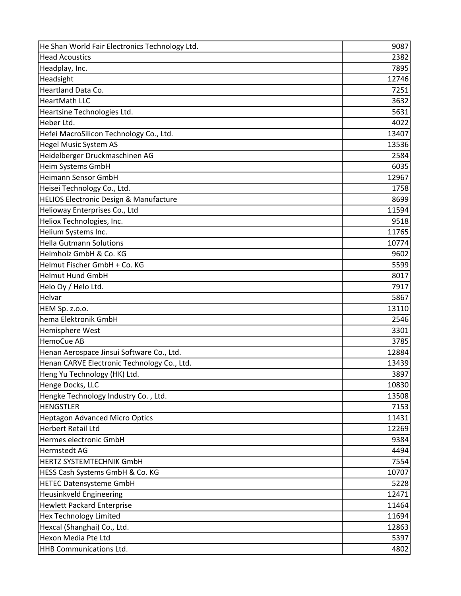| He Shan World Fair Electronics Technology Ltd. | 9087  |
|------------------------------------------------|-------|
| <b>Head Acoustics</b>                          | 2382  |
| Headplay, Inc.                                 | 7895  |
| Headsight                                      | 12746 |
| <b>Heartland Data Co.</b>                      | 7251  |
| <b>HeartMath LLC</b>                           | 3632  |
| Heartsine Technologies Ltd.                    | 5631  |
| Heber Ltd.                                     | 4022  |
| Hefei MacroSilicon Technology Co., Ltd.        | 13407 |
| <b>Hegel Music System AS</b>                   | 13536 |
| Heidelberger Druckmaschinen AG                 | 2584  |
| Heim Systems GmbH                              | 6035  |
| <b>Heimann Sensor GmbH</b>                     | 12967 |
| Heisei Technology Co., Ltd.                    | 1758  |
| HELIOS Electronic Design & Manufacture         | 8699  |
| Helioway Enterprises Co., Ltd                  | 11594 |
| Heliox Technologies, Inc.                      | 9518  |
| Helium Systems Inc.                            | 11765 |
| <b>Hella Gutmann Solutions</b>                 | 10774 |
| Helmholz GmbH & Co. KG                         | 9602  |
| Helmut Fischer GmbH + Co. KG                   | 5599  |
| <b>Helmut Hund GmbH</b>                        | 8017  |
| Helo Oy / Helo Ltd.                            | 7917  |
| Helvar                                         | 5867  |
| HEM Sp. z.o.o.                                 | 13110 |
| hema Elektronik GmbH                           | 2546  |
| Hemisphere West                                | 3301  |
| HemoCue AB                                     | 3785  |
| Henan Aerospace Jinsui Software Co., Ltd.      | 12884 |
| Henan CARVE Electronic Technology Co., Ltd.    | 13439 |
| Heng Yu Technology (HK) Ltd.                   | 3897  |
| Henge Docks, LLC                               | 10830 |
| Hengke Technology Industry Co., Ltd.           | 13508 |
| <b>HENGSTLER</b>                               | 7153  |
| <b>Heptagon Advanced Micro Optics</b>          | 11431 |
| <b>Herbert Retail Ltd</b>                      | 12269 |
| Hermes electronic GmbH                         | 9384  |
| <b>Hermstedt AG</b>                            | 4494  |
| <b>HERTZ SYSTEMTECHNIK GmbH</b>                | 7554  |
| HESS Cash Systems GmbH & Co. KG                | 10707 |
| <b>HETEC Datensysteme GmbH</b>                 | 5228  |
| Heusinkveld Engineering                        | 12471 |
| <b>Hewlett Packard Enterprise</b>              | 11464 |
| <b>Hex Technology Limited</b>                  | 11694 |
| Hexcal (Shanghai) Co., Ltd.                    | 12863 |
| Hexon Media Pte Ltd                            | 5397  |
| HHB Communications Ltd.                        | 4802  |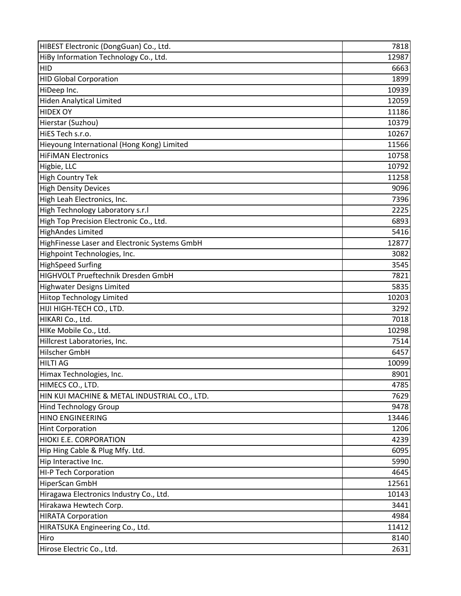| HIBEST Electronic (DongGuan) Co., Ltd.        | 7818  |
|-----------------------------------------------|-------|
| HiBy Information Technology Co., Ltd.         | 12987 |
| <b>HID</b>                                    | 6663  |
| <b>HID Global Corporation</b>                 | 1899  |
| HiDeep Inc.                                   | 10939 |
| <b>Hiden Analytical Limited</b>               | 12059 |
| <b>HIDEX OY</b>                               | 11186 |
| Hierstar (Suzhou)                             | 10379 |
| HiES Tech s.r.o.                              | 10267 |
| Hieyoung International (Hong Kong) Limited    | 11566 |
| <b>HiFiMAN Electronics</b>                    | 10758 |
| Higbie, LLC                                   | 10792 |
| <b>High Country Tek</b>                       | 11258 |
| <b>High Density Devices</b>                   | 9096  |
| High Leah Electronics, Inc.                   | 7396  |
| High Technology Laboratory s.r.l              | 2225  |
| High Top Precision Electronic Co., Ltd.       | 6893  |
| <b>HighAndes Limited</b>                      | 5416  |
| HighFinesse Laser and Electronic Systems GmbH | 12877 |
| Highpoint Technologies, Inc.                  | 3082  |
| <b>HighSpeed Surfing</b>                      | 3545  |
| HIGHVOLT Prueftechnik Dresden GmbH            | 7821  |
| <b>Highwater Designs Limited</b>              | 5835  |
| Hiitop Technology Limited                     | 10203 |
| HIJI HIGH-TECH CO., LTD.                      | 3292  |
| HIKARI Co., Ltd.                              | 7018  |
| HIKe Mobile Co., Ltd.                         | 10298 |
| Hillcrest Laboratories, Inc.                  | 7514  |
| Hilscher GmbH                                 | 6457  |
| <b>HILTI AG</b>                               | 10099 |
| Himax Technologies, Inc.                      | 8901  |
| HIMECS CO., LTD.                              | 4785  |
| HIN KUI MACHINE & METAL INDUSTRIAL CO., LTD.  | 7629  |
| <b>Hind Technology Group</b>                  | 9478  |
| <b>HINO ENGINEERING</b>                       | 13446 |
| <b>Hint Corporation</b>                       | 1206  |
| HIOKI E.E. CORPORATION                        | 4239  |
| Hip Hing Cable & Plug Mfy. Ltd.               | 6095  |
| Hip Interactive Inc.                          | 5990  |
| <b>HI-P Tech Corporation</b>                  | 4645  |
| HiperScan GmbH                                | 12561 |
| Hiragawa Electronics Industry Co., Ltd.       | 10143 |
| Hirakawa Hewtech Corp.                        | 3441  |
| <b>HIRATA Corporation</b>                     | 4984  |
| HIRATSUKA Engineering Co., Ltd.               | 11412 |
| Hiro                                          | 8140  |
| Hirose Electric Co., Ltd.                     | 2631  |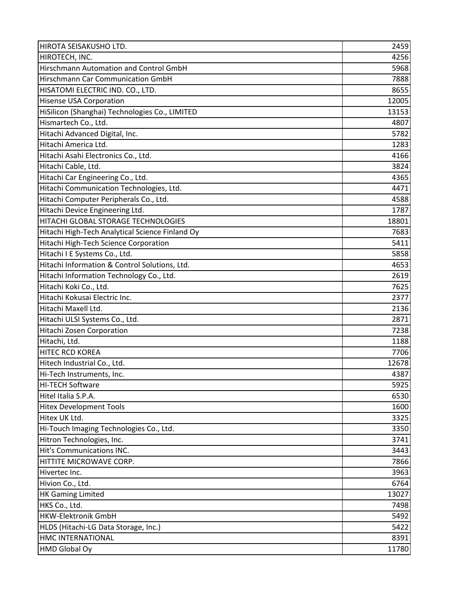| HIROTA SEISAKUSHO LTD.                          | 2459  |
|-------------------------------------------------|-------|
| HIROTECH, INC.                                  | 4256  |
| <b>Hirschmann Automation and Control GmbH</b>   | 5968  |
| Hirschmann Car Communication GmbH               | 7888  |
| HISATOMI ELECTRIC IND. CO., LTD.                | 8655  |
| <b>Hisense USA Corporation</b>                  | 12005 |
| HiSilicon (Shanghai) Technologies Co., LIMITED  | 13153 |
| Hismartech Co., Ltd.                            | 4807  |
| Hitachi Advanced Digital, Inc.                  | 5782  |
| Hitachi America Ltd.                            | 1283  |
| Hitachi Asahi Electronics Co., Ltd.             | 4166  |
| Hitachi Cable, Ltd.                             | 3824  |
| Hitachi Car Engineering Co., Ltd.               | 4365  |
| Hitachi Communication Technologies, Ltd.        | 4471  |
| Hitachi Computer Peripherals Co., Ltd.          | 4588  |
| Hitachi Device Engineering Ltd.                 | 1787  |
| HITACHI GLOBAL STORAGE TECHNOLOGIES             | 18801 |
| Hitachi High-Tech Analytical Science Finland Oy | 7683  |
| Hitachi High-Tech Science Corporation           | 5411  |
| Hitachi I E Systems Co., Ltd.                   | 5858  |
| Hitachi Information & Control Solutions, Ltd.   | 4653  |
| Hitachi Information Technology Co., Ltd.        | 2619  |
| Hitachi Koki Co., Ltd.                          | 7625  |
| Hitachi Kokusai Electric Inc.                   | 2377  |
| Hitachi Maxell Ltd.                             | 2136  |
| Hitachi ULSI Systems Co., Ltd.                  | 2871  |
| Hitachi Zosen Corporation                       | 7238  |
| Hitachi, Ltd.                                   | 1188  |
| <b>HITEC RCD KOREA</b>                          | 7706  |
| Hitech Industrial Co., Ltd.                     | 12678 |
| Hi-Tech Instruments, Inc.                       | 4387  |
| <b>HI-TECH Software</b>                         | 5925  |
| Hitel Italia S.P.A.                             | 6530  |
| <b>Hitex Development Tools</b>                  | 1600  |
| Hitex UK Ltd.                                   | 3325  |
| Hi-Touch Imaging Technologies Co., Ltd.         | 3350  |
| Hitron Technologies, Inc.                       | 3741  |
| Hit's Communications INC.                       | 3443  |
| HITTITE MICROWAVE CORP.                         | 7866  |
| Hivertec Inc.                                   | 3963  |
| Hivion Co., Ltd.                                | 6764  |
| <b>HK Gaming Limited</b>                        | 13027 |
| HKS Co., Ltd.                                   | 7498  |
| <b>HKW-Elektronik GmbH</b>                      | 5492  |
| HLDS (Hitachi-LG Data Storage, Inc.)            | 5422  |
| HMC INTERNATIONAL                               | 8391  |
| <b>HMD Global Oy</b>                            | 11780 |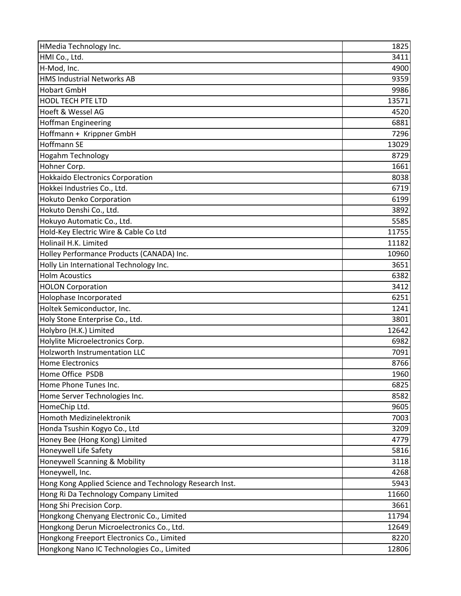| HMedia Technology Inc.                                  | 1825  |
|---------------------------------------------------------|-------|
| HMI Co., Ltd.                                           | 3411  |
| H-Mod, Inc.                                             | 4900  |
| HMS Industrial Networks AB                              | 9359  |
| <b>Hobart GmbH</b>                                      | 9986  |
| HODL TECH PTE LTD                                       | 13571 |
| Hoeft & Wessel AG                                       | 4520  |
| <b>Hoffman Engineering</b>                              | 6881  |
| Hoffmann + Krippner GmbH                                | 7296  |
| <b>Hoffmann SE</b>                                      | 13029 |
| <b>Hogahm Technology</b>                                | 8729  |
| Hohner Corp.                                            | 1661  |
| <b>Hokkaido Electronics Corporation</b>                 | 8038  |
| Hokkei Industries Co., Ltd.                             | 6719  |
| <b>Hokuto Denko Corporation</b>                         | 6199  |
| Hokuto Denshi Co., Ltd.                                 | 3892  |
| Hokuyo Automatic Co., Ltd.                              | 5585  |
| Hold-Key Electric Wire & Cable Co Ltd                   | 11755 |
| Holinail H.K. Limited                                   | 11182 |
| Holley Performance Products (CANADA) Inc.               | 10960 |
| Holly Lin International Technology Inc.                 | 3651  |
| <b>Holm Acoustics</b>                                   | 6382  |
| <b>HOLON Corporation</b>                                | 3412  |
| Holophase Incorporated                                  | 6251  |
| Holtek Semiconductor, Inc.                              | 1241  |
| Holy Stone Enterprise Co., Ltd.                         | 3801  |
| Holybro (H.K.) Limited                                  | 12642 |
| Holylite Microelectronics Corp.                         | 6982  |
| Holzworth Instrumentation LLC                           | 7091  |
| <b>Home Electronics</b>                                 | 8766  |
| Home Office PSDB                                        | 1960  |
| Home Phone Tunes Inc.                                   | 6825  |
| Home Server Technologies Inc.                           | 8582  |
| HomeChip Ltd.                                           | 9605  |
| Homoth Medizinelektronik                                | 7003  |
| Honda Tsushin Kogyo Co., Ltd                            | 3209  |
| Honey Bee (Hong Kong) Limited                           | 4779  |
| Honeywell Life Safety                                   | 5816  |
| Honeywell Scanning & Mobility                           | 3118  |
| Honeywell, Inc.                                         | 4268  |
| Hong Kong Applied Science and Technology Research Inst. | 5943  |
| Hong Ri Da Technology Company Limited                   | 11660 |
| Hong Shi Precision Corp.                                | 3661  |
| Hongkong Chenyang Electronic Co., Limited               | 11794 |
| Hongkong Derun Microelectronics Co., Ltd.               | 12649 |
| Hongkong Freeport Electronics Co., Limited              | 8220  |
| Hongkong Nano IC Technologies Co., Limited              | 12806 |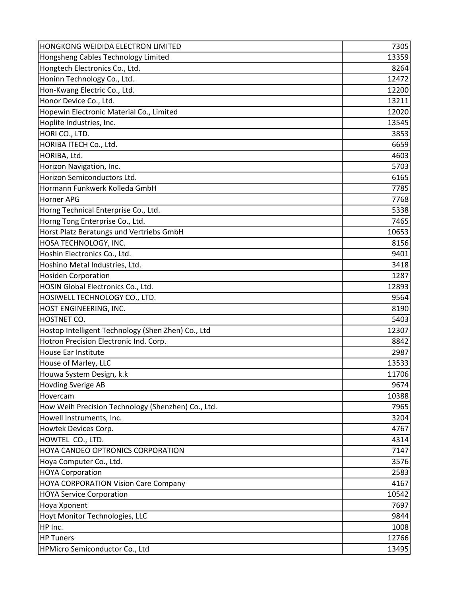| HONGKONG WEIDIDA ELECTRON LIMITED                  | 7305  |
|----------------------------------------------------|-------|
| Hongsheng Cables Technology Limited                | 13359 |
| Hongtech Electronics Co., Ltd.                     | 8264  |
| Honinn Technology Co., Ltd.                        | 12472 |
| Hon-Kwang Electric Co., Ltd.                       | 12200 |
| Honor Device Co., Ltd.                             | 13211 |
| Hopewin Electronic Material Co., Limited           | 12020 |
| Hoplite Industries, Inc.                           | 13545 |
| HORI CO., LTD.                                     | 3853  |
| HORIBA ITECH Co., Ltd.                             | 6659  |
| HORIBA, Ltd.                                       | 4603  |
| Horizon Navigation, Inc.                           | 5703  |
| Horizon Semiconductors Ltd.                        | 6165  |
| Hormann Funkwerk Kolleda GmbH                      | 7785  |
| <b>Horner APG</b>                                  | 7768  |
| Horng Technical Enterprise Co., Ltd.               | 5338  |
| Horng Tong Enterprise Co., Ltd.                    | 7465  |
| Horst Platz Beratungs und Vertriebs GmbH           | 10653 |
| HOSA TECHNOLOGY, INC.                              | 8156  |
| Hoshin Electronics Co., Ltd.                       | 9401  |
| Hoshino Metal Industries, Ltd.                     | 3418  |
| <b>Hosiden Corporation</b>                         | 1287  |
| HOSIN Global Electronics Co., Ltd.                 | 12893 |
| HOSIWELL TECHNOLOGY CO., LTD.                      | 9564  |
| HOST ENGINEERING, INC.                             | 8190  |
| HOSTNET CO.                                        | 5403  |
| Hostop Intelligent Technology (Shen Zhen) Co., Ltd | 12307 |
| Hotron Precision Electronic Ind. Corp.             | 8842  |
| House Ear Institute                                | 2987  |
| House of Marley, LLC                               | 13533 |
| Houwa System Design, k.k                           | 11706 |
| <b>Hovding Sverige AB</b>                          | 9674  |
| Hovercam                                           | 10388 |
| How Weih Precision Technology (Shenzhen) Co., Ltd. | 7965  |
| Howell Instruments, Inc.                           | 3204  |
| Howtek Devices Corp.                               | 4767  |
| HOWTEL CO., LTD.                                   | 4314  |
| HOYA CANDEO OPTRONICS CORPORATION                  | 7147  |
| Hoya Computer Co., Ltd.                            | 3576  |
| <b>HOYA Corporation</b>                            | 2583  |
| <b>HOYA CORPORATION Vision Care Company</b>        | 4167  |
| <b>HOYA Service Corporation</b>                    | 10542 |
| Hoya Xponent                                       | 7697  |
| Hoyt Monitor Technologies, LLC                     | 9844  |
| HP Inc.                                            | 1008  |
| <b>HP Tuners</b>                                   | 12766 |
| HPMicro Semiconductor Co., Ltd                     | 13495 |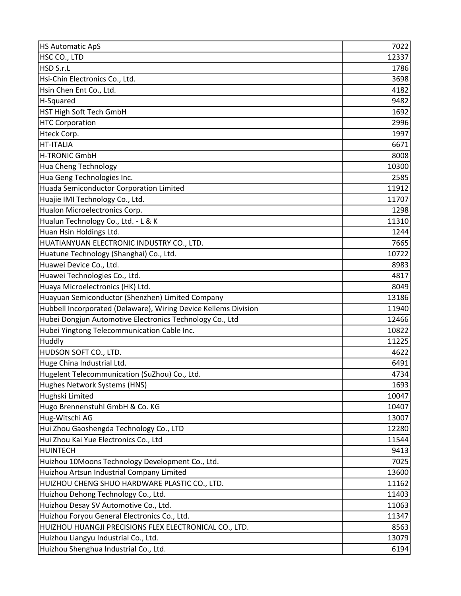| <b>HS Automatic ApS</b>                                         | 7022  |
|-----------------------------------------------------------------|-------|
| HSC CO., LTD                                                    | 12337 |
| HSD S.r.L                                                       | 1786  |
| Hsi-Chin Electronics Co., Ltd.                                  | 3698  |
| Hsin Chen Ent Co., Ltd.                                         | 4182  |
| H-Squared                                                       | 9482  |
| HST High Soft Tech GmbH                                         | 1692  |
| <b>HTC Corporation</b>                                          | 2996  |
| Hteck Corp.                                                     | 1997  |
| <b>HT-ITALIA</b>                                                | 6671  |
| <b>H-TRONIC GmbH</b>                                            | 8008  |
| Hua Cheng Technology                                            | 10300 |
| Hua Geng Technologies Inc.                                      | 2585  |
| Huada Semiconductor Corporation Limited                         | 11912 |
| Huajie IMI Technology Co., Ltd.                                 | 11707 |
| Hualon Microelectronics Corp.                                   | 1298  |
| Hualun Technology Co., Ltd. - L & K                             | 11310 |
| Huan Hsin Holdings Ltd.                                         | 1244  |
| HUATIANYUAN ELECTRONIC INDUSTRY CO., LTD.                       | 7665  |
| Huatune Technology (Shanghai) Co., Ltd.                         | 10722 |
| Huawei Device Co., Ltd.                                         | 8983  |
| Huawei Technologies Co., Ltd.                                   | 4817  |
| Huaya Microelectronics (HK) Ltd.                                | 8049  |
| Huayuan Semiconductor (Shenzhen) Limited Company                | 13186 |
| Hubbell Incorporated (Delaware), Wiring Device Kellems Division | 11940 |
| Hubei Dongjun Automotive Electronics Technology Co., Ltd        | 12466 |
| Hubei Yingtong Telecommunication Cable Inc.                     | 10822 |
| Huddly                                                          | 11225 |
| HUDSON SOFT CO., LTD.                                           | 4622  |
| Huge China Industrial Ltd.                                      | 6491  |
| Hugelent Telecommunication (SuZhou) Co., Ltd.                   | 4734  |
| Hughes Network Systems (HNS)                                    | 1693  |
| Hughski Limited                                                 | 10047 |
| Hugo Brennenstuhl GmbH & Co. KG                                 | 10407 |
| Hug-Witschi AG                                                  | 13007 |
| Hui Zhou Gaoshengda Technology Co., LTD                         | 12280 |
| Hui Zhou Kai Yue Electronics Co., Ltd                           | 11544 |
| <b>HUINTECH</b>                                                 | 9413  |
| Huizhou 10Moons Technology Development Co., Ltd.                | 7025  |
| Huizhou Artsun Industrial Company Limited                       | 13600 |
| HUIZHOU CHENG SHUO HARDWARE PLASTIC CO., LTD.                   | 11162 |
| Huizhou Dehong Technology Co., Ltd.                             | 11403 |
| Huizhou Desay SV Automotive Co., Ltd.                           | 11063 |
| Huizhou Foryou General Electronics Co., Ltd.                    | 11347 |
| HUIZHOU HUANGJI PRECISIONS FLEX ELECTRONICAL CO., LTD.          | 8563  |
| Huizhou Liangyu Industrial Co., Ltd.                            | 13079 |
| Huizhou Shenghua Industrial Co., Ltd.                           | 6194  |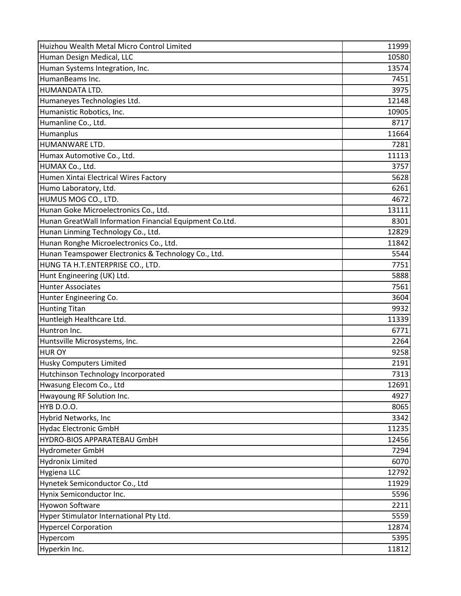| Huizhou Wealth Metal Micro Control Limited              | 11999 |
|---------------------------------------------------------|-------|
| Human Design Medical, LLC                               | 10580 |
| Human Systems Integration, Inc.                         | 13574 |
| HumanBeams Inc.                                         | 7451  |
| HUMANDATA LTD.                                          | 3975  |
| Humaneyes Technologies Ltd.                             | 12148 |
| Humanistic Robotics, Inc.                               | 10905 |
| Humanline Co., Ltd.                                     | 8717  |
| Humanplus                                               | 11664 |
| HUMANWARE LTD.                                          | 7281  |
| Humax Automotive Co., Ltd.                              | 11113 |
| HUMAX Co., Ltd.                                         | 3757  |
| Humen Xintai Electrical Wires Factory                   | 5628  |
| Humo Laboratory, Ltd.                                   | 6261  |
| HUMUS MOG CO., LTD.                                     | 4672  |
| Hunan Goke Microelectronics Co., Ltd.                   | 13111 |
| Hunan GreatWall Information Financial Equipment Co.Ltd. | 8301  |
| Hunan Linming Technology Co., Ltd.                      | 12829 |
| Hunan Ronghe Microelectronics Co., Ltd.                 | 11842 |
| Hunan Teamspower Electronics & Technology Co., Ltd.     | 5544  |
| HUNG TA H.T.ENTERPRISE CO., LTD.                        | 7751  |
| Hunt Engineering (UK) Ltd.                              | 5888  |
| <b>Hunter Associates</b>                                | 7561  |
| Hunter Engineering Co.                                  | 3604  |
| <b>Hunting Titan</b>                                    | 9932  |
| Huntleigh Healthcare Ltd.                               | 11339 |
| Huntron Inc.                                            | 6771  |
| Huntsville Microsystems, Inc.                           | 2264  |
| <b>HUROY</b>                                            | 9258  |
| <b>Husky Computers Limited</b>                          | 2191  |
| Hutchinson Technology Incorporated                      | 7313  |
| Hwasung Elecom Co., Ltd                                 | 12691 |
| Hwayoung RF Solution Inc.                               | 4927  |
| HYB D.O.O.                                              | 8065  |
| Hybrid Networks, Inc                                    | 3342  |
| <b>Hydac Electronic GmbH</b>                            | 11235 |
| HYDRO-BIOS APPARATEBAU GmbH                             | 12456 |
| Hydrometer GmbH                                         | 7294  |
| <b>Hydronix Limited</b>                                 | 6070  |
| <b>Hygiena LLC</b>                                      | 12792 |
| Hynetek Semiconductor Co., Ltd                          | 11929 |
| Hynix Semiconductor Inc.                                | 5596  |
| Hyowon Software                                         | 2211  |
| Hyper Stimulator International Pty Ltd.                 | 5559  |
| <b>Hypercel Corporation</b>                             | 12874 |
| Hypercom                                                | 5395  |
| Hyperkin Inc.                                           | 11812 |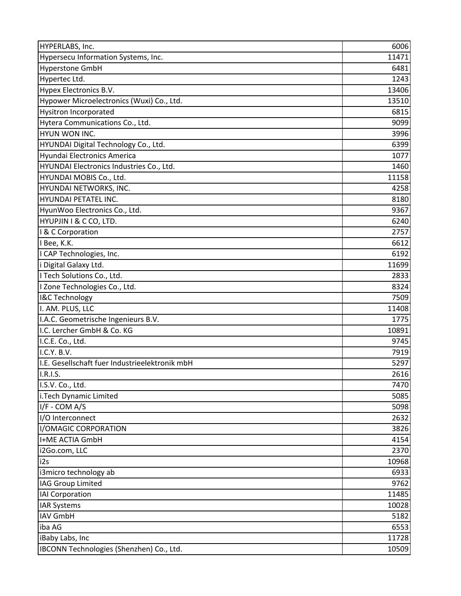| HYPERLABS, Inc.                                | 6006  |
|------------------------------------------------|-------|
| Hypersecu Information Systems, Inc.            | 11471 |
| <b>Hyperstone GmbH</b>                         | 6481  |
| Hypertec Ltd.                                  | 1243  |
| Hypex Electronics B.V.                         | 13406 |
| Hypower Microelectronics (Wuxi) Co., Ltd.      | 13510 |
| <b>Hysitron Incorporated</b>                   | 6815  |
| Hytera Communications Co., Ltd.                | 9099  |
| HYUN WON INC.                                  | 3996  |
| HYUNDAI Digital Technology Co., Ltd.           | 6399  |
| Hyundai Electronics America                    | 1077  |
| HYUNDAI Electronics Industries Co., Ltd.       | 1460  |
| HYUNDAI MOBIS Co., Ltd.                        | 11158 |
| HYUNDAI NETWORKS, INC.                         | 4258  |
| HYUNDAI PETATEL INC.                           | 8180  |
| HyunWoo Electronics Co., Ltd.                  | 9367  |
| HYUPJIN I & C CO, LTD.                         | 6240  |
| I & C Corporation                              | 2757  |
| I Bee, K.K.                                    | 6612  |
| I CAP Technologies, Inc.                       | 6192  |
| i Digital Galaxy Ltd.                          | 11699 |
| I Tech Solutions Co., Ltd.                     | 2833  |
| I Zone Technologies Co., Ltd.                  | 8324  |
| I&C Technology                                 | 7509  |
| I. AM. PLUS, LLC                               | 11408 |
| I.A.C. Geometrische Ingenieurs B.V.            | 1775  |
| I.C. Lercher GmbH & Co. KG                     | 10891 |
| I.C.E. Co., Ltd.                               | 9745  |
| I.C.Y. B.V.                                    | 7919  |
| I.E. Gesellschaft fuer Industrieelektronik mbH | 5297  |
| I.R.I.S.                                       | 2616  |
| I.S.V. Co., Ltd.                               | 7470  |
| i.Tech Dynamic Limited                         | 5085  |
| I/F - COM A/S                                  | 5098  |
| I/O Interconnect                               | 2632  |
| I/OMAGIC CORPORATION                           | 3826  |
| <b>I+ME ACTIA GmbH</b>                         | 4154  |
| i2Go.com, LLC                                  | 2370  |
| i <sub>2s</sub>                                | 10968 |
| i3micro technology ab                          | 6933  |
| IAG Group Limited                              | 9762  |
| <b>IAI Corporation</b>                         | 11485 |
| <b>IAR Systems</b>                             | 10028 |
| <b>IAV GmbH</b>                                | 5182  |
| iba AG                                         | 6553  |
| iBaby Labs, Inc                                | 11728 |
| IBCONN Technologies (Shenzhen) Co., Ltd.       | 10509 |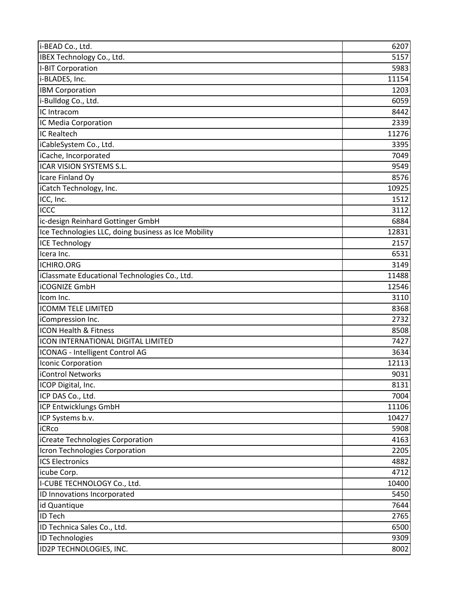| i-BEAD Co., Ltd.                                     | 6207  |
|------------------------------------------------------|-------|
| IBEX Technology Co., Ltd.                            | 5157  |
| I-BIT Corporation                                    | 5983  |
| i-BLADES, Inc.                                       | 11154 |
| <b>IBM Corporation</b>                               | 1203  |
| i-Bulldog Co., Ltd.                                  | 6059  |
| IC Intracom                                          | 8442  |
| IC Media Corporation                                 | 2339  |
| <b>IC Realtech</b>                                   | 11276 |
| iCableSystem Co., Ltd.                               | 3395  |
| iCache, Incorporated                                 | 7049  |
| ICAR VISION SYSTEMS S.L.                             | 9549  |
| Icare Finland Oy                                     | 8576  |
| iCatch Technology, Inc.                              | 10925 |
| ICC, Inc.                                            | 1512  |
| <b>ICCC</b>                                          | 3112  |
| ic-design Reinhard Gottinger GmbH                    | 6884  |
| Ice Technologies LLC, doing business as Ice Mobility | 12831 |
| <b>ICE Technology</b>                                | 2157  |
| Icera Inc.                                           | 6531  |
| ICHIRO.ORG                                           | 3149  |
| iClassmate Educational Technologies Co., Ltd.        | 11488 |
| <b>iCOGNIZE GmbH</b>                                 | 12546 |
| Icom Inc.                                            | 3110  |
| <b>ICOMM TELE LIMITED</b>                            | 8368  |
| iCompression Inc.                                    | 2732  |
| <b>ICON Health &amp; Fitness</b>                     | 8508  |
| ICON INTERNATIONAL DIGITAL LIMITED                   | 7427  |
| ICONAG - Intelligent Control AG                      | 3634  |
| Iconic Corporation                                   | 12113 |
| iControl Networks                                    | 9031  |
| ICOP Digital, Inc.                                   | 8131  |
| ICP DAS Co., Ltd.                                    | 7004  |
| ICP Entwicklungs GmbH                                | 11106 |
| ICP Systems b.v.                                     | 10427 |
| <b>iCRco</b>                                         | 5908  |
| iCreate Technologies Corporation                     | 4163  |
| Icron Technologies Corporation                       | 2205  |
| <b>ICS Electronics</b>                               | 4882  |
| icube Corp.                                          | 4712  |
| I-CUBE TECHNOLOGY Co., Ltd.                          | 10400 |
| ID Innovations Incorporated                          | 5450  |
| id Quantique                                         | 7644  |
| <b>ID Tech</b>                                       | 2765  |
| ID Technica Sales Co., Ltd.                          | 6500  |
| <b>ID Technologies</b>                               | 9309  |
| <b>ID2P TECHNOLOGIES, INC.</b>                       | 8002  |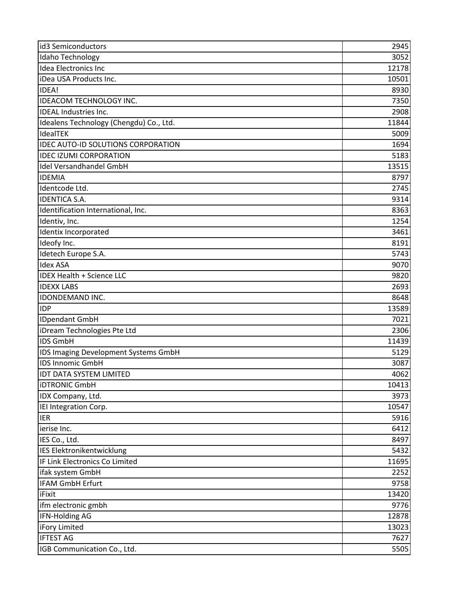| id3 Semiconductors                        | 2945  |
|-------------------------------------------|-------|
| Idaho Technology                          | 3052  |
| Idea Electronics Inc                      | 12178 |
| iDea USA Products Inc.                    | 10501 |
| <b>IDEA!</b>                              | 8930  |
| <b>IDEACOM TECHNOLOGY INC.</b>            | 7350  |
| <b>IDEAL Industries Inc.</b>              | 2908  |
| Idealens Technology (Chengdu) Co., Ltd.   | 11844 |
| <b>IdealTEK</b>                           | 5009  |
| <b>IDEC AUTO-ID SOLUTIONS CORPORATION</b> | 1694  |
| <b>IDEC IZUMI CORPORATION</b>             | 5183  |
| Idel Versandhandel GmbH                   | 13515 |
| <b>IDEMIA</b>                             | 8797  |
| Identcode Ltd.                            | 2745  |
| <b>IDENTICA S.A.</b>                      | 9314  |
| Identification International, Inc.        | 8363  |
| Identiv, Inc.                             | 1254  |
| Identix Incorporated                      | 3461  |
| Ideofy Inc.                               | 8191  |
| Idetech Europe S.A.                       | 5743  |
| <b>Idex ASA</b>                           | 9070  |
| <b>IDEX Health + Science LLC</b>          | 9820  |
| <b>IDEXX LABS</b>                         | 2693  |
| <b>IDONDEMAND INC.</b>                    | 8648  |
| <b>IDP</b>                                | 13589 |
| IDpendant GmbH                            | 7021  |
| iDream Technologies Pte Ltd               | 2306  |
| <b>IDS GmbH</b>                           | 11439 |
| IDS Imaging Development Systems GmbH      | 5129  |
| <b>IDS Innomic GmbH</b>                   | 3087  |
| <b>IDT DATA SYSTEM LIMITED</b>            | 4062  |
| <b>IDTRONIC GmbH</b>                      | 10413 |
| IDX Company, Ltd.                         | 3973  |
| IEI Integration Corp.                     | 10547 |
| <b>IER</b>                                | 5916  |
| ierise Inc.                               | 6412  |
| IES Co., Ltd.                             | 8497  |
| IES Elektronikentwicklung                 | 5432  |
| IF Link Electronics Co Limited            | 11695 |
| ifak system GmbH                          | 2252  |
| <b>IFAM GmbH Erfurt</b>                   | 9758  |
| iFixit                                    | 13420 |
| ifm electronic gmbh                       | 9776  |
| <b>IFN-Holding AG</b>                     | 12878 |
| iFory Limited                             | 13023 |
| <b>IFTEST AG</b>                          | 7627  |
| IGB Communication Co., Ltd.               | 5505  |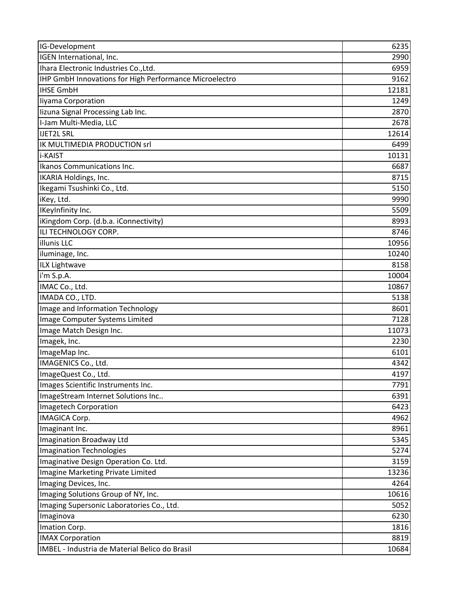| IG-Development                                                | 6235  |
|---------------------------------------------------------------|-------|
| IGEN International, Inc.                                      | 2990  |
| Ihara Electronic Industries Co., Ltd.                         | 6959  |
| <b>IHP GmbH Innovations for High Performance Microelectro</b> | 9162  |
| <b>IHSE GmbH</b>                                              | 12181 |
| liyama Corporation                                            | 1249  |
| lizuna Signal Processing Lab Inc.                             | 2870  |
| I-Jam Multi-Media, LLC                                        | 2678  |
| <b>IJET2L SRL</b>                                             | 12614 |
| IK MULTIMEDIA PRODUCTION srl                                  | 6499  |
| <b>i-KAIST</b>                                                | 10131 |
| Ikanos Communications Inc.                                    | 6687  |
| IKARIA Holdings, Inc.                                         | 8715  |
| Ikegami Tsushinki Co., Ltd.                                   | 5150  |
| iKey, Ltd.                                                    | 9990  |
| IKeyInfinity Inc.                                             | 5509  |
| iKingdom Corp. (d.b.a. iConnectivity)                         | 8993  |
| ILI TECHNOLOGY CORP.                                          | 8746  |
| <b>illunis LLC</b>                                            | 10956 |
| iluminage, Inc.                                               | 10240 |
| ILX Lightwave                                                 | 8158  |
| i'm S.p.A.                                                    | 10004 |
| IMAC Co., Ltd.                                                | 10867 |
| IMADA CO., LTD.                                               | 5138  |
| Image and Information Technology                              | 8601  |
| Image Computer Systems Limited                                | 7128  |
| Image Match Design Inc.                                       | 11073 |
| Imagek, Inc.                                                  | 2230  |
| ImageMap Inc.                                                 | 6101  |
| IMAGENICS Co., Ltd.                                           | 4342  |
| ImageQuest Co., Ltd.                                          | 4197  |
| Images Scientific Instruments Inc.                            | 7791  |
| ImageStream Internet Solutions Inc                            | 6391  |
| Imagetech Corporation                                         | 6423  |
| <b>IMAGICA Corp.</b>                                          | 4962  |
| Imaginant Inc.                                                | 8961  |
| Imagination Broadway Ltd                                      | 5345  |
| Imagination Technologies                                      | 5274  |
| Imaginative Design Operation Co. Ltd.                         | 3159  |
| Imagine Marketing Private Limited                             | 13236 |
| Imaging Devices, Inc.                                         | 4264  |
| Imaging Solutions Group of NY, Inc.                           | 10616 |
| Imaging Supersonic Laboratories Co., Ltd.                     | 5052  |
| Imaginova                                                     | 6230  |
| Imation Corp.                                                 | 1816  |
| <b>IMAX Corporation</b>                                       | 8819  |
| IMBEL - Industria de Material Belico do Brasil                | 10684 |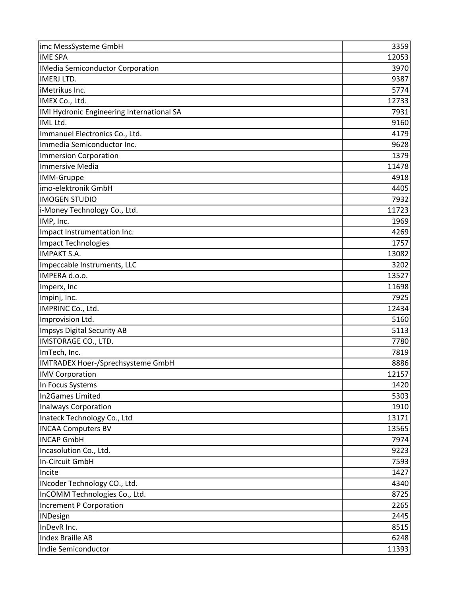| imc MessSysteme GmbH                      | 3359  |
|-------------------------------------------|-------|
| <b>IME SPA</b>                            | 12053 |
| <b>IMedia Semiconductor Corporation</b>   | 3970  |
| <b>IMERJ LTD.</b>                         | 9387  |
| iMetrikus Inc.                            | 5774  |
| IMEX Co., Ltd.                            | 12733 |
| IMI Hydronic Engineering International SA | 7931  |
| IML Ltd.                                  | 9160  |
| Immanuel Electronics Co., Ltd.            | 4179  |
| Immedia Semiconductor Inc.                | 9628  |
| Immersion Corporation                     | 1379  |
| Immersive Media                           | 11478 |
| IMM-Gruppe                                | 4918  |
| imo-elektronik GmbH                       | 4405  |
| <b>IMOGEN STUDIO</b>                      | 7932  |
| i-Money Technology Co., Ltd.              | 11723 |
| IMP, Inc.                                 | 1969  |
| Impact Instrumentation Inc.               | 4269  |
| <b>Impact Technologies</b>                | 1757  |
| <b>IMPAKT S.A.</b>                        | 13082 |
| Impeccable Instruments, LLC               | 3202  |
| IMPERA d.o.o.                             | 13527 |
| Imperx, Inc                               | 11698 |
| Impinj, Inc.                              | 7925  |
| IMPRINC Co., Ltd.                         | 12434 |
| Improvision Ltd.                          | 5160  |
| Impsys Digital Security AB                | 5113  |
| IMSTORAGE CO., LTD.                       | 7780  |
| ImTech, Inc.                              | 7819  |
| IMTRADEX Hoer-/Sprechsysteme GmbH         | 8886  |
| <b>IMV Corporation</b>                    | 12157 |
| In Focus Systems                          | 1420  |
| In2Games Limited                          | 5303  |
| <b>Inalways Corporation</b>               | 1910  |
| Inateck Technology Co., Ltd               | 13171 |
| <b>INCAA Computers BV</b>                 | 13565 |
| <b>INCAP GmbH</b>                         | 7974  |
| Incasolution Co., Ltd.                    | 9223  |
| In-Circuit GmbH                           | 7593  |
| Incite                                    | 1427  |
| INcoder Technology CO., Ltd.              | 4340  |
| InCOMM Technologies Co., Ltd.             | 8725  |
| Increment P Corporation                   | 2265  |
| <b>INDesign</b>                           | 2445  |
| InDevR Inc.                               | 8515  |
| Index Braille AB                          | 6248  |
| Indie Semiconductor                       | 11393 |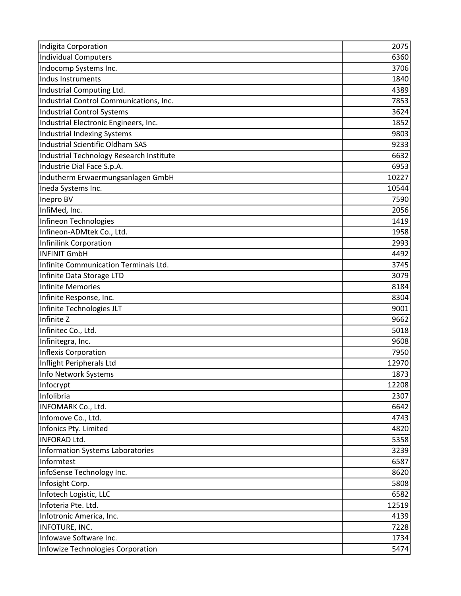| Indigita Corporation                     | 2075  |
|------------------------------------------|-------|
| <b>Individual Computers</b>              | 6360  |
| Indocomp Systems Inc.                    | 3706  |
| Indus Instruments                        | 1840  |
| Industrial Computing Ltd.                | 4389  |
| Industrial Control Communications, Inc.  | 7853  |
| Industrial Control Systems               | 3624  |
| Industrial Electronic Engineers, Inc.    | 1852  |
| Industrial Indexing Systems              | 9803  |
| Industrial Scientific Oldham SAS         | 9233  |
| Industrial Technology Research Institute | 6632  |
| Industrie Dial Face S.p.A.               | 6953  |
| Indutherm Erwaermungsanlagen GmbH        | 10227 |
| Ineda Systems Inc.                       | 10544 |
| Inepro BV                                | 7590  |
| InfiMed, Inc.                            | 2056  |
| Infineon Technologies                    | 1419  |
| Infineon-ADMtek Co., Ltd.                | 1958  |
| Infinilink Corporation                   | 2993  |
| <b>INFINIT GmbH</b>                      | 4492  |
| Infinite Communication Terminals Ltd.    | 3745  |
| Infinite Data Storage LTD                | 3079  |
| <b>Infinite Memories</b>                 | 8184  |
| Infinite Response, Inc.                  | 8304  |
| Infinite Technologies JLT                | 9001  |
| Infinite Z                               | 9662  |
| Infinitec Co., Ltd.                      | 5018  |
| Infinitegra, Inc.                        | 9608  |
| <b>Inflexis Corporation</b>              | 7950  |
| Inflight Peripherals Ltd                 | 12970 |
| Info Network Systems                     | 1873  |
| Infocrypt                                | 12208 |
| Infolibria                               | 2307  |
| INFOMARK Co., Ltd.                       | 6642  |
| Infomove Co., Ltd.                       | 4743  |
| Infonics Pty. Limited                    | 4820  |
| <b>INFORAD Ltd.</b>                      | 5358  |
| Information Systems Laboratories         | 3239  |
| Informtest                               | 6587  |
| infoSense Technology Inc.                | 8620  |
| Infosight Corp.                          | 5808  |
| Infotech Logistic, LLC                   | 6582  |
| Infoteria Pte. Ltd.                      | 12519 |
| Infotronic America, Inc.                 | 4139  |
| INFOTURE, INC.                           | 7228  |
| Infowave Software Inc.                   | 1734  |
| Infowize Technologies Corporation        | 5474  |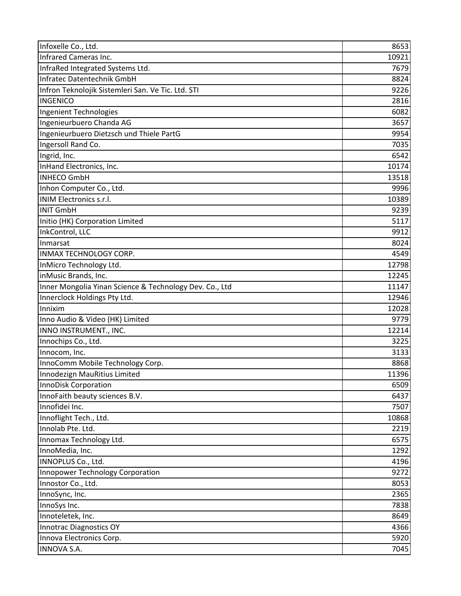| Infoxelle Co., Ltd.                                     | 8653  |
|---------------------------------------------------------|-------|
| Infrared Cameras Inc.                                   | 10921 |
| InfraRed Integrated Systems Ltd.                        | 7679  |
| Infratec Datentechnik GmbH                              | 8824  |
| Infron Teknolojik Sistemleri San. Ve Tic. Ltd. STI      | 9226  |
| <b>INGENICO</b>                                         | 2816  |
| Ingenient Technologies                                  | 6082  |
| Ingenieurbuero Chanda AG                                | 3657  |
| Ingenieurbuero Dietzsch und Thiele PartG                | 9954  |
| Ingersoll Rand Co.                                      | 7035  |
| Ingrid, Inc.                                            | 6542  |
| InHand Electronics, Inc.                                | 10174 |
| <b>INHECO GmbH</b>                                      | 13518 |
| Inhon Computer Co., Ltd.                                | 9996  |
| <b>INIM Electronics s.r.l.</b>                          | 10389 |
| <b>INIT GmbH</b>                                        | 9239  |
| Initio (HK) Corporation Limited                         | 5117  |
| InkControl, LLC                                         | 9912  |
| Inmarsat                                                | 8024  |
| <b>INMAX TECHNOLOGY CORP.</b>                           | 4549  |
| InMicro Technology Ltd.                                 | 12798 |
| inMusic Brands, Inc.                                    | 12245 |
| Inner Mongolia Yinan Science & Technology Dev. Co., Ltd | 11147 |
| Innerclock Holdings Pty Ltd.                            | 12946 |
| Innixim                                                 | 12028 |
| Inno Audio & Video (HK) Limited                         | 9779  |
| INNO INSTRUMENT., INC.                                  | 12214 |
| Innochips Co., Ltd.                                     | 3225  |
| Innocom, Inc.                                           | 3133  |
| InnoComm Mobile Technology Corp.                        | 8868  |
| Innodezign MauRitius Limited                            | 11396 |
| InnoDisk Corporation                                    | 6509  |
| InnoFaith beauty sciences B.V.                          | 6437  |
| Innofidei Inc.                                          | 7507  |
| Innoflight Tech., Ltd.                                  | 10868 |
| Innolab Pte. Ltd.                                       | 2219  |
| Innomax Technology Ltd.                                 | 6575  |
| InnoMedia, Inc.                                         | 1292  |
| INNOPLUS Co., Ltd.                                      | 4196  |
| Innopower Technology Corporation                        | 9272  |
| Innostor Co., Ltd.                                      | 8053  |
| InnoSync, Inc.                                          | 2365  |
| InnoSys Inc.                                            | 7838  |
| Innoteletek, Inc.                                       | 8649  |
| Innotrac Diagnostics OY                                 | 4366  |
| Innova Electronics Corp.                                | 5920  |
| <b>INNOVA S.A.</b>                                      | 7045  |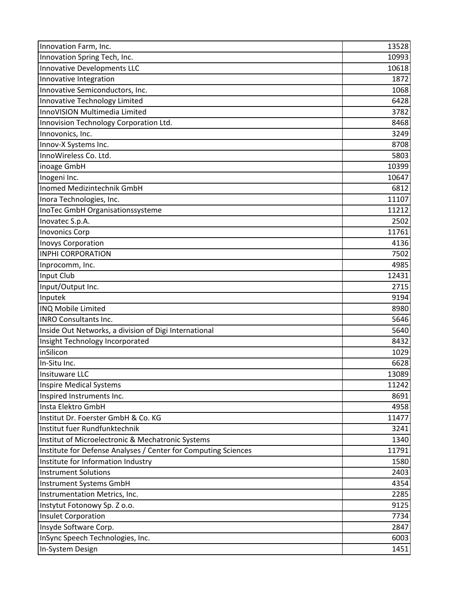| Innovation Farm, Inc.                                          | 13528 |
|----------------------------------------------------------------|-------|
| Innovation Spring Tech, Inc.                                   | 10993 |
| Innovative Developments LLC                                    | 10618 |
| Innovative Integration                                         | 1872  |
| Innovative Semiconductors, Inc.                                | 1068  |
| Innovative Technology Limited                                  | 6428  |
| InnoVISION Multimedia Limited                                  | 3782  |
| Innovision Technology Corporation Ltd.                         | 8468  |
| Innovonics, Inc.                                               | 3249  |
| Innov-X Systems Inc.                                           | 8708  |
| InnoWireless Co. Ltd.                                          | 5803  |
| inoage GmbH                                                    | 10399 |
| Inogeni Inc.                                                   | 10647 |
| Inomed Medizintechnik GmbH                                     | 6812  |
| Inora Technologies, Inc.                                       | 11107 |
| InoTec GmbH Organisationssysteme                               | 11212 |
| Inovatec S.p.A.                                                | 2502  |
| <b>Inovonics Corp</b>                                          | 11761 |
| <b>Inovys Corporation</b>                                      | 4136  |
| <b>INPHI CORPORATION</b>                                       | 7502  |
| Inprocomm, Inc.                                                | 4985  |
| Input Club                                                     | 12431 |
| Input/Output Inc.                                              | 2715  |
| Inputek                                                        | 9194  |
| INQ Mobile Limited                                             | 8980  |
| <b>INRO Consultants Inc.</b>                                   | 5646  |
| Inside Out Networks, a division of Digi International          | 5640  |
| Insight Technology Incorporated                                | 8432  |
| inSilicon                                                      | 1029  |
| In-Situ Inc.                                                   | 6628  |
| Insituware LLC                                                 | 13089 |
| <b>Inspire Medical Systems</b>                                 | 11242 |
| Inspired Instruments Inc.                                      | 8691  |
| Insta Elektro GmbH                                             | 4958  |
| Institut Dr. Foerster GmbH & Co. KG                            | 11477 |
| Institut fuer Rundfunktechnik                                  | 3241  |
| Institut of Microelectronic & Mechatronic Systems              | 1340  |
| Institute for Defense Analyses / Center for Computing Sciences | 11791 |
| Institute for Information Industry                             | 1580  |
| <b>Instrument Solutions</b>                                    | 2403  |
| Instrument Systems GmbH                                        | 4354  |
| Instrumentation Metrics, Inc.                                  | 2285  |
| Instytut Fotonowy Sp. Z o.o.                                   | 9125  |
| Insulet Corporation                                            | 7734  |
| Insyde Software Corp.                                          | 2847  |
| InSync Speech Technologies, Inc.                               | 6003  |
| In-System Design                                               | 1451  |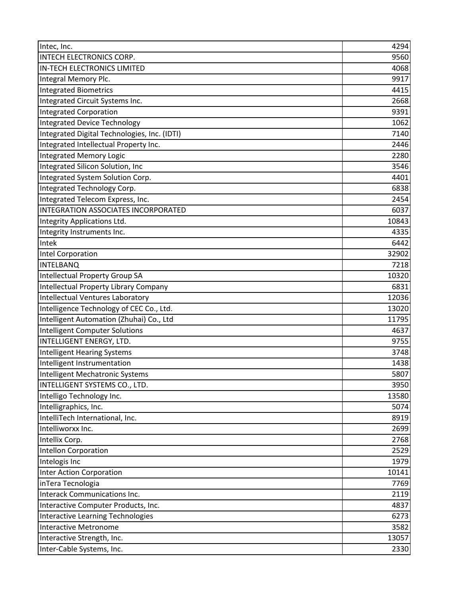| Intec, Inc.                                  | 4294  |
|----------------------------------------------|-------|
| INTECH ELECTRONICS CORP.                     | 9560  |
| <b>IN-TECH ELECTRONICS LIMITED</b>           | 4068  |
| Integral Memory Plc.                         | 9917  |
| <b>Integrated Biometrics</b>                 | 4415  |
| Integrated Circuit Systems Inc.              | 2668  |
| <b>Integrated Corporation</b>                | 9391  |
| Integrated Device Technology                 | 1062  |
| Integrated Digital Technologies, Inc. (IDTI) | 7140  |
| Integrated Intellectual Property Inc.        | 2446  |
| Integrated Memory Logic                      | 2280  |
| Integrated Silicon Solution, Inc             | 3546  |
| Integrated System Solution Corp.             | 4401  |
| Integrated Technology Corp.                  | 6838  |
| Integrated Telecom Express, Inc.             | 2454  |
| INTEGRATION ASSOCIATES INCORPORATED          | 6037  |
| Integrity Applications Ltd.                  | 10843 |
| Integrity Instruments Inc.                   | 4335  |
| Intek                                        | 6442  |
| Intel Corporation                            | 32902 |
| <b>INTELBANQ</b>                             | 7218  |
| Intellectual Property Group SA               | 10320 |
| Intellectual Property Library Company        | 6831  |
| Intellectual Ventures Laboratory             | 12036 |
| Intelligence Technology of CEC Co., Ltd.     | 13020 |
| Intelligent Automation (Zhuhai) Co., Ltd     | 11795 |
| Intelligent Computer Solutions               | 4637  |
| INTELLIGENT ENERGY, LTD.                     | 9755  |
| Intelligent Hearing Systems                  | 3748  |
| Intelligent Instrumentation                  | 1438  |
| Intelligent Mechatronic Systems              | 5807  |
| INTELLIGENT SYSTEMS CO., LTD.                | 3950  |
| Intelligo Technology Inc.                    | 13580 |
| Intelligraphics, Inc.                        | 5074  |
| IntelliTech International, Inc.              | 8919  |
| Intelliworxx Inc.                            | 2699  |
| Intellix Corp.                               | 2768  |
| <b>Intellon Corporation</b>                  | 2529  |
| Intelogis Inc                                | 1979  |
| Inter Action Corporation                     | 10141 |
| inTera Tecnologia                            | 7769  |
| <b>Interack Communications Inc.</b>          | 2119  |
| Interactive Computer Products, Inc.          | 4837  |
| Interactive Learning Technologies            | 6273  |
| Interactive Metronome                        | 3582  |
| Interactive Strength, Inc.                   | 13057 |
| Inter-Cable Systems, Inc.                    | 2330  |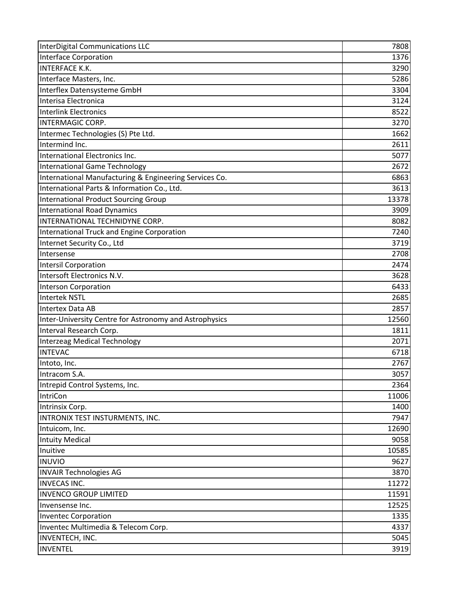| InterDigital Communications LLC                        | 7808  |
|--------------------------------------------------------|-------|
| Interface Corporation                                  | 1376  |
| <b>INTERFACE K.K.</b>                                  | 3290  |
| Interface Masters, Inc.                                | 5286  |
| Interflex Datensysteme GmbH                            | 3304  |
| Interisa Electronica                                   | 3124  |
| <b>Interlink Electronics</b>                           | 8522  |
| <b>INTERMAGIC CORP.</b>                                | 3270  |
| Intermec Technologies (S) Pte Ltd.                     | 1662  |
| Intermind Inc.                                         | 2611  |
| International Electronics Inc.                         | 5077  |
| International Game Technology                          | 2672  |
| International Manufacturing & Engineering Services Co. | 6863  |
| International Parts & Information Co., Ltd.            | 3613  |
| International Product Sourcing Group                   | 13378 |
| International Road Dynamics                            | 3909  |
| INTERNATIONAL TECHNIDYNE CORP.                         | 8082  |
| International Truck and Engine Corporation             | 7240  |
| Internet Security Co., Ltd                             | 3719  |
| Intersense                                             | 2708  |
| <b>Intersil Corporation</b>                            | 2474  |
| Intersoft Electronics N.V.                             | 3628  |
| <b>Interson Corporation</b>                            | 6433  |
| Intertek NSTL                                          | 2685  |
| Intertex Data AB                                       | 2857  |
| Inter-University Centre for Astronomy and Astrophysics | 12560 |
| Interval Research Corp.                                | 1811  |
| Interzeag Medical Technology                           | 2071  |
| <b>INTEVAC</b>                                         | 6718  |
| Intoto, Inc.                                           | 2767  |
| Intracom S.A.                                          | 3057  |
| Intrepid Control Systems, Inc.                         | 2364  |
| <b>IntriCon</b>                                        | 11006 |
| Intrinsix Corp.                                        | 1400  |
| INTRONIX TEST INSTURMENTS, INC.                        | 7947  |
| Intuicom, Inc.                                         | 12690 |
| <b>Intuity Medical</b>                                 | 9058  |
| Inuitive                                               | 10585 |
| <b>INUVIO</b>                                          | 9627  |
| <b>INVAIR Technologies AG</b>                          | 3870  |
| <b>INVECAS INC.</b>                                    | 11272 |
| <b>INVENCO GROUP LIMITED</b>                           | 11591 |
| Invensense Inc.                                        | 12525 |
| <b>Inventec Corporation</b>                            | 1335  |
| Inventec Multimedia & Telecom Corp.                    | 4337  |
| INVENTECH, INC.                                        | 5045  |
| <b>INVENTEL</b>                                        | 3919  |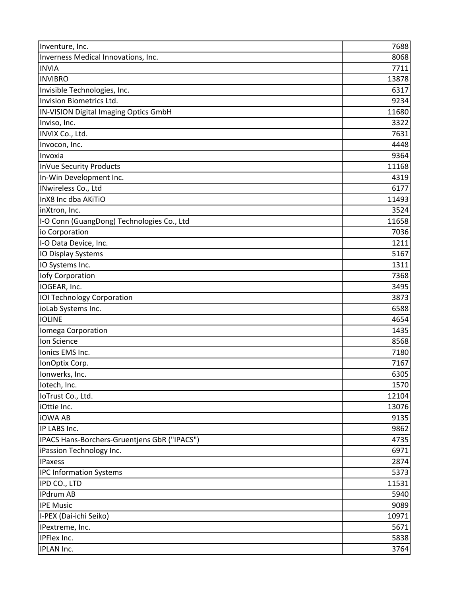| Inventure, Inc.                              | 7688  |
|----------------------------------------------|-------|
| Inverness Medical Innovations, Inc.          | 8068  |
| <b>INVIA</b>                                 | 7711  |
| <b>INVIBRO</b>                               | 13878 |
| Invisible Technologies, Inc.                 | 6317  |
| Invision Biometrics Ltd.                     | 9234  |
| IN-VISION Digital Imaging Optics GmbH        | 11680 |
| Inviso, Inc.                                 | 3322  |
| INVIX Co., Ltd.                              | 7631  |
| Invocon, Inc.                                | 4448  |
| Invoxia                                      | 9364  |
| InVue Security Products                      | 11168 |
| In-Win Development Inc.                      | 4319  |
| INwireless Co., Ltd                          | 6177  |
| InX8 Inc dba AKiTiO                          | 11493 |
| inXtron, Inc.                                | 3524  |
| I-O Conn (GuangDong) Technologies Co., Ltd   | 11658 |
| io Corporation                               | 7036  |
| I-O Data Device, Inc.                        | 1211  |
| <b>IO Display Systems</b>                    | 5167  |
| IO Systems Inc.                              | 1311  |
| lofy Corporation                             | 7368  |
| IOGEAR, Inc.                                 | 3495  |
| <b>IOI Technology Corporation</b>            | 3873  |
| ioLab Systems Inc.                           | 6588  |
| <b>IOLINE</b>                                | 4654  |
| Iomega Corporation                           | 1435  |
| Ion Science                                  | 8568  |
| Ionics EMS Inc.                              | 7180  |
| IonOptix Corp.                               | 7167  |
| Ionwerks, Inc.                               | 6305  |
| lotech, Inc.                                 | 1570  |
| IoTrust Co., Ltd.                            | 12104 |
| iOttie Inc.                                  | 13076 |
| <b>iOWA AB</b>                               | 9135  |
| IP LABS Inc.                                 | 9862  |
| IPACS Hans-Borchers-Gruentjens GbR ("IPACS") | 4735  |
| iPassion Technology Inc.                     | 6971  |
| <b>IPaxess</b>                               | 2874  |
| <b>IPC Information Systems</b>               | 5373  |
| IPD CO., LTD                                 | 11531 |
| <b>IPdrum AB</b>                             | 5940  |
| <b>IPE Music</b>                             | 9089  |
| I-PEX (Dai-ichi Seiko)                       | 10971 |
| IPextreme, Inc.                              | 5671  |
| IPFlex Inc.                                  | 5838  |
| <b>IPLAN Inc.</b>                            | 3764  |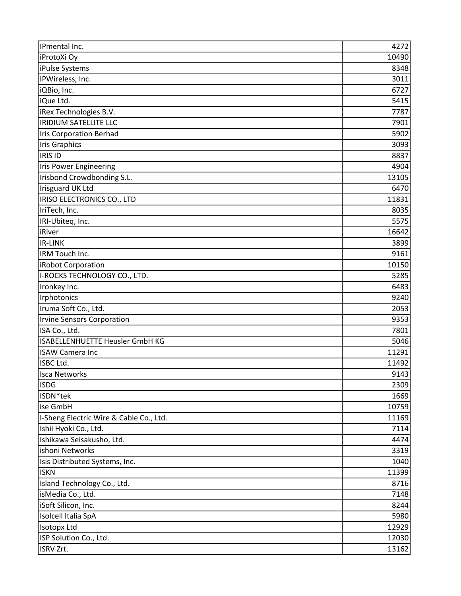| IPmental Inc.                           | 4272  |
|-----------------------------------------|-------|
| iProtoXi Oy                             | 10490 |
| iPulse Systems                          | 8348  |
| IPWireless, Inc.                        | 3011  |
| iQBio, Inc.                             | 6727  |
| iQue Ltd.                               | 5415  |
| iRex Technologies B.V.                  | 7787  |
| <b>IRIDIUM SATELLITE LLC</b>            | 7901  |
| <b>Iris Corporation Berhad</b>          | 5902  |
| <b>Iris Graphics</b>                    | 3093  |
| <b>IRIS ID</b>                          | 8837  |
| <b>Iris Power Engineering</b>           | 4904  |
| Irisbond Crowdbonding S.L.              | 13105 |
| Irisguard UK Ltd                        | 6470  |
| IRISO ELECTRONICS CO., LTD              | 11831 |
| IriTech, Inc.                           | 8035  |
| IRI-Ubiteq, Inc.                        | 5575  |
| iRiver                                  | 16642 |
| <b>IR-LINK</b>                          | 3899  |
| IRM Touch Inc.                          | 9161  |
| iRobot Corporation                      | 10150 |
| I-ROCKS TECHNOLOGY CO., LTD.            | 5285  |
| Ironkey Inc.                            | 6483  |
| Irphotonics                             | 9240  |
| Iruma Soft Co., Ltd.                    | 2053  |
| <b>Irvine Sensors Corporation</b>       | 9353  |
| ISA Co., Ltd.                           | 7801  |
| ISABELLENHUETTE Heusler GmbH KG         | 5046  |
| <b>ISAW Camera Inc</b>                  | 11291 |
| <b>ISBC Ltd.</b>                        | 11492 |
| <b>Isca Networks</b>                    | 9143  |
| <b>ISDG</b>                             | 2309  |
| ISDN*tek                                | 1669  |
| ise GmbH                                | 10759 |
| I-Sheng Electric Wire & Cable Co., Ltd. | 11169 |
| Ishii Hyoki Co., Ltd.                   | 7114  |
| Ishikawa Seisakusho, Ltd.               | 4474  |
| ishoni Networks                         | 3319  |
| Isis Distributed Systems, Inc.          | 1040  |
| <b>ISKN</b>                             | 11399 |
| Island Technology Co., Ltd.             | 8716  |
| isMedia Co., Ltd.                       | 7148  |
| iSoft Silicon, Inc.                     | 8244  |
| Isolcell Italia SpA                     | 5980  |
| <b>Isotopx Ltd</b>                      | 12929 |
| ISP Solution Co., Ltd.                  | 12030 |
| <b>ISRV Zrt.</b>                        | 13162 |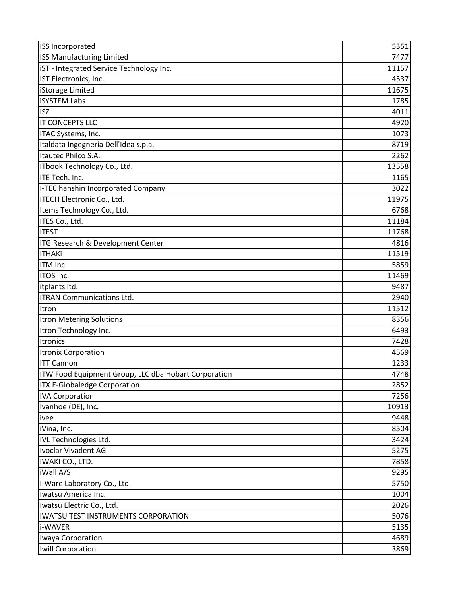| <b>ISS Incorporated</b>                              | 5351  |
|------------------------------------------------------|-------|
| <b>ISS Manufacturing Limited</b>                     | 7477  |
| IST - Integrated Service Technology Inc.             | 11157 |
| IST Electronics, Inc.                                | 4537  |
| iStorage Limited                                     | 11675 |
| <b>iSYSTEM Labs</b>                                  | 1785  |
| <b>ISZ</b>                                           | 4011  |
| IT CONCEPTS LLC                                      | 4920  |
| ITAC Systems, Inc.                                   | 1073  |
| Italdata Ingegneria Dell'Idea s.p.a.                 | 8719  |
| Itautec Philco S.A.                                  | 2262  |
| ITbook Technology Co., Ltd.                          | 13558 |
| <b>ITE Tech. Inc.</b>                                | 1165  |
| I-TEC hanshin Incorporated Company                   | 3022  |
| ITECH Electronic Co., Ltd.                           | 11975 |
| Items Technology Co., Ltd.                           | 6768  |
| ITES Co., Ltd.                                       | 11184 |
| <b>ITEST</b>                                         | 11768 |
| ITG Research & Development Center                    | 4816  |
| <b>ITHAKi</b>                                        | 11519 |
| ITM Inc.                                             | 5859  |
| ITOS Inc.                                            | 11469 |
| itplants ltd.                                        | 9487  |
| <b>ITRAN Communications Ltd.</b>                     | 2940  |
| Itron                                                | 11512 |
| <b>Itron Metering Solutions</b>                      | 8356  |
| Itron Technology Inc.                                | 6493  |
| <b>Itronics</b>                                      | 7428  |
| <b>Itronix Corporation</b>                           | 4569  |
| <b>ITT Cannon</b>                                    | 1233  |
| ITW Food Equipment Group, LLC dba Hobart Corporation | 4748  |
| <b>ITX E-Globaledge Corporation</b>                  | 2852  |
| <b>IVA Corporation</b>                               | 7256  |
| Ivanhoe (DE), Inc.                                   | 10913 |
| ivee                                                 | 9448  |
| iVina, Inc.                                          | 8504  |
| <b>IVL Technologies Ltd.</b>                         | 3424  |
| Ivoclar Vivadent AG                                  | 5275  |
| IWAKI CO., LTD.                                      | 7858  |
| iWall A/S                                            | 9295  |
| I-Ware Laboratory Co., Ltd.                          | 5750  |
| Iwatsu America Inc.                                  | 1004  |
| Iwatsu Electric Co., Ltd.                            | 2026  |
| <b>IWATSU TEST INSTRUMENTS CORPORATION</b>           | 5076  |
| i-WAVER                                              | 5135  |
| Iwaya Corporation                                    | 4689  |
| Iwill Corporation                                    | 3869  |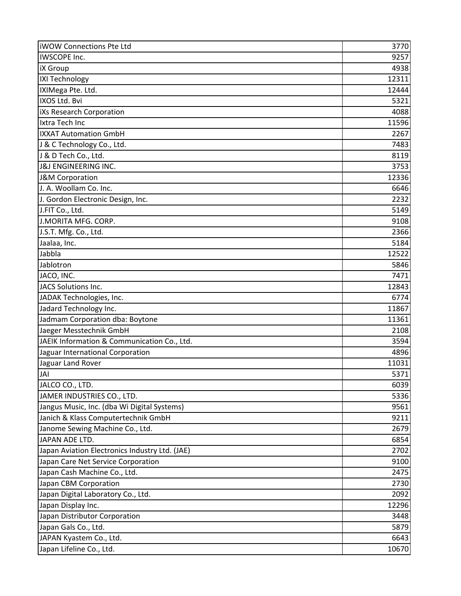| <b>iWOW Connections Pte Ltd</b>                | 3770  |
|------------------------------------------------|-------|
| <b>IWSCOPE Inc.</b>                            | 9257  |
| <b>IX Group</b>                                | 4938  |
| <b>IXI Technology</b>                          | 12311 |
| IXIMega Pte. Ltd.                              | 12444 |
| IXOS Ltd. Bvi                                  | 5321  |
| iXs Research Corporation                       | 4088  |
| Ixtra Tech Inc                                 | 11596 |
| <b>IXXAT Automation GmbH</b>                   | 2267  |
| J & C Technology Co., Ltd.                     | 7483  |
| J & D Tech Co., Ltd.                           | 8119  |
| <b>J&amp;J ENGINEERING INC.</b>                | 3753  |
| <b>J&amp;M Corporation</b>                     | 12336 |
| J. A. Woollam Co. Inc.                         | 6646  |
| J. Gordon Electronic Design, Inc.              | 2232  |
| J.FIT Co., Ltd.                                | 5149  |
| J.MORITA MFG. CORP.                            | 9108  |
| J.S.T. Mfg. Co., Ltd.                          | 2366  |
| Jaalaa, Inc.                                   | 5184  |
| Jabbla                                         | 12522 |
| Jablotron                                      | 5846  |
| JACO, INC.                                     | 7471  |
| JACS Solutions Inc.                            | 12843 |
| JADAK Technologies, Inc.                       | 6774  |
| Jadard Technology Inc.                         | 11867 |
| Jadmam Corporation dba: Boytone                | 11361 |
| Jaeger Messtechnik GmbH                        | 2108  |
| JAEIK Information & Communication Co., Ltd.    | 3594  |
| Jaguar International Corporation               | 4896  |
| Jaguar Land Rover                              | 11031 |
| <b>JAI</b>                                     | 5371  |
| JALCO CO., LTD.                                | 6039  |
| JAMER INDUSTRIES CO., LTD.                     | 5336  |
| Jangus Music, Inc. (dba Wi Digital Systems)    | 9561  |
| Janich & Klass Computertechnik GmbH            | 9211  |
| Janome Sewing Machine Co., Ltd.                | 2679  |
| JAPAN ADE LTD.                                 | 6854  |
| Japan Aviation Electronics Industry Ltd. (JAE) | 2702  |
| Japan Care Net Service Corporation             | 9100  |
| Japan Cash Machine Co., Ltd.                   | 2475  |
| Japan CBM Corporation                          | 2730  |
| Japan Digital Laboratory Co., Ltd.             | 2092  |
| Japan Display Inc.                             | 12296 |
| Japan Distributor Corporation                  | 3448  |
| Japan Gals Co., Ltd.                           | 5879  |
| JAPAN Kyastem Co., Ltd.                        | 6643  |
| Japan Lifeline Co., Ltd.                       | 10670 |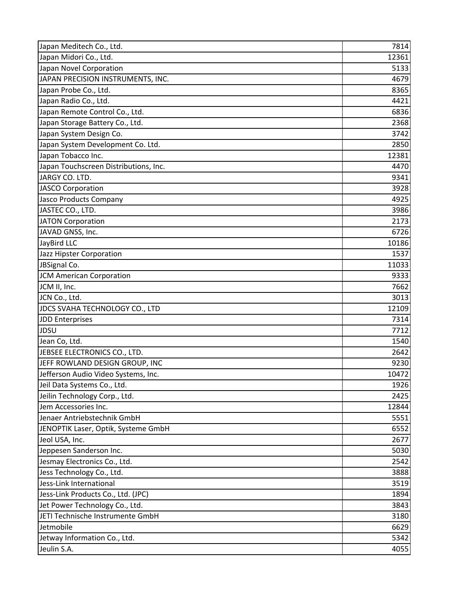| Japan Meditech Co., Ltd.              | 7814  |
|---------------------------------------|-------|
| Japan Midori Co., Ltd.                | 12361 |
| Japan Novel Corporation               | 5133  |
| JAPAN PRECISION INSTRUMENTS, INC.     | 4679  |
| Japan Probe Co., Ltd.                 | 8365  |
| Japan Radio Co., Ltd.                 | 4421  |
| Japan Remote Control Co., Ltd.        | 6836  |
| Japan Storage Battery Co., Ltd.       | 2368  |
| Japan System Design Co.               | 3742  |
| Japan System Development Co. Ltd.     | 2850  |
| Japan Tobacco Inc.                    | 12381 |
| Japan Touchscreen Distributions, Inc. | 4470  |
| JARGY CO. LTD.                        | 9341  |
| <b>JASCO Corporation</b>              | 3928  |
| <b>Jasco Products Company</b>         | 4925  |
| JASTEC CO., LTD.                      | 3986  |
| <b>JATON Corporation</b>              | 2173  |
| JAVAD GNSS, Inc.                      | 6726  |
| JayBird LLC                           | 10186 |
| Jazz Hipster Corporation              | 1537  |
| JBSignal Co.                          | 11033 |
| <b>JCM American Corporation</b>       | 9333  |
| JCM II, Inc.                          | 7662  |
| JCN Co., Ltd.                         | 3013  |
| JDCS SVAHA TECHNOLOGY CO., LTD        | 12109 |
| <b>JDD Enterprises</b>                | 7314  |
| <b>JDSU</b>                           | 7712  |
| Jean Co, Ltd.                         | 1540  |
| JEBSEE ELECTRONICS CO., LTD.          | 2642  |
| JEFF ROWLAND DESIGN GROUP, INC        | 9230  |
| Jefferson Audio Video Systems, Inc.   | 10472 |
| Jeil Data Systems Co., Ltd.           | 1926  |
| Jeilin Technology Corp., Ltd.         | 2425  |
| Jem Accessories Inc.                  | 12844 |
| Jenaer Antriebstechnik GmbH           | 5551  |
| JENOPTIK Laser, Optik, Systeme GmbH   | 6552  |
| Jeol USA, Inc.                        | 2677  |
| Jeppesen Sanderson Inc.               | 5030  |
| Jesmay Electronics Co., Ltd.          | 2542  |
| Jess Technology Co., Ltd.             | 3888  |
| Jess-Link International               | 3519  |
| Jess-Link Products Co., Ltd. (JPC)    | 1894  |
| Jet Power Technology Co., Ltd.        | 3843  |
| JETI Technische Instrumente GmbH      | 3180  |
| Jetmobile                             | 6629  |
| Jetway Information Co., Ltd.          | 5342  |
| Jeulin S.A.                           | 4055  |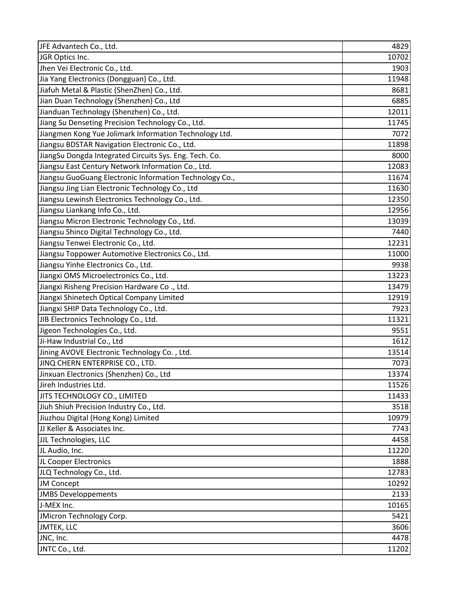| JFE Advantech Co., Ltd.                                 | 4829  |
|---------------------------------------------------------|-------|
| JGR Optics Inc.                                         | 10702 |
| Jhen Vei Electronic Co., Ltd.                           | 1903  |
| Jia Yang Electronics (Dongguan) Co., Ltd.               | 11948 |
| Jiafuh Metal & Plastic (ShenZhen) Co., Ltd.             | 8681  |
| Jian Duan Technology (Shenzhen) Co., Ltd                | 6885  |
| Jianduan Technology (Shenzhen) Co., Ltd.                | 12011 |
| Jiang Su Denseting Precision Technology Co., Ltd.       | 11745 |
| Jiangmen Kong Yue Jolimark Information Technology Ltd.  | 7072  |
| Jiangsu BDSTAR Navigation Electronic Co., Ltd.          | 11898 |
| JiangSu Dongda Integrated Circuits Sys. Eng. Tech. Co.  | 8000  |
| Jiangsu East Century Network Information Co., Ltd.      | 12083 |
| Jiangsu GuoGuang Electronic Information Technology Co., | 11674 |
| Jiangsu Jing Lian Electronic Technology Co., Ltd        | 11630 |
| Jiangsu Lewinsh Electronics Technology Co., Ltd.        | 12350 |
| Jiangsu Liankang Info Co., Ltd.                         | 12956 |
| Jiangsu Micron Electronic Technology Co., Ltd.          | 13039 |
| Jiangsu Shinco Digital Technology Co., Ltd.             | 7440  |
| Jiangsu Tenwei Electronic Co., Ltd.                     | 12231 |
| Jiangsu Toppower Automotive Electronics Co., Ltd.       | 11000 |
| Jiangsu Yinhe Electronics Co., Ltd.                     | 9938  |
| Jiangxi OMS Microelectronics Co., Ltd.                  | 13223 |
| Jiangxi Risheng Precision Hardware Co., Ltd.            | 13479 |
| Jiangxi Shinetech Optical Company Limited               | 12919 |
| Jiangxi SHIP Data Technology Co., Ltd.                  | 7923  |
| JIB Electronics Technology Co., Ltd.                    | 11321 |
| Jigeon Technologies Co., Ltd.                           | 9551  |
| Ji-Haw Industrial Co., Ltd                              | 1612  |
| Jining AVOVE Electronic Technology Co., Ltd.            | 13514 |
| JINQ CHERN ENTERPRISE CO., LTD.                         | 7073  |
| Jinxuan Electronics (Shenzhen) Co., Ltd                 | 13374 |
| Jireh Industries Ltd.                                   | 11526 |
| JITS TECHNOLOGY CO., LIMITED                            | 11433 |
| Jiuh Shiuh Precision Industry Co., Ltd.                 | 3518  |
| Jiuzhou Digital (Hong Kong) Limited                     | 10979 |
| JJ Keller & Associates Inc.                             | 7743  |
| JJL Technologies, LLC                                   | 4458  |
| JL Audio, Inc.                                          | 11220 |
| JL Cooper Electronics                                   | 1888  |
| JLQ Technology Co., Ltd.                                | 12783 |
| <b>JM Concept</b>                                       | 10292 |
| <b>JMBS Developpements</b>                              | 2133  |
| J-MEX Inc.                                              | 10165 |
| JMicron Technology Corp.                                | 5421  |
| JMTEK, LLC                                              | 3606  |
| JNC, Inc.                                               | 4478  |
| JNTC Co., Ltd.                                          | 11202 |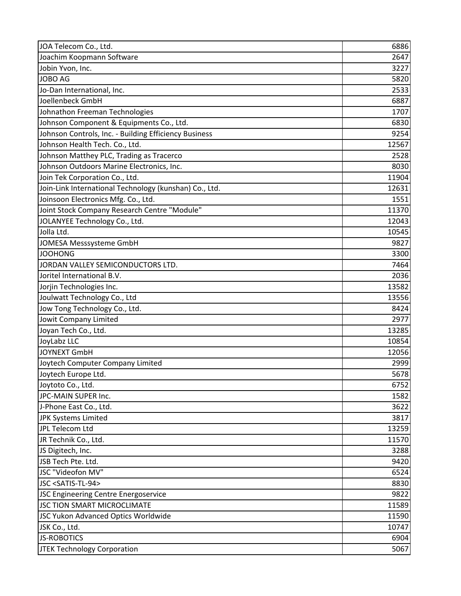| JOA Telecom Co., Ltd.                                  | 6886  |
|--------------------------------------------------------|-------|
| Joachim Koopmann Software                              | 2647  |
| Jobin Yvon, Inc.                                       | 3227  |
| JOBO AG                                                | 5820  |
| Jo-Dan International, Inc.                             | 2533  |
| Joellenbeck GmbH                                       | 6887  |
| Johnathon Freeman Technologies                         | 1707  |
| Johnson Component & Equipments Co., Ltd.               | 6830  |
| Johnson Controls, Inc. - Building Efficiency Business  | 9254  |
| Johnson Health Tech. Co., Ltd.                         | 12567 |
| Johnson Matthey PLC, Trading as Tracerco               | 2528  |
| Johnson Outdoors Marine Electronics, Inc.              | 8030  |
| Join Tek Corporation Co., Ltd.                         | 11904 |
| Join-Link International Technology (kunshan) Co., Ltd. | 12631 |
| Joinsoon Electronics Mfg. Co., Ltd.                    | 1551  |
| Joint Stock Company Research Centre "Module"           | 11370 |
| JOLANYEE Technology Co., Ltd.                          | 12043 |
| Jolla Ltd.                                             | 10545 |
| JOMESA Messsysteme GmbH                                | 9827  |
| <b>JOOHONG</b>                                         | 3300  |
| JORDAN VALLEY SEMICONDUCTORS LTD.                      | 7464  |
| Joritel International B.V.                             | 2036  |
| Jorjin Technologies Inc.                               | 13582 |
| Joulwatt Technology Co., Ltd                           | 13556 |
| Jow Tong Technology Co., Ltd.                          | 8424  |
| Jowit Company Limited                                  | 2977  |
| Joyan Tech Co., Ltd.                                   | 13285 |
| JoyLabz LLC                                            | 10854 |
| JOYNEXT GmbH                                           | 12056 |
| Joytech Computer Company Limited                       | 2999  |
| Joytech Europe Ltd.                                    | 5678  |
| Joytoto Co., Ltd.                                      | 6752  |
| JPC-MAIN SUPER Inc.                                    | 1582  |
| J-Phone East Co., Ltd.                                 | 3622  |
| JPK Systems Limited                                    | 3817  |
| JPL Telecom Ltd                                        | 13259 |
| JR Technik Co., Ltd.                                   | 11570 |
| JS Digitech, Inc.                                      | 3288  |
| JSB Tech Pte. Ltd.                                     | 9420  |
| JSC "Videofon MV"                                      | 6524  |
| JSC <satis-tl-94></satis-tl-94>                        | 8830  |
| JSC Engineering Centre Energoservice                   | 9822  |
| JSC TION SMART MICROCLIMATE                            | 11589 |
| JSC Yukon Advanced Optics Worldwide                    | 11590 |
| JSK Co., Ltd.                                          | 10747 |
| <b>JS-ROBOTICS</b>                                     | 6904  |
| JTEK Technology Corporation                            | 5067  |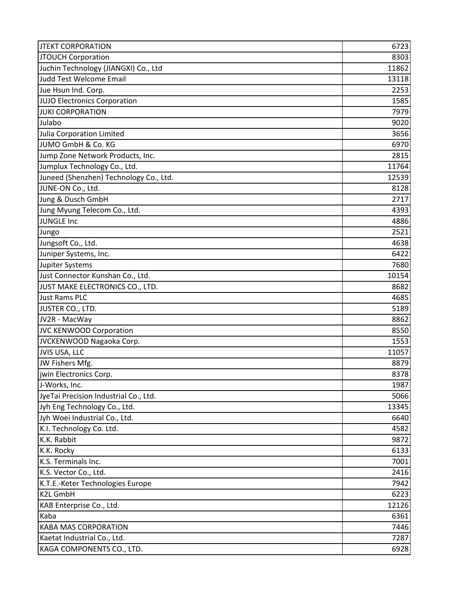| <b>JTEKT CORPORATION</b>               | 6723  |
|----------------------------------------|-------|
| <b>JTOUCH Corporation</b>              | 8303  |
| Juchin Technology (JIANGXI) Co., Ltd   | 11862 |
| Judd Test Welcome Email                | 13118 |
| Jue Hsun Ind. Corp.                    | 2253  |
| JUJO Electronics Corporation           | 1585  |
| <b>JUKI CORPORATION</b>                | 7979  |
| Julabo                                 | 9020  |
| Julia Corporation Limited              | 3656  |
| JUMO GmbH & Co. KG                     | 6970  |
| Jump Zone Network Products, Inc.       | 2815  |
| Jumplux Technology Co., Ltd.           | 11764 |
| Juneed (Shenzhen) Technology Co., Ltd. | 12539 |
| JUNE-ON Co., Ltd.                      | 8128  |
| Jung & Dusch GmbH                      | 2717  |
| Jung Myung Telecom Co., Ltd.           | 4393  |
| JUNGLE Inc                             | 4886  |
| Jungo                                  | 2521  |
| Jungsoft Co., Ltd.                     | 4638  |
| Juniper Systems, Inc.                  | 6422  |
| Jupiter Systems                        | 7680  |
| Just Connector Kunshan Co., Ltd.       | 10154 |
| JUST MAKE ELECTRONICS CO., LTD.        | 8682  |
| <b>Just Rams PLC</b>                   | 4685  |
| JUSTER CO., LTD.                       | 5189  |
| JV2R - MacWay                          | 8862  |
| <b>JVC KENWOOD Corporation</b>         | 8550  |
| JVCKENWOOD Nagaoka Corp.               | 1553  |
| JVIS USA, LLC                          | 11057 |
| JW Fishers Mfg.                        | 8879  |
| jwin Electronics Corp.                 | 8378  |
| J-Works, Inc.                          | 1987  |
| JyeTai Precision Industrial Co., Ltd.  | 5066  |
| Jyh Eng Technology Co., Ltd.           | 13345 |
| Jyh Woei Industrial Co., Ltd.          | 6640  |
| K.I. Technology Co. Ltd.               | 4582  |
| K.K. Rabbit                            | 9872  |
| K.K. Rocky                             | 6133  |
| K.S. Terminals Inc.                    | 7001  |
| K.S. Vector Co., Ltd.                  | 2416  |
| K.T.E.-Keter Technologies Europe       | 7942  |
| K2L GmbH                               | 6223  |
| KAB Enterprise Co., Ltd.               | 12126 |
| Kaba                                   | 6361  |
| <b>KABA MAS CORPORATION</b>            | 7446  |
| Kaetat Industrial Co., Ltd.            | 7287  |
| KAGA COMPONENTS CO., LTD.              | 6928  |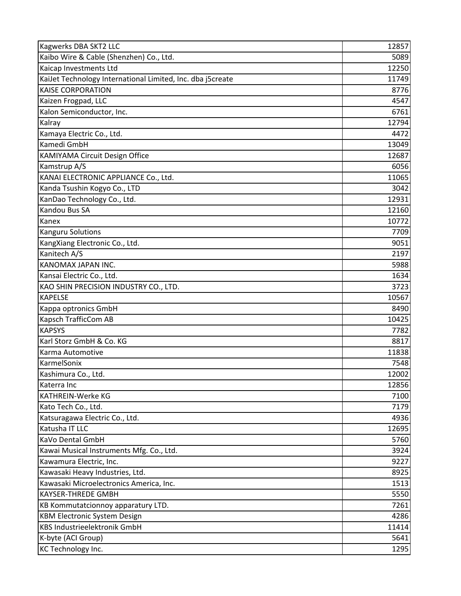| Kagwerks DBA SKT2 LLC                                      | 12857 |
|------------------------------------------------------------|-------|
| Kaibo Wire & Cable (Shenzhen) Co., Ltd.                    | 5089  |
| Kaicap Investments Ltd                                     | 12250 |
| KaiJet Technology International Limited, Inc. dba j5create | 11749 |
| <b>KAISE CORPORATION</b>                                   | 8776  |
| Kaizen Frogpad, LLC                                        | 4547  |
| Kalon Semiconductor, Inc.                                  | 6761  |
| Kalray                                                     | 12794 |
| Kamaya Electric Co., Ltd.                                  | 4472  |
| Kamedi GmbH                                                | 13049 |
| <b>KAMIYAMA Circuit Design Office</b>                      | 12687 |
| Kamstrup A/S                                               | 6056  |
| KANAI ELECTRONIC APPLIANCE Co., Ltd.                       | 11065 |
| Kanda Tsushin Kogyo Co., LTD                               | 3042  |
| KanDao Technology Co., Ltd.                                | 12931 |
| Kandou Bus SA                                              | 12160 |
| Kanex                                                      | 10772 |
| <b>Kanguru Solutions</b>                                   | 7709  |
| KangXiang Electronic Co., Ltd.                             | 9051  |
| Kanitech A/S                                               | 2197  |
| KANOMAX JAPAN INC.                                         | 5988  |
| Kansai Electric Co., Ltd.                                  | 1634  |
| KAO SHIN PRECISION INDUSTRY CO., LTD.                      | 3723  |
| <b>KAPELSE</b>                                             | 10567 |
| Kappa optronics GmbH                                       | 8490  |
| Kapsch TrafficCom AB                                       | 10425 |
| <b>KAPSYS</b>                                              | 7782  |
| Karl Storz GmbH & Co. KG                                   | 8817  |
| Karma Automotive                                           | 11838 |
| KarmelSonix                                                | 7548  |
| Kashimura Co., Ltd.                                        | 12002 |
| Katerra Inc                                                | 12856 |
| <b>KATHREIN-Werke KG</b>                                   | 7100  |
| Kato Tech Co., Ltd.                                        | 7179  |
| Katsuragawa Electric Co., Ltd.                             | 4936  |
| Katusha IT LLC                                             | 12695 |
| KaVo Dental GmbH                                           | 5760  |
| Kawai Musical Instruments Mfg. Co., Ltd.                   | 3924  |
| Kawamura Electric, Inc.                                    | 9227  |
| Kawasaki Heavy Industries, Ltd.                            | 8925  |
| Kawasaki Microelectronics America, Inc.                    | 1513  |
| <b>KAYSER-THREDE GMBH</b>                                  | 5550  |
| KB Kommutatcionnoy apparatury LTD.                         | 7261  |
| <b>KBM Electronic System Design</b>                        | 4286  |
| <b>KBS Industrieelektronik GmbH</b>                        | 11414 |
| K-byte (ACI Group)                                         | 5641  |
| KC Technology Inc.                                         | 1295  |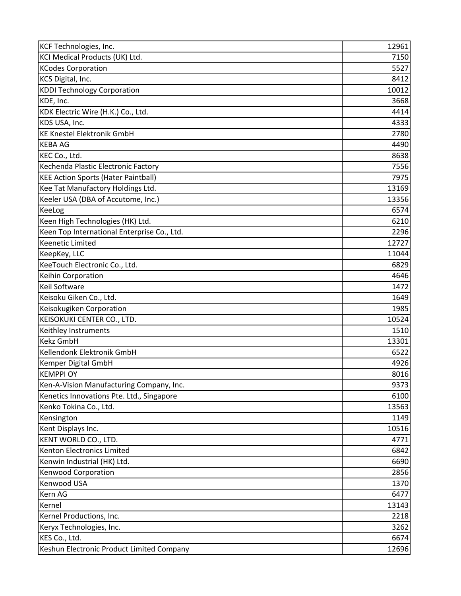| KCF Technologies, Inc.                      | 12961 |
|---------------------------------------------|-------|
| KCI Medical Products (UK) Ltd.              | 7150  |
| <b>KCodes Corporation</b>                   | 5527  |
| KCS Digital, Inc.                           | 8412  |
| <b>KDDI Technology Corporation</b>          | 10012 |
| KDE, Inc.                                   | 3668  |
| KDK Electric Wire (H.K.) Co., Ltd.          | 4414  |
| KDS USA, Inc.                               | 4333  |
| <b>KE Knestel Elektronik GmbH</b>           | 2780  |
| <b>KEBA AG</b>                              | 4490  |
| KEC Co., Ltd.                               | 8638  |
| Kechenda Plastic Electronic Factory         | 7556  |
| <b>KEE Action Sports (Hater Paintball)</b>  | 7975  |
| Kee Tat Manufactory Holdings Ltd.           | 13169 |
| Keeler USA (DBA of Accutome, Inc.)          | 13356 |
| KeeLog                                      | 6574  |
| Keen High Technologies (HK) Ltd.            | 6210  |
| Keen Top International Enterprise Co., Ltd. | 2296  |
| <b>Keenetic Limited</b>                     | 12727 |
| KeepKey, LLC                                | 11044 |
| KeeTouch Electronic Co., Ltd.               | 6829  |
| Keihin Corporation                          | 4646  |
| <b>Keil Software</b>                        | 1472  |
| Keisoku Giken Co., Ltd.                     | 1649  |
| Keisokugiken Corporation                    | 1985  |
| KEISOKUKI CENTER CO., LTD.                  | 10524 |
| Keithley Instruments                        | 1510  |
| <b>Kekz GmbH</b>                            | 13301 |
| Kellendonk Elektronik GmbH                  | 6522  |
| <b>Kemper Digital GmbH</b>                  | 4926  |
| <b>KEMPPI OY</b>                            | 8016  |
| Ken-A-Vision Manufacturing Company, Inc.    | 9373  |
| Kenetics Innovations Pte. Ltd., Singapore   | 6100  |
| Kenko Tokina Co., Ltd.                      | 13563 |
| Kensington                                  | 1149  |
| Kent Displays Inc.                          | 10516 |
| KENT WORLD CO., LTD.                        | 4771  |
| Kenton Electronics Limited                  | 6842  |
| Kenwin Industrial (HK) Ltd.                 | 6690  |
| <b>Kenwood Corporation</b>                  | 2856  |
| <b>Kenwood USA</b>                          | 1370  |
| Kern AG                                     | 6477  |
| Kernel                                      | 13143 |
| Kernel Productions, Inc.                    | 2218  |
| Keryx Technologies, Inc.                    | 3262  |
| KES Co., Ltd.                               | 6674  |
| Keshun Electronic Product Limited Company   | 12696 |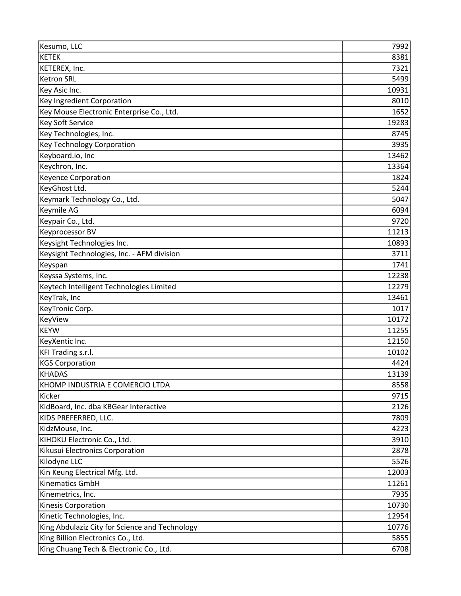| Kesumo, LLC                                    | 7992  |
|------------------------------------------------|-------|
| <b>KETEK</b>                                   | 8381  |
| KETEREX, Inc.                                  | 7321  |
| <b>Ketron SRL</b>                              | 5499  |
| Key Asic Inc.                                  | 10931 |
| <b>Key Ingredient Corporation</b>              | 8010  |
| Key Mouse Electronic Enterprise Co., Ltd.      | 1652  |
| <b>Key Soft Service</b>                        | 19283 |
| Key Technologies, Inc.                         | 8745  |
| <b>Key Technology Corporation</b>              | 3935  |
| Keyboard.io, Inc                               | 13462 |
| Keychron, Inc.                                 | 13364 |
| <b>Keyence Corporation</b>                     | 1824  |
| KeyGhost Ltd.                                  | 5244  |
| Keymark Technology Co., Ltd.                   | 5047  |
| Keymile AG                                     | 6094  |
| Keypair Co., Ltd.                              | 9720  |
| Keyprocessor BV                                | 11213 |
| Keysight Technologies Inc.                     | 10893 |
| Keysight Technologies, Inc. - AFM division     | 3711  |
| Keyspan                                        | 1741  |
| Keyssa Systems, Inc.                           | 12238 |
| Keytech Intelligent Technologies Limited       | 12279 |
| KeyTrak, Inc                                   | 13461 |
| KeyTronic Corp.                                | 1017  |
| KeyView                                        | 10172 |
| <b>KEYW</b>                                    | 11255 |
| KeyXentic Inc.                                 | 12150 |
| KFI Trading s.r.l.                             | 10102 |
| <b>KGS Corporation</b>                         | 4424  |
| <b>KHADAS</b>                                  | 13139 |
| KHOMP INDUSTRIA E COMERCIO LTDA                | 8558  |
| Kicker                                         | 9715  |
| KidBoard, Inc. dba KBGear Interactive          | 2126  |
| KIDS PREFERRED, LLC.                           | 7809  |
| KidzMouse, Inc.                                | 4223  |
| KIHOKU Electronic Co., Ltd.                    | 3910  |
| Kikusui Electronics Corporation                | 2878  |
| Kilodyne LLC                                   | 5526  |
| Kin Keung Electrical Mfg. Ltd.                 | 12003 |
| <b>Kinematics GmbH</b>                         | 11261 |
| Kinemetrics, Inc.                              | 7935  |
| Kinesis Corporation                            | 10730 |
| Kinetic Technologies, Inc.                     | 12954 |
| King Abdulaziz City for Science and Technology | 10776 |
| King Billion Electronics Co., Ltd.             | 5855  |
| King Chuang Tech & Electronic Co., Ltd.        | 6708  |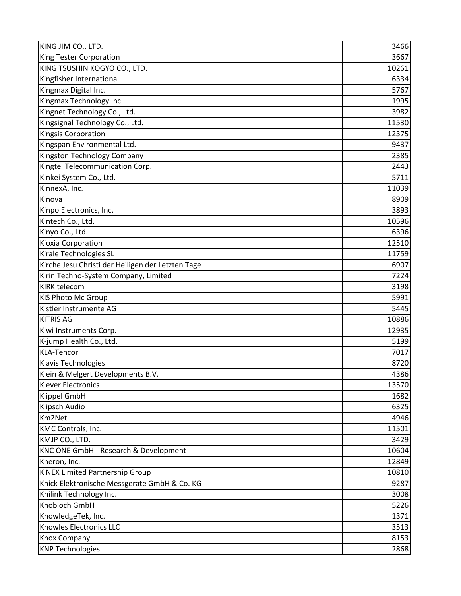| KING JIM CO., LTD.                                | 3466  |
|---------------------------------------------------|-------|
| <b>King Tester Corporation</b>                    | 3667  |
| KING TSUSHIN KOGYO CO., LTD.                      | 10261 |
| Kingfisher International                          | 6334  |
| Kingmax Digital Inc.                              | 5767  |
| Kingmax Technology Inc.                           | 1995  |
| Kingnet Technology Co., Ltd.                      | 3982  |
| Kingsignal Technology Co., Ltd.                   | 11530 |
| <b>Kingsis Corporation</b>                        | 12375 |
| Kingspan Environmental Ltd.                       | 9437  |
| Kingston Technology Company                       | 2385  |
| Kingtel Telecommunication Corp.                   | 2443  |
| Kinkei System Co., Ltd.                           | 5711  |
| KinnexA, Inc.                                     | 11039 |
| Kinova                                            | 8909  |
| Kinpo Electronics, Inc.                           | 3893  |
| Kintech Co., Ltd.                                 | 10596 |
| Kinyo Co., Ltd.                                   | 6396  |
| Kioxia Corporation                                | 12510 |
| Kirale Technologies SL                            | 11759 |
| Kirche Jesu Christi der Heiligen der Letzten Tage | 6907  |
| Kirin Techno-System Company, Limited              | 7224  |
| <b>KIRK telecom</b>                               | 3198  |
| <b>KIS Photo Mc Group</b>                         | 5991  |
| Kistler Instrumente AG                            | 5445  |
| <b>KITRIS AG</b>                                  | 10886 |
| Kiwi Instruments Corp.                            | 12935 |
| K-jump Health Co., Ltd.                           | 5199  |
| <b>KLA-Tencor</b>                                 | 7017  |
| <b>Klavis Technologies</b>                        | 8720  |
| Klein & Melgert Developments B.V.                 | 4386  |
| <b>Klever Electronics</b>                         | 13570 |
| <b>Klippel GmbH</b>                               | 1682  |
| Klipsch Audio                                     | 6325  |
| Km2Net                                            | 4946  |
| KMC Controls, Inc.                                | 11501 |
| KMJP CO., LTD.                                    | 3429  |
| KNC ONE GmbH - Research & Development             | 10604 |
| Kneron, Inc.                                      | 12849 |
| K'NEX Limited Partnership Group                   | 10810 |
| Knick Elektronische Messgerate GmbH & Co. KG      | 9287  |
| Knilink Technology Inc.                           | 3008  |
| Knobloch GmbH                                     | 5226  |
| KnowledgeTek, Inc.                                | 1371  |
| <b>Knowles Electronics LLC</b>                    | 3513  |
| <b>Knox Company</b>                               | 8153  |
| <b>KNP Technologies</b>                           | 2868  |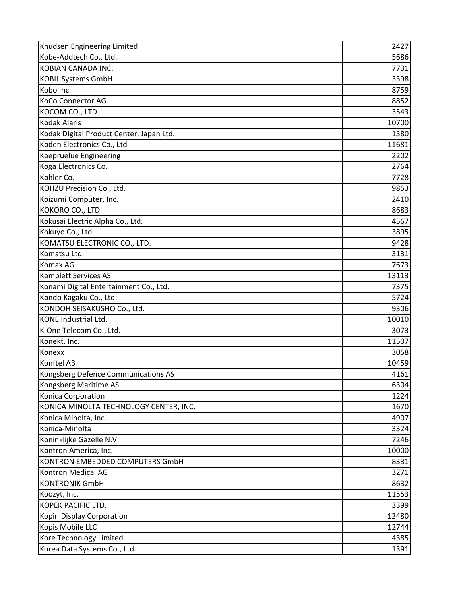| Knudsen Engineering Limited              | 2427  |
|------------------------------------------|-------|
| Kobe-Addtech Co., Ltd.                   | 5686  |
| KOBIAN CANADA INC.                       | 7731  |
| <b>KOBIL Systems GmbH</b>                | 3398  |
| Kobo Inc.                                | 8759  |
| <b>KoCo Connector AG</b>                 | 8852  |
| KOCOM CO., LTD                           | 3543  |
| Kodak Alaris                             | 10700 |
| Kodak Digital Product Center, Japan Ltd. | 1380  |
| Koden Electronics Co., Ltd               | 11681 |
| Koepruelue Engineering                   | 2202  |
| Koga Electronics Co.                     | 2764  |
| Kohler Co.                               | 7728  |
| KOHZU Precision Co., Ltd.                | 9853  |
| Koizumi Computer, Inc.                   | 2410  |
| KOKORO CO., LTD.                         | 8683  |
| Kokusai Electric Alpha Co., Ltd.         | 4567  |
| Kokuyo Co., Ltd.                         | 3895  |
| KOMATSU ELECTRONIC CO., LTD.             | 9428  |
| Komatsu Ltd.                             | 3131  |
| <b>Komax AG</b>                          | 7673  |
| Komplett Services AS                     | 13113 |
| Konami Digital Entertainment Co., Ltd.   | 7375  |
| Kondo Kagaku Co., Ltd.                   | 5724  |
| KONDOH SEISAKUSHO Co., Ltd.              | 9306  |
| <b>KONE Industrial Ltd.</b>              | 10010 |
| K-One Telecom Co., Ltd.                  | 3073  |
| Konekt, Inc.                             | 11507 |
| Konexx                                   | 3058  |
| <b>Konftel AB</b>                        | 10459 |
| Kongsberg Defence Communications AS      | 4161  |
| Kongsberg Maritime AS                    | 6304  |
| Konica Corporation                       | 1224  |
| KONICA MINOLTA TECHNOLOGY CENTER, INC.   | 1670  |
| Konica Minolta, Inc.                     | 4907  |
| Konica-Minolta                           | 3324  |
| Koninklijke Gazelle N.V.                 | 7246  |
| Kontron America, Inc.                    | 10000 |
| KONTRON EMBEDDED COMPUTERS GmbH          | 8331  |
| Kontron Medical AG                       | 3271  |
| <b>KONTRONIK GmbH</b>                    | 8632  |
| Koozyt, Inc.                             | 11553 |
| KOPEK PACIFIC LTD.                       | 3399  |
| Kopin Display Corporation                | 12480 |
| Kopis Mobile LLC                         | 12744 |
| Kore Technology Limited                  | 4385  |
| Korea Data Systems Co., Ltd.             | 1391  |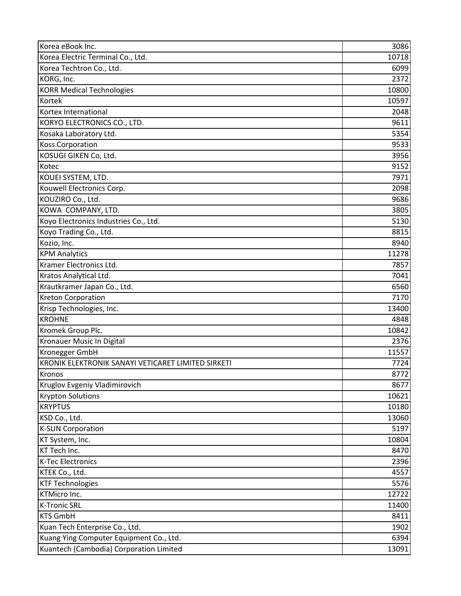| Korea eBook Inc.                                   | 3086  |
|----------------------------------------------------|-------|
| Korea Electric Terminal Co., Ltd.                  | 10718 |
| Korea Techtron Co., Ltd.                           | 6099  |
| KORG, Inc.                                         | 2372  |
| <b>KORR Medical Technologies</b>                   | 10800 |
| Kortek                                             | 10597 |
| Kortex International                               | 2048  |
| KORYO ELECTRONICS CO., LTD.                        | 9611  |
| Kosaka Laboratory Ltd.                             | 5354  |
| <b>Koss Corporation</b>                            | 9533  |
| KOSUGI GIKEN Co, Ltd.                              | 3956  |
| Kotec                                              | 9152  |
| KOUEI SYSTEM, LTD.                                 | 7971  |
| Kouwell Electronics Corp.                          | 2098  |
| KOUZIRO Co., Ltd.                                  | 9686  |
| KOWA COMPANY, LTD.                                 | 3805  |
| Koyo Electronics Industries Co., Ltd.              | 5130  |
| Koyo Trading Co., Ltd.                             | 8815  |
| Kozio, Inc.                                        | 8940  |
| <b>KPM Analytics</b>                               | 11278 |
| Kramer Electronics Ltd.                            | 7857  |
| Kratos Analytical Ltd.                             | 7041  |
| Krautkramer Japan Co., Ltd.                        | 6560  |
| <b>Kreton Corporation</b>                          | 7170  |
| Krisp Technologies, Inc.                           | 13400 |
| <b>KROHNE</b>                                      | 4848  |
| Kromek Group Plc.                                  | 10842 |
| Kronauer Music In Digital                          | 2376  |
| Kronegger GmbH                                     | 11557 |
| KRONIK ELEKTRONIK SANAYI VETICARET LIMITED SIRKETI | 7724  |
| Kronos                                             | 8772  |
| Kruglov Evgeniy Vladimirovich                      | 8677  |
| <b>Krypton Solutions</b>                           | 10621 |
| <b>KRYPTUS</b>                                     | 10180 |
| KSD Co., Ltd.                                      | 13060 |
| <b>K-SUN Corporation</b>                           | 5197  |
| KT System, Inc.                                    | 10804 |
| KT Tech Inc.                                       | 8470  |
| <b>K-Tec Electronics</b>                           | 2396  |
| KTEK Co., Ltd.                                     | 4557  |
| <b>KTF Technologies</b>                            | 5576  |
| <b>KTMicro Inc.</b>                                | 12722 |
| <b>K-Tronic SRL</b>                                | 11400 |
| <b>KTS GmbH</b>                                    | 8411  |
| Kuan Tech Enterprise Co., Ltd.                     | 1902  |
| Kuang Ying Computer Equipment Co., Ltd.            | 6394  |
| Kuantech (Cambodia) Corporation Limited            | 13091 |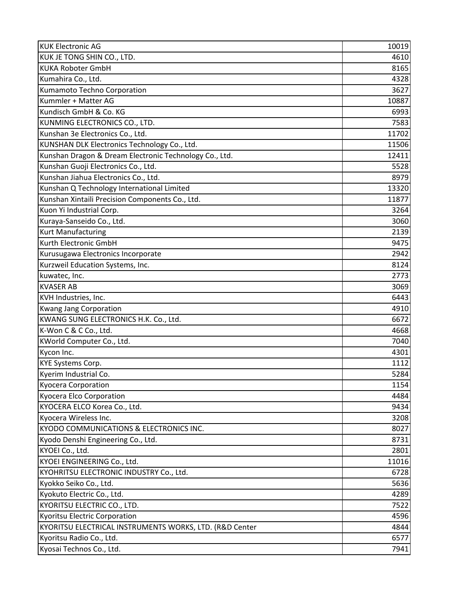| 4610<br><b>KUKA Roboter GmbH</b><br>8165<br>4328<br>3627<br>Kummler + Matter AG<br>10887<br>6993<br>7583<br>11702<br>KUNSHAN DLK Electronics Technology Co., Ltd.<br>11506<br>12411<br>5528<br>8979<br>13320<br>Kunshan Xintaili Precision Components Co., Ltd.<br>11877<br>3264<br>Kuraya-Sanseido Co., Ltd.<br>3060<br>2139<br>9475<br>Kurusugawa Electronics Incorporate<br>2942<br>8124<br>2773<br>3069<br>6443<br>4910<br>KWANG SUNG ELECTRONICS H.K. Co., Ltd.<br>6672<br>4668<br>7040<br>4301<br>1112<br>5284<br>1154<br>4484<br>KYOCERA ELCO Korea Co., Ltd.<br>9434<br>3208<br>KYODO COMMUNICATIONS & ELECTRONICS INC.<br>8027<br>8731<br>2801<br>11016<br>KYOEI ENGINEERING Co., Ltd.<br>KYOHRITSU ELECTRONIC INDUSTRY Co., Ltd.<br>6728<br>Kyokko Seiko Co., Ltd.<br>5636<br>4289<br>KYORITSU ELECTRIC CO., LTD.<br>7522<br><b>Kyoritsu Electric Corporation</b><br>4596<br>4844<br>Kyoritsu Radio Co., Ltd.<br>6577<br>7941 | <b>KUK Electronic AG</b>                                | 10019 |
|-----------------------------------------------------------------------------------------------------------------------------------------------------------------------------------------------------------------------------------------------------------------------------------------------------------------------------------------------------------------------------------------------------------------------------------------------------------------------------------------------------------------------------------------------------------------------------------------------------------------------------------------------------------------------------------------------------------------------------------------------------------------------------------------------------------------------------------------------------------------------------------------------------------------------------------------|---------------------------------------------------------|-------|
|                                                                                                                                                                                                                                                                                                                                                                                                                                                                                                                                                                                                                                                                                                                                                                                                                                                                                                                                         | KUK JE TONG SHIN CO., LTD.                              |       |
|                                                                                                                                                                                                                                                                                                                                                                                                                                                                                                                                                                                                                                                                                                                                                                                                                                                                                                                                         |                                                         |       |
|                                                                                                                                                                                                                                                                                                                                                                                                                                                                                                                                                                                                                                                                                                                                                                                                                                                                                                                                         | Kumahira Co., Ltd.                                      |       |
|                                                                                                                                                                                                                                                                                                                                                                                                                                                                                                                                                                                                                                                                                                                                                                                                                                                                                                                                         | Kumamoto Techno Corporation                             |       |
|                                                                                                                                                                                                                                                                                                                                                                                                                                                                                                                                                                                                                                                                                                                                                                                                                                                                                                                                         |                                                         |       |
|                                                                                                                                                                                                                                                                                                                                                                                                                                                                                                                                                                                                                                                                                                                                                                                                                                                                                                                                         | Kundisch GmbH & Co. KG                                  |       |
|                                                                                                                                                                                                                                                                                                                                                                                                                                                                                                                                                                                                                                                                                                                                                                                                                                                                                                                                         | KUNMING ELECTRONICS CO., LTD.                           |       |
|                                                                                                                                                                                                                                                                                                                                                                                                                                                                                                                                                                                                                                                                                                                                                                                                                                                                                                                                         | Kunshan 3e Electronics Co., Ltd.                        |       |
|                                                                                                                                                                                                                                                                                                                                                                                                                                                                                                                                                                                                                                                                                                                                                                                                                                                                                                                                         |                                                         |       |
|                                                                                                                                                                                                                                                                                                                                                                                                                                                                                                                                                                                                                                                                                                                                                                                                                                                                                                                                         | Kunshan Dragon & Dream Electronic Technology Co., Ltd.  |       |
|                                                                                                                                                                                                                                                                                                                                                                                                                                                                                                                                                                                                                                                                                                                                                                                                                                                                                                                                         | Kunshan Guoji Electronics Co., Ltd.                     |       |
|                                                                                                                                                                                                                                                                                                                                                                                                                                                                                                                                                                                                                                                                                                                                                                                                                                                                                                                                         | Kunshan Jiahua Electronics Co., Ltd.                    |       |
|                                                                                                                                                                                                                                                                                                                                                                                                                                                                                                                                                                                                                                                                                                                                                                                                                                                                                                                                         | Kunshan Q Technology International Limited              |       |
|                                                                                                                                                                                                                                                                                                                                                                                                                                                                                                                                                                                                                                                                                                                                                                                                                                                                                                                                         |                                                         |       |
|                                                                                                                                                                                                                                                                                                                                                                                                                                                                                                                                                                                                                                                                                                                                                                                                                                                                                                                                         | Kuon Yi Industrial Corp.                                |       |
|                                                                                                                                                                                                                                                                                                                                                                                                                                                                                                                                                                                                                                                                                                                                                                                                                                                                                                                                         |                                                         |       |
|                                                                                                                                                                                                                                                                                                                                                                                                                                                                                                                                                                                                                                                                                                                                                                                                                                                                                                                                         | <b>Kurt Manufacturing</b>                               |       |
|                                                                                                                                                                                                                                                                                                                                                                                                                                                                                                                                                                                                                                                                                                                                                                                                                                                                                                                                         | Kurth Electronic GmbH                                   |       |
|                                                                                                                                                                                                                                                                                                                                                                                                                                                                                                                                                                                                                                                                                                                                                                                                                                                                                                                                         |                                                         |       |
|                                                                                                                                                                                                                                                                                                                                                                                                                                                                                                                                                                                                                                                                                                                                                                                                                                                                                                                                         | Kurzweil Education Systems, Inc.                        |       |
|                                                                                                                                                                                                                                                                                                                                                                                                                                                                                                                                                                                                                                                                                                                                                                                                                                                                                                                                         | kuwatec, Inc.                                           |       |
|                                                                                                                                                                                                                                                                                                                                                                                                                                                                                                                                                                                                                                                                                                                                                                                                                                                                                                                                         | <b>KVASER AB</b>                                        |       |
|                                                                                                                                                                                                                                                                                                                                                                                                                                                                                                                                                                                                                                                                                                                                                                                                                                                                                                                                         | KVH Industries, Inc.                                    |       |
|                                                                                                                                                                                                                                                                                                                                                                                                                                                                                                                                                                                                                                                                                                                                                                                                                                                                                                                                         | <b>Kwang Jang Corporation</b>                           |       |
|                                                                                                                                                                                                                                                                                                                                                                                                                                                                                                                                                                                                                                                                                                                                                                                                                                                                                                                                         |                                                         |       |
|                                                                                                                                                                                                                                                                                                                                                                                                                                                                                                                                                                                                                                                                                                                                                                                                                                                                                                                                         | K-Won C & C Co., Ltd.                                   |       |
|                                                                                                                                                                                                                                                                                                                                                                                                                                                                                                                                                                                                                                                                                                                                                                                                                                                                                                                                         | KWorld Computer Co., Ltd.                               |       |
|                                                                                                                                                                                                                                                                                                                                                                                                                                                                                                                                                                                                                                                                                                                                                                                                                                                                                                                                         | Kycon Inc.                                              |       |
|                                                                                                                                                                                                                                                                                                                                                                                                                                                                                                                                                                                                                                                                                                                                                                                                                                                                                                                                         | <b>KYE Systems Corp.</b>                                |       |
|                                                                                                                                                                                                                                                                                                                                                                                                                                                                                                                                                                                                                                                                                                                                                                                                                                                                                                                                         | Kyerim Industrial Co.                                   |       |
|                                                                                                                                                                                                                                                                                                                                                                                                                                                                                                                                                                                                                                                                                                                                                                                                                                                                                                                                         | <b>Kyocera Corporation</b>                              |       |
|                                                                                                                                                                                                                                                                                                                                                                                                                                                                                                                                                                                                                                                                                                                                                                                                                                                                                                                                         | Kyocera Elco Corporation                                |       |
|                                                                                                                                                                                                                                                                                                                                                                                                                                                                                                                                                                                                                                                                                                                                                                                                                                                                                                                                         |                                                         |       |
|                                                                                                                                                                                                                                                                                                                                                                                                                                                                                                                                                                                                                                                                                                                                                                                                                                                                                                                                         | Kyocera Wireless Inc.                                   |       |
|                                                                                                                                                                                                                                                                                                                                                                                                                                                                                                                                                                                                                                                                                                                                                                                                                                                                                                                                         |                                                         |       |
|                                                                                                                                                                                                                                                                                                                                                                                                                                                                                                                                                                                                                                                                                                                                                                                                                                                                                                                                         | Kyodo Denshi Engineering Co., Ltd.                      |       |
|                                                                                                                                                                                                                                                                                                                                                                                                                                                                                                                                                                                                                                                                                                                                                                                                                                                                                                                                         | KYOEI Co., Ltd.                                         |       |
|                                                                                                                                                                                                                                                                                                                                                                                                                                                                                                                                                                                                                                                                                                                                                                                                                                                                                                                                         |                                                         |       |
|                                                                                                                                                                                                                                                                                                                                                                                                                                                                                                                                                                                                                                                                                                                                                                                                                                                                                                                                         |                                                         |       |
|                                                                                                                                                                                                                                                                                                                                                                                                                                                                                                                                                                                                                                                                                                                                                                                                                                                                                                                                         |                                                         |       |
|                                                                                                                                                                                                                                                                                                                                                                                                                                                                                                                                                                                                                                                                                                                                                                                                                                                                                                                                         | Kyokuto Electric Co., Ltd.                              |       |
|                                                                                                                                                                                                                                                                                                                                                                                                                                                                                                                                                                                                                                                                                                                                                                                                                                                                                                                                         |                                                         |       |
|                                                                                                                                                                                                                                                                                                                                                                                                                                                                                                                                                                                                                                                                                                                                                                                                                                                                                                                                         |                                                         |       |
|                                                                                                                                                                                                                                                                                                                                                                                                                                                                                                                                                                                                                                                                                                                                                                                                                                                                                                                                         | KYORITSU ELECTRICAL INSTRUMENTS WORKS, LTD. (R&D Center |       |
|                                                                                                                                                                                                                                                                                                                                                                                                                                                                                                                                                                                                                                                                                                                                                                                                                                                                                                                                         |                                                         |       |
|                                                                                                                                                                                                                                                                                                                                                                                                                                                                                                                                                                                                                                                                                                                                                                                                                                                                                                                                         | Kyosai Technos Co., Ltd.                                |       |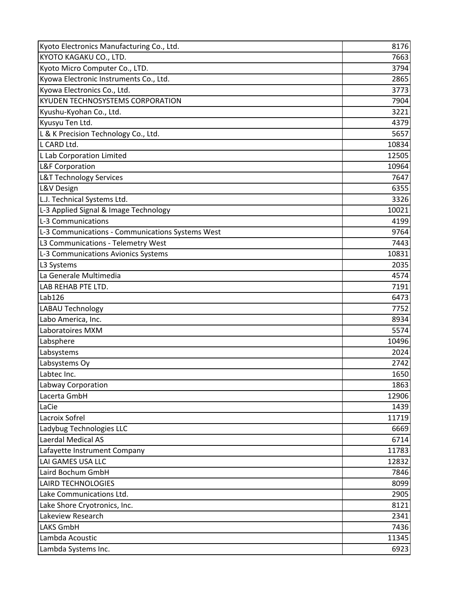| Kyoto Electronics Manufacturing Co., Ltd.        | 8176  |
|--------------------------------------------------|-------|
| KYOTO KAGAKU CO., LTD.                           | 7663  |
| Kyoto Micro Computer Co., LTD.                   | 3794  |
| Kyowa Electronic Instruments Co., Ltd.           | 2865  |
| Kyowa Electronics Co., Ltd.                      | 3773  |
| <b>KYUDEN TECHNOSYSTEMS CORPORATION</b>          | 7904  |
| Kyushu-Kyohan Co., Ltd.                          | 3221  |
| Kyusyu Ten Ltd.                                  | 4379  |
| L & K Precision Technology Co., Ltd.             | 5657  |
| L CARD Ltd.                                      | 10834 |
| L Lab Corporation Limited                        | 12505 |
| L&F Corporation                                  | 10964 |
| L&T Technology Services                          | 7647  |
| L&V Design                                       | 6355  |
| L.J. Technical Systems Ltd.                      | 3326  |
| L-3 Applied Signal & Image Technology            | 10021 |
| L-3 Communications                               | 4199  |
| L-3 Communications - Communications Systems West | 9764  |
| L3 Communications - Telemetry West               | 7443  |
| L-3 Communications Avionics Systems              | 10831 |
| L3 Systems                                       | 2035  |
| La Generale Multimedia                           | 4574  |
| <b>LAB REHAB PTE LTD.</b>                        | 7191  |
| Lab126                                           | 6473  |
| <b>LABAU Technology</b>                          | 7752  |
| Labo America, Inc.                               | 8934  |
| Laboratoires MXM                                 | 5574  |
| Labsphere                                        | 10496 |
| Labsystems                                       | 2024  |
| Labsystems Oy                                    | 2742  |
| Labtec Inc.                                      | 1650  |
| Labway Corporation                               | 1863  |
| Lacerta GmbH                                     | 12906 |
| LaCie                                            | 1439  |
| Lacroix Sofrel                                   | 11719 |
| Ladybug Technologies LLC                         | 6669  |
| <b>Laerdal Medical AS</b>                        | 6714  |
| Lafayette Instrument Company                     | 11783 |
| LAI GAMES USA LLC                                | 12832 |
| Laird Bochum GmbH                                | 7846  |
| <b>LAIRD TECHNOLOGIES</b>                        | 8099  |
| Lake Communications Ltd.                         | 2905  |
| Lake Shore Cryotronics, Inc.                     | 8121  |
| Lakeview Research                                | 2341  |
| <b>LAKS GmbH</b>                                 | 7436  |
| Lambda Acoustic                                  | 11345 |
| Lambda Systems Inc.                              | 6923  |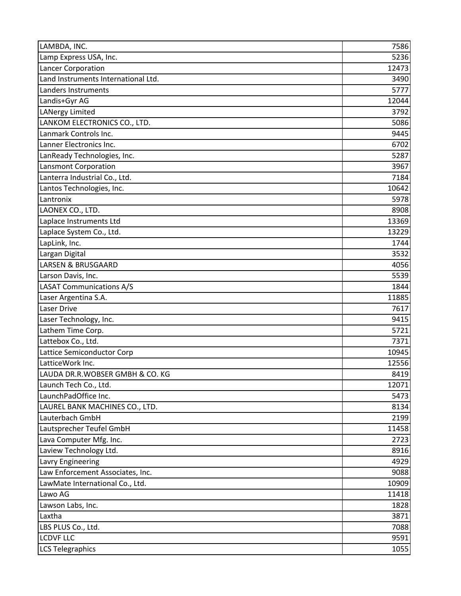| LAMBDA, INC.                        | 7586  |
|-------------------------------------|-------|
| Lamp Express USA, Inc.              | 5236  |
| <b>Lancer Corporation</b>           | 12473 |
| Land Instruments International Ltd. | 3490  |
| Landers Instruments                 | 5777  |
| Landis+Gyr AG                       | 12044 |
| <b>LANergy Limited</b>              | 3792  |
| LANKOM ELECTRONICS CO., LTD.        | 5086  |
| Lanmark Controls Inc.               | 9445  |
| Lanner Electronics Inc.             | 6702  |
| LanReady Technologies, Inc.         | 5287  |
| <b>Lansmont Corporation</b>         | 3967  |
| Lanterra Industrial Co., Ltd.       | 7184  |
| Lantos Technologies, Inc.           | 10642 |
| Lantronix                           | 5978  |
| LAONEX CO., LTD.                    | 8908  |
| Laplace Instruments Ltd             | 13369 |
| Laplace System Co., Ltd.            | 13229 |
| LapLink, Inc.                       | 1744  |
| Largan Digital                      | 3532  |
| <b>LARSEN &amp; BRUSGAARD</b>       | 4056  |
| Larson Davis, Inc.                  | 5539  |
| <b>LASAT Communications A/S</b>     | 1844  |
| Laser Argentina S.A.                | 11885 |
| <b>Laser Drive</b>                  | 7617  |
| Laser Technology, Inc.              | 9415  |
| Lathem Time Corp.                   | 5721  |
| Lattebox Co., Ltd.                  | 7371  |
| Lattice Semiconductor Corp          | 10945 |
| LatticeWork Inc.                    | 12556 |
| LAUDA DR.R.WOBSER GMBH & CO. KG     | 8419  |
| Launch Tech Co., Ltd.               | 12071 |
| LaunchPadOffice Inc.                | 5473  |
| LAUREL BANK MACHINES CO., LTD.      | 8134  |
| Lauterbach GmbH                     | 2199  |
| Lautsprecher Teufel GmbH            | 11458 |
| Lava Computer Mfg. Inc.             | 2723  |
| Laview Technology Ltd.              | 8916  |
| <b>Lavry Engineering</b>            | 4929  |
| Law Enforcement Associates, Inc.    | 9088  |
| LawMate International Co., Ltd.     | 10909 |
| Lawo AG                             | 11418 |
| Lawson Labs, Inc.                   | 1828  |
| Laxtha                              | 3871  |
| LBS PLUS Co., Ltd.                  | 7088  |
| <b>LCDVF LLC</b>                    | 9591  |
| <b>LCS Telegraphics</b>             | 1055  |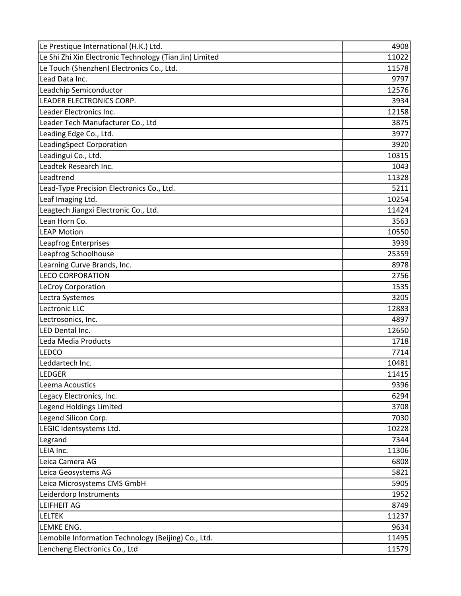| Le Prestique International (H.K.) Ltd.                  | 4908  |
|---------------------------------------------------------|-------|
| Le Shi Zhi Xin Electronic Technology (Tian Jin) Limited | 11022 |
| Le Touch (Shenzhen) Electronics Co., Ltd.               | 11578 |
| Lead Data Inc.                                          | 9797  |
| Leadchip Semiconductor                                  | 12576 |
| LEADER ELECTRONICS CORP.                                | 3934  |
| Leader Electronics Inc.                                 | 12158 |
| Leader Tech Manufacturer Co., Ltd                       | 3875  |
| Leading Edge Co., Ltd.                                  | 3977  |
| <b>LeadingSpect Corporation</b>                         | 3920  |
| Leadingui Co., Ltd.                                     | 10315 |
| Leadtek Research Inc.                                   | 1043  |
| Leadtrend                                               | 11328 |
| Lead-Type Precision Electronics Co., Ltd.               | 5211  |
| Leaf Imaging Ltd.                                       | 10254 |
| Leagtech Jiangxi Electronic Co., Ltd.                   | 11424 |
| Lean Horn Co.                                           | 3563  |
| <b>LEAP Motion</b>                                      | 10550 |
| Leapfrog Enterprises                                    | 3939  |
| Leapfrog Schoolhouse                                    | 25359 |
| Learning Curve Brands, Inc.                             | 8978  |
| <b>LECO CORPORATION</b>                                 | 2756  |
| <b>LeCroy Corporation</b>                               | 1535  |
| Lectra Systemes                                         | 3205  |
| Lectronic LLC                                           | 12883 |
| Lectrosonics, Inc.                                      | 4897  |
| LED Dental Inc.                                         | 12650 |
| Leda Media Products                                     | 1718  |
| LEDCO                                                   | 7714  |
| Leddartech Inc.                                         | 10481 |
| LEDGER                                                  | 11415 |
| Leema Acoustics                                         | 9396  |
| Legacy Electronics, Inc.                                | 6294  |
| <b>Legend Holdings Limited</b>                          | 3708  |
| Legend Silicon Corp.                                    | 7030  |
| LEGIC Identsystems Ltd.                                 | 10228 |
| Legrand                                                 | 7344  |
| LEIA Inc.                                               | 11306 |
| Leica Camera AG                                         | 6808  |
| Leica Geosystems AG                                     | 5821  |
| Leica Microsystems CMS GmbH                             | 5905  |
| Leiderdorp Instruments                                  | 1952  |
| <b>LEIFHEIT AG</b>                                      | 8749  |
| <b>LELTEK</b>                                           | 11237 |
| LEMKE ENG.                                              | 9634  |
| Lemobile Information Technology (Beijing) Co., Ltd.     | 11495 |
| Lencheng Electronics Co., Ltd                           | 11579 |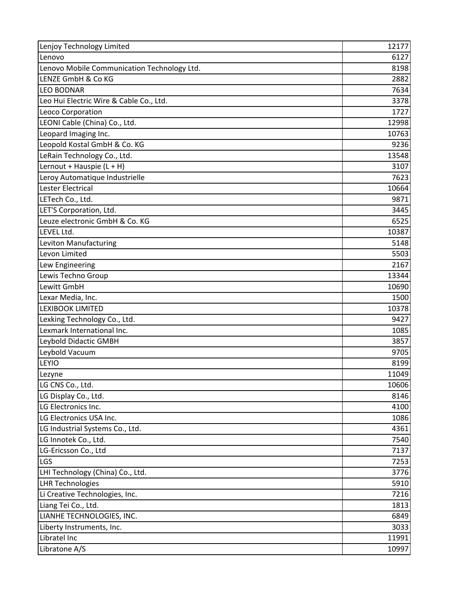| Lenjoy Technology Limited                   | 12177 |
|---------------------------------------------|-------|
| Lenovo                                      | 6127  |
| Lenovo Mobile Communication Technology Ltd. | 8198  |
| LENZE GmbH & Co KG                          | 2882  |
| <b>LEO BODNAR</b>                           | 7634  |
| Leo Hui Electric Wire & Cable Co., Ltd.     | 3378  |
| Leoco Corporation                           | 1727  |
| LEONI Cable (China) Co., Ltd.               | 12998 |
| Leopard Imaging Inc.                        | 10763 |
| Leopold Kostal GmbH & Co. KG                | 9236  |
| LeRain Technology Co., Ltd.                 | 13548 |
| Lernout + Hauspie (L + H)                   | 3107  |
| Leroy Automatique Industrielle              | 7623  |
| Lester Electrical                           | 10664 |
| LETech Co., Ltd.                            | 9871  |
| LET'S Corporation, Ltd.                     | 3445  |
| Leuze electronic GmbH & Co. KG              | 6525  |
| LEVEL Ltd.                                  | 10387 |
| Leviton Manufacturing                       | 5148  |
| Levon Limited                               | 5503  |
| Lew Engineering                             | 2167  |
| Lewis Techno Group                          | 13344 |
| Lewitt GmbH                                 | 10690 |
| Lexar Media, Inc.                           | 1500  |
| <b>LEXIBOOK LIMITED</b>                     | 10378 |
| Lexking Technology Co., Ltd.                | 9427  |
| Lexmark International Inc.                  | 1085  |
| Leybold Didactic GMBH                       | 3857  |
| Leybold Vacuum                              | 9705  |
| <b>LEYIO</b>                                | 8199  |
| Lezyne                                      | 11049 |
| LG CNS Co., Ltd.                            | 10606 |
| LG Display Co., Ltd.                        | 8146  |
| LG Electronics Inc.                         | 4100  |
| LG Electronics USA Inc.                     | 1086  |
| LG Industrial Systems Co., Ltd.             | 4361  |
| LG Innotek Co., Ltd.                        | 7540  |
| LG-Ericsson Co., Ltd                        | 7137  |
| <b>LGS</b>                                  | 7253  |
| LHI Technology (China) Co., Ltd.            | 3776  |
| <b>LHR Technologies</b>                     | 5910  |
| Li Creative Technologies, Inc.              | 7216  |
| Liang Tei Co., Ltd.                         | 1813  |
| LIANHE TECHNOLOGIES, INC.                   | 6849  |
| Liberty Instruments, Inc.                   | 3033  |
| Libratel Inc                                | 11991 |
| Libratone A/S                               | 10997 |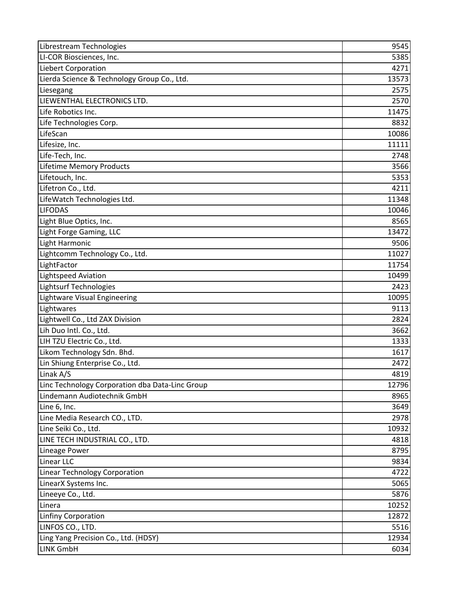| Librestream Technologies                        | 9545  |
|-------------------------------------------------|-------|
| LI-COR Biosciences, Inc.                        | 5385  |
| <b>Liebert Corporation</b>                      | 4271  |
| Lierda Science & Technology Group Co., Ltd.     | 13573 |
| Liesegang                                       | 2575  |
| LIEWENTHAL ELECTRONICS LTD.                     | 2570  |
| Life Robotics Inc.                              | 11475 |
| Life Technologies Corp.                         | 8832  |
| LifeScan                                        | 10086 |
| Lifesize, Inc.                                  | 11111 |
| Life-Tech, Inc.                                 | 2748  |
| Lifetime Memory Products                        | 3566  |
| Lifetouch, Inc.                                 | 5353  |
| Lifetron Co., Ltd.                              | 4211  |
| LifeWatch Technologies Ltd.                     | 11348 |
| <b>LIFODAS</b>                                  | 10046 |
| Light Blue Optics, Inc.                         | 8565  |
| Light Forge Gaming, LLC                         | 13472 |
| Light Harmonic                                  | 9506  |
| Lightcomm Technology Co., Ltd.                  | 11027 |
| LightFactor                                     | 11754 |
| <b>Lightspeed Aviation</b>                      | 10499 |
| <b>Lightsurf Technologies</b>                   | 2423  |
| Lightware Visual Engineering                    | 10095 |
| Lightwares                                      | 9113  |
| Lightwell Co., Ltd ZAX Division                 | 2824  |
| Lih Duo Intl. Co., Ltd.                         | 3662  |
| LIH TZU Electric Co., Ltd.                      | 1333  |
| Likom Technology Sdn. Bhd.                      | 1617  |
| Lin Shiung Enterprise Co., Ltd.                 | 2472  |
| Linak A/S                                       | 4819  |
| Linc Technology Corporation dba Data-Linc Group | 12796 |
| Lindemann Audiotechnik GmbH                     | 8965  |
| Line 6, Inc.                                    | 3649  |
| Line Media Research CO., LTD.                   | 2978  |
| Line Seiki Co., Ltd.                            | 10932 |
| LINE TECH INDUSTRIAL CO., LTD.                  | 4818  |
| <b>Lineage Power</b>                            | 8795  |
| Linear LLC                                      | 9834  |
| Linear Technology Corporation                   | 4722  |
| LinearX Systems Inc.                            | 5065  |
| Lineeye Co., Ltd.                               | 5876  |
| Linera                                          | 10252 |
| <b>Linfiny Corporation</b>                      | 12872 |
| LINFOS CO., LTD.                                | 5516  |
| Ling Yang Precision Co., Ltd. (HDSY)            | 12934 |
| <b>LINK GmbH</b>                                | 6034  |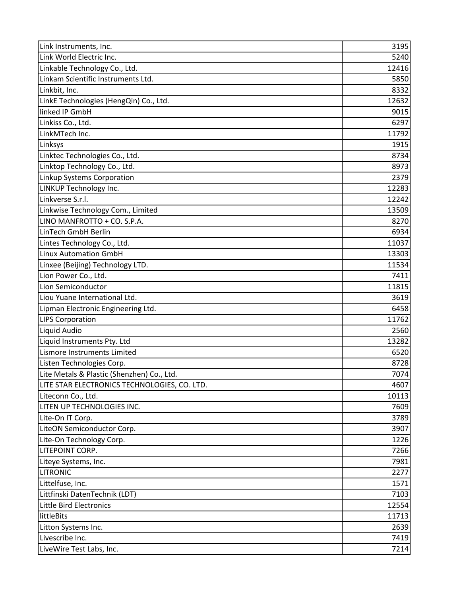| Link Instruments, Inc.                       | 3195  |
|----------------------------------------------|-------|
| Link World Electric Inc.                     | 5240  |
| Linkable Technology Co., Ltd.                | 12416 |
| Linkam Scientific Instruments Ltd.           | 5850  |
| Linkbit, Inc.                                | 8332  |
| LinkE Technologies (HengQin) Co., Ltd.       | 12632 |
| linked IP GmbH                               | 9015  |
| Linkiss Co., Ltd.                            | 6297  |
| LinkMTech Inc.                               | 11792 |
| Linksys                                      | 1915  |
| Linktec Technologies Co., Ltd.               | 8734  |
| Linktop Technology Co., Ltd.                 | 8973  |
| Linkup Systems Corporation                   | 2379  |
| LINKUP Technology Inc.                       | 12283 |
| Linkverse S.r.l.                             | 12242 |
| Linkwise Technology Com., Limited            | 13509 |
| LINO MANFROTTO + CO. S.P.A.                  | 8270  |
| LinTech GmbH Berlin                          | 6934  |
| Lintes Technology Co., Ltd.                  | 11037 |
| <b>Linux Automation GmbH</b>                 | 13303 |
| Linxee (Beijing) Technology LTD.             | 11534 |
| Lion Power Co., Ltd.                         | 7411  |
| Lion Semiconductor                           | 11815 |
| Liou Yuane International Ltd.                | 3619  |
| Lipman Electronic Engineering Ltd.           | 6458  |
| <b>LIPS Corporation</b>                      | 11762 |
| Liquid Audio                                 | 2560  |
| Liquid Instruments Pty. Ltd                  | 13282 |
| Lismore Instruments Limited                  | 6520  |
| Listen Technologies Corp.                    | 8728  |
| Lite Metals & Plastic (Shenzhen) Co., Ltd.   | 7074  |
| LITE STAR ELECTRONICS TECHNOLOGIES, CO. LTD. | 4607  |
| Liteconn Co., Ltd.                           | 10113 |
| LITEN UP TECHNOLOGIES INC.                   | 7609  |
| Lite-On IT Corp.                             | 3789  |
| LiteON Semiconductor Corp.                   | 3907  |
| Lite-On Technology Corp.                     | 1226  |
| LITEPOINT CORP.                              | 7266  |
| Liteye Systems, Inc.                         | 7981  |
| <b>LITRONIC</b>                              | 2277  |
| Littelfuse, Inc.                             | 1571  |
| Littfinski DatenTechnik (LDT)                | 7103  |
| Little Bird Electronics                      | 12554 |
| littleBits                                   | 11713 |
| Litton Systems Inc.                          | 2639  |
| Livescribe Inc.                              | 7419  |
| LiveWire Test Labs, Inc.                     | 7214  |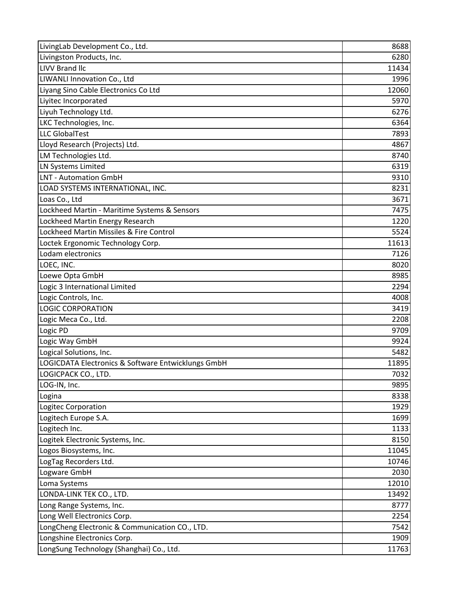| LivingLab Development Co., Ltd.                    | 8688  |
|----------------------------------------------------|-------|
| Livingston Products, Inc.                          | 6280  |
| <b>LIVV Brand IIc</b>                              | 11434 |
| LIWANLI Innovation Co., Ltd                        | 1996  |
| Liyang Sino Cable Electronics Co Ltd               | 12060 |
| Liyitec Incorporated                               | 5970  |
| Liyuh Technology Ltd.                              | 6276  |
| LKC Technologies, Inc.                             | 6364  |
| <b>LLC GlobalTest</b>                              | 7893  |
| Lloyd Research (Projects) Ltd.                     | 4867  |
| LM Technologies Ltd.                               | 8740  |
| <b>LN Systems Limited</b>                          | 6319  |
| LNT - Automation GmbH                              | 9310  |
| LOAD SYSTEMS INTERNATIONAL, INC.                   | 8231  |
| Loas Co., Ltd                                      | 3671  |
| Lockheed Martin - Maritime Systems & Sensors       | 7475  |
| Lockheed Martin Energy Research                    | 1220  |
| Lockheed Martin Missiles & Fire Control            | 5524  |
| Loctek Ergonomic Technology Corp.                  | 11613 |
| Lodam electronics                                  | 7126  |
| LOEC, INC.                                         | 8020  |
| Loewe Opta GmbH                                    | 8985  |
| Logic 3 International Limited                      | 2294  |
| Logic Controls, Inc.                               | 4008  |
| <b>LOGIC CORPORATION</b>                           | 3419  |
| Logic Meca Co., Ltd.                               | 2208  |
| Logic PD                                           | 9709  |
| Logic Way GmbH                                     | 9924  |
| Logical Solutions, Inc.                            | 5482  |
| LOGICDATA Electronics & Software Entwicklungs GmbH | 11895 |
| LOGICPACK CO., LTD.                                | 7032  |
| LOG-IN, Inc.                                       | 9895  |
| Logina                                             | 8338  |
| Logitec Corporation                                | 1929  |
| Logitech Europe S.A.                               | 1699  |
| Logitech Inc.                                      | 1133  |
| Logitek Electronic Systems, Inc.                   | 8150  |
| Logos Biosystems, Inc.                             | 11045 |
| LogTag Recorders Ltd.                              | 10746 |
| Logware GmbH                                       | 2030  |
| Loma Systems                                       | 12010 |
| LONDA-LINK TEK CO., LTD.                           | 13492 |
| Long Range Systems, Inc.                           | 8777  |
| Long Well Electronics Corp.                        | 2254  |
| LongCheng Electronic & Communication CO., LTD.     | 7542  |
| Longshine Electronics Corp.                        | 1909  |
| LongSung Technology (Shanghai) Co., Ltd.           | 11763 |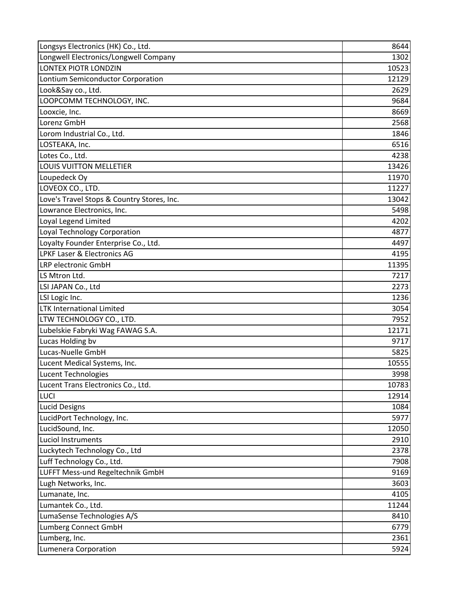| Longsys Electronics (HK) Co., Ltd.         | 8644  |
|--------------------------------------------|-------|
| Longwell Electronics/Longwell Company      | 1302  |
| LONTEX PIOTR LONDZIN                       | 10523 |
| Lontium Semiconductor Corporation          | 12129 |
| Look&Say co., Ltd.                         | 2629  |
| LOOPCOMM TECHNOLOGY, INC.                  | 9684  |
| Looxcie, Inc.                              | 8669  |
| Lorenz GmbH                                | 2568  |
| Lorom Industrial Co., Ltd.                 | 1846  |
| LOSTEAKA, Inc.                             | 6516  |
| Lotes Co., Ltd.                            | 4238  |
| LOUIS VUITTON MELLETIER                    | 13426 |
| Loupedeck Oy                               | 11970 |
| LOVEOX CO., LTD.                           | 11227 |
| Love's Travel Stops & Country Stores, Inc. | 13042 |
| Lowrance Electronics, Inc.                 | 5498  |
| Loyal Legend Limited                       | 4202  |
| Loyal Technology Corporation               | 4877  |
| Loyalty Founder Enterprise Co., Ltd.       | 4497  |
| <b>LPKF Laser &amp; Electronics AG</b>     | 4195  |
| <b>LRP</b> electronic GmbH                 | 11395 |
| LS Mtron Ltd.                              | 7217  |
| LSI JAPAN Co., Ltd                         | 2273  |
| LSI Logic Inc.                             | 1236  |
| <b>LTK International Limited</b>           | 3054  |
| LTW TECHNOLOGY CO., LTD.                   | 7952  |
| Lubelskie Fabryki Wag FAWAG S.A.           | 12171 |
| Lucas Holding bv                           | 9717  |
| Lucas-Nuelle GmbH                          | 5825  |
| Lucent Medical Systems, Inc.               | 10555 |
| Lucent Technologies                        | 3998  |
| Lucent Trans Electronics Co., Ltd.         | 10783 |
| <b>LUCI</b>                                | 12914 |
| <b>Lucid Designs</b>                       | 1084  |
| LucidPort Technology, Inc.                 | 5977  |
| LucidSound, Inc.                           | 12050 |
| Luciol Instruments                         | 2910  |
| Luckytech Technology Co., Ltd              | 2378  |
| Luff Technology Co., Ltd.                  | 7908  |
| LUFFT Mess-und Regeltechnik GmbH           | 9169  |
| Lugh Networks, Inc.                        | 3603  |
| Lumanate, Inc.                             | 4105  |
| Lumantek Co., Ltd.                         | 11244 |
| LumaSense Technologies A/S                 | 8410  |
| Lumberg Connect GmbH                       | 6779  |
| Lumberg, Inc.                              | 2361  |
| Lumenera Corporation                       | 5924  |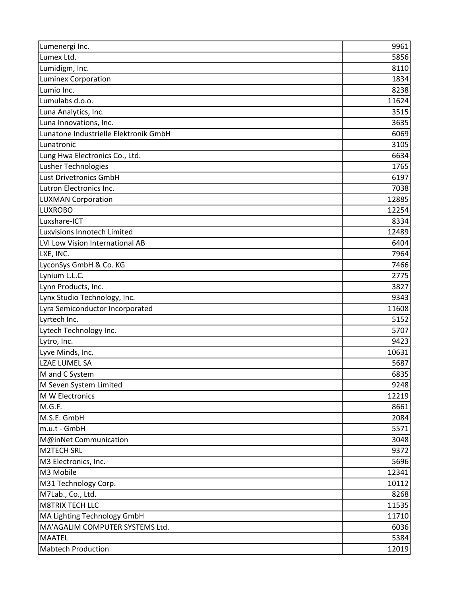| Lumenergi Inc.                                                 | 9961          |
|----------------------------------------------------------------|---------------|
| Lumex Ltd.                                                     | 5856          |
| Lumidigm, Inc.                                                 | 8110          |
| <b>Luminex Corporation</b>                                     | 1834          |
| Lumio Inc.                                                     | 8238          |
| Lumulabs d.o.o.                                                | 11624         |
| Luna Analytics, Inc.                                           | 3515          |
| Luna Innovations, Inc.                                         | 3635          |
| Lunatone Industrielle Elektronik GmbH                          | 6069          |
| Lunatronic                                                     | 3105          |
| Lung Hwa Electronics Co., Ltd.                                 | 6634          |
| Lusher Technologies                                            | 1765          |
| Lust Drivetronics GmbH                                         | 6197          |
| Lutron Electronics Inc.                                        | 7038          |
| <b>LUXMAN Corporation</b>                                      | 12885         |
| <b>LUXROBO</b>                                                 | 12254         |
| Luxshare-ICT                                                   | 8334          |
| Luxvisions Innotech Limited                                    | 12489         |
| LVI Low Vision International AB                                | 6404          |
| LXE, INC.                                                      | 7964          |
| LyconSys GmbH & Co. KG                                         | 7466          |
| Lynium L.L.C.                                                  | 2775          |
| Lynn Products, Inc.                                            | 3827          |
| Lynx Studio Technology, Inc.                                   | 9343          |
| Lyra Semiconductor Incorporated                                | 11608         |
| Lyrtech Inc.                                                   | 5152          |
| Lytech Technology Inc.                                         | 5707          |
| Lytro, Inc.                                                    | 9423          |
| Lyve Minds, Inc.                                               | 10631         |
| <b>LZAE LUMEL SA</b>                                           | 5687          |
| M and C System                                                 | 6835          |
| M Seven System Limited                                         | 9248          |
| M W Electronics                                                | 12219         |
| M.G.F.                                                         | 8661          |
| M.S.E. GmbH                                                    | 2084          |
| m.u.t - GmbH                                                   | 5571          |
| M@inNet Communication                                          | 3048          |
| <b>M2TECH SRL</b>                                              | 9372          |
| M3 Electronics, Inc.                                           | 5696          |
| M3 Mobile                                                      | 12341         |
| M31 Technology Corp.                                           | 10112         |
| M7Lab., Co., Ltd.                                              | 8268          |
| <b>M8TRIX TECH LLC</b>                                         | 11535         |
| MA Lighting Technology GmbH<br>MA'AGALIM COMPUTER SYSTEMS Ltd. | 11710<br>6036 |
| <b>MAATEL</b>                                                  | 5384          |
| <b>Mabtech Production</b>                                      | 12019         |
|                                                                |               |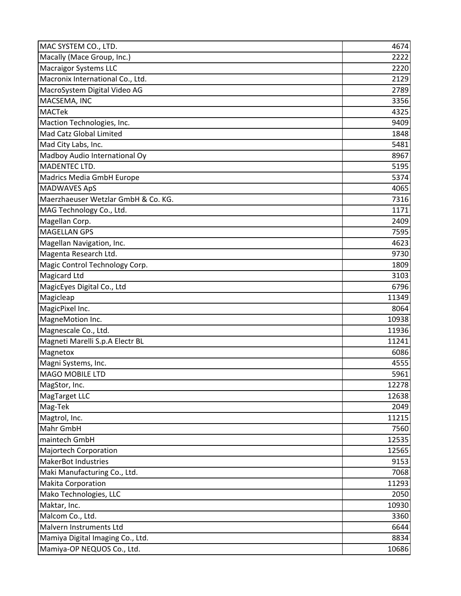| MAC SYSTEM CO., LTD.                | 4674  |
|-------------------------------------|-------|
| Macally (Mace Group, Inc.)          | 2222  |
| <b>Macraigor Systems LLC</b>        | 2220  |
| Macronix International Co., Ltd.    | 2129  |
| MacroSystem Digital Video AG        | 2789  |
| MACSEMA, INC                        | 3356  |
| <b>MACTek</b>                       | 4325  |
| Maction Technologies, Inc.          | 9409  |
| <b>Mad Catz Global Limited</b>      | 1848  |
| Mad City Labs, Inc.                 | 5481  |
| Madboy Audio International Oy       | 8967  |
| <b>MADENTEC LTD.</b>                | 5195  |
| Madrics Media GmbH Europe           | 5374  |
| <b>MADWAVES ApS</b>                 | 4065  |
| Maerzhaeuser Wetzlar GmbH & Co. KG. | 7316  |
| MAG Technology Co., Ltd.            | 1171  |
| Magellan Corp.                      | 2409  |
| <b>MAGELLAN GPS</b>                 | 7595  |
| Magellan Navigation, Inc.           | 4623  |
| Magenta Research Ltd.               | 9730  |
| Magic Control Technology Corp.      | 1809  |
| <b>Magicard Ltd</b>                 | 3103  |
| MagicEyes Digital Co., Ltd          | 6796  |
| Magicleap                           | 11349 |
| MagicPixel Inc.                     | 8064  |
| MagneMotion Inc.                    | 10938 |
| Magnescale Co., Ltd.                | 11936 |
| Magneti Marelli S.p.A Electr BL     | 11241 |
| Magnetox                            | 6086  |
| Magni Systems, Inc.                 | 4555  |
| <b>MAGO MOBILE LTD</b>              | 5961  |
| MagStor, Inc.                       | 12278 |
| MagTarget LLC                       | 12638 |
| Mag-Tek                             | 2049  |
| Magtrol, Inc.                       | 11215 |
| Mahr GmbH                           | 7560  |
| maintech GmbH                       | 12535 |
| <b>Majortech Corporation</b>        | 12565 |
| <b>MakerBot Industries</b>          | 9153  |
| Maki Manufacturing Co., Ltd.        | 7068  |
| <b>Makita Corporation</b>           | 11293 |
| Mako Technologies, LLC              | 2050  |
| Maktar, Inc.                        | 10930 |
| Malcom Co., Ltd.                    | 3360  |
| Malvern Instruments Ltd             | 6644  |
| Mamiya Digital Imaging Co., Ltd.    | 8834  |
| Mamiya-OP NEQUOS Co., Ltd.          | 10686 |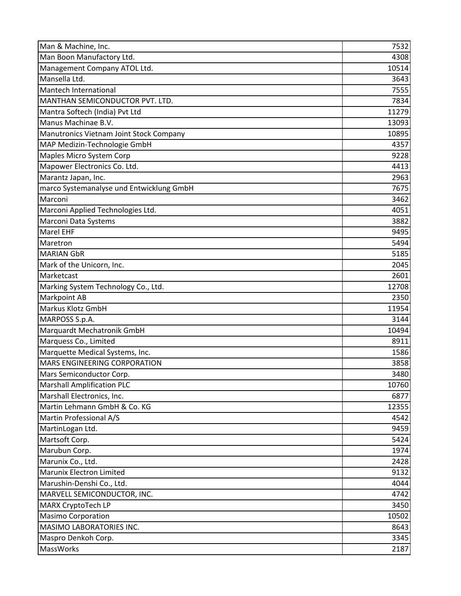| Man & Machine, Inc.                      | 7532  |
|------------------------------------------|-------|
| Man Boon Manufactory Ltd.                | 4308  |
| Management Company ATOL Ltd.             | 10514 |
| Mansella Ltd.                            | 3643  |
| <b>Mantech International</b>             | 7555  |
| MANTHAN SEMICONDUCTOR PVT. LTD.          | 7834  |
| Mantra Softech (India) Pvt Ltd           | 11279 |
| Manus Machinae B.V.                      | 13093 |
| Manutronics Vietnam Joint Stock Company  | 10895 |
| MAP Medizin-Technologie GmbH             | 4357  |
| Maples Micro System Corp                 | 9228  |
| Mapower Electronics Co. Ltd.             | 4413  |
| Marantz Japan, Inc.                      | 2963  |
| marco Systemanalyse und Entwicklung GmbH | 7675  |
| Marconi                                  | 3462  |
| Marconi Applied Technologies Ltd.        | 4051  |
| Marconi Data Systems                     | 3882  |
| <b>Marel EHF</b>                         | 9495  |
| Maretron                                 | 5494  |
| <b>MARIAN GbR</b>                        | 5185  |
| Mark of the Unicorn, Inc.                | 2045  |
| Marketcast                               | 2601  |
| Marking System Technology Co., Ltd.      | 12708 |
| <b>Markpoint AB</b>                      | 2350  |
| Markus Klotz GmbH                        | 11954 |
| MARPOSS S.p.A.                           | 3144  |
| Marquardt Mechatronik GmbH               | 10494 |
| Marquess Co., Limited                    | 8911  |
| Marquette Medical Systems, Inc.          | 1586  |
| <b>MARS ENGINEERING CORPORATION</b>      | 3858  |
| Mars Semiconductor Corp.                 | 3480  |
| <b>Marshall Amplification PLC</b>        | 10760 |
| Marshall Electronics, Inc.               | 6877  |
| Martin Lehmann GmbH & Co. KG             | 12355 |
| Martin Professional A/S                  | 4542  |
| MartinLogan Ltd.                         | 9459  |
| Martsoft Corp.                           | 5424  |
| Marubun Corp.                            | 1974  |
| Marunix Co., Ltd.                        | 2428  |
| Marunix Electron Limited                 | 9132  |
| Marushin-Denshi Co., Ltd.                | 4044  |
| MARVELL SEMICONDUCTOR, INC.              | 4742  |
| MARX CryptoTech LP                       | 3450  |
| <b>Masimo Corporation</b>                | 10502 |
| MASIMO LABORATORIES INC.                 | 8643  |
| Maspro Denkoh Corp.                      | 3345  |
| MassWorks                                | 2187  |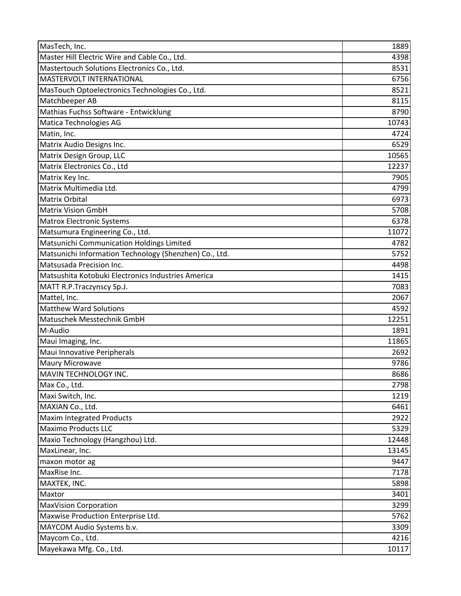| MasTech, Inc.                                          | 1889  |
|--------------------------------------------------------|-------|
| Master Hill Electric Wire and Cable Co., Ltd.          | 4398  |
| Mastertouch Solutions Electronics Co., Ltd.            | 8531  |
| MASTERVOLT INTERNATIONAL                               | 6756  |
| MasTouch Optoelectronics Technologies Co., Ltd.        | 8521  |
| Matchbeeper AB                                         | 8115  |
| Mathias Fuchss Software - Entwicklung                  | 8790  |
| Matica Technologies AG                                 | 10743 |
| Matin, Inc.                                            | 4724  |
| Matrix Audio Designs Inc.                              | 6529  |
| Matrix Design Group, LLC                               | 10565 |
| Matrix Electronics Co., Ltd                            | 12237 |
| Matrix Key Inc.                                        | 7905  |
| Matrix Multimedia Ltd.                                 | 4799  |
| <b>Matrix Orbital</b>                                  | 6973  |
| <b>Matrix Vision GmbH</b>                              | 5708  |
| <b>Matrox Electronic Systems</b>                       | 6378  |
| Matsumura Engineering Co., Ltd.                        | 11072 |
| Matsunichi Communication Holdings Limited              | 4782  |
| Matsunichi Information Technology (Shenzhen) Co., Ltd. | 5752  |
| Matsusada Precision Inc.                               | 4498  |
| Matsushita Kotobuki Electronics Industries America     | 1415  |
| MATT R.P.Traczynscy Sp.J.                              | 7083  |
| Mattel, Inc.                                           | 2067  |
| <b>Matthew Ward Solutions</b>                          | 4592  |
| Matuschek Messtechnik GmbH                             | 12251 |
| M-Audio                                                | 1891  |
| Maui Imaging, Inc.                                     | 11865 |
| Maui Innovative Peripherals                            | 2692  |
| <b>Maury Microwave</b>                                 | 9786  |
| MAVIN TECHNOLOGY INC.                                  | 8686  |
| Max Co., Ltd.                                          | 2798  |
| Maxi Switch, Inc.                                      | 1219  |
| MAXIAN Co., Ltd.                                       | 6461  |
| <b>Maxim Integrated Products</b>                       | 2922  |
| <b>Maximo Products LLC</b>                             | 5329  |
| Maxio Technology (Hangzhou) Ltd.                       | 12448 |
| MaxLinear, Inc.                                        | 13145 |
| maxon motor ag                                         | 9447  |
| MaxRise Inc.                                           | 7178  |
| MAXTEK, INC.                                           | 5898  |
| Maxtor                                                 | 3401  |
| <b>MaxVision Corporation</b>                           | 3299  |
| Maxwise Production Enterprise Ltd.                     | 5762  |
| MAYCOM Audio Systems b.v.                              | 3309  |
| Maycom Co., Ltd.                                       | 4216  |
| Mayekawa Mfg. Co., Ltd.                                | 10117 |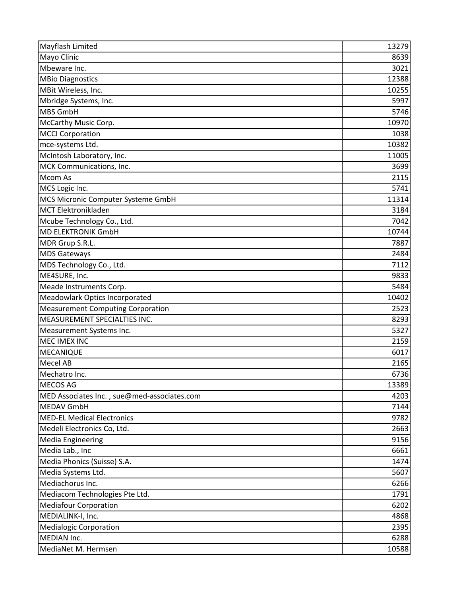| Mayflash Limited                            | 13279 |
|---------------------------------------------|-------|
| Mayo Clinic                                 | 8639  |
| Mbeware Inc.                                | 3021  |
| <b>MBio Diagnostics</b>                     | 12388 |
| MBit Wireless, Inc.                         | 10255 |
| Mbridge Systems, Inc.                       | 5997  |
| <b>MBS GmbH</b>                             | 5746  |
| McCarthy Music Corp.                        | 10970 |
| <b>MCCI Corporation</b>                     | 1038  |
| mce-systems Ltd.                            | 10382 |
| McIntosh Laboratory, Inc.                   | 11005 |
| MCK Communications, Inc.                    | 3699  |
| <b>Mcom As</b>                              | 2115  |
| MCS Logic Inc.                              | 5741  |
| MCS Micronic Computer Systeme GmbH          | 11314 |
| <b>MCT Elektronikladen</b>                  | 3184  |
| Mcube Technology Co., Ltd.                  | 7042  |
| <b>MD ELEKTRONIK GmbH</b>                   | 10744 |
| MDR Grup S.R.L.                             | 7887  |
| <b>MDS Gateways</b>                         | 2484  |
| MDS Technology Co., Ltd.                    | 7112  |
| ME4SURE, Inc.                               | 9833  |
| Meade Instruments Corp.                     | 5484  |
| Meadowlark Optics Incorporated              | 10402 |
| <b>Measurement Computing Corporation</b>    | 2523  |
| MEASUREMENT SPECIALTIES INC.                | 8293  |
| Measurement Systems Inc.                    | 5327  |
| MEC IMEX INC                                | 2159  |
| <b>MECANIQUE</b>                            | 6017  |
| Mecel AB                                    | 2165  |
| Mechatro Inc.                               | 6736  |
| <b>MECOS AG</b>                             | 13389 |
| MED Associates Inc., sue@med-associates.com | 4203  |
| <b>MEDAV GmbH</b>                           | 7144  |
| <b>MED-EL Medical Electronics</b>           | 9782  |
| Medeli Electronics Co, Ltd.                 | 2663  |
| <b>Media Engineering</b>                    | 9156  |
| Media Lab., Inc                             | 6661  |
| Media Phonics (Suisse) S.A.                 | 1474  |
| Media Systems Ltd.                          | 5607  |
| Mediachorus Inc.                            | 6266  |
| Mediacom Technologies Pte Ltd.              | 1791  |
| <b>Mediafour Corporation</b>                | 6202  |
| MEDIALINK-I, Inc.                           | 4868  |
| <b>Medialogic Corporation</b>               | 2395  |
| MEDIAN Inc.                                 | 6288  |
| MediaNet M. Hermsen                         | 10588 |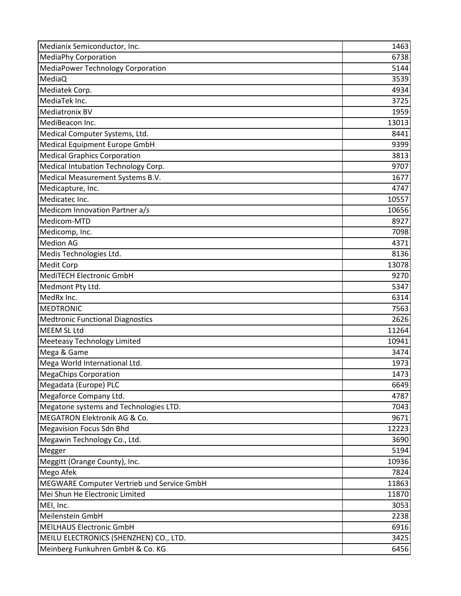| Medianix Semiconductor, Inc.               | 1463  |
|--------------------------------------------|-------|
| <b>MediaPhy Corporation</b>                | 6738  |
| <b>MediaPower Technology Corporation</b>   | 5144  |
| MediaQ                                     | 3539  |
| Mediatek Corp.                             | 4934  |
| MediaTek Inc.                              | 3725  |
| <b>Mediatronix BV</b>                      | 1959  |
| MediBeacon Inc.                            | 13013 |
| Medical Computer Systems, Ltd.             | 8441  |
| Medical Equipment Europe GmbH              | 9399  |
| <b>Medical Graphics Corporation</b>        | 3813  |
| Medical Intubation Technology Corp.        | 9707  |
| Medical Measurement Systems B.V.           | 1677  |
| Medicapture, Inc.                          | 4747  |
| Medicatec Inc.                             | 10557 |
| Medicom Innovation Partner a/s             | 10656 |
| Medicom-MTD                                | 8927  |
| Medicomp, Inc.                             | 7098  |
| <b>Medion AG</b>                           | 4371  |
| Medis Technologies Ltd.                    | 8136  |
| <b>Medit Corp</b>                          | 13078 |
| MediTECH Electronic GmbH                   | 9270  |
| Medmont Pty Ltd.                           | 5347  |
| MedRx Inc.                                 | 6314  |
| <b>MEDTRONIC</b>                           | 7563  |
| <b>Medtronic Functional Diagnostics</b>    | 2626  |
| <b>MEEM SL Ltd</b>                         | 11264 |
| <b>Meeteasy Technology Limited</b>         | 10941 |
| Mega & Game                                | 3474  |
| Mega World International Ltd.              | 1973  |
| <b>MegaChips Corporation</b>               | 1473  |
| Megadata (Europe) PLC                      | 6649  |
| Megaforce Company Ltd.                     | 4787  |
| Megatone systems and Technologies LTD.     | 7043  |
| <b>MEGATRON Elektronik AG &amp; Co.</b>    | 9671  |
| <b>Megavision Focus Sdn Bhd</b>            | 12223 |
| Megawin Technology Co., Ltd.               | 3690  |
| Megger                                     | 5194  |
| Meggitt (Orange County), Inc.              | 10936 |
| Mego Afek                                  | 7824  |
| MEGWARE Computer Vertrieb und Service GmbH | 11863 |
| Mei Shun He Electronic Limited             | 11870 |
| MEI, Inc.                                  | 3053  |
| Meilenstein GmbH                           | 2238  |
| MEILHAUS Electronic GmbH                   | 6916  |
| MEILU ELECTRONICS (SHENZHEN) CO., LTD.     | 3425  |
| Meinberg Funkuhren GmbH & Co. KG           | 6456  |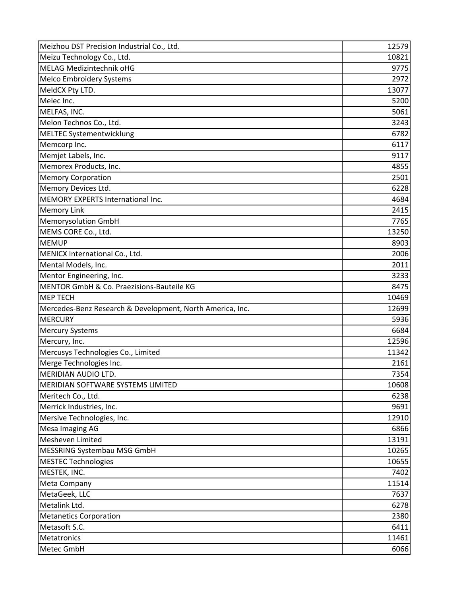| Meizhou DST Precision Industrial Co., Ltd.                | 12579 |
|-----------------------------------------------------------|-------|
| Meizu Technology Co., Ltd.                                | 10821 |
| <b>MELAG Medizintechnik oHG</b>                           | 9775  |
| <b>Melco Embroidery Systems</b>                           | 2972  |
| MeldCX Pty LTD.                                           | 13077 |
| Melec Inc.                                                | 5200  |
| MELFAS, INC.                                              | 5061  |
| Melon Technos Co., Ltd.                                   | 3243  |
| <b>MELTEC Systementwicklung</b>                           | 6782  |
| Memcorp Inc.                                              | 6117  |
| Memjet Labels, Inc.                                       | 9117  |
| Memorex Products, Inc.                                    | 4855  |
| <b>Memory Corporation</b>                                 | 2501  |
| Memory Devices Ltd.                                       | 6228  |
| MEMORY EXPERTS International Inc.                         | 4684  |
| <b>Memory Link</b>                                        | 2415  |
| <b>Memorysolution GmbH</b>                                | 7765  |
| MEMS CORE Co., Ltd.                                       | 13250 |
| <b>MEMUP</b>                                              | 8903  |
| MENICX International Co., Ltd.                            | 2006  |
| Mental Models, Inc.                                       | 2011  |
| Mentor Engineering, Inc.                                  | 3233  |
| MENTOR GmbH & Co. Praezisions-Bauteile KG                 | 8475  |
| <b>MEP TECH</b>                                           | 10469 |
| Mercedes-Benz Research & Development, North America, Inc. | 12699 |
| <b>MERCURY</b>                                            | 5936  |
| <b>Mercury Systems</b>                                    | 6684  |
| Mercury, Inc.                                             | 12596 |
| Mercusys Technologies Co., Limited                        | 11342 |
| Merge Technologies Inc.                                   | 2161  |
| MERIDIAN AUDIO LTD.                                       | 7354  |
| MERIDIAN SOFTWARE SYSTEMS LIMITED                         | 10608 |
| Meritech Co., Ltd.                                        | 6238  |
| Merrick Industries, Inc.                                  | 9691  |
| Mersive Technologies, Inc.                                | 12910 |
| <b>Mesa Imaging AG</b>                                    | 6866  |
| Mesheven Limited                                          | 13191 |
| MESSRING Systembau MSG GmbH                               | 10265 |
| <b>MESTEC Technologies</b>                                | 10655 |
| MESTEK, INC.                                              | 7402  |
| Meta Company                                              | 11514 |
| MetaGeek, LLC                                             | 7637  |
| Metalink Ltd.                                             | 6278  |
| <b>Metanetics Corporation</b>                             | 2380  |
| Metasoft S.C.                                             | 6411  |
| Metatronics                                               | 11461 |
| Metec GmbH                                                | 6066  |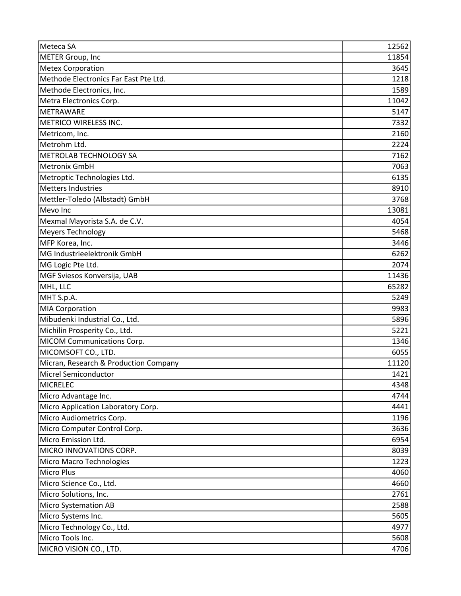| Meteca SA                             | 12562 |
|---------------------------------------|-------|
| METER Group, Inc                      | 11854 |
| <b>Metex Corporation</b>              | 3645  |
| Methode Electronics Far East Pte Ltd. | 1218  |
| Methode Electronics, Inc.             | 1589  |
| Metra Electronics Corp.               | 11042 |
| <b>METRAWARE</b>                      | 5147  |
| <b>METRICO WIRELESS INC.</b>          | 7332  |
| Metricom, Inc.                        | 2160  |
| Metrohm Ltd.                          | 2224  |
| METROLAB TECHNOLOGY SA                | 7162  |
| <b>Metronix GmbH</b>                  | 7063  |
| Metroptic Technologies Ltd.           | 6135  |
| <b>Metters Industries</b>             | 8910  |
| Mettler-Toledo (Albstadt) GmbH        | 3768  |
| Mevo Inc                              | 13081 |
| Mexmal Mayorista S.A. de C.V.         | 4054  |
| Meyers Technology                     | 5468  |
| MFP Korea, Inc.                       | 3446  |
| MG Industrieelektronik GmbH           | 6262  |
| MG Logic Pte Ltd.                     | 2074  |
| MGF Sviesos Konversija, UAB           | 11436 |
| MHL, LLC                              | 65282 |
| MHT S.p.A.                            | 5249  |
| <b>MIA Corporation</b>                | 9983  |
| Mibudenki Industrial Co., Ltd.        | 5896  |
| Michilin Prosperity Co., Ltd.         | 5221  |
| MICOM Communications Corp.            | 1346  |
| MICOMSOFT CO., LTD.                   | 6055  |
| Micran, Research & Production Company | 11120 |
| Micrel Semiconductor                  | 1421  |
| <b>MICRELEC</b>                       | 4348  |
| Micro Advantage Inc.                  | 4744  |
| Micro Application Laboratory Corp.    | 4441  |
| Micro Audiometrics Corp.              | 1196  |
| Micro Computer Control Corp.          | 3636  |
| Micro Emission Ltd.                   | 6954  |
| MICRO INNOVATIONS CORP.               | 8039  |
| Micro Macro Technologies              | 1223  |
| <b>Micro Plus</b>                     | 4060  |
| Micro Science Co., Ltd.               | 4660  |
| Micro Solutions, Inc.                 | 2761  |
| <b>Micro Systemation AB</b>           | 2588  |
| Micro Systems Inc.                    | 5605  |
| Micro Technology Co., Ltd.            | 4977  |
| Micro Tools Inc.                      | 5608  |
| MICRO VISION CO., LTD.                | 4706  |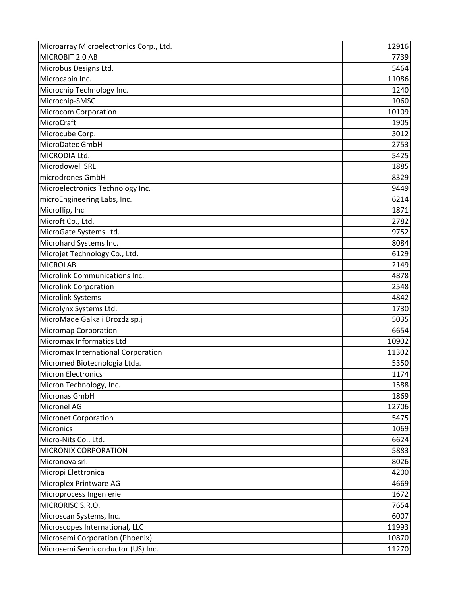| Microarray Microelectronics Corp., Ltd. | 12916 |
|-----------------------------------------|-------|
| MICROBIT 2.0 AB                         | 7739  |
| Microbus Designs Ltd.                   | 5464  |
| Microcabin Inc.                         | 11086 |
| Microchip Technology Inc.               | 1240  |
| Microchip-SMSC                          | 1060  |
| <b>Microcom Corporation</b>             | 10109 |
| MicroCraft                              | 1905  |
| Microcube Corp.                         | 3012  |
| MicroDatec GmbH                         | 2753  |
| MICRODIA Ltd.                           | 5425  |
| Microdowell SRL                         | 1885  |
| microdrones GmbH                        | 8329  |
| Microelectronics Technology Inc.        | 9449  |
| microEngineering Labs, Inc.             | 6214  |
| Microflip, Inc                          | 1871  |
| Microft Co., Ltd.                       | 2782  |
| MicroGate Systems Ltd.                  | 9752  |
| Microhard Systems Inc.                  | 8084  |
| Microjet Technology Co., Ltd.           | 6129  |
| <b>MICROLAB</b>                         | 2149  |
| Microlink Communications Inc.           | 4878  |
| <b>Microlink Corporation</b>            | 2548  |
| Microlink Systems                       | 4842  |
| Microlynx Systems Ltd.                  | 1730  |
| MicroMade Galka i Drozdz sp.j           | 5035  |
| <b>Micromap Corporation</b>             | 6654  |
| Micromax Informatics Ltd                | 10902 |
| Micromax International Corporation      | 11302 |
| Micromed Biotecnologia Ltda.            | 5350  |
| <b>Micron Electronics</b>               | 1174  |
| Micron Technology, Inc.                 | 1588  |
| Micronas GmbH                           | 1869  |
| Micronel AG                             | 12706 |
| <b>Micronet Corporation</b>             | 5475  |
| Micronics                               | 1069  |
| Micro-Nits Co., Ltd.                    | 6624  |
| MICRONIX CORPORATION                    | 5883  |
| Micronova srl.                          | 8026  |
| Micropi Elettronica                     | 4200  |
| Microplex Printware AG                  | 4669  |
| Microprocess Ingenierie                 | 1672  |
| MICRORISC S.R.O.                        | 7654  |
| Microscan Systems, Inc.                 | 6007  |
| Microscopes International, LLC          | 11993 |
| Microsemi Corporation (Phoenix)         | 10870 |
| Microsemi Semiconductor (US) Inc.       | 11270 |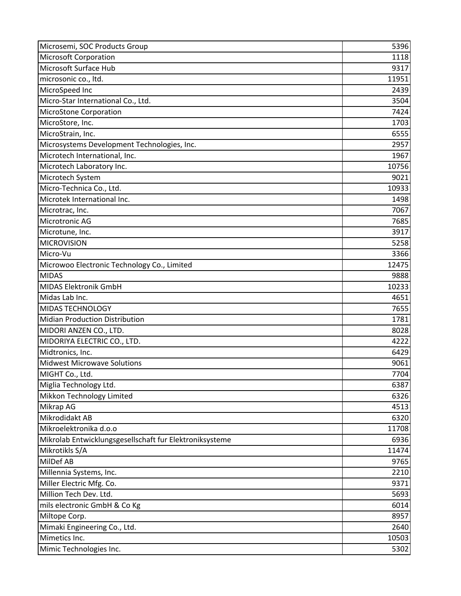| Microsemi, SOC Products Group                           | 5396  |
|---------------------------------------------------------|-------|
| <b>Microsoft Corporation</b>                            | 1118  |
| Microsoft Surface Hub                                   | 9317  |
| microsonic co., ltd.                                    | 11951 |
| MicroSpeed Inc                                          | 2439  |
| Micro-Star International Co., Ltd.                      | 3504  |
| <b>MicroStone Corporation</b>                           | 7424  |
| MicroStore, Inc.                                        | 1703  |
| MicroStrain, Inc.                                       | 6555  |
| Microsystems Development Technologies, Inc.             | 2957  |
| Microtech International, Inc.                           | 1967  |
| Microtech Laboratory Inc.                               | 10756 |
| Microtech System                                        | 9021  |
| Micro-Technica Co., Ltd.                                | 10933 |
| Microtek International Inc.                             | 1498  |
| Microtrac, Inc.                                         | 7067  |
| Microtronic AG                                          | 7685  |
| Microtune, Inc.                                         | 3917  |
| <b>MICROVISION</b>                                      | 5258  |
| Micro-Vu                                                | 3366  |
| Microwoo Electronic Technology Co., Limited             | 12475 |
| <b>MIDAS</b>                                            | 9888  |
| <b>MIDAS Elektronik GmbH</b>                            | 10233 |
| Midas Lab Inc.                                          | 4651  |
| MIDAS TECHNOLOGY                                        | 7655  |
| <b>Midian Production Distribution</b>                   | 1781  |
| MIDORI ANZEN CO., LTD.                                  | 8028  |
| MIDORIYA ELECTRIC CO., LTD.                             | 4222  |
| Midtronics, Inc.                                        | 6429  |
| <b>Midwest Microwave Solutions</b>                      | 9061  |
| MIGHT Co., Ltd.                                         | 7704  |
| Miglia Technology Ltd.                                  | 6387  |
| Mikkon Technology Limited                               | 6326  |
| Mikrap AG                                               | 4513  |
| Mikrodidakt AB                                          | 6320  |
| Mikroelektronika d.o.o                                  | 11708 |
| Mikrolab Entwicklungsgesellschaft fur Elektroniksysteme | 6936  |
| Mikrotikls S/A                                          | 11474 |
| MilDef AB                                               | 9765  |
| Millennia Systems, Inc.                                 | 2210  |
| Miller Electric Mfg. Co.                                | 9371  |
| Million Tech Dev. Ltd.                                  | 5693  |
| mils electronic GmbH & Co Kg                            | 6014  |
| Miltope Corp.                                           | 8957  |
| Mimaki Engineering Co., Ltd.                            | 2640  |
| Mimetics Inc.                                           | 10503 |
| Mimic Technologies Inc.                                 | 5302  |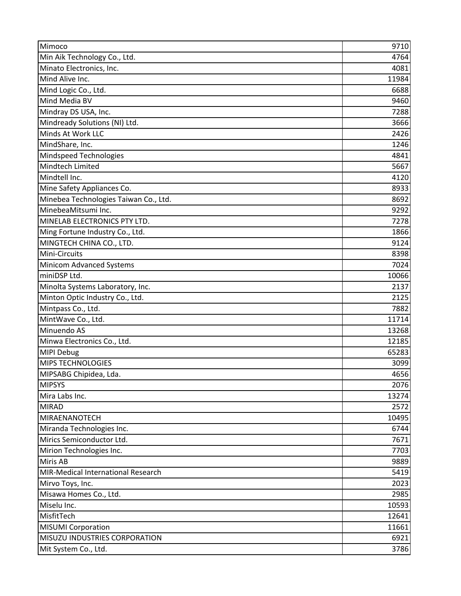| Mimoco                                | 9710  |
|---------------------------------------|-------|
| Min Aik Technology Co., Ltd.          | 4764  |
| Minato Electronics, Inc.              | 4081  |
| Mind Alive Inc.                       | 11984 |
| Mind Logic Co., Ltd.                  | 6688  |
| Mind Media BV                         | 9460  |
| Mindray DS USA, Inc.                  | 7288  |
| Mindready Solutions (NI) Ltd.         | 3666  |
| Minds At Work LLC                     | 2426  |
| MindShare, Inc.                       | 1246  |
| Mindspeed Technologies                | 4841  |
| Mindtech Limited                      | 5667  |
| Mindtell Inc.                         | 4120  |
| Mine Safety Appliances Co.            | 8933  |
| Minebea Technologies Taiwan Co., Ltd. | 8692  |
| MinebeaMitsumi Inc.                   | 9292  |
| MINELAB ELECTRONICS PTY LTD.          | 7278  |
| Ming Fortune Industry Co., Ltd.       | 1866  |
| MINGTECH CHINA CO., LTD.              | 9124  |
| Mini-Circuits                         | 8398  |
| <b>Minicom Advanced Systems</b>       | 7024  |
| miniDSP Ltd.                          | 10066 |
| Minolta Systems Laboratory, Inc.      | 2137  |
| Minton Optic Industry Co., Ltd.       | 2125  |
| Mintpass Co., Ltd.                    | 7882  |
| MintWave Co., Ltd.                    | 11714 |
| Minuendo AS                           | 13268 |
| Minwa Electronics Co., Ltd.           | 12185 |
| MIPI Debug                            | 65283 |
| MIPS TECHNOLOGIES                     | 3099  |
| MIPSABG Chipidea, Lda.                | 4656  |
| <b>MIPSYS</b>                         | 2076  |
| Mira Labs Inc.                        | 13274 |
| <b>MIRAD</b>                          | 2572  |
| MIRAENANOTECH                         | 10495 |
| Miranda Technologies Inc.             | 6744  |
| Mirics Semiconductor Ltd.             | 7671  |
| Mirion Technologies Inc.              | 7703  |
| Miris AB                              | 9889  |
| MIR-Medical International Research    | 5419  |
| Mirvo Toys, Inc.                      | 2023  |
| Misawa Homes Co., Ltd.                | 2985  |
| Miselu Inc.                           | 10593 |
| MisfitTech                            | 12641 |
| <b>MISUMI Corporation</b>             | 11661 |
| MISUZU INDUSTRIES CORPORATION         | 6921  |
| Mit System Co., Ltd.                  | 3786  |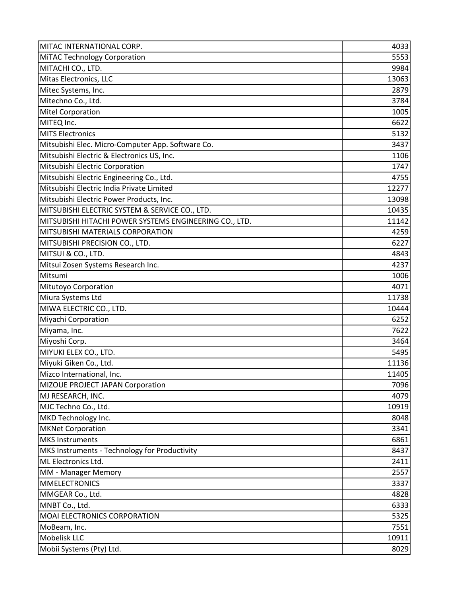| MITAC INTERNATIONAL CORP.                              | 4033  |
|--------------------------------------------------------|-------|
| <b>MITAC Technology Corporation</b>                    | 5553  |
| MITACHI CO., LTD.                                      | 9984  |
| Mitas Electronics, LLC                                 | 13063 |
| Mitec Systems, Inc.                                    | 2879  |
| Mitechno Co., Ltd.                                     | 3784  |
| <b>Mitel Corporation</b>                               | 1005  |
| MITEQ Inc.                                             | 6622  |
| <b>MITS Electronics</b>                                | 5132  |
| Mitsubishi Elec. Micro-Computer App. Software Co.      | 3437  |
| Mitsubishi Electric & Electronics US, Inc.             | 1106  |
| Mitsubishi Electric Corporation                        | 1747  |
| Mitsubishi Electric Engineering Co., Ltd.              | 4755  |
| Mitsubishi Electric India Private Limited              | 12277 |
| Mitsubishi Electric Power Products, Inc.               | 13098 |
| MITSUBISHI ELECTRIC SYSTEM & SERVICE CO., LTD.         | 10435 |
| MITSUBISHI HITACHI POWER SYSTEMS ENGINEERING CO., LTD. | 11142 |
| MITSUBISHI MATERIALS CORPORATION                       | 4259  |
| MITSUBISHI PRECISION CO., LTD.                         | 6227  |
| MITSUI & CO., LTD.                                     | 4843  |
| Mitsui Zosen Systems Research Inc.                     | 4237  |
| Mitsumi                                                | 1006  |
| Mitutoyo Corporation                                   | 4071  |
| Miura Systems Ltd                                      | 11738 |
| MIWA ELECTRIC CO., LTD.                                | 10444 |
| Miyachi Corporation                                    | 6252  |
| Miyama, Inc.                                           | 7622  |
| Miyoshi Corp.                                          | 3464  |
| MIYUKI ELEX CO., LTD.                                  | 5495  |
| Miyuki Giken Co., Ltd.                                 | 11136 |
| Mizco International, Inc.                              | 11405 |
| MIZOUE PROJECT JAPAN Corporation                       | 7096  |
| MJ RESEARCH, INC.                                      | 4079  |
| MJC Techno Co., Ltd.                                   | 10919 |
| MKD Technology Inc.                                    | 8048  |
| <b>MKNet Corporation</b>                               | 3341  |
| <b>MKS Instruments</b>                                 | 6861  |
| MKS Instruments - Technology for Productivity          | 8437  |
| ML Electronics Ltd.                                    | 2411  |
| MM - Manager Memory                                    | 2557  |
| <b>MMELECTRONICS</b>                                   | 3337  |
| MMGEAR Co., Ltd.                                       | 4828  |
| MNBT Co., Ltd.                                         | 6333  |
| MOAI ELECTRONICS CORPORATION                           | 5325  |
| MoBeam, Inc.                                           | 7551  |
| Mobelisk LLC                                           | 10911 |
| Mobii Systems (Pty) Ltd.                               | 8029  |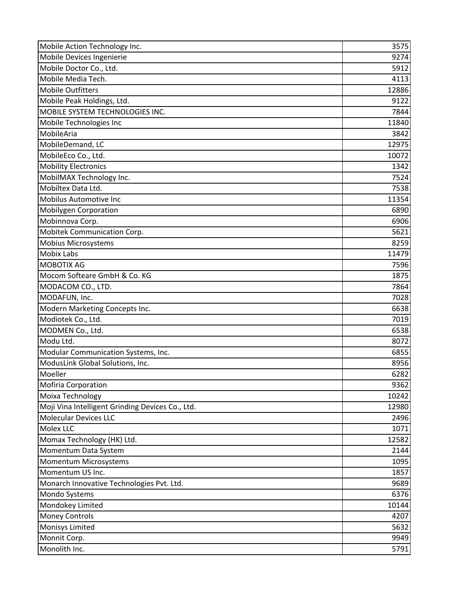| Mobile Action Technology Inc.                    | 3575  |
|--------------------------------------------------|-------|
| Mobile Devices Ingenierie                        | 9274  |
| Mobile Doctor Co., Ltd.                          | 5912  |
| Mobile Media Tech.                               | 4113  |
| <b>Mobile Outfitters</b>                         | 12886 |
| Mobile Peak Holdings, Ltd.                       | 9122  |
| MOBILE SYSTEM TECHNOLOGIES INC.                  | 7844  |
| Mobile Technologies Inc                          | 11840 |
| MobileAria                                       | 3842  |
| MobileDemand, LC                                 | 12975 |
| MobileEco Co., Ltd.                              | 10072 |
| <b>Mobility Electronics</b>                      | 1342  |
| MobilMAX Technology Inc.                         | 7524  |
| Mobiltex Data Ltd.                               | 7538  |
| <b>Mobilus Automotive Inc</b>                    | 11354 |
| <b>Mobilygen Corporation</b>                     | 6890  |
| Mobinnova Corp.                                  | 6906  |
| Mobitek Communication Corp.                      | 5621  |
| <b>Mobius Microsystems</b>                       | 8259  |
| <b>Mobix Labs</b>                                | 11479 |
| <b>MOBOTIX AG</b>                                | 7596  |
| Mocom Softeare GmbH & Co. KG                     | 1875  |
| MODACOM CO., LTD.                                | 7864  |
| MODAFUN, Inc.                                    | 7028  |
| Modern Marketing Concepts Inc.                   | 6638  |
| Modiotek Co., Ltd.                               | 7019  |
| MODMEN Co., Ltd.                                 | 6538  |
| Modu Ltd.                                        | 8072  |
| Modular Communication Systems, Inc.              | 6855  |
| ModusLink Global Solutions, Inc.                 | 8956  |
| Moeller                                          | 6282  |
| <b>Mofiria Corporation</b>                       | 9362  |
| Moixa Technology                                 | 10242 |
| Moji Vina Intelligent Grinding Devices Co., Ltd. | 12980 |
| <b>Molecular Devices LLC</b>                     | 2496  |
| <b>Molex LLC</b>                                 | 1071  |
| Momax Technology (HK) Ltd.                       | 12582 |
| Momentum Data System                             | 2144  |
| Momentum Microsystems                            | 1095  |
| Momentum US Inc.                                 | 1857  |
| Monarch Innovative Technologies Pvt. Ltd.        | 9689  |
| Mondo Systems                                    | 6376  |
| Mondokey Limited                                 | 10144 |
| <b>Money Controls</b>                            | 4207  |
| Monisys Limited                                  | 5632  |
| Monnit Corp.                                     | 9949  |
| Monolith Inc.                                    | 5791  |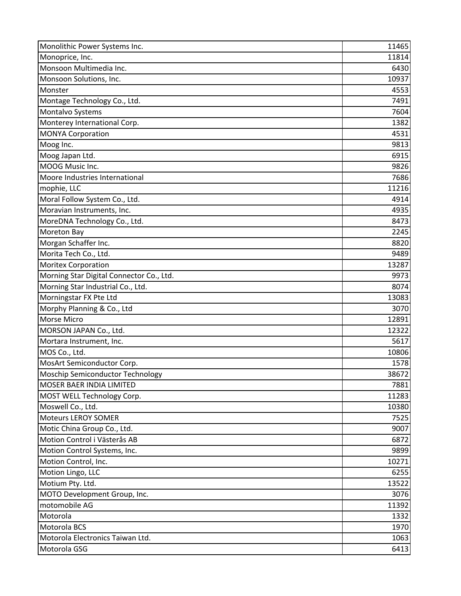| Monolithic Power Systems Inc.            | 11465 |
|------------------------------------------|-------|
| Monoprice, Inc.                          | 11814 |
| Monsoon Multimedia Inc.                  | 6430  |
| Monsoon Solutions, Inc.                  | 10937 |
| Monster                                  | 4553  |
| Montage Technology Co., Ltd.             | 7491  |
| Montalvo Systems                         | 7604  |
| Monterey International Corp.             | 1382  |
| <b>MONYA Corporation</b>                 | 4531  |
| Moog Inc.                                | 9813  |
| Moog Japan Ltd.                          | 6915  |
| MOOG Music Inc.                          | 9826  |
| Moore Industries International           | 7686  |
| mophie, LLC                              | 11216 |
| Moral Follow System Co., Ltd.            | 4914  |
| Moravian Instruments, Inc.               | 4935  |
| MoreDNA Technology Co., Ltd.             | 8473  |
| <b>Moreton Bay</b>                       | 2245  |
| Morgan Schaffer Inc.                     | 8820  |
| Morita Tech Co., Ltd.                    | 9489  |
| <b>Moritex Corporation</b>               | 13287 |
| Morning Star Digital Connector Co., Ltd. | 9973  |
| Morning Star Industrial Co., Ltd.        | 8074  |
| Morningstar FX Pte Ltd                   | 13083 |
| Morphy Planning & Co., Ltd               | 3070  |
| <b>Morse Micro</b>                       | 12891 |
| MORSON JAPAN Co., Ltd.                   | 12322 |
| Mortara Instrument, Inc.                 | 5617  |
| MOS Co., Ltd.                            | 10806 |
| MosArt Semiconductor Corp.               | 1578  |
| <b>Moschip Semiconductor Technology</b>  | 38672 |
| <b>MOSER BAER INDIA LIMITED</b>          | 7881  |
| MOST WELL Technology Corp.               | 11283 |
| Moswell Co., Ltd.                        | 10380 |
| <b>Moteurs LEROY SOMER</b>               | 7525  |
| Motic China Group Co., Ltd.              | 9007  |
| Motion Control i Västerås AB             | 6872  |
| Motion Control Systems, Inc.             | 9899  |
| Motion Control, Inc.                     | 10271 |
| Motion Lingo, LLC                        | 6255  |
| Motium Pty. Ltd.                         | 13522 |
| MOTO Development Group, Inc.             | 3076  |
| motomobile AG                            | 11392 |
| Motorola                                 | 1332  |
| Motorola BCS                             | 1970  |
| Motorola Electronics Taiwan Ltd.         | 1063  |
| Motorola GSG                             | 6413  |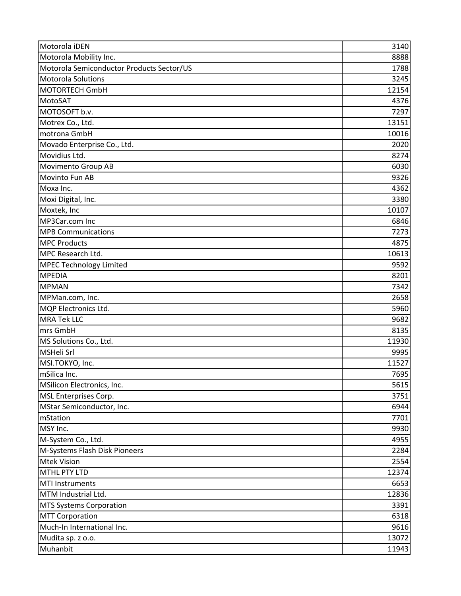| Motorola iDEN                             | 3140  |
|-------------------------------------------|-------|
| Motorola Mobility Inc.                    | 8888  |
| Motorola Semiconductor Products Sector/US | 1788  |
| <b>Motorola Solutions</b>                 | 3245  |
| <b>MOTORTECH GmbH</b>                     | 12154 |
| MotoSAT                                   | 4376  |
| MOTOSOFT b.v.                             | 7297  |
| Motrex Co., Ltd.                          | 13151 |
| motrona GmbH                              | 10016 |
| Movado Enterprise Co., Ltd.               | 2020  |
| Movidius Ltd.                             | 8274  |
| Movimento Group AB                        | 6030  |
| Movinto Fun AB                            | 9326  |
| Moxa Inc.                                 | 4362  |
| Moxi Digital, Inc.                        | 3380  |
| Moxtek, Inc                               | 10107 |
| MP3Car.com Inc                            | 6846  |
| <b>MPB Communications</b>                 | 7273  |
| <b>MPC Products</b>                       | 4875  |
| MPC Research Ltd.                         | 10613 |
| <b>MPEC Technology Limited</b>            | 9592  |
| <b>MPEDIA</b>                             | 8201  |
| <b>MPMAN</b>                              | 7342  |
| MPMan.com, Inc.                           | 2658  |
| MQP Electronics Ltd.                      | 5960  |
| <b>MRA Tek LLC</b>                        | 9682  |
| mrs GmbH                                  | 8135  |
| MS Solutions Co., Ltd.                    | 11930 |
| <b>MSHeli Srl</b>                         | 9995  |
| MSI.TOKYO, Inc.                           | 11527 |
| mSilica Inc.                              | 7695  |
| MSilicon Electronics, Inc.                | 5615  |
| <b>MSL Enterprises Corp.</b>              | 3751  |
| MStar Semiconductor, Inc.                 | 6944  |
| mStation                                  | 7701  |
| MSY Inc.                                  | 9930  |
| M-System Co., Ltd.                        | 4955  |
| M-Systems Flash Disk Pioneers             | 2284  |
| <b>Mtek Vision</b>                        | 2554  |
| MTHL PTY LTD                              | 12374 |
| <b>MTI Instruments</b>                    | 6653  |
| MTM Industrial Ltd.                       | 12836 |
| <b>MTS Systems Corporation</b>            | 3391  |
| <b>MTT Corporation</b>                    | 6318  |
| Much-In International Inc.                | 9616  |
| Mudita sp. z o.o.                         | 13072 |
| Muhanbit                                  | 11943 |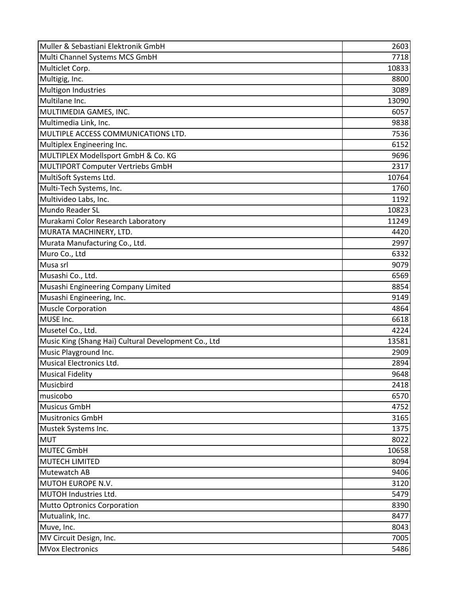| Muller & Sebastiani Elektronik GmbH                  | 2603  |
|------------------------------------------------------|-------|
| Multi Channel Systems MCS GmbH                       | 7718  |
| Multiclet Corp.                                      | 10833 |
| Multigig, Inc.                                       | 8800  |
| Multigon Industries                                  | 3089  |
| Multilane Inc.                                       | 13090 |
| MULTIMEDIA GAMES, INC.                               | 6057  |
| Multimedia Link, Inc.                                | 9838  |
| MULTIPLE ACCESS COMMUNICATIONS LTD.                  | 7536  |
| Multiplex Engineering Inc.                           | 6152  |
| MULTIPLEX Modellsport GmbH & Co. KG                  | 9696  |
| MULTIPORT Computer Vertriebs GmbH                    | 2317  |
| MultiSoft Systems Ltd.                               | 10764 |
| Multi-Tech Systems, Inc.                             | 1760  |
| Multivideo Labs, Inc.                                | 1192  |
| Mundo Reader SL                                      | 10823 |
| Murakami Color Research Laboratory                   | 11249 |
| MURATA MACHINERY, LTD.                               | 4420  |
| Murata Manufacturing Co., Ltd.                       | 2997  |
| Muro Co., Ltd                                        | 6332  |
| Musa srl                                             | 9079  |
| Musashi Co., Ltd.                                    | 6569  |
| Musashi Engineering Company Limited                  | 8854  |
| Musashi Engineering, Inc.                            | 9149  |
| <b>Muscle Corporation</b>                            | 4864  |
| MUSE Inc.                                            | 6618  |
| Musetel Co., Ltd.                                    | 4224  |
| Music King (Shang Hai) Cultural Development Co., Ltd | 13581 |
| Music Playground Inc.                                | 2909  |
| Musical Electronics Ltd.                             | 2894  |
| <b>Musical Fidelity</b>                              | 9648  |
| Musicbird                                            | 2418  |
| musicobo                                             | 6570  |
| <b>Musicus GmbH</b>                                  | 4752  |
| <b>Musitronics GmbH</b>                              | 3165  |
| Mustek Systems Inc.                                  | 1375  |
| <b>MUT</b>                                           | 8022  |
| <b>MUTEC GmbH</b>                                    | 10658 |
| <b>MUTECH LIMITED</b>                                | 8094  |
| Mutewatch AB                                         | 9406  |
| MUTOH EUROPE N.V.                                    | 3120  |
| MUTOH Industries Ltd.                                | 5479  |
| <b>Mutto Optronics Corporation</b>                   | 8390  |
| Mutualink, Inc.                                      | 8477  |
| Muve, Inc.                                           | 8043  |
| MV Circuit Design, Inc.                              | 7005  |
| <b>MVox Electronics</b>                              | 5486  |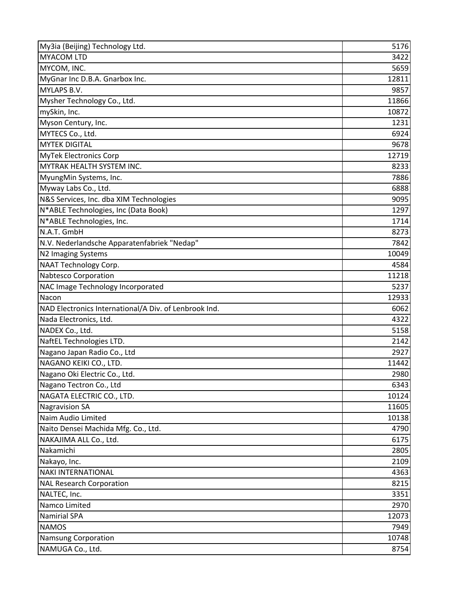| My3ia (Beijing) Technology Ltd.                       | 5176  |
|-------------------------------------------------------|-------|
| <b>MYACOM LTD</b>                                     | 3422  |
| MYCOM, INC.                                           | 5659  |
| MyGnar Inc D.B.A. Gnarbox Inc.                        | 12811 |
| MYLAPS B.V.                                           | 9857  |
| Mysher Technology Co., Ltd.                           | 11866 |
| mySkin, Inc.                                          | 10872 |
| Myson Century, Inc.                                   | 1231  |
| MYTECS Co., Ltd.                                      | 6924  |
| <b>MYTEK DIGITAL</b>                                  | 9678  |
| <b>MyTek Electronics Corp</b>                         | 12719 |
| <b>MYTRAK HEALTH SYSTEM INC.</b>                      | 8233  |
| MyungMin Systems, Inc.                                | 7886  |
| Myway Labs Co., Ltd.                                  | 6888  |
| N&S Services, Inc. dba XIM Technologies               | 9095  |
| N*ABLE Technologies, Inc (Data Book)                  | 1297  |
| N*ABLE Technologies, Inc.                             | 1714  |
| N.A.T. GmbH                                           | 8273  |
| N.V. Nederlandsche Apparatenfabriek "Nedap"           | 7842  |
| N2 Imaging Systems                                    | 10049 |
| NAAT Technology Corp.                                 | 4584  |
| <b>Nabtesco Corporation</b>                           | 11218 |
| NAC Image Technology Incorporated                     | 5237  |
| Nacon                                                 | 12933 |
| NAD Electronics International/A Div. of Lenbrook Ind. | 6062  |
| Nada Electronics, Ltd.                                | 4322  |
| NADEX Co., Ltd.                                       | 5158  |
| NaftEL Technologies LTD.                              | 2142  |
| Nagano Japan Radio Co., Ltd                           | 2927  |
| NAGANO KEIKI CO., LTD.                                | 11442 |
| Nagano Oki Electric Co., Ltd.                         | 2980  |
| Nagano Tectron Co., Ltd                               | 6343  |
| NAGATA ELECTRIC CO., LTD.                             | 10124 |
| <b>Nagravision SA</b>                                 | 11605 |
| Naim Audio Limited                                    | 10138 |
| Naito Densei Machida Mfg. Co., Ltd.                   | 4790  |
| NAKAJIMA ALL Co., Ltd.                                | 6175  |
| Nakamichi                                             | 2805  |
| Nakayo, Inc.                                          | 2109  |
| <b>NAKI INTERNATIONAL</b>                             | 4363  |
| <b>NAL Research Corporation</b>                       | 8215  |
| NALTEC, Inc.                                          | 3351  |
| Namco Limited                                         | 2970  |
| <b>Namirial SPA</b>                                   | 12073 |
| <b>NAMOS</b>                                          | 7949  |
| <b>Namsung Corporation</b>                            | 10748 |
| NAMUGA Co., Ltd.                                      | 8754  |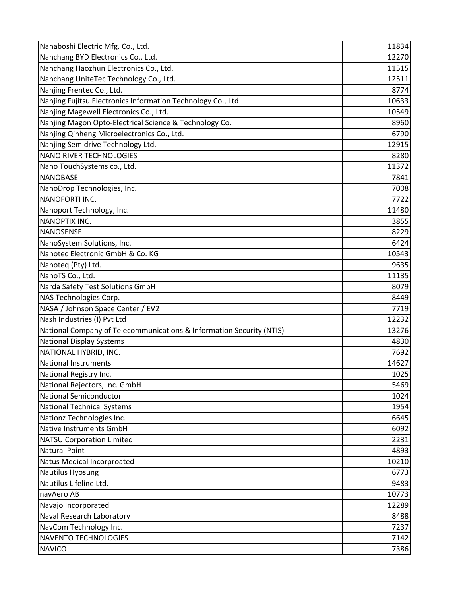| Nanaboshi Electric Mfg. Co., Ltd.                                    | 11834 |
|----------------------------------------------------------------------|-------|
| Nanchang BYD Electronics Co., Ltd.                                   | 12270 |
| Nanchang Haozhun Electronics Co., Ltd.                               | 11515 |
| Nanchang UniteTec Technology Co., Ltd.                               | 12511 |
| Nanjing Frentec Co., Ltd.                                            | 8774  |
| Nanjing Fujitsu Electronics Information Technology Co., Ltd          | 10633 |
| Nanjing Magewell Electronics Co., Ltd.                               | 10549 |
| Nanjing Magon Opto-Electrical Science & Technology Co.               | 8960  |
| Nanjing Qinheng Microelectronics Co., Ltd.                           | 6790  |
| Nanjing Semidrive Technology Ltd.                                    | 12915 |
| <b>NANO RIVER TECHNOLOGIES</b>                                       | 8280  |
| Nano TouchSystems co., Ltd.                                          | 11372 |
| <b>NANOBASE</b>                                                      | 7841  |
| NanoDrop Technologies, Inc.                                          | 7008  |
| NANOFORTI INC.                                                       | 7722  |
| Nanoport Technology, Inc.                                            | 11480 |
| NANOPTIX INC.                                                        | 3855  |
| <b>NANOSENSE</b>                                                     | 8229  |
| NanoSystem Solutions, Inc.                                           | 6424  |
| Nanotec Electronic GmbH & Co. KG                                     | 10543 |
| Nanoteq (Pty) Ltd.                                                   | 9635  |
| NanoTS Co., Ltd.                                                     | 11135 |
| Narda Safety Test Solutions GmbH                                     | 8079  |
| NAS Technologies Corp.                                               | 8449  |
| NASA / Johnson Space Center / EV2                                    | 7719  |
| Nash Industries (I) Pvt Ltd                                          | 12232 |
| National Company of Telecommunications & Information Security (NTIS) | 13276 |
| National Display Systems                                             | 4830  |
| NATIONAL HYBRID, INC.                                                | 7692  |
| National Instruments                                                 | 14627 |
| National Registry Inc.                                               | 1025  |
| National Rejectors, Inc. GmbH                                        | 5469  |
| National Semiconductor                                               | 1024  |
| <b>National Technical Systems</b>                                    | 1954  |
| Nationz Technologies Inc.                                            | 6645  |
| Native Instruments GmbH                                              | 6092  |
| <b>NATSU Corporation Limited</b>                                     | 2231  |
| Natural Point                                                        | 4893  |
| Natus Medical Incorproated                                           | 10210 |
| Nautilus Hyosung                                                     | 6773  |
| Nautilus Lifeline Ltd.                                               | 9483  |
| navAero AB                                                           | 10773 |
| Navajo Incorporated                                                  | 12289 |
| Naval Research Laboratory                                            | 8488  |
| NavCom Technology Inc.                                               | 7237  |
| <b>NAVENTO TECHNOLOGIES</b>                                          | 7142  |
| <b>NAVICO</b>                                                        | 7386  |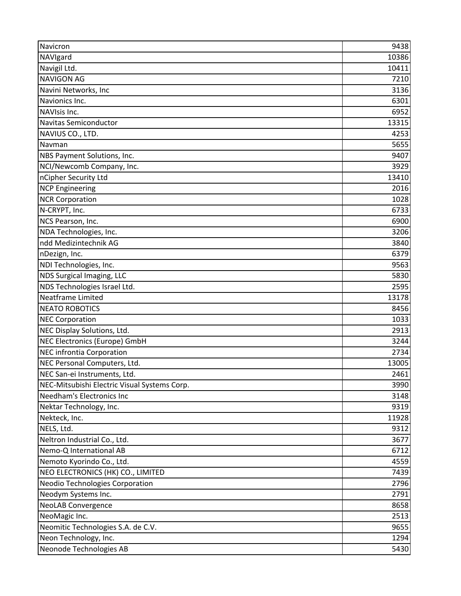| Navicron                                     | 9438  |
|----------------------------------------------|-------|
| NAVIgard                                     | 10386 |
| Navigil Ltd.                                 | 10411 |
| <b>NAVIGON AG</b>                            | 7210  |
| Navini Networks, Inc                         | 3136  |
| Navionics Inc.                               | 6301  |
| <b>NAVIsis Inc.</b>                          | 6952  |
| Navitas Semiconductor                        | 13315 |
| NAVIUS CO., LTD.                             | 4253  |
| Navman                                       | 5655  |
| NBS Payment Solutions, Inc.                  | 9407  |
| NCI/Newcomb Company, Inc.                    | 3929  |
| nCipher Security Ltd                         | 13410 |
| <b>NCP Engineering</b>                       | 2016  |
| <b>NCR Corporation</b>                       | 1028  |
| N-CRYPT, Inc.                                | 6733  |
| NCS Pearson, Inc.                            | 6900  |
| NDA Technologies, Inc.                       | 3206  |
| ndd Medizintechnik AG                        | 3840  |
| nDezign, Inc.                                | 6379  |
| NDI Technologies, Inc.                       | 9563  |
| <b>NDS Surgical Imaging, LLC</b>             | 5830  |
| NDS Technologies Israel Ltd.                 | 2595  |
| <b>Neatframe Limited</b>                     | 13178 |
| <b>NEATO ROBOTICS</b>                        | 8456  |
| <b>NEC Corporation</b>                       | 1033  |
| NEC Display Solutions, Ltd.                  | 2913  |
| NEC Electronics (Europe) GmbH                | 3244  |
| <b>NEC infrontia Corporation</b>             | 2734  |
| NEC Personal Computers, Ltd.                 | 13005 |
| NEC San-ei Instruments, Ltd.                 | 2461  |
| NEC-Mitsubishi Electric Visual Systems Corp. | 3990  |
| Needham's Electronics Inc                    | 3148  |
| Nektar Technology, Inc.                      | 9319  |
| Nekteck, Inc.                                | 11928 |
| NELS, Ltd.                                   | 9312  |
| Neltron Industrial Co., Ltd.                 | 3677  |
| Nemo-Q International AB                      | 6712  |
| Nemoto Kyorindo Co., Ltd.                    | 4559  |
| NEO ELECTRONICS (HK) CO., LIMITED            | 7439  |
| Neodio Technologies Corporation              | 2796  |
| Neodym Systems Inc.                          | 2791  |
| <b>NeoLAB Convergence</b>                    | 8658  |
| NeoMagic Inc.                                | 2513  |
| Neomitic Technologies S.A. de C.V.           | 9655  |
| Neon Technology, Inc.                        | 1294  |
| Neonode Technologies AB                      | 5430  |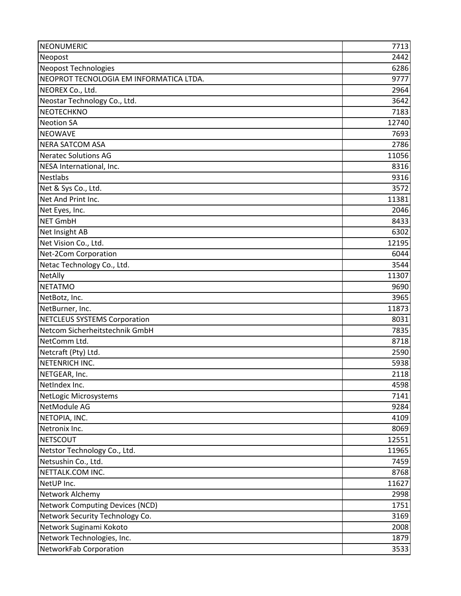| <b>NEONUMERIC</b>                       | 7713  |
|-----------------------------------------|-------|
| Neopost                                 | 2442  |
| <b>Neopost Technologies</b>             | 6286  |
| NEOPROT TECNOLOGIA EM INFORMATICA LTDA. | 9777  |
| NEOREX Co., Ltd.                        | 2964  |
| Neostar Technology Co., Ltd.            | 3642  |
| <b>NEOTECHKNO</b>                       | 7183  |
| <b>Neotion SA</b>                       | 12740 |
| <b>NEOWAVE</b>                          | 7693  |
| <b>NERA SATCOM ASA</b>                  | 2786  |
| <b>Neratec Solutions AG</b>             | 11056 |
| NESA International, Inc.                | 8316  |
| <b>Nestlabs</b>                         | 9316  |
| Net & Sys Co., Ltd.                     | 3572  |
| Net And Print Inc.                      | 11381 |
| Net Eyes, Inc.                          | 2046  |
| <b>NET GmbH</b>                         | 8433  |
| Net Insight AB                          | 6302  |
| Net Vision Co., Ltd.                    | 12195 |
| <b>Net-2Com Corporation</b>             | 6044  |
| Netac Technology Co., Ltd.              | 3544  |
| <b>NetAlly</b>                          | 11307 |
| <b>NETATMO</b>                          | 9690  |
| NetBotz, Inc.                           | 3965  |
| NetBurner, Inc.                         | 11873 |
| <b>NETCLEUS SYSTEMS Corporation</b>     | 8031  |
| Netcom Sicherheitstechnik GmbH          | 7835  |
| NetComm Ltd.                            | 8718  |
| Netcraft (Pty) Ltd.                     | 2590  |
| NETENRICH INC.                          | 5938  |
| NETGEAR, Inc.                           | 2118  |
| NetIndex Inc.                           | 4598  |
| <b>NetLogic Microsystems</b>            | 7141  |
| NetModule AG                            | 9284  |
| NETOPIA, INC.                           | 4109  |
| Netronix Inc.                           | 8069  |
| <b>NETSCOUT</b>                         | 12551 |
| Netstor Technology Co., Ltd.            | 11965 |
| Netsushin Co., Ltd.                     | 7459  |
| NETTALK.COM INC.                        | 8768  |
| NetUP Inc.                              | 11627 |
| Network Alchemy                         | 2998  |
| <b>Network Computing Devices (NCD)</b>  | 1751  |
| Network Security Technology Co.         | 3169  |
| Network Suginami Kokoto                 | 2008  |
| Network Technologies, Inc.              | 1879  |
| NetworkFab Corporation                  | 3533  |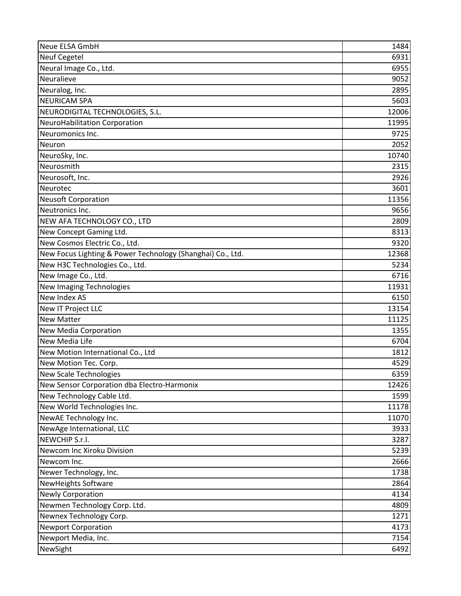| Neue ELSA GmbH                                             | 1484  |
|------------------------------------------------------------|-------|
| <b>Neuf Cegetel</b>                                        | 6931  |
| Neural Image Co., Ltd.                                     | 6955  |
| Neuralieve                                                 | 9052  |
| Neuralog, Inc.                                             | 2895  |
| <b>NEURICAM SPA</b>                                        | 5603  |
| NEURODIGITAL TECHNOLOGIES, S.L.                            | 12006 |
| NeuroHabilitation Corporation                              | 11995 |
| Neuromonics Inc.                                           | 9725  |
| Neuron                                                     | 2052  |
| NeuroSky, Inc.                                             | 10740 |
| Neurosmith                                                 | 2315  |
| Neurosoft, Inc.                                            | 2926  |
| Neurotec                                                   | 3601  |
| <b>Neusoft Corporation</b>                                 | 11356 |
| Neutronics Inc.                                            | 9656  |
| NEW AFA TECHNOLOGY CO., LTD                                | 2809  |
| New Concept Gaming Ltd.                                    | 8313  |
| New Cosmos Electric Co., Ltd.                              | 9320  |
| New Focus Lighting & Power Technology (Shanghai) Co., Ltd. | 12368 |
| New H3C Technologies Co., Ltd.                             | 5234  |
| New Image Co., Ltd.                                        | 6716  |
| New Imaging Technologies                                   | 11931 |
| New Index AS                                               | 6150  |
| New IT Project LLC                                         | 13154 |
| <b>New Matter</b>                                          | 11125 |
| New Media Corporation                                      | 1355  |
| New Media Life                                             | 6704  |
| New Motion International Co., Ltd                          | 1812  |
| New Motion Tec. Corp.                                      | 4529  |
| <b>New Scale Technologies</b>                              | 6359  |
| New Sensor Corporation dba Electro-Harmonix                | 12426 |
| New Technology Cable Ltd.                                  | 1599  |
| New World Technologies Inc.                                | 11178 |
| NewAE Technology Inc.                                      | 11070 |
| NewAge International, LLC                                  | 3933  |
| NEWCHIP S.r.l.                                             | 3287  |
| Newcom Inc Xiroku Division                                 | 5239  |
| Newcom Inc.                                                | 2666  |
| Newer Technology, Inc.                                     | 1738  |
| <b>NewHeights Software</b>                                 | 2864  |
| <b>Newly Corporation</b>                                   | 4134  |
| Newmen Technology Corp. Ltd.                               | 4809  |
| Newnex Technology Corp.                                    | 1271  |
| <b>Newport Corporation</b>                                 | 4173  |
| Newport Media, Inc.                                        | 7154  |
| NewSight                                                   | 6492  |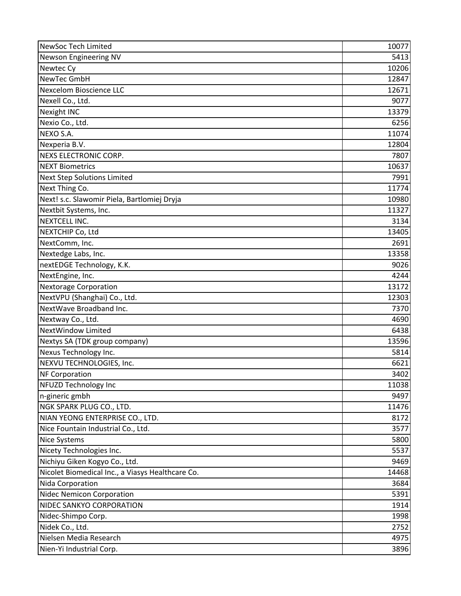| NewSoc Tech Limited                              | 10077 |
|--------------------------------------------------|-------|
| Newson Engineering NV                            | 5413  |
| Newtec Cy                                        | 10206 |
| NewTec GmbH                                      | 12847 |
| <b>Nexcelom Bioscience LLC</b>                   | 12671 |
| Nexell Co., Ltd.                                 | 9077  |
| <b>Nexight INC</b>                               | 13379 |
| Nexio Co., Ltd.                                  | 6256  |
| NEXO S.A.                                        | 11074 |
| Nexperia B.V.                                    | 12804 |
| <b>NEXS ELECTRONIC CORP.</b>                     | 7807  |
| <b>NEXT Biometrics</b>                           | 10637 |
| <b>Next Step Solutions Limited</b>               | 7991  |
| Next Thing Co.                                   | 11774 |
| Next! s.c. Slawomir Piela, Bartlomiej Dryja      | 10980 |
| Nextbit Systems, Inc.                            | 11327 |
| NEXTCELL INC.                                    | 3134  |
| NEXTCHIP Co, Ltd                                 | 13405 |
| NextComm, Inc.                                   | 2691  |
| Nextedge Labs, Inc.                              | 13358 |
| nextEDGE Technology, K.K.                        | 9026  |
| NextEngine, Inc.                                 | 4244  |
| <b>Nextorage Corporation</b>                     | 13172 |
| NextVPU (Shanghai) Co., Ltd.                     | 12303 |
| NextWave Broadband Inc.                          | 7370  |
| Nextway Co., Ltd.                                | 4690  |
| NextWindow Limited                               | 6438  |
| Nextys SA (TDK group company)                    | 13596 |
| Nexus Technology Inc.                            | 5814  |
| NEXVU TECHNOLOGIES, Inc.                         | 6621  |
| <b>NF Corporation</b>                            | 3402  |
| <b>NFUZD Technology Inc</b>                      | 11038 |
| n-gineric gmbh                                   | 9497  |
| NGK SPARK PLUG CO., LTD.                         | 11476 |
| NIAN YEONG ENTERPRISE CO., LTD.                  | 8172  |
| Nice Fountain Industrial Co., Ltd.               | 3577  |
| <b>Nice Systems</b>                              | 5800  |
| Nicety Technologies Inc.                         | 5537  |
| Nichiyu Giken Kogyo Co., Ltd.                    | 9469  |
| Nicolet Biomedical Inc., a Viasys Healthcare Co. | 14468 |
| Nida Corporation                                 | 3684  |
| <b>Nidec Nemicon Corporation</b>                 | 5391  |
| NIDEC SANKYO CORPORATION                         | 1914  |
| Nidec-Shimpo Corp.                               | 1998  |
| Nidek Co., Ltd.                                  | 2752  |
| Nielsen Media Research                           | 4975  |
| Nien-Yi Industrial Corp.                         | 3896  |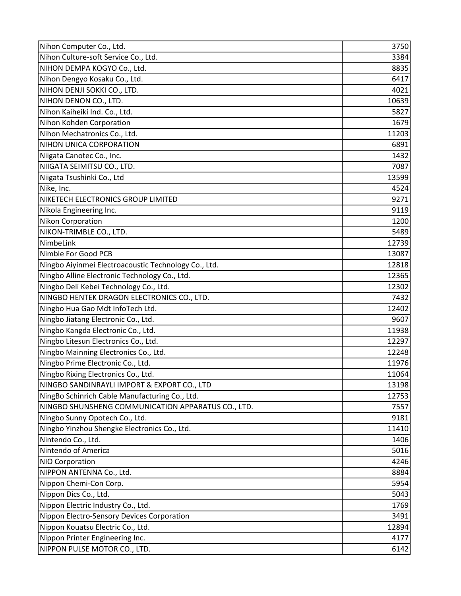| Nihon Computer Co., Ltd.                             | 3750  |
|------------------------------------------------------|-------|
| Nihon Culture-soft Service Co., Ltd.                 | 3384  |
| NIHON DEMPA KOGYO Co., Ltd.                          | 8835  |
| Nihon Dengyo Kosaku Co., Ltd.                        | 6417  |
| NIHON DENJI SOKKI CO., LTD.                          | 4021  |
| NIHON DENON CO., LTD.                                | 10639 |
| Nihon Kaiheiki Ind. Co., Ltd.                        | 5827  |
| Nihon Kohden Corporation                             | 1679  |
| Nihon Mechatronics Co., Ltd.                         | 11203 |
| NIHON UNICA CORPORATION                              | 6891  |
| Niigata Canotec Co., Inc.                            | 1432  |
| NIIGATA SEIMITSU CO., LTD.                           | 7087  |
| Niigata Tsushinki Co., Ltd                           | 13599 |
| Nike, Inc.                                           | 4524  |
| NIKETECH ELECTRONICS GROUP LIMITED                   | 9271  |
| Nikola Engineering Inc.                              | 9119  |
| Nikon Corporation                                    | 1200  |
| NIKON-TRIMBLE CO., LTD.                              | 5489  |
| NimbeLink                                            | 12739 |
| Nimble For Good PCB                                  | 13087 |
| Ningbo Aiyinmei Electroacoustic Technology Co., Ltd. | 12818 |
| Ningbo Alline Electronic Technology Co., Ltd.        | 12365 |
| Ningbo Deli Kebei Technology Co., Ltd.               | 12302 |
| NINGBO HENTEK DRAGON ELECTRONICS CO., LTD.           | 7432  |
| Ningbo Hua Gao Mdt InfoTech Ltd.                     | 12402 |
| Ningbo Jiatang Electronic Co., Ltd.                  | 9607  |
| Ningbo Kangda Electronic Co., Ltd.                   | 11938 |
| Ningbo Litesun Electronics Co., Ltd.                 | 12297 |
| Ningbo Mainning Electronics Co., Ltd.                | 12248 |
| Ningbo Prime Electronic Co., Ltd.                    | 11976 |
| Ningbo Rixing Electronics Co., Ltd.                  | 11064 |
| NINGBO SANDINRAYLI IMPORT & EXPORT CO., LTD          | 13198 |
| NingBo Schinrich Cable Manufacturing Co., Ltd.       | 12753 |
| NINGBO SHUNSHENG COMMUNICATION APPARATUS CO., LTD.   | 7557  |
| Ningbo Sunny Opotech Co., Ltd.                       | 9181  |
| Ningbo Yinzhou Shengke Electronics Co., Ltd.         | 11410 |
| Nintendo Co., Ltd.                                   | 1406  |
| Nintendo of America                                  | 5016  |
| NIO Corporation                                      | 4246  |
| NIPPON ANTENNA Co., Ltd.                             | 8884  |
| Nippon Chemi-Con Corp.                               | 5954  |
| Nippon Dics Co., Ltd.                                | 5043  |
| Nippon Electric Industry Co., Ltd.                   | 1769  |
| Nippon Electro-Sensory Devices Corporation           | 3491  |
| Nippon Kouatsu Electric Co., Ltd.                    | 12894 |
| Nippon Printer Engineering Inc.                      | 4177  |
| NIPPON PULSE MOTOR CO., LTD.                         | 6142  |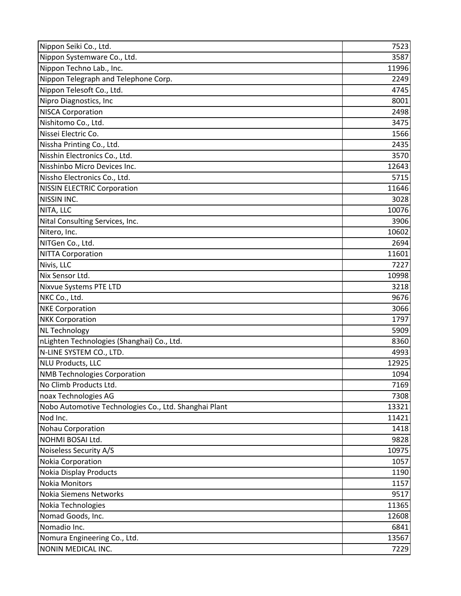| Nippon Seiki Co., Ltd.                                | 7523  |
|-------------------------------------------------------|-------|
| Nippon Systemware Co., Ltd.                           | 3587  |
| Nippon Techno Lab., Inc.                              | 11996 |
| Nippon Telegraph and Telephone Corp.                  | 2249  |
| Nippon Telesoft Co., Ltd.                             | 4745  |
| Nipro Diagnostics, Inc                                | 8001  |
| <b>NISCA Corporation</b>                              | 2498  |
| Nishitomo Co., Ltd.                                   | 3475  |
| Nissei Electric Co.                                   | 1566  |
| Nissha Printing Co., Ltd.                             | 2435  |
| Nisshin Electronics Co., Ltd.                         | 3570  |
| Nisshinbo Micro Devices Inc.                          | 12643 |
| Nissho Electronics Co., Ltd.                          | 5715  |
| <b>NISSIN ELECTRIC Corporation</b>                    | 11646 |
| <b>NISSIN INC.</b>                                    | 3028  |
| NITA, LLC                                             | 10076 |
| Nital Consulting Services, Inc.                       | 3906  |
| Nitero, Inc.                                          | 10602 |
| NITGen Co., Ltd.                                      | 2694  |
| <b>NITTA Corporation</b>                              | 11601 |
| Nivis, LLC                                            | 7227  |
| Nix Sensor Ltd.                                       | 10998 |
| Nixvue Systems PTE LTD                                | 3218  |
| NKC Co., Ltd.                                         | 9676  |
| <b>NKE Corporation</b>                                | 3066  |
| <b>NKK Corporation</b>                                | 1797  |
| NL Technology                                         | 5909  |
| nLighten Technologies (Shanghai) Co., Ltd.            | 8360  |
| N-LINE SYSTEM CO., LTD.                               | 4993  |
| <b>NLU Products, LLC</b>                              | 12925 |
| <b>NMB Technologies Corporation</b>                   | 1094  |
| No Climb Products Ltd.                                | 7169  |
| noax Technologies AG                                  | 7308  |
| Nobo Automotive Technologies Co., Ltd. Shanghai Plant | 13321 |
| Nod Inc.                                              | 11421 |
| Nohau Corporation                                     | 1418  |
| NOHMI BOSAI Ltd.                                      | 9828  |
| Noiseless Security A/S                                | 10975 |
| Nokia Corporation                                     | 1057  |
| Nokia Display Products                                | 1190  |
| <b>Nokia Monitors</b>                                 | 1157  |
| Nokia Siemens Networks                                | 9517  |
| Nokia Technologies                                    | 11365 |
| Nomad Goods, Inc.                                     | 12608 |
| Nomadio Inc.                                          | 6841  |
| Nomura Engineering Co., Ltd.                          | 13567 |
| NONIN MEDICAL INC.                                    | 7229  |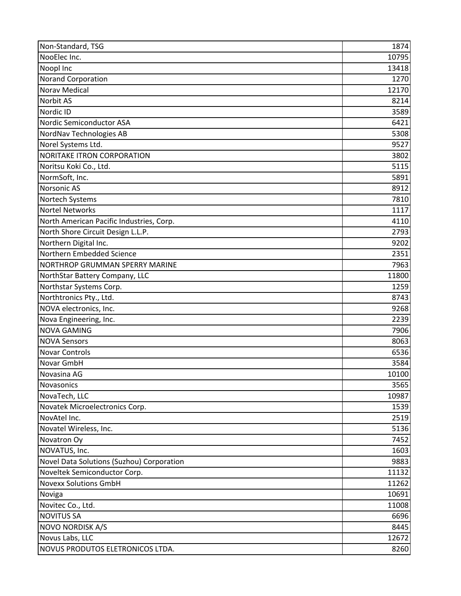| Non-Standard, TSG                         | 1874  |
|-------------------------------------------|-------|
| NooElec Inc.                              | 10795 |
| Noopl Inc                                 | 13418 |
| <b>Norand Corporation</b>                 | 1270  |
| <b>Norav Medical</b>                      | 12170 |
| <b>Norbit AS</b>                          | 8214  |
| Nordic ID                                 | 3589  |
| Nordic Semiconductor ASA                  | 6421  |
| NordNav Technologies AB                   | 5308  |
| Norel Systems Ltd.                        | 9527  |
| NORITAKE ITRON CORPORATION                | 3802  |
| Noritsu Koki Co., Ltd.                    | 5115  |
| NormSoft, Inc.                            | 5891  |
| Norsonic AS                               | 8912  |
| Nortech Systems                           | 7810  |
| <b>Nortel Networks</b>                    | 1117  |
| North American Pacific Industries, Corp.  | 4110  |
| North Shore Circuit Design L.L.P.         | 2793  |
| Northern Digital Inc.                     | 9202  |
| Northern Embedded Science                 | 2351  |
| NORTHROP GRUMMAN SPERRY MARINE            | 7963  |
| NorthStar Battery Company, LLC            | 11800 |
| Northstar Systems Corp.                   | 1259  |
| Northtronics Pty., Ltd.                   | 8743  |
| NOVA electronics, Inc.                    | 9268  |
| Nova Engineering, Inc.                    | 2239  |
| <b>NOVA GAMING</b>                        | 7906  |
| <b>NOVA Sensors</b>                       | 8063  |
| <b>Novar Controls</b>                     | 6536  |
| Novar GmbH                                | 3584  |
| Novasina AG                               | 10100 |
| Novasonics                                | 3565  |
| NovaTech, LLC                             | 10987 |
| Novatek Microelectronics Corp.            | 1539  |
| NovAtel Inc.                              | 2519  |
| Novatel Wireless, Inc.                    | 5136  |
| Novatron Oy                               | 7452  |
| NOVATUS, Inc.                             | 1603  |
| Novel Data Solutions (Suzhou) Corporation | 9883  |
| Noveltek Semiconductor Corp.              | 11132 |
| <b>Novexx Solutions GmbH</b>              | 11262 |
| Noviga                                    | 10691 |
| Novitec Co., Ltd.                         | 11008 |
| <b>NOVITUS SA</b>                         | 6696  |
| NOVO NORDISK A/S                          | 8445  |
| Novus Labs, LLC                           | 12672 |
| NOVUS PRODUTOS ELETRONICOS LTDA.          | 8260  |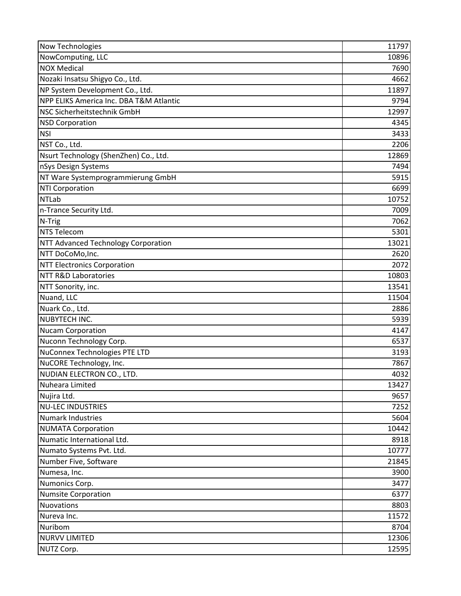| Now Technologies                        | 11797 |
|-----------------------------------------|-------|
| NowComputing, LLC                       | 10896 |
| <b>NOX Medical</b>                      | 7690  |
| Nozaki Insatsu Shigyo Co., Ltd.         | 4662  |
| NP System Development Co., Ltd.         | 11897 |
| NPP ELIKS America Inc. DBA T&M Atlantic | 9794  |
| NSC Sicherheitstechnik GmbH             | 12997 |
| <b>NSD Corporation</b>                  | 4345  |
| <b>NSI</b>                              | 3433  |
| NST Co., Ltd.                           | 2206  |
| Nsurt Technology (ShenZhen) Co., Ltd.   | 12869 |
| nSys Design Systems                     | 7494  |
| NT Ware Systemprogrammierung GmbH       | 5915  |
| <b>NTI Corporation</b>                  | 6699  |
| <b>NTLab</b>                            | 10752 |
| n-Trance Security Ltd.                  | 7009  |
| N-Trig                                  | 7062  |
| <b>NTS Telecom</b>                      | 5301  |
| NTT Advanced Technology Corporation     | 13021 |
| NTT DoCoMo, Inc.                        | 2620  |
| <b>NTT Electronics Corporation</b>      | 2072  |
| NTT R&D Laboratories                    | 10803 |
| NTT Sonority, inc.                      | 13541 |
| Nuand, LLC                              | 11504 |
| Nuark Co., Ltd.                         | 2886  |
| NUBYTECH INC.                           | 5939  |
| <b>Nucam Corporation</b>                | 4147  |
| Nuconn Technology Corp.                 | 6537  |
| NuConnex Technologies PTE LTD           | 3193  |
| NuCORE Technology, Inc.                 | 7867  |
| NUDIAN ELECTRON CO., LTD.               | 4032  |
| Nuheara Limited                         | 13427 |
| Nujira Ltd.                             | 9657  |
| <b>NU-LEC INDUSTRIES</b>                | 7252  |
| Numark Industries                       | 5604  |
| <b>NUMATA Corporation</b>               | 10442 |
| Numatic International Ltd.              | 8918  |
| Numato Systems Pvt. Ltd.                | 10777 |
| Number Five, Software                   | 21845 |
| Numesa, Inc.                            | 3900  |
| Numonics Corp.                          | 3477  |
| <b>Numsite Corporation</b>              | 6377  |
| Nuovations                              | 8803  |
| Nureva Inc.                             | 11572 |
| Nuribom                                 | 8704  |
| <b>NURVV LIMITED</b>                    | 12306 |
| NUTZ Corp.                              | 12595 |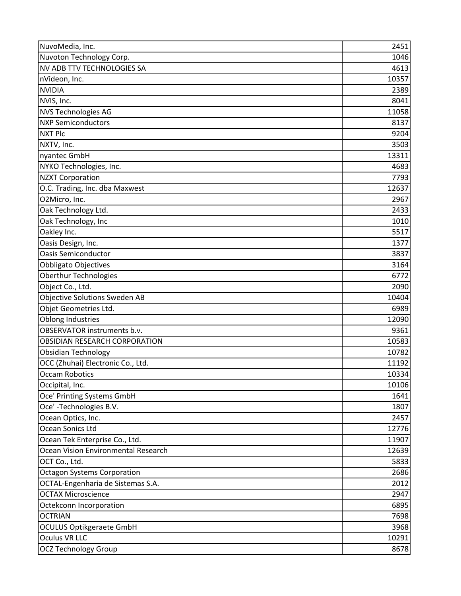| NuvoMedia, Inc.                      | 2451  |
|--------------------------------------|-------|
| Nuvoton Technology Corp.             | 1046  |
| <b>NV ADB TTV TECHNOLOGIES SA</b>    | 4613  |
| nVideon, Inc.                        | 10357 |
| <b>NVIDIA</b>                        | 2389  |
| NVIS, Inc.                           | 8041  |
| <b>NVS Technologies AG</b>           | 11058 |
| <b>NXP Semiconductors</b>            | 8137  |
| <b>NXT Plc</b>                       | 9204  |
| NXTV, Inc.                           | 3503  |
| nyantec GmbH                         | 13311 |
| NYKO Technologies, Inc.              | 4683  |
| <b>NZXT Corporation</b>              | 7793  |
| O.C. Trading, Inc. dba Maxwest       | 12637 |
| O2Micro, Inc.                        | 2967  |
| Oak Technology Ltd.                  | 2433  |
| Oak Technology, Inc                  | 1010  |
| Oakley Inc.                          | 5517  |
| Oasis Design, Inc.                   | 1377  |
| <b>Oasis Semiconductor</b>           | 3837  |
| Obbligato Objectives                 | 3164  |
| <b>Oberthur Technologies</b>         | 6772  |
| Object Co., Ltd.                     | 2090  |
| <b>Objective Solutions Sweden AB</b> | 10404 |
| Objet Geometries Ltd.                | 6989  |
| <b>Oblong Industries</b>             | 12090 |
| OBSERVATOR instruments b.v.          | 9361  |
| OBSIDIAN RESEARCH CORPORATION        | 10583 |
| <b>Obsidian Technology</b>           | 10782 |
| OCC (Zhuhai) Electronic Co., Ltd.    | 11192 |
| <b>Occam Robotics</b>                | 10334 |
| Occipital, Inc.                      | 10106 |
| Oce' Printing Systems GmbH           | 1641  |
| Oce' -Technologies B.V.              | 1807  |
| Ocean Optics, Inc.                   | 2457  |
| Ocean Sonics Ltd                     | 12776 |
| Ocean Tek Enterprise Co., Ltd.       | 11907 |
| Ocean Vision Environmental Research  | 12639 |
| OCT Co., Ltd.                        | 5833  |
| <b>Octagon Systems Corporation</b>   | 2686  |
| OCTAL-Engenharia de Sistemas S.A.    | 2012  |
| <b>OCTAX Microscience</b>            | 2947  |
| Octekconn Incorporation              | 6895  |
| <b>OCTRIAN</b>                       | 7698  |
| <b>OCULUS Optikgeraete GmbH</b>      | 3968  |
| <b>Oculus VR LLC</b>                 | 10291 |
| <b>OCZ Technology Group</b>          | 8678  |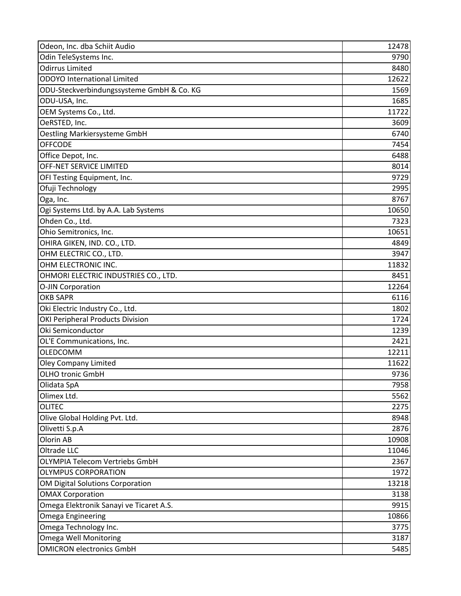| Odeon, Inc. dba Schiit Audio              | 12478 |
|-------------------------------------------|-------|
| Odin TeleSystems Inc.                     | 9790  |
| <b>Odirrus Limited</b>                    | 8480  |
| <b>ODOYO</b> International Limited        | 12622 |
| ODU-Steckverbindungssysteme GmbH & Co. KG | 1569  |
| ODU-USA, Inc.                             | 1685  |
| OEM Systems Co., Ltd.                     | 11722 |
| OeRSTED, Inc.                             | 3609  |
| <b>Oestling Markiersysteme GmbH</b>       | 6740  |
| <b>OFFCODE</b>                            | 7454  |
| Office Depot, Inc.                        | 6488  |
| OFF-NET SERVICE LIMITED                   | 8014  |
| OFI Testing Equipment, Inc.               | 9729  |
| Ofuji Technology                          | 2995  |
| Oga, Inc.                                 | 8767  |
| Ogi Systems Ltd. by A.A. Lab Systems      | 10650 |
| Ohden Co., Ltd.                           | 7323  |
| Ohio Semitronics, Inc.                    | 10651 |
| OHIRA GIKEN, IND. CO., LTD.               | 4849  |
| OHM ELECTRIC CO., LTD.                    | 3947  |
| OHM ELECTRONIC INC.                       | 11832 |
| OHMORI ELECTRIC INDUSTRIES CO., LTD.      | 8451  |
| O-JIN Corporation                         | 12264 |
| <b>OKB SAPR</b>                           | 6116  |
| Oki Electric Industry Co., Ltd.           | 1802  |
| OKI Peripheral Products Division          | 1724  |
| Oki Semiconductor                         | 1239  |
| OL'E Communications, Inc.                 | 2421  |
| <b>OLEDCOMM</b>                           | 12211 |
| <b>Oley Company Limited</b>               | 11622 |
| <b>OLHO tronic GmbH</b>                   | 9736  |
| Olidata SpA                               | 7958  |
| Olimex Ltd.                               | 5562  |
| <b>OLITEC</b>                             | 2275  |
| Olive Global Holding Pvt. Ltd.            | 8948  |
| Olivetti S.p.A                            | 2876  |
| Olorin AB                                 | 10908 |
| Oltrade LLC                               | 11046 |
| <b>OLYMPIA Telecom Vertriebs GmbH</b>     | 2367  |
| <b>OLYMPUS CORPORATION</b>                | 1972  |
| OM Digital Solutions Corporation          | 13218 |
| <b>OMAX Corporation</b>                   | 3138  |
| Omega Elektronik Sanayi ve Ticaret A.S.   | 9915  |
| Omega Engineering                         | 10866 |
| Omega Technology Inc.                     | 3775  |
| <b>Omega Well Monitoring</b>              | 3187  |
| <b>OMICRON electronics GmbH</b>           | 5485  |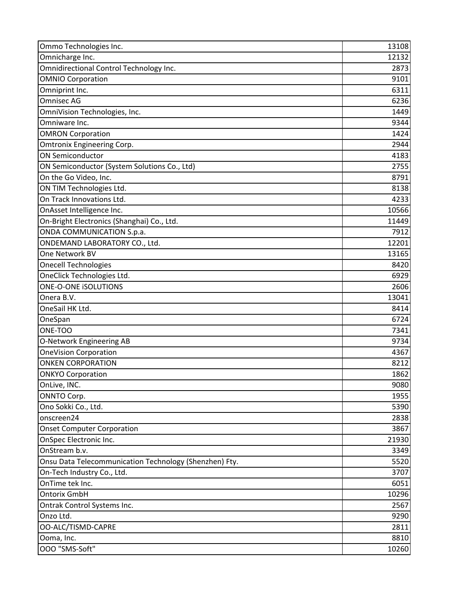| Ommo Technologies Inc.                                 | 13108 |
|--------------------------------------------------------|-------|
| Omnicharge Inc.                                        | 12132 |
| Omnidirectional Control Technology Inc.                | 2873  |
| <b>OMNIO Corporation</b>                               | 9101  |
| Omniprint Inc.                                         | 6311  |
| <b>Omnisec AG</b>                                      | 6236  |
| OmniVision Technologies, Inc.                          | 1449  |
| Omniware Inc.                                          | 9344  |
| <b>OMRON Corporation</b>                               | 1424  |
| <b>Omtronix Engineering Corp.</b>                      | 2944  |
| <b>ON Semiconductor</b>                                | 4183  |
| ON Semiconductor (System Solutions Co., Ltd)           | 2755  |
| On the Go Video, Inc.                                  | 8791  |
| ON TIM Technologies Ltd.                               | 8138  |
| On Track Innovations Ltd.                              | 4233  |
| OnAsset Intelligence Inc.                              | 10566 |
| On-Bright Electronics (Shanghai) Co., Ltd.             | 11449 |
| ONDA COMMUNICATION S.p.a.                              | 7912  |
| ONDEMAND LABORATORY CO., Ltd.                          | 12201 |
| One Network BV                                         | 13165 |
| <b>Onecell Technologies</b>                            | 8420  |
| OneClick Technologies Ltd.                             | 6929  |
| <b>ONE-O-ONE ISOLUTIONS</b>                            | 2606  |
| Onera B.V.                                             | 13041 |
| OneSail HK Ltd.                                        | 8414  |
| OneSpan                                                | 6724  |
| ONE-TOO                                                | 7341  |
| O-Network Engineering AB                               | 9734  |
| <b>OneVision Corporation</b>                           | 4367  |
| <b>ONKEN CORPORATION</b>                               | 8212  |
| <b>ONKYO Corporation</b>                               | 1862  |
| OnLive, INC.                                           | 9080  |
| <b>ONNTO Corp.</b>                                     | 1955  |
| Ono Sokki Co., Ltd.                                    | 5390  |
| onscreen24                                             | 2838  |
| <b>Onset Computer Corporation</b>                      | 3867  |
| OnSpec Electronic Inc.                                 | 21930 |
| OnStream b.v.                                          | 3349  |
| Onsu Data Telecommunication Technology (Shenzhen) Fty. | 5520  |
| On-Tech Industry Co., Ltd.                             | 3707  |
| OnTime tek Inc.                                        | 6051  |
| <b>Ontorix GmbH</b>                                    | 10296 |
| Ontrak Control Systems Inc.                            | 2567  |
| Onzo Ltd.                                              | 9290  |
| OO-ALC/TISMD-CAPRE                                     | 2811  |
| Ooma, Inc.                                             | 8810  |
| 000 "SMS-Soft"                                         | 10260 |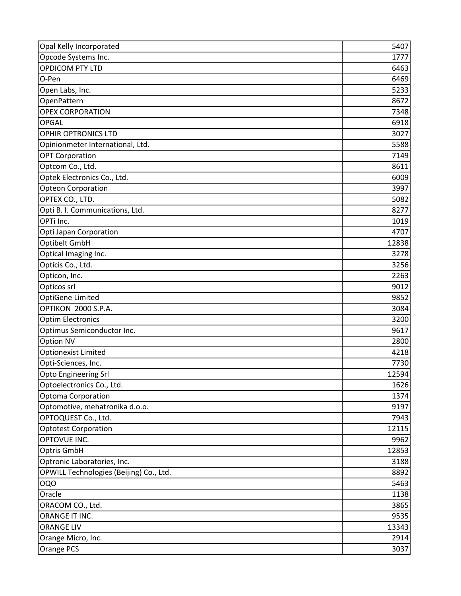| Opal Kelly Incorporated                 | 5407  |
|-----------------------------------------|-------|
| Opcode Systems Inc.                     | 1777  |
| <b>OPDICOM PTY LTD</b>                  | 6463  |
| O-Pen                                   | 6469  |
| Open Labs, Inc.                         | 5233  |
| OpenPattern                             | 8672  |
| <b>OPEX CORPORATION</b>                 | 7348  |
| <b>OPGAL</b>                            | 6918  |
| <b>OPHIR OPTRONICS LTD</b>              | 3027  |
| Opinionmeter International, Ltd.        | 5588  |
| <b>OPT Corporation</b>                  | 7149  |
| Optcom Co., Ltd.                        | 8611  |
| Optek Electronics Co., Ltd.             | 6009  |
| <b>Opteon Corporation</b>               | 3997  |
| OPTEX CO., LTD.                         | 5082  |
| Opti B. I. Communications, Ltd.         | 8277  |
| OPTi Inc.                               | 1019  |
| Opti Japan Corporation                  | 4707  |
| Optibelt GmbH                           | 12838 |
| Optical Imaging Inc.                    | 3278  |
| Opticis Co., Ltd.                       | 3256  |
| Opticon, Inc.                           | 2263  |
| Opticos srl                             | 9012  |
| OptiGene Limited                        | 9852  |
| OPTIKON 2000 S.P.A.                     | 3084  |
| <b>Optim Electronics</b>                | 3200  |
| Optimus Semiconductor Inc.              | 9617  |
| <b>Option NV</b>                        | 2800  |
| <b>Optionexist Limited</b>              | 4218  |
| Opti-Sciences, Inc.                     | 7730  |
| <b>Opto Engineering Srl</b>             | 12594 |
| Optoelectronics Co., Ltd.               | 1626  |
| <b>Optoma Corporation</b>               | 1374  |
| Optomotive, mehatronika d.o.o.          | 9197  |
| OPTOQUEST Co., Ltd.                     | 7943  |
| <b>Optotest Corporation</b>             | 12115 |
| OPTOVUE INC.                            | 9962  |
| Optris GmbH                             | 12853 |
| Optronic Laboratories, Inc.             | 3188  |
| OPWILL Technologies (Beijing) Co., Ltd. | 8892  |
| <b>OQO</b>                              | 5463  |
| Oracle                                  | 1138  |
| ORACOM CO., Ltd.                        | 3865  |
| ORANGE IT INC.                          | 9535  |
| <b>ORANGE LIV</b>                       | 13343 |
| Orange Micro, Inc.                      | 2914  |
| Orange PCS                              | 3037  |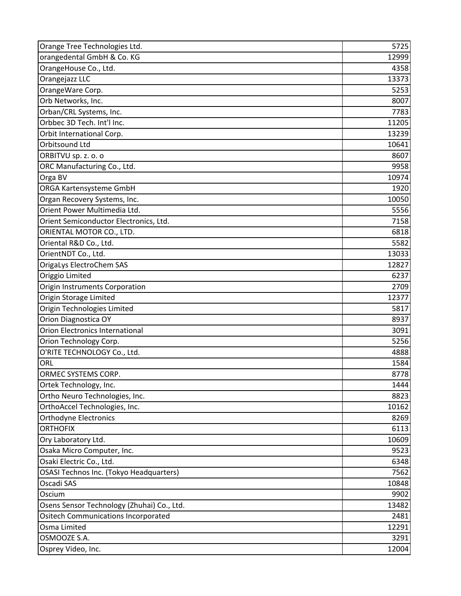| Orange Tree Technologies Ltd.              | 5725  |
|--------------------------------------------|-------|
| orangedental GmbH & Co. KG                 | 12999 |
| OrangeHouse Co., Ltd.                      | 4358  |
| Orangejazz LLC                             | 13373 |
| OrangeWare Corp.                           | 5253  |
| Orb Networks, Inc.                         | 8007  |
| Orban/CRL Systems, Inc.                    | 7783  |
| Orbbec 3D Tech. Int'l Inc.                 | 11205 |
| Orbit International Corp.                  | 13239 |
| Orbitsound Ltd                             | 10641 |
| ORBITVU sp. z. o. o                        | 8607  |
| ORC Manufacturing Co., Ltd.                | 9958  |
| Orga BV                                    | 10974 |
| ORGA Kartensysteme GmbH                    | 1920  |
| Organ Recovery Systems, Inc.               | 10050 |
| Orient Power Multimedia Ltd.               | 5556  |
| Orient Semiconductor Electronics, Ltd.     | 7158  |
| ORIENTAL MOTOR CO., LTD.                   | 6818  |
| Oriental R&D Co., Ltd.                     | 5582  |
| OrientNDT Co., Ltd.                        | 13033 |
| OrigaLys ElectroChem SAS                   | 12827 |
| Origgio Limited                            | 6237  |
| Origin Instruments Corporation             | 2709  |
| Origin Storage Limited                     | 12377 |
| Origin Technologies Limited                | 5817  |
| <b>Orion Diagnostica OY</b>                | 8937  |
| <b>Orion Electronics International</b>     | 3091  |
| Orion Technology Corp.                     | 5256  |
| O'RITE TECHNOLOGY Co., Ltd.                | 4888  |
| ORL                                        | 1584  |
| ORMEC SYSTEMS CORP.                        | 8778  |
| Ortek Technology, Inc.                     | 1444  |
| Ortho Neuro Technologies, Inc.             | 8823  |
| OrthoAccel Technologies, Inc.              | 10162 |
| <b>Orthodyne Electronics</b>               | 8269  |
| <b>ORTHOFIX</b>                            | 6113  |
| Ory Laboratory Ltd.                        | 10609 |
| Osaka Micro Computer, Inc.                 | 9523  |
| Osaki Electric Co., Ltd.                   | 6348  |
| OSASI Technos Inc. (Tokyo Headquarters)    | 7562  |
| Oscadi SAS                                 | 10848 |
| Oscium                                     | 9902  |
| Osens Sensor Technology (Zhuhai) Co., Ltd. | 13482 |
| <b>Ositech Communications Incorporated</b> | 2481  |
| Osma Limited                               | 12291 |
| OSMOOZE S.A.                               | 3291  |
| Osprey Video, Inc.                         | 12004 |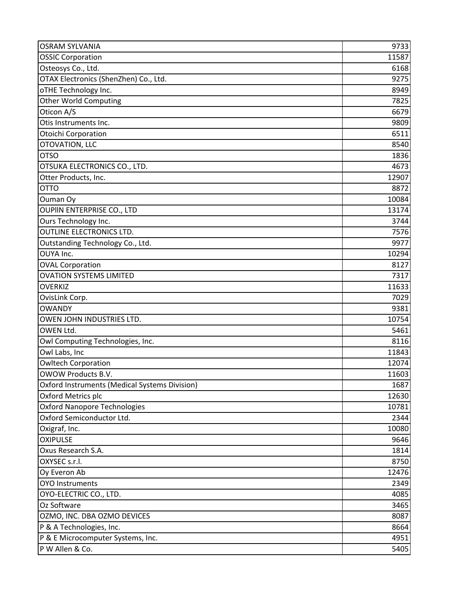| <b>OSRAM SYLVANIA</b>                         | 9733  |
|-----------------------------------------------|-------|
| <b>OSSIC Corporation</b>                      | 11587 |
| Osteosys Co., Ltd.                            | 6168  |
| OTAX Electronics (ShenZhen) Co., Ltd.         | 9275  |
| oTHE Technology Inc.                          | 8949  |
| <b>Other World Computing</b>                  | 7825  |
| Oticon A/S                                    | 6679  |
| Otis Instruments Inc.                         | 9809  |
| Otoichi Corporation                           | 6511  |
| OTOVATION, LLC                                | 8540  |
| <b>OTSO</b>                                   | 1836  |
| OTSUKA ELECTRONICS CO., LTD.                  | 4673  |
| Otter Products, Inc.                          | 12907 |
| <b>OTTO</b>                                   | 8872  |
| Ouman Oy                                      | 10084 |
| OUPIIN ENTERPRISE CO., LTD                    | 13174 |
| Ours Technology Inc.                          | 3744  |
| <b>OUTLINE ELECTRONICS LTD.</b>               | 7576  |
| Outstanding Technology Co., Ltd.              | 9977  |
| OUYA Inc.                                     | 10294 |
| <b>OVAL Corporation</b>                       | 8127  |
| <b>OVATION SYSTEMS LIMITED</b>                | 7317  |
| <b>OVERKIZ</b>                                | 11633 |
| OvisLink Corp.                                | 7029  |
| <b>OWANDY</b>                                 | 9381  |
| OWEN JOHN INDUSTRIES LTD.                     | 10754 |
| OWEN Ltd.                                     | 5461  |
| Owl Computing Technologies, Inc.              | 8116  |
| Owl Labs, Inc                                 | 11843 |
| <b>Owltech Corporation</b>                    | 12074 |
| OWOW Products B.V.                            | 11603 |
| Oxford Instruments (Medical Systems Division) | 1687  |
| Oxford Metrics plc                            | 12630 |
| <b>Oxford Nanopore Technologies</b>           | 10781 |
| Oxford Semiconductor Ltd.                     | 2344  |
| Oxigraf, Inc.                                 | 10080 |
| <b>OXIPULSE</b>                               | 9646  |
| Oxus Research S.A.                            | 1814  |
| OXYSEC s.r.l.                                 | 8750  |
| Oy Everon Ab                                  | 12476 |
| <b>OYO Instruments</b>                        | 2349  |
| OYO-ELECTRIC CO., LTD.                        | 4085  |
| Oz Software                                   | 3465  |
| OZMO, INC. DBA OZMO DEVICES                   | 8087  |
| P & A Technologies, Inc.                      | 8664  |
| P & E Microcomputer Systems, Inc.             | 4951  |
| P W Allen & Co.                               | 5405  |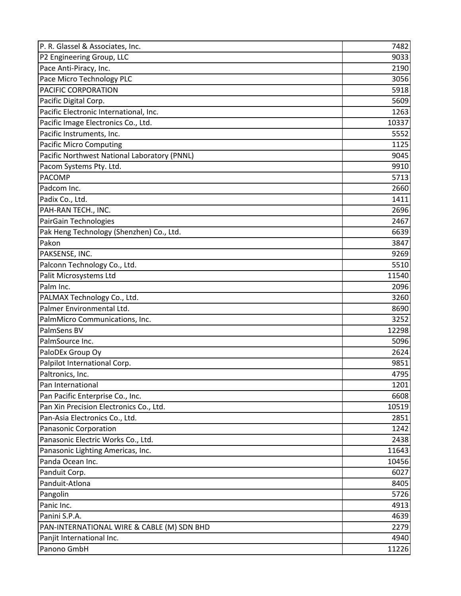| P. R. Glassel & Associates, Inc.             | 7482  |
|----------------------------------------------|-------|
| P2 Engineering Group, LLC                    | 9033  |
| Pace Anti-Piracy, Inc.                       | 2190  |
| Pace Micro Technology PLC                    | 3056  |
| <b>PACIFIC CORPORATION</b>                   | 5918  |
| Pacific Digital Corp.                        | 5609  |
| Pacific Electronic International, Inc.       | 1263  |
| Pacific Image Electronics Co., Ltd.          | 10337 |
| Pacific Instruments, Inc.                    | 5552  |
| <b>Pacific Micro Computing</b>               | 1125  |
| Pacific Northwest National Laboratory (PNNL) | 9045  |
| Pacom Systems Pty. Ltd.                      | 9910  |
| <b>PACOMP</b>                                | 5713  |
| Padcom Inc.                                  | 2660  |
| Padix Co., Ltd.                              | 1411  |
| PAH-RAN TECH., INC.                          | 2696  |
| PairGain Technologies                        | 2467  |
| Pak Heng Technology (Shenzhen) Co., Ltd.     | 6639  |
| Pakon                                        | 3847  |
| PAKSENSE, INC.                               | 9269  |
| Palconn Technology Co., Ltd.                 | 5510  |
| Palit Microsystems Ltd                       | 11540 |
| Palm Inc.                                    | 2096  |
| PALMAX Technology Co., Ltd.                  | 3260  |
| Palmer Environmental Ltd.                    | 8690  |
| PalmMicro Communications, Inc.               | 3252  |
| PalmSens BV                                  | 12298 |
| PalmSource Inc.                              | 5096  |
| PaloDEx Group Oy                             | 2624  |
| Palpilot International Corp.                 | 9851  |
| Paltronics, Inc.                             | 4795  |
| Pan International                            | 1201  |
| Pan Pacific Enterprise Co., Inc.             | 6608  |
| Pan Xin Precision Electronics Co., Ltd.      | 10519 |
| Pan-Asia Electronics Co., Ltd.               | 2851  |
| Panasonic Corporation                        | 1242  |
| Panasonic Electric Works Co., Ltd.           | 2438  |
| Panasonic Lighting Americas, Inc.            | 11643 |
| Panda Ocean Inc.                             | 10456 |
| Panduit Corp.                                | 6027  |
| Panduit-Atlona                               | 8405  |
| Pangolin                                     | 5726  |
| Panic Inc.                                   | 4913  |
| Panini S.P.A.                                | 4639  |
| PAN-INTERNATIONAL WIRE & CABLE (M) SDN BHD   | 2279  |
| Panjit International Inc.                    | 4940  |
| Panono GmbH                                  | 11226 |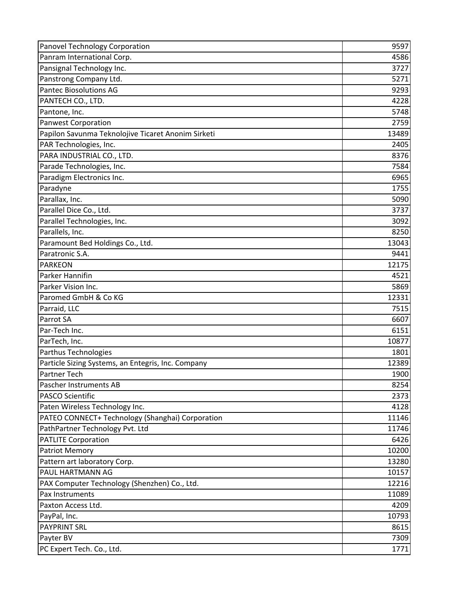| Panovel Technology Corporation                     | 9597  |
|----------------------------------------------------|-------|
| Panram International Corp.                         | 4586  |
| Pansignal Technology Inc.                          | 3727  |
| Panstrong Company Ltd.                             | 5271  |
| <b>Pantec Biosolutions AG</b>                      | 9293  |
| PANTECH CO., LTD.                                  | 4228  |
| Pantone, Inc.                                      | 5748  |
| <b>Panwest Corporation</b>                         | 2759  |
| Papilon Savunma Teknolojive Ticaret Anonim Sirketi | 13489 |
| PAR Technologies, Inc.                             | 2405  |
| PARA INDUSTRIAL CO., LTD.                          | 8376  |
| Parade Technologies, Inc.                          | 7584  |
| Paradigm Electronics Inc.                          | 6965  |
| Paradyne                                           | 1755  |
| Parallax, Inc.                                     | 5090  |
| Parallel Dice Co., Ltd.                            | 3737  |
| Parallel Technologies, Inc.                        | 3092  |
| Parallels, Inc.                                    | 8250  |
| Paramount Bed Holdings Co., Ltd.                   | 13043 |
| Paratronic S.A.                                    | 9441  |
| <b>PARKEON</b>                                     | 12175 |
| Parker Hannifin                                    | 4521  |
| Parker Vision Inc.                                 | 5869  |
| Paromed GmbH & Co KG                               | 12331 |
| Parraid, LLC                                       | 7515  |
| Parrot SA                                          | 6607  |
| Par-Tech Inc.                                      | 6151  |
| ParTech, Inc.                                      | 10877 |
| Parthus Technologies                               | 1801  |
| Particle Sizing Systems, an Entegris, Inc. Company | 12389 |
| <b>Partner Tech</b>                                | 1900  |
| <b>Pascher Instruments AB</b>                      | 8254  |
| <b>PASCO Scientific</b>                            | 2373  |
| Paten Wireless Technology Inc.                     | 4128  |
| PATEO CONNECT+ Technology (Shanghai) Corporation   | 11146 |
| PathPartner Technology Pvt. Ltd                    | 11746 |
| <b>PATLITE Corporation</b>                         | 6426  |
| <b>Patriot Memory</b>                              | 10200 |
| Pattern art laboratory Corp.                       | 13280 |
| <b>PAUL HARTMANN AG</b>                            | 10157 |
| PAX Computer Technology (Shenzhen) Co., Ltd.       | 12216 |
| Pax Instruments                                    | 11089 |
| Paxton Access Ltd.                                 | 4209  |
| PayPal, Inc.                                       | 10793 |
| <b>PAYPRINT SRL</b>                                | 8615  |
| Payter BV                                          | 7309  |
| PC Expert Tech. Co., Ltd.                          | 1771  |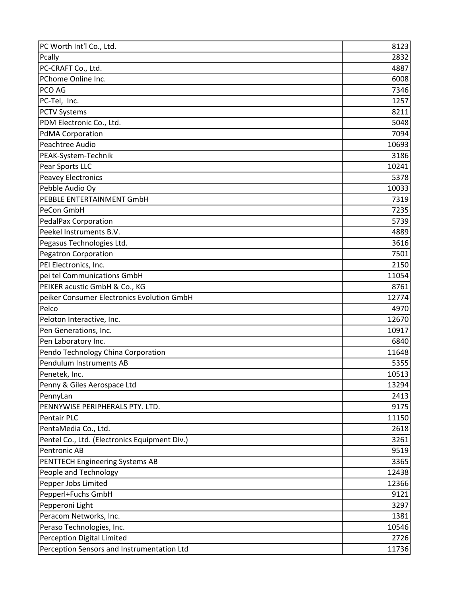| PC Worth Int'l Co., Ltd.                      | 8123  |
|-----------------------------------------------|-------|
| Pcally                                        | 2832  |
| PC-CRAFT Co., Ltd.                            | 4887  |
| PChome Online Inc.                            | 6008  |
| PCO AG                                        | 7346  |
| PC-Tel, Inc.                                  | 1257  |
| <b>PCTV Systems</b>                           | 8211  |
| PDM Electronic Co., Ltd.                      | 5048  |
| <b>PdMA Corporation</b>                       | 7094  |
| Peachtree Audio                               | 10693 |
| PEAK-System-Technik                           | 3186  |
| Pear Sports LLC                               | 10241 |
| <b>Peavey Electronics</b>                     | 5378  |
| Pebble Audio Oy                               | 10033 |
| PEBBLE ENTERTAINMENT GmbH                     | 7319  |
| PeCon GmbH                                    | 7235  |
| <b>PedalPax Corporation</b>                   | 5739  |
| Peekel Instruments B.V.                       | 4889  |
| Pegasus Technologies Ltd.                     | 3616  |
| <b>Pegatron Corporation</b>                   | 7501  |
| PEI Electronics, Inc.                         | 2150  |
| pei tel Communications GmbH                   | 11054 |
| PEIKER acustic GmbH & Co., KG                 | 8761  |
| peiker Consumer Electronics Evolution GmbH    | 12774 |
| Pelco                                         | 4970  |
| Peloton Interactive, Inc.                     | 12670 |
| Pen Generations, Inc.                         | 10917 |
| Pen Laboratory Inc.                           | 6840  |
| Pendo Technology China Corporation            | 11648 |
| Pendulum Instruments AB                       | 5355  |
| Penetek, Inc.                                 | 10513 |
| Penny & Giles Aerospace Ltd                   | 13294 |
| PennyLan                                      | 2413  |
| PENNYWISE PERIPHERALS PTY. LTD.               | 9175  |
| Pentair PLC                                   | 11150 |
| PentaMedia Co., Ltd.                          | 2618  |
| Pentel Co., Ltd. (Electronics Equipment Div.) | 3261  |
| Pentronic AB                                  | 9519  |
| PENTTECH Engineering Systems AB               | 3365  |
| People and Technology                         | 12438 |
| Pepper Jobs Limited                           | 12366 |
| Pepperl+Fuchs GmbH                            | 9121  |
| Pepperoni Light                               | 3297  |
| Peracom Networks, Inc.                        | 1381  |
| Peraso Technologies, Inc.                     | 10546 |
| Perception Digital Limited                    | 2726  |
| Perception Sensors and Instrumentation Ltd    | 11736 |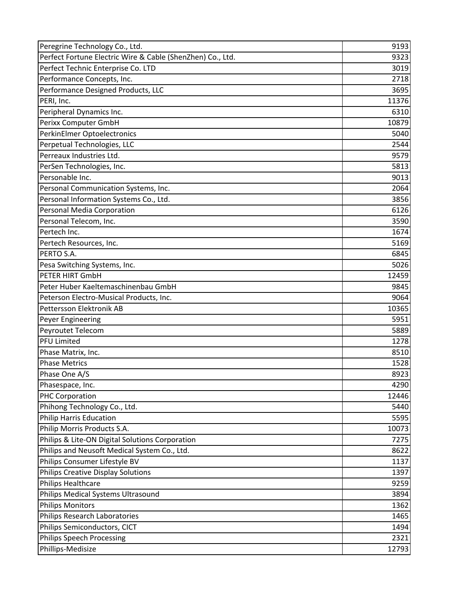| Peregrine Technology Co., Ltd.                             | 9193  |
|------------------------------------------------------------|-------|
| Perfect Fortune Electric Wire & Cable (ShenZhen) Co., Ltd. | 9323  |
| Perfect Technic Enterprise Co. LTD                         | 3019  |
| Performance Concepts, Inc.                                 | 2718  |
| Performance Designed Products, LLC                         | 3695  |
| PERI, Inc.                                                 | 11376 |
| Peripheral Dynamics Inc.                                   | 6310  |
| Perixx Computer GmbH                                       | 10879 |
| PerkinElmer Optoelectronics                                | 5040  |
| Perpetual Technologies, LLC                                | 2544  |
| Perreaux Industries Ltd.                                   | 9579  |
| PerSen Technologies, Inc.                                  | 5813  |
| Personable Inc.                                            | 9013  |
| Personal Communication Systems, Inc.                       | 2064  |
| Personal Information Systems Co., Ltd.                     | 3856  |
| Personal Media Corporation                                 | 6126  |
| Personal Telecom, Inc.                                     | 3590  |
| Pertech Inc.                                               | 1674  |
| Pertech Resources, Inc.                                    | 5169  |
| PERTO S.A.                                                 | 6845  |
| Pesa Switching Systems, Inc.                               | 5026  |
| PETER HIRT GmbH                                            | 12459 |
| Peter Huber Kaeltemaschinenbau GmbH                        | 9845  |
| Peterson Electro-Musical Products, Inc.                    | 9064  |
| Pettersson Elektronik AB                                   | 10365 |
| <b>Peyer Engineering</b>                                   | 5951  |
| Peyroutet Telecom                                          | 5889  |
| <b>PFU Limited</b>                                         | 1278  |
| Phase Matrix, Inc.                                         | 8510  |
| <b>Phase Metrics</b>                                       | 1528  |
| Phase One A/S                                              | 8923  |
| Phasespace, Inc.                                           | 4290  |
| <b>PHC Corporation</b>                                     | 12446 |
| Phihong Technology Co., Ltd.                               | 5440  |
| Philip Harris Education                                    | 5595  |
| Philip Morris Products S.A.                                | 10073 |
| Philips & Lite-ON Digital Solutions Corporation            | 7275  |
| Philips and Neusoft Medical System Co., Ltd.               | 8622  |
| Philips Consumer Lifestyle BV                              | 1137  |
| Philips Creative Display Solutions                         | 1397  |
| <b>Philips Healthcare</b>                                  | 9259  |
| Philips Medical Systems Ultrasound                         | 3894  |
| <b>Philips Monitors</b>                                    | 1362  |
| Philips Research Laboratories                              | 1465  |
| Philips Semiconductors, CICT                               | 1494  |
| <b>Philips Speech Processing</b>                           | 2321  |
| Phillips-Medisize                                          | 12793 |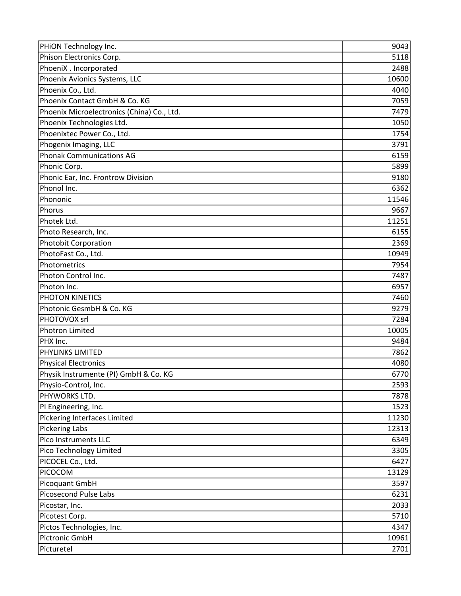| PHION Technology Inc.                      | 9043  |
|--------------------------------------------|-------|
| Phison Electronics Corp.                   | 5118  |
| PhoeniX . Incorporated                     | 2488  |
| Phoenix Avionics Systems, LLC              | 10600 |
| Phoenix Co., Ltd.                          | 4040  |
| Phoenix Contact GmbH & Co. KG              | 7059  |
| Phoenix Microelectronics (China) Co., Ltd. | 7479  |
| Phoenix Technologies Ltd.                  | 1050  |
| Phoenixtec Power Co., Ltd.                 | 1754  |
| Phogenix Imaging, LLC                      | 3791  |
| <b>Phonak Communications AG</b>            | 6159  |
| Phonic Corp.                               | 5899  |
| Phonic Ear, Inc. Frontrow Division         | 9180  |
| Phonol Inc.                                | 6362  |
| Phononic                                   | 11546 |
| Phorus                                     | 9667  |
| Photek Ltd.                                | 11251 |
| Photo Research, Inc.                       | 6155  |
| <b>Photobit Corporation</b>                | 2369  |
| PhotoFast Co., Ltd.                        | 10949 |
| Photometrics                               | 7954  |
| Photon Control Inc.                        | 7487  |
| Photon Inc.                                | 6957  |
| <b>PHOTON KINETICS</b>                     | 7460  |
| Photonic GesmbH & Co. KG                   | 9279  |
| PHOTOVOX srl                               | 7284  |
| <b>Photron Limited</b>                     | 10005 |
| PHX Inc.                                   | 9484  |
| <b>PHYLINKS LIMITED</b>                    | 7862  |
| <b>Physical Electronics</b>                | 4080  |
| Physik Instrumente (PI) GmbH & Co. KG      | 6770  |
| Physio-Control, Inc.                       | 2593  |
| PHYWORKS LTD.                              | 7878  |
| PI Engineering, Inc.                       | 1523  |
| Pickering Interfaces Limited               | 11230 |
| <b>Pickering Labs</b>                      | 12313 |
| Pico Instruments LLC                       | 6349  |
| Pico Technology Limited                    | 3305  |
| PICOCEL Co., Ltd.                          | 6427  |
| PICOCOM                                    | 13129 |
| Picoquant GmbH                             | 3597  |
| Picosecond Pulse Labs                      | 6231  |
| Picostar, Inc.                             | 2033  |
| Picotest Corp.                             | 5710  |
| Pictos Technologies, Inc.                  | 4347  |
| Pictronic GmbH                             | 10961 |
| Picturetel                                 | 2701  |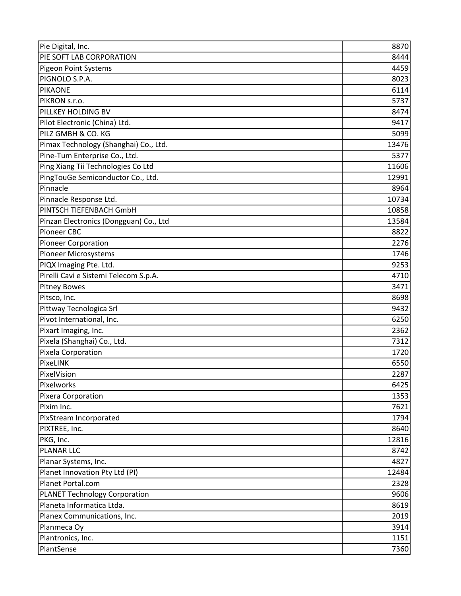| Pie Digital, Inc.                      | 8870  |
|----------------------------------------|-------|
| PIE SOFT LAB CORPORATION               | 8444  |
| Pigeon Point Systems                   | 4459  |
| PIGNOLO S.P.A.                         | 8023  |
| <b>PIKAONE</b>                         | 6114  |
| PIKRON s.r.o.                          | 5737  |
| PILLKEY HOLDING BV                     | 8474  |
| Pilot Electronic (China) Ltd.          | 9417  |
| PILZ GMBH & CO. KG                     | 5099  |
| Pimax Technology (Shanghai) Co., Ltd.  | 13476 |
| Pine-Tum Enterprise Co., Ltd.          | 5377  |
| Ping Xiang Tii Technologies Co Ltd     | 11606 |
| PingTouGe Semiconductor Co., Ltd.      | 12991 |
| Pinnacle                               | 8964  |
| Pinnacle Response Ltd.                 | 10734 |
| PINTSCH TIEFENBACH GmbH                | 10858 |
| Pinzan Electronics (Dongguan) Co., Ltd | 13584 |
| <b>Pioneer CBC</b>                     | 8822  |
| <b>Pioneer Corporation</b>             | 2276  |
| Pioneer Microsystems                   | 1746  |
| PIQX Imaging Pte. Ltd.                 | 9253  |
| Pirelli Cavi e Sistemi Telecom S.p.A.  | 4710  |
| <b>Pitney Bowes</b>                    | 3471  |
| Pitsco, Inc.                           | 8698  |
| Pittway Tecnologica Srl                | 9432  |
| Pivot International, Inc.              | 6250  |
| Pixart Imaging, Inc.                   | 2362  |
| Pixela (Shanghai) Co., Ltd.            | 7312  |
| Pixela Corporation                     | 1720  |
| <b>PixeLINK</b>                        | 6550  |
| PixelVision                            | 2287  |
| Pixelworks                             | 6425  |
| Pixera Corporation                     | 1353  |
| Pixim Inc.                             | 7621  |
| PixStream Incorporated                 | 1794  |
| PIXTREE, Inc.                          | 8640  |
| PKG, Inc.                              | 12816 |
| <b>PLANAR LLC</b>                      | 8742  |
| Planar Systems, Inc.                   | 4827  |
| Planet Innovation Pty Ltd (PI)         | 12484 |
| Planet Portal.com                      | 2328  |
| <b>PLANET Technology Corporation</b>   | 9606  |
| Planeta Informatica Ltda.              | 8619  |
| Planex Communications, Inc.            | 2019  |
| Planmeca Oy                            | 3914  |
| Plantronics, Inc.                      | 1151  |
| PlantSense                             | 7360  |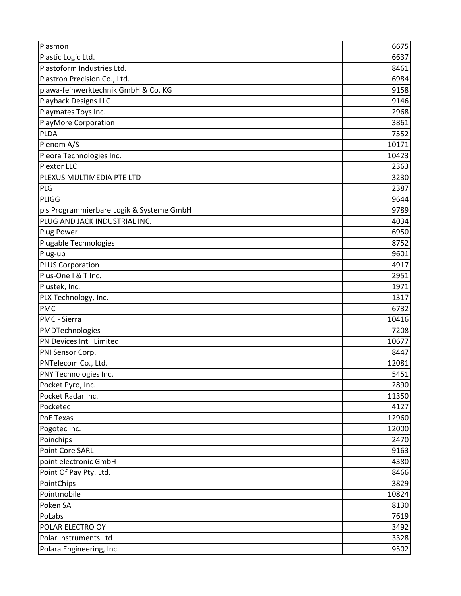| Plasmon                                  | 6675  |
|------------------------------------------|-------|
| Plastic Logic Ltd.                       | 6637  |
| Plastoform Industries Ltd.               | 8461  |
| Plastron Precision Co., Ltd.             | 6984  |
| plawa-feinwerktechnik GmbH & Co. KG      | 9158  |
| Playback Designs LLC                     | 9146  |
| Playmates Toys Inc.                      | 2968  |
| PlayMore Corporation                     | 3861  |
| PLDA                                     | 7552  |
| Plenom A/S                               | 10171 |
| Pleora Technologies Inc.                 | 10423 |
| <b>Plextor LLC</b>                       | 2363  |
| PLEXUS MULTIMEDIA PTE LTD                | 3230  |
| PLG                                      | 2387  |
| <b>PLIGG</b>                             | 9644  |
| pls Programmierbare Logik & Systeme GmbH | 9789  |
| PLUG AND JACK INDUSTRIAL INC.            | 4034  |
| Plug Power                               | 6950  |
| Plugable Technologies                    | 8752  |
| Plug-up                                  | 9601  |
| <b>PLUS Corporation</b>                  | 4917  |
| Plus-One I & T Inc.                      | 2951  |
| Plustek, Inc.                            | 1971  |
| PLX Technology, Inc.                     | 1317  |
| <b>PMC</b>                               | 6732  |
| PMC - Sierra                             | 10416 |
| PMDTechnologies                          | 7208  |
| PN Devices Int'l Limited                 | 10677 |
| PNI Sensor Corp.                         | 8447  |
| PNTelecom Co., Ltd.                      | 12081 |
| PNY Technologies Inc.                    | 5451  |
| Pocket Pyro, Inc.                        | 2890  |
| Pocket Radar Inc.                        | 11350 |
| Pocketec                                 | 4127  |
| PoE Texas                                | 12960 |
| Pogotec Inc.                             | 12000 |
| Poinchips                                | 2470  |
| Point Core SARL                          | 9163  |
| point electronic GmbH                    | 4380  |
| Point Of Pay Pty. Ltd.                   | 8466  |
| PointChips                               | 3829  |
| Pointmobile                              | 10824 |
| Poken SA                                 | 8130  |
| PoLabs                                   | 7619  |
| POLAR ELECTRO OY                         | 3492  |
| Polar Instruments Ltd                    | 3328  |
| Polara Engineering, Inc.                 | 9502  |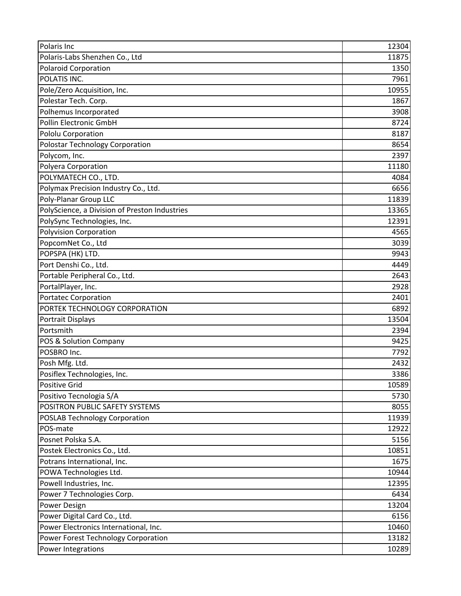| Polaris Inc                                   | 12304 |
|-----------------------------------------------|-------|
| Polaris-Labs Shenzhen Co., Ltd                | 11875 |
| <b>Polaroid Corporation</b>                   | 1350  |
| POLATIS INC.                                  | 7961  |
| Pole/Zero Acquisition, Inc.                   | 10955 |
| Polestar Tech. Corp.                          | 1867  |
| Polhemus Incorporated                         | 3908  |
| Pollin Electronic GmbH                        | 8724  |
| Pololu Corporation                            | 8187  |
| <b>Polostar Technology Corporation</b>        | 8654  |
| Polycom, Inc.                                 | 2397  |
| Polyera Corporation                           | 11180 |
| POLYMATECH CO., LTD.                          | 4084  |
| Polymax Precision Industry Co., Ltd.          | 6656  |
| Poly-Planar Group LLC                         | 11839 |
| PolyScience, a Division of Preston Industries | 13365 |
| PolySync Technologies, Inc.                   | 12391 |
| <b>Polyvision Corporation</b>                 | 4565  |
| PopcomNet Co., Ltd                            | 3039  |
| POPSPA (HK) LTD.                              | 9943  |
| Port Denshi Co., Ltd.                         | 4449  |
| Portable Peripheral Co., Ltd.                 | 2643  |
| PortalPlayer, Inc.                            | 2928  |
| <b>Portatec Corporation</b>                   | 2401  |
| PORTEK TECHNOLOGY CORPORATION                 | 6892  |
| <b>Portrait Displays</b>                      | 13504 |
| Portsmith                                     | 2394  |
| POS & Solution Company                        | 9425  |
| POSBRO Inc.                                   | 7792  |
| Posh Mfg. Ltd.                                | 2432  |
| Posiflex Technologies, Inc.                   | 3386  |
| <b>Positive Grid</b>                          | 10589 |
| Positivo Tecnologia S/A                       | 5730  |
| POSITRON PUBLIC SAFETY SYSTEMS                | 8055  |
| <b>POSLAB Technology Corporation</b>          | 11939 |
| POS-mate                                      | 12922 |
| Posnet Polska S.A.                            | 5156  |
| Postek Electronics Co., Ltd.                  | 10851 |
| Potrans International, Inc.                   | 1675  |
| POWA Technologies Ltd.                        | 10944 |
| Powell Industries, Inc.                       | 12395 |
| Power 7 Technologies Corp.                    | 6434  |
| <b>Power Design</b>                           | 13204 |
| Power Digital Card Co., Ltd.                  | 6156  |
| Power Electronics International, Inc.         | 10460 |
| Power Forest Technology Corporation           | 13182 |
| Power Integrations                            | 10289 |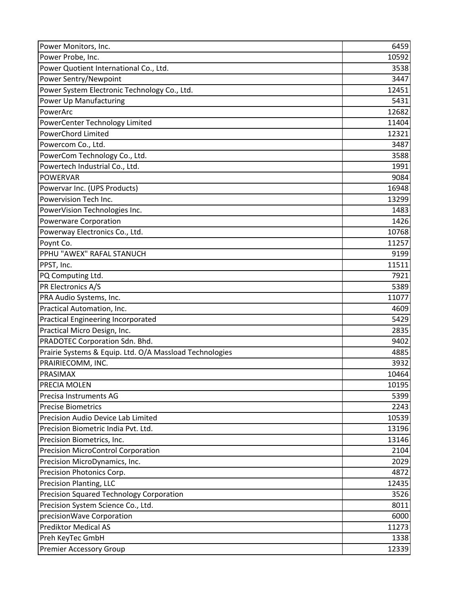| Power Monitors, Inc.                                    | 6459  |
|---------------------------------------------------------|-------|
| Power Probe, Inc.                                       | 10592 |
| Power Quotient International Co., Ltd.                  | 3538  |
| Power Sentry/Newpoint                                   | 3447  |
| Power System Electronic Technology Co., Ltd.            | 12451 |
| <b>Power Up Manufacturing</b>                           | 5431  |
| PowerArc                                                | 12682 |
| PowerCenter Technology Limited                          | 11404 |
| <b>PowerChord Limited</b>                               | 12321 |
| Powercom Co., Ltd.                                      | 3487  |
| PowerCom Technology Co., Ltd.                           | 3588  |
| Powertech Industrial Co., Ltd.                          | 1991  |
| <b>POWERVAR</b>                                         | 9084  |
| Powervar Inc. (UPS Products)                            | 16948 |
| Powervision Tech Inc.                                   | 13299 |
| PowerVision Technologies Inc.                           | 1483  |
| Powerware Corporation                                   | 1426  |
| Powerway Electronics Co., Ltd.                          | 10768 |
| Poynt Co.                                               | 11257 |
| PPHU "AWEX" RAFAL STANUCH                               | 9199  |
| PPST, Inc.                                              | 11511 |
| PQ Computing Ltd.                                       | 7921  |
| PR Electronics A/S                                      | 5389  |
| PRA Audio Systems, Inc.                                 | 11077 |
| Practical Automation, Inc.                              | 4609  |
| <b>Practical Engineering Incorporated</b>               | 5429  |
| Practical Micro Design, Inc.                            | 2835  |
| PRADOTEC Corporation Sdn. Bhd.                          | 9402  |
| Prairie Systems & Equip. Ltd. O/A Massload Technologies | 4885  |
| PRAIRIECOMM, INC.                                       | 3932  |
| PRASIMAX                                                | 10464 |
| PRECIA MOLEN                                            | 10195 |
| Precisa Instruments AG                                  | 5399  |
| <b>Precise Biometrics</b>                               | 2243  |
| <b>Precision Audio Device Lab Limited</b>               | 10539 |
| Precision Biometric India Pvt. Ltd.                     | 13196 |
| Precision Biometrics, Inc.                              | 13146 |
| <b>Precision MicroControl Corporation</b>               | 2104  |
| Precision MicroDynamics, Inc.                           | 2029  |
| Precision Photonics Corp.                               | 4872  |
| Precision Planting, LLC                                 | 12435 |
| Precision Squared Technology Corporation                | 3526  |
| Precision System Science Co., Ltd.                      | 8011  |
| precisionWave Corporation                               | 6000  |
| <b>Prediktor Medical AS</b>                             | 11273 |
| Preh KeyTec GmbH                                        | 1338  |
| <b>Premier Accessory Group</b>                          | 12339 |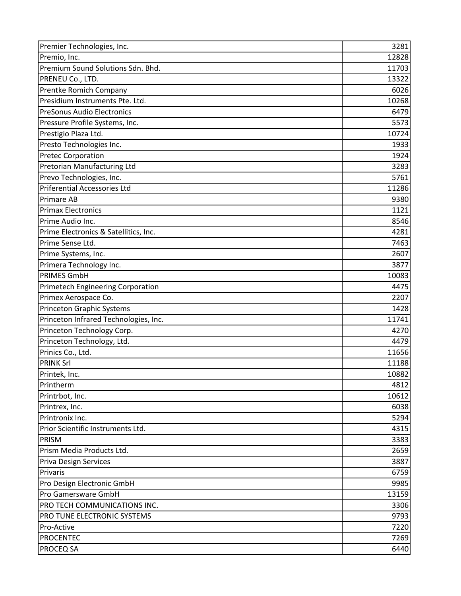| Premier Technologies, Inc.               | 3281  |
|------------------------------------------|-------|
| Premio, Inc.                             | 12828 |
| Premium Sound Solutions Sdn. Bhd.        | 11703 |
| PRENEU Co., LTD.                         | 13322 |
| Prentke Romich Company                   | 6026  |
| Presidium Instruments Pte. Ltd.          | 10268 |
| <b>PreSonus Audio Electronics</b>        | 6479  |
| Pressure Profile Systems, Inc.           | 5573  |
| Prestigio Plaza Ltd.                     | 10724 |
| Presto Technologies Inc.                 | 1933  |
| <b>Pretec Corporation</b>                | 1924  |
| Pretorian Manufacturing Ltd              | 3283  |
| Prevo Technologies, Inc.                 | 5761  |
| <b>Priferential Accessories Ltd</b>      | 11286 |
| <b>Primare AB</b>                        | 9380  |
| <b>Primax Electronics</b>                | 1121  |
| Prime Audio Inc.                         | 8546  |
| Prime Electronics & Satellitics, Inc.    | 4281  |
| Prime Sense Ltd.                         | 7463  |
| Prime Systems, Inc.                      | 2607  |
| Primera Technology Inc.                  | 3877  |
| <b>PRIMES GmbH</b>                       | 10083 |
| <b>Primetech Engineering Corporation</b> | 4475  |
| Primex Aerospace Co.                     | 2207  |
| <b>Princeton Graphic Systems</b>         | 1428  |
| Princeton Infrared Technologies, Inc.    | 11741 |
| Princeton Technology Corp.               | 4270  |
| Princeton Technology, Ltd.               | 4479  |
| Prinics Co., Ltd.                        | 11656 |
| <b>PRINK Srl</b>                         | 11188 |
| Printek, Inc.                            | 10882 |
| Printherm                                | 4812  |
| Printrbot, Inc.                          | 10612 |
| Printrex, Inc.                           | 6038  |
| Printronix Inc.                          | 5294  |
| Prior Scientific Instruments Ltd.        | 4315  |
| <b>PRISM</b>                             | 3383  |
| Prism Media Products Ltd.                | 2659  |
| Priva Design Services                    | 3887  |
| Privaris                                 | 6759  |
| Pro Design Electronic GmbH               | 9985  |
| Pro Gamersware GmbH                      | 13159 |
| PRO TECH COMMUNICATIONS INC.             | 3306  |
| PRO TUNE ELECTRONIC SYSTEMS              | 9793  |
| Pro-Active                               | 7220  |
| <b>PROCENTEC</b>                         | 7269  |
| <b>PROCEQ SA</b>                         | 6440  |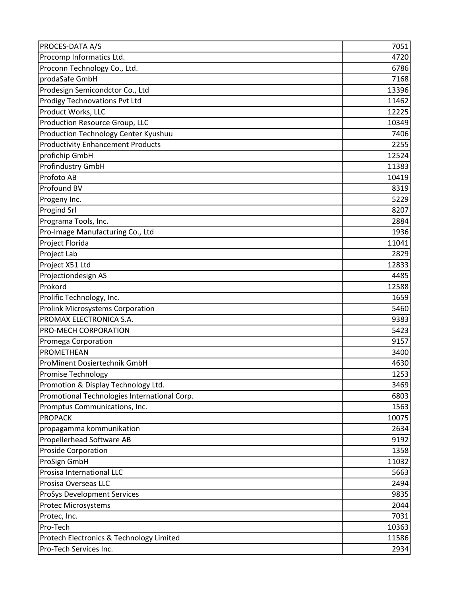| PROCES-DATA A/S                              | 7051  |
|----------------------------------------------|-------|
| Procomp Informatics Ltd.                     | 4720  |
| Proconn Technology Co., Ltd.                 | 6786  |
| prodaSafe GmbH                               | 7168  |
| Prodesign Semicondctor Co., Ltd              | 13396 |
| <b>Prodigy Technovations Pvt Ltd</b>         | 11462 |
| Product Works, LLC                           | 12225 |
| Production Resource Group, LLC               | 10349 |
| Production Technology Center Kyushuu         | 7406  |
| <b>Productivity Enhancement Products</b>     | 2255  |
| profichip GmbH                               | 12524 |
| <b>Profindustry GmbH</b>                     | 11383 |
| Profoto AB                                   | 10419 |
| Profound BV                                  | 8319  |
| Progeny Inc.                                 | 5229  |
| <b>Progind Srl</b>                           | 8207  |
| Programa Tools, Inc.                         | 2884  |
| Pro-Image Manufacturing Co., Ltd             | 1936  |
| Project Florida                              | 11041 |
| Project Lab                                  | 2829  |
| Project X51 Ltd                              | 12833 |
| Projectiondesign AS                          | 4485  |
| Prokord                                      | 12588 |
| Prolific Technology, Inc.                    | 1659  |
| <b>Prolink Microsystems Corporation</b>      | 5460  |
| PROMAX ELECTRONICA S.A.                      | 9383  |
| PRO-MECH CORPORATION                         | 5423  |
| Promega Corporation                          | 9157  |
| PROMETHEAN                                   | 3400  |
| <b>ProMinent Dosiertechnik GmbH</b>          | 4630  |
| <b>Promise Technology</b>                    | 1253  |
| Promotion & Display Technology Ltd.          | 3469  |
| Promotional Technologies International Corp. | 6803  |
| Promptus Communications, Inc.                | 1563  |
| <b>PROPACK</b>                               | 10075 |
| propagamma kommunikation                     | 2634  |
| Propellerhead Software AB                    | 9192  |
| <b>Proside Corporation</b>                   | 1358  |
| ProSign GmbH                                 | 11032 |
| Prosisa International LLC                    | 5663  |
| Prosisa Overseas LLC                         | 2494  |
| <b>ProSys Development Services</b>           | 9835  |
| <b>Protec Microsystems</b>                   | 2044  |
| Protec, Inc.                                 | 7031  |
| Pro-Tech                                     | 10363 |
| Protech Electronics & Technology Limited     | 11586 |
| Pro-Tech Services Inc.                       | 2934  |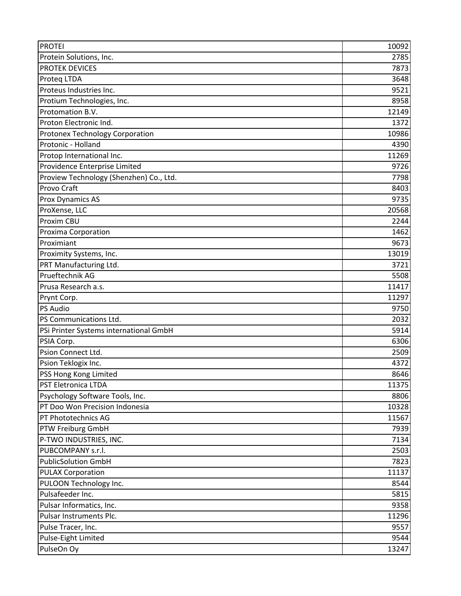| <b>PROTEI</b>                           | 10092 |
|-----------------------------------------|-------|
| Protein Solutions, Inc.                 | 2785  |
| <b>PROTEK DEVICES</b>                   | 7873  |
| Proteg LTDA                             | 3648  |
| Proteus Industries Inc.                 | 9521  |
| Protium Technologies, Inc.              | 8958  |
| Protomation B.V.                        | 12149 |
| Proton Electronic Ind.                  | 1372  |
| Protonex Technology Corporation         | 10986 |
| Protonic - Holland                      | 4390  |
| Protop International Inc.               | 11269 |
| Providence Enterprise Limited           | 9726  |
| Proview Technology (Shenzhen) Co., Ltd. | 7798  |
| Provo Craft                             | 8403  |
| Prox Dynamics AS                        | 9735  |
| ProXense, LLC                           | 20568 |
| Proxim CBU                              | 2244  |
| Proxima Corporation                     | 1462  |
| Proximiant                              | 9673  |
| Proximity Systems, Inc.                 | 13019 |
| PRT Manufacturing Ltd.                  | 3721  |
| Prueftechnik AG                         | 5508  |
| Prusa Research a.s.                     | 11417 |
| Prynt Corp.                             | 11297 |
| PS Audio                                | 9750  |
| PS Communications Ltd.                  | 2032  |
| PSi Printer Systems international GmbH  | 5914  |
| PSIA Corp.                              | 6306  |
| Psion Connect Ltd.                      | 2509  |
| Psion Teklogix Inc.                     | 4372  |
| <b>PSS Hong Kong Limited</b>            | 8646  |
| PST Eletronica LTDA                     | 11375 |
| Psychology Software Tools, Inc.         | 8806  |
| PT Doo Won Precision Indonesia          | 10328 |
| PT Phototechnics AG                     | 11567 |
| PTW Freiburg GmbH                       | 7939  |
| P-TWO INDUSTRIES, INC.                  | 7134  |
| PUBCOMPANY s.r.l.                       | 2503  |
| <b>PublicSolution GmbH</b>              | 7823  |
| <b>PULAX Corporation</b>                | 11137 |
| PULOON Technology Inc.                  | 8544  |
| Pulsafeeder Inc.                        | 5815  |
| Pulsar Informatics, Inc.                | 9358  |
| Pulsar Instruments Plc.                 | 11296 |
| Pulse Tracer, Inc.                      | 9557  |
| Pulse-Eight Limited                     | 9544  |
| PulseOn Oy                              | 13247 |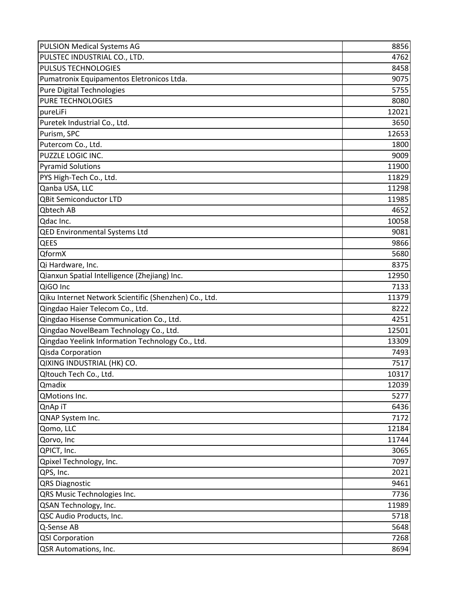| <b>PULSION Medical Systems AG</b>                     | 8856  |
|-------------------------------------------------------|-------|
| PULSTEC INDUSTRIAL CO., LTD.                          | 4762  |
| <b>PULSUS TECHNOLOGIES</b>                            | 8458  |
| Pumatronix Equipamentos Eletronicos Ltda.             | 9075  |
| Pure Digital Technologies                             | 5755  |
| <b>PURE TECHNOLOGIES</b>                              | 8080  |
| pureLiFi                                              | 12021 |
| Puretek Industrial Co., Ltd.                          | 3650  |
| Purism, SPC                                           | 12653 |
| Putercom Co., Ltd.                                    | 1800  |
| <b>PUZZLE LOGIC INC.</b>                              | 9009  |
| <b>Pyramid Solutions</b>                              | 11900 |
| PYS High-Tech Co., Ltd.                               | 11829 |
| Qanba USA, LLC                                        | 11298 |
| <b>QBit Semiconductor LTD</b>                         | 11985 |
| <b>Qbtech AB</b>                                      | 4652  |
| Qdac Inc.                                             | 10058 |
| <b>QED Environmental Systems Ltd</b>                  | 9081  |
| <b>QEES</b>                                           | 9866  |
| QformX                                                | 5680  |
| Qi Hardware, Inc.                                     | 8375  |
| Qianxun Spatial Intelligence (Zhejiang) Inc.          | 12950 |
| QiGO Inc                                              | 7133  |
| Qiku Internet Network Scientific (Shenzhen) Co., Ltd. | 11379 |
| Qingdao Haier Telecom Co., Ltd.                       | 8222  |
| Qingdao Hisense Communication Co., Ltd.               | 4251  |
| Qingdao NovelBeam Technology Co., Ltd.                | 12501 |
| Qingdao Yeelink Information Technology Co., Ltd.      | 13309 |
| Qisda Corporation                                     | 7493  |
| QIXING INDUSTRIAL (HK) CO.                            | 7517  |
| Qltouch Tech Co., Ltd.                                | 10317 |
| Qmadix                                                | 12039 |
| QMotions Inc.                                         | 5277  |
| QnAp iT                                               | 6436  |
| QNAP System Inc.                                      | 7172  |
| Qomo, LLC                                             | 12184 |
| Qorvo, Inc                                            | 11744 |
| QPICT, Inc.                                           | 3065  |
| Qpixel Technology, Inc.                               | 7097  |
| QPS, Inc.                                             | 2021  |
| <b>QRS Diagnostic</b>                                 | 9461  |
| QRS Music Technologies Inc.                           | 7736  |
| QSAN Technology, Inc.                                 | 11989 |
| QSC Audio Products, Inc.                              | 5718  |
| Q-Sense AB                                            | 5648  |
| <b>QSI Corporation</b>                                | 7268  |
| QSR Automations, Inc.                                 | 8694  |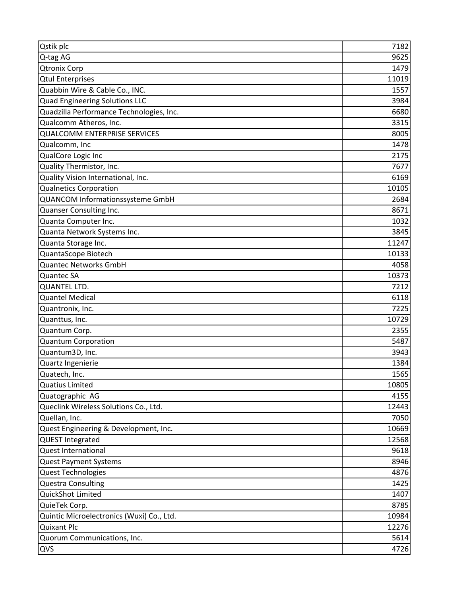| Qstik plc                                 | 7182  |
|-------------------------------------------|-------|
| Q-tag AG                                  | 9625  |
| <b>Qtronix Corp</b>                       | 1479  |
| <b>Qtul Enterprises</b>                   | 11019 |
| Quabbin Wire & Cable Co., INC.            | 1557  |
| <b>Quad Engineering Solutions LLC</b>     | 3984  |
| Quadzilla Performance Technologies, Inc.  | 6680  |
| Qualcomm Atheros, Inc.                    | 3315  |
| <b>QUALCOMM ENTERPRISE SERVICES</b>       | 8005  |
| Qualcomm, Inc                             | 1478  |
| QualCore Logic Inc                        | 2175  |
| Quality Thermistor, Inc.                  | 7677  |
| Quality Vision International, Inc.        | 6169  |
| <b>Qualnetics Corporation</b>             | 10105 |
| QUANCOM Informationssysteme GmbH          | 2684  |
| Quanser Consulting Inc.                   | 8671  |
| Quanta Computer Inc.                      | 1032  |
| Quanta Network Systems Inc.               | 3845  |
| Quanta Storage Inc.                       | 11247 |
| QuantaScope Biotech                       | 10133 |
| <b>Quantec Networks GmbH</b>              | 4058  |
| <b>Quantec SA</b>                         | 10373 |
| <b>QUANTEL LTD.</b>                       | 7212  |
| <b>Quantel Medical</b>                    | 6118  |
| Quantronix, Inc.                          | 7225  |
| Quanttus, Inc.                            | 10729 |
| Quantum Corp.                             | 2355  |
| <b>Quantum Corporation</b>                | 5487  |
| Quantum3D, Inc.                           | 3943  |
| Quartz Ingenierie                         | 1384  |
| Quatech, Inc.                             | 1565  |
| <b>Quatius Limited</b>                    | 10805 |
| Quatographic AG                           | 4155  |
| Queclink Wireless Solutions Co., Ltd.     | 12443 |
| Quellan, Inc.                             | 7050  |
| Quest Engineering & Development, Inc.     | 10669 |
| <b>QUEST Integrated</b>                   | 12568 |
| Quest International                       | 9618  |
| <b>Quest Payment Systems</b>              | 8946  |
| Quest Technologies                        | 4876  |
| <b>Questra Consulting</b>                 | 1425  |
| QuickShot Limited                         | 1407  |
| QuieTek Corp.                             | 8785  |
| Quintic Microelectronics (Wuxi) Co., Ltd. | 10984 |
| <b>Quixant Plc</b>                        | 12276 |
| Quorum Communications, Inc.               | 5614  |
| QVS                                       | 4726  |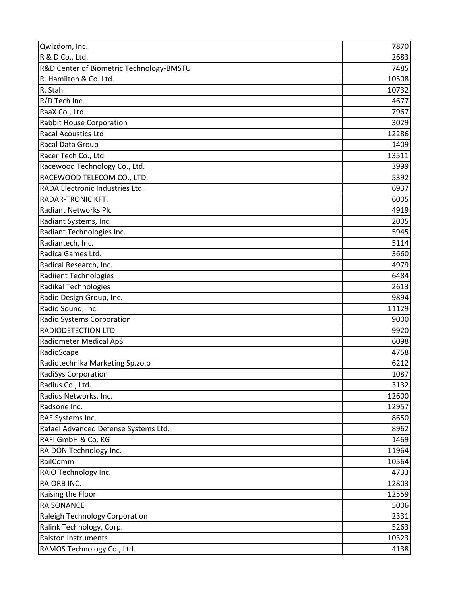| Qwizdom, Inc.                            | 7870  |
|------------------------------------------|-------|
| R & D Co., Ltd.                          | 2683  |
| R&D Center of Biometric Technology-BMSTU | 7485  |
| R. Hamilton & Co. Ltd.                   | 10508 |
| R. Stahl                                 | 10732 |
| R/D Tech Inc.                            | 4677  |
| RaaX Co., Ltd.                           | 7967  |
| <b>Rabbit House Corporation</b>          | 3029  |
| <b>Racal Acoustics Ltd</b>               | 12286 |
| Racal Data Group                         | 1409  |
| Racer Tech Co., Ltd                      | 13511 |
| Racewood Technology Co., Ltd.            | 3999  |
| RACEWOOD TELECOM CO., LTD.               | 5392  |
| RADA Electronic Industries Ltd.          | 6937  |
| RADAR-TRONIC KFT.                        | 6005  |
| <b>Radiant Networks Plc</b>              | 4919  |
| Radiant Systems, Inc.                    | 2005  |
| Radiant Technologies Inc.                | 5945  |
| Radiantech, Inc.                         | 5114  |
| Radica Games Ltd.                        | 3660  |
| Radical Research, Inc.                   | 4979  |
| <b>Radiient Technologies</b>             | 6484  |
| Radikal Technologies                     | 2613  |
| Radio Design Group, Inc.                 | 9894  |
| Radio Sound, Inc.                        | 11129 |
| Radio Systems Corporation                | 9000  |
| RADIODETECTION LTD.                      | 9920  |
| Radiometer Medical ApS                   | 6098  |
| RadioScape                               | 4758  |
| Radiotechnika Marketing Sp.zo.o          | 6212  |
| RadiSys Corporation                      | 1087  |
| Radius Co., Ltd.                         | 3132  |
| Radius Networks, Inc.                    | 12600 |
| Radsone Inc.                             | 12957 |
| RAE Systems Inc.                         | 8650  |
| Rafael Advanced Defense Systems Ltd.     | 8962  |
| RAFI GmbH & Co. KG                       | 1469  |
| RAIDON Technology Inc.                   | 11964 |
| RailComm                                 | 10564 |
| RAiO Technology Inc.                     | 4733  |
| <b>RAIORB INC.</b>                       | 12803 |
| Raising the Floor                        | 12559 |
| <b>RAISONANCE</b>                        | 5006  |
| Raleigh Technology Corporation           | 2331  |
| Ralink Technology, Corp.                 | 5263  |
| <b>Ralston Instruments</b>               | 10323 |
| RAMOS Technology Co., Ltd.               | 4138  |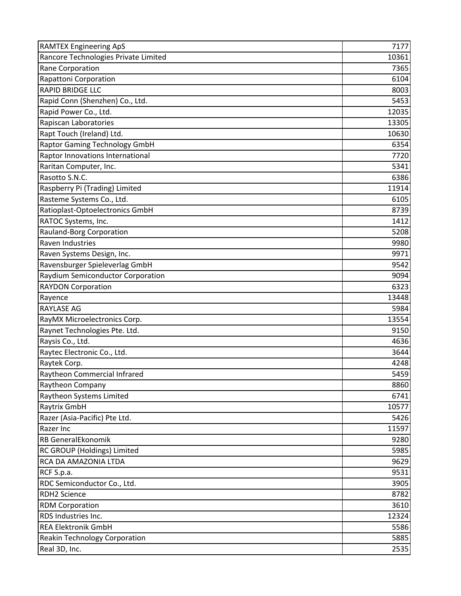| <b>RAMTEX Engineering ApS</b>        | 7177  |
|--------------------------------------|-------|
| Rancore Technologies Private Limited | 10361 |
| Rane Corporation                     | 7365  |
| Rapattoni Corporation                | 6104  |
| <b>RAPID BRIDGE LLC</b>              | 8003  |
| Rapid Conn (Shenzhen) Co., Ltd.      | 5453  |
| Rapid Power Co., Ltd.                | 12035 |
| Rapiscan Laboratories                | 13305 |
| Rapt Touch (Ireland) Ltd.            | 10630 |
| <b>Raptor Gaming Technology GmbH</b> | 6354  |
| Raptor Innovations International     | 7720  |
| Raritan Computer, Inc.               | 5341  |
| Rasotto S.N.C.                       | 6386  |
| Raspberry Pi (Trading) Limited       | 11914 |
| Rasteme Systems Co., Ltd.            | 6105  |
| Ratioplast-Optoelectronics GmbH      | 8739  |
| RATOC Systems, Inc.                  | 1412  |
| Rauland-Borg Corporation             | 5208  |
| Raven Industries                     | 9980  |
| Raven Systems Design, Inc.           | 9971  |
| Ravensburger Spieleverlag GmbH       | 9542  |
| Raydium Semiconductor Corporation    | 9094  |
| <b>RAYDON Corporation</b>            | 6323  |
| Rayence                              | 13448 |
| <b>RAYLASE AG</b>                    | 5984  |
| RayMX Microelectronics Corp.         | 13554 |
| Raynet Technologies Pte. Ltd.        | 9150  |
| Raysis Co., Ltd.                     | 4636  |
| Raytec Electronic Co., Ltd.          | 3644  |
| Raytek Corp.                         | 4248  |
| Raytheon Commercial Infrared         | 5459  |
| Raytheon Company                     | 8860  |
| Raytheon Systems Limited             | 6741  |
| Raytrix GmbH                         | 10577 |
| Razer (Asia-Pacific) Pte Ltd.        | 5426  |
| Razer Inc                            | 11597 |
| <b>RB GeneralEkonomik</b>            | 9280  |
| <b>RC GROUP (Holdings) Limited</b>   | 5985  |
| RCA DA AMAZONIA LTDA                 | 9629  |
| RCF S.p.a.                           | 9531  |
| RDC Semiconductor Co., Ltd.          | 3905  |
| <b>RDH2 Science</b>                  | 8782  |
| <b>RDM Corporation</b>               | 3610  |
| RDS Industries Inc.                  | 12324 |
| <b>REA Elektronik GmbH</b>           | 5586  |
| <b>Reakin Technology Corporation</b> | 5885  |
| Real 3D, Inc.                        | 2535  |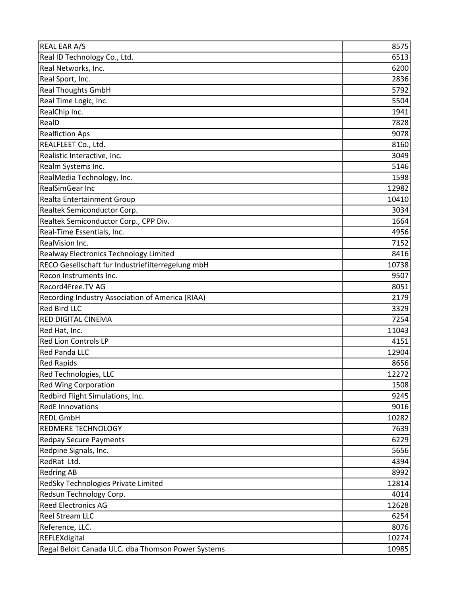| <b>REAL EAR A/S</b>                                | 8575  |
|----------------------------------------------------|-------|
| Real ID Technology Co., Ltd.                       | 6513  |
| Real Networks, Inc.                                | 6200  |
| Real Sport, Inc.                                   | 2836  |
| <b>Real Thoughts GmbH</b>                          | 5792  |
| Real Time Logic, Inc.                              | 5504  |
| RealChip Inc.                                      | 1941  |
| RealD                                              | 7828  |
| <b>Realfiction Aps</b>                             | 9078  |
| REALFLEET Co., Ltd.                                | 8160  |
| Realistic Interactive, Inc.                        | 3049  |
| Realm Systems Inc.                                 | 5146  |
| RealMedia Technology, Inc.                         | 1598  |
| <b>RealSimGear Inc</b>                             | 12982 |
| Realta Entertainment Group                         | 10410 |
| Realtek Semiconductor Corp.                        | 3034  |
| Realtek Semiconductor Corp., CPP Div.              | 1664  |
| Real-Time Essentials, Inc.                         | 4956  |
| RealVision Inc.                                    | 7152  |
| Realway Electronics Technology Limited             | 8416  |
| RECO Gesellschaft fur Industriefilterregelung mbH  | 10738 |
| Recon Instruments Inc.                             | 9507  |
| Record4Free.TV AG                                  | 8051  |
| Recording Industry Association of America (RIAA)   | 2179  |
| <b>Red Bird LLC</b>                                | 3329  |
| <b>RED DIGITAL CINEMA</b>                          | 7254  |
| Red Hat, Inc.                                      | 11043 |
| <b>Red Lion Controls LP</b>                        | 4151  |
| <b>Red Panda LLC</b>                               | 12904 |
| <b>Red Rapids</b>                                  | 8656  |
| Red Technologies, LLC                              | 12272 |
| <b>Red Wing Corporation</b>                        | 1508  |
| Redbird Flight Simulations, Inc.                   | 9245  |
| <b>RedE Innovations</b>                            | 9016  |
| <b>REDL GmbH</b>                                   | 10282 |
| <b>REDMERE TECHNOLOGY</b>                          | 7639  |
| <b>Redpay Secure Payments</b>                      | 6229  |
| Redpine Signals, Inc.                              | 5656  |
| RedRat Ltd.                                        | 4394  |
| <b>Redring AB</b>                                  | 8992  |
| RedSky Technologies Private Limited                | 12814 |
| Redsun Technology Corp.                            | 4014  |
| <b>Reed Electronics AG</b>                         | 12628 |
| Reel Stream LLC                                    | 6254  |
| Reference, LLC.                                    | 8076  |
| REFLEXdigital                                      | 10274 |
| Regal Beloit Canada ULC. dba Thomson Power Systems | 10985 |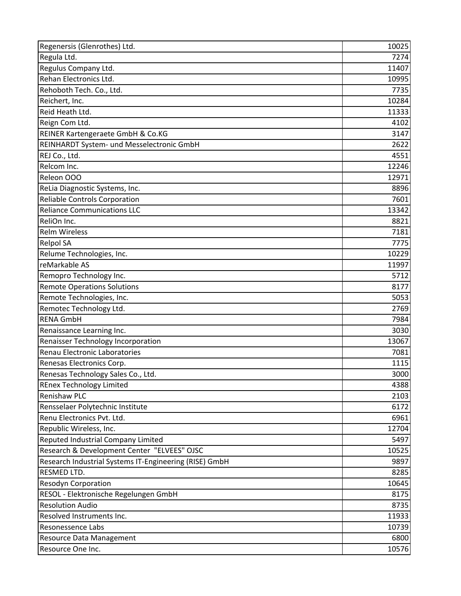| Regenersis (Glenrothes) Ltd.                           | 10025 |
|--------------------------------------------------------|-------|
| Regula Ltd.                                            | 7274  |
| Regulus Company Ltd.                                   | 11407 |
| Rehan Electronics Ltd.                                 | 10995 |
| Rehoboth Tech. Co., Ltd.                               | 7735  |
| Reichert, Inc.                                         | 10284 |
| Reid Heath Ltd.                                        | 11333 |
| Reign Com Ltd.                                         | 4102  |
| REINER Kartengeraete GmbH & Co.KG                      | 3147  |
| REINHARDT System- und Messelectronic GmbH              | 2622  |
| REJ Co., Ltd.                                          | 4551  |
| Relcom Inc.                                            | 12246 |
| Releon OOO                                             | 12971 |
| ReLia Diagnostic Systems, Inc.                         | 8896  |
| Reliable Controls Corporation                          | 7601  |
| <b>Reliance Communications LLC</b>                     | 13342 |
| ReliOn Inc.                                            | 8821  |
| <b>Relm Wireless</b>                                   | 7181  |
| <b>Relpol SA</b>                                       | 7775  |
| Relume Technologies, Inc.                              | 10229 |
| reMarkable AS                                          | 11997 |
| Remopro Technology Inc.                                | 5712  |
| <b>Remote Operations Solutions</b>                     | 8177  |
| Remote Technologies, Inc.                              | 5053  |
| Remotec Technology Ltd.                                | 2769  |
| <b>RENA GmbH</b>                                       | 7984  |
| Renaissance Learning Inc.                              | 3030  |
| Renaisser Technology Incorporation                     | 13067 |
| Renau Electronic Laboratories                          | 7081  |
| Renesas Electronics Corp.                              | 1115  |
| Renesas Technology Sales Co., Ltd.                     | 3000  |
| <b>REnex Technology Limited</b>                        | 4388  |
| <b>Renishaw PLC</b>                                    | 2103  |
| Rensselaer Polytechnic Institute                       | 6172  |
| Renu Electronics Pvt. Ltd.                             | 6961  |
| Republic Wireless, Inc.                                | 12704 |
| Reputed Industrial Company Limited                     | 5497  |
| Research & Development Center "ELVEES" OJSC            | 10525 |
| Research Industrial Systems IT-Engineering (RISE) GmbH | 9897  |
| <b>RESMED LTD.</b>                                     | 8285  |
| <b>Resodyn Corporation</b>                             | 10645 |
| RESOL - Elektronische Regelungen GmbH                  | 8175  |
| <b>Resolution Audio</b>                                | 8735  |
| Resolved Instruments Inc.                              | 11933 |
| Resonessence Labs                                      | 10739 |
| Resource Data Management                               | 6800  |
| Resource One Inc.                                      | 10576 |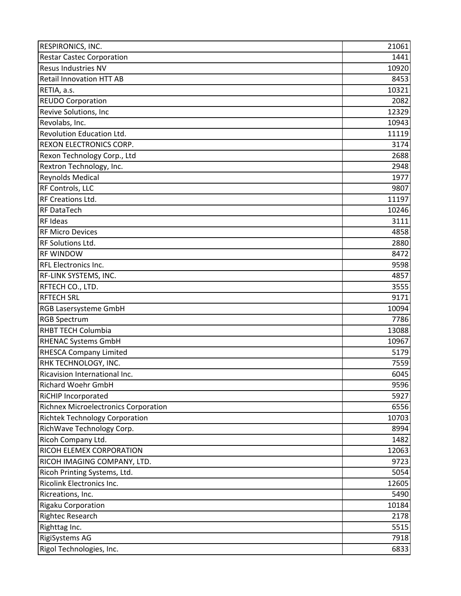| RESPIRONICS, INC.                           | 21061 |
|---------------------------------------------|-------|
| <b>Restar Castec Corporation</b>            | 1441  |
| <b>Resus Industries NV</b>                  | 10920 |
| <b>Retail Innovation HTT AB</b>             | 8453  |
| RETIA, a.s.                                 | 10321 |
| <b>REUDO Corporation</b>                    | 2082  |
| Revive Solutions, Inc                       | 12329 |
| Revolabs, Inc.                              | 10943 |
| Revolution Education Ltd.                   | 11119 |
| <b>REXON ELECTRONICS CORP.</b>              | 3174  |
| Rexon Technology Corp., Ltd                 | 2688  |
| Rextron Technology, Inc.                    | 2948  |
| <b>Reynolds Medical</b>                     | 1977  |
| RF Controls, LLC                            | 9807  |
| <b>RF Creations Ltd.</b>                    | 11197 |
| <b>RF DataTech</b>                          | 10246 |
| <b>RF Ideas</b>                             | 3111  |
| <b>RF Micro Devices</b>                     | 4858  |
| <b>RF Solutions Ltd.</b>                    | 2880  |
| <b>RF WINDOW</b>                            | 8472  |
| <b>RFL Electronics Inc.</b>                 | 9598  |
| RF-LINK SYSTEMS, INC.                       | 4857  |
| RFTECH CO., LTD.                            | 3555  |
| <b>RFTECH SRL</b>                           | 9171  |
| <b>RGB Lasersysteme GmbH</b>                | 10094 |
| <b>RGB Spectrum</b>                         | 7786  |
| <b>RHBT TECH Columbia</b>                   | 13088 |
| <b>RHENAC Systems GmbH</b>                  | 10967 |
| <b>RHESCA Company Limited</b>               | 5179  |
| RHK TECHNOLOGY, INC.                        | 7559  |
| Ricavision International Inc.               | 6045  |
| <b>Richard Woehr GmbH</b>                   | 9596  |
| RiCHIP Incorporated                         | 5927  |
| <b>Richnex Microelectronics Corporation</b> | 6556  |
| <b>Richtek Technology Corporation</b>       | 10703 |
| RichWave Technology Corp.                   | 8994  |
| Ricoh Company Ltd.                          | 1482  |
| RICOH ELEMEX CORPORATION                    | 12063 |
| RICOH IMAGING COMPANY, LTD.                 | 9723  |
| Ricoh Printing Systems, Ltd.                | 5054  |
| Ricolink Electronics Inc.                   | 12605 |
| Ricreations, Inc.                           | 5490  |
| Rigaku Corporation                          | 10184 |
| <b>Rightec Research</b>                     | 2178  |
| Righttag Inc.                               | 5515  |
| RigiSystems AG                              | 7918  |
| Rigol Technologies, Inc.                    | 6833  |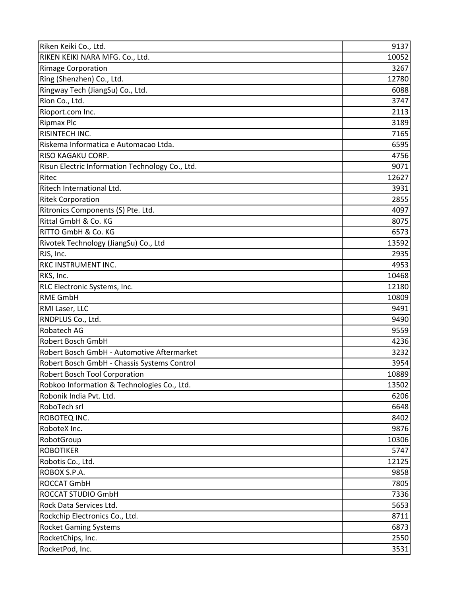| Riken Keiki Co., Ltd.                           | 9137  |
|-------------------------------------------------|-------|
| RIKEN KEIKI NARA MFG. Co., Ltd.                 | 10052 |
| <b>Rimage Corporation</b>                       | 3267  |
| Ring (Shenzhen) Co., Ltd.                       | 12780 |
| Ringway Tech (JiangSu) Co., Ltd.                | 6088  |
| Rion Co., Ltd.                                  | 3747  |
| Rioport.com Inc.                                | 2113  |
| <b>Ripmax Plc</b>                               | 3189  |
| <b>RISINTECH INC.</b>                           | 7165  |
| Riskema Informatica e Automacao Ltda.           | 6595  |
| RISO KAGAKU CORP.                               | 4756  |
| Risun Electric Information Technology Co., Ltd. | 9071  |
| Ritec                                           | 12627 |
| Ritech International Ltd.                       | 3931  |
| <b>Ritek Corporation</b>                        | 2855  |
| Ritronics Components (S) Pte. Ltd.              | 4097  |
| Rittal GmbH & Co. KG                            | 8075  |
| RITTO GmbH & Co. KG                             | 6573  |
| Rivotek Technology (JiangSu) Co., Ltd           | 13592 |
| RJS, Inc.                                       | 2935  |
| RKC INSTRUMENT INC.                             | 4953  |
| RKS, Inc.                                       | 10468 |
| RLC Electronic Systems, Inc.                    | 12180 |
| <b>RME GmbH</b>                                 | 10809 |
| RMI Laser, LLC                                  | 9491  |
| RNDPLUS Co., Ltd.                               | 9490  |
| Robatech AG                                     | 9559  |
| <b>Robert Bosch GmbH</b>                        | 4236  |
| Robert Bosch GmbH - Automotive Aftermarket      | 3232  |
| Robert Bosch GmbH - Chassis Systems Control     | 3954  |
| <b>Robert Bosch Tool Corporation</b>            | 10889 |
| Robkoo Information & Technologies Co., Ltd.     | 13502 |
| Robonik India Pvt. Ltd.                         | 6206  |
| RoboTech srl                                    | 6648  |
| ROBOTEQ INC.                                    | 8402  |
| RoboteX Inc.                                    | 9876  |
| RobotGroup                                      | 10306 |
| <b>ROBOTIKER</b>                                | 5747  |
| Robotis Co., Ltd.                               | 12125 |
| ROBOX S.P.A.                                    | 9858  |
| ROCCAT GmbH                                     | 7805  |
| ROCCAT STUDIO GmbH                              | 7336  |
| Rock Data Services Ltd.                         | 5653  |
| Rockchip Electronics Co., Ltd.                  | 8711  |
| <b>Rocket Gaming Systems</b>                    | 6873  |
| RocketChips, Inc.                               | 2550  |
| RocketPod, Inc.                                 | 3531  |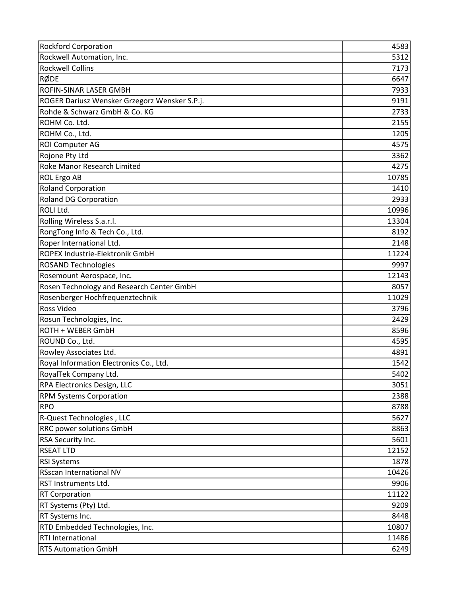| <b>Rockford Corporation</b>                   | 4583  |
|-----------------------------------------------|-------|
| Rockwell Automation, Inc.                     | 5312  |
| <b>Rockwell Collins</b>                       | 7173  |
| RØDE                                          | 6647  |
| <b>ROFIN-SINAR LASER GMBH</b>                 | 7933  |
| ROGER Dariusz Wensker Grzegorz Wensker S.P.j. | 9191  |
| Rohde & Schwarz GmbH & Co. KG                 | 2733  |
| ROHM Co. Ltd.                                 | 2155  |
| ROHM Co., Ltd.                                | 1205  |
| <b>ROI Computer AG</b>                        | 4575  |
| Rojone Pty Ltd                                | 3362  |
| <b>Roke Manor Research Limited</b>            | 4275  |
| <b>ROL Ergo AB</b>                            | 10785 |
| <b>Roland Corporation</b>                     | 1410  |
| <b>Roland DG Corporation</b>                  | 2933  |
| <b>ROLI Ltd.</b>                              | 10996 |
| Rolling Wireless S.a.r.l.                     | 13304 |
| RongTong Info & Tech Co., Ltd.                | 8192  |
| Roper International Ltd.                      | 2148  |
| ROPEX Industrie-Elektronik GmbH               | 11224 |
| <b>ROSAND Technologies</b>                    | 9997  |
| Rosemount Aerospace, Inc.                     | 12143 |
| Rosen Technology and Research Center GmbH     | 8057  |
| Rosenberger Hochfrequenztechnik               | 11029 |
| Ross Video                                    | 3796  |
| Rosun Technologies, Inc.                      | 2429  |
| <b>ROTH + WEBER GmbH</b>                      | 8596  |
| ROUND Co., Ltd.                               | 4595  |
| Rowley Associates Ltd.                        | 4891  |
| Royal Information Electronics Co., Ltd.       | 1542  |
| RoyalTek Company Ltd.                         | 5402  |
| RPA Electronics Design, LLC                   | 3051  |
| <b>RPM Systems Corporation</b>                | 2388  |
| <b>RPO</b>                                    | 8788  |
| R-Quest Technologies, LLC                     | 5627  |
| <b>RRC power solutions GmbH</b>               | 8863  |
| RSA Security Inc.                             | 5601  |
| <b>RSEAT LTD</b>                              | 12152 |
| <b>RSI Systems</b>                            | 1878  |
| <b>RSscan International NV</b>                | 10426 |
| RST Instruments Ltd.                          | 9906  |
| <b>RT Corporation</b>                         | 11122 |
| RT Systems (Pty) Ltd.                         | 9209  |
| RT Systems Inc.                               | 8448  |
| RTD Embedded Technologies, Inc.               | 10807 |
| RTI International                             | 11486 |
| <b>RTS Automation GmbH</b>                    | 6249  |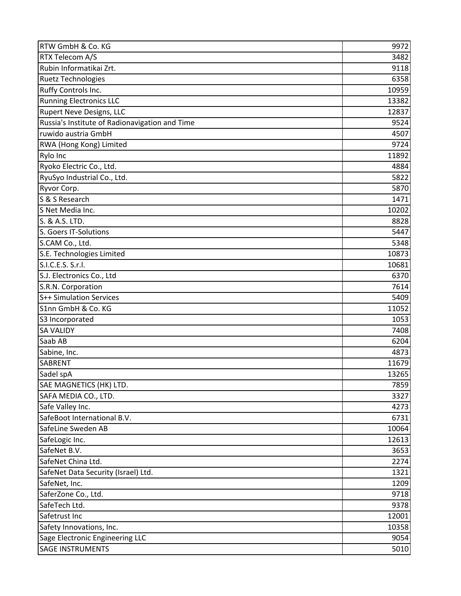| RTW GmbH & Co. KG                              | 9972  |
|------------------------------------------------|-------|
| RTX Telecom A/S                                | 3482  |
| Rubin Informatikai Zrt.                        | 9118  |
| Ruetz Technologies                             | 6358  |
| Ruffy Controls Inc.                            | 10959 |
| <b>Running Electronics LLC</b>                 | 13382 |
| <b>Rupert Neve Designs, LLC</b>                | 12837 |
| Russia's Institute of Radionavigation and Time | 9524  |
| ruwido austria GmbH                            | 4507  |
| RWA (Hong Kong) Limited                        | 9724  |
| Rylo Inc                                       | 11892 |
| Ryoko Electric Co., Ltd.                       | 4884  |
| RyuSyo Industrial Co., Ltd.                    | 5822  |
| Ryvor Corp.                                    | 5870  |
| S & S Research                                 | 1471  |
| S Net Media Inc.                               | 10202 |
| S. & A.S. LTD.                                 | 8828  |
| S. Goers IT-Solutions                          | 5447  |
| S.CAM Co., Ltd.                                | 5348  |
| S.E. Technologies Limited                      | 10873 |
| S.I.C.E.S. S.r.I.                              | 10681 |
| S.J. Electronics Co., Ltd                      | 6370  |
| S.R.N. Corporation                             | 7614  |
| S++ Simulation Services                        | 5409  |
| S1nn GmbH & Co. KG                             | 11052 |
| S3 Incorporated                                | 1053  |
| <b>SA VALIDY</b>                               | 7408  |
| Saab AB                                        | 6204  |
| Sabine, Inc.                                   | 4873  |
| SABRENT                                        | 11679 |
| Sadel spA                                      | 13265 |
| SAE MAGNETICS (HK) LTD.                        | 7859  |
| SAFA MEDIA CO., LTD.                           | 3327  |
| Safe Valley Inc.                               | 4273  |
| SafeBoot International B.V.                    | 6731  |
| SafeLine Sweden AB                             | 10064 |
| SafeLogic Inc.                                 | 12613 |
| SafeNet B.V.                                   | 3653  |
| SafeNet China Ltd.                             | 2274  |
| SafeNet Data Security (Israel) Ltd.            | 1321  |
| SafeNet, Inc.                                  | 1209  |
| SaferZone Co., Ltd.                            | 9718  |
| SafeTech Ltd.                                  | 9378  |
| Safetrust Inc                                  | 12001 |
| Safety Innovations, Inc.                       | 10358 |
| Sage Electronic Engineering LLC                | 9054  |
| <b>SAGE INSTRUMENTS</b>                        | 5010  |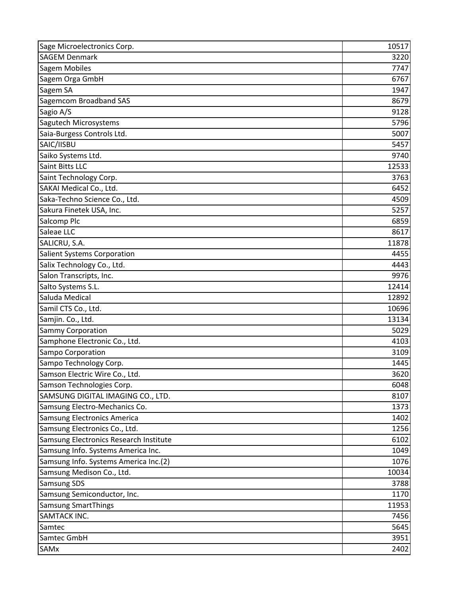| Sage Microelectronics Corp.            | 10517 |
|----------------------------------------|-------|
| <b>SAGEM Denmark</b>                   | 3220  |
| <b>Sagem Mobiles</b>                   | 7747  |
| Sagem Orga GmbH                        | 6767  |
| Sagem SA                               | 1947  |
| Sagemcom Broadband SAS                 | 8679  |
| Sagio A/S                              | 9128  |
| Sagutech Microsystems                  | 5796  |
| Saia-Burgess Controls Ltd.             | 5007  |
| SAIC/IISBU                             | 5457  |
| Saiko Systems Ltd.                     | 9740  |
| Saint Bitts LLC                        | 12533 |
| Saint Technology Corp.                 | 3763  |
| SAKAI Medical Co., Ltd.                | 6452  |
| Saka-Techno Science Co., Ltd.          | 4509  |
| Sakura Finetek USA, Inc.               | 5257  |
| Salcomp Plc                            | 6859  |
| Saleae LLC                             | 8617  |
| SALICRU, S.A.                          | 11878 |
| <b>Salient Systems Corporation</b>     | 4455  |
| Salix Technology Co., Ltd.             | 4443  |
| Salon Transcripts, Inc.                | 9976  |
| Salto Systems S.L.                     | 12414 |
| Saluda Medical                         | 12892 |
| Samil CTS Co., Ltd.                    | 10696 |
| Samjin. Co., Ltd.                      | 13134 |
| <b>Sammy Corporation</b>               | 5029  |
| Samphone Electronic Co., Ltd.          | 4103  |
| Sampo Corporation                      | 3109  |
| Sampo Technology Corp.                 | 1445  |
| Samson Electric Wire Co., Ltd.         | 3620  |
| Samson Technologies Corp.              | 6048  |
| SAMSUNG DIGITAL IMAGING CO., LTD.      | 8107  |
| Samsung Electro-Mechanics Co.          | 1373  |
| <b>Samsung Electronics America</b>     | 1402  |
| Samsung Electronics Co., Ltd.          | 1256  |
| Samsung Electronics Research Institute | 6102  |
| Samsung Info. Systems America Inc.     | 1049  |
| Samsung Info. Systems America Inc.(2)  | 1076  |
| Samsung Medison Co., Ltd.              | 10034 |
| <b>Samsung SDS</b>                     | 3788  |
| Samsung Semiconductor, Inc.            | 1170  |
| <b>Samsung SmartThings</b>             | 11953 |
| SAMTACK INC.                           | 7456  |
| Samtec                                 | 5645  |
| Samtec GmbH                            | 3951  |
| <b>SAMx</b>                            | 2402  |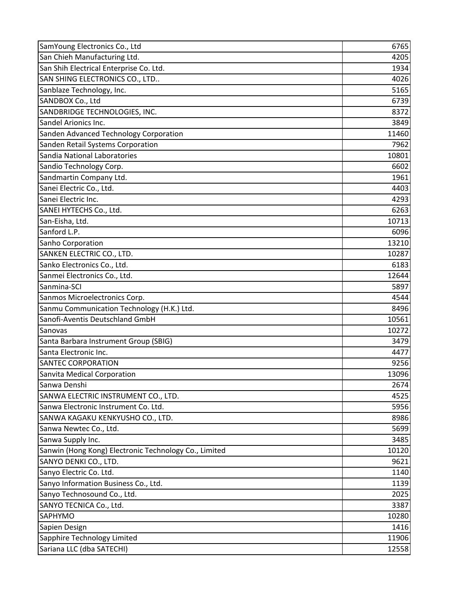| SamYoung Electronics Co., Ltd                         | 6765  |
|-------------------------------------------------------|-------|
| San Chieh Manufacturing Ltd.                          | 4205  |
| San Shih Electrical Enterprise Co. Ltd.               | 1934  |
| SAN SHING ELECTRONICS CO., LTD                        | 4026  |
| Sanblaze Technology, Inc.                             | 5165  |
| SANDBOX Co., Ltd                                      | 6739  |
| SANDBRIDGE TECHNOLOGIES, INC.                         | 8372  |
| Sandel Arionics Inc.                                  | 3849  |
| Sanden Advanced Technology Corporation                | 11460 |
| Sanden Retail Systems Corporation                     | 7962  |
| Sandia National Laboratories                          | 10801 |
| Sandio Technology Corp.                               | 6602  |
| Sandmartin Company Ltd.                               | 1961  |
| Sanei Electric Co., Ltd.                              | 4403  |
| Sanei Electric Inc.                                   | 4293  |
| SANEI HYTECHS Co., Ltd.                               | 6263  |
| San-Eisha, Ltd.                                       | 10713 |
| Sanford L.P.                                          | 6096  |
| Sanho Corporation                                     | 13210 |
| SANKEN ELECTRIC CO., LTD.                             | 10287 |
| Sanko Electronics Co., Ltd.                           | 6183  |
| Sanmei Electronics Co., Ltd.                          | 12644 |
| Sanmina-SCI                                           | 5897  |
| Sanmos Microelectronics Corp.                         | 4544  |
| Sanmu Communication Technology (H.K.) Ltd.            | 8496  |
| Sanofi-Aventis Deutschland GmbH                       | 10561 |
| Sanovas                                               | 10272 |
| Santa Barbara Instrument Group (SBIG)                 | 3479  |
| Santa Electronic Inc.                                 | 4477  |
| <b>SANTEC CORPORATION</b>                             | 9256  |
| <b>Sanvita Medical Corporation</b>                    | 13096 |
| Sanwa Denshi                                          | 2674  |
| SANWA ELECTRIC INSTRUMENT CO., LTD.                   | 4525  |
| Sanwa Electronic Instrument Co. Ltd.                  | 5956  |
| SANWA KAGAKU KENKYUSHO CO., LTD.                      | 8986  |
| Sanwa Newtec Co., Ltd.                                | 5699  |
| Sanwa Supply Inc.                                     | 3485  |
| Sanwin (Hong Kong) Electronic Technology Co., Limited | 10120 |
| SANYO DENKI CO., LTD.                                 | 9621  |
| Sanyo Electric Co. Ltd.                               | 1140  |
| Sanyo Information Business Co., Ltd.                  | 1139  |
| Sanyo Technosound Co., Ltd.                           | 2025  |
| SANYO TECNICA Co., Ltd.                               | 3387  |
| SAPHYMO                                               | 10280 |
| Sapien Design                                         | 1416  |
| Sapphire Technology Limited                           | 11906 |
| Sariana LLC (dba SATECHI)                             | 12558 |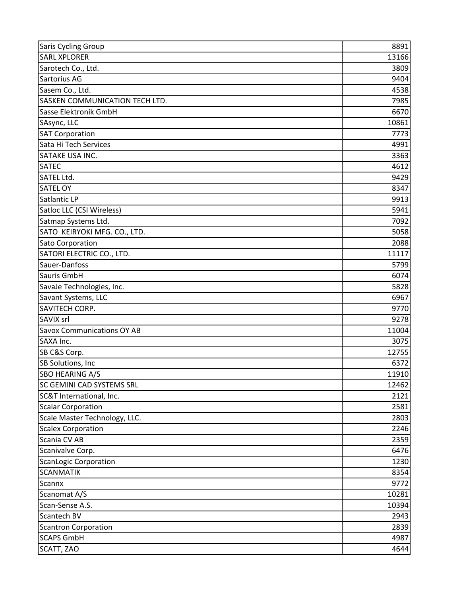| <b>Saris Cycling Group</b>        | 8891  |
|-----------------------------------|-------|
| <b>SARL XPLORER</b>               | 13166 |
| Sarotech Co., Ltd.                | 3809  |
| Sartorius AG                      | 9404  |
| Sasem Co., Ltd.                   | 4538  |
| SASKEN COMMUNICATION TECH LTD.    | 7985  |
| Sasse Elektronik GmbH             | 6670  |
| SAsync, LLC                       | 10861 |
| <b>SAT Corporation</b>            | 7773  |
| Sata Hi Tech Services             | 4991  |
| SATAKE USA INC.                   | 3363  |
| <b>SATEC</b>                      | 4612  |
| <b>SATEL Ltd.</b>                 | 9429  |
| <b>SATEL OY</b>                   | 8347  |
| Satlantic LP                      | 9913  |
| Satloc LLC (CSI Wireless)         | 5941  |
| Satmap Systems Ltd.               | 7092  |
| SATO KEIRYOKI MFG. CO., LTD.      | 5058  |
| Sato Corporation                  | 2088  |
| SATORI ELECTRIC CO., LTD.         | 11117 |
| Sauer-Danfoss                     | 5799  |
| Sauris GmbH                       | 6074  |
| SavaJe Technologies, Inc.         | 5828  |
| Savant Systems, LLC               | 6967  |
| SAVITECH CORP.                    | 9770  |
| <b>SAVIX srl</b>                  | 9278  |
| <b>Savox Communications OY AB</b> | 11004 |
| SAXA Inc.                         | 3075  |
| SB C&S Corp.                      | 12755 |
| SB Solutions, Inc                 | 6372  |
| <b>SBO HEARING A/S</b>            | 11910 |
| <b>SC GEMINI CAD SYSTEMS SRL</b>  | 12462 |
| SC&T International, Inc.          | 2121  |
| <b>Scalar Corporation</b>         | 2581  |
| Scale Master Technology, LLC.     | 2803  |
| <b>Scalex Corporation</b>         | 2246  |
| Scania CV AB                      | 2359  |
| Scanivalve Corp.                  | 6476  |
| <b>ScanLogic Corporation</b>      | 1230  |
| <b>SCANMATIK</b>                  | 8354  |
| <b>Scannx</b>                     | 9772  |
| Scanomat A/S                      | 10281 |
| Scan-Sense A.S.                   | 10394 |
| Scantech BV                       | 2943  |
| <b>Scantron Corporation</b>       | 2839  |
| <b>SCAPS GmbH</b>                 | 4987  |
| SCATT, ZAO                        | 4644  |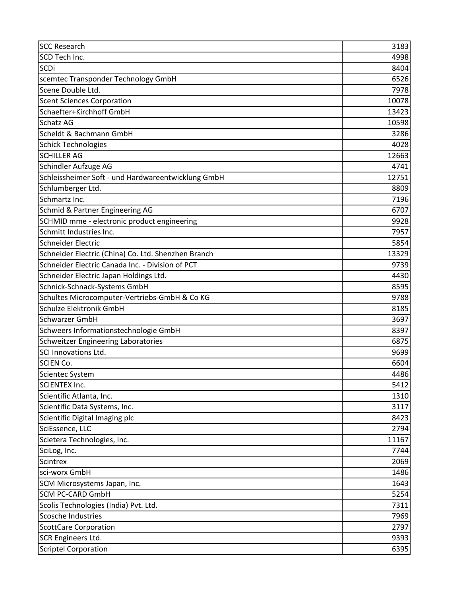| <b>SCC Research</b>                                 | 3183  |
|-----------------------------------------------------|-------|
| SCD Tech Inc.                                       | 4998  |
| <b>SCDi</b>                                         | 8404  |
| scemtec Transponder Technology GmbH                 | 6526  |
| Scene Double Ltd.                                   | 7978  |
| <b>Scent Sciences Corporation</b>                   | 10078 |
| Schaefter+Kirchhoff GmbH                            | 13423 |
| <b>Schatz AG</b>                                    | 10598 |
| Scheldt & Bachmann GmbH                             | 3286  |
| <b>Schick Technologies</b>                          | 4028  |
| <b>SCHILLER AG</b>                                  | 12663 |
| Schindler Aufzuge AG                                | 4741  |
| Schleissheimer Soft - und Hardwareentwicklung GmbH  | 12751 |
| Schlumberger Ltd.                                   | 8809  |
| Schmartz Inc.                                       | 7196  |
| Schmid & Partner Engineering AG                     | 6707  |
| SCHMID mme - electronic product engineering         | 9928  |
| Schmitt Industries Inc.                             | 7957  |
| Schneider Electric                                  | 5854  |
| Schneider Electric (China) Co. Ltd. Shenzhen Branch | 13329 |
| Schneider Electric Canada Inc. - Division of PCT    | 9739  |
| Schneider Electric Japan Holdings Ltd.              | 4430  |
| Schnick-Schnack-Systems GmbH                        | 8595  |
| Schultes Microcomputer-Vertriebs-GmbH & Co KG       | 9788  |
| <b>Schulze Elektronik GmbH</b>                      | 8185  |
| <b>Schwarzer GmbH</b>                               | 3697  |
| Schweers Informationstechnologie GmbH               | 8397  |
| Schweitzer Engineering Laboratories                 | 6875  |
| SCI Innovations Ltd.                                | 9699  |
| <b>SCIEN Co.</b>                                    | 6604  |
| <b>Scientec System</b>                              | 4486  |
| <b>SCIENTEX Inc.</b>                                | 5412  |
| Scientific Atlanta, Inc.                            | 1310  |
| Scientific Data Systems, Inc.                       | 3117  |
| Scientific Digital Imaging plc                      | 8423  |
| SciEssence, LLC                                     | 2794  |
| Scietera Technologies, Inc.                         | 11167 |
| SciLog, Inc.                                        | 7744  |
| Scintrex                                            | 2069  |
| sci-worx GmbH                                       | 1486  |
| SCM Microsystems Japan, Inc.                        | 1643  |
| <b>SCM PC-CARD GmbH</b>                             | 5254  |
| Scolis Technologies (India) Pvt. Ltd.               | 7311  |
| Scosche Industries                                  | 7969  |
| <b>ScottCare Corporation</b>                        | 2797  |
| <b>SCR Engineers Ltd.</b>                           | 9393  |
| <b>Scriptel Corporation</b>                         | 6395  |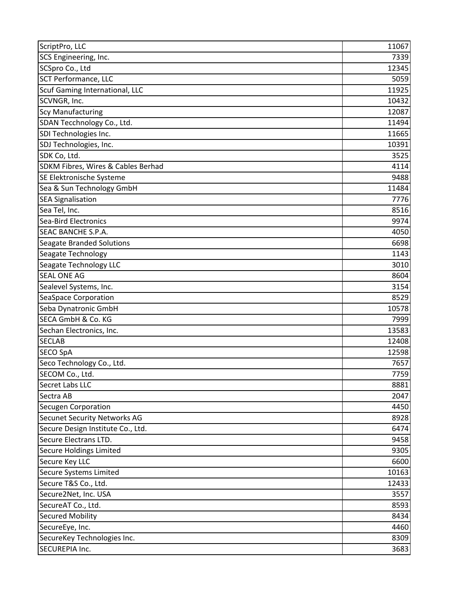| ScriptPro, LLC                      | 11067 |
|-------------------------------------|-------|
| SCS Engineering, Inc.               | 7339  |
| SCSpro Co., Ltd                     | 12345 |
| <b>SCT Performance, LLC</b>         | 5059  |
| Scuf Gaming International, LLC      | 11925 |
| SCVNGR, Inc.                        | 10432 |
| <b>Scy Manufacturing</b>            | 12087 |
| SDAN Tecchnology Co., Ltd.          | 11494 |
| SDI Technologies Inc.               | 11665 |
| SDJ Technologies, Inc.              | 10391 |
| SDK Co, Ltd.                        | 3525  |
| SDKM Fibres, Wires & Cables Berhad  | 4114  |
| SE Elektronische Systeme            | 9488  |
| Sea & Sun Technology GmbH           | 11484 |
| <b>SEA Signalisation</b>            | 7776  |
| Sea Tel, Inc.                       | 8516  |
| Sea-Bird Electronics                | 9974  |
| <b>SEAC BANCHE S.P.A.</b>           | 4050  |
| <b>Seagate Branded Solutions</b>    | 6698  |
| Seagate Technology                  | 1143  |
| <b>Seagate Technology LLC</b>       | 3010  |
| <b>SEAL ONE AG</b>                  | 8604  |
| Sealevel Systems, Inc.              | 3154  |
| <b>SeaSpace Corporation</b>         | 8529  |
| Seba Dynatronic GmbH                | 10578 |
| SECA GmbH & Co. KG                  | 7999  |
| Sechan Electronics, Inc.            | 13583 |
| <b>SECLAB</b>                       | 12408 |
| <b>SECO SpA</b>                     | 12598 |
| Seco Technology Co., Ltd.           | 7657  |
| SECOM Co., Ltd.                     | 7759  |
| Secret Labs LLC                     | 8881  |
| Sectra AB                           | 2047  |
| <b>Secugen Corporation</b>          | 4450  |
| <b>Secunet Security Networks AG</b> | 8928  |
| Secure Design Institute Co., Ltd.   | 6474  |
| Secure Electrans LTD.               | 9458  |
| <b>Secure Holdings Limited</b>      | 9305  |
| Secure Key LLC                      | 6600  |
| <b>Secure Systems Limited</b>       | 10163 |
| Secure T&S Co., Ltd.                | 12433 |
| Secure2Net, Inc. USA                | 3557  |
| SecureAT Co., Ltd.                  | 8593  |
| <b>Secured Mobility</b>             | 8434  |
| SecureEye, Inc.                     | 4460  |
| SecureKey Technologies Inc.         | 8309  |
| SECUREPIA Inc.                      | 3683  |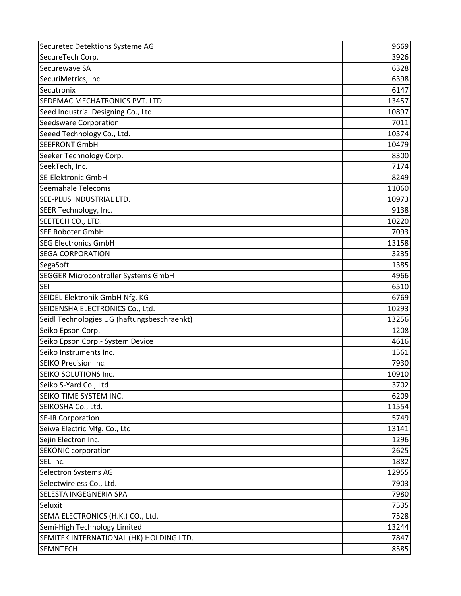| Securetec Detektions Systeme AG             | 9669  |
|---------------------------------------------|-------|
| SecureTech Corp.                            | 3926  |
| Securewave SA                               | 6328  |
| SecuriMetrics, Inc.                         | 6398  |
| Secutronix                                  | 6147  |
| SEDEMAC MECHATRONICS PVT. LTD.              | 13457 |
| Seed Industrial Designing Co., Ltd.         | 10897 |
| <b>Seedsware Corporation</b>                | 7011  |
| Seeed Technology Co., Ltd.                  | 10374 |
| <b>SEEFRONT GmbH</b>                        | 10479 |
| Seeker Technology Corp.                     | 8300  |
| SeekTech, Inc.                              | 7174  |
| <b>SE-Elektronic GmbH</b>                   | 8249  |
| Seemahale Telecoms                          | 11060 |
| <b>SEE-PLUS INDUSTRIAL LTD.</b>             | 10973 |
| SEER Technology, Inc.                       | 9138  |
| SEETECH CO., LTD.                           | 10220 |
| <b>SEF Roboter GmbH</b>                     | 7093  |
| <b>SEG Electronics GmbH</b>                 | 13158 |
| <b>SEGA CORPORATION</b>                     | 3235  |
| SegaSoft                                    | 1385  |
| SEGGER Microcontroller Systems GmbH         | 4966  |
| <b>SEI</b>                                  | 6510  |
| SEIDEL Elektronik GmbH Nfg. KG              | 6769  |
| SEIDENSHA ELECTRONICS Co., Ltd.             | 10293 |
| Seidl Technologies UG (haftungsbeschraenkt) | 13256 |
| Seiko Epson Corp.                           | 1208  |
| Seiko Epson Corp.- System Device            | 4616  |
| Seiko Instruments Inc.                      | 1561  |
| <b>SEIKO Precision Inc.</b>                 | 7930  |
| SEIKO SOLUTIONS Inc.                        | 10910 |
| Seiko S-Yard Co., Ltd                       | 3702  |
| SEIKO TIME SYSTEM INC.                      | 6209  |
| SEIKOSHA Co., Ltd.                          | 11554 |
| <b>SE-IR Corporation</b>                    | 5749  |
| Seiwa Electric Mfg. Co., Ltd                | 13141 |
| Sejin Electron Inc.                         | 1296  |
| <b>SEKONIC corporation</b>                  | 2625  |
| SEL Inc.                                    | 1882  |
| Selectron Systems AG                        | 12955 |
| Selectwireless Co., Ltd.                    | 7903  |
| <b>SELESTA INGEGNERIA SPA</b>               | 7980  |
| Seluxit                                     | 7535  |
| SEMA ELECTRONICS (H.K.) CO., Ltd.           | 7528  |
| Semi-High Technology Limited                | 13244 |
| SEMITEK INTERNATIONAL (HK) HOLDING LTD.     | 7847  |
| <b>SEMNTECH</b>                             | 8585  |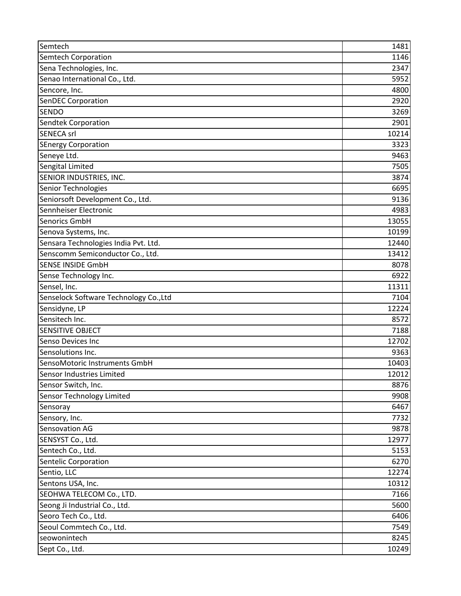| Semtech                                | 1481  |
|----------------------------------------|-------|
| <b>Semtech Corporation</b>             | 1146  |
| Sena Technologies, Inc.                | 2347  |
| Senao International Co., Ltd.          | 5952  |
| Sencore, Inc.                          | 4800  |
| SenDEC Corporation                     | 2920  |
| <b>SENDO</b>                           | 3269  |
| <b>Sendtek Corporation</b>             | 2901  |
| <b>SENECA srl</b>                      | 10214 |
| <b>SEnergy Corporation</b>             | 3323  |
| Seneye Ltd.                            | 9463  |
| Sengital Limited                       | 7505  |
| SENIOR INDUSTRIES, INC.                | 3874  |
| Senior Technologies                    | 6695  |
| Seniorsoft Development Co., Ltd.       | 9136  |
| Sennheiser Electronic                  | 4983  |
| Senorics GmbH                          | 13055 |
| Senova Systems, Inc.                   | 10199 |
| Sensara Technologies India Pvt. Ltd.   | 12440 |
| Senscomm Semiconductor Co., Ltd.       | 13412 |
| <b>SENSE INSIDE GmbH</b>               | 8078  |
| Sense Technology Inc.                  | 6922  |
| Sensel, Inc.                           | 11311 |
| Senselock Software Technology Co., Ltd | 7104  |
| Sensidyne, LP                          | 12224 |
| Sensitech Inc.                         | 8572  |
| <b>SENSITIVE OBJECT</b>                | 7188  |
| Senso Devices Inc                      | 12702 |
| Sensolutions Inc.                      | 9363  |
| SensoMotoric Instruments GmbH          | 10403 |
| Sensor Industries Limited              | 12012 |
| Sensor Switch, Inc.                    | 8876  |
| <b>Sensor Technology Limited</b>       | 9908  |
| Sensoray                               | 6467  |
| Sensory, Inc.                          | 7732  |
| Sensovation AG                         | 9878  |
| SENSYST Co., Ltd.                      | 12977 |
| Sentech Co., Ltd.                      | 5153  |
| Sentelic Corporation                   | 6270  |
| Sentio, LLC                            | 12274 |
| Sentons USA, Inc.                      | 10312 |
| SEOHWA TELECOM Co., LTD.               | 7166  |
| Seong Ji Industrial Co., Ltd.          | 5600  |
| Seoro Tech Co., Ltd.                   | 6406  |
| Seoul Commtech Co., Ltd.               | 7549  |
| seowonintech                           | 8245  |
| Sept Co., Ltd.                         | 10249 |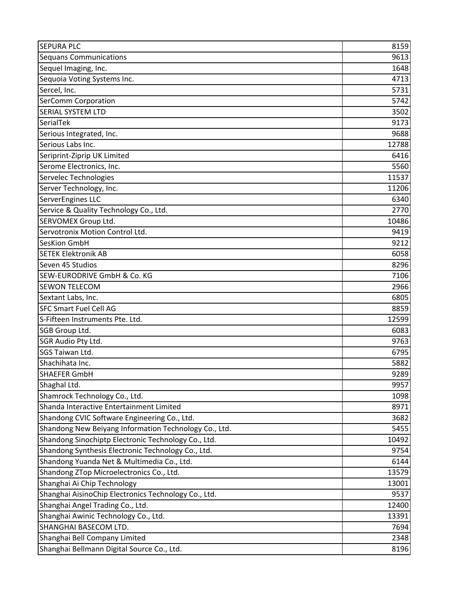| <b>SEPURA PLC</b>                                     | 8159  |
|-------------------------------------------------------|-------|
| <b>Sequans Communications</b>                         | 9613  |
| Sequel Imaging, Inc.                                  | 1648  |
| Sequoia Voting Systems Inc.                           | 4713  |
| Sercel, Inc.                                          | 5731  |
| <b>SerComm Corporation</b>                            | 5742  |
| <b>SERIAL SYSTEM LTD</b>                              | 3502  |
| SerialTek                                             | 9173  |
| Serious Integrated, Inc.                              | 9688  |
| Serious Labs Inc.                                     | 12788 |
| Seriprint-Ziprip UK Limited                           | 6416  |
| Serome Electronics, Inc.                              | 5560  |
| Servelec Technologies                                 | 11537 |
| Server Technology, Inc.                               | 11206 |
| ServerEngines LLC                                     | 6340  |
| Service & Quality Technology Co., Ltd.                | 2770  |
| <b>SERVOMEX Group Ltd.</b>                            | 10486 |
| Servotronix Motion Control Ltd.                       | 9419  |
| <b>SesKion GmbH</b>                                   | 9212  |
| <b>SETEK Elektronik AB</b>                            | 6058  |
| Seven 45 Studios                                      | 8296  |
| <b>SEW-EURODRIVE GmbH &amp; Co. KG</b>                | 7106  |
| <b>SEWON TELECOM</b>                                  | 2966  |
| Sextant Labs, Inc.                                    | 6805  |
| <b>SFC Smart Fuel Cell AG</b>                         | 8859  |
| S-Fifteen Instruments Pte. Ltd.                       | 12599 |
| SGB Group Ltd.                                        | 6083  |
| SGR Audio Pty Ltd.                                    | 9763  |
| SGS Taiwan Ltd.                                       | 6795  |
| Shachihata Inc.                                       | 5882  |
| SHAEFER GmbH                                          | 9289  |
| Shaghal Ltd.                                          | 9957  |
| Shamrock Technology Co., Ltd.                         | 1098  |
| Shanda Interactive Entertainment Limited              | 8971  |
| Shandong CVIC Software Engineering Co., Ltd.          | 3682  |
| Shandong New Beiyang Information Technology Co., Ltd. | 5455  |
| Shandong Sinochiptp Electronic Technology Co., Ltd.   | 10492 |
| Shandong Synthesis Electronic Technology Co., Ltd.    | 9754  |
| Shandong Yuanda Net & Multimedia Co., Ltd.            | 6144  |
| Shandong ZTop Microelectronics Co., Ltd.              | 13579 |
| Shanghai Ai Chip Technology                           | 13001 |
| Shanghai AisinoChip Electronics Technology Co., Ltd.  | 9537  |
| Shanghai Angel Trading Co., Ltd.                      | 12400 |
| Shanghai Awinic Technology Co., Ltd.                  | 13391 |
| SHANGHAI BASECOM LTD.                                 | 7694  |
| Shanghai Bell Company Limited                         | 2348  |
| Shanghai Bellmann Digital Source Co., Ltd.            | 8196  |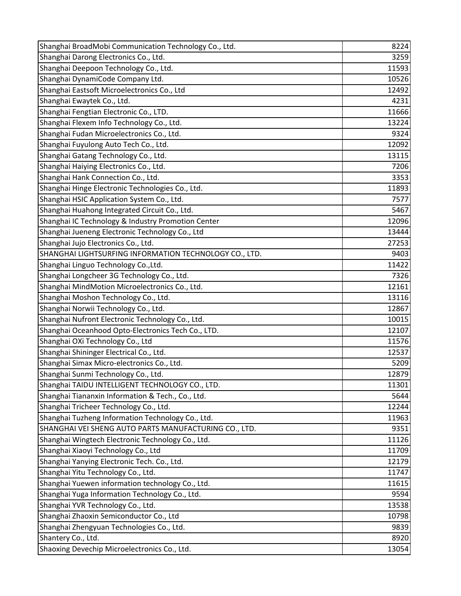| Shanghai BroadMobi Communication Technology Co., Ltd.  | 8224  |
|--------------------------------------------------------|-------|
| Shanghai Darong Electronics Co., Ltd.                  | 3259  |
| Shanghai Deepoon Technology Co., Ltd.                  | 11593 |
| Shanghai DynamiCode Company Ltd.                       | 10526 |
| Shanghai Eastsoft Microelectronics Co., Ltd            | 12492 |
| Shanghai Ewaytek Co., Ltd.                             | 4231  |
| Shanghai Fengtian Electronic Co., LTD.                 | 11666 |
| Shanghai Flexem Info Technology Co., Ltd.              | 13224 |
| Shanghai Fudan Microelectronics Co., Ltd.              | 9324  |
| Shanghai Fuyulong Auto Tech Co., Ltd.                  | 12092 |
| Shanghai Gatang Technology Co., Ltd.                   | 13115 |
| Shanghai Haiying Electronics Co., Ltd.                 | 7206  |
| Shanghai Hank Connection Co., Ltd.                     | 3353  |
| Shanghai Hinge Electronic Technologies Co., Ltd.       | 11893 |
| Shanghai HSIC Application System Co., Ltd.             | 7577  |
| Shanghai Huahong Integrated Circuit Co., Ltd.          | 5467  |
| Shanghai IC Technology & Industry Promotion Center     | 12096 |
| Shanghai Jueneng Electronic Technology Co., Ltd        | 13444 |
| Shanghai Jujo Electronics Co., Ltd.                    | 27253 |
| SHANGHAI LIGHTSURFING INFORMATION TECHNOLOGY CO., LTD. | 9403  |
| Shanghai Linguo Technology Co., Ltd.                   | 11422 |
| Shanghai Longcheer 3G Technology Co., Ltd.             | 7326  |
| Shanghai MindMotion Microelectronics Co., Ltd.         | 12161 |
| Shanghai Moshon Technology Co., Ltd.                   | 13116 |
| Shanghai Norwii Technology Co., Ltd.                   | 12867 |
| Shanghai Nufront Electronic Technology Co., Ltd.       | 10015 |
| Shanghai Oceanhood Opto-Electronics Tech Co., LTD.     | 12107 |
| Shanghai OXi Technology Co., Ltd                       | 11576 |
| Shanghai Shininger Electrical Co., Ltd.                | 12537 |
| Shanghai Simax Micro-electronics Co., Ltd.             | 5209  |
| Shanghai Sunmi Technology Co., Ltd.                    | 12879 |
| Shanghai TAIDU INTELLIGENT TECHNOLOGY CO., LTD.        | 11301 |
| Shanghai Tiananxin Information & Tech., Co., Ltd.      | 5644  |
| Shanghai Tricheer Technology Co., Ltd.                 | 12244 |
| Shanghai Tuzheng Information Technology Co., Ltd.      | 11963 |
| SHANGHAI VEI SHENG AUTO PARTS MANUFACTURING CO., LTD.  | 9351  |
| Shanghai Wingtech Electronic Technology Co., Ltd.      | 11126 |
| Shanghai Xiaoyi Technology Co., Ltd                    | 11709 |
| Shanghai Yanying Electronic Tech. Co., Ltd.            | 12179 |
| Shanghai Yitu Technology Co., Ltd.                     | 11747 |
| Shanghai Yuewen information technology Co., Ltd.       | 11615 |
| Shanghai Yuga Information Technology Co., Ltd.         | 9594  |
| Shanghai YVR Technology Co., Ltd.                      | 13538 |
| Shanghai Zhaoxin Semiconductor Co., Ltd                | 10798 |
| Shanghai Zhengyuan Technologies Co., Ltd.              | 9839  |
| Shantery Co., Ltd.                                     | 8920  |
| Shaoxing Devechip Microelectronics Co., Ltd.           | 13054 |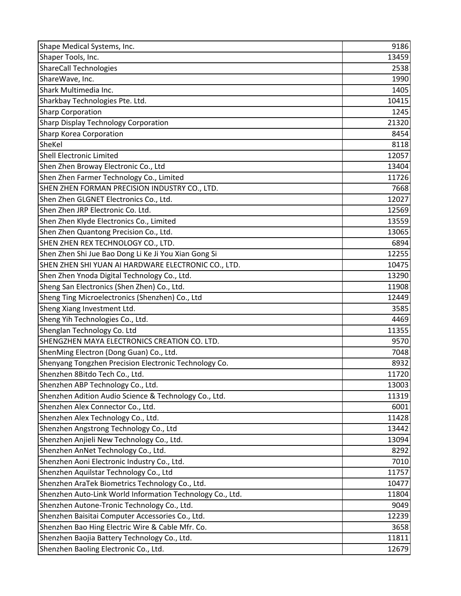| Shape Medical Systems, Inc.                               | 9186  |
|-----------------------------------------------------------|-------|
| Shaper Tools, Inc.                                        | 13459 |
| <b>ShareCall Technologies</b>                             | 2538  |
| ShareWave, Inc.                                           | 1990  |
| Shark Multimedia Inc.                                     | 1405  |
| Sharkbay Technologies Pte. Ltd.                           | 10415 |
| <b>Sharp Corporation</b>                                  | 1245  |
| <b>Sharp Display Technology Corporation</b>               | 21320 |
| <b>Sharp Korea Corporation</b>                            | 8454  |
| SheKel                                                    | 8118  |
| <b>Shell Electronic Limited</b>                           | 12057 |
| Shen Zhen Broway Electronic Co., Ltd                      | 13404 |
| Shen Zhen Farmer Technology Co., Limited                  | 11726 |
| SHEN ZHEN FORMAN PRECISION INDUSTRY CO., LTD.             | 7668  |
| Shen Zhen GLGNET Electronics Co., Ltd.                    | 12027 |
| Shen Zhen JRP Electronic Co. Ltd.                         | 12569 |
| Shen Zhen Klyde Electronics Co., Limited                  | 13559 |
| Shen Zhen Quantong Precision Co., Ltd.                    | 13065 |
| SHEN ZHEN REX TECHNOLOGY CO., LTD.                        | 6894  |
| Shen Zhen Shi Jue Bao Dong Li Ke Ji You Xian Gong Si      | 12255 |
| SHEN ZHEN SHI YUAN AI HARDWARE ELECTRONIC CO., LTD.       | 10475 |
| Shen Zhen Ynoda Digital Technology Co., Ltd.              | 13290 |
| Sheng San Electronics (Shen Zhen) Co., Ltd.               | 11908 |
| Sheng Ting Microelectronics (Shenzhen) Co., Ltd           | 12449 |
| Sheng Xiang Investment Ltd.                               | 3585  |
| Sheng Yih Technologies Co., Ltd.                          | 4469  |
| Shenglan Technology Co. Ltd                               | 11355 |
| SHENGZHEN MAYA ELECTRONICS CREATION CO. LTD.              | 9570  |
| ShenMing Electron (Dong Guan) Co., Ltd.                   | 7048  |
| Shenyang Tongzhen Precision Electronic Technology Co.     | 8932  |
| Shenzhen 8Bitdo Tech Co., Ltd.                            | 11720 |
| Shenzhen ABP Technology Co., Ltd.                         | 13003 |
| Shenzhen Adition Audio Science & Technology Co., Ltd.     | 11319 |
| Shenzhen Alex Connector Co., Ltd.                         | 6001  |
| Shenzhen Alex Technology Co., Ltd.                        | 11428 |
| Shenzhen Angstrong Technology Co., Ltd                    | 13442 |
| Shenzhen Anjieli New Technology Co., Ltd.                 | 13094 |
| Shenzhen AnNet Technology Co., Ltd.                       | 8292  |
| Shenzhen Aoni Electronic Industry Co., Ltd.               | 7010  |
| Shenzhen Aquilstar Technology Co., Ltd                    | 11757 |
| Shenzhen AraTek Biometrics Technology Co., Ltd.           | 10477 |
| Shenzhen Auto-Link World Information Technology Co., Ltd. | 11804 |
| Shenzhen Autone-Tronic Technology Co., Ltd.               | 9049  |
| Shenzhen Baisitai Computer Accessories Co., Ltd.          | 12239 |
| Shenzhen Bao Hing Electric Wire & Cable Mfr. Co.          | 3658  |
| Shenzhen Baojia Battery Technology Co., Ltd.              | 11811 |
| Shenzhen Baoling Electronic Co., Ltd.                     | 12679 |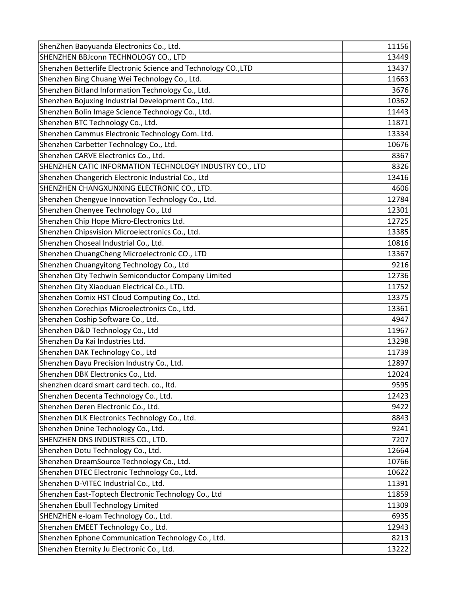| ShenZhen Baoyuanda Electronics Co., Ltd.                       | 11156 |
|----------------------------------------------------------------|-------|
| SHENZHEN BBJconn TECHNOLOGY CO., LTD                           | 13449 |
| Shenzhen Betterlife Electronic Science and Technology CO., LTD | 13437 |
| Shenzhen Bing Chuang Wei Technology Co., Ltd.                  | 11663 |
| Shenzhen Bitland Information Technology Co., Ltd.              | 3676  |
| Shenzhen Bojuxing Industrial Development Co., Ltd.             | 10362 |
| Shenzhen Bolin Image Science Technology Co., Ltd.              | 11443 |
| Shenzhen BTC Technology Co., Ltd.                              | 11871 |
| Shenzhen Cammus Electronic Technology Com. Ltd.                | 13334 |
| Shenzhen Carbetter Technology Co., Ltd.                        | 10676 |
| Shenzhen CARVE Electronics Co., Ltd.                           | 8367  |
| SHENZHEN CATIC INFORMATION TECHNOLOGY INDUSTRY CO., LTD        | 8326  |
| Shenzhen Changerich Electronic Industrial Co., Ltd             | 13416 |
| SHENZHEN CHANGXUNXING ELECTRONIC CO., LTD.                     | 4606  |
| Shenzhen Chengyue Innovation Technology Co., Ltd.              | 12784 |
| Shenzhen Chenyee Technology Co., Ltd                           | 12301 |
| Shenzhen Chip Hope Micro-Electronics Ltd.                      | 12725 |
| Shenzhen Chipsvision Microelectronics Co., Ltd.                | 13385 |
| Shenzhen Choseal Industrial Co., Ltd.                          | 10816 |
| Shenzhen ChuangCheng Microelectronic CO., LTD                  | 13367 |
| Shenzhen Chuangyitong Technology Co., Ltd                      | 9216  |
| Shenzhen City Techwin Semiconductor Company Limited            | 12736 |
| Shenzhen City Xiaoduan Electrical Co., LTD.                    | 11752 |
| Shenzhen Comix HST Cloud Computing Co., Ltd.                   | 13375 |
| Shenzhen Corechips Microelectronics Co., Ltd.                  | 13361 |
| Shenzhen Coship Software Co., Ltd.                             | 4947  |
| Shenzhen D&D Technology Co., Ltd                               | 11967 |
| Shenzhen Da Kai Industries Ltd.                                | 13298 |
| Shenzhen DAK Technology Co., Ltd                               | 11739 |
| Shenzhen Dayu Precision Industry Co., Ltd.                     | 12897 |
| Shenzhen DBK Electronics Co., Ltd.                             | 12024 |
| shenzhen dcard smart card tech. co., ltd.                      | 9595  |
| Shenzhen Decenta Technology Co., Ltd.                          | 12423 |
| Shenzhen Deren Electronic Co., Ltd.                            | 9422  |
| Shenzhen DLK Electronics Technology Co., Ltd.                  | 8843  |
| Shenzhen Dnine Technology Co., Ltd.                            | 9241  |
| SHENZHEN DNS INDUSTRIES CO., LTD.                              | 7207  |
| Shenzhen Dotu Technology Co., Ltd.                             | 12664 |
| Shenzhen DreamSource Technology Co., Ltd.                      | 10766 |
| Shenzhen DTEC Electronic Technology Co., Ltd.                  | 10622 |
| Shenzhen D-VITEC Industrial Co., Ltd.                          | 11391 |
| Shenzhen East-Toptech Electronic Technology Co., Ltd           | 11859 |
| Shenzhen Ebull Technology Limited                              | 11309 |
| SHENZHEN e-loam Technology Co., Ltd.                           | 6935  |
| Shenzhen EMEET Technology Co., Ltd.                            | 12943 |
| Shenzhen Ephone Communication Technology Co., Ltd.             | 8213  |
| Shenzhen Eternity Ju Electronic Co., Ltd.                      | 13222 |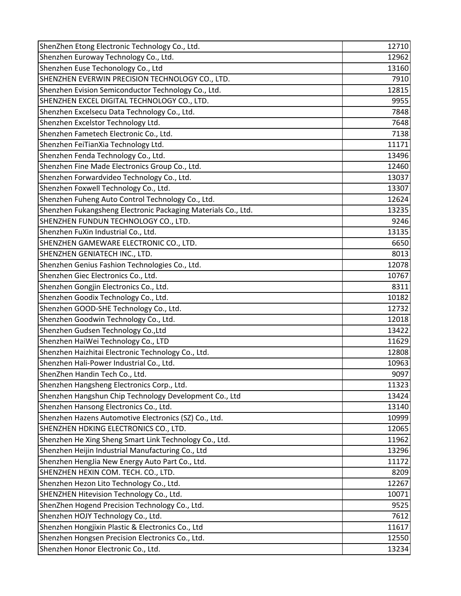| ShenZhen Etong Electronic Technology Co., Ltd.                | 12710 |
|---------------------------------------------------------------|-------|
| Shenzhen Euroway Technology Co., Ltd.                         | 12962 |
| Shenzhen Euse Techonology Co., Ltd                            | 13160 |
| SHENZHEN EVERWIN PRECISION TECHNOLOGY CO., LTD.               | 7910  |
| Shenzhen Evision Semiconductor Technology Co., Ltd.           | 12815 |
| SHENZHEN EXCEL DIGITAL TECHNOLOGY CO., LTD.                   | 9955  |
| Shenzhen Excelsecu Data Technology Co., Ltd.                  | 7848  |
| Shenzhen Excelstor Technology Ltd.                            | 7648  |
| Shenzhen Fametech Electronic Co., Ltd.                        | 7138  |
| Shenzhen FeiTianXia Technology Ltd.                           | 11171 |
| Shenzhen Fenda Technology Co., Ltd.                           | 13496 |
| Shenzhen Fine Made Electronics Group Co., Ltd.                | 12460 |
| Shenzhen Forwardvideo Technology Co., Ltd.                    | 13037 |
| Shenzhen Foxwell Technology Co., Ltd.                         | 13307 |
| Shenzhen Fuheng Auto Control Technology Co., Ltd.             | 12624 |
| Shenzhen Fukangsheng Electronic Packaging Materials Co., Ltd. | 13235 |
| SHENZHEN FUNDUN TECHNOLOGY CO., LTD.                          | 9246  |
| Shenzhen FuXin Industrial Co., Ltd.                           | 13135 |
| SHENZHEN GAMEWARE ELECTRONIC CO., LTD.                        | 6650  |
| SHENZHEN GENIATECH INC., LTD.                                 | 8013  |
| Shenzhen Genius Fashion Technologies Co., Ltd.                | 12078 |
| Shenzhen Giec Electronics Co., Ltd.                           | 10767 |
| Shenzhen Gongjin Electronics Co., Ltd.                        | 8311  |
| Shenzhen Goodix Technology Co., Ltd.                          | 10182 |
| Shenzhen GOOD-SHE Technology Co., Ltd.                        | 12732 |
| Shenzhen Goodwin Technology Co., Ltd.                         | 12018 |
| Shenzhen Gudsen Technology Co., Ltd                           | 13422 |
| Shenzhen HaiWei Technology Co., LTD                           | 11629 |
| Shenzhen Haizhitai Electronic Technology Co., Ltd.            | 12808 |
| Shenzhen Hali-Power Industrial Co., Ltd.                      | 10963 |
| ShenZhen Handin Tech Co., Ltd.                                | 9097  |
| Shenzhen Hangsheng Electronics Corp., Ltd.                    | 11323 |
| Shenzhen Hangshun Chip Technology Development Co., Ltd        | 13424 |
| Shenzhen Hansong Electronics Co., Ltd.                        | 13140 |
| Shenzhen Hazens Automotive Electronics (SZ) Co., Ltd.         | 10999 |
| SHENZHEN HDKING ELECTRONICS CO., LTD.                         | 12065 |
| Shenzhen He Xing Sheng Smart Link Technology Co., Ltd.        | 11962 |
| Shenzhen Heijin Industrial Manufacturing Co., Ltd             | 13296 |
| Shenzhen HengJia New Energy Auto Part Co., Ltd.               | 11172 |
| SHENZHEN HEXIN COM. TECH. CO., LTD.                           | 8209  |
| Shenzhen Hezon Lito Technology Co., Ltd.                      | 12267 |
| SHENZHEN Hitevision Technology Co., Ltd.                      | 10071 |
| ShenZhen Hogend Precision Technology Co., Ltd.                | 9525  |
| Shenzhen HOJY Technology Co., Ltd.                            | 7612  |
| Shenzhen Hongjixin Plastic & Electronics Co., Ltd             | 11617 |
| Shenzhen Hongsen Precision Electronics Co., Ltd.              | 12550 |
| Shenzhen Honor Electronic Co., Ltd.                           | 13234 |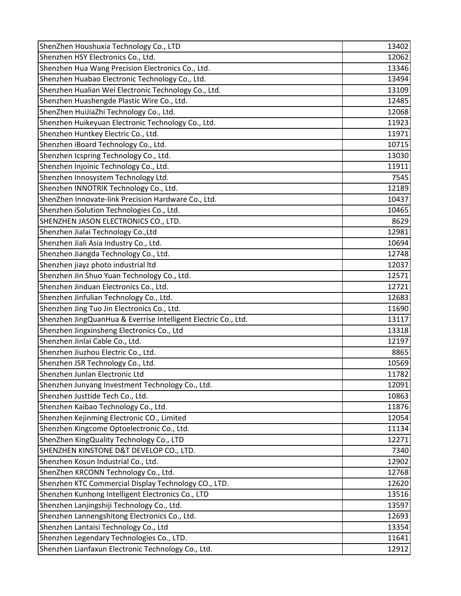| ShenZhen Houshuxia Technology Co., LTD                         | 13402 |
|----------------------------------------------------------------|-------|
| Shenzhen HSY Electronics Co., Ltd.                             | 12062 |
| Shenzhen Hua Wang Precision Electronics Co., Ltd.              | 13346 |
| Shenzhen Huabao Electronic Technology Co., Ltd.                | 13494 |
| Shenzhen Hualian Wei Electronic Technology Co., Ltd.           | 13109 |
| Shenzhen Huashengde Plastic Wire Co., Ltd.                     | 12485 |
| ShenZhen HuiJiaZhi Technology Co., Ltd.                        | 12068 |
| Shenzhen Huikeyuan Electronic Technology Co., Ltd.             | 11923 |
| Shenzhen Huntkey Electric Co., Ltd.                            | 11971 |
| Shenzhen iBoard Technology Co., Ltd.                           | 10715 |
| Shenzhen Icspring Technology Co., Ltd.                         | 13030 |
| Shenzhen Injoinic Technology Co., Ltd.                         | 11911 |
| Shenzhen Innosystem Technology Ltd.                            | 7545  |
| Shenzhen INNOTRIK Technology Co., Ltd.                         | 12189 |
| ShenZhen Innovate-link Precision Hardware Co., Ltd.            | 10437 |
| Shenzhen iSolution Technologies Co., Ltd.                      | 10465 |
| SHENZHEN JASON ELECTRONICS CO., LTD.                           | 8629  |
| Shenzhen Jialai Technology Co., Ltd                            | 12981 |
| Shenzhen Jiali Asia Industry Co., Ltd.                         | 10694 |
| Shenzhen Jiangda Technology Co., Ltd.                          | 12748 |
| Shenzhen jiayz photo industrial Itd                            | 12037 |
| Shenzhen Jin Shuo Yuan Technology Co., Ltd.                    | 12571 |
| Shenzhen Jinduan Electronics Co., Ltd.                         | 12721 |
| Shenzhen Jinfulian Technology Co., Ltd.                        | 12683 |
| Shenzhen Jing Tuo Jin Electronics Co., Ltd.                    | 11690 |
| Shenzhen JingQuanHua & Everrise Intelligent Electric Co., Ltd. | 13117 |
| Shenzhen Jingxinsheng Electronics Co., Ltd                     | 13318 |
| Shenzhen Jinlai Cable Co., Ltd.                                | 12197 |
| Shenzhen Jiuzhou Electric Co., Ltd.                            | 8865  |
| Shenzhen JSR Technology Co., Ltd.                              | 10569 |
| Shenzhen Junlan Electronic Ltd                                 | 11782 |
| Shenzhen Junyang Investment Technology Co., Ltd.               | 12091 |
| Shenzhen Justtide Tech Co., Ltd.                               | 10863 |
| Shenzhen Kaibao Technology Co., Ltd.                           | 11876 |
| Shenzhen Kejinming Electronic CO., Limited                     | 12054 |
| Shenzhen Kingcome Optoelectronic Co., Ltd.                     | 11134 |
| ShenZhen KingQuality Technology Co., LTD                       | 12271 |
| SHENZHEN KINSTONE D&T DEVELOP CO., LTD.                        | 7340  |
| Shenzhen Kosun Industrial Co., Ltd.                            | 12902 |
| ShenZhen KRCONN Technology Co., Ltd.                           | 12768 |
| Shenzhen KTC Commercial Display Technology CO., LTD.           | 12620 |
| Shenzhen Kunhong Intelligent Electronics Co., LTD              | 13516 |
| Shenzhen Lanjingshiji Technology Co., Ltd.                     | 13597 |
| Shenzhen Lannengshitong Electronics Co., Ltd.                  | 12693 |
| Shenzhen Lantaisi Technology Co., Ltd                          | 13354 |
| Shenzhen Legendary Technologies Co., LTD.                      | 11641 |
| Shenzhen Lianfaxun Electronic Technology Co., Ltd.             | 12912 |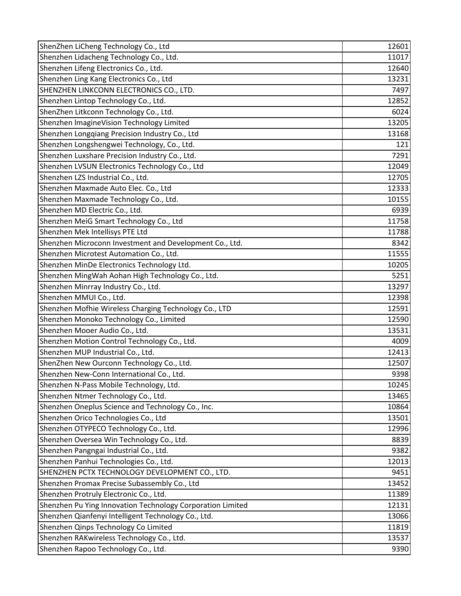| ShenZhen LiCheng Technology Co., Ltd                       | 12601 |
|------------------------------------------------------------|-------|
| Shenzhen Lidacheng Technology Co., Ltd.                    | 11017 |
| Shenzhen Lifeng Electronics Co., Ltd.                      | 12640 |
| Shenzhen Ling Kang Electronics Co., Ltd                    | 13231 |
| SHENZHEN LINKCONN ELECTRONICS CO., LTD.                    | 7497  |
| Shenzhen Lintop Technology Co., Ltd.                       | 12852 |
| ShenZhen Litkconn Technology Co., Ltd.                     | 6024  |
| Shenzhen ImagineVision Technology Limited                  | 13205 |
| Shenzhen Longqiang Precision Industry Co., Ltd             | 13168 |
| Shenzhen Longshengwei Technology, Co., Ltd.                | 121   |
| Shenzhen Luxshare Precision Industry Co., Ltd.             | 7291  |
| Shenzhen LVSUN Electronics Technology Co., Ltd             | 12049 |
| Shenzhen LZS Industrial Co., Ltd.                          | 12705 |
| Shenzhen Maxmade Auto Elec. Co., Ltd                       | 12333 |
| Shenzhen Maxmade Technology Co., Ltd.                      | 10155 |
| Shenzhen MD Electric Co., Ltd.                             | 6939  |
| Shenzhen MeiG Smart Technology Co., Ltd                    | 11758 |
| Shenzhen Mek Intellisys PTE Ltd                            | 11788 |
| Shenzhen Microconn Investment and Development Co., Ltd.    | 8342  |
| Shenzhen Microtest Automation Co., Ltd.                    | 11555 |
| Shenzhen MinDe Electronics Technology Ltd.                 | 10205 |
| Shenzhen MingWah Aohan High Technology Co., Ltd.           | 5251  |
| Shenzhen Minrray Industry Co., Ltd.                        | 13297 |
| Shenzhen MMUI Co., Ltd.                                    | 12398 |
| Shenzhen Mofhie Wireless Charging Technology Co., LTD      | 12591 |
| Shenzhen Monoko Technology Co., Limited                    | 12590 |
| Shenzhen Mooer Audio Co., Ltd.                             | 13531 |
| Shenzhen Motion Control Technology Co., Ltd.               | 4009  |
| Shenzhen MUP Industrial Co., Ltd.                          | 12413 |
| ShenZhen New Ourconn Technology Co., Ltd.                  | 12507 |
| Shenzhen New-Conn International Co., Ltd.                  | 9398  |
| Shenzhen N-Pass Mobile Technology, Ltd.                    | 10245 |
| Shenzhen Ntmer Technology Co., Ltd.                        | 13465 |
| Shenzhen Oneplus Science and Technology Co., Inc.          | 10864 |
| Shenzhen Orico Technologies Co., Ltd                       | 13501 |
| Shenzhen OTYPECO Technology Co., Ltd.                      | 12996 |
| Shenzhen Oversea Win Technology Co., Ltd.                  | 8839  |
| Shenzhen Pangngai Industrial Co., Ltd.                     | 9382  |
| Shenzhen Panhui Technologies Co., Ltd.                     | 12013 |
| SHENZHEN PCTX TECHNOLOGY DEVELOPMENT CO., LTD.             | 9451  |
| Shenzhen Promax Precise Subassembly Co., Ltd               | 13452 |
| Shenzhen Protruly Electronic Co., Ltd.                     | 11389 |
| Shenzhen Pu Ying Innovation Technology Corporation Limited | 12131 |
| Shenzhen Qianfenyi Intelligent Technology Co., Ltd.        | 13066 |
| Shenzhen Qinps Technology Co Limited                       | 11819 |
| Shenzhen RAKwireless Technology Co., Ltd.                  | 13537 |
| Shenzhen Rapoo Technology Co., Ltd.                        | 9390  |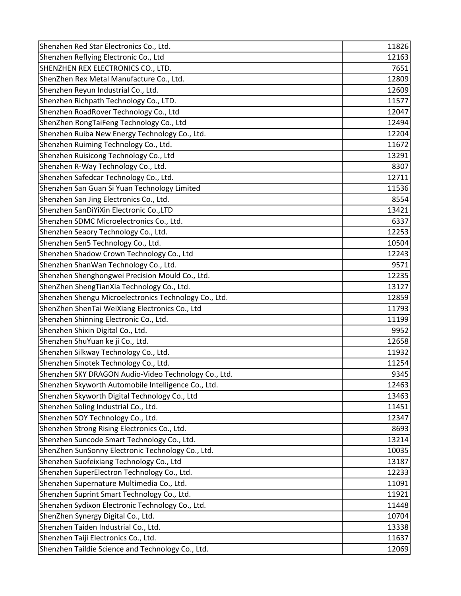| Shenzhen Red Star Electronics Co., Ltd.               | 11826 |
|-------------------------------------------------------|-------|
| Shenzhen Reflying Electronic Co., Ltd                 | 12163 |
| SHENZHEN REX ELECTRONICS CO., LTD.                    | 7651  |
| ShenZhen Rex Metal Manufacture Co., Ltd.              | 12809 |
| Shenzhen Reyun Industrial Co., Ltd.                   | 12609 |
| Shenzhen Richpath Technology Co., LTD.                | 11577 |
| Shenzhen RoadRover Technology Co., Ltd                | 12047 |
| ShenZhen RongTaiFeng Technology Co., Ltd              | 12494 |
| Shenzhen Ruiba New Energy Technology Co., Ltd.        | 12204 |
| Shenzhen Ruiming Technology Co., Ltd.                 | 11672 |
| Shenzhen Ruisicong Technology Co., Ltd                | 13291 |
| Shenzhen R-Way Technology Co., Ltd.                   | 8307  |
| Shenzhen Safedcar Technology Co., Ltd.                | 12711 |
| Shenzhen San Guan Si Yuan Technology Limited          | 11536 |
| Shenzhen San Jing Electronics Co., Ltd.               | 8554  |
| Shenzhen SanDiYiXin Electronic Co., LTD               | 13421 |
| Shenzhen SDMC Microelectronics Co., Ltd.              | 6337  |
| Shenzhen Seaory Technology Co., Ltd.                  | 12253 |
| Shenzhen Sen5 Technology Co., Ltd.                    | 10504 |
| Shenzhen Shadow Crown Technology Co., Ltd             | 12243 |
| Shenzhen ShanWan Technology Co., Ltd.                 | 9571  |
| Shenzhen Shenghongwei Precision Mould Co., Ltd.       | 12235 |
| ShenZhen ShengTianXia Technology Co., Ltd.            | 13127 |
| Shenzhen Shengu Microelectronics Technology Co., Ltd. | 12859 |
| ShenZhen ShenTai WeiXiang Electronics Co., Ltd        | 11793 |
| Shenzhen Shinning Electronic Co., Ltd.                | 11199 |
| Shenzhen Shixin Digital Co., Ltd.                     | 9952  |
| Shenzhen ShuYuan ke ji Co., Ltd.                      | 12658 |
| Shenzhen Silkway Technology Co., Ltd.                 | 11932 |
| Shenzhen Sinotek Technology Co., Ltd.                 | 11254 |
| Shenzhen SKY DRAGON Audio-Video Technology Co., Ltd.  | 9345  |
| Shenzhen Skyworth Automobile Intelligence Co., Ltd.   | 12463 |
| Shenzhen Skyworth Digital Technology Co., Ltd         | 13463 |
| Shenzhen Soling Industrial Co., Ltd.                  | 11451 |
| Shenzhen SOY Technology Co., Ltd.                     | 12347 |
| Shenzhen Strong Rising Electronics Co., Ltd.          | 8693  |
| Shenzhen Suncode Smart Technology Co., Ltd.           | 13214 |
| ShenZhen SunSonny Electronic Technology Co., Ltd.     | 10035 |
| Shenzhen Suofeixiang Technology Co., Ltd              | 13187 |
| Shenzhen SuperElectron Technology Co., Ltd.           | 12233 |
| Shenzhen Supernature Multimedia Co., Ltd.             | 11091 |
| Shenzhen Suprint Smart Technology Co., Ltd.           | 11921 |
| Shenzhen Sydixon Electronic Technology Co., Ltd.      | 11448 |
| ShenZhen Synergy Digital Co., Ltd.                    | 10704 |
| Shenzhen Taiden Industrial Co., Ltd.                  | 13338 |
| Shenzhen Taiji Electronics Co., Ltd.                  | 11637 |
| Shenzhen Taildie Science and Technology Co., Ltd.     | 12069 |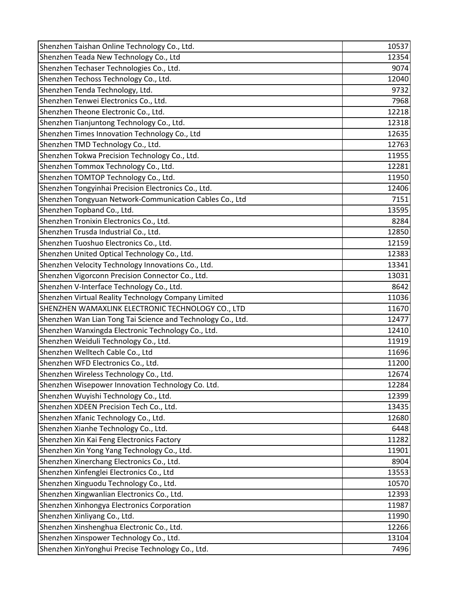| Shenzhen Taishan Online Technology Co., Ltd.                | 10537 |
|-------------------------------------------------------------|-------|
| Shenzhen Teada New Technology Co., Ltd                      | 12354 |
| Shenzhen Techaser Technologies Co., Ltd.                    | 9074  |
| Shenzhen Techoss Technology Co., Ltd.                       | 12040 |
| Shenzhen Tenda Technology, Ltd.                             | 9732  |
| Shenzhen Tenwei Electronics Co., Ltd.                       | 7968  |
| Shenzhen Theone Electronic Co., Ltd.                        | 12218 |
| Shenzhen Tianjuntong Technology Co., Ltd.                   | 12318 |
| Shenzhen Times Innovation Technology Co., Ltd               | 12635 |
| Shenzhen TMD Technology Co., Ltd.                           | 12763 |
| Shenzhen Tokwa Precision Technology Co., Ltd.               | 11955 |
| Shenzhen Tommox Technology Co., Ltd.                        | 12281 |
| Shenzhen TOMTOP Technology Co., Ltd.                        | 11950 |
| Shenzhen Tongyinhai Precision Electronics Co., Ltd.         | 12406 |
| Shenzhen Tongyuan Network-Communication Cables Co., Ltd     | 7151  |
| Shenzhen Topband Co., Ltd.                                  | 13595 |
| Shenzhen Tronixin Electronics Co., Ltd.                     | 8284  |
| Shenzhen Trusda Industrial Co., Ltd.                        | 12850 |
| Shenzhen Tuoshuo Electronics Co., Ltd.                      | 12159 |
| Shenzhen United Optical Technology Co., Ltd.                | 12383 |
| Shenzhen Velocity Technology Innovations Co., Ltd.          | 13341 |
| Shenzhen Vigorconn Precision Connector Co., Ltd.            | 13031 |
| Shenzhen V-Interface Technology Co., Ltd.                   | 8642  |
| Shenzhen Virtual Reality Technology Company Limited         | 11036 |
| SHENZHEN WAMAXLINK ELECTRONIC TECHNOLOGY CO., LTD           | 11670 |
| Shenzhen Wan Lian Tong Tai Science and Technology Co., Ltd. | 12477 |
| Shenzhen Wanxingda Electronic Technology Co., Ltd.          | 12410 |
| Shenzhen Weiduli Technology Co., Ltd.                       | 11919 |
| Shenzhen Welltech Cable Co., Ltd                            | 11696 |
| Shenzhen WFD Electronics Co., Ltd.                          | 11200 |
| Shenzhen Wireless Technology Co., Ltd.                      | 12674 |
| Shenzhen Wisepower Innovation Technology Co. Ltd.           | 12284 |
| Shenzhen Wuyishi Technology Co., Ltd.                       | 12399 |
| Shenzhen XDEEN Precision Tech Co., Ltd.                     | 13435 |
| Shenzhen Xfanic Technology Co., Ltd.                        | 12680 |
| Shenzhen Xianhe Technology Co., Ltd.                        | 6448  |
| Shenzhen Xin Kai Feng Electronics Factory                   | 11282 |
| Shenzhen Xin Yong Yang Technology Co., Ltd.                 | 11901 |
| Shenzhen Xinerchang Electronics Co., Ltd.                   | 8904  |
| Shenzhen Xinfenglei Electronics Co., Ltd                    | 13553 |
| Shenzhen Xinguodu Technology Co., Ltd.                      | 10570 |
| Shenzhen Xingwanlian Electronics Co., Ltd.                  | 12393 |
| Shenzhen Xinhongya Electronics Corporation                  | 11987 |
| Shenzhen Xinliyang Co., Ltd.                                | 11990 |
| Shenzhen Xinshenghua Electronic Co., Ltd.                   | 12266 |
| Shenzhen Xinspower Technology Co., Ltd.                     | 13104 |
| Shenzhen XinYonghui Precise Technology Co., Ltd.            | 7496  |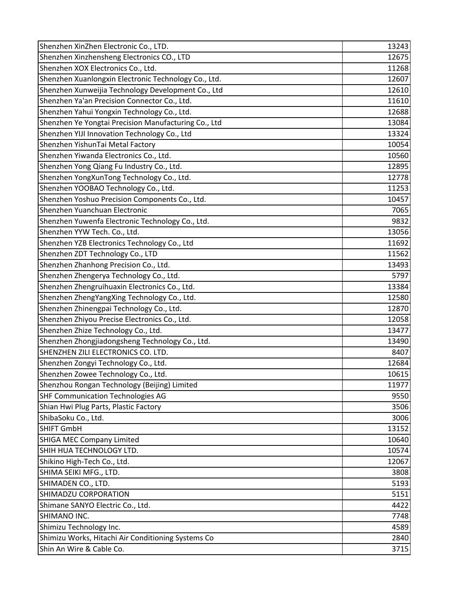| Shenzhen XinZhen Electronic Co., LTD.                | 13243 |
|------------------------------------------------------|-------|
| Shenzhen Xinzhensheng Electronics CO., LTD           | 12675 |
| Shenzhen XOX Electronics Co., Ltd.                   | 11268 |
| Shenzhen Xuanlongxin Electronic Technology Co., Ltd. | 12607 |
| Shenzhen Xunweijia Technology Development Co., Ltd   | 12610 |
| Shenzhen Ya'an Precision Connector Co., Ltd.         | 11610 |
| Shenzhen Yahui Yongxin Technology Co., Ltd.          | 12688 |
| Shenzhen Ye Yongtai Precision Manufacturing Co., Ltd | 13084 |
| Shenzhen YIJI Innovation Technology Co., Ltd         | 13324 |
| Shenzhen YishunTai Metal Factory                     | 10054 |
| Shenzhen Yiwanda Electronics Co., Ltd.               | 10560 |
| Shenzhen Yong Qiang Fu Industry Co., Ltd.            | 12895 |
| Shenzhen YongXunTong Technology Co., Ltd.            | 12778 |
| Shenzhen YOOBAO Technology Co., Ltd.                 | 11253 |
| Shenzhen Yoshuo Precision Components Co., Ltd.       | 10457 |
| Shenzhen Yuanchuan Electronic                        | 7065  |
| Shenzhen Yuwenfa Electronic Technology Co., Ltd.     | 9832  |
| Shenzhen YYW Tech. Co., Ltd.                         | 13056 |
| Shenzhen YZB Electronics Technology Co., Ltd         | 11692 |
| Shenzhen ZDT Technology Co., LTD                     | 11562 |
| Shenzhen Zhanhong Precision Co., Ltd.                | 13493 |
| Shenzhen Zhengerya Technology Co., Ltd.              | 5797  |
| Shenzhen Zhengruihuaxin Electronics Co., Ltd.        | 13384 |
| Shenzhen ZhengYangXing Technology Co., Ltd.          | 12580 |
| Shenzhen Zhinengpai Technology Co., Ltd.             | 12870 |
| Shenzhen Zhiyou Precise Electronics Co., Ltd.        | 12058 |
| Shenzhen Zhize Technology Co., Ltd.                  | 13477 |
| Shenzhen Zhongjiadongsheng Technology Co., Ltd.      | 13490 |
| SHENZHEN ZILI ELECTRONICS CO. LTD.                   | 8407  |
| Shenzhen Zongyi Technology Co., Ltd.                 | 12684 |
| Shenzhen Zowee Technology Co., Ltd.                  | 10615 |
| Shenzhou Rongan Technology (Beijing) Limited         | 11977 |
| <b>SHF Communication Technologies AG</b>             | 9550  |
| Shian Hwi Plug Parts, Plastic Factory                | 3506  |
| ShibaSoku Co., Ltd.                                  | 3006  |
| <b>SHIFT GmbH</b>                                    | 13152 |
| <b>SHIGA MEC Company Limited</b>                     | 10640 |
| SHIH HUA TECHNOLOGY LTD.                             | 10574 |
| Shikino High-Tech Co., Ltd.                          | 12067 |
| SHIMA SEIKI MFG., LTD.                               | 3808  |
| SHIMADEN CO., LTD.                                   | 5193  |
| SHIMADZU CORPORATION                                 | 5151  |
| Shimane SANYO Electric Co., Ltd.                     | 4422  |
| SHIMANO INC.                                         | 7748  |
| Shimizu Technology Inc.                              | 4589  |
| Shimizu Works, Hitachi Air Conditioning Systems Co   | 2840  |
| Shin An Wire & Cable Co.                             | 3715  |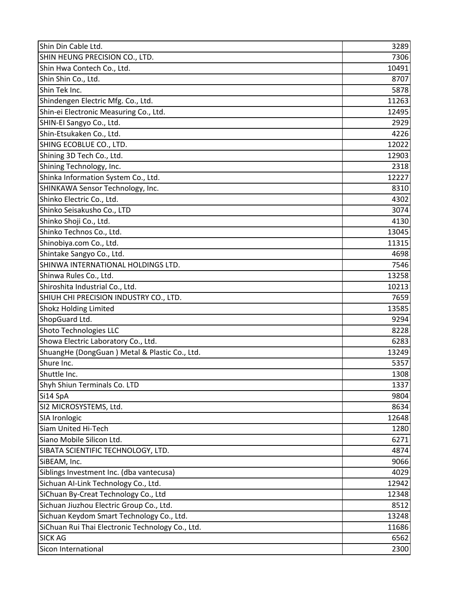| Shin Din Cable Ltd.                              | 3289  |
|--------------------------------------------------|-------|
| SHIN HEUNG PRECISION CO., LTD.                   | 7306  |
| Shin Hwa Contech Co., Ltd.                       | 10491 |
| Shin Shin Co., Ltd.                              | 8707  |
| Shin Tek Inc.                                    | 5878  |
| Shindengen Electric Mfg. Co., Ltd.               | 11263 |
| Shin-ei Electronic Measuring Co., Ltd.           | 12495 |
| SHIN-EI Sangyo Co., Ltd.                         | 2929  |
| Shin-Etsukaken Co., Ltd.                         | 4226  |
| SHING ECOBLUE CO., LTD.                          | 12022 |
| Shining 3D Tech Co., Ltd.                        | 12903 |
| Shining Technology, Inc.                         | 2318  |
| Shinka Information System Co., Ltd.              | 12227 |
| SHINKAWA Sensor Technology, Inc.                 | 8310  |
| Shinko Electric Co., Ltd.                        | 4302  |
| Shinko Seisakusho Co., LTD                       | 3074  |
| Shinko Shoji Co., Ltd.                           | 4130  |
| Shinko Technos Co., Ltd.                         | 13045 |
| Shinobiya.com Co., Ltd.                          | 11315 |
| Shintake Sangyo Co., Ltd.                        | 4698  |
| SHINWA INTERNATIONAL HOLDINGS LTD.               | 7546  |
| Shinwa Rules Co., Ltd.                           | 13258 |
| Shiroshita Industrial Co., Ltd.                  | 10213 |
| SHIUH CHI PRECISION INDUSTRY CO., LTD.           | 7659  |
| <b>Shokz Holding Limited</b>                     | 13585 |
| ShopGuard Ltd.                                   | 9294  |
| Shoto Technologies LLC                           | 8228  |
| Showa Electric Laboratory Co., Ltd.              | 6283  |
| ShuangHe (DongGuan) Metal & Plastic Co., Ltd.    | 13249 |
| Shure Inc.                                       | 5357  |
| Shuttle Inc.                                     | 1308  |
| Shyh Shiun Terminals Co. LTD                     | 1337  |
| Si14 SpA                                         | 9804  |
| SI2 MICROSYSTEMS, Ltd.                           | 8634  |
| SIA Ironlogic                                    | 12648 |
| Siam United Hi-Tech                              | 1280  |
| Siano Mobile Silicon Ltd.                        | 6271  |
| SIBATA SCIENTIFIC TECHNOLOGY, LTD.               | 4874  |
| SiBEAM, Inc.                                     | 9066  |
| Siblings Investment Inc. (dba vantecusa)         | 4029  |
| Sichuan AI-Link Technology Co., Ltd.             | 12942 |
| SiChuan By-Creat Technology Co., Ltd             | 12348 |
| Sichuan Jiuzhou Electric Group Co., Ltd.         | 8512  |
| Sichuan Keydom Smart Technology Co., Ltd.        | 13248 |
| SiChuan Rui Thai Electronic Technology Co., Ltd. | 11686 |
| <b>SICK AG</b>                                   | 6562  |
| Sicon International                              | 2300  |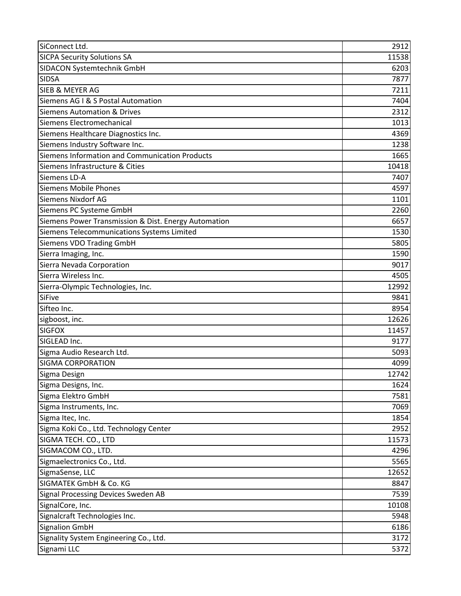| SiConnect Ltd.                                       | 2912  |
|------------------------------------------------------|-------|
| <b>SICPA Security Solutions SA</b>                   | 11538 |
| SIDACON Systemtechnik GmbH                           | 6203  |
| <b>SIDSA</b>                                         | 7877  |
| <b>SIEB &amp; MEYER AG</b>                           | 7211  |
| Siemens AG I & S Postal Automation                   | 7404  |
| <b>Siemens Automation &amp; Drives</b>               | 2312  |
| Siemens Electromechanical                            | 1013  |
| Siemens Healthcare Diagnostics Inc.                  | 4369  |
| Siemens Industry Software Inc.                       | 1238  |
| Siemens Information and Communication Products       | 1665  |
| Siemens Infrastructure & Cities                      | 10418 |
| Siemens LD-A                                         | 7407  |
| <b>Siemens Mobile Phones</b>                         | 4597  |
| <b>Siemens Nixdorf AG</b>                            | 1101  |
| Siemens PC Systeme GmbH                              | 2260  |
| Siemens Power Transmission & Dist. Energy Automation | 6657  |
| Siemens Telecommunications Systems Limited           | 1530  |
| <b>Siemens VDO Trading GmbH</b>                      | 5805  |
| Sierra Imaging, Inc.                                 | 1590  |
| Sierra Nevada Corporation                            | 9017  |
| Sierra Wireless Inc.                                 | 4505  |
| Sierra-Olympic Technologies, Inc.                    | 12992 |
| <b>SiFive</b>                                        | 9841  |
| Sifteo Inc.                                          | 8954  |
| sigboost, inc.                                       | 12626 |
| <b>SIGFOX</b>                                        | 11457 |
| SIGLEAD Inc.                                         | 9177  |
| Sigma Audio Research Ltd.                            | 5093  |
| <b>SIGMA CORPORATION</b>                             | 4099  |
| Sigma Design                                         | 12742 |
| Sigma Designs, Inc.                                  | 1624  |
| Sigma Elektro GmbH                                   | 7581  |
| Sigma Instruments, Inc.                              | 7069  |
| Sigma Itec, Inc.                                     | 1854  |
| Sigma Koki Co., Ltd. Technology Center               | 2952  |
| SIGMA TECH. CO., LTD                                 | 11573 |
| SIGMACOM CO., LTD.                                   | 4296  |
| Sigmaelectronics Co., Ltd.                           | 5565  |
| SigmaSense, LLC                                      | 12652 |
| SIGMATEK GmbH & Co. KG                               | 8847  |
| Signal Processing Devices Sweden AB                  | 7539  |
| SignalCore, Inc.                                     | 10108 |
| Signalcraft Technologies Inc.                        | 5948  |
| <b>Signalion GmbH</b>                                | 6186  |
| Signality System Engineering Co., Ltd.               | 3172  |
| Signami LLC                                          | 5372  |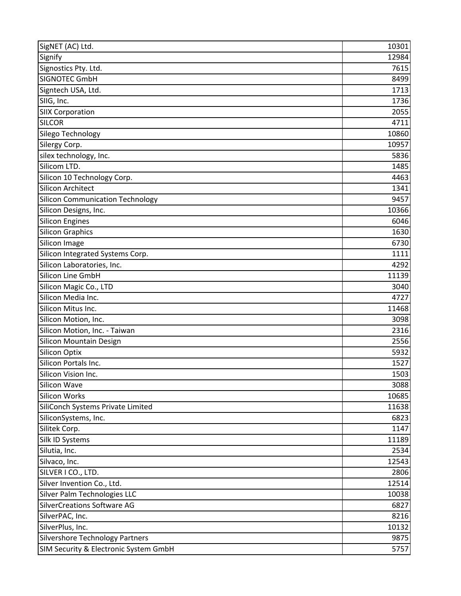| SigNET (AC) Ltd.                        | 10301 |
|-----------------------------------------|-------|
| Signify                                 | 12984 |
| Signostics Pty. Ltd.                    | 7615  |
| <b>SIGNOTEC GmbH</b>                    | 8499  |
| Signtech USA, Ltd.                      | 1713  |
| SIIG, Inc.                              | 1736  |
| <b>SIIX Corporation</b>                 | 2055  |
| <b>SILCOR</b>                           | 4711  |
| Silego Technology                       | 10860 |
| Silergy Corp.                           | 10957 |
| silex technology, Inc.                  | 5836  |
| Silicom LTD.                            | 1485  |
| Silicon 10 Technology Corp.             | 4463  |
| <b>Silicon Architect</b>                | 1341  |
| <b>Silicon Communication Technology</b> | 9457  |
| Silicon Designs, Inc.                   | 10366 |
| <b>Silicon Engines</b>                  | 6046  |
| <b>Silicon Graphics</b>                 | 1630  |
| Silicon Image                           | 6730  |
| Silicon Integrated Systems Corp.        | 1111  |
| Silicon Laboratories, Inc.              | 4292  |
| Silicon Line GmbH                       | 11139 |
| Silicon Magic Co., LTD                  | 3040  |
| Silicon Media Inc.                      | 4727  |
| Silicon Mitus Inc.                      | 11468 |
| Silicon Motion, Inc.                    | 3098  |
| Silicon Motion, Inc. - Taiwan           | 2316  |
| Silicon Mountain Design                 | 2556  |
| <b>Silicon Optix</b>                    | 5932  |
| Silicon Portals Inc.                    | 1527  |
| Silicon Vision Inc.                     | 1503  |
| Silicon Wave                            | 3088  |
| Silicon Works                           | 10685 |
| SiliConch Systems Private Limited       | 11638 |
| SiliconSystems, Inc.                    | 6823  |
| Silitek Corp.                           | 1147  |
| Silk ID Systems                         | 11189 |
| Silutia, Inc.                           | 2534  |
| Silvaco, Inc.                           | 12543 |
| SILVER I CO., LTD.                      | 2806  |
| Silver Invention Co., Ltd.              | 12514 |
| Silver Palm Technologies LLC            | 10038 |
| <b>SilverCreations Software AG</b>      | 6827  |
| SilverPAC, Inc.                         | 8216  |
| SilverPlus, Inc.                        | 10132 |
| <b>Silvershore Technology Partners</b>  | 9875  |
| SIM Security & Electronic System GmbH   | 5757  |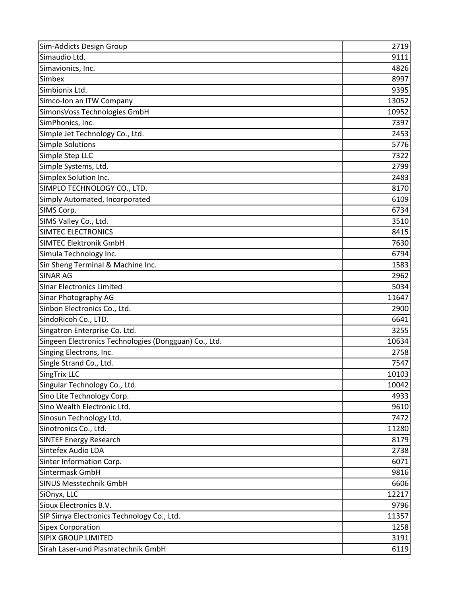| Sim-Addicts Design Group                              | 2719  |
|-------------------------------------------------------|-------|
| Simaudio Ltd.                                         | 9111  |
| Simavionics, Inc.                                     | 4826  |
| Simbex                                                | 8997  |
| Simbionix Ltd.                                        | 9395  |
| Simco-Ion an ITW Company                              | 13052 |
| SimonsVoss Technologies GmbH                          | 10952 |
| SimPhonics, Inc.                                      | 7397  |
| Simple Jet Technology Co., Ltd.                       | 2453  |
| <b>Simple Solutions</b>                               | 5776  |
| Simple Step LLC                                       | 7322  |
| Simple Systems, Ltd.                                  | 2799  |
| Simplex Solution Inc.                                 | 2483  |
| SIMPLO TECHNOLOGY CO., LTD.                           | 8170  |
| Simply Automated, Incorporated                        | 6109  |
| SIMS Corp.                                            | 6734  |
| SIMS Valley Co., Ltd.                                 | 3510  |
| <b>SIMTEC ELECTRONICS</b>                             | 8415  |
| <b>SIMTEC Elektronik GmbH</b>                         | 7630  |
| Simula Technology Inc.                                | 6794  |
| Sin Sheng Terminal & Machine Inc.                     | 1583  |
| <b>SINAR AG</b>                                       | 2962  |
| <b>Sinar Electronics Limited</b>                      | 5034  |
| Sinar Photography AG                                  | 11647 |
| Sinbon Electronics Co., Ltd.                          | 2900  |
| SindoRicoh Co., LTD.                                  | 6641  |
| Singatron Enterprise Co. Ltd.                         | 3255  |
| Singeen Electronics Technologies (Dongguan) Co., Ltd. | 10634 |
| Singing Electrons, Inc.                               | 2758  |
| Single Strand Co., Ltd.                               | 7547  |
| SingTrix LLC                                          | 10103 |
| Singular Technology Co., Ltd.                         | 10042 |
| Sino Lite Technology Corp.                            | 4933  |
| Sino Wealth Electronic Ltd.                           | 9610  |
| Sinosun Technology Ltd.                               | 7472  |
| Sinotronics Co., Ltd.                                 | 11280 |
| <b>SINTEF Energy Research</b>                         | 8179  |
| Sintefex Audio LDA                                    | 2738  |
| Sinter Information Corp.                              | 6071  |
| Sintermask GmbH                                       | 9816  |
| <b>SINUS Messtechnik GmbH</b>                         | 6606  |
| SiOnyx, LLC                                           | 12217 |
| Sioux Electronics B.V.                                | 9796  |
| SIP Simya Electronics Technology Co., Ltd.            | 11357 |
| <b>Sipex Corporation</b>                              | 1258  |
| <b>SIPIX GROUP LIMITED</b>                            | 3191  |
| Sirah Laser-und Plasmatechnik GmbH                    | 6119  |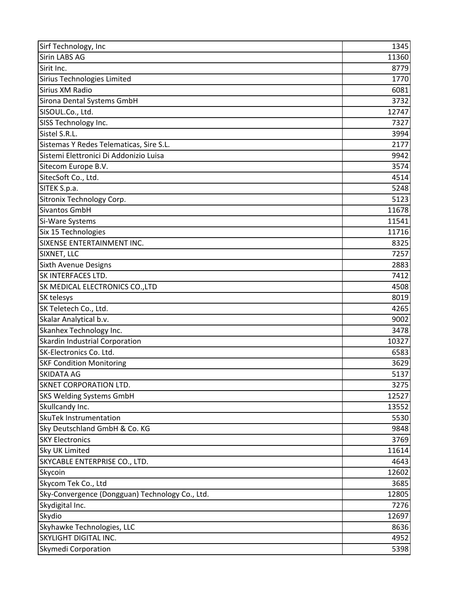| Sirf Technology, Inc                            | 1345  |
|-------------------------------------------------|-------|
| Sirin LABS AG                                   | 11360 |
| Sirit Inc.                                      | 8779  |
| Sirius Technologies Limited                     | 1770  |
| Sirius XM Radio                                 | 6081  |
| Sirona Dental Systems GmbH                      | 3732  |
| SISOUL.Co., Ltd.                                | 12747 |
| SISS Technology Inc.                            | 7327  |
| Sistel S.R.L.                                   | 3994  |
| Sistemas Y Redes Telematicas, Sire S.L.         | 2177  |
| Sistemi Elettronici Di Addonizio Luisa          | 9942  |
| Sitecom Europe B.V.                             | 3574  |
| SitecSoft Co., Ltd.                             | 4514  |
| SITEK S.p.a.                                    | 5248  |
| Sitronix Technology Corp.                       | 5123  |
| <b>Sivantos GmbH</b>                            | 11678 |
| Si-Ware Systems                                 | 11541 |
| Six 15 Technologies                             | 11716 |
| SIXENSE ENTERTAINMENT INC.                      | 8325  |
| SIXNET, LLC                                     | 7257  |
| <b>Sixth Avenue Designs</b>                     | 2883  |
| SK INTERFACES LTD.                              | 7412  |
| SK MEDICAL ELECTRONICS CO., LTD                 | 4508  |
| SK telesys                                      | 8019  |
| SK Teletech Co., Ltd.                           | 4265  |
| Skalar Analytical b.v.                          | 9002  |
| Skanhex Technology Inc.                         | 3478  |
| Skardin Industrial Corporation                  | 10327 |
| SK-Electronics Co. Ltd.                         | 6583  |
| <b>SKF Condition Monitoring</b>                 | 3629  |
| <b>SKIDATA AG</b>                               | 5137  |
| SKNET CORPORATION LTD.                          | 3275  |
| <b>SKS Welding Systems GmbH</b>                 | 12527 |
| Skullcandy Inc.                                 | 13552 |
| <b>SkuTek Instrumentation</b>                   | 5530  |
| Sky Deutschland GmbH & Co. KG                   | 9848  |
| <b>SKY Electronics</b>                          | 3769  |
| <b>Sky UK Limited</b>                           | 11614 |
| SKYCABLE ENTERPRISE CO., LTD.                   | 4643  |
| Skycoin                                         | 12602 |
| Skycom Tek Co., Ltd                             | 3685  |
| Sky-Convergence (Dongguan) Technology Co., Ltd. | 12805 |
| Skydigital Inc.                                 | 7276  |
| Skydio                                          | 12697 |
| Skyhawke Technologies, LLC                      | 8636  |
| <b>SKYLIGHT DIGITAL INC.</b>                    | 4952  |
| <b>Skymedi Corporation</b>                      | 5398  |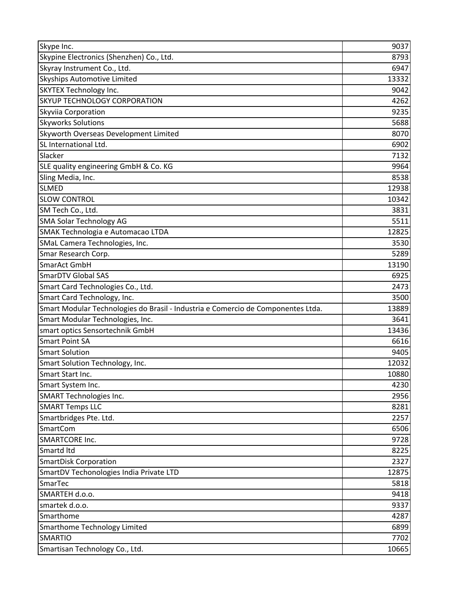| Skype Inc.                                                                       | 9037  |
|----------------------------------------------------------------------------------|-------|
| Skypine Electronics (Shenzhen) Co., Ltd.                                         | 8793  |
| Skyray Instrument Co., Ltd.                                                      | 6947  |
| Skyships Automotive Limited                                                      | 13332 |
| <b>SKYTEX Technology Inc.</b>                                                    | 9042  |
| <b>SKYUP TECHNOLOGY CORPORATION</b>                                              | 4262  |
| Skyviia Corporation                                                              | 9235  |
| <b>Skyworks Solutions</b>                                                        | 5688  |
| Skyworth Overseas Development Limited                                            | 8070  |
| SL International Ltd.                                                            | 6902  |
| Slacker                                                                          | 7132  |
| SLE quality engineering GmbH & Co. KG                                            | 9964  |
| Sling Media, Inc.                                                                | 8538  |
| <b>SLMED</b>                                                                     | 12938 |
| <b>SLOW CONTROL</b>                                                              | 10342 |
| SM Tech Co., Ltd.                                                                | 3831  |
| <b>SMA Solar Technology AG</b>                                                   | 5511  |
| SMAK Technologia e Automacao LTDA                                                | 12825 |
| SMaL Camera Technologies, Inc.                                                   | 3530  |
| Smar Research Corp.                                                              | 5289  |
| SmarAct GmbH                                                                     | 13190 |
| <b>SmarDTV Global SAS</b>                                                        | 6925  |
| Smart Card Technologies Co., Ltd.                                                | 2473  |
| Smart Card Technology, Inc.                                                      | 3500  |
| Smart Modular Technologies do Brasil - Industria e Comercio de Componentes Ltda. | 13889 |
| Smart Modular Technologies, Inc.                                                 | 3641  |
| smart optics Sensortechnik GmbH                                                  | 13436 |
| <b>Smart Point SA</b>                                                            | 6616  |
| <b>Smart Solution</b>                                                            | 9405  |
| Smart Solution Technology, Inc.                                                  | 12032 |
| Smart Start Inc.                                                                 | 10880 |
| Smart System Inc.                                                                | 4230  |
| <b>SMART Technologies Inc.</b>                                                   | 2956  |
| <b>SMART Temps LLC</b>                                                           | 8281  |
| Smartbridges Pte. Ltd.                                                           | 2257  |
| SmartCom                                                                         | 6506  |
| <b>SMARTCORE Inc.</b>                                                            | 9728  |
| Smartd Itd                                                                       | 8225  |
| <b>SmartDisk Corporation</b>                                                     | 2327  |
| SmartDV Techonologies India Private LTD                                          | 12875 |
| SmarTec                                                                          | 5818  |
| SMARTEH d.o.o.                                                                   | 9418  |
| smartek d.o.o.                                                                   | 9337  |
| Smarthome                                                                        | 4287  |
| <b>Smarthome Technology Limited</b>                                              | 6899  |
| <b>SMARTIO</b>                                                                   | 7702  |
| Smartisan Technology Co., Ltd.                                                   | 10665 |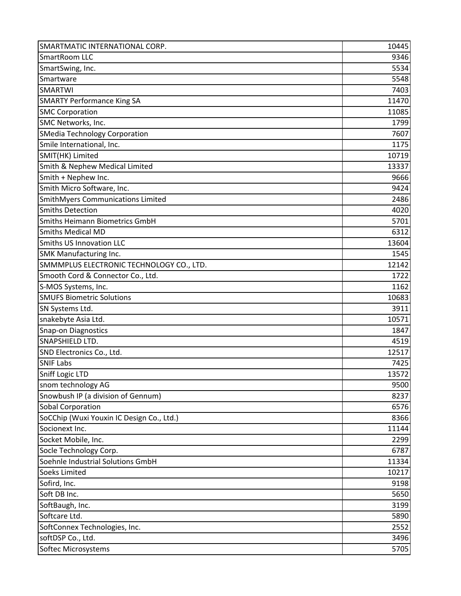| SMARTMATIC INTERNATIONAL CORP.            | 10445 |
|-------------------------------------------|-------|
| SmartRoom LLC                             | 9346  |
| SmartSwing, Inc.                          | 5534  |
| Smartware                                 | 5548  |
| <b>SMARTWI</b>                            | 7403  |
| <b>SMARTY Performance King SA</b>         | 11470 |
| <b>SMC Corporation</b>                    | 11085 |
| SMC Networks, Inc.                        | 1799  |
| <b>SMedia Technology Corporation</b>      | 7607  |
| Smile International, Inc.                 | 1175  |
| SMIT(HK) Limited                          | 10719 |
| Smith & Nephew Medical Limited            | 13337 |
| Smith + Nephew Inc.                       | 9666  |
| Smith Micro Software, Inc.                | 9424  |
| SmithMyers Communications Limited         | 2486  |
| <b>Smiths Detection</b>                   | 4020  |
| <b>Smiths Heimann Biometrics GmbH</b>     | 5701  |
| <b>Smiths Medical MD</b>                  | 6312  |
| Smiths US Innovation LLC                  | 13604 |
| <b>SMK Manufacturing Inc.</b>             | 1545  |
| SMMMPLUS ELECTRONIC TECHNOLOGY CO., LTD.  | 12142 |
| Smooth Cord & Connector Co., Ltd.         | 1722  |
| S-MOS Systems, Inc.                       | 1162  |
| <b>SMUFS Biometric Solutions</b>          | 10683 |
| SN Systems Ltd.                           | 3911  |
| snakebyte Asia Ltd.                       | 10571 |
| Snap-on Diagnostics                       | 1847  |
| SNAPSHIELD LTD.                           | 4519  |
| SND Electronics Co., Ltd.                 | 12517 |
| <b>SNIF Labs</b>                          | 7425  |
| Sniff Logic LTD                           | 13572 |
| snom technology AG                        | 9500  |
| Snowbush IP (a division of Gennum)        | 8237  |
| Sobal Corporation                         | 6576  |
| SoCChip (Wuxi Youxin IC Design Co., Ltd.) | 8366  |
| Socionext Inc.                            | 11144 |
| Socket Mobile, Inc.                       | 2299  |
| Socle Technology Corp.                    | 6787  |
| Soehnle Industrial Solutions GmbH         | 11334 |
| Soeks Limited                             | 10217 |
| Sofird, Inc.                              | 9198  |
| Soft DB Inc.                              | 5650  |
| SoftBaugh, Inc.                           | 3199  |
| Softcare Ltd.                             | 5890  |
| SoftConnex Technologies, Inc.             | 2552  |
| softDSP Co., Ltd.                         | 3496  |
| Softec Microsystems                       | 5705  |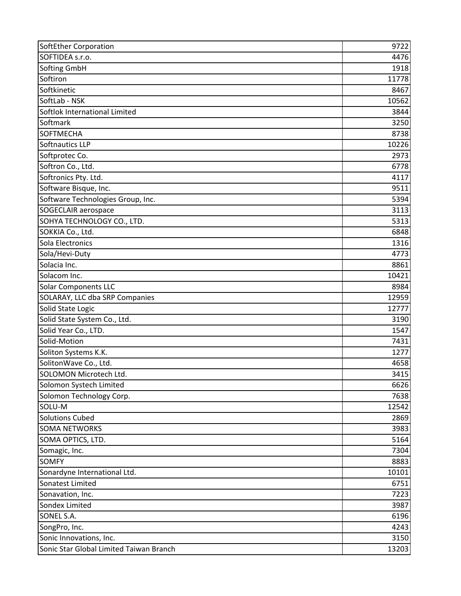| SoftEther Corporation                   | 9722  |
|-----------------------------------------|-------|
| SOFTIDEA s.r.o.                         | 4476  |
| Softing GmbH                            | 1918  |
| Softiron                                | 11778 |
| Softkinetic                             | 8467  |
| SoftLab - NSK                           | 10562 |
| Softlok International Limited           | 3844  |
| Softmark                                | 3250  |
| <b>SOFTMECHA</b>                        | 8738  |
| Softnautics LLP                         | 10226 |
| Softprotec Co.                          | 2973  |
| Softron Co., Ltd.                       | 6778  |
| Softronics Pty. Ltd.                    | 4117  |
| Software Bisque, Inc.                   | 9511  |
| Software Technologies Group, Inc.       | 5394  |
| SOGECLAIR aerospace                     | 3113  |
| SOHYA TECHNOLOGY CO., LTD.              | 5313  |
| SOKKIA Co., Ltd.                        | 6848  |
| Sola Electronics                        | 1316  |
| Sola/Hevi-Duty                          | 4773  |
| Solacia Inc.                            | 8861  |
| Solacom Inc.                            | 10421 |
| <b>Solar Components LLC</b>             | 8984  |
| SOLARAY, LLC dba SRP Companies          | 12959 |
| Solid State Logic                       | 12777 |
| Solid State System Co., Ltd.            | 3190  |
| Solid Year Co., LTD.                    | 1547  |
| Solid-Motion                            | 7431  |
| Soliton Systems K.K.                    | 1277  |
| SolitonWave Co., Ltd.                   | 4658  |
| SOLOMON Microtech Ltd.                  | 3415  |
| Solomon Systech Limited                 | 6626  |
| Solomon Technology Corp.                | 7638  |
| SOLU-M                                  | 12542 |
| <b>Solutions Cubed</b>                  | 2869  |
| <b>SOMA NETWORKS</b>                    | 3983  |
| SOMA OPTICS, LTD.                       | 5164  |
| Somagic, Inc.                           | 7304  |
| <b>SOMFY</b>                            | 8883  |
| Sonardyne International Ltd.            | 10101 |
| Sonatest Limited                        | 6751  |
| Sonavation, Inc.                        | 7223  |
| Sondex Limited                          | 3987  |
| SONEL S.A.                              | 6196  |
| SongPro, Inc.                           | 4243  |
| Sonic Innovations, Inc.                 | 3150  |
| Sonic Star Global Limited Taiwan Branch | 13203 |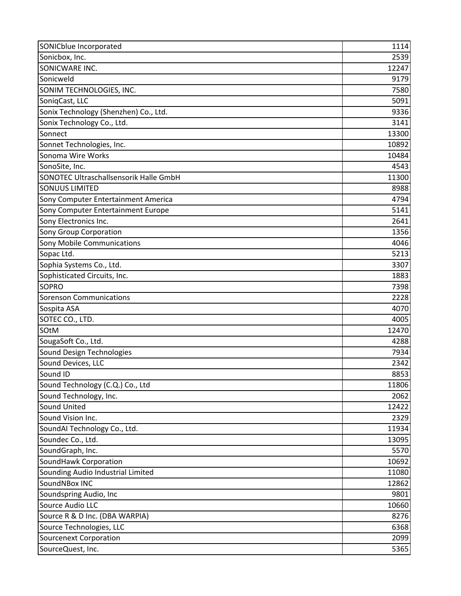| SONICblue Incorporated                 | 1114  |
|----------------------------------------|-------|
| Sonicbox, Inc.                         | 2539  |
| SONICWARE INC.                         | 12247 |
| Sonicweld                              | 9179  |
| SONIM TECHNOLOGIES, INC.               | 7580  |
| SoniqCast, LLC                         | 5091  |
| Sonix Technology (Shenzhen) Co., Ltd.  | 9336  |
| Sonix Technology Co., Ltd.             | 3141  |
| Sonnect                                | 13300 |
| Sonnet Technologies, Inc.              | 10892 |
| Sonoma Wire Works                      | 10484 |
| SonoSite, Inc.                         | 4543  |
| SONOTEC Ultraschallsensorik Halle GmbH | 11300 |
| <b>SONUUS LIMITED</b>                  | 8988  |
| Sony Computer Entertainment America    | 4794  |
| Sony Computer Entertainment Europe     | 5141  |
| Sony Electronics Inc.                  | 2641  |
| <b>Sony Group Corporation</b>          | 1356  |
| <b>Sony Mobile Communications</b>      | 4046  |
| Sopac Ltd.                             | 5213  |
| Sophia Systems Co., Ltd.               | 3307  |
| Sophisticated Circuits, Inc.           | 1883  |
| <b>SOPRO</b>                           | 7398  |
| <b>Sorenson Communications</b>         | 2228  |
| Sospita ASA                            | 4070  |
| SOTEC CO., LTD.                        | 4005  |
| SOtM                                   | 12470 |
| SougaSoft Co., Ltd.                    | 4288  |
| Sound Design Technologies              | 7934  |
| Sound Devices, LLC                     | 2342  |
| Sound ID                               | 8853  |
| Sound Technology (C.Q.) Co., Ltd       | 11806 |
| Sound Technology, Inc.                 | 2062  |
| Sound United                           | 12422 |
| Sound Vision Inc.                      | 2329  |
| SoundAI Technology Co., Ltd.           | 11934 |
| Soundec Co., Ltd.                      | 13095 |
| SoundGraph, Inc.                       | 5570  |
| SoundHawk Corporation                  | 10692 |
| Sounding Audio Industrial Limited      | 11080 |
| SoundNBox INC                          | 12862 |
| Soundspring Audio, Inc                 | 9801  |
| Source Audio LLC                       | 10660 |
| Source R & D Inc. (DBA WARPIA)         | 8276  |
| Source Technologies, LLC               | 6368  |
| <b>Sourcenext Corporation</b>          | 2099  |
| SourceQuest, Inc.                      | 5365  |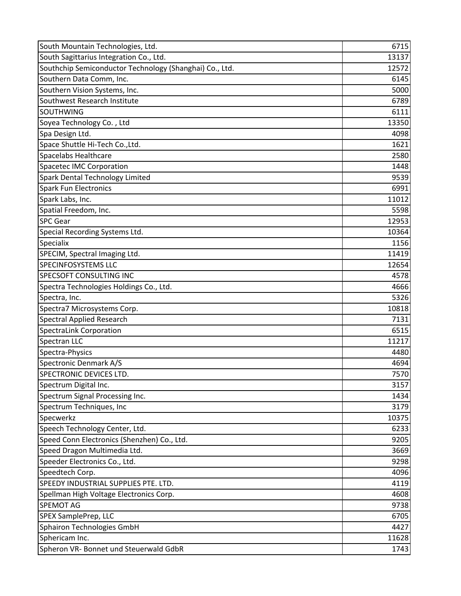| South Mountain Technologies, Ltd.                       | 6715  |
|---------------------------------------------------------|-------|
| South Sagittarius Integration Co., Ltd.                 | 13137 |
| Southchip Semiconductor Technology (Shanghai) Co., Ltd. | 12572 |
| Southern Data Comm, Inc.                                | 6145  |
| Southern Vision Systems, Inc.                           | 5000  |
| Southwest Research Institute                            | 6789  |
| SOUTHWING                                               | 6111  |
| Soyea Technology Co., Ltd                               | 13350 |
| Spa Design Ltd.                                         | 4098  |
| Space Shuttle Hi-Tech Co., Ltd.                         | 1621  |
| Spacelabs Healthcare                                    | 2580  |
| Spacetec IMC Corporation                                | 1448  |
| <b>Spark Dental Technology Limited</b>                  | 9539  |
| <b>Spark Fun Electronics</b>                            | 6991  |
| Spark Labs, Inc.                                        | 11012 |
| Spatial Freedom, Inc.                                   | 5598  |
| <b>SPC Gear</b>                                         | 12953 |
| Special Recording Systems Ltd.                          | 10364 |
| Specialix                                               | 1156  |
| SPECIM, Spectral Imaging Ltd.                           | 11419 |
| <b>SPECINFOSYSTEMS LLC</b>                              | 12654 |
| <b>SPECSOFT CONSULTING INC</b>                          | 4578  |
| Spectra Technologies Holdings Co., Ltd.                 | 4666  |
| Spectra, Inc.                                           | 5326  |
| Spectra7 Microsystems Corp.                             | 10818 |
| Spectral Applied Research                               | 7131  |
| <b>SpectraLink Corporation</b>                          | 6515  |
| Spectran LLC                                            | 11217 |
| Spectra-Physics                                         | 4480  |
| Spectronic Denmark A/S                                  | 4694  |
| <b>SPECTRONIC DEVICES LTD.</b>                          | 7570  |
| Spectrum Digital Inc.                                   | 3157  |
| Spectrum Signal Processing Inc.                         | 1434  |
| Spectrum Techniques, Inc                                | 3179  |
| Specwerkz                                               | 10375 |
| Speech Technology Center, Ltd.                          | 6233  |
| Speed Conn Electronics (Shenzhen) Co., Ltd.             | 9205  |
| Speed Dragon Multimedia Ltd.                            | 3669  |
| Speeder Electronics Co., Ltd.                           | 9298  |
| Speedtech Corp.                                         | 4096  |
| SPEEDY INDUSTRIAL SUPPLIES PTE. LTD.                    | 4119  |
| Spellman High Voltage Electronics Corp.                 | 4608  |
| <b>SPEMOT AG</b>                                        | 9738  |
| SPEX SamplePrep, LLC                                    | 6705  |
| <b>Sphairon Technologies GmbH</b>                       | 4427  |
| Sphericam Inc.                                          | 11628 |
| Spheron VR- Bonnet und Steuerwald GdbR                  | 1743  |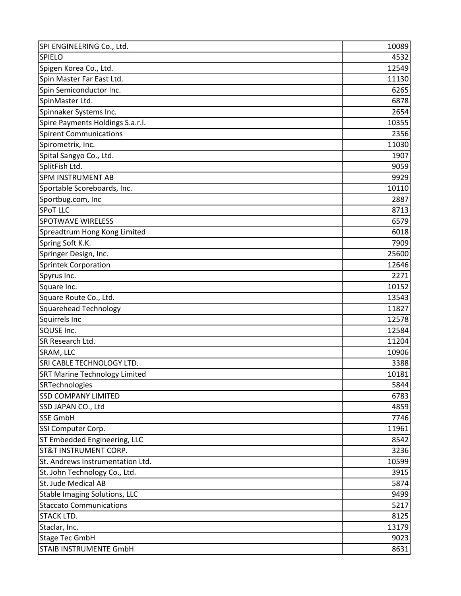| SPI ENGINEERING Co., Ltd.            | 10089 |
|--------------------------------------|-------|
| <b>SPIELO</b>                        | 4532  |
| Spigen Korea Co., Ltd.               | 12549 |
| Spin Master Far East Ltd.            | 11130 |
| Spin Semiconductor Inc.              | 6265  |
| SpinMaster Ltd.                      | 6878  |
| Spinnaker Systems Inc.               | 2654  |
| Spire Payments Holdings S.a.r.l.     | 10355 |
| <b>Spirent Communications</b>        | 2356  |
| Spirometrix, Inc.                    | 11030 |
| Spital Sangyo Co., Ltd.              | 1907  |
| SplitFish Ltd.                       | 9059  |
| <b>SPM INSTRUMENT AB</b>             | 9929  |
| Sportable Scoreboards, Inc.          | 10110 |
| Sportbug.com, Inc                    | 2887  |
| <b>SPoT LLC</b>                      | 8713  |
| <b>SPOTWAVE WIRELESS</b>             | 6579  |
| Spreadtrum Hong Kong Limited         | 6018  |
| Spring Soft K.K.                     | 7909  |
| Springer Design, Inc.                | 25600 |
| <b>Sprintek Corporation</b>          | 12646 |
| Spyrus Inc.                          | 2271  |
| Square Inc.                          | 10152 |
| Square Route Co., Ltd.               | 13543 |
| <b>Squarehead Technology</b>         | 11827 |
| Squirrels Inc                        | 12578 |
| <b>SQUSE Inc.</b>                    | 12584 |
| SR Research Ltd.                     | 11204 |
| SRAM, LLC                            | 10906 |
| SRI CABLE TECHNOLOGY LTD.            | 3388  |
| <b>SRT Marine Technology Limited</b> | 10181 |
| SRTechnologies                       | 5844  |
| <b>SSD COMPANY LIMITED</b>           | 6783  |
| SSD JAPAN CO., Ltd                   | 4859  |
| <b>SSE GmbH</b>                      | 7746  |
| SSI Computer Corp.                   | 11961 |
| ST Embedded Engineering, LLC         | 8542  |
| ST&T INSTRUMENT CORP.                | 3236  |
| St. Andrews Instrumentation Ltd.     | 10599 |
| St. John Technology Co., Ltd.        | 3915  |
| St. Jude Medical AB                  | 5874  |
| <b>Stable Imaging Solutions, LLC</b> | 9499  |
| <b>Staccato Communications</b>       | 5217  |
| <b>STACK LTD.</b>                    | 8125  |
| Staclar, Inc.                        | 13179 |
| <b>Stage Tec GmbH</b>                | 9023  |
| <b>STAIB INSTRUMENTE GmbH</b>        | 8631  |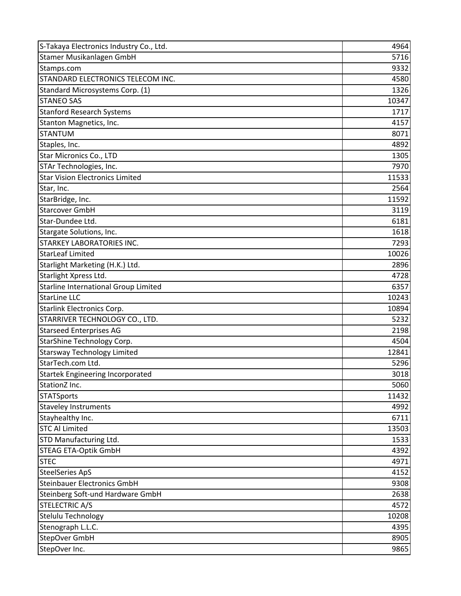| S-Takaya Electronics Industry Co., Ltd. | 4964  |
|-----------------------------------------|-------|
| Stamer Musikanlagen GmbH                | 5716  |
| Stamps.com                              | 9332  |
| STANDARD ELECTRONICS TELECOM INC.       | 4580  |
| Standard Microsystems Corp. (1)         | 1326  |
| <b>STANEO SAS</b>                       | 10347 |
| <b>Stanford Research Systems</b>        | 1717  |
| Stanton Magnetics, Inc.                 | 4157  |
| <b>STANTUM</b>                          | 8071  |
| Staples, Inc.                           | 4892  |
| Star Micronics Co., LTD                 | 1305  |
| STAr Technologies, Inc.                 | 7970  |
| <b>Star Vision Electronics Limited</b>  | 11533 |
| Star, Inc.                              | 2564  |
| StarBridge, Inc.                        | 11592 |
| <b>Starcover GmbH</b>                   | 3119  |
| Star-Dundee Ltd.                        | 6181  |
| Stargate Solutions, Inc.                | 1618  |
| <b>STARKEY LABORATORIES INC.</b>        | 7293  |
| <b>StarLeaf Limited</b>                 | 10026 |
| Starlight Marketing (H.K.) Ltd.         | 2896  |
| Starlight Xpress Ltd.                   | 4728  |
| Starline International Group Limited    | 6357  |
| <b>StarLine LLC</b>                     | 10243 |
| <b>Starlink Electronics Corp.</b>       | 10894 |
| STARRIVER TECHNOLOGY CO., LTD.          | 5232  |
| <b>Starseed Enterprises AG</b>          | 2198  |
| <b>StarShine Technology Corp.</b>       | 4504  |
| <b>Starsway Technology Limited</b>      | 12841 |
| StarTech.com Ltd.                       | 5296  |
| <b>Startek Engineering Incorporated</b> | 3018  |
| StationZ Inc.                           | 5060  |
| <b>STATSports</b>                       | 11432 |
| <b>Staveley Instruments</b>             | 4992  |
| Stayhealthy Inc.                        | 6711  |
| <b>STC Al Limited</b>                   | 13503 |
| STD Manufacturing Ltd.                  | 1533  |
| <b>STEAG ETA-Optik GmbH</b>             | 4392  |
| <b>STEC</b>                             | 4971  |
| <b>SteelSeries ApS</b>                  | 4152  |
| <b>Steinbauer Electronics GmbH</b>      | 9308  |
| Steinberg Soft-und Hardware GmbH        | 2638  |
| <b>STELECTRIC A/S</b>                   | 4572  |
| Stelulu Technology                      | 10208 |
| Stenograph L.L.C.                       | 4395  |
| StepOver GmbH                           | 8905  |
| StepOver Inc.                           | 9865  |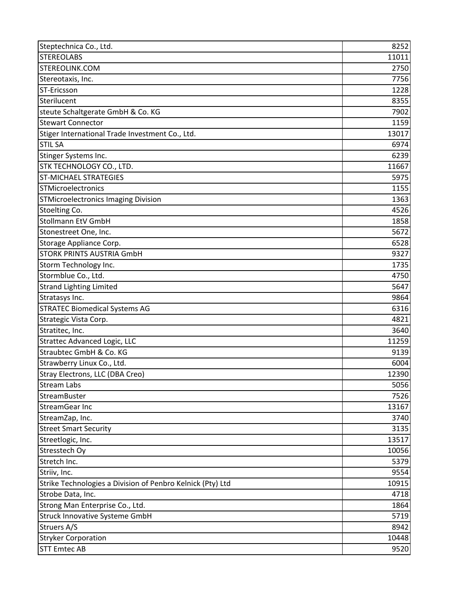| Steptechnica Co., Ltd.                                     | 8252  |
|------------------------------------------------------------|-------|
| <b>STEREOLABS</b>                                          | 11011 |
| STEREOLINK.COM                                             | 2750  |
| Stereotaxis, Inc.                                          | 7756  |
| ST-Ericsson                                                | 1228  |
| Sterilucent                                                | 8355  |
| steute Schaltgerate GmbH & Co. KG                          | 7902  |
| <b>Stewart Connector</b>                                   | 1159  |
| Stiger International Trade Investment Co., Ltd.            | 13017 |
| <b>STIL SA</b>                                             | 6974  |
| Stinger Systems Inc.                                       | 6239  |
| STK TECHNOLOGY CO., LTD.                                   | 11667 |
| <b>ST-MICHAEL STRATEGIES</b>                               | 5975  |
| STMicroelectronics                                         | 1155  |
| <b>STMicroelectronics Imaging Division</b>                 | 1363  |
| Stoelting Co.                                              | 4526  |
| <b>Stollmann EtV GmbH</b>                                  | 1858  |
| Stonestreet One, Inc.                                      | 5672  |
| Storage Appliance Corp.                                    | 6528  |
| <b>STORK PRINTS AUSTRIA GmbH</b>                           | 9327  |
| Storm Technology Inc.                                      | 1735  |
| Stormblue Co., Ltd.                                        | 4750  |
| <b>Strand Lighting Limited</b>                             | 5647  |
| Stratasys Inc.                                             | 9864  |
| <b>STRATEC Biomedical Systems AG</b>                       | 6316  |
| Strategic Vista Corp.                                      | 4821  |
| Stratitec, Inc.                                            | 3640  |
| <b>Strattec Advanced Logic, LLC</b>                        | 11259 |
| Straubtec GmbH & Co. KG                                    | 9139  |
| Strawberry Linux Co., Ltd.                                 | 6004  |
| Stray Electrons, LLC (DBA Creo)                            | 12390 |
| <b>Stream Labs</b>                                         | 5056  |
| StreamBuster                                               | 7526  |
| <b>StreamGear Inc</b>                                      | 13167 |
| StreamZap, Inc.                                            | 3740  |
| <b>Street Smart Security</b>                               | 3135  |
| Streetlogic, Inc.                                          | 13517 |
| Stresstech Oy                                              | 10056 |
| Stretch Inc.                                               | 5379  |
| Striiv, Inc.                                               | 9554  |
| Strike Technologies a Division of Penbro Kelnick (Pty) Ltd | 10915 |
| Strobe Data, Inc.                                          | 4718  |
| Strong Man Enterprise Co., Ltd.                            | 1864  |
| <b>Struck Innovative Systeme GmbH</b>                      | 5719  |
| Struers A/S                                                | 8942  |
| <b>Stryker Corporation</b>                                 | 10448 |
| <b>STT Emtec AB</b>                                        | 9520  |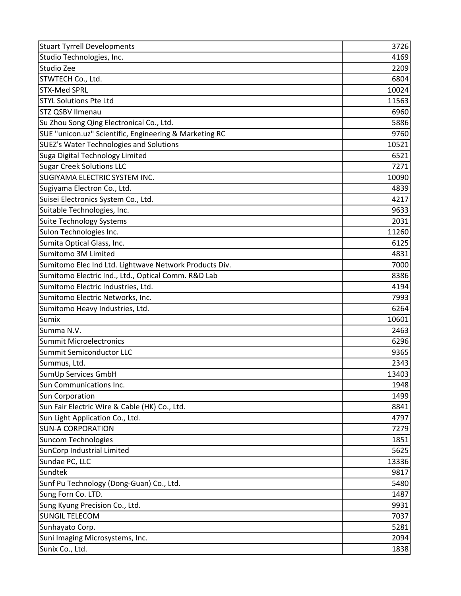| <b>Stuart Tyrrell Developments</b>                     | 3726  |
|--------------------------------------------------------|-------|
| Studio Technologies, Inc.                              | 4169  |
| Studio Zee                                             | 2209  |
| STWTECH Co., Ltd.                                      | 6804  |
| <b>STX-Med SPRL</b>                                    | 10024 |
| <b>STYL Solutions Pte Ltd</b>                          | 11563 |
| STZ QSBV Ilmenau                                       | 6960  |
| Su Zhou Song Qing Electronical Co., Ltd.               | 5886  |
| SUE "unicon.uz" Scientific, Engineering & Marketing RC | 9760  |
| <b>SUEZ's Water Technologies and Solutions</b>         | 10521 |
| Suga Digital Technology Limited                        | 6521  |
| <b>Sugar Creek Solutions LLC</b>                       | 7271  |
| <b>SUGIYAMA ELECTRIC SYSTEM INC.</b>                   | 10090 |
| Sugiyama Electron Co., Ltd.                            | 4839  |
| Suisei Electronics System Co., Ltd.                    | 4217  |
| Suitable Technologies, Inc.                            | 9633  |
| <b>Suite Technology Systems</b>                        | 2031  |
| Sulon Technologies Inc.                                | 11260 |
| Sumita Optical Glass, Inc.                             | 6125  |
| Sumitomo 3M Limited                                    | 4831  |
| Sumitomo Elec Ind Ltd. Lightwave Network Products Div. | 7000  |
| Sumitomo Electric Ind., Ltd., Optical Comm. R&D Lab    | 8386  |
| Sumitomo Electric Industries, Ltd.                     | 4194  |
| Sumitomo Electric Networks, Inc.                       | 7993  |
| Sumitomo Heavy Industries, Ltd.                        | 6264  |
| Sumix                                                  | 10601 |
| Summa N.V.                                             | 2463  |
| <b>Summit Microelectronics</b>                         | 6296  |
| Summit Semiconductor LLC                               | 9365  |
| Summus, Ltd.                                           | 2343  |
| SumUp Services GmbH                                    | 13403 |
| Sun Communications Inc.                                | 1948  |
| Sun Corporation                                        | 1499  |
| Sun Fair Electric Wire & Cable (HK) Co., Ltd.          | 8841  |
| Sun Light Application Co., Ltd.                        | 4797  |
| <b>SUN-A CORPORATION</b>                               | 7279  |
| <b>Suncom Technologies</b>                             | 1851  |
| SunCorp Industrial Limited                             | 5625  |
| Sundae PC, LLC                                         | 13336 |
| Sundtek                                                | 9817  |
| Sunf Pu Technology (Dong-Guan) Co., Ltd.               | 5480  |
| Sung Forn Co. LTD.                                     | 1487  |
| Sung Kyung Precision Co., Ltd.                         | 9931  |
| <b>SUNGIL TELECOM</b>                                  | 7037  |
| Sunhayato Corp.                                        | 5281  |
| Suni Imaging Microsystems, Inc.                        | 2094  |
| Sunix Co., Ltd.                                        | 1838  |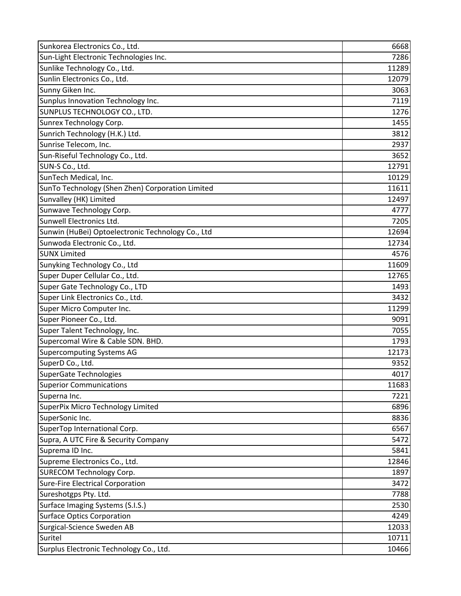| Sunkorea Electronics Co., Ltd.                    | 6668  |
|---------------------------------------------------|-------|
| Sun-Light Electronic Technologies Inc.            | 7286  |
| Sunlike Technology Co., Ltd.                      | 11289 |
| Sunlin Electronics Co., Ltd.                      | 12079 |
| Sunny Giken Inc.                                  | 3063  |
| Sunplus Innovation Technology Inc.                | 7119  |
| SUNPLUS TECHNOLOGY CO., LTD.                      | 1276  |
| Sunrex Technology Corp.                           | 1455  |
| Sunrich Technology (H.K.) Ltd.                    | 3812  |
| Sunrise Telecom, Inc.                             | 2937  |
| Sun-Riseful Technology Co., Ltd.                  | 3652  |
| SUN-S Co., Ltd.                                   | 12791 |
| SunTech Medical, Inc.                             | 10129 |
| SunTo Technology (Shen Zhen) Corporation Limited  | 11611 |
| Sunvalley (HK) Limited                            | 12497 |
| Sunwave Technology Corp.                          | 4777  |
| Sunwell Electronics Ltd.                          | 7205  |
| Sunwin (HuBei) Optoelectronic Technology Co., Ltd | 12694 |
| Sunwoda Electronic Co., Ltd.                      | 12734 |
| <b>SUNX Limited</b>                               | 4576  |
| Sunyking Technology Co., Ltd                      | 11609 |
| Super Duper Cellular Co., Ltd.                    | 12765 |
| Super Gate Technology Co., LTD                    | 1493  |
| Super Link Electronics Co., Ltd.                  | 3432  |
| Super Micro Computer Inc.                         | 11299 |
| Super Pioneer Co., Ltd.                           | 9091  |
| Super Talent Technology, Inc.                     | 7055  |
| Supercomal Wire & Cable SDN. BHD.                 | 1793  |
| <b>Supercomputing Systems AG</b>                  | 12173 |
| SuperD Co., Ltd.                                  | 9352  |
| SuperGate Technologies                            | 4017  |
| <b>Superior Communications</b>                    | 11683 |
| Superna Inc.                                      | 7221  |
| SuperPix Micro Technology Limited                 | 6896  |
| SuperSonic Inc.                                   | 8836  |
| SuperTop International Corp.                      | 6567  |
| Supra, A UTC Fire & Security Company              | 5472  |
| Suprema ID Inc.                                   | 5841  |
| Supreme Electronics Co., Ltd.                     | 12846 |
| <b>SURECOM Technology Corp.</b>                   | 1897  |
| <b>Sure-Fire Electrical Corporation</b>           | 3472  |
| Sureshotgps Pty. Ltd.                             | 7788  |
| Surface Imaging Systems (S.I.S.)                  | 2530  |
| <b>Surface Optics Corporation</b>                 | 4249  |
| Surgical-Science Sweden AB                        | 12033 |
| Suritel                                           | 10711 |
| Surplus Electronic Technology Co., Ltd.           | 10466 |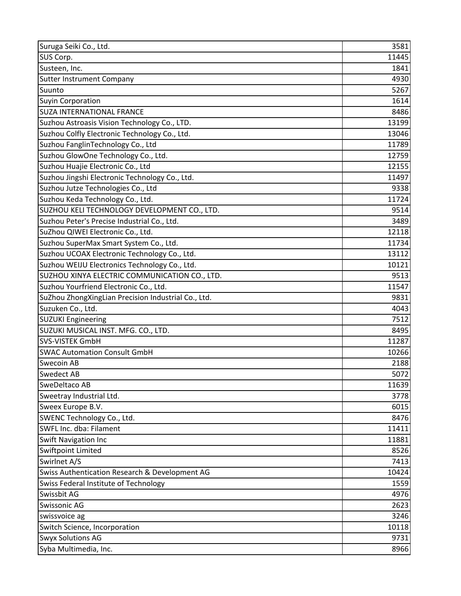| Suruga Seiki Co., Ltd.                              | 3581  |
|-----------------------------------------------------|-------|
| SUS Corp.                                           | 11445 |
| Susteen, Inc.                                       | 1841  |
| <b>Sutter Instrument Company</b>                    | 4930  |
| Suunto                                              | 5267  |
| <b>Suyin Corporation</b>                            | 1614  |
| <b>SUZA INTERNATIONAL FRANCE</b>                    | 8486  |
| Suzhou Astroasis Vision Technology Co., LTD.        | 13199 |
| Suzhou Colfly Electronic Technology Co., Ltd.       | 13046 |
| Suzhou FanglinTechnology Co., Ltd                   | 11789 |
| Suzhou GlowOne Technology Co., Ltd.                 | 12759 |
| Suzhou Huajie Electronic Co., Ltd                   | 12155 |
| Suzhou Jingshi Electronic Technology Co., Ltd.      | 11497 |
| Suzhou Jutze Technologies Co., Ltd                  | 9338  |
| Suzhou Keda Technology Co., Ltd.                    | 11724 |
| SUZHOU KELI TECHNOLOGY DEVELOPMENT CO., LTD.        | 9514  |
| Suzhou Peter's Precise Industrial Co., Ltd.         | 3489  |
| SuZhou QIWEI Electronic Co., Ltd.                   | 12118 |
| Suzhou SuperMax Smart System Co., Ltd.              | 11734 |
| Suzhou UCOAX Electronic Technology Co., Ltd.        | 13112 |
| Suzhou WEIJU Electronics Technology Co., Ltd.       | 10121 |
| SUZHOU XINYA ELECTRIC COMMUNICATION CO., LTD.       | 9513  |
| Suzhou Yourfriend Electronic Co., Ltd.              | 11547 |
| SuZhou ZhongXingLian Precision Industrial Co., Ltd. | 9831  |
| Suzuken Co., Ltd.                                   | 4043  |
| <b>SUZUKI Engineering</b>                           | 7512  |
| SUZUKI MUSICAL INST. MFG. CO., LTD.                 | 8495  |
| <b>SVS-VISTEK GmbH</b>                              | 11287 |
| <b>SWAC Automation Consult GmbH</b>                 | 10266 |
| Swecoin AB                                          | 2188  |
| <b>Swedect AB</b>                                   | 5072  |
| SweDeltaco AB                                       | 11639 |
| Sweetray Industrial Ltd.                            | 3778  |
| Sweex Europe B.V.                                   | 6015  |
| SWENC Technology Co., Ltd.                          | 8476  |
| SWFL Inc. dba: Filament                             | 11411 |
| <b>Swift Navigation Inc</b>                         | 11881 |
| <b>Swiftpoint Limited</b>                           | 8526  |
| Swirlnet A/S                                        | 7413  |
| Swiss Authentication Research & Development AG      | 10424 |
| Swiss Federal Institute of Technology               | 1559  |
| Swissbit AG                                         | 4976  |
| Swissonic AG                                        | 2623  |
| swissvoice ag                                       | 3246  |
| Switch Science, Incorporation                       | 10118 |
| <b>Swyx Solutions AG</b>                            | 9731  |
| Syba Multimedia, Inc.                               | 8966  |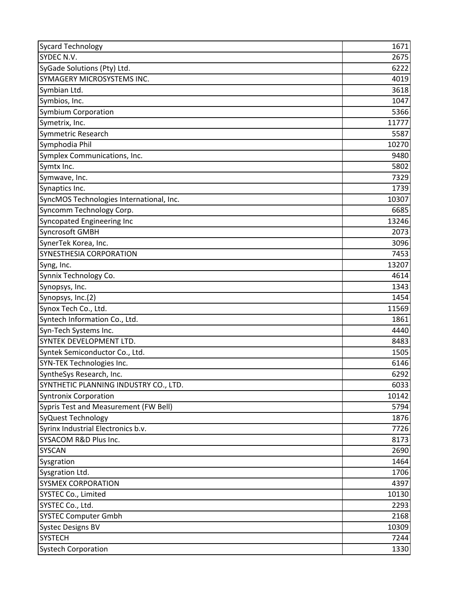| <b>Sycard Technology</b>                 | 1671  |
|------------------------------------------|-------|
| SYDEC N.V.                               | 2675  |
| SyGade Solutions (Pty) Ltd.              | 6222  |
| SYMAGERY MICROSYSTEMS INC.               | 4019  |
| Symbian Ltd.                             | 3618  |
| Symbios, Inc.                            | 1047  |
| <b>Symbium Corporation</b>               | 5366  |
| Symetrix, Inc.                           | 11777 |
| Symmetric Research                       | 5587  |
| Symphodia Phil                           | 10270 |
| Symplex Communications, Inc.             | 9480  |
| Symtx Inc.                               | 5802  |
| Symwave, Inc.                            | 7329  |
| Synaptics Inc.                           | 1739  |
| SyncMOS Technologies International, Inc. | 10307 |
| Syncomm Technology Corp.                 | 6685  |
| <b>Syncopated Engineering Inc</b>        | 13246 |
| <b>Syncrosoft GMBH</b>                   | 2073  |
| SynerTek Korea, Inc.                     | 3096  |
| SYNESTHESIA CORPORATION                  | 7453  |
| Syng, Inc.                               | 13207 |
| Synnix Technology Co.                    | 4614  |
| Synopsys, Inc.                           | 1343  |
| Synopsys, Inc.(2)                        | 1454  |
| Synox Tech Co., Ltd.                     | 11569 |
| Syntech Information Co., Ltd.            | 1861  |
| Syn-Tech Systems Inc.                    | 4440  |
| SYNTEK DEVELOPMENT LTD.                  | 8483  |
| Syntek Semiconductor Co., Ltd.           | 1505  |
| <b>SYN-TEK Technologies Inc.</b>         | 6146  |
| SyntheSys Research, Inc.                 | 6292  |
| SYNTHETIC PLANNING INDUSTRY CO., LTD.    | 6033  |
| <b>Syntronix Corporation</b>             | 10142 |
| Sypris Test and Measurement (FW Bell)    | 5794  |
| SyQuest Technology                       | 1876  |
| Syrinx Industrial Electronics b.v.       | 7726  |
| SYSACOM R&D Plus Inc.                    | 8173  |
| <b>SYSCAN</b>                            | 2690  |
| Sysgration                               | 1464  |
| Sysgration Ltd.                          | 1706  |
| <b>SYSMEX CORPORATION</b>                | 4397  |
| SYSTEC Co., Limited                      | 10130 |
| SYSTEC Co., Ltd.                         | 2293  |
| <b>SYSTEC Computer Gmbh</b>              | 2168  |
| <b>Systec Designs BV</b>                 | 10309 |
| <b>SYSTECH</b>                           | 7244  |
| <b>Systech Corporation</b>               | 1330  |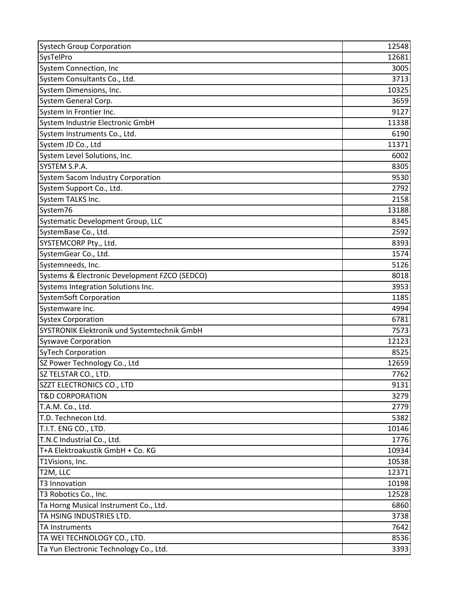| <b>Systech Group Corporation</b>              | 12548 |
|-----------------------------------------------|-------|
| SysTelPro                                     | 12681 |
| System Connection, Inc                        | 3005  |
| System Consultants Co., Ltd.                  | 3713  |
| System Dimensions, Inc.                       | 10325 |
| System General Corp.                          | 3659  |
| System In Frontier Inc.                       | 9127  |
| System Industrie Electronic GmbH              | 11338 |
| System Instruments Co., Ltd.                  | 6190  |
| System JD Co., Ltd                            | 11371 |
| System Level Solutions, Inc.                  | 6002  |
| SYSTEM S.P.A.                                 | 8305  |
| <b>System Sacom Industry Corporation</b>      | 9530  |
| System Support Co., Ltd.                      | 2792  |
| System TALKS Inc.                             | 2158  |
| System76                                      | 13188 |
| Systematic Development Group, LLC             | 8345  |
| SystemBase Co., Ltd.                          | 2592  |
| SYSTEMCORP Pty., Ltd.                         | 8393  |
| SystemGear Co., Ltd.                          | 1574  |
| Systemneeds, Inc.                             | 5126  |
| Systems & Electronic Development FZCO (SEDCO) | 8018  |
| Systems Integration Solutions Inc.            | 3953  |
| <b>SystemSoft Corporation</b>                 | 1185  |
| Systemware Inc.                               | 4994  |
| <b>Systex Corporation</b>                     | 6781  |
| SYSTRONIK Elektronik und Systemtechnik GmbH   | 7573  |
| <b>Syswave Corporation</b>                    | 12123 |
| <b>SyTech Corporation</b>                     | 8525  |
| SZ Power Technology Co., Ltd                  | 12659 |
| SZ TELSTAR CO., LTD.                          | 7762  |
| SZZT ELECTRONICS CO., LTD                     | 9131  |
| <b>T&amp;D CORPORATION</b>                    | 3279  |
| T.A.M. Co., Ltd.                              | 2779  |
| T.D. Technecon Ltd.                           | 5382  |
| T.I.T. ENG CO., LTD.                          | 10146 |
| T.N.C Industrial Co., Ltd.                    | 1776  |
| T+A Elektroakustik GmbH + Co. KG              | 10934 |
| T1Visions, Inc.                               | 10538 |
| T2M, LLC                                      | 12371 |
| T3 Innovation                                 | 10198 |
| T3 Robotics Co., Inc.                         | 12528 |
| Ta Horng Musical Instrument Co., Ltd.         | 6860  |
| TA HSING INDUSTRIES LTD.                      | 3738  |
| TA Instruments                                | 7642  |
| TA WEI TECHNOLOGY CO., LTD.                   | 8536  |
| Ta Yun Electronic Technology Co., Ltd.        | 3393  |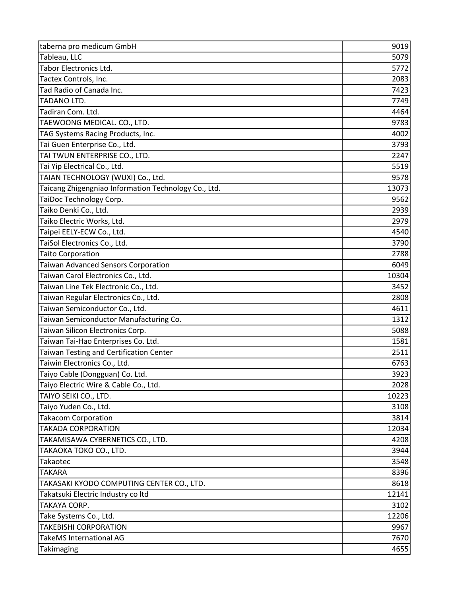| taberna pro medicum GmbH                             | 9019  |
|------------------------------------------------------|-------|
| Tableau, LLC                                         | 5079  |
| Tabor Electronics Ltd.                               | 5772  |
| Tactex Controls, Inc.                                | 2083  |
| Tad Radio of Canada Inc.                             | 7423  |
| TADANO LTD.                                          | 7749  |
| Tadiran Com. Ltd.                                    | 4464  |
| TAEWOONG MEDICAL. CO., LTD.                          | 9783  |
| TAG Systems Racing Products, Inc.                    | 4002  |
| Tai Guen Enterprise Co., Ltd.                        | 3793  |
| TAI TWUN ENTERPRISE CO., LTD.                        | 2247  |
| Tai Yip Electrical Co., Ltd.                         | 5519  |
| TAIAN TECHNOLOGY (WUXI) Co., Ltd.                    | 9578  |
| Taicang Zhigengniao Information Technology Co., Ltd. | 13073 |
| TaiDoc Technology Corp.                              | 9562  |
| Taiko Denki Co., Ltd.                                | 2939  |
| Taiko Electric Works, Ltd.                           | 2979  |
| Taipei EELY-ECW Co., Ltd.                            | 4540  |
| TaiSol Electronics Co., Ltd.                         | 3790  |
| <b>Taito Corporation</b>                             | 2788  |
| Taiwan Advanced Sensors Corporation                  | 6049  |
| Taiwan Carol Electronics Co., Ltd.                   | 10304 |
| Taiwan Line Tek Electronic Co., Ltd.                 | 3452  |
| Taiwan Regular Electronics Co., Ltd.                 | 2808  |
| Taiwan Semiconductor Co., Ltd.                       | 4611  |
| Taiwan Semiconductor Manufacturing Co.               | 1312  |
| Taiwan Silicon Electronics Corp.                     | 5088  |
| Taiwan Tai-Hao Enterprises Co. Ltd.                  | 1581  |
| Taiwan Testing and Certification Center              | 2511  |
| Taiwin Electronics Co., Ltd.                         | 6763  |
| Taiyo Cable (Dongguan) Co. Ltd.                      | 3923  |
| Taiyo Electric Wire & Cable Co., Ltd.                | 2028  |
| TAIYO SEIKI CO., LTD.                                | 10223 |
| Taiyo Yuden Co., Ltd.                                | 3108  |
| <b>Takacom Corporation</b>                           | 3814  |
| <b>TAKADA CORPORATION</b>                            | 12034 |
| TAKAMISAWA CYBERNETICS CO., LTD.                     | 4208  |
| TAKAOKA TOKO CO., LTD.                               | 3944  |
| Takaotec                                             | 3548  |
| <b>TAKARA</b>                                        | 8396  |
| TAKASAKI KYODO COMPUTING CENTER CO., LTD.            | 8618  |
| Takatsuki Electric Industry co Itd                   | 12141 |
| TAKAYA CORP.                                         | 3102  |
| Take Systems Co., Ltd.                               | 12206 |
| <b>TAKEBISHI CORPORATION</b>                         | 9967  |
| <b>TakeMS International AG</b>                       | 7670  |
| Takimaging                                           | 4655  |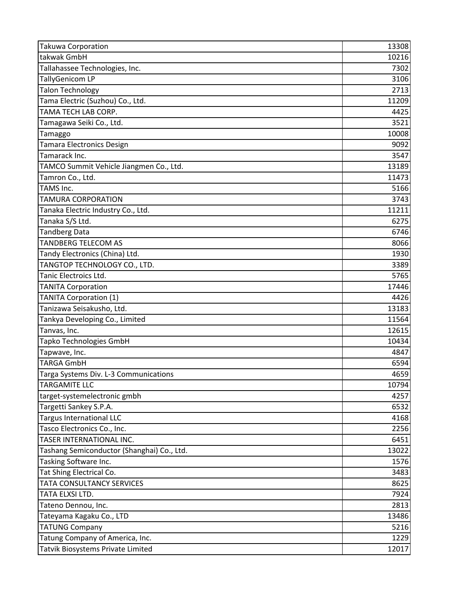| <b>Takuwa Corporation</b>                  | 13308 |
|--------------------------------------------|-------|
| takwak GmbH                                | 10216 |
| Tallahassee Technologies, Inc.             | 7302  |
| <b>TallyGenicom LP</b>                     | 3106  |
| <b>Talon Technology</b>                    | 2713  |
| Tama Electric (Suzhou) Co., Ltd.           | 11209 |
| TAMA TECH LAB CORP.                        | 4425  |
| Tamagawa Seiki Co., Ltd.                   | 3521  |
| Tamaggo                                    | 10008 |
| <b>Tamara Electronics Design</b>           | 9092  |
| Tamarack Inc.                              | 3547  |
| TAMCO Summit Vehicle Jiangmen Co., Ltd.    | 13189 |
| Tamron Co., Ltd.                           | 11473 |
| <b>TAMS Inc.</b>                           | 5166  |
| <b>TAMURA CORPORATION</b>                  | 3743  |
| Tanaka Electric Industry Co., Ltd.         | 11211 |
| Tanaka S/S Ltd.                            | 6275  |
| <b>Tandberg Data</b>                       | 6746  |
| <b>TANDBERG TELECOM AS</b>                 | 8066  |
| Tandy Electronics (China) Ltd.             | 1930  |
| TANGTOP TECHNOLOGY CO., LTD.               | 3389  |
| Tanic Electroics Ltd.                      | 5765  |
| <b>TANITA Corporation</b>                  | 17446 |
| <b>TANITA Corporation (1)</b>              | 4426  |
| Tanizawa Seisakusho, Ltd.                  | 13183 |
| Tankya Developing Co., Limited             | 11564 |
| Tanvas, Inc.                               | 12615 |
| Tapko Technologies GmbH                    | 10434 |
| Tapwave, Inc.                              | 4847  |
| <b>TARGA GmbH</b>                          | 6594  |
| Targa Systems Div. L-3 Communications      | 4659  |
| <b>TARGAMITE LLC</b>                       | 10794 |
| target-systemelectronic gmbh               | 4257  |
| Targetti Sankey S.P.A.                     | 6532  |
| <b>Targus International LLC</b>            | 4168  |
| Tasco Electronics Co., Inc.                | 2256  |
| TASER INTERNATIONAL INC.                   | 6451  |
| Tashang Semiconductor (Shanghai) Co., Ltd. | 13022 |
| Tasking Software Inc.                      | 1576  |
| Tat Shing Electrical Co.                   | 3483  |
| <b>TATA CONSULTANCY SERVICES</b>           | 8625  |
| TATA ELXSI LTD.                            | 7924  |
| Tateno Dennou, Inc.                        | 2813  |
| Tateyama Kagaku Co., LTD                   | 13486 |
| <b>TATUNG Company</b>                      | 5216  |
| Tatung Company of America, Inc.            | 1229  |
| Tatvik Biosystems Private Limited          | 12017 |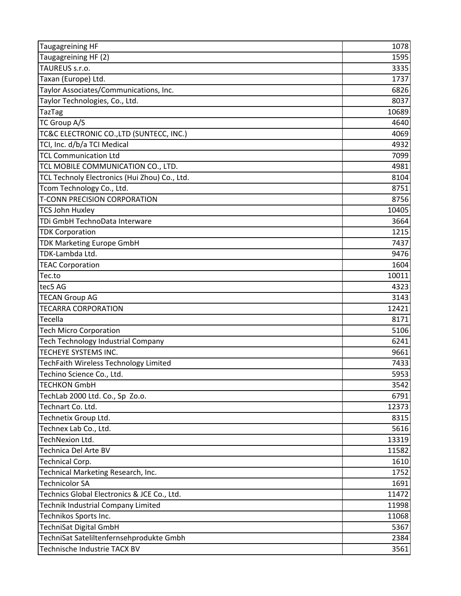| <b>Taugagreining HF</b>                       | 1078  |
|-----------------------------------------------|-------|
| Taugagreining HF (2)                          | 1595  |
| TAUREUS s.r.o.                                | 3335  |
| Taxan (Europe) Ltd.                           | 1737  |
| Taylor Associates/Communications, Inc.        | 6826  |
| Taylor Technologies, Co., Ltd.                | 8037  |
| <b>TazTag</b>                                 | 10689 |
| TC Group A/S                                  | 4640  |
| TC&C ELECTRONIC CO., LTD (SUNTECC, INC.)      | 4069  |
| TCI, Inc. d/b/a TCI Medical                   | 4932  |
| <b>TCL Communication Ltd</b>                  | 7099  |
| TCL MOBILE COMMUNICATION CO., LTD.            | 4981  |
| TCL Technoly Electronics (Hui Zhou) Co., Ltd. | 8104  |
| Tcom Technology Co., Ltd.                     | 8751  |
| <b>T-CONN PRECISION CORPORATION</b>           | 8756  |
| <b>TCS John Huxley</b>                        | 10405 |
| TDi GmbH TechnoData Interware                 | 3664  |
| <b>TDK Corporation</b>                        | 1215  |
| <b>TDK Marketing Europe GmbH</b>              | 7437  |
| TDK-Lambda Ltd.                               | 9476  |
| <b>TEAC Corporation</b>                       | 1604  |
| Tec.to                                        | 10011 |
| tec5 AG                                       | 4323  |
| <b>TECAN Group AG</b>                         | 3143  |
| <b>TECARRA CORPORATION</b>                    | 12421 |
| Tecella                                       | 8171  |
| <b>Tech Micro Corporation</b>                 | 5106  |
| <b>Tech Technology Industrial Company</b>     | 6241  |
| <b>TECHEYE SYSTEMS INC.</b>                   | 9661  |
| TechFaith Wireless Technology Limited         | 7433  |
| Techino Science Co., Ltd.                     | 5953  |
| <b>TECHKON GmbH</b>                           | 3542  |
| TechLab 2000 Ltd. Co., Sp Zo.o.               | 6791  |
| Technart Co. Ltd.                             | 12373 |
| Technetix Group Ltd.                          | 8315  |
| Technex Lab Co., Ltd.                         | 5616  |
| TechNexion Ltd.                               | 13319 |
| Technica Del Arte BV                          | 11582 |
| <b>Technical Corp.</b>                        | 1610  |
| Technical Marketing Research, Inc.            | 1752  |
| <b>Technicolor SA</b>                         | 1691  |
| Technics Global Electronics & JCE Co., Ltd.   | 11472 |
| Technik Industrial Company Limited            | 11998 |
| Technikos Sports Inc.                         | 11068 |
| <b>TechniSat Digital GmbH</b>                 | 5367  |
| TechniSat Sateliltenfernsehprodukte Gmbh      | 2384  |
| Technische Industrie TACX BV                  | 3561  |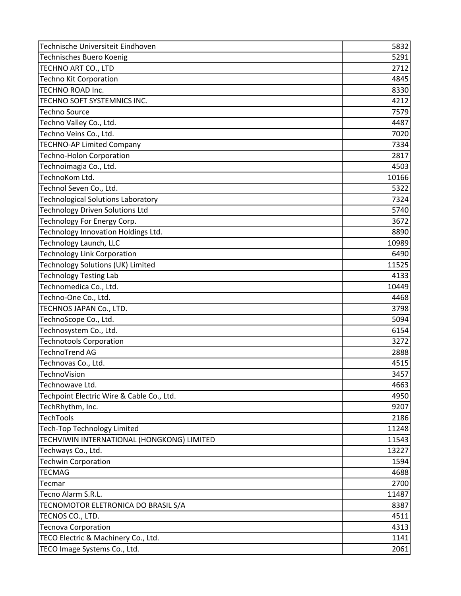| Technische Universiteit Eindhoven          | 5832  |
|--------------------------------------------|-------|
| Technisches Buero Koenig                   | 5291  |
| TECHNO ART CO., LTD                        | 2712  |
| <b>Techno Kit Corporation</b>              | 4845  |
| TECHNO ROAD Inc.                           | 8330  |
| TECHNO SOFT SYSTEMNICS INC.                | 4212  |
| <b>Techno Source</b>                       | 7579  |
| Techno Valley Co., Ltd.                    | 4487  |
| Techno Veins Co., Ltd.                     | 7020  |
| <b>TECHNO-AP Limited Company</b>           | 7334  |
| <b>Techno-Holon Corporation</b>            | 2817  |
| Technoimagia Co., Ltd.                     | 4503  |
| TechnoKom Ltd.                             | 10166 |
| Technol Seven Co., Ltd.                    | 5322  |
| <b>Technological Solutions Laboratory</b>  | 7324  |
| <b>Technology Driven Solutions Ltd</b>     | 5740  |
| Technology For Energy Corp.                | 3672  |
| Technology Innovation Holdings Ltd.        | 8890  |
| Technology Launch, LLC                     | 10989 |
| <b>Technology Link Corporation</b>         | 6490  |
| Technology Solutions (UK) Limited          | 11525 |
| <b>Technology Testing Lab</b>              | 4133  |
| Technomedica Co., Ltd.                     | 10449 |
| Techno-One Co., Ltd.                       | 4468  |
| TECHNOS JAPAN Co., LTD.                    | 3798  |
| TechnoScope Co., Ltd.                      | 5094  |
| Technosystem Co., Ltd.                     | 6154  |
| <b>Technotools Corporation</b>             | 3272  |
| <b>TechnoTrend AG</b>                      | 2888  |
| Technovas Co., Ltd.                        | 4515  |
| TechnoVision                               | 3457  |
| Technowave Ltd.                            | 4663  |
| Techpoint Electric Wire & Cable Co., Ltd.  | 4950  |
| TechRhythm, Inc.                           | 9207  |
| <b>TechTools</b>                           | 2186  |
| Tech-Top Technology Limited                | 11248 |
| TECHVIWIN INTERNATIONAL (HONGKONG) LIMITED | 11543 |
| Techways Co., Ltd.                         | 13227 |
| <b>Techwin Corporation</b>                 | 1594  |
| <b>TECMAG</b>                              | 4688  |
| Tecmar                                     | 2700  |
| Tecno Alarm S.R.L.                         | 11487 |
| TECNOMOTOR ELETRONICA DO BRASIL S/A        | 8387  |
| TECNOS CO., LTD.                           | 4511  |
| <b>Tecnova Corporation</b>                 | 4313  |
| TECO Electric & Machinery Co., Ltd.        | 1141  |
| TECO Image Systems Co., Ltd.               | 2061  |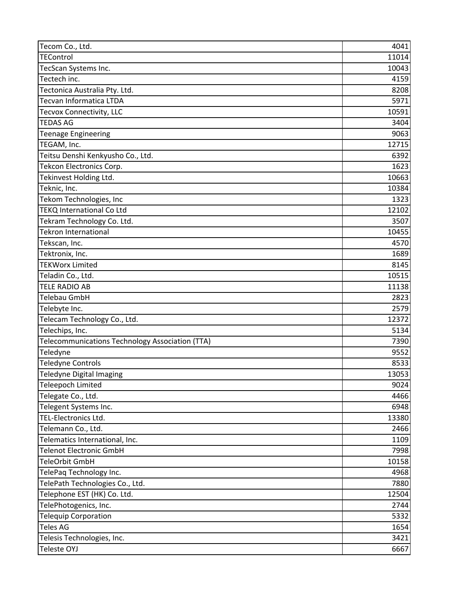| Tecom Co., Ltd.                                 | 4041  |
|-------------------------------------------------|-------|
| <b>TEControl</b>                                | 11014 |
| TecScan Systems Inc.                            | 10043 |
| Tectech inc.                                    | 4159  |
| Tectonica Australia Pty. Ltd.                   | 8208  |
| Tecvan Informatica LTDA                         | 5971  |
| Tecvox Connectivity, LLC                        | 10591 |
| <b>TEDAS AG</b>                                 | 3404  |
| <b>Teenage Engineering</b>                      | 9063  |
| TEGAM, Inc.                                     | 12715 |
| Teitsu Denshi Kenkyusho Co., Ltd.               | 6392  |
| Tekcon Electronics Corp.                        | 1623  |
| Tekinvest Holding Ltd.                          | 10663 |
| Teknic, Inc.                                    | 10384 |
| Tekom Technologies, Inc                         | 1323  |
| <b>TEKQ International Co Ltd</b>                | 12102 |
| Tekram Technology Co. Ltd.                      | 3507  |
| <b>Tekron International</b>                     | 10455 |
| Tekscan, Inc.                                   | 4570  |
| Tektronix, Inc.                                 | 1689  |
| <b>TEKWorx Limited</b>                          | 8145  |
| Teladin Co., Ltd.                               | 10515 |
| <b>TELE RADIO AB</b>                            | 11138 |
| Telebau GmbH                                    | 2823  |
| Telebyte Inc.                                   | 2579  |
| Telecam Technology Co., Ltd.                    | 12372 |
| Telechips, Inc.                                 | 5134  |
| Telecommunications Technology Association (TTA) | 7390  |
| Teledyne                                        | 9552  |
| <b>Teledyne Controls</b>                        | 8533  |
| <b>Teledyne Digital Imaging</b>                 | 13053 |
| Teleepoch Limited                               | 9024  |
| Telegate Co., Ltd.                              | 4466  |
| Telegent Systems Inc.                           | 6948  |
| <b>TEL-Electronics Ltd.</b>                     | 13380 |
| Telemann Co., Ltd.                              | 2466  |
| Telematics International, Inc.                  | 1109  |
| <b>Telenot Electronic GmbH</b>                  | 7998  |
| TeleOrbit GmbH                                  | 10158 |
| TelePaq Technology Inc.                         | 4968  |
| TelePath Technologies Co., Ltd.                 | 7880  |
| Telephone EST (HK) Co. Ltd.                     | 12504 |
| TelePhotogenics, Inc.                           | 2744  |
| <b>Telequip Corporation</b>                     | 5332  |
| <b>Teles AG</b>                                 | 1654  |
| Telesis Technologies, Inc.                      | 3421  |
| Teleste OYJ                                     | 6667  |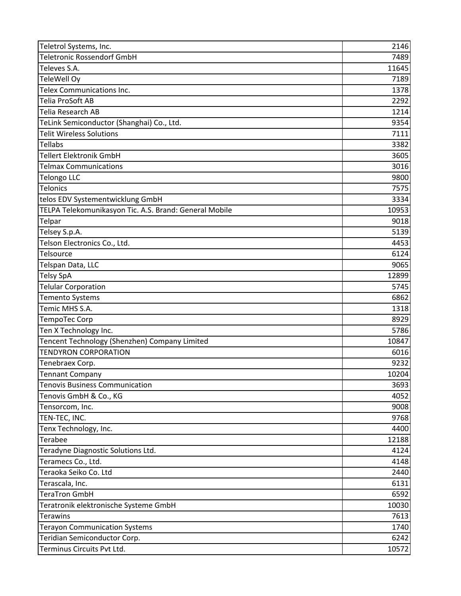| Teletrol Systems, Inc.                                 | 2146  |
|--------------------------------------------------------|-------|
| <b>Teletronic Rossendorf GmbH</b>                      | 7489  |
| Televes S.A.                                           | 11645 |
| <b>TeleWell Oy</b>                                     | 7189  |
| Telex Communications Inc.                              | 1378  |
| Telia ProSoft AB                                       | 2292  |
| <b>Telia Research AB</b>                               | 1214  |
| TeLink Semiconductor (Shanghai) Co., Ltd.              | 9354  |
| <b>Telit Wireless Solutions</b>                        | 7111  |
| <b>Tellabs</b>                                         | 3382  |
| <b>Tellert Elektronik GmbH</b>                         | 3605  |
| <b>Telmax Communications</b>                           | 3016  |
| <b>Telongo LLC</b>                                     | 9800  |
| Telonics                                               | 7575  |
| telos EDV Systementwicklung GmbH                       | 3334  |
| TELPA Telekomunikasyon Tic. A.S. Brand: General Mobile | 10953 |
| Telpar                                                 | 9018  |
| Telsey S.p.A.                                          | 5139  |
| Telson Electronics Co., Ltd.                           | 4453  |
| Telsource                                              | 6124  |
| Telspan Data, LLC                                      | 9065  |
| <b>Telsy SpA</b>                                       | 12899 |
| <b>Telular Corporation</b>                             | 5745  |
| <b>Temento Systems</b>                                 | 6862  |
| Temic MHS S.A.                                         | 1318  |
| TempoTec Corp                                          | 8929  |
| Ten X Technology Inc.                                  | 5786  |
| Tencent Technology (Shenzhen) Company Limited          | 10847 |
| <b>TENDYRON CORPORATION</b>                            | 6016  |
| Tenebraex Corp.                                        | 9232  |
| <b>Tennant Company</b>                                 | 10204 |
| <b>Tenovis Business Communication</b>                  | 3693  |
| Tenovis GmbH & Co., KG                                 | 4052  |
| Tensorcom, Inc.                                        | 9008  |
| TEN-TEC, INC.                                          | 9768  |
| Tenx Technology, Inc.                                  | 4400  |
| Terabee                                                | 12188 |
| Teradyne Diagnostic Solutions Ltd.                     | 4124  |
| Teramecs Co., Ltd.                                     | 4148  |
| Teraoka Seiko Co. Ltd                                  | 2440  |
| Terascala, Inc.                                        | 6131  |
| <b>TeraTron GmbH</b>                                   | 6592  |
| Teratronik elektronische Systeme GmbH                  | 10030 |
| Terawins                                               | 7613  |
| <b>Terayon Communication Systems</b>                   | 1740  |
| Teridian Semiconductor Corp.                           | 6242  |
| Terminus Circuits Pvt Ltd.                             | 10572 |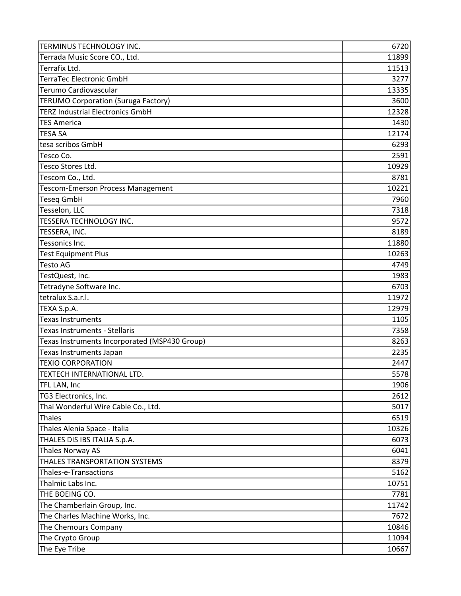| Terrada Music Score CO., Ltd.<br>11899<br>Terrafix Ltd.<br>11513<br>TerraTec Electronic GmbH<br>3277<br>Terumo Cardiovascular<br>13335<br>TERUMO Corporation (Suruga Factory)<br>3600<br><b>TERZ Industrial Electronics GmbH</b><br>12328<br><b>TES America</b><br>1430<br><b>TESA SA</b><br>12174<br>tesa scribos GmbH<br>6293<br>Tesco Co.<br>2591<br>Tesco Stores Ltd.<br>10929<br>Tescom Co., Ltd.<br>8781<br><b>Tescom-Emerson Process Management</b><br>10221<br><b>Teseq GmbH</b><br>7960<br>Tesselon, LLC<br>7318<br>TESSERA TECHNOLOGY INC.<br>9572<br>8189<br>TESSERA, INC. |
|---------------------------------------------------------------------------------------------------------------------------------------------------------------------------------------------------------------------------------------------------------------------------------------------------------------------------------------------------------------------------------------------------------------------------------------------------------------------------------------------------------------------------------------------------------------------------------------|
|                                                                                                                                                                                                                                                                                                                                                                                                                                                                                                                                                                                       |
|                                                                                                                                                                                                                                                                                                                                                                                                                                                                                                                                                                                       |
|                                                                                                                                                                                                                                                                                                                                                                                                                                                                                                                                                                                       |
|                                                                                                                                                                                                                                                                                                                                                                                                                                                                                                                                                                                       |
|                                                                                                                                                                                                                                                                                                                                                                                                                                                                                                                                                                                       |
|                                                                                                                                                                                                                                                                                                                                                                                                                                                                                                                                                                                       |
|                                                                                                                                                                                                                                                                                                                                                                                                                                                                                                                                                                                       |
|                                                                                                                                                                                                                                                                                                                                                                                                                                                                                                                                                                                       |
|                                                                                                                                                                                                                                                                                                                                                                                                                                                                                                                                                                                       |
|                                                                                                                                                                                                                                                                                                                                                                                                                                                                                                                                                                                       |
|                                                                                                                                                                                                                                                                                                                                                                                                                                                                                                                                                                                       |
|                                                                                                                                                                                                                                                                                                                                                                                                                                                                                                                                                                                       |
|                                                                                                                                                                                                                                                                                                                                                                                                                                                                                                                                                                                       |
|                                                                                                                                                                                                                                                                                                                                                                                                                                                                                                                                                                                       |
|                                                                                                                                                                                                                                                                                                                                                                                                                                                                                                                                                                                       |
|                                                                                                                                                                                                                                                                                                                                                                                                                                                                                                                                                                                       |
|                                                                                                                                                                                                                                                                                                                                                                                                                                                                                                                                                                                       |
| Tessonics Inc.<br>11880                                                                                                                                                                                                                                                                                                                                                                                                                                                                                                                                                               |
| <b>Test Equipment Plus</b><br>10263                                                                                                                                                                                                                                                                                                                                                                                                                                                                                                                                                   |
| <b>Testo AG</b><br>4749                                                                                                                                                                                                                                                                                                                                                                                                                                                                                                                                                               |
| 1983<br>TestQuest, Inc.                                                                                                                                                                                                                                                                                                                                                                                                                                                                                                                                                               |
| Tetradyne Software Inc.<br>6703                                                                                                                                                                                                                                                                                                                                                                                                                                                                                                                                                       |
| tetralux S.a.r.l.<br>11972                                                                                                                                                                                                                                                                                                                                                                                                                                                                                                                                                            |
| TEXA S.p.A.<br>12979                                                                                                                                                                                                                                                                                                                                                                                                                                                                                                                                                                  |
| <b>Texas Instruments</b><br>1105                                                                                                                                                                                                                                                                                                                                                                                                                                                                                                                                                      |
| Texas Instruments - Stellaris<br>7358                                                                                                                                                                                                                                                                                                                                                                                                                                                                                                                                                 |
| 8263<br>Texas Instruments Incorporated (MSP430 Group)                                                                                                                                                                                                                                                                                                                                                                                                                                                                                                                                 |
| 2235<br>Texas Instruments Japan                                                                                                                                                                                                                                                                                                                                                                                                                                                                                                                                                       |
| <b>TEXIO CORPORATION</b><br>2447                                                                                                                                                                                                                                                                                                                                                                                                                                                                                                                                                      |
| 5578<br>TEXTECH INTERNATIONAL LTD.                                                                                                                                                                                                                                                                                                                                                                                                                                                                                                                                                    |
| TFL LAN, Inc<br>1906                                                                                                                                                                                                                                                                                                                                                                                                                                                                                                                                                                  |
| TG3 Electronics, Inc.<br>2612                                                                                                                                                                                                                                                                                                                                                                                                                                                                                                                                                         |
| Thai Wonderful Wire Cable Co., Ltd.<br>5017                                                                                                                                                                                                                                                                                                                                                                                                                                                                                                                                           |
| <b>Thales</b><br>6519                                                                                                                                                                                                                                                                                                                                                                                                                                                                                                                                                                 |
| Thales Alenia Space - Italia<br>10326                                                                                                                                                                                                                                                                                                                                                                                                                                                                                                                                                 |
| THALES DIS IBS ITALIA S.p.A.<br>6073                                                                                                                                                                                                                                                                                                                                                                                                                                                                                                                                                  |
| Thales Norway AS<br>6041                                                                                                                                                                                                                                                                                                                                                                                                                                                                                                                                                              |
| THALES TRANSPORTATION SYSTEMS<br>8379                                                                                                                                                                                                                                                                                                                                                                                                                                                                                                                                                 |
| Thales-e-Transactions<br>5162                                                                                                                                                                                                                                                                                                                                                                                                                                                                                                                                                         |
| Thalmic Labs Inc.<br>10751                                                                                                                                                                                                                                                                                                                                                                                                                                                                                                                                                            |
| THE BOEING CO.<br>7781                                                                                                                                                                                                                                                                                                                                                                                                                                                                                                                                                                |
| 11742<br>The Chamberlain Group, Inc.                                                                                                                                                                                                                                                                                                                                                                                                                                                                                                                                                  |
| The Charles Machine Works, Inc.<br>7672                                                                                                                                                                                                                                                                                                                                                                                                                                                                                                                                               |
| 10846<br>The Chemours Company                                                                                                                                                                                                                                                                                                                                                                                                                                                                                                                                                         |
| The Crypto Group<br>11094                                                                                                                                                                                                                                                                                                                                                                                                                                                                                                                                                             |
| The Eye Tribe<br>10667                                                                                                                                                                                                                                                                                                                                                                                                                                                                                                                                                                |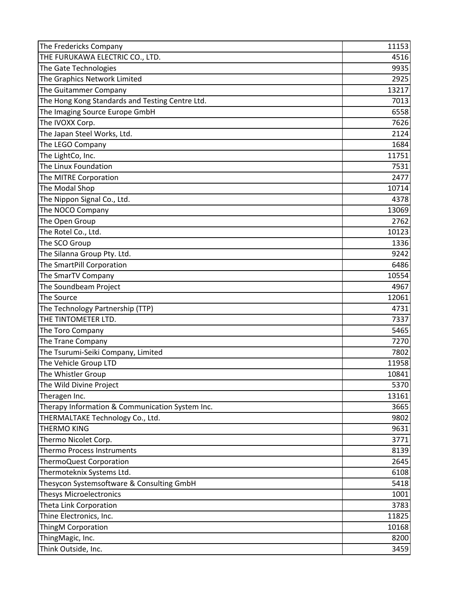| The Fredericks Company                          | 11153 |
|-------------------------------------------------|-------|
| THE FURUKAWA ELECTRIC CO., LTD.                 | 4516  |
| The Gate Technologies                           | 9935  |
| The Graphics Network Limited                    | 2925  |
| The Guitammer Company                           | 13217 |
| The Hong Kong Standards and Testing Centre Ltd. | 7013  |
| The Imaging Source Europe GmbH                  | 6558  |
| The IVOXX Corp.                                 | 7626  |
| The Japan Steel Works, Ltd.                     | 2124  |
| The LEGO Company                                | 1684  |
| The LightCo, Inc.                               | 11751 |
| The Linux Foundation                            | 7531  |
| The MITRE Corporation                           | 2477  |
| The Modal Shop                                  | 10714 |
| The Nippon Signal Co., Ltd.                     | 4378  |
| The NOCO Company                                | 13069 |
| The Open Group                                  | 2762  |
| The Rotel Co., Ltd.                             | 10123 |
| The SCO Group                                   | 1336  |
| The Silanna Group Pty. Ltd.                     | 9242  |
| The SmartPill Corporation                       | 6486  |
| The SmarTV Company                              | 10554 |
| The Soundbeam Project                           | 4967  |
| The Source                                      | 12061 |
| The Technology Partnership (TTP)                | 4731  |
| THE TINTOMETER LTD.                             | 7337  |
| The Toro Company                                | 5465  |
| The Trane Company                               | 7270  |
| The Tsurumi-Seiki Company, Limited              | 7802  |
| The Vehicle Group LTD                           | 11958 |
| The Whistler Group                              | 10841 |
| The Wild Divine Project                         | 5370  |
| Theragen Inc.                                   | 13161 |
| Therapy Information & Communication System Inc. | 3665  |
| THERMALTAKE Technology Co., Ltd.                | 9802  |
| <b>THERMO KING</b>                              | 9631  |
| Thermo Nicolet Corp.                            | 3771  |
| <b>Thermo Process Instruments</b>               | 8139  |
| ThermoQuest Corporation                         | 2645  |
| Thermoteknix Systems Ltd.                       | 6108  |
| Thesycon Systemsoftware & Consulting GmbH       | 5418  |
| <b>Thesys Microelectronics</b>                  | 1001  |
| Theta Link Corporation                          | 3783  |
| Thine Electronics, Inc.                         | 11825 |
| ThingM Corporation                              | 10168 |
| ThingMagic, Inc.                                | 8200  |
| Think Outside, Inc.                             | 3459  |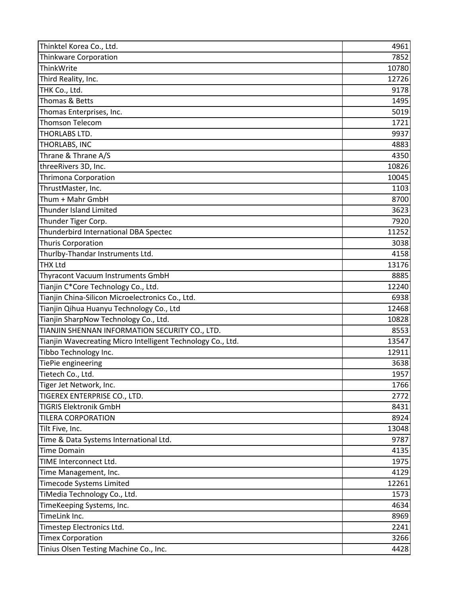| Thinktel Korea Co., Ltd.                                    | 4961  |
|-------------------------------------------------------------|-------|
| <b>Thinkware Corporation</b>                                | 7852  |
| ThinkWrite                                                  | 10780 |
| Third Reality, Inc.                                         | 12726 |
| THK Co., Ltd.                                               | 9178  |
| Thomas & Betts                                              | 1495  |
| Thomas Enterprises, Inc.                                    | 5019  |
| <b>Thomson Telecom</b>                                      | 1721  |
| THORLABS LTD.                                               | 9937  |
| THORLABS, INC                                               | 4883  |
| Thrane & Thrane A/S                                         | 4350  |
| threeRivers 3D, Inc.                                        | 10826 |
| <b>Thrimona Corporation</b>                                 | 10045 |
| ThrustMaster, Inc.                                          | 1103  |
| Thum + Mahr GmbH                                            | 8700  |
| <b>Thunder Island Limited</b>                               | 3623  |
| Thunder Tiger Corp.                                         | 7920  |
| Thunderbird International DBA Spectec                       | 11252 |
| <b>Thuris Corporation</b>                                   | 3038  |
| Thurlby-Thandar Instruments Ltd.                            | 4158  |
| <b>THX Ltd</b>                                              | 13176 |
| Thyracont Vacuum Instruments GmbH                           | 8885  |
| Tianjin C*Core Technology Co., Ltd.                         | 12240 |
| Tianjin China-Silicon Microelectronics Co., Ltd.            | 6938  |
| Tianjin Qihua Huanyu Technology Co., Ltd                    | 12468 |
| Tianjin SharpNow Technology Co., Ltd.                       | 10828 |
| TIANJIN SHENNAN INFORMATION SECURITY CO., LTD.              | 8553  |
| Tianjin Wavecreating Micro Intelligent Technology Co., Ltd. | 13547 |
| Tibbo Technology Inc.                                       | 12911 |
| TiePie engineering                                          | 3638  |
| Tietech Co., Ltd.                                           | 1957  |
| Tiger Jet Network, Inc.                                     | 1766  |
| TIGEREX ENTERPRISE CO., LTD.                                | 2772  |
| <b>TIGRIS Elektronik GmbH</b>                               | 8431  |
| <b>TILERA CORPORATION</b>                                   | 8924  |
| Tilt Five, Inc.                                             | 13048 |
| Time & Data Systems International Ltd.                      | 9787  |
| <b>Time Domain</b>                                          | 4135  |
| TIME Interconnect Ltd.                                      | 1975  |
| Time Management, Inc.                                       | 4129  |
| Timecode Systems Limited                                    | 12261 |
| TiMedia Technology Co., Ltd.                                | 1573  |
| TimeKeeping Systems, Inc.                                   | 4634  |
| TimeLink Inc.                                               | 8969  |
| Timestep Electronics Ltd.                                   | 2241  |
| <b>Timex Corporation</b>                                    | 3266  |
| Tinius Olsen Testing Machine Co., Inc.                      | 4428  |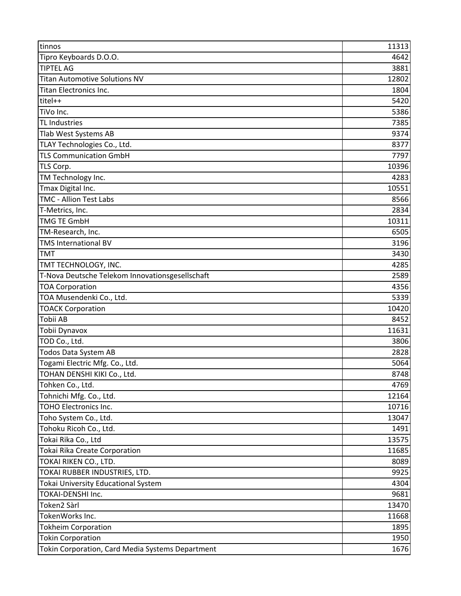| tinnos                                           | 11313 |
|--------------------------------------------------|-------|
| Tipro Keyboards D.O.O.                           | 4642  |
| <b>TIPTEL AG</b>                                 | 3881  |
| <b>Titan Automotive Solutions NV</b>             | 12802 |
| <b>Titan Electronics Inc.</b>                    | 1804  |
| titel++                                          | 5420  |
| TiVo Inc.                                        | 5386  |
| <b>TL Industries</b>                             | 7385  |
| Tlab West Systems AB                             | 9374  |
| TLAY Technologies Co., Ltd.                      | 8377  |
| <b>TLS Communication GmbH</b>                    | 7797  |
| TLS Corp.                                        | 10396 |
| TM Technology Inc.                               | 4283  |
| Tmax Digital Inc.                                | 10551 |
| <b>TMC - Allion Test Labs</b>                    | 8566  |
| T-Metrics, Inc.                                  | 2834  |
| <b>TMG TE GmbH</b>                               | 10311 |
| TM-Research, Inc.                                | 6505  |
| <b>TMS International BV</b>                      | 3196  |
| <b>TMT</b>                                       | 3430  |
| TMT TECHNOLOGY, INC.                             | 4285  |
| T-Nova Deutsche Telekom Innovationsgesellschaft  | 2589  |
| <b>TOA Corporation</b>                           | 4356  |
| TOA Musendenki Co., Ltd.                         | 5339  |
| <b>TOACK Corporation</b>                         | 10420 |
| <b>Tobii AB</b>                                  | 8452  |
| Tobii Dynavox                                    | 11631 |
| TOD Co., Ltd.                                    | 3806  |
| <b>Todos Data System AB</b>                      | 2828  |
| Togami Electric Mfg. Co., Ltd.                   | 5064  |
| TOHAN DENSHI KIKI Co., Ltd.                      | 8748  |
| Tohken Co., Ltd.                                 | 4769  |
| Tohnichi Mfg. Co., Ltd.                          | 12164 |
| <b>TOHO Electronics Inc.</b>                     | 10716 |
| Toho System Co., Ltd.                            | 13047 |
| Tohoku Ricoh Co., Ltd.                           | 1491  |
| Tokai Rika Co., Ltd                              | 13575 |
| Tokai Rika Create Corporation                    | 11685 |
| TOKAI RIKEN CO., LTD.                            | 8089  |
| TOKAI RUBBER INDUSTRIES, LTD.                    | 9925  |
| Tokai University Educational System              | 4304  |
| TOKAI-DENSHI Inc.                                | 9681  |
| Token2 Sàrl                                      | 13470 |
| TokenWorks Inc.                                  | 11668 |
| <b>Tokheim Corporation</b>                       | 1895  |
| <b>Tokin Corporation</b>                         | 1950  |
| Tokin Corporation, Card Media Systems Department | 1676  |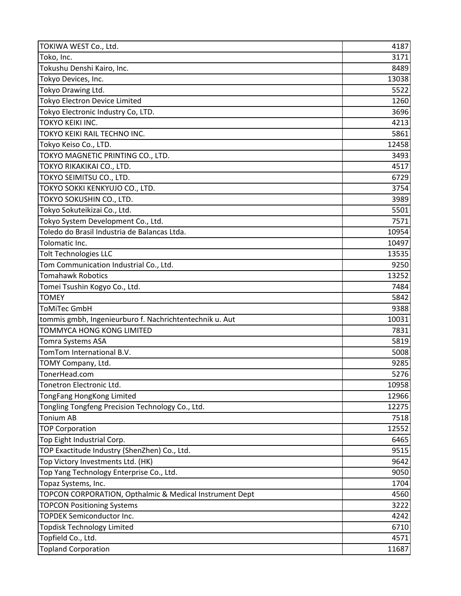| TOKIWA WEST Co., Ltd.                                   | 4187  |
|---------------------------------------------------------|-------|
| Toko, Inc.                                              | 3171  |
| Tokushu Denshi Kairo, Inc.                              | 8489  |
| Tokyo Devices, Inc.                                     | 13038 |
| Tokyo Drawing Ltd.                                      | 5522  |
| Tokyo Electron Device Limited                           | 1260  |
| Tokyo Electronic Industry Co, LTD.                      | 3696  |
| TOKYO KEIKI INC.                                        | 4213  |
| TOKYO KEIKI RAIL TECHNO INC.                            | 5861  |
| Tokyo Keiso Co., LTD.                                   | 12458 |
| TOKYO MAGNETIC PRINTING CO., LTD.                       | 3493  |
| TOKYO RIKAKIKAI CO., LTD.                               | 4517  |
| TOKYO SEIMITSU CO., LTD.                                | 6729  |
| TOKYO SOKKI KENKYUJO CO., LTD.                          | 3754  |
| TOKYO SOKUSHIN CO., LTD.                                | 3989  |
| Tokyo Sokuteikizai Co., Ltd.                            | 5501  |
| Tokyo System Development Co., Ltd.                      | 7571  |
| Toledo do Brasil Industria de Balancas Ltda.            | 10954 |
| Tolomatic Inc.                                          | 10497 |
| <b>Tolt Technologies LLC</b>                            | 13535 |
| Tom Communication Industrial Co., Ltd.                  | 9250  |
| <b>Tomahawk Robotics</b>                                | 13252 |
| Tomei Tsushin Kogyo Co., Ltd.                           | 7484  |
| <b>TOMEY</b>                                            | 5842  |
| <b>ToMiTec GmbH</b>                                     | 9388  |
| tommis gmbh, Ingenieurburo f. Nachrichtentechnik u. Aut | 10031 |
| TOMMYCA HONG KONG LIMITED                               | 7831  |
| Tomra Systems ASA                                       | 5819  |
| TomTom International B.V.                               | 5008  |
| TOMY Company, Ltd.                                      | 9285  |
| TonerHead.com                                           | 5276  |
| Tonetron Electronic Ltd.                                | 10958 |
| TongFang HongKong Limited                               | 12966 |
| Tongling Tongfeng Precision Technology Co., Ltd.        | 12275 |
| <b>Tonium AB</b>                                        | 7518  |
| <b>TOP Corporation</b>                                  | 12552 |
| Top Eight Industrial Corp.                              | 6465  |
| TOP Exactitude Industry (ShenZhen) Co., Ltd.            | 9515  |
| Top Victory Investments Ltd. (HK)                       | 9642  |
| Top Yang Technology Enterprise Co., Ltd.                | 9050  |
| Topaz Systems, Inc.                                     | 1704  |
| TOPCON CORPORATION, Opthalmic & Medical Instrument Dept | 4560  |
| <b>TOPCON Positioning Systems</b>                       | 3222  |
| <b>TOPDEK Semiconductor Inc.</b>                        | 4242  |
| Topdisk Technology Limited                              | 6710  |
| Topfield Co., Ltd.                                      | 4571  |
| <b>Topland Corporation</b>                              | 11687 |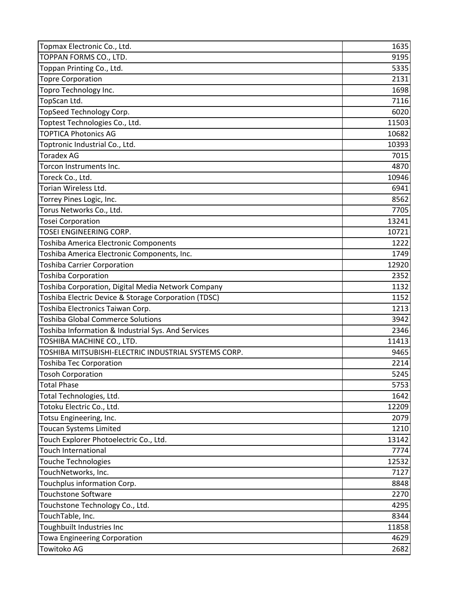| Topmax Electronic Co., Ltd.                          | 1635  |
|------------------------------------------------------|-------|
| TOPPAN FORMS CO., LTD.                               | 9195  |
| Toppan Printing Co., Ltd.                            | 5335  |
| <b>Topre Corporation</b>                             | 2131  |
| Topro Technology Inc.                                | 1698  |
| TopScan Ltd.                                         | 7116  |
| TopSeed Technology Corp.                             | 6020  |
| Toptest Technologies Co., Ltd.                       | 11503 |
| <b>TOPTICA Photonics AG</b>                          | 10682 |
| Toptronic Industrial Co., Ltd.                       | 10393 |
| <b>Toradex AG</b>                                    | 7015  |
| Torcon Instruments Inc.                              | 4870  |
| Toreck Co., Ltd.                                     | 10946 |
| Torian Wireless Ltd.                                 | 6941  |
| Torrey Pines Logic, Inc.                             | 8562  |
| Torus Networks Co., Ltd.                             | 7705  |
| <b>Tosei Corporation</b>                             | 13241 |
| <b>TOSEI ENGINEERING CORP.</b>                       | 10721 |
| Toshiba America Electronic Components                | 1222  |
| Toshiba America Electronic Components, Inc.          | 1749  |
| <b>Toshiba Carrier Corporation</b>                   | 12920 |
| <b>Toshiba Corporation</b>                           | 2352  |
| Toshiba Corporation, Digital Media Network Company   | 1132  |
| Toshiba Electric Device & Storage Corporation (TDSC) | 1152  |
| Toshiba Electronics Taiwan Corp.                     | 1213  |
| <b>Toshiba Global Commerce Solutions</b>             | 3942  |
| Toshiba Information & Industrial Sys. And Services   | 2346  |
| TOSHIBA MACHINE CO., LTD.                            | 11413 |
| TOSHIBA MITSUBISHI-ELECTRIC INDUSTRIAL SYSTEMS CORP. | 9465  |
| <b>Toshiba Tec Corporation</b>                       | 2214  |
| <b>Tosoh Corporation</b>                             | 5245  |
| <b>Total Phase</b>                                   | 5753  |
| Total Technologies, Ltd.                             | 1642  |
| Totoku Electric Co., Ltd.                            | 12209 |
| Totsu Engineering, Inc.                              | 2079  |
| <b>Toucan Systems Limited</b>                        | 1210  |
| Touch Explorer Photoelectric Co., Ltd.               | 13142 |
| <b>Touch International</b>                           | 7774  |
| <b>Touche Technologies</b>                           | 12532 |
| TouchNetworks, Inc.                                  | 7127  |
| Touchplus information Corp.                          | 8848  |
| <b>Touchstone Software</b>                           | 2270  |
| Touchstone Technology Co., Ltd.                      | 4295  |
| TouchTable, Inc.                                     | 8344  |
| Toughbuilt Industries Inc                            | 11858 |
| <b>Towa Engineering Corporation</b>                  | 4629  |
| Towitoko AG                                          | 2682  |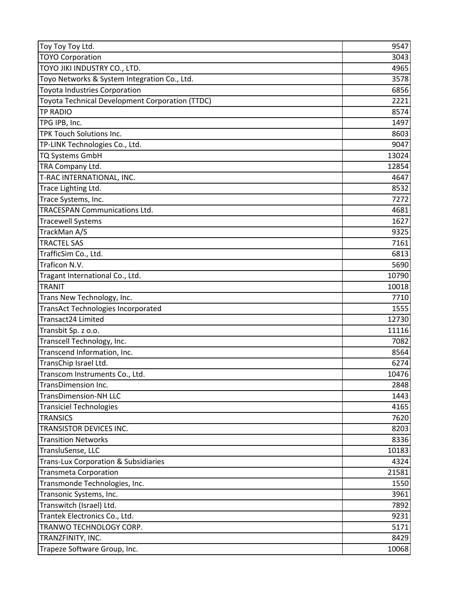| Toy Toy Toy Ltd.                                | 9547  |
|-------------------------------------------------|-------|
| <b>TOYO Corporation</b>                         | 3043  |
| TOYO JIKI INDUSTRY CO., LTD.                    | 4965  |
| Toyo Networks & System Integration Co., Ltd.    | 3578  |
| <b>Toyota Industries Corporation</b>            | 6856  |
| Toyota Technical Development Corporation (TTDC) | 2221  |
| <b>TP RADIO</b>                                 | 8574  |
| TPG IPB, Inc.                                   | 1497  |
| TPK Touch Solutions Inc.                        | 8603  |
| TP-LINK Technologies Co., Ltd.                  | 9047  |
| TQ Systems GmbH                                 | 13024 |
| TRA Company Ltd.                                | 12854 |
| T-RAC INTERNATIONAL, INC.                       | 4647  |
| Trace Lighting Ltd.                             | 8532  |
| Trace Systems, Inc.                             | 7272  |
| <b>TRACESPAN Communications Ltd.</b>            | 4681  |
| <b>Tracewell Systems</b>                        | 1627  |
| TrackMan A/S                                    | 9325  |
| <b>TRACTEL SAS</b>                              | 7161  |
| TrafficSim Co., Ltd.                            | 6813  |
| Traficon N.V.                                   | 5690  |
| Tragant International Co., Ltd.                 | 10790 |
| <b>TRANIT</b>                                   | 10018 |
| Trans New Technology, Inc.                      | 7710  |
| TransAct Technologies Incorporated              | 1555  |
| Transact24 Limited                              | 12730 |
| Transbit Sp. z o.o.                             | 11116 |
| Transcell Technology, Inc.                      | 7082  |
| Transcend Information, Inc.                     | 8564  |
| TransChip Israel Ltd.                           | 6274  |
| Transcom Instruments Co., Ltd.                  | 10476 |
| <b>TransDimension Inc.</b>                      | 2848  |
| <b>TransDimension-NH LLC</b>                    | 1443  |
| <b>Transiciel Technologies</b>                  | 4165  |
| <b>TRANSICS</b>                                 | 7620  |
| TRANSISTOR DEVICES INC.                         | 8203  |
| <b>Transition Networks</b>                      | 8336  |
| TransluSense, LLC                               | 10183 |
| <b>Trans-Lux Corporation &amp; Subsidiaries</b> | 4324  |
| <b>Transmeta Corporation</b>                    | 21581 |
| Transmonde Technologies, Inc.                   | 1550  |
| Transonic Systems, Inc.                         | 3961  |
| Transwitch (Israel) Ltd.                        | 7892  |
| Trantek Electronics Co., Ltd.                   | 9231  |
| TRANWO TECHNOLOGY CORP.                         | 5171  |
| TRANZFINITY, INC.                               | 8429  |
| Trapeze Software Group, Inc.                    | 10068 |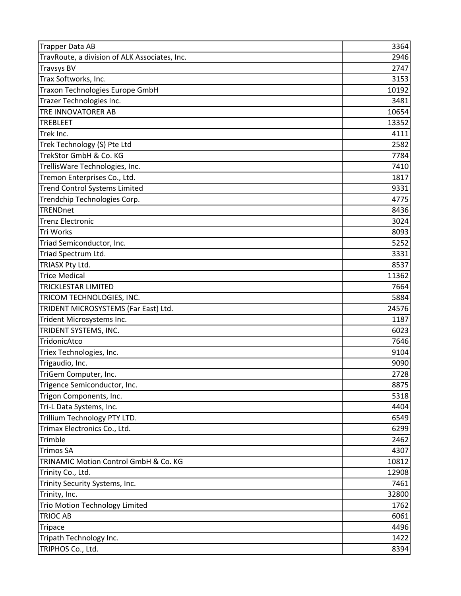| <b>Trapper Data AB</b>                        | 3364  |
|-----------------------------------------------|-------|
| TravRoute, a division of ALK Associates, Inc. | 2946  |
| <b>Travsys BV</b>                             | 2747  |
| Trax Softworks, Inc.                          | 3153  |
| Traxon Technologies Europe GmbH               | 10192 |
| Trazer Technologies Inc.                      | 3481  |
| TRE INNOVATORER AB                            | 10654 |
| <b>TREBLEET</b>                               | 13352 |
| Trek Inc.                                     | 4111  |
| Trek Technology (S) Pte Ltd                   | 2582  |
| TrekStor GmbH & Co. KG                        | 7784  |
| TrellisWare Technologies, Inc.                | 7410  |
| Tremon Enterprises Co., Ltd.                  | 1817  |
| <b>Trend Control Systems Limited</b>          | 9331  |
| Trendchip Technologies Corp.                  | 4775  |
| TRENDnet                                      | 8436  |
| <b>Trenz Electronic</b>                       | 3024  |
| Tri Works                                     | 8093  |
| Triad Semiconductor, Inc.                     | 5252  |
| Triad Spectrum Ltd.                           | 3331  |
| TRIASX Pty Ltd.                               | 8537  |
| <b>Trice Medical</b>                          | 11362 |
| TRICKLESTAR LIMITED                           | 7664  |
| TRICOM TECHNOLOGIES, INC.                     | 5884  |
| TRIDENT MICROSYSTEMS (Far East) Ltd.          | 24576 |
| Trident Microsystems Inc.                     | 1187  |
| TRIDENT SYSTEMS, INC.                         | 6023  |
| TridonicAtco                                  | 7646  |
| Triex Technologies, Inc.                      | 9104  |
| Trigaudio, Inc.                               | 9090  |
| TriGem Computer, Inc.                         | 2728  |
| Trigence Semiconductor, Inc.                  | 8875  |
| Trigon Components, Inc.                       | 5318  |
| Tri-L Data Systems, Inc.                      | 4404  |
| Trillium Technology PTY LTD.                  | 6549  |
| Trimax Electronics Co., Ltd.                  | 6299  |
| Trimble                                       | 2462  |
| <b>Trimos SA</b>                              | 4307  |
| TRINAMIC Motion Control GmbH & Co. KG         | 10812 |
| Trinity Co., Ltd.                             | 12908 |
| Trinity Security Systems, Inc.                | 7461  |
| Trinity, Inc.                                 | 32800 |
| <b>Trio Motion Technology Limited</b>         | 1762  |
| <b>TRIOC AB</b>                               | 6061  |
| <b>Tripace</b>                                | 4496  |
| Tripath Technology Inc.                       | 1422  |
| TRIPHOS Co., Ltd.                             | 8394  |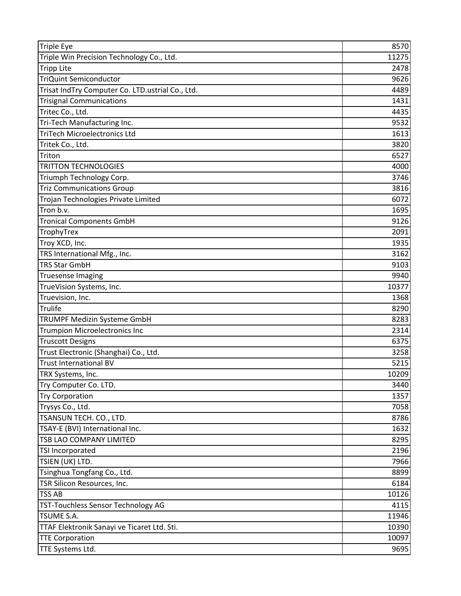| <b>Triple Eye</b>                                | 8570  |
|--------------------------------------------------|-------|
| Triple Win Precision Technology Co., Ltd.        | 11275 |
| <b>Tripp Lite</b>                                | 2478  |
| TriQuint Semiconductor                           | 9626  |
| Trisat IndTry Computer Co. LTD.ustrial Co., Ltd. | 4489  |
| <b>Trisignal Communications</b>                  | 1431  |
| Tritec Co., Ltd.                                 | 4435  |
| Tri-Tech Manufacturing Inc.                      | 9532  |
| <b>TriTech Microelectronics Ltd</b>              | 1613  |
| Tritek Co., Ltd.                                 | 3820  |
| Triton                                           | 6527  |
| <b>TRITTON TECHNOLOGIES</b>                      | 4000  |
| Triumph Technology Corp.                         | 3746  |
| <b>Triz Communications Group</b>                 | 3816  |
| Trojan Technologies Private Limited              | 6072  |
| Tron b.v.                                        | 1695  |
| <b>Tronical Components GmbH</b>                  | 9126  |
| TrophyTrex                                       | 2091  |
| Troy XCD, Inc.                                   | 1935  |
| TRS International Mfg., Inc.                     | 3162  |
| <b>TRS Star GmbH</b>                             | 9103  |
| <b>Truesense Imaging</b>                         | 9940  |
| TrueVision Systems, Inc.                         | 10377 |
| Truevision, Inc.                                 | 1368  |
| <b>Trulife</b>                                   | 8290  |
| TRUMPF Medizin Systeme GmbH                      | 8283  |
| <b>Trumpion Microelectronics Inc</b>             | 2314  |
| <b>Truscott Designs</b>                          | 6375  |
| Trust Electronic (Shanghai) Co., Ltd.            | 3258  |
| <b>Trust International BV</b>                    | 5215  |
| TRX Systems, Inc.                                | 10209 |
| Try Computer Co. LTD.                            | 3440  |
| <b>Try Corporation</b>                           | 1357  |
| Trysys Co., Ltd.                                 | 7058  |
| TSANSUN TECH. CO., LTD.                          | 8786  |
| TSAY-E (BVI) International Inc.                  | 1632  |
| TSB LAO COMPANY LIMITED                          | 8295  |
| TSI Incorporated                                 | 2196  |
| TSIEN (UK) LTD.                                  | 7966  |
| Tsinghua Tongfang Co., Ltd.                      | 8899  |
| TSR Silicon Resources, Inc.                      | 6184  |
| <b>TSS AB</b>                                    | 10126 |
| TST-Touchless Sensor Technology AG               | 4115  |
| <b>TSUME S.A.</b>                                | 11946 |
| TTAF Elektronik Sanayi ve Ticaret Ltd. Sti.      | 10390 |
| <b>TTE Corporation</b>                           | 10097 |
| TTE Systems Ltd.                                 | 9695  |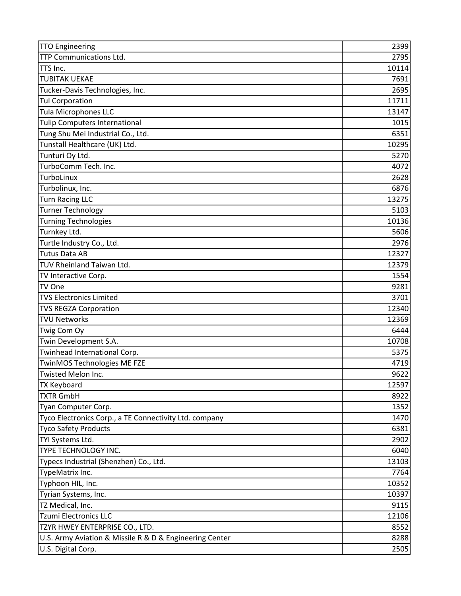| <b>TTO Engineering</b>                                  | 2399  |
|---------------------------------------------------------|-------|
| TTP Communications Ltd.                                 | 2795  |
| TTS Inc.                                                | 10114 |
| <b>TUBITAK UEKAE</b>                                    | 7691  |
| Tucker-Davis Technologies, Inc.                         | 2695  |
| <b>Tul Corporation</b>                                  | 11711 |
| Tula Microphones LLC                                    | 13147 |
| <b>Tulip Computers International</b>                    | 1015  |
| Tung Shu Mei Industrial Co., Ltd.                       | 6351  |
| Tunstall Healthcare (UK) Ltd.                           | 10295 |
| Tunturi Oy Ltd.                                         | 5270  |
| TurboComm Tech. Inc.                                    | 4072  |
| TurboLinux                                              | 2628  |
| Turbolinux, Inc.                                        | 6876  |
| <b>Turn Racing LLC</b>                                  | 13275 |
| <b>Turner Technology</b>                                | 5103  |
| <b>Turning Technologies</b>                             | 10136 |
| Turnkey Ltd.                                            | 5606  |
| Turtle Industry Co., Ltd.                               | 2976  |
| <b>Tutus Data AB</b>                                    | 12327 |
| TUV Rheinland Taiwan Ltd.                               | 12379 |
| TV Interactive Corp.                                    | 1554  |
| TV One                                                  | 9281  |
| <b>TVS Electronics Limited</b>                          | 3701  |
| <b>TVS REGZA Corporation</b>                            | 12340 |
| <b>TVU Networks</b>                                     | 12369 |
| Twig Com Oy                                             | 6444  |
| Twin Development S.A.                                   | 10708 |
| Twinhead International Corp.                            | 5375  |
| TwinMOS Technologies ME FZE                             | 4719  |
| Twisted Melon Inc.                                      | 9622  |
| <b>TX Keyboard</b>                                      | 12597 |
| <b>TXTR GmbH</b>                                        | 8922  |
| Tyan Computer Corp.                                     | 1352  |
| Tyco Electronics Corp., a TE Connectivity Ltd. company  | 1470  |
| <b>Tyco Safety Products</b>                             | 6381  |
| TYI Systems Ltd.                                        | 2902  |
| TYPE TECHNOLOGY INC.                                    | 6040  |
| Typecs Industrial (Shenzhen) Co., Ltd.                  | 13103 |
| TypeMatrix Inc.                                         | 7764  |
| Typhoon HIL, Inc.                                       | 10352 |
| Tyrian Systems, Inc.                                    | 10397 |
| TZ Medical, Inc.                                        | 9115  |
| <b>Tzumi Electronics LLC</b>                            | 12106 |
| TZYR HWEY ENTERPRISE CO., LTD.                          | 8552  |
| U.S. Army Aviation & Missile R & D & Engineering Center | 8288  |
| U.S. Digital Corp.                                      | 2505  |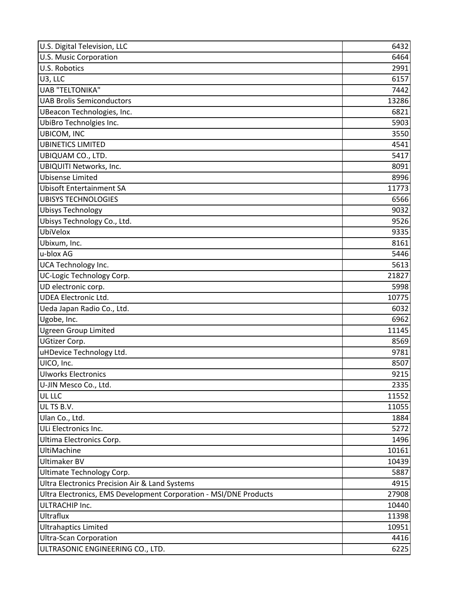| U.S. Digital Television, LLC                                      | 6432  |
|-------------------------------------------------------------------|-------|
| <b>U.S. Music Corporation</b>                                     | 6464  |
| <b>U.S. Robotics</b>                                              | 2991  |
| U3, LLC                                                           | 6157  |
| <b>UAB "TELTONIKA"</b>                                            | 7442  |
| <b>UAB Brolis Semiconductors</b>                                  | 13286 |
| UBeacon Technologies, Inc.                                        | 6821  |
| UbiBro Technolgies Inc.                                           | 5903  |
| <b>UBICOM, INC</b>                                                | 3550  |
| <b>UBINETICS LIMITED</b>                                          | 4541  |
| UBIQUAM CO., LTD.                                                 | 5417  |
| <b>UBIQUITI Networks, Inc.</b>                                    | 8091  |
| <b>Ubisense Limited</b>                                           | 8996  |
| <b>Ubisoft Entertainment SA</b>                                   | 11773 |
| <b>UBISYS TECHNOLOGIES</b>                                        | 6566  |
| <b>Ubisys Technology</b>                                          | 9032  |
| Ubisys Technology Co., Ltd.                                       | 9526  |
| UbiVelox                                                          | 9335  |
| Ubixum, Inc.                                                      | 8161  |
| u-blox AG                                                         | 5446  |
| UCA Technology Inc.                                               | 5613  |
| UC-Logic Technology Corp.                                         | 21827 |
| UD electronic corp.                                               | 5998  |
| <b>UDEA Electronic Ltd.</b>                                       | 10775 |
| Ueda Japan Radio Co., Ltd.                                        | 6032  |
| Ugobe, Inc.                                                       | 6962  |
| <b>Ugreen Group Limited</b>                                       | 11145 |
| <b>UGtizer Corp.</b>                                              | 8569  |
| uHDevice Technology Ltd.                                          | 9781  |
| UICO, Inc.                                                        | 8507  |
| <b>Ulworks Electronics</b>                                        | 9215  |
| U-JIN Mesco Co., Ltd.                                             | 2335  |
| UL LLC                                                            | 11552 |
| UL TS B.V.                                                        | 11055 |
| Ulan Co., Ltd.                                                    | 1884  |
| ULi Electronics Inc.                                              | 5272  |
| Ultima Electronics Corp.                                          | 1496  |
| UltiMachine                                                       | 10161 |
| <b>Ultimaker BV</b>                                               | 10439 |
| Ultimate Technology Corp.                                         | 5887  |
| Ultra Electronics Precision Air & Land Systems                    | 4915  |
| Ultra Electronics, EMS Development Corporation - MSI/DNE Products | 27908 |
| ULTRACHIP Inc.                                                    | 10440 |
| Ultraflux                                                         | 11398 |
| <b>Ultrahaptics Limited</b>                                       | 10951 |
| <b>Ultra-Scan Corporation</b>                                     | 4416  |
| ULTRASONIC ENGINEERING CO., LTD.                                  | 6225  |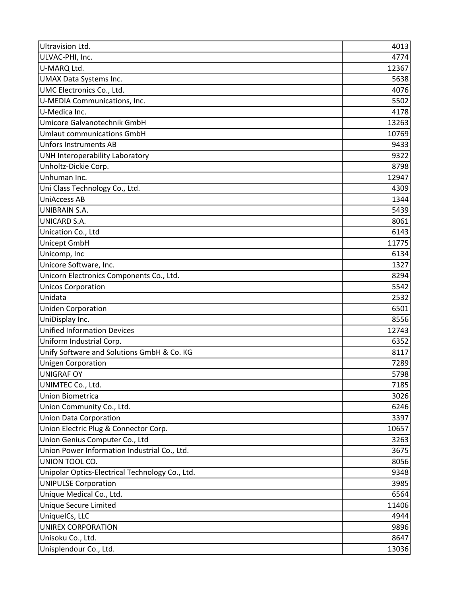| Ultravision Ltd.                                | 4013  |
|-------------------------------------------------|-------|
| ULVAC-PHI, Inc.                                 | 4774  |
| U-MARQ Ltd.                                     | 12367 |
| UMAX Data Systems Inc.                          | 5638  |
| UMC Electronics Co., Ltd.                       | 4076  |
| U-MEDIA Communications, Inc.                    | 5502  |
| U-Medica Inc.                                   | 4178  |
| Umicore Galvanotechnik GmbH                     | 13263 |
| <b>Umlaut communications GmbH</b>               | 10769 |
| <b>Unfors Instruments AB</b>                    | 9433  |
| UNH Interoperability Laboratory                 | 9322  |
| Unholtz-Dickie Corp.                            | 8798  |
| Unhuman Inc.                                    | 12947 |
| Uni Class Technology Co., Ltd.                  | 4309  |
| <b>UniAccess AB</b>                             | 1344  |
| <b>UNIBRAIN S.A.</b>                            | 5439  |
| UNICARD S.A.                                    | 8061  |
| Unication Co., Ltd                              | 6143  |
| Unicept GmbH                                    | 11775 |
| Unicomp, Inc                                    | 6134  |
| Unicore Software, Inc.                          | 1327  |
| Unicorn Electronics Components Co., Ltd.        | 8294  |
| <b>Unicos Corporation</b>                       | 5542  |
| Unidata                                         | 2532  |
| <b>Uniden Corporation</b>                       | 6501  |
| UniDisplay Inc.                                 | 8556  |
| <b>Unified Information Devices</b>              | 12743 |
| Uniform Industrial Corp.                        | 6352  |
| Unify Software and Solutions GmbH & Co. KG      | 8117  |
| <b>Unigen Corporation</b>                       | 7289  |
| <b>UNIGRAF OY</b>                               | 5798  |
| UNIMTEC Co., Ltd.                               | 7185  |
| <b>Union Biometrica</b>                         | 3026  |
| Union Community Co., Ltd.                       | 6246  |
| <b>Union Data Corporation</b>                   | 3397  |
| Union Electric Plug & Connector Corp.           | 10657 |
| Union Genius Computer Co., Ltd                  | 3263  |
| Union Power Information Industrial Co., Ltd.    | 3675  |
| UNION TOOL CO.                                  | 8056  |
| Unipolar Optics-Electrical Technology Co., Ltd. | 9348  |
| <b>UNIPULSE Corporation</b>                     | 3985  |
| Unique Medical Co., Ltd.                        | 6564  |
| Unique Secure Limited                           | 11406 |
| UniquelCs, LLC                                  | 4944  |
| UNIREX CORPORATION                              | 9896  |
| Unisoku Co., Ltd.                               | 8647  |
| Unisplendour Co., Ltd.                          | 13036 |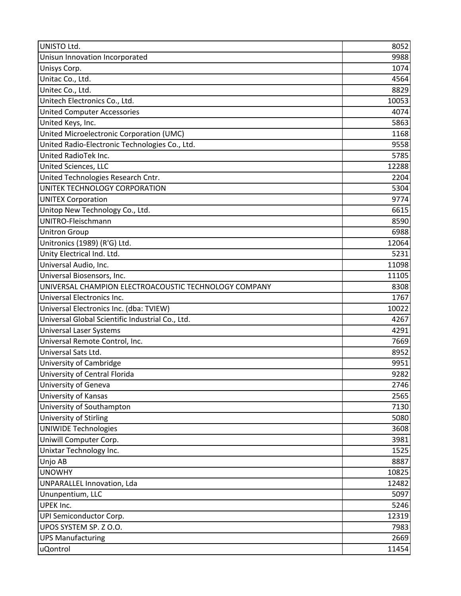| UNISTO Ltd.                                           | 8052  |
|-------------------------------------------------------|-------|
| Unisun Innovation Incorporated                        | 9988  |
| Unisys Corp.                                          | 1074  |
| Unitac Co., Ltd.                                      | 4564  |
| Unitec Co., Ltd.                                      | 8829  |
| Unitech Electronics Co., Ltd.                         | 10053 |
| United Computer Accessories                           | 4074  |
| United Keys, Inc.                                     | 5863  |
| United Microelectronic Corporation (UMC)              | 1168  |
| United Radio-Electronic Technologies Co., Ltd.        | 9558  |
| United RadioTek Inc.                                  | 5785  |
| United Sciences, LLC                                  | 12288 |
| United Technologies Research Cntr.                    | 2204  |
| UNITEK TECHNOLOGY CORPORATION                         | 5304  |
| <b>UNITEX Corporation</b>                             | 9774  |
| Unitop New Technology Co., Ltd.                       | 6615  |
| UNITRO-Fleischmann                                    | 8590  |
| <b>Unitron Group</b>                                  | 6988  |
| Unitronics (1989) (R'G) Ltd.                          | 12064 |
| Unity Electrical Ind. Ltd.                            | 5231  |
| Universal Audio, Inc.                                 | 11098 |
| Universal Biosensors, Inc.                            | 11105 |
| UNIVERSAL CHAMPION ELECTROACOUSTIC TECHNOLOGY COMPANY | 8308  |
| Universal Electronics Inc.                            | 1767  |
| Universal Electronics Inc. (dba: TVIEW)               | 10022 |
| Universal Global Scientific Industrial Co., Ltd.      | 4267  |
| <b>Universal Laser Systems</b>                        | 4291  |
| Universal Remote Control, Inc.                        | 7669  |
| Universal Sats Ltd.                                   | 8952  |
| University of Cambridge                               | 9951  |
| University of Central Florida                         | 9282  |
| University of Geneva                                  | 2746  |
| University of Kansas                                  | 2565  |
| University of Southampton                             | 7130  |
| University of Stirling                                | 5080  |
| <b>UNIWIDE Technologies</b>                           | 3608  |
| Uniwill Computer Corp.                                | 3981  |
| Unixtar Technology Inc.                               | 1525  |
| Unjo AB                                               | 8887  |
| <b>UNOWHY</b>                                         | 10825 |
| UNPARALLEL Innovation, Lda                            | 12482 |
| Ununpentium, LLC                                      | 5097  |
| UPEK Inc.                                             | 5246  |
| UPI Semiconductor Corp.                               | 12319 |
| UPOS SYSTEM SP. Z O.O.                                | 7983  |
| <b>UPS Manufacturing</b>                              | 2669  |
| uQontrol                                              | 11454 |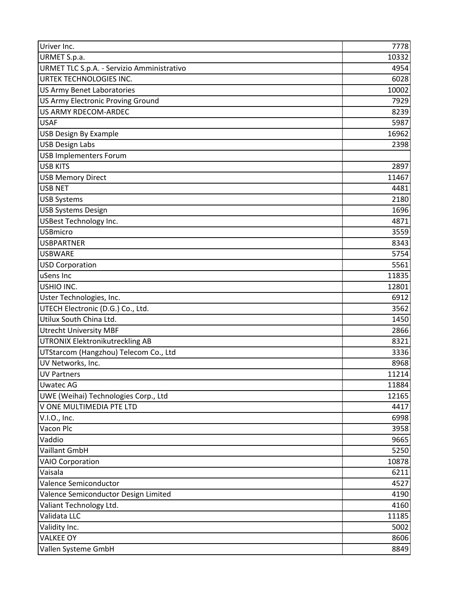| Uriver Inc.                                | 7778  |
|--------------------------------------------|-------|
| URMET S.p.a.                               | 10332 |
| URMET TLC S.p.A. - Servizio Amministrativo | 4954  |
| URTEK TECHNOLOGIES INC.                    | 6028  |
| <b>US Army Benet Laboratories</b>          | 10002 |
| US Army Electronic Proving Ground          | 7929  |
| <b>US ARMY RDECOM-ARDEC</b>                | 8239  |
| <b>USAF</b>                                | 5987  |
| <b>USB Design By Example</b>               | 16962 |
| <b>USB Design Labs</b>                     | 2398  |
| <b>USB Implementers Forum</b>              |       |
| <b>USB KITS</b>                            | 2897  |
| <b>USB Memory Direct</b>                   | 11467 |
| <b>USB NET</b>                             | 4481  |
| <b>USB Systems</b>                         | 2180  |
| <b>USB Systems Design</b>                  | 1696  |
| <b>USBest Technology Inc.</b>              | 4871  |
| <b>USBmicro</b>                            | 3559  |
| <b>USBPARTNER</b>                          | 8343  |
| <b>USBWARE</b>                             | 5754  |
| <b>USD Corporation</b>                     | 5561  |
| uSens Inc                                  | 11835 |
| USHIO INC.                                 | 12801 |
| Uster Technologies, Inc.                   | 6912  |
| UTECH Electronic (D.G.) Co., Ltd.          | 3562  |
| Utilux South China Ltd.                    | 1450  |
| <b>Utrecht University MBF</b>              | 2866  |
| <b>UTRONIX Elektronikutreckling AB</b>     | 8321  |
| UTStarcom (Hangzhou) Telecom Co., Ltd      | 3336  |
| UV Networks, Inc.                          | 8968  |
| <b>UV Partners</b>                         | 11214 |
| <b>Uwatec AG</b>                           | 11884 |
| UWE (Weihai) Technologies Corp., Ltd       | 12165 |
| V ONE MULTIMEDIA PTE LTD                   | 4417  |
| V.I.O., Inc.                               | 6998  |
| Vacon Plc                                  | 3958  |
| Vaddio                                     | 9665  |
| Vaillant GmbH                              | 5250  |
| <b>VAIO Corporation</b>                    | 10878 |
| Vaisala                                    | 6211  |
| Valence Semiconductor                      | 4527  |
| Valence Semiconductor Design Limited       | 4190  |
| Valiant Technology Ltd.                    | 4160  |
| Validata LLC                               | 11185 |
| Validity Inc.                              | 5002  |
| <b>VALKEE OY</b>                           | 8606  |
| Vallen Systeme GmbH                        | 8849  |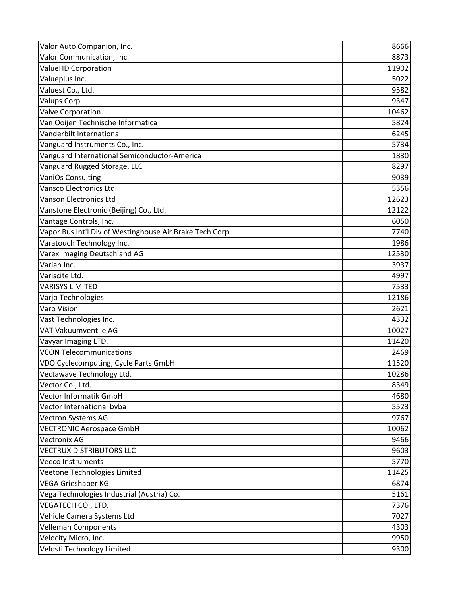| Valor Auto Companion, Inc.                              | 8666  |
|---------------------------------------------------------|-------|
| Valor Communication, Inc.                               | 8873  |
| <b>ValueHD Corporation</b>                              | 11902 |
| Valueplus Inc.                                          | 5022  |
| Valuest Co., Ltd.                                       | 9582  |
| Valups Corp.                                            | 9347  |
| <b>Valve Corporation</b>                                | 10462 |
| Van Ooijen Technische Informatica                       | 5824  |
| Vanderbilt International                                | 6245  |
| Vanguard Instruments Co., Inc.                          | 5734  |
| Vanguard International Semiconductor-America            | 1830  |
| Vanguard Rugged Storage, LLC                            | 8297  |
| <b>VaniOs Consulting</b>                                | 9039  |
| Vansco Electronics Ltd.                                 | 5356  |
| <b>Vanson Electronics Ltd</b>                           | 12623 |
| Vanstone Electronic (Beijing) Co., Ltd.                 | 12122 |
| Vantage Controls, Inc.                                  | 6050  |
| Vapor Bus Int'l Div of Westinghouse Air Brake Tech Corp | 7740  |
| Varatouch Technology Inc.                               | 1986  |
| <b>Varex Imaging Deutschland AG</b>                     | 12530 |
| Varian Inc.                                             | 3937  |
| Variscite Ltd.                                          | 4997  |
| <b>VARISYS LIMITED</b>                                  | 7533  |
| Varjo Technologies                                      | 12186 |
| Varo Vision                                             | 2621  |
| Vast Technologies Inc.                                  | 4332  |
| VAT Vakuumventile AG                                    | 10027 |
| Vayyar Imaging LTD.                                     | 11420 |
| <b>VCON Telecommunications</b>                          | 2469  |
| VDO Cyclecomputing, Cycle Parts GmbH                    | 11520 |
| Vectawave Technology Ltd.                               | 10286 |
| Vector Co., Ltd.                                        | 8349  |
| <b>Vector Informatik GmbH</b>                           | 4680  |
| Vector International byba                               | 5523  |
| Vectron Systems AG                                      | 9767  |
| <b>VECTRONIC Aerospace GmbH</b>                         | 10062 |
| <b>Vectronix AG</b>                                     | 9466  |
| <b>VECTRUX DISTRIBUTORS LLC</b>                         | 9603  |
| <b>Veeco Instruments</b>                                | 5770  |
| Veetone Technologies Limited                            | 11425 |
| <b>VEGA Grieshaber KG</b>                               | 6874  |
| Vega Technologies Industrial (Austria) Co.              | 5161  |
| VEGATECH CO., LTD.                                      | 7376  |
| Vehicle Camera Systems Ltd                              | 7027  |
| <b>Velleman Components</b>                              | 4303  |
| Velocity Micro, Inc.                                    | 9950  |
| Velosti Technology Limited                              | 9300  |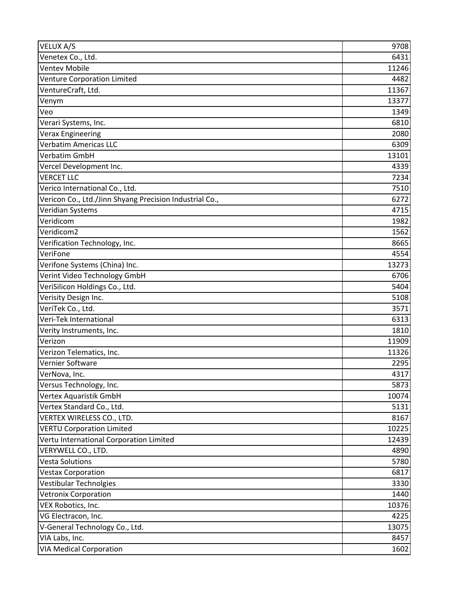| VELUX A/S                                               | 9708  |
|---------------------------------------------------------|-------|
| Venetex Co., Ltd.                                       | 6431  |
| <b>Ventev Mobile</b>                                    | 11246 |
| <b>Venture Corporation Limited</b>                      | 4482  |
| VentureCraft, Ltd.                                      | 11367 |
| Venym                                                   | 13377 |
| Veo                                                     | 1349  |
| Verari Systems, Inc.                                    | 6810  |
| <b>Verax Engineering</b>                                | 2080  |
| <b>Verbatim Americas LLC</b>                            | 6309  |
| Verbatim GmbH                                           | 13101 |
| Vercel Development Inc.                                 | 4339  |
| <b>VERCET LLC</b>                                       | 7234  |
| Verico International Co., Ltd.                          | 7510  |
| Vericon Co., Ltd./Jinn Shyang Precision Industrial Co., | 6272  |
| Veridian Systems                                        | 4715  |
| Veridicom                                               | 1982  |
| Veridicom2                                              | 1562  |
| Verification Technology, Inc.                           | 8665  |
| VeriFone                                                | 4554  |
| Verifone Systems (China) Inc.                           | 13273 |
| Verint Video Technology GmbH                            | 6706  |
| VeriSilicon Holdings Co., Ltd.                          | 5404  |
| Verisity Design Inc.                                    | 5108  |
| VeriTek Co., Ltd.                                       | 3571  |
| Veri-Tek International                                  | 6313  |
| Verity Instruments, Inc.                                | 1810  |
| Verizon                                                 | 11909 |
| Verizon Telematics, Inc.                                | 11326 |
| Vernier Software                                        | 2295  |
| VerNova, Inc.                                           | 4317  |
| Versus Technology, Inc.                                 | 5873  |
| Vertex Aquaristik GmbH                                  | 10074 |
| Vertex Standard Co., Ltd.                               | 5131  |
| VERTEX WIRELESS CO., LTD.                               | 8167  |
| <b>VERTU Corporation Limited</b>                        | 10225 |
| Vertu International Corporation Limited                 | 12439 |
| VERYWELL CO., LTD.                                      | 4890  |
| <b>Vesta Solutions</b>                                  | 5780  |
| <b>Vestax Corporation</b>                               | 6817  |
| <b>Vestibular Technolgies</b>                           | 3330  |
| <b>Vetronix Corporation</b>                             | 1440  |
| VEX Robotics, Inc.                                      | 10376 |
| VG Electracon, Inc.                                     | 4225  |
| V-General Technology Co., Ltd.                          | 13075 |
| VIA Labs, Inc.                                          | 8457  |
| <b>VIA Medical Corporation</b>                          | 1602  |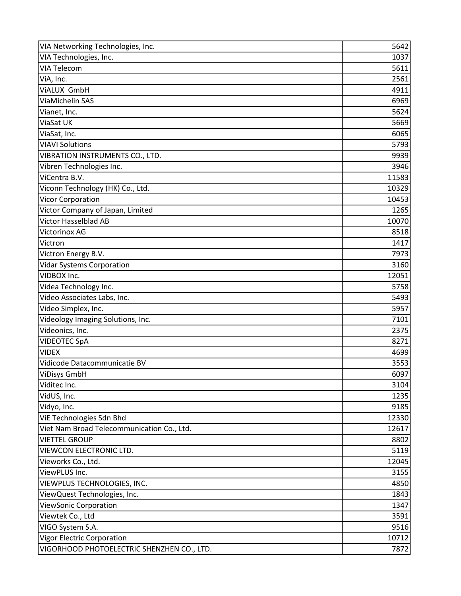| VIA Networking Technologies, Inc.          | 5642  |
|--------------------------------------------|-------|
| VIA Technologies, Inc.                     | 1037  |
| <b>VIA Telecom</b>                         | 5611  |
| ViA, Inc.                                  | 2561  |
| VIALUX GmbH                                | 4911  |
| ViaMichelin SAS                            | 6969  |
| Vianet, Inc.                               | 5624  |
| ViaSat UK                                  | 5669  |
| ViaSat, Inc.                               | 6065  |
| <b>VIAVI Solutions</b>                     | 5793  |
| VIBRATION INSTRUMENTS CO., LTD.            | 9939  |
| Vibren Technologies Inc.                   | 3946  |
| ViCentra B.V.                              | 11583 |
| Viconn Technology (HK) Co., Ltd.           | 10329 |
| <b>Vicor Corporation</b>                   | 10453 |
| Victor Company of Japan, Limited           | 1265  |
| <b>Victor Hasselblad AB</b>                | 10070 |
| <b>Victorinox AG</b>                       | 8518  |
| Victron                                    | 1417  |
| Victron Energy B.V.                        | 7973  |
| <b>Vidar Systems Corporation</b>           | 3160  |
| VIDBOX Inc.                                | 12051 |
| Videa Technology Inc.                      | 5758  |
| Video Associates Labs, Inc.                | 5493  |
| Video Simplex, Inc.                        | 5957  |
| Videology Imaging Solutions, Inc.          | 7101  |
| Videonics, Inc.                            | 2375  |
| <b>VIDEOTEC SpA</b>                        | 8271  |
| <b>VIDEX</b>                               | 4699  |
| Vidicode Datacommunicatie BV               | 3553  |
| <b>ViDisys GmbH</b>                        | 6097  |
| Viditec Inc.                               | 3104  |
| VidUS, Inc.                                | 1235  |
| Vidyo, Inc.                                | 9185  |
| ViE Technologies Sdn Bhd                   | 12330 |
| Viet Nam Broad Telecommunication Co., Ltd. | 12617 |
| <b>VIETTEL GROUP</b>                       | 8802  |
| <b>VIEWCON ELECTRONIC LTD.</b>             | 5119  |
| Vieworks Co., Ltd.                         | 12045 |
| ViewPLUS Inc.                              | 3155  |
| VIEWPLUS TECHNOLOGIES, INC.                | 4850  |
| ViewQuest Technologies, Inc.               | 1843  |
| <b>ViewSonic Corporation</b>               | 1347  |
| Viewtek Co., Ltd                           | 3591  |
| VIGO System S.A.                           | 9516  |
| <b>Vigor Electric Corporation</b>          | 10712 |
| VIGORHOOD PHOTOELECTRIC SHENZHEN CO., LTD. | 7872  |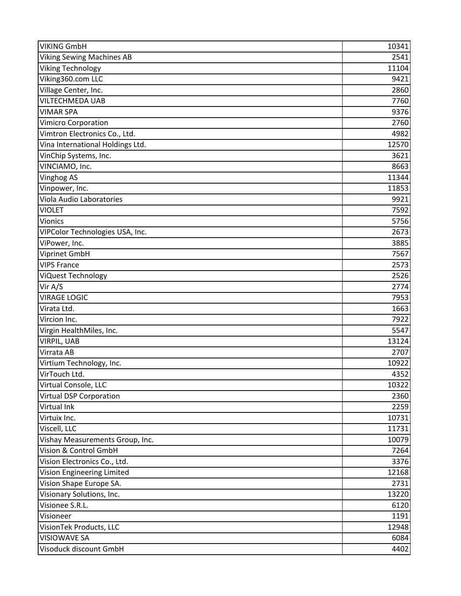| <b>VIKING GmbH</b>               | 10341 |
|----------------------------------|-------|
| <b>Viking Sewing Machines AB</b> | 2541  |
| <b>Viking Technology</b>         | 11104 |
| Viking360.com LLC                | 9421  |
| Village Center, Inc.             | 2860  |
| <b>VILTECHMEDA UAB</b>           | 7760  |
| <b>VIMAR SPA</b>                 | 9376  |
| <b>Vimicro Corporation</b>       | 2760  |
| Vimtron Electronics Co., Ltd.    | 4982  |
| Vina International Holdings Ltd. | 12570 |
| VinChip Systems, Inc.            | 3621  |
| VINCIAMO, Inc.                   | 8663  |
| <b>Vinghog AS</b>                | 11344 |
| Vinpower, Inc.                   | 11853 |
| Viola Audio Laboratories         | 9921  |
| <b>VIOLET</b>                    | 7592  |
| <b>Vionics</b>                   | 5756  |
| VIPColor Technologies USA, Inc.  | 2673  |
| ViPower, Inc.                    | 3885  |
| Viprinet GmbH                    | 7567  |
| <b>VIPS France</b>               | 2573  |
| <b>ViQuest Technology</b>        | 2526  |
| Vir A/S                          | 2774  |
| <b>VIRAGE LOGIC</b>              | 7953  |
| Virata Ltd.                      | 1663  |
| Vircion Inc.                     | 7922  |
| Virgin HealthMiles, Inc.         | 5547  |
| <b>VIRPIL, UAB</b>               | 13124 |
| Virrata AB                       | 2707  |
| Virtium Technology, Inc.         | 10922 |
| VirTouch Ltd.                    | 4352  |
| Virtual Console, LLC             | 10322 |
| Virtual DSP Corporation          | 2360  |
| Virtual Ink                      | 2259  |
| Virtuix Inc.                     | 10731 |
| Viscell, LLC                     | 11731 |
| Vishay Measurements Group, Inc.  | 10079 |
| Vision & Control GmbH            | 7264  |
| Vision Electronics Co., Ltd.     | 3376  |
| Vision Engineering Limited       | 12168 |
| Vision Shape Europe SA.          | 2731  |
| Visionary Solutions, Inc.        | 13220 |
| Visionee S.R.L.                  | 6120  |
| Visioneer                        | 1191  |
| VisionTek Products, LLC          | 12948 |
| <b>VISIOWAVE SA</b>              | 6084  |
| Visoduck discount GmbH           | 4402  |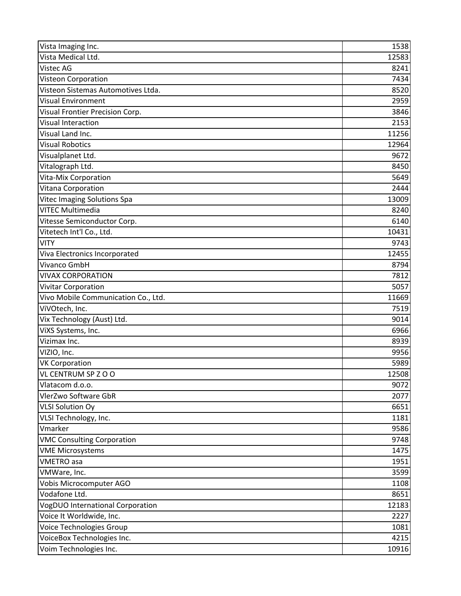| Vista Imaging Inc.                      | 1538  |
|-----------------------------------------|-------|
| Vista Medical Ltd.                      | 12583 |
| Vistec AG                               | 8241  |
| <b>Visteon Corporation</b>              | 7434  |
| Visteon Sistemas Automotives Ltda.      | 8520  |
| <b>Visual Environment</b>               | 2959  |
| Visual Frontier Precision Corp.         | 3846  |
| <b>Visual Interaction</b>               | 2153  |
| Visual Land Inc.                        | 11256 |
| <b>Visual Robotics</b>                  | 12964 |
| Visualplanet Ltd.                       | 9672  |
| Vitalograph Ltd.                        | 8450  |
| <b>Vita-Mix Corporation</b>             | 5649  |
| Vitana Corporation                      | 2444  |
| <b>Vitec Imaging Solutions Spa</b>      | 13009 |
| <b>VITEC Multimedia</b>                 | 8240  |
| Vitesse Semiconductor Corp.             | 6140  |
| Vitetech Int'l Co., Ltd.                | 10431 |
| <b>VITY</b>                             | 9743  |
| Viva Electronics Incorporated           | 12455 |
| Vivanco GmbH                            | 8794  |
| <b>VIVAX CORPORATION</b>                | 7812  |
| Vivitar Corporation                     | 5057  |
| Vivo Mobile Communication Co., Ltd.     | 11669 |
| ViVOtech, Inc.                          | 7519  |
| Vix Technology (Aust) Ltd.              | 9014  |
| ViXS Systems, Inc.                      | 6966  |
| Vizimax Inc.                            | 8939  |
| VIZIO, Inc.                             | 9956  |
| <b>VK Corporation</b>                   | 5989  |
| VL CENTRUM SP Z O O                     | 12508 |
| Vlatacom d.o.o.                         | 9072  |
| VlerZwo Software GbR                    | 2077  |
| <b>VLSI Solution Oy</b>                 | 6651  |
| VLSI Technology, Inc.                   | 1181  |
| Vmarker                                 | 9586  |
| <b>VMC Consulting Corporation</b>       | 9748  |
| <b>VME Microsystems</b>                 | 1475  |
| <b>VMETRO</b> asa                       | 1951  |
| VMWare, Inc.                            | 3599  |
| Vobis Microcomputer AGO                 | 1108  |
| Vodafone Ltd.                           | 8651  |
| <b>VogDUO International Corporation</b> | 12183 |
| Voice It Worldwide, Inc.                | 2227  |
| Voice Technologies Group                | 1081  |
| VoiceBox Technologies Inc.              | 4215  |
| Voim Technologies Inc.                  | 10916 |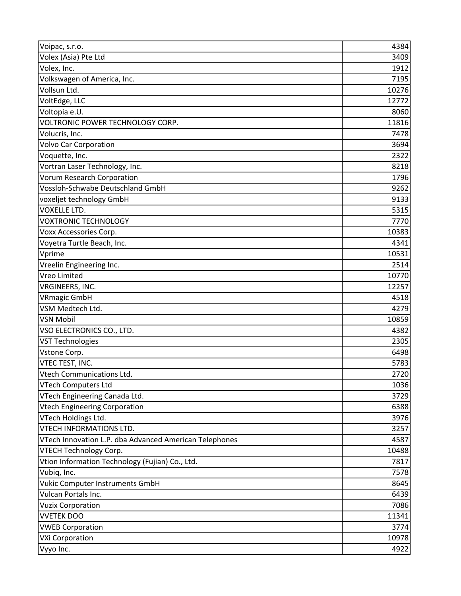| Voipac, s.r.o.                                         | 4384  |
|--------------------------------------------------------|-------|
| Volex (Asia) Pte Ltd                                   | 3409  |
| Volex, Inc.                                            | 1912  |
| Volkswagen of America, Inc.                            | 7195  |
| Vollsun Ltd.                                           | 10276 |
| VoltEdge, LLC                                          | 12772 |
| Voltopia e.U.                                          | 8060  |
| VOLTRONIC POWER TECHNOLOGY CORP.                       | 11816 |
| Volucris, Inc.                                         | 7478  |
| <b>Volvo Car Corporation</b>                           | 3694  |
| Voquette, Inc.                                         | 2322  |
| Vortran Laser Technology, Inc.                         | 8218  |
| Vorum Research Corporation                             | 1796  |
| Vossloh-Schwabe Deutschland GmbH                       | 9262  |
| voxeljet technology GmbH                               | 9133  |
| <b>VOXELLE LTD.</b>                                    | 5315  |
| <b>VOXTRONIC TECHNOLOGY</b>                            | 7770  |
| Voxx Accessories Corp.                                 | 10383 |
| Voyetra Turtle Beach, Inc.                             | 4341  |
| Vprime                                                 | 10531 |
| Vreelin Engineering Inc.                               | 2514  |
| Vreo Limited                                           | 10770 |
| VRGINEERS, INC.                                        | 12257 |
| <b>VRmagic GmbH</b>                                    | 4518  |
| VSM Medtech Ltd.                                       | 4279  |
| <b>VSN Mobil</b>                                       | 10859 |
| VSO ELECTRONICS CO., LTD.                              | 4382  |
| <b>VST Technologies</b>                                | 2305  |
| Vstone Corp.                                           | 6498  |
| VTEC TEST, INC.                                        | 5783  |
| Vtech Communications Ltd.                              | 2720  |
| <b>VTech Computers Ltd</b>                             | 1036  |
| VTech Engineering Canada Ltd.                          | 3729  |
| <b>Vtech Engineering Corporation</b>                   | 6388  |
| VTech Holdings Ltd.                                    | 3976  |
| <b>VTECH INFORMATIONS LTD.</b>                         | 3257  |
| VTech Innovation L.P. dba Advanced American Telephones | 4587  |
| <b>VTECH Technology Corp.</b>                          | 10488 |
| Vtion Information Technology (Fujian) Co., Ltd.        | 7817  |
| Vubiq, Inc.                                            | 7578  |
| Vukic Computer Instruments GmbH                        | 8645  |
| Vulcan Portals Inc.                                    | 6439  |
| <b>Vuzix Corporation</b>                               | 7086  |
| <b>VVETEK DOO</b>                                      | 11341 |
| <b>VWEB Corporation</b>                                | 3774  |
| <b>VXi Corporation</b>                                 | 10978 |
| Vyyo Inc.                                              | 4922  |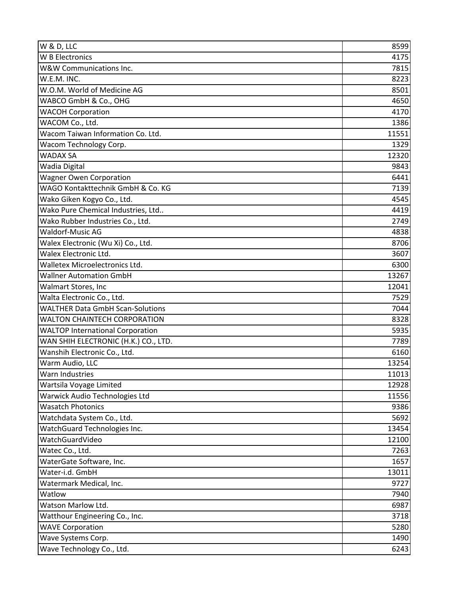| W & D, LLC                              | 8599  |
|-----------------------------------------|-------|
| W B Electronics                         | 4175  |
| W&W Communications Inc.                 | 7815  |
| W.E.M. INC.                             | 8223  |
| W.O.M. World of Medicine AG             | 8501  |
| WABCO GmbH & Co., OHG                   | 4650  |
| <b>WACOH Corporation</b>                | 4170  |
| WACOM Co., Ltd.                         | 1386  |
| Wacom Taiwan Information Co. Ltd.       | 11551 |
| Wacom Technology Corp.                  | 1329  |
| <b>WADAX SA</b>                         | 12320 |
| Wadia Digital                           | 9843  |
| <b>Wagner Owen Corporation</b>          | 6441  |
| WAGO Kontakttechnik GmbH & Co. KG       | 7139  |
| Wako Giken Kogyo Co., Ltd.              | 4545  |
| Wako Pure Chemical Industries, Ltd      | 4419  |
| Wako Rubber Industries Co., Ltd.        | 2749  |
| <b>Waldorf-Music AG</b>                 | 4838  |
| Walex Electronic (Wu Xi) Co., Ltd.      | 8706  |
| <b>Walex Electronic Ltd.</b>            | 3607  |
| Walletex Microelectronics Ltd.          | 6300  |
| <b>Wallner Automation GmbH</b>          | 13267 |
| Walmart Stores, Inc                     | 12041 |
| Walta Electronic Co., Ltd.              | 7529  |
| <b>WALTHER Data GmbH Scan-Solutions</b> | 7044  |
| <b>WALTON CHAINTECH CORPORATION</b>     | 8328  |
| <b>WALTOP International Corporation</b> | 5935  |
| WAN SHIH ELECTRONIC (H.K.) CO., LTD.    | 7789  |
| Wanshih Electronic Co., Ltd.            | 6160  |
| Warm Audio, LLC                         | 13254 |
| Warn Industries                         | 11013 |
| Wartsila Voyage Limited                 | 12928 |
| <b>Warwick Audio Technologies Ltd</b>   | 11556 |
| <b>Wasatch Photonics</b>                | 9386  |
| Watchdata System Co., Ltd.              | 5692  |
| WatchGuard Technologies Inc.            | 13454 |
| WatchGuardVideo                         | 12100 |
| Watec Co., Ltd.                         | 7263  |
| WaterGate Software, Inc.                | 1657  |
| Water-i.d. GmbH                         | 13011 |
| Watermark Medical, Inc.                 | 9727  |
| Watlow                                  | 7940  |
| Watson Marlow Ltd.                      | 6987  |
| Watthour Engineering Co., Inc.          | 3718  |
| <b>WAVE Corporation</b>                 | 5280  |
| Wave Systems Corp.                      | 1490  |
| Wave Technology Co., Ltd.               | 6243  |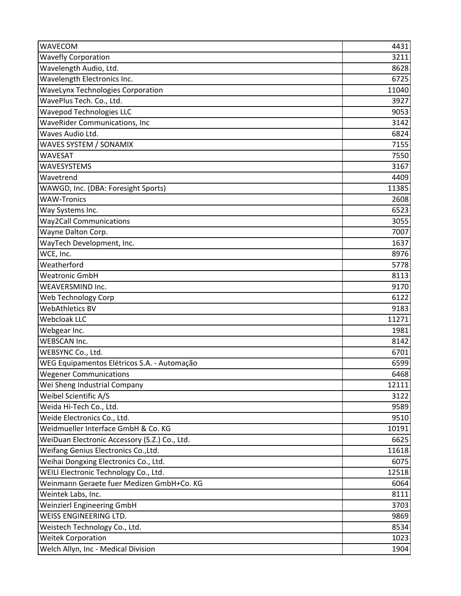| WAVECOM                                       | 4431  |
|-----------------------------------------------|-------|
| <b>Wavefly Corporation</b>                    | 3211  |
| Wavelength Audio, Ltd.                        | 8628  |
| Wavelength Electronics Inc.                   | 6725  |
| <b>WaveLynx Technologies Corporation</b>      | 11040 |
| WavePlus Tech. Co., Ltd.                      | 3927  |
| <b>Wavepod Technologies LLC</b>               | 9053  |
| <b>WaveRider Communications, Inc</b>          | 3142  |
| Waves Audio Ltd.                              | 6824  |
| WAVES SYSTEM / SONAMIX                        | 7155  |
| <b>WAVESAT</b>                                | 7550  |
| WAVESYSTEMS                                   | 3167  |
| Wavetrend                                     | 4409  |
| WAWGD, Inc. (DBA: Foresight Sports)           | 11385 |
| <b>WAW-Tronics</b>                            | 2608  |
| Way Systems Inc.                              | 6523  |
| <b>Way2Call Communications</b>                | 3055  |
| Wayne Dalton Corp.                            | 7007  |
| WayTech Development, Inc.                     | 1637  |
| WCE, Inc.                                     | 8976  |
| Weatherford                                   | 5778  |
| <b>Weatronic GmbH</b>                         | 8113  |
| WEAVERSMIND Inc.                              | 9170  |
| Web Technology Corp                           | 6122  |
| <b>WebAthletics BV</b>                        | 9183  |
| <b>Webcloak LLC</b>                           | 11271 |
| Webgear Inc.                                  | 1981  |
| <b>WEBSCAN Inc.</b>                           | 8142  |
| WEBSYNC Co., Ltd.                             | 6701  |
| WEG Equipamentos Elétricos S.A. - Automação   | 6599  |
| <b>Wegener Communications</b>                 | 6468  |
| Wei Sheng Industrial Company                  | 12111 |
| Weibel Scientific A/S                         | 3122  |
| Weida Hi-Tech Co., Ltd.                       | 9589  |
| Weide Electronics Co., Ltd.                   | 9510  |
| Weidmueller Interface GmbH & Co. KG           | 10191 |
| WeiDuan Electronic Accessory (S.Z.) Co., Ltd. | 6625  |
| Weifang Genius Electronics Co., Ltd.          | 11618 |
| Weihai Dongxing Electronics Co., Ltd.         | 6075  |
| WEILI Electronic Technology Co., Ltd.         | 12518 |
| Weinmann Geraete fuer Medizen GmbH+Co. KG     | 6064  |
| Weintek Labs, Inc.                            | 8111  |
| <b>Weinzierl Engineering GmbH</b>             | 3703  |
| WEISS ENGINEERING LTD.                        | 9869  |
| Weistech Technology Co., Ltd.                 | 8534  |
| <b>Weitek Corporation</b>                     | 1023  |
| Welch Allyn, Inc - Medical Division           | 1904  |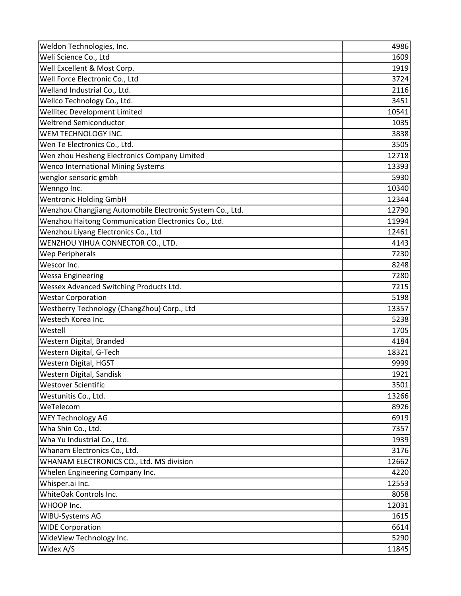| Weldon Technologies, Inc.                                 | 4986  |
|-----------------------------------------------------------|-------|
| Weli Science Co., Ltd                                     | 1609  |
| Well Excellent & Most Corp.                               | 1919  |
| Well Force Electronic Co., Ltd                            | 3724  |
| Welland Industrial Co., Ltd.                              | 2116  |
| Wellco Technology Co., Ltd.                               | 3451  |
| <b>Wellitec Development Limited</b>                       | 10541 |
| <b>Weltrend Semiconductor</b>                             | 1035  |
| WEM TECHNOLOGY INC.                                       | 3838  |
| Wen Te Electronics Co., Ltd.                              | 3505  |
| Wen zhou Hesheng Electronics Company Limited              | 12718 |
| <b>Wenco International Mining Systems</b>                 | 13393 |
| wenglor sensoric gmbh                                     | 5930  |
| Wenngo Inc.                                               | 10340 |
| <b>Wentronic Holding GmbH</b>                             | 12344 |
| Wenzhou Changjiang Automobile Electronic System Co., Ltd. | 12790 |
| Wenzhou Haitong Communication Electronics Co., Ltd.       | 11994 |
| Wenzhou Liyang Electronics Co., Ltd                       | 12461 |
| WENZHOU YIHUA CONNECTOR CO., LTD.                         | 4143  |
| <b>Wep Peripherals</b>                                    | 7230  |
| Wescor Inc.                                               | 8248  |
| <b>Wessa Engineering</b>                                  | 7280  |
| Wessex Advanced Switching Products Ltd.                   | 7215  |
| <b>Westar Corporation</b>                                 | 5198  |
| Westberry Technology (ChangZhou) Corp., Ltd               | 13357 |
| Westech Korea Inc.                                        | 5238  |
| Westell                                                   | 1705  |
| Western Digital, Branded                                  | 4184  |
| Western Digital, G-Tech                                   | 18321 |
| Western Digital, HGST                                     | 9999  |
| Western Digital, Sandisk                                  | 1921  |
| <b>Westover Scientific</b>                                | 3501  |
| Westunitis Co., Ltd.                                      | 13266 |
| WeTelecom                                                 | 8926  |
| <b>WEY Technology AG</b>                                  | 6919  |
| Wha Shin Co., Ltd.                                        | 7357  |
| Wha Yu Industrial Co., Ltd.                               | 1939  |
| Whanam Electronics Co., Ltd.                              | 3176  |
| WHANAM ELECTRONICS CO., Ltd. MS division                  | 12662 |
| Whelen Engineering Company Inc.                           | 4220  |
| Whisper.ai Inc.                                           | 12553 |
| WhiteOak Controls Inc.                                    | 8058  |
| WHOOP Inc.                                                | 12031 |
| WIBU-Systems AG                                           | 1615  |
| <b>WIDE Corporation</b>                                   | 6614  |
| WideView Technology Inc.                                  | 5290  |
| Widex A/S                                                 | 11845 |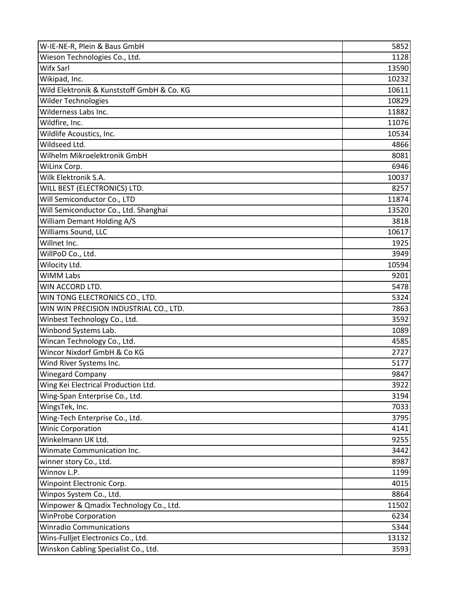| W-IE-NE-R, Plein & Baus GmbH               | 5852  |
|--------------------------------------------|-------|
| Wieson Technologies Co., Ltd.              | 1128  |
| Wifx Sarl                                  | 13590 |
| Wikipad, Inc.                              | 10232 |
| Wild Elektronik & Kunststoff GmbH & Co. KG | 10611 |
| <b>Wilder Technologies</b>                 | 10829 |
| Wilderness Labs Inc.                       | 11882 |
| Wildfire, Inc.                             | 11076 |
| Wildlife Acoustics, Inc.                   | 10534 |
| Wildseed Ltd.                              | 4866  |
| Wilhelm Mikroelektronik GmbH               | 8081  |
| WiLinx Corp.                               | 6946  |
| Wilk Elektronik S.A.                       | 10037 |
| WILL BEST (ELECTRONICS) LTD.               | 8257  |
| Will Semiconductor Co., LTD                | 11874 |
| Will Semiconductor Co., Ltd. Shanghai      | 13520 |
| William Demant Holding A/S                 | 3818  |
| Williams Sound, LLC                        | 10617 |
| Willnet Inc.                               | 1925  |
| WillPoD Co., Ltd.                          | 3949  |
| Wilocity Ltd.                              | 10594 |
| <b>WIMM Labs</b>                           | 9201  |
| WIN ACCORD LTD.                            | 5478  |
| WIN TONG ELECTRONICS CO., LTD.             | 5324  |
| WIN WIN PRECISION INDUSTRIAL CO., LTD.     | 7863  |
| Winbest Technology Co., Ltd.               | 3592  |
| Winbond Systems Lab.                       | 1089  |
| Wincan Technology Co., Ltd.                | 4585  |
| Wincor Nixdorf GmbH & Co KG                | 2727  |
| Wind River Systems Inc.                    | 5177  |
| <b>Winegard Company</b>                    | 9847  |
| Wing Kei Electrical Production Ltd.        | 3922  |
| Wing-Span Enterprise Co., Ltd.             | 3194  |
| WingsTek, Inc.                             | 7033  |
| Wing-Tech Enterprise Co., Ltd.             | 3795  |
| <b>Winic Corporation</b>                   | 4141  |
| Winkelmann UK Ltd.                         | 9255  |
| Winmate Communication Inc.                 | 3442  |
| winner story Co., Ltd.                     | 8987  |
| Winnov L.P.                                | 1199  |
| Winpoint Electronic Corp.                  | 4015  |
| Winpos System Co., Ltd.                    | 8864  |
| Winpower & Qmadix Technology Co., Ltd.     | 11502 |
| <b>WinProbe Corporation</b>                | 6234  |
| <b>Winradio Communications</b>             | 5344  |
| Wins-Fulljet Electronics Co., Ltd.         | 13132 |
| Winskon Cabling Specialist Co., Ltd.       | 3593  |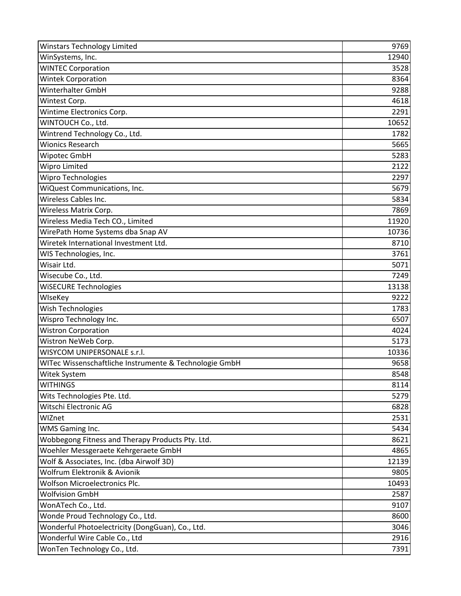| <b>Winstars Technology Limited</b>                     | 9769  |
|--------------------------------------------------------|-------|
| WinSystems, Inc.                                       | 12940 |
| <b>WINTEC Corporation</b>                              | 3528  |
| <b>Wintek Corporation</b>                              | 8364  |
| Winterhalter GmbH                                      | 9288  |
| Wintest Corp.                                          | 4618  |
| Wintime Electronics Corp.                              | 2291  |
| WINTOUCH Co., Ltd.                                     | 10652 |
| Wintrend Technology Co., Ltd.                          | 1782  |
| <b>Wionics Research</b>                                | 5665  |
| Wipotec GmbH                                           | 5283  |
| <b>Wipro Limited</b>                                   | 2122  |
| Wipro Technologies                                     | 2297  |
| WiQuest Communications, Inc.                           | 5679  |
| Wireless Cables Inc.                                   | 5834  |
| Wireless Matrix Corp.                                  | 7869  |
| Wireless Media Tech CO., Limited                       | 11920 |
| WirePath Home Systems dba Snap AV                      | 10736 |
| Wiretek International Investment Ltd.                  | 8710  |
| WIS Technologies, Inc.                                 | 3761  |
| Wisair Ltd.                                            | 5071  |
| Wisecube Co., Ltd.                                     | 7249  |
| <b>WISECURE Technologies</b>                           | 13138 |
| WIseKey                                                | 9222  |
| Wish Technologies                                      | 1783  |
| Wispro Technology Inc.                                 | 6507  |
| <b>Wistron Corporation</b>                             | 4024  |
| Wistron NeWeb Corp.                                    | 5173  |
| WISYCOM UNIPERSONALE s.r.l.                            | 10336 |
| WITec Wissenschaftliche Instrumente & Technologie GmbH | 9658  |
| Witek System                                           | 8548  |
| <b>WITHINGS</b>                                        | 8114  |
| Wits Technologies Pte. Ltd.                            | 5279  |
| Witschi Electronic AG                                  | 6828  |
| WIZnet                                                 | 2531  |
| WMS Gaming Inc.                                        | 5434  |
| Wobbegong Fitness and Therapy Products Pty. Ltd.       | 8621  |
| Woehler Messgeraete Kehrgeraete GmbH                   | 4865  |
| Wolf & Associates, Inc. (dba Airwolf 3D)               | 12139 |
| Wolfrum Elektronik & Avionik                           | 9805  |
| <b>Wolfson Microelectronics Plc.</b>                   | 10493 |
| <b>Wolfvision GmbH</b>                                 | 2587  |
| WonATech Co., Ltd.                                     | 9107  |
| Wonde Proud Technology Co., Ltd.                       | 8600  |
| Wonderful Photoelectricity (DongGuan), Co., Ltd.       | 3046  |
| Wonderful Wire Cable Co., Ltd                          | 2916  |
| WonTen Technology Co., Ltd.                            | 7391  |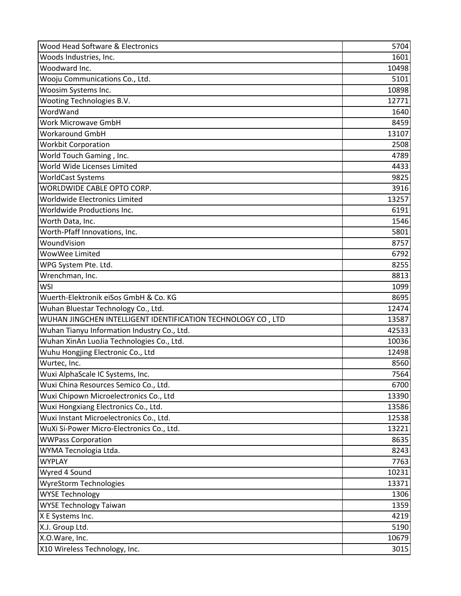| Wood Head Software & Electronics                             | 5704  |
|--------------------------------------------------------------|-------|
| Woods Industries, Inc.                                       | 1601  |
| Woodward Inc.                                                | 10498 |
| Wooju Communications Co., Ltd.                               | 5101  |
| Woosim Systems Inc.                                          | 10898 |
| Wooting Technologies B.V.                                    | 12771 |
| WordWand                                                     | 1640  |
| <b>Work Microwave GmbH</b>                                   | 8459  |
| <b>Workaround GmbH</b>                                       | 13107 |
| <b>Workbit Corporation</b>                                   | 2508  |
| World Touch Gaming, Inc.                                     | 4789  |
| World Wide Licenses Limited                                  | 4433  |
| <b>WorldCast Systems</b>                                     | 9825  |
| WORLDWIDE CABLE OPTO CORP.                                   | 3916  |
| <b>Worldwide Electronics Limited</b>                         | 13257 |
| <b>Worldwide Productions Inc.</b>                            | 6191  |
| Worth Data, Inc.                                             | 1546  |
| Worth-Pfaff Innovations, Inc.                                | 5801  |
| WoundVision                                                  | 8757  |
| WowWee Limited                                               | 6792  |
| WPG System Pte. Ltd.                                         | 8255  |
| Wrenchman, Inc.                                              | 8813  |
| <b>WSI</b>                                                   | 1099  |
| Wuerth-Elektronik eiSos GmbH & Co. KG                        | 8695  |
| Wuhan Bluestar Technology Co., Ltd.                          | 12474 |
| WUHAN JINGCHEN INTELLIGENT IDENTIFICATION TECHNOLOGY CO, LTD | 13587 |
| Wuhan Tianyu Information Industry Co., Ltd.                  | 42533 |
| Wuhan XinAn LuoJia Technologies Co., Ltd.                    | 10036 |
| Wuhu Hongjing Electronic Co., Ltd                            | 12498 |
| Wurtec, Inc.                                                 | 8560  |
| Wuxi AlphaScale IC Systems, Inc.                             | 7564  |
| Wuxi China Resources Semico Co., Ltd.                        | 6700  |
| Wuxi Chipown Microelectronics Co., Ltd                       | 13390 |
| Wuxi Hongxiang Electronics Co., Ltd.                         | 13586 |
| Wuxi Instant Microelectronics Co., Ltd.                      | 12538 |
| WuXi Si-Power Micro-Electronics Co., Ltd.                    | 13221 |
| <b>WWPass Corporation</b>                                    | 8635  |
| WYMA Tecnologia Ltda.                                        | 8243  |
| <b>WYPLAY</b>                                                | 7763  |
| Wyred 4 Sound                                                | 10231 |
| <b>WyreStorm Technologies</b>                                | 13371 |
| <b>WYSE Technology</b>                                       | 1306  |
| <b>WYSE Technology Taiwan</b>                                | 1359  |
| X E Systems Inc.                                             | 4219  |
| X.J. Group Ltd.                                              | 5190  |
| X.O.Ware, Inc.                                               | 10679 |
| X10 Wireless Technology, Inc.                                | 3015  |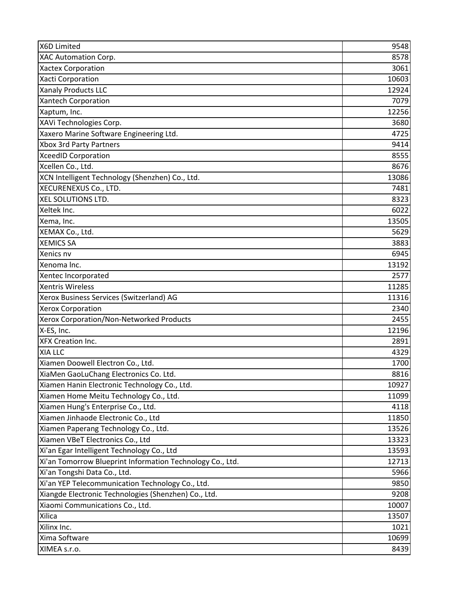| X6D Limited                                               | 9548  |
|-----------------------------------------------------------|-------|
| <b>XAC Automation Corp.</b>                               | 8578  |
| <b>Xactex Corporation</b>                                 | 3061  |
| Xacti Corporation                                         | 10603 |
| <b>Xanaly Products LLC</b>                                | 12924 |
| <b>Xantech Corporation</b>                                | 7079  |
| Xaptum, Inc.                                              | 12256 |
| XAVi Technologies Corp.                                   | 3680  |
| Xaxero Marine Software Engineering Ltd.                   | 4725  |
| <b>Xbox 3rd Party Partners</b>                            | 9414  |
| <b>XceedID Corporation</b>                                | 8555  |
| Xcellen Co., Ltd.                                         | 8676  |
| XCN Intelligent Technology (Shenzhen) Co., Ltd.           | 13086 |
| XECURENEXUS Co., LTD.                                     | 7481  |
| <b>XEL SOLUTIONS LTD.</b>                                 | 8323  |
| Xeltek Inc.                                               | 6022  |
| Xema, Inc.                                                | 13505 |
| XEMAX Co., Ltd.                                           | 5629  |
| <b>XEMICS SA</b>                                          | 3883  |
| Xenics nv                                                 | 6945  |
| Xenoma Inc.                                               | 13192 |
| Xentec Incorporated                                       | 2577  |
| <b>Xentris Wireless</b>                                   | 11285 |
| Xerox Business Services (Switzerland) AG                  | 11316 |
| <b>Xerox Corporation</b>                                  | 2340  |
| Xerox Corporation/Non-Networked Products                  | 2455  |
| X-ES, Inc.                                                | 12196 |
| <b>XFX Creation Inc.</b>                                  | 2891  |
| <b>XIA LLC</b>                                            | 4329  |
| Xiamen Doowell Electron Co., Ltd.                         | 1700  |
| XiaMen GaoLuChang Electronics Co. Ltd.                    | 8816  |
| Xiamen Hanin Electronic Technology Co., Ltd.              | 10927 |
| Xiamen Home Meitu Technology Co., Ltd.                    | 11099 |
| Xiamen Hung's Enterprise Co., Ltd.                        | 4118  |
| Xiamen Jinhaode Electronic Co., Ltd                       | 11850 |
| Xiamen Paperang Technology Co., Ltd.                      | 13526 |
| Xiamen VBeT Electronics Co., Ltd                          | 13323 |
| Xi'an Egar Intelligent Technology Co., Ltd                | 13593 |
| Xi'an Tomorrow Blueprint Information Technology Co., Ltd. | 12713 |
| Xi'an Tongshi Data Co., Ltd.                              | 5966  |
| Xi'an YEP Telecommunication Technology Co., Ltd.          | 9850  |
| Xiangde Electronic Technologies (Shenzhen) Co., Ltd.      | 9208  |
| Xiaomi Communications Co., Ltd.                           | 10007 |
| Xilica                                                    | 13507 |
| Xilinx Inc.                                               | 1021  |
| Xima Software                                             | 10699 |
| XIMEA s.r.o.                                              | 8439  |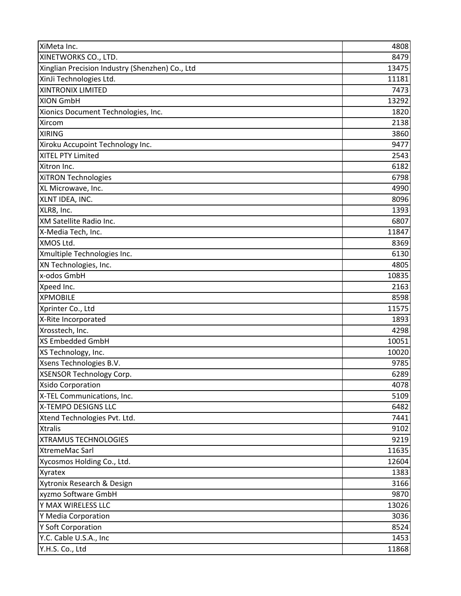| XiMeta Inc.                                     | 4808  |
|-------------------------------------------------|-------|
| XINETWORKS CO., LTD.                            | 8479  |
| Xinglian Precision Industry (Shenzhen) Co., Ltd | 13475 |
| XinJi Technologies Ltd.                         | 11181 |
| <b>XINTRONIX LIMITED</b>                        | 7473  |
| <b>XION GmbH</b>                                | 13292 |
| Xionics Document Technologies, Inc.             | 1820  |
| Xircom                                          | 2138  |
| <b>XIRING</b>                                   | 3860  |
| Xiroku Accupoint Technology Inc.                | 9477  |
| XITEL PTY Limited                               | 2543  |
| Xitron Inc.                                     | 6182  |
| XiTRON Technologies                             | 6798  |
| XL Microwave, Inc.                              | 4990  |
| XLNT IDEA, INC.                                 | 8096  |
| XLR8, Inc.                                      | 1393  |
| XM Satellite Radio Inc.                         | 6807  |
| X-Media Tech, Inc.                              | 11847 |
| XMOS Ltd.                                       | 8369  |
| Xmultiple Technologies Inc.                     | 6130  |
| XN Technologies, Inc.                           | 4805  |
| x-odos GmbH                                     | 10835 |
| Xpeed Inc.                                      | 2163  |
| <b>XPMOBILE</b>                                 | 8598  |
| Xprinter Co., Ltd                               | 11575 |
| X-Rite Incorporated                             | 1893  |
| Xrosstech, Inc.                                 | 4298  |
| <b>XS Embedded GmbH</b>                         | 10051 |
| XS Technology, Inc.                             | 10020 |
| Xsens Technologies B.V.                         | 9785  |
| <b>XSENSOR Technology Corp.</b>                 | 6289  |
| Xsido Corporation                               | 4078  |
| X-TEL Communications, Inc.                      | 5109  |
| <b>X-TEMPO DESIGNS LLC</b>                      | 6482  |
| Xtend Technologies Pvt. Ltd.                    | 7441  |
| <b>Xtralis</b>                                  | 9102  |
| <b>XTRAMUS TECHNOLOGIES</b>                     | 9219  |
| XtremeMac Sarl                                  | 11635 |
| Xycosmos Holding Co., Ltd.                      | 12604 |
| Xyratex                                         | 1383  |
| Xytronix Research & Design                      | 3166  |
| xyzmo Software GmbH                             | 9870  |
| Y MAX WIRELESS LLC                              | 13026 |
| Y Media Corporation                             | 3036  |
| Y Soft Corporation                              | 8524  |
| Y.C. Cable U.S.A., Inc                          | 1453  |
| Y.H.S. Co., Ltd                                 | 11868 |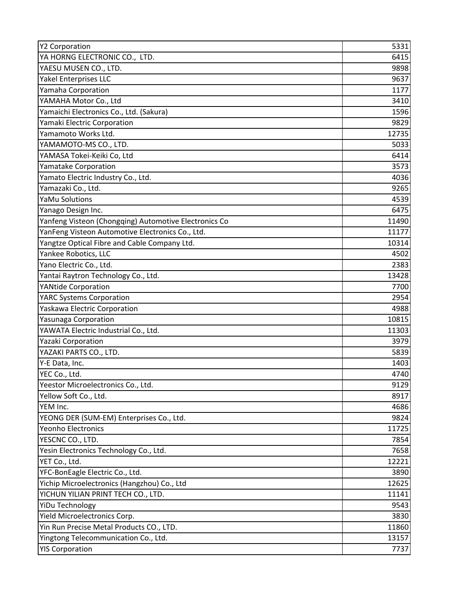| <b>Y2 Corporation</b>                                 | 5331  |
|-------------------------------------------------------|-------|
| YA HORNG ELECTRONIC CO., LTD.                         | 6415  |
| YAESU MUSEN CO., LTD.                                 | 9898  |
| Yakel Enterprises LLC                                 | 9637  |
| Yamaha Corporation                                    | 1177  |
| YAMAHA Motor Co., Ltd                                 | 3410  |
| Yamaichi Electronics Co., Ltd. (Sakura)               | 1596  |
| Yamaki Electric Corporation                           | 9829  |
| Yamamoto Works Ltd.                                   | 12735 |
| YAMAMOTO-MS CO., LTD.                                 | 5033  |
| YAMASA Tokei-Keiki Co, Ltd                            | 6414  |
| Yamatake Corporation                                  | 3573  |
| Yamato Electric Industry Co., Ltd.                    | 4036  |
| Yamazaki Co., Ltd.                                    | 9265  |
| YaMu Solutions                                        | 4539  |
| Yanago Design Inc.                                    | 6475  |
| Yanfeng Visteon (Chongqing) Automotive Electronics Co | 11490 |
| YanFeng Visteon Automotive Electronics Co., Ltd.      | 11177 |
| Yangtze Optical Fibre and Cable Company Ltd.          | 10314 |
| Yankee Robotics, LLC                                  | 4502  |
| Yano Electric Co., Ltd.                               | 2383  |
| Yantai Raytron Technology Co., Ltd.                   | 13428 |
| <b>YANtide Corporation</b>                            | 7700  |
| <b>YARC Systems Corporation</b>                       | 2954  |
| Yaskawa Electric Corporation                          | 4988  |
| <b>Yasunaga Corporation</b>                           | 10815 |
| YAWATA Electric Industrial Co., Ltd.                  | 11303 |
| Yazaki Corporation                                    | 3979  |
| YAZAKI PARTS CO., LTD.                                | 5839  |
| Y-E Data, Inc.                                        | 1403  |
| YEC Co., Ltd.                                         | 4740  |
| Yeestor Microelectronics Co., Ltd.                    | 9129  |
| Yellow Soft Co., Ltd.                                 | 8917  |
| YEM Inc.                                              | 4686  |
| YEONG DER (SUM-EM) Enterprises Co., Ltd.              | 9824  |
| Yeonho Electronics                                    | 11725 |
| YESCNC CO., LTD.                                      | 7854  |
| Yesin Electronics Technology Co., Ltd.                | 7658  |
| YET Co., Ltd.                                         | 12221 |
| YFC-BonEagle Electric Co., Ltd.                       | 3890  |
| Yichip Microelectronics (Hangzhou) Co., Ltd           | 12625 |
| YICHUN YILIAN PRINT TECH CO., LTD.                    | 11141 |
| <b>YiDu Technology</b>                                | 9543  |
| Yield Microelectronics Corp.                          | 3830  |
| Yin Run Precise Metal Products CO., LTD.              | 11860 |
| Yingtong Telecommunication Co., Ltd.                  | 13157 |
| <b>YIS Corporation</b>                                | 7737  |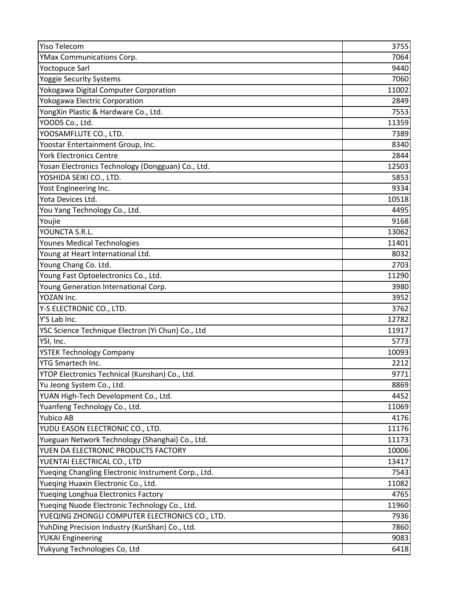| <b>Yiso Telecom</b>                                 | 3755  |
|-----------------------------------------------------|-------|
| <b>YMax Communications Corp.</b>                    | 7064  |
| <b>Yoctopuce Sarl</b>                               | 9440  |
| <b>Yoggie Security Systems</b>                      | 7060  |
| Yokogawa Digital Computer Corporation               | 11002 |
| Yokogawa Electric Corporation                       | 2849  |
| YongXin Plastic & Hardware Co., Ltd.                | 7553  |
| YOODS Co., Ltd.                                     | 11359 |
| YOOSAMFLUTE CO., LTD.                               | 7389  |
| Yoostar Entertainment Group, Inc.                   | 8340  |
| <b>York Electronics Centre</b>                      | 2844  |
| Yosan Electronics Technology (Dongguan) Co., Ltd.   | 12503 |
| YOSHIDA SEIKI CO., LTD.                             | 5853  |
| Yost Engineering Inc.                               | 9334  |
| Yota Devices Ltd.                                   | 10518 |
| You Yang Technology Co., Ltd.                       | 4495  |
| Youjie                                              | 9168  |
| YOUNCTA S.R.L.                                      | 13062 |
| Younes Medical Technologies                         | 11401 |
| Young at Heart International Ltd.                   | 8032  |
| Young Chang Co. Ltd.                                | 2703  |
| Young Fast Optoelectronics Co., Ltd.                | 11290 |
| Young Generation International Corp.                | 3980  |
| YOZAN Inc.                                          | 3952  |
| Y-S ELECTRONIC CO., LTD.                            | 3762  |
| Y'S Lab Inc.                                        | 12782 |
| YSC Science Technique Electron (Yi Chun) Co., Ltd   | 11917 |
| YSI, Inc.                                           | 5773  |
| <b>YSTEK Technology Company</b>                     | 10093 |
| <b>YTG Smartech Inc.</b>                            | 2212  |
| YTOP Electronics Technical (Kunshan) Co., Ltd.      | 9771  |
| Yu Jeong System Co., Ltd.                           | 8869  |
| YUAN High-Tech Development Co., Ltd.                | 4452  |
| Yuanfeng Technology Co., Ltd.                       | 11069 |
| Yubico AB                                           | 4176  |
| YUDU EASON ELECTRONIC CO., LTD.                     | 11176 |
| Yueguan Network Technology (Shanghai) Co., Ltd.     | 11173 |
| YUEN DA ELECTRONIC PRODUCTS FACTORY                 | 10006 |
| YUENTAI ELECTRICAL CO., LTD                         | 13417 |
| Yueqing Changling Electronic Instrument Corp., Ltd. | 7543  |
| Yueqing Huaxin Electronic Co., Ltd.                 | 11082 |
| Yueqing Longhua Electronics Factory                 | 4765  |
| Yueqing Nuode Electronic Technology Co., Ltd.       | 11960 |
| YUEQING ZHONGLI COMPUTER ELECTRONICS CO., LTD.      | 7936  |
| YuhDing Precision Industry (KunShan) Co., Ltd.      | 7860  |
| <b>YUKAI Engineering</b>                            | 9083  |
| Yukyung Technologies Co, Ltd                        | 6418  |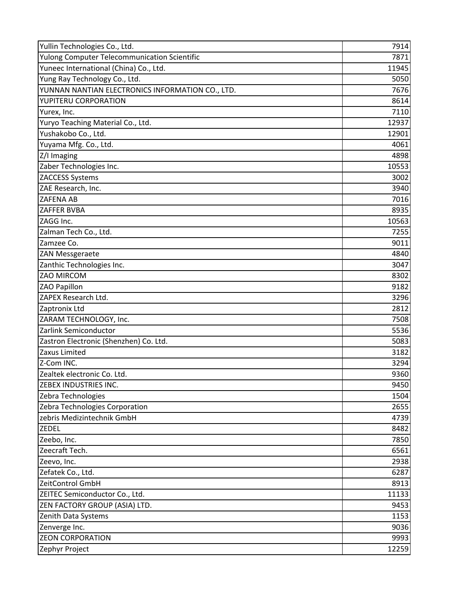| Yullin Technologies Co., Ltd.                    | 7914  |
|--------------------------------------------------|-------|
| Yulong Computer Telecommunication Scientific     | 7871  |
| Yuneec International (China) Co., Ltd.           | 11945 |
| Yung Ray Technology Co., Ltd.                    | 5050  |
| YUNNAN NANTIAN ELECTRONICS INFORMATION CO., LTD. | 7676  |
| YUPITERU CORPORATION                             | 8614  |
| Yurex, Inc.                                      | 7110  |
| Yuryo Teaching Material Co., Ltd.                | 12937 |
| Yushakobo Co., Ltd.                              | 12901 |
| Yuyama Mfg. Co., Ltd.                            | 4061  |
| Z/I Imaging                                      | 4898  |
| Zaber Technologies Inc.                          | 10553 |
| <b>ZACCESS Systems</b>                           | 3002  |
| ZAE Research, Inc.                               | 3940  |
| <b>ZAFENA AB</b>                                 | 7016  |
| <b>ZAFFER BVBA</b>                               | 8935  |
| ZAGG Inc.                                        | 10563 |
| Zalman Tech Co., Ltd.                            | 7255  |
| Zamzee Co.                                       | 9011  |
| <b>ZAN Messgeraete</b>                           | 4840  |
| Zanthic Technologies Inc.                        | 3047  |
| ZAO MIRCOM                                       | 8302  |
| ZAO Papillon                                     | 9182  |
| ZAPEX Research Ltd.                              | 3296  |
| Zaptronix Ltd                                    | 2812  |
| ZARAM TECHNOLOGY, Inc.                           | 7508  |
| Zarlink Semiconductor                            | 5536  |
| Zastron Electronic (Shenzhen) Co. Ltd.           | 5083  |
| Zaxus Limited                                    | 3182  |
| Z-Com INC.                                       | 3294  |
| Zealtek electronic Co. Ltd.                      | 9360  |
| <b>ZEBEX INDUSTRIES INC.</b>                     | 9450  |
| Zebra Technologies                               | 1504  |
| Zebra Technologies Corporation                   | 2655  |
| zebris Medizintechnik GmbH                       | 4739  |
| <b>ZEDEL</b>                                     | 8482  |
| Zeebo, Inc.                                      | 7850  |
| Zeecraft Tech.                                   | 6561  |
| Zeevo, Inc.                                      | 2938  |
| Zefatek Co., Ltd.                                | 6287  |
| ZeitControl GmbH                                 | 8913  |
| ZEITEC Semiconductor Co., Ltd.                   | 11133 |
| ZEN FACTORY GROUP (ASIA) LTD.                    | 9453  |
| Zenith Data Systems                              | 1153  |
| Zenverge Inc.                                    | 9036  |
| <b>ZEON CORPORATION</b>                          | 9993  |
| Zephyr Project                                   | 12259 |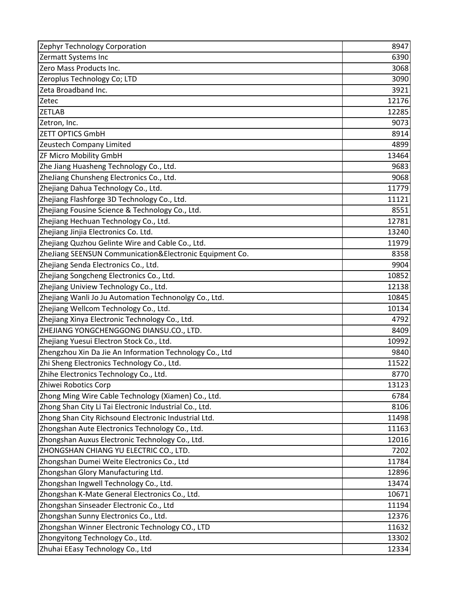| Zephyr Technology Corporation                           | 8947  |
|---------------------------------------------------------|-------|
| Zermatt Systems Inc                                     | 6390  |
| Zero Mass Products Inc.                                 | 3068  |
| Zeroplus Technology Co; LTD                             | 3090  |
| Zeta Broadband Inc.                                     | 3921  |
| Zetec                                                   | 12176 |
| <b>ZETLAB</b>                                           | 12285 |
| Zetron, Inc.                                            | 9073  |
| <b>ZETT OPTICS GmbH</b>                                 | 8914  |
| Zeustech Company Limited                                | 4899  |
| ZF Micro Mobility GmbH                                  | 13464 |
| Zhe Jiang Huasheng Technology Co., Ltd.                 | 9683  |
| ZheJiang Chunsheng Electronics Co., Ltd.                | 9068  |
| Zhejiang Dahua Technology Co., Ltd.                     | 11779 |
| Zhejiang Flashforge 3D Technology Co., Ltd.             | 11121 |
| Zhejiang Fousine Science & Technology Co., Ltd.         | 8551  |
| Zhejiang Hechuan Technology Co., Ltd.                   | 12781 |
| Zhejiang Jinjia Electronics Co. Ltd.                    | 13240 |
| Zhejiang Quzhou Gelinte Wire and Cable Co., Ltd.        | 11979 |
| ZheJiang SEENSUN Communication&Electronic Equipment Co. | 8358  |
| Zhejiang Senda Electronics Co., Ltd.                    | 9904  |
| Zhejiang Songcheng Electronics Co., Ltd.                | 10852 |
| Zhejiang Uniview Technology Co., Ltd.                   | 12138 |
| Zhejiang Wanli Jo Ju Automation Technonolgy Co., Ltd.   | 10845 |
| Zhejiang Wellcom Technology Co., Ltd.                   | 10134 |
| Zhejiang Xinya Electronic Technology Co., Ltd.          | 4792  |
| ZHEJIANG YONGCHENGGONG DIANSU.CO., LTD.                 | 8409  |
| Zhejiang Yuesui Electron Stock Co., Ltd.                | 10992 |
| Zhengzhou Xin Da Jie An Information Technology Co., Ltd | 9840  |
| Zhi Sheng Electronics Technology Co., Ltd.              | 11522 |
| Zhihe Electronics Technology Co., Ltd.                  | 8770  |
| Zhiwei Robotics Corp                                    | 13123 |
| Zhong Ming Wire Cable Technology (Xiamen) Co., Ltd.     | 6784  |
| Zhong Shan City Li Tai Electronic Industrial Co., Ltd.  | 8106  |
| Zhong Shan City Richsound Electronic Industrial Ltd.    | 11498 |
| Zhongshan Aute Electronics Technology Co., Ltd.         | 11163 |
| Zhongshan Auxus Electronic Technology Co., Ltd.         | 12016 |
| ZHONGSHAN CHIANG YU ELECTRIC CO., LTD.                  | 7202  |
| Zhongshan Dumei Weite Electronics Co., Ltd              | 11784 |
| Zhongshan Glory Manufacturing Ltd.                      | 12896 |
| Zhongshan Ingwell Technology Co., Ltd.                  | 13474 |
| Zhongshan K-Mate General Electronics Co., Ltd.          | 10671 |
| Zhongshan Sinseader Electronic Co., Ltd                 | 11194 |
| Zhongshan Sunny Electronics Co., Ltd.                   | 12376 |
| Zhongshan Winner Electronic Technology CO., LTD         | 11632 |
| Zhongyitong Technology Co., Ltd.                        | 13302 |
| Zhuhai EEasy Technology Co., Ltd                        | 12334 |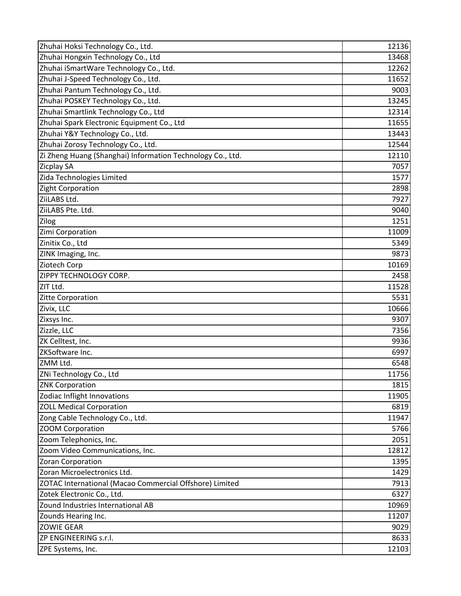| Zhuhai Hoksi Technology Co., Ltd.                          | 12136 |
|------------------------------------------------------------|-------|
| Zhuhai Hongxin Technology Co., Ltd                         | 13468 |
| Zhuhai iSmartWare Technology Co., Ltd.                     | 12262 |
| Zhuhai J-Speed Technology Co., Ltd.                        | 11652 |
| Zhuhai Pantum Technology Co., Ltd.                         | 9003  |
| Zhuhai POSKEY Technology Co., Ltd.                         | 13245 |
| Zhuhai Smartlink Technology Co., Ltd                       | 12314 |
| Zhuhai Spark Electronic Equipment Co., Ltd                 | 11655 |
| Zhuhai Y&Y Technology Co., Ltd.                            | 13443 |
| Zhuhai Zorosy Technology Co., Ltd.                         | 12544 |
| Zi Zheng Huang (Shanghai) Information Technology Co., Ltd. | 12110 |
| <b>Zicplay SA</b>                                          | 7057  |
| Zida Technologies Limited                                  | 1577  |
| Zight Corporation                                          | 2898  |
| ZiiLABS Ltd.                                               | 7927  |
| ZiiLABS Pte. Ltd.                                          | 9040  |
| Zilog                                                      | 1251  |
| Zimi Corporation                                           | 11009 |
| Zinitix Co., Ltd                                           | 5349  |
| ZINK Imaging, Inc.                                         | 9873  |
| Ziotech Corp                                               | 10169 |
| ZIPPY TECHNOLOGY CORP.                                     | 2458  |
| ZIT Ltd.                                                   | 11528 |
| Zitte Corporation                                          | 5531  |
| Zivix, LLC                                                 | 10666 |
| Zixsys Inc.                                                | 9307  |
| Zizzle, LLC                                                | 7356  |
| ZK Celltest, Inc.                                          | 9936  |
| ZKSoftware Inc.                                            | 6997  |
| ZMM Ltd.                                                   | 6548  |
| ZNi Technology Co., Ltd                                    | 11756 |
| <b>ZNK Corporation</b>                                     | 1815  |
| Zodiac Inflight Innovations                                | 11905 |
| <b>ZOLL Medical Corporation</b>                            | 6819  |
| Zong Cable Technology Co., Ltd.                            | 11947 |
| <b>ZOOM Corporation</b>                                    | 5766  |
| Zoom Telephonics, Inc.                                     | 2051  |
| Zoom Video Communications, Inc.                            | 12812 |
| Zoran Corporation                                          | 1395  |
| Zoran Microelectronics Ltd.                                | 1429  |
| ZOTAC International (Macao Commercial Offshore) Limited    | 7913  |
| Zotek Electronic Co., Ltd.                                 | 6327  |
| Zound Industries International AB                          | 10969 |
| Zounds Hearing Inc.                                        | 11207 |
| <b>ZOWIE GEAR</b>                                          | 9029  |
| ZP ENGINEERING s.r.l.                                      | 8633  |
| ZPE Systems, Inc.                                          | 12103 |